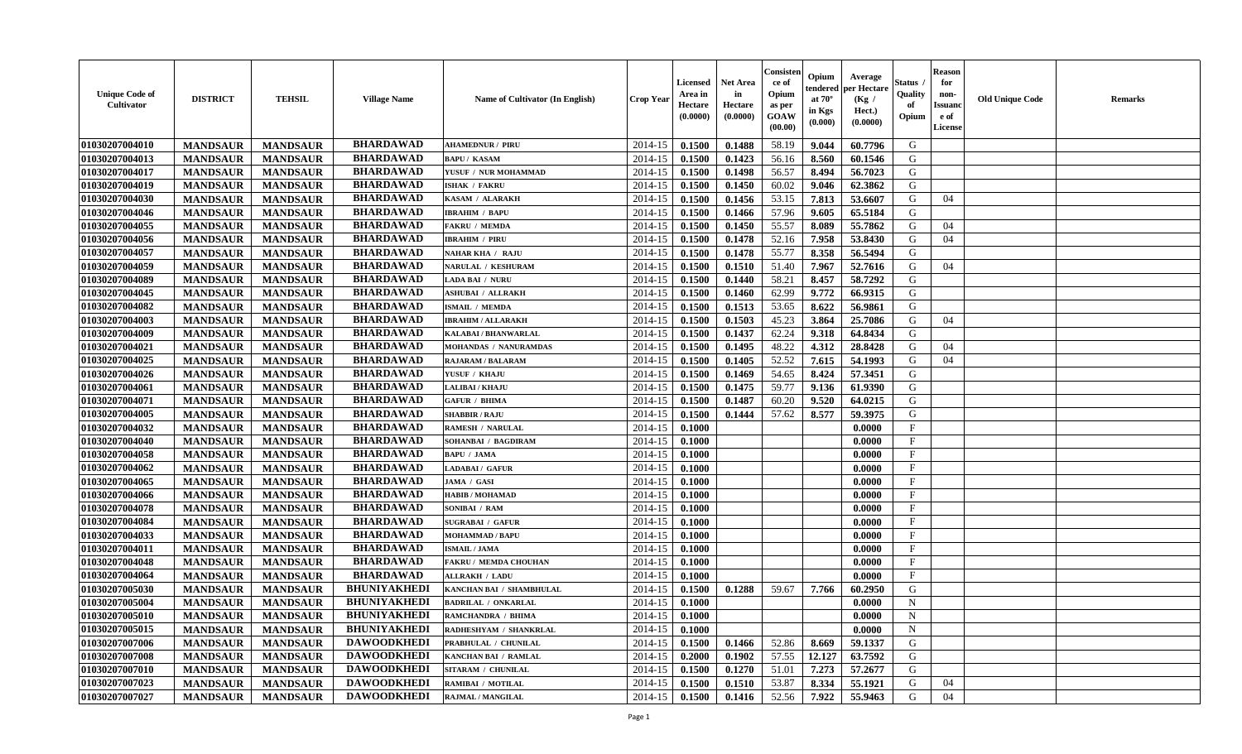| <b>Unique Code of</b><br>Cultivator | <b>DISTRICT</b> | <b>TEHSIL</b>   | <b>Village Name</b> | Name of Cultivator (In English) | <b>Crop Year</b> | <b>Licensed</b><br>Area in<br>Hectare<br>(0.0000) | <b>Net Area</b><br>in<br>Hectare<br>(0.0000) | Consister<br>ce of<br>Opium<br>as per<br><b>GOAW</b><br>(00.00) | Opium<br>endered<br>at $70^\circ$<br>in Kgs<br>$(\mathbf{0.000})$ | Average<br>per Hectare<br>(Kg /<br>Hect.)<br>(0.0000) | Status<br>Quality<br>of<br>Opium | <b>Reason</b><br>for<br>non-<br>Issuan<br>e of<br>License | <b>Old Unique Code</b> | Remarks |
|-------------------------------------|-----------------|-----------------|---------------------|---------------------------------|------------------|---------------------------------------------------|----------------------------------------------|-----------------------------------------------------------------|-------------------------------------------------------------------|-------------------------------------------------------|----------------------------------|-----------------------------------------------------------|------------------------|---------|
| 01030207004010                      | <b>MANDSAUR</b> | <b>MANDSAUR</b> | <b>BHARDAWAD</b>    | <b>AHAMEDNUR / PIRU</b>         | 2014-15          | 0.1500                                            | 0.1488                                       | 58.19                                                           | 9.044                                                             | 60.7796                                               | G                                |                                                           |                        |         |
| 01030207004013                      | <b>MANDSAUR</b> | <b>MANDSAUR</b> | <b>BHARDAWAD</b>    | <b>BAPU/KASAM</b>               | 2014-15          | 0.1500                                            | 0.1423                                       | 56.16                                                           | 8.560                                                             | 60.1546                                               | G                                |                                                           |                        |         |
| 01030207004017                      | <b>MANDSAUR</b> | <b>MANDSAUR</b> | <b>BHARDAWAD</b>    | YUSUF / NUR MOHAMMAD            | 2014-15          | 0.1500                                            | 0.1498                                       | 56.57                                                           | 8.494                                                             | 56.7023                                               | G                                |                                                           |                        |         |
| 01030207004019                      | <b>MANDSAUR</b> | <b>MANDSAUR</b> | <b>BHARDAWAD</b>    | <b>ISHAK / FAKRU</b>            | 2014-15          | 0.1500                                            | 0.1450                                       | 60.02                                                           | 9.046                                                             | 62.3862                                               | G                                |                                                           |                        |         |
| 01030207004030                      | <b>MANDSAUR</b> | <b>MANDSAUR</b> | <b>BHARDAWAD</b>    | KASAM / ALARAKH                 | 2014-15          | 0.1500                                            | 0.1456                                       | 53.15                                                           | 7.813                                                             | 53.6607                                               | G                                | 04                                                        |                        |         |
| 01030207004046                      | <b>MANDSAUR</b> | <b>MANDSAUR</b> | <b>BHARDAWAD</b>    | <b>IBRAHIM / BAPU</b>           | 2014-15          | 0.1500                                            | 0.1466                                       | 57.96                                                           | 9.605                                                             | 65.5184                                               | G                                |                                                           |                        |         |
| 01030207004055                      | <b>MANDSAUR</b> | <b>MANDSAUR</b> | <b>BHARDAWAD</b>    | <b>FAKRU / MEMDA</b>            | 2014-15          | 0.1500                                            | 0.1450                                       | 55.57                                                           | 8.089                                                             | 55.7862                                               | G                                | 04                                                        |                        |         |
| 01030207004056                      | <b>MANDSAUR</b> | <b>MANDSAUR</b> | <b>BHARDAWAD</b>    | <b>IBRAHIM / PIRU</b>           | 2014-15          | 0.1500                                            | 0.1478                                       | 52.16                                                           | 7.958                                                             | 53.8430                                               | G                                | 04                                                        |                        |         |
| 01030207004057                      | <b>MANDSAUR</b> | <b>MANDSAUR</b> | <b>BHARDAWAD</b>    | <b>NAHAR KHA / RAJU</b>         | 2014-15          | 0.1500                                            | 0.1478                                       | 55.77                                                           | 8.358                                                             | 56.5494                                               | G                                |                                                           |                        |         |
| 01030207004059                      | <b>MANDSAUR</b> | <b>MANDSAUR</b> | <b>BHARDAWAD</b>    | <b>NARULAL / KESHURAM</b>       | 2014-15          | 0.1500                                            | 0.1510                                       | 51.40                                                           | 7.967                                                             | 52.7616                                               | G                                | 04                                                        |                        |         |
| 01030207004089                      | <b>MANDSAUR</b> | <b>MANDSAUR</b> | <b>BHARDAWAD</b>    | LADA BAI / NURU                 | 2014-15          | 0.1500                                            | 0.1440                                       | 58.21                                                           | 8.457                                                             | 58.7292                                               | G                                |                                                           |                        |         |
| 01030207004045                      | <b>MANDSAUR</b> | <b>MANDSAUR</b> | <b>BHARDAWAD</b>    | ASHUBAI / ALLRAKH               | 2014-15          | 0.1500                                            | 0.1460                                       | 62.99                                                           | 9.772                                                             | 66.9315                                               | G                                |                                                           |                        |         |
| 01030207004082                      | <b>MANDSAUR</b> | <b>MANDSAUR</b> | <b>BHARDAWAD</b>    | ISMAIL / MEMDA                  | 2014-15          | 0.1500                                            | 0.1513                                       | 53.65                                                           | 8.622                                                             | 56.9861                                               | G                                |                                                           |                        |         |
| 01030207004003                      | <b>MANDSAUR</b> | <b>MANDSAUR</b> | <b>BHARDAWAD</b>    | <b>IBRAHIM / ALLARAKH</b>       | 2014-15          | 0.1500                                            | 0.1503                                       | 45.23                                                           | 3.864                                                             | 25.7086                                               | G                                | 04                                                        |                        |         |
| 01030207004009                      | <b>MANDSAUR</b> | <b>MANDSAUR</b> | <b>BHARDAWAD</b>    | KALABAI / BHANWARLAL            | 2014-15          | 0.1500                                            | 0.1437                                       | 62.24                                                           | 9.318                                                             | 64.8434                                               | G                                |                                                           |                        |         |
| 01030207004021                      | <b>MANDSAUR</b> | <b>MANDSAUR</b> | <b>BHARDAWAD</b>    | <b>MOHANDAS / NANURAMDAS</b>    | 2014-15          | 0.1500                                            | 0.1495                                       | 48.22                                                           | 4.312                                                             | 28.8428                                               | G                                | 04                                                        |                        |         |
| 01030207004025                      | <b>MANDSAUR</b> | <b>MANDSAUR</b> | <b>BHARDAWAD</b>    | <b>RAJARAM / BALARAM</b>        | 2014-15          | 0.1500                                            | 0.1405                                       | 52.52                                                           | 7.615                                                             | 54.1993                                               | G                                | 04                                                        |                        |         |
| 01030207004026                      | <b>MANDSAUR</b> | <b>MANDSAUR</b> | <b>BHARDAWAD</b>    | YUSUF / KHAJU                   | 2014-15          | 0.1500                                            | 0.1469                                       | 54.65                                                           | 8.424                                                             | 57.3451                                               | G                                |                                                           |                        |         |
| 01030207004061                      | <b>MANDSAUR</b> | <b>MANDSAUR</b> | <b>BHARDAWAD</b>    | <b>LALIBAI / KHAJU</b>          | 2014-15          | 0.1500                                            | 0.1475                                       | 59.77                                                           | 9.136                                                             | 61.9390                                               | G                                |                                                           |                        |         |
| 01030207004071                      | <b>MANDSAUR</b> | <b>MANDSAUR</b> | <b>BHARDAWAD</b>    | <b>GAFUR / BHIMA</b>            | 2014-15          | 0.1500                                            | 0.1487                                       | 60.20                                                           | 9.520                                                             | 64.0215                                               | G                                |                                                           |                        |         |
| 01030207004005                      | <b>MANDSAUR</b> | <b>MANDSAUR</b> | <b>BHARDAWAD</b>    | <b>SHABBIR / RAJU</b>           | 2014-15          | 0.1500                                            | 0.1444                                       | 57.62                                                           | 8.577                                                             | 59.3975                                               | G                                |                                                           |                        |         |
| 01030207004032                      | <b>MANDSAUR</b> | <b>MANDSAUR</b> | <b>BHARDAWAD</b>    | <b>RAMESH / NARULAL</b>         | 2014-15          | 0.1000                                            |                                              |                                                                 |                                                                   | 0.0000                                                | $_{\rm F}$                       |                                                           |                        |         |
| 01030207004040                      | <b>MANDSAUR</b> | <b>MANDSAUR</b> | <b>BHARDAWAD</b>    | SOHANBAI / BAGDIRAM             | 2014-15          | 0.1000                                            |                                              |                                                                 |                                                                   | 0.0000                                                | $\mathbf{F}$                     |                                                           |                        |         |
| 01030207004058                      | <b>MANDSAUR</b> | <b>MANDSAUR</b> | <b>BHARDAWAD</b>    | <b>BAPU / JAMA</b>              | 2014-15          | 0.1000                                            |                                              |                                                                 |                                                                   | 0.0000                                                | $_{\rm F}$                       |                                                           |                        |         |
| 01030207004062                      | <b>MANDSAUR</b> | <b>MANDSAUR</b> | <b>BHARDAWAD</b>    | LADABAI / GAFUR                 | 2014-15          | 0.1000                                            |                                              |                                                                 |                                                                   | 0.0000                                                | $\mathbf{F}$                     |                                                           |                        |         |
| 01030207004065                      | <b>MANDSAUR</b> | <b>MANDSAUR</b> | <b>BHARDAWAD</b>    | JAMA / GASI                     | 2014-15          | 0.1000                                            |                                              |                                                                 |                                                                   | 0.0000                                                | $\mathbf{F}$                     |                                                           |                        |         |
| 01030207004066                      | <b>MANDSAUR</b> | <b>MANDSAUR</b> | <b>BHARDAWAD</b>    | <b>HABIB / MOHAMAD</b>          | 2014-15          | 0.1000                                            |                                              |                                                                 |                                                                   | 0.0000                                                | $\mathbf{F}$                     |                                                           |                        |         |
| 01030207004078                      | <b>MANDSAUR</b> | <b>MANDSAUR</b> | <b>BHARDAWAD</b>    | SONIBAI / RAM                   | 2014-15          | 0.1000                                            |                                              |                                                                 |                                                                   | 0.0000                                                | $\mathbf{F}$                     |                                                           |                        |         |
| 01030207004084                      | <b>MANDSAUR</b> | <b>MANDSAUR</b> | <b>BHARDAWAD</b>    | <b>SUGRABAI / GAFUR</b>         | 2014-15          | 0.1000                                            |                                              |                                                                 |                                                                   | 0.0000                                                | $\mathbf{F}$                     |                                                           |                        |         |
| 01030207004033                      | <b>MANDSAUR</b> | <b>MANDSAUR</b> | <b>BHARDAWAD</b>    | <b>MOHAMMAD / BAPU</b>          | 2014-15          | 0.1000                                            |                                              |                                                                 |                                                                   | 0.0000                                                | $\mathbf{F}$                     |                                                           |                        |         |
| 01030207004011                      | <b>MANDSAUR</b> | <b>MANDSAUR</b> | <b>BHARDAWAD</b>    | <b>ISMAIL / JAMA</b>            | 2014-15          | 0.1000                                            |                                              |                                                                 |                                                                   | 0.0000                                                | $_{\rm F}$                       |                                                           |                        |         |
| 01030207004048                      | <b>MANDSAUR</b> | <b>MANDSAUR</b> | <b>BHARDAWAD</b>    | <b>FAKRU / MEMDA CHOUHAN</b>    | 2014-15          | 0.1000                                            |                                              |                                                                 |                                                                   | 0.0000                                                | $\mathbf{F}$                     |                                                           |                        |         |
| 01030207004064                      | <b>MANDSAUR</b> | <b>MANDSAUR</b> | <b>BHARDAWAD</b>    | <b>ALLRAKH / LADU</b>           | 2014-15          | 0.1000                                            |                                              |                                                                 |                                                                   | 0.0000                                                | $\mathbf{F}$                     |                                                           |                        |         |
| 01030207005030                      | <b>MANDSAUR</b> | <b>MANDSAUR</b> | <b>BHUNIYAKHEDI</b> | KANCHAN BAI / SHAMBHULAL        | 2014-15          | 0.1500                                            | 0.1288                                       | 59.67                                                           | 7.766                                                             | 60.2950                                               | G                                |                                                           |                        |         |
| 01030207005004                      | <b>MANDSAUR</b> | <b>MANDSAUR</b> | <b>BHUNIYAKHEDI</b> | <b>BADRILAL / ONKARLAL</b>      | 2014-15          | 0.1000                                            |                                              |                                                                 |                                                                   | 0.0000                                                | N                                |                                                           |                        |         |
| 01030207005010                      | <b>MANDSAUR</b> | <b>MANDSAUR</b> | <b>BHUNIYAKHEDI</b> | RAMCHANDRA / BHIMA              | $2014-15$ 0.1000 |                                                   |                                              |                                                                 |                                                                   | 0.0000                                                | N                                |                                                           |                        |         |
| 01030207005015                      | <b>MANDSAUR</b> | <b>MANDSAUR</b> | <b>BHUNIYAKHEDI</b> | RADHESHYAM / SHANKRLAL          | 2014-15          | 0.1000                                            |                                              |                                                                 |                                                                   | 0.0000                                                | $\mathbf N$                      |                                                           |                        |         |
| 01030207007006                      | <b>MANDSAUR</b> | <b>MANDSAUR</b> | <b>DAWOODKHEDI</b>  | PRABHULAL / CHUNILAL            | 2014-15          | 0.1500                                            | 0.1466                                       | 52.86                                                           | 8.669                                                             | 59.1337                                               | G                                |                                                           |                        |         |
| 01030207007008                      | <b>MANDSAUR</b> | <b>MANDSAUR</b> | <b>DAWOODKHEDI</b>  | <b>KANCHAN BAI / RAMLAL</b>     | 2014-15          | 0.2000                                            | 0.1902                                       | 57.55                                                           | 12.127                                                            | 63.7592                                               | G                                |                                                           |                        |         |
| 01030207007010                      | <b>MANDSAUR</b> | <b>MANDSAUR</b> | <b>DAWOODKHEDI</b>  | SITARAM / CHUNILAL              | 2014-15          | 0.1500                                            | 0.1270                                       | 51.01                                                           | 7.273                                                             | 57.2677                                               | G                                |                                                           |                        |         |
| 01030207007023                      |                 |                 | <b>DAWOODKHEDI</b>  | RAMIBAI / MOTILAL               |                  |                                                   |                                              |                                                                 |                                                                   |                                                       | G                                | 04                                                        |                        |         |
| 01030207007027                      | <b>MANDSAUR</b> | <b>MANDSAUR</b> | <b>DAWOODKHEDI</b>  |                                 | 2014-15          | 0.1500                                            | 0.1510                                       | 53.87                                                           | 8.334                                                             | 55.1921                                               |                                  |                                                           |                        |         |
|                                     | <b>MANDSAUR</b> | <b>MANDSAUR</b> |                     | RAJMAL / MANGILAL               | 2014-15          | 0.1500                                            | 0.1416                                       | 52.56                                                           | 7.922                                                             | 55.9463                                               | G                                | 04                                                        |                        |         |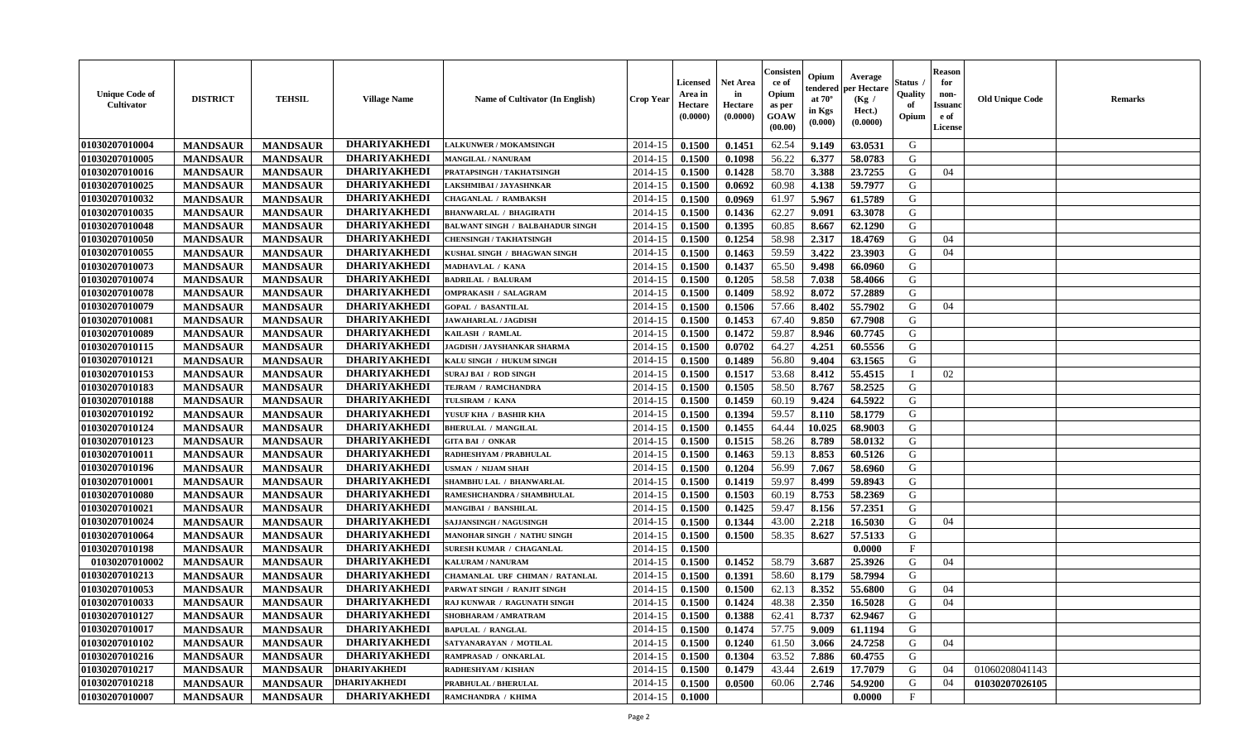| <b>Unique Code of</b><br><b>Cultivator</b> | <b>DISTRICT</b> | <b>TEHSIL</b>   | <b>Village Name</b> | Name of Cultivator (In English)         | <b>Crop Year</b> | <b>Licensed</b><br>Area in<br>Hectare<br>(0.0000) | <b>Net Area</b><br>in<br>Hectare<br>(0.0000) | Consisteı<br>ce of<br>Opium<br>as per<br><b>GOAW</b><br>(00.00) | Opium<br>endered<br>at $70^\circ$<br>in Kgs<br>$(\mathbf{0.000})$ | Average<br>per Hectare<br>(Kg /<br>Hect.)<br>(0.0000) | Status<br>Quality<br>of<br>Opium | Reason<br>for<br>non-<br>Issuan<br>e of<br><b>License</b> | <b>Old Unique Code</b> | <b>Remarks</b> |
|--------------------------------------------|-----------------|-----------------|---------------------|-----------------------------------------|------------------|---------------------------------------------------|----------------------------------------------|-----------------------------------------------------------------|-------------------------------------------------------------------|-------------------------------------------------------|----------------------------------|-----------------------------------------------------------|------------------------|----------------|
| 01030207010004                             | <b>MANDSAUR</b> | <b>MANDSAUR</b> | <b>DHARIYAKHEDI</b> | <b>LALKUNWER / MOKAMSINGH</b>           | 2014-15          | 0.1500                                            | 0.1451                                       | 62.54                                                           | 9.149                                                             | 63.0531                                               | G                                |                                                           |                        |                |
| 01030207010005                             | <b>MANDSAUR</b> | <b>MANDSAUR</b> | <b>DHARIYAKHEDI</b> | <b>MANGILAL / NANURAM</b>               | 2014-15          | 0.1500                                            | 0.1098                                       | 56.22                                                           | 6.377                                                             | 58.0783                                               | G                                |                                                           |                        |                |
| 01030207010016                             | <b>MANDSAUR</b> | <b>MANDSAUR</b> | <b>DHARIYAKHEDI</b> | PRATAPSINGH / TAKHATSINGH               | 2014-15          | 0.1500                                            | 0.1428                                       | 58.70                                                           | 3.388                                                             | 23.7255                                               | G                                | 04                                                        |                        |                |
| 01030207010025                             | <b>MANDSAUR</b> | <b>MANDSAUR</b> | <b>DHARIYAKHEDI</b> | LAKSHMIBAI / JAYASHNKAR                 | 2014-15          | 0.1500                                            | 0.0692                                       | 60.98                                                           | 4.138                                                             | 59.7977                                               | G                                |                                                           |                        |                |
| 01030207010032                             | <b>MANDSAUR</b> | <b>MANDSAUR</b> | <b>DHARIYAKHEDI</b> | <b>CHAGANLAL / RAMBAKSH</b>             | 2014-15          | 0.1500                                            | 0.0969                                       | 61.97                                                           | 5.967                                                             | 61.5789                                               | G                                |                                                           |                        |                |
| 01030207010035                             | <b>MANDSAUR</b> | <b>MANDSAUR</b> | <b>DHARIYAKHEDI</b> | <b>BHANWARLAL / BHAGIRATH</b>           | 2014-15          | 0.1500                                            | 0.1436                                       | 62.27                                                           | 9.091                                                             | 63.3078                                               | G                                |                                                           |                        |                |
| 01030207010048                             | <b>MANDSAUR</b> | <b>MANDSAUR</b> | <b>DHARIYAKHEDI</b> | <b>BALWANT SINGH / BALBAHADUR SINGH</b> | 2014-15          | 0.1500                                            | 0.1395                                       | 60.85                                                           | 8.667                                                             | 62.1290                                               | G                                |                                                           |                        |                |
| 01030207010050                             | <b>MANDSAUR</b> | <b>MANDSAUR</b> | <b>DHARIYAKHEDI</b> | <b>CHENSINGH / TAKHATSINGH</b>          | 2014-15          | 0.1500                                            | 0.1254                                       | 58.98                                                           | 2.317                                                             | 18.4769                                               | G                                | 04                                                        |                        |                |
| 01030207010055                             | <b>MANDSAUR</b> | <b>MANDSAUR</b> | <b>DHARIYAKHEDI</b> | KUSHAL SINGH / BHAGWAN SINGH            | 2014-15          | 0.1500                                            | 0.1463                                       | 59.59                                                           | 3.422                                                             | 23.3903                                               | G                                | 04                                                        |                        |                |
| 01030207010073                             | <b>MANDSAUR</b> | <b>MANDSAUR</b> | <b>DHARIYAKHEDI</b> | MADHAVLAL / KANA                        | 2014-15          | 0.1500                                            | 0.1437                                       | 65.50                                                           | 9.498                                                             | 66.0960                                               | G                                |                                                           |                        |                |
| 01030207010074                             | <b>MANDSAUR</b> | <b>MANDSAUR</b> | <b>DHARIYAKHEDI</b> | <b>BADRILAL / BALURAM</b>               | 2014-15          | 0.1500                                            | 0.1205                                       | 58.58                                                           | 7.038                                                             | 58.4066                                               | G                                |                                                           |                        |                |
| 01030207010078                             | <b>MANDSAUR</b> | <b>MANDSAUR</b> | <b>DHARIYAKHEDI</b> | <b>OMPRAKASH / SALAGRAM</b>             | 2014-15          | 0.1500                                            | 0.1409                                       | 58.92                                                           | 8.072                                                             | 57.2889                                               | G                                |                                                           |                        |                |
| 01030207010079                             | <b>MANDSAUR</b> | <b>MANDSAUR</b> | <b>DHARIYAKHEDI</b> | <b>GOPAL / BASANTILAL</b>               | 2014-15          | 0.1500                                            | 0.1506                                       | 57.66                                                           | 8.402                                                             | 55.7902                                               | G                                | 04                                                        |                        |                |
| 01030207010081                             | <b>MANDSAUR</b> | <b>MANDSAUR</b> | <b>DHARIYAKHEDI</b> | <b>JAWAHARLAL / JAGDISH</b>             | 2014-15          | 0.1500                                            | 0.1453                                       | 67.40                                                           | 9.850                                                             | 67.7908                                               | G                                |                                                           |                        |                |
| 01030207010089                             | <b>MANDSAUR</b> | <b>MANDSAUR</b> | <b>DHARIYAKHEDI</b> | KAILASH / RAMLAL                        | 2014-15          | 0.1500                                            | 0.1472                                       | 59.87                                                           | 8.946                                                             | 60.7745                                               | G                                |                                                           |                        |                |
| 01030207010115                             | <b>MANDSAUR</b> | <b>MANDSAUR</b> | <b>DHARIYAKHEDI</b> | JAGDISH / JAYSHANKAR SHARMA             | 2014-15          | 0.1500                                            | 0.0702                                       | 64.27                                                           | 4.251                                                             | 60.5556                                               | G                                |                                                           |                        |                |
| 01030207010121                             | <b>MANDSAUR</b> | <b>MANDSAUR</b> | <b>DHARIYAKHEDI</b> | KALU SINGH / HUKUM SINGH                | 2014-15          | 0.1500                                            | 0.1489                                       | 56.80                                                           | 9.404                                                             | 63.1565                                               | G                                |                                                           |                        |                |
| 01030207010153                             | <b>MANDSAUR</b> | <b>MANDSAUR</b> | <b>DHARIYAKHEDI</b> | <b>SURAJ BAI / ROD SINGH</b>            | 2014-15          | 0.1500                                            | 0.1517                                       | 53.68                                                           | 8.412                                                             | 55.4515                                               | - 1                              | 02                                                        |                        |                |
| 01030207010183                             | <b>MANDSAUR</b> | <b>MANDSAUR</b> | <b>DHARIYAKHEDI</b> | TEJRAM / RAMCHANDRA                     | 2014-15          | 0.1500                                            | 0.1505                                       | 58.50                                                           | 8.767                                                             | 58.2525                                               | G                                |                                                           |                        |                |
| 01030207010188                             | <b>MANDSAUR</b> | <b>MANDSAUR</b> | <b>DHARIYAKHEDI</b> | TULSIRAM / KANA                         | 2014-15          | 0.1500                                            | 0.1459                                       | 60.19                                                           | 9.424                                                             | 64.5922                                               | G                                |                                                           |                        |                |
| 01030207010192                             | <b>MANDSAUR</b> | <b>MANDSAUR</b> | <b>DHARIYAKHEDI</b> | YUSUF KHA / BASHIR KHA                  | 2014-15          | 0.1500                                            | 0.1394                                       | 59.57                                                           | 8.110                                                             | 58.1779                                               | G                                |                                                           |                        |                |
| 01030207010124                             | <b>MANDSAUR</b> | <b>MANDSAUR</b> | <b>DHARIYAKHEDI</b> | <b>BHERULAL / MANGILAL</b>              | 2014-15          | 0.1500                                            | 0.1455                                       | 64.44                                                           | 10.025                                                            | 68.9003                                               | G                                |                                                           |                        |                |
| 01030207010123                             | <b>MANDSAUR</b> | <b>MANDSAUR</b> | <b>DHARIYAKHEDI</b> | <b>GITA BAI / ONKAR</b>                 | 2014-15          | 0.1500                                            | 0.1515                                       | 58.26                                                           | 8.789                                                             | 58.0132                                               | G                                |                                                           |                        |                |
| 01030207010011                             | <b>MANDSAUR</b> | <b>MANDSAUR</b> | <b>DHARIYAKHEDI</b> | RADHESHYAM / PRABHULAL                  | 2014-15          | 0.1500                                            | 0.1463                                       | 59.13                                                           | 8.853                                                             | 60.5126                                               | G                                |                                                           |                        |                |
| 01030207010196                             | <b>MANDSAUR</b> | <b>MANDSAUR</b> | <b>DHARIYAKHEDI</b> | USMAN / NIJAM SHAH                      | 2014-15          | 0.1500                                            | 0.1204                                       | 56.99                                                           | 7.067                                                             | 58.6960                                               | G                                |                                                           |                        |                |
| 01030207010001                             | <b>MANDSAUR</b> | <b>MANDSAUR</b> | <b>DHARIYAKHEDI</b> | SHAMBHU LAL / BHANWARLAL                | 2014-15          | 0.1500                                            | 0.1419                                       | 59.97                                                           | 8.499                                                             | 59.8943                                               | G                                |                                                           |                        |                |
| 01030207010080                             | <b>MANDSAUR</b> | <b>MANDSAUR</b> | <b>DHARIYAKHEDI</b> | RAMESHCHANDRA / SHAMBHULAL              | 2014-15          | 0.1500                                            | 0.1503                                       | 60.19                                                           | 8.753                                                             | 58.2369                                               | G                                |                                                           |                        |                |
| 01030207010021                             | <b>MANDSAUR</b> | <b>MANDSAUR</b> | <b>DHARIYAKHEDI</b> | MANGIBAI / BANSHILAL                    | 2014-15          | 0.1500                                            | 0.1425                                       | 59.47                                                           | 8.156                                                             | 57.2351                                               | G                                |                                                           |                        |                |
| 01030207010024                             | <b>MANDSAUR</b> | <b>MANDSAUR</b> | <b>DHARIYAKHEDI</b> | SAJJANSINGH / NAGUSINGH                 | 2014-15          | 0.1500                                            | 0.1344                                       | 43.00                                                           | 2.218                                                             | 16.5030                                               | G                                | 04                                                        |                        |                |
| 01030207010064                             | <b>MANDSAUR</b> | <b>MANDSAUR</b> | <b>DHARIYAKHEDI</b> | MANOHAR SINGH / NATHU SINGH             | 2014-15          | 0.1500                                            | 0.1500                                       | 58.35                                                           | 8.627                                                             | 57.5133                                               | G                                |                                                           |                        |                |
| 01030207010198                             | <b>MANDSAUR</b> | <b>MANDSAUR</b> | <b>DHARIYAKHEDI</b> | <b>SURESH KUMAR / CHAGANLAL</b>         | 2014-15          | 0.1500                                            |                                              |                                                                 |                                                                   | 0.0000                                                | $_{\rm F}$                       |                                                           |                        |                |
| 01030207010002                             | <b>MANDSAUR</b> | <b>MANDSAUR</b> | <b>DHARIYAKHEDI</b> | KALURAM / NANURAM                       | 2014-15          | 0.1500                                            | 0.1452                                       | 58.79                                                           | 3.687                                                             | 25.3926                                               | G                                | 04                                                        |                        |                |
| 01030207010213                             | <b>MANDSAUR</b> | <b>MANDSAUR</b> | <b>DHARIYAKHEDI</b> | CHAMANLAL URF CHIMAN / RATANLAL         | 2014-15          | 0.1500                                            | 0.1391                                       | 58.60                                                           | 8.179                                                             | 58.7994                                               | G                                |                                                           |                        |                |
| 01030207010053                             | <b>MANDSAUR</b> | <b>MANDSAUR</b> | <b>DHARIYAKHEDI</b> | PARWAT SINGH / RANJIT SINGH             | 2014-15          | 0.1500                                            | 0.1500                                       | 62.13                                                           | 8.352                                                             | 55.6800                                               | G                                | 04                                                        |                        |                |
| 01030207010033                             | <b>MANDSAUR</b> | <b>MANDSAUR</b> | <b>DHARIYAKHEDI</b> | <b>RAJ KUNWAR / RAGUNATH SINGH</b>      | 2014-15          | 0.1500                                            | 0.1424                                       | 48.38                                                           | 2.350                                                             | 16.5028                                               | G                                | 04                                                        |                        |                |
| 01030207010127                             | <b>MANDSAUR</b> | <b>MANDSAUR</b> | <b>DHARIYAKHEDI</b> | SHOBHARAM / AMRATRAM                    | $2014-15$ 0.1500 |                                                   | 0.1388                                       | 62.41                                                           | 8.737                                                             | 62.9467                                               | G                                |                                                           |                        |                |
| 01030207010017                             | <b>MANDSAUR</b> | <b>MANDSAUR</b> | <b>DHARIYAKHEDI</b> | <b>BAPULAL / RANGLAL</b>                | 2014-15          | 0.1500                                            | 0.1474                                       | 57.75                                                           | 9.009                                                             | 61.1194                                               | G                                |                                                           |                        |                |
| <b>01030207010102</b>                      | <b>MANDSAUR</b> | <b>MANDSAUR</b> | <b>DHARIYAKHEDI</b> | SATYANARAYAN / MOTILAL                  | 2014-15          | 0.1500                                            | 0.1240                                       | 61.50                                                           | 3.066                                                             | 24.7258                                               | G                                | 04                                                        |                        |                |
| 01030207010216                             | <b>MANDSAUR</b> | <b>MANDSAUR</b> | <b>DHARIYAKHEDI</b> | RAMPRASAD / ONKARLAL                    | 2014-15          | 0.1500                                            | 0.1304                                       | 63.52                                                           | 7.886                                                             | 60.4755                                               | G                                |                                                           |                        |                |
| 01030207010217                             | <b>MANDSAUR</b> | <b>MANDSAUR</b> | <b>DHARIYAKHEDI</b> | RADHESHYAM / KISHAN                     | 2014-15          | 0.1500                                            | 0.1479                                       | 43.44                                                           | 2.619                                                             | 17.7079                                               | G                                | 04                                                        | 01060208041143         |                |
| 01030207010218                             | <b>MANDSAUR</b> | <b>MANDSAUR</b> | <b>DHARIYAKHEDI</b> | PRABHULAL / BHERULAL                    | 2014-15          | 0.1500                                            | 0.0500                                       | 60.06                                                           | 2.746                                                             | 54.9200                                               | G                                | 04                                                        | 01030207026105         |                |
| 01030207010007                             |                 |                 | <b>DHARIYAKHEDI</b> | RAMCHANDRA / KHIMA                      | 2014-15          |                                                   |                                              |                                                                 |                                                                   | 0.0000                                                | $\mathbf{F}$                     |                                                           |                        |                |
|                                            | <b>MANDSAUR</b> | <b>MANDSAUR</b> |                     |                                         |                  | 0.1000                                            |                                              |                                                                 |                                                                   |                                                       |                                  |                                                           |                        |                |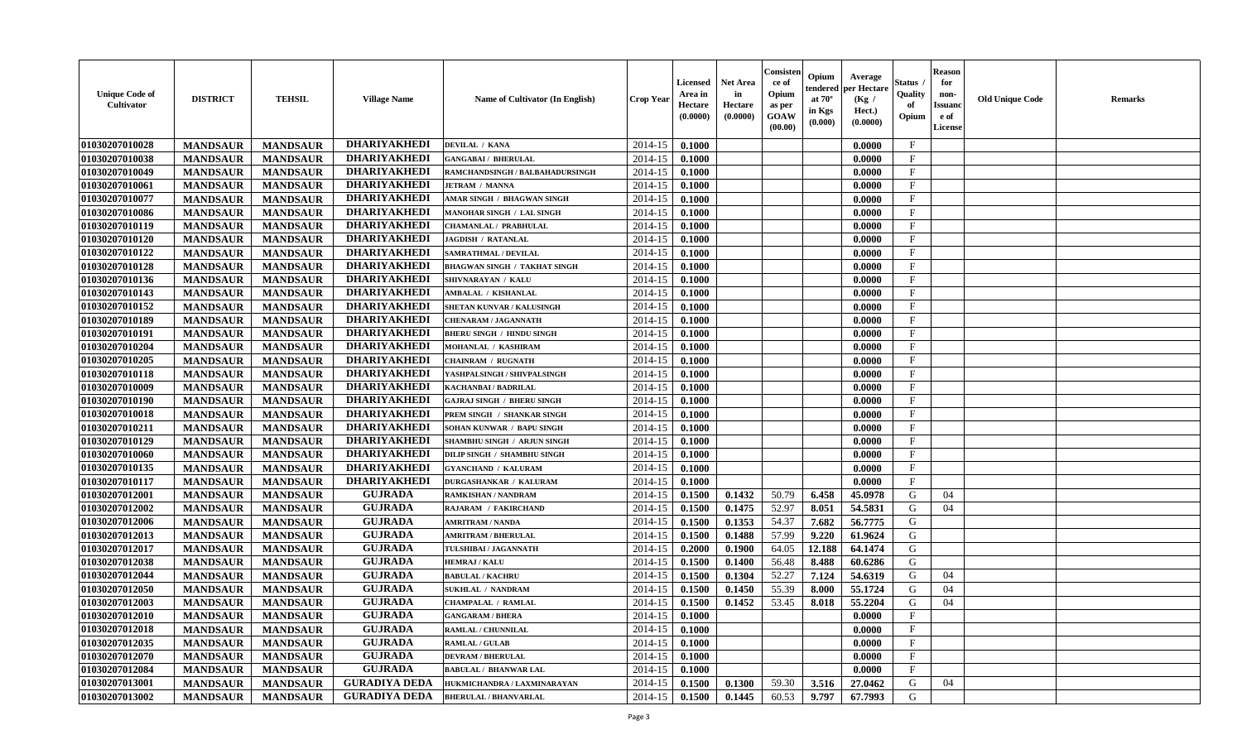| <b>Unique Code of</b><br><b>Cultivator</b> | <b>DISTRICT</b> | <b>TEHSIL</b>   | <b>Village Name</b>  | Name of Cultivator (In English)   | <b>Crop Year</b> | <b>Licensed</b><br>Area in<br>Hectare<br>(0.0000) | <b>Net Area</b><br>in<br>Hectare<br>(0.0000) | Consisteı<br>ce of<br>Opium<br>as per<br><b>GOAW</b><br>(00.00) | Opium<br>endered<br>at $70^\circ$<br>in Kgs<br>(0.000) | Average<br>per Hectare<br>(Kg /<br>Hect.)<br>(0.0000) | Status<br>Quality<br>of<br>Opium | <b>Reason</b><br>for<br>non-<br>Issuan<br>e of<br>License | <b>Old Unique Code</b> | <b>Remarks</b> |
|--------------------------------------------|-----------------|-----------------|----------------------|-----------------------------------|------------------|---------------------------------------------------|----------------------------------------------|-----------------------------------------------------------------|--------------------------------------------------------|-------------------------------------------------------|----------------------------------|-----------------------------------------------------------|------------------------|----------------|
| 01030207010028                             | <b>MANDSAUR</b> | <b>MANDSAUR</b> | <b>DHARIYAKHEDI</b>  | DEVILAL / KANA                    | 2014-15          | 0.1000                                            |                                              |                                                                 |                                                        | 0.0000                                                | $\mathbf{F}$                     |                                                           |                        |                |
| 01030207010038                             | <b>MANDSAUR</b> | <b>MANDSAUR</b> | <b>DHARIYAKHEDI</b>  | <b>GANGABAI / BHERULAL</b>        | 2014-15          | 0.1000                                            |                                              |                                                                 |                                                        | 0.0000                                                | $_{\rm F}$                       |                                                           |                        |                |
| 01030207010049                             | <b>MANDSAUR</b> | <b>MANDSAUR</b> | <b>DHARIYAKHEDI</b>  | RAMCHANDSINGH / BALBAHADURSINGH   | 2014-15          | 0.1000                                            |                                              |                                                                 |                                                        | 0.0000                                                | $\mathbf{F}$                     |                                                           |                        |                |
| 01030207010061                             | <b>MANDSAUR</b> | <b>MANDSAUR</b> | <b>DHARIYAKHEDI</b>  | <b>JETRAM / MANNA</b>             | 2014-15          | 0.1000                                            |                                              |                                                                 |                                                        | 0.0000                                                | $\mathbf{F}$                     |                                                           |                        |                |
| 01030207010077                             | <b>MANDSAUR</b> | <b>MANDSAUR</b> | <b>DHARIYAKHEDI</b>  | AMAR SINGH / BHAGWAN SINGH        | 2014-15          | 0.1000                                            |                                              |                                                                 |                                                        | 0.0000                                                | $_{\rm F}$                       |                                                           |                        |                |
| 01030207010086                             | <b>MANDSAUR</b> | <b>MANDSAUR</b> | <b>DHARIYAKHEDI</b>  | <b>MANOHAR SINGH / LAL SINGH</b>  | 2014-15          | 0.1000                                            |                                              |                                                                 |                                                        | 0.0000                                                | $\mathbf{F}$                     |                                                           |                        |                |
| 01030207010119                             | <b>MANDSAUR</b> | <b>MANDSAUR</b> | <b>DHARIYAKHEDI</b>  | CHAMANLAL / PRABHULAL             | 2014-15          | 0.1000                                            |                                              |                                                                 |                                                        | 0.0000                                                | $\mathbf{F}$                     |                                                           |                        |                |
| 01030207010120                             | <b>MANDSAUR</b> | <b>MANDSAUR</b> | <b>DHARIYAKHEDI</b>  | <b>JAGDISH / RATANLAL</b>         | 2014-15          | 0.1000                                            |                                              |                                                                 |                                                        | 0.0000                                                | $\mathbf{F}$                     |                                                           |                        |                |
| 01030207010122                             | <b>MANDSAUR</b> | <b>MANDSAUR</b> | <b>DHARIYAKHEDI</b>  | <b>SAMRATHMAL / DEVILAL</b>       | 2014-15          | 0.1000                                            |                                              |                                                                 |                                                        | 0.0000                                                | $_{\rm F}$                       |                                                           |                        |                |
| 01030207010128                             | <b>MANDSAUR</b> | <b>MANDSAUR</b> | <b>DHARIYAKHEDI</b>  | BHAGWAN SINGH / TAKHAT SINGH      | 2014-15          | 0.1000                                            |                                              |                                                                 |                                                        | 0.0000                                                | $_{\rm F}$                       |                                                           |                        |                |
| 01030207010136                             | <b>MANDSAUR</b> | <b>MANDSAUR</b> | <b>DHARIYAKHEDI</b>  | SHIVNARAYAN / KALU                | 2014-15          | 0.1000                                            |                                              |                                                                 |                                                        | 0.0000                                                | $\mathbf{F}$                     |                                                           |                        |                |
| 01030207010143                             | <b>MANDSAUR</b> | <b>MANDSAUR</b> | <b>DHARIYAKHEDI</b>  | AMBALAL / KISHANLAL               | 2014-15          | 0.1000                                            |                                              |                                                                 |                                                        | 0.0000                                                | $_{\rm F}$                       |                                                           |                        |                |
| 01030207010152                             | <b>MANDSAUR</b> | <b>MANDSAUR</b> | <b>DHARIYAKHEDI</b>  | SHETAN KUNVAR / KALUSINGH         | 2014-15          | 0.1000                                            |                                              |                                                                 |                                                        | 0.0000                                                | $\mathbf{F}$                     |                                                           |                        |                |
| 01030207010189                             | <b>MANDSAUR</b> | <b>MANDSAUR</b> | <b>DHARIYAKHEDI</b>  | <b>CHENARAM / JAGANNATH</b>       | 2014-15          | 0.1000                                            |                                              |                                                                 |                                                        | 0.0000                                                | $\mathbf{F}$                     |                                                           |                        |                |
| 01030207010191                             | <b>MANDSAUR</b> | <b>MANDSAUR</b> | <b>DHARIYAKHEDI</b>  | <b>BHERU SINGH / HINDU SINGH</b>  | 2014-15          | 0.1000                                            |                                              |                                                                 |                                                        | 0.0000                                                | $\mathbf{F}$                     |                                                           |                        |                |
| 01030207010204                             | <b>MANDSAUR</b> | <b>MANDSAUR</b> | <b>DHARIYAKHEDI</b>  | MOHANLAL / KASHIRAM               | 2014-15          | 0.1000                                            |                                              |                                                                 |                                                        | 0.0000                                                | F                                |                                                           |                        |                |
| 01030207010205                             | <b>MANDSAUR</b> | <b>MANDSAUR</b> | <b>DHARIYAKHEDI</b>  | CHAINRAM / RUGNATH                | 2014-15          | 0.1000                                            |                                              |                                                                 |                                                        | 0.0000                                                | $\mathbf{F}$                     |                                                           |                        |                |
| 01030207010118                             | <b>MANDSAUR</b> | <b>MANDSAUR</b> | <b>DHARIYAKHEDI</b>  | YASHPALSINGH / SHIVPALSINGH       | 2014-15          | 0.1000                                            |                                              |                                                                 |                                                        | 0.0000                                                | $\mathbf F$                      |                                                           |                        |                |
| 01030207010009                             | <b>MANDSAUR</b> | <b>MANDSAUR</b> | <b>DHARIYAKHEDI</b>  | KACHANBAI / BADRILAL              | 2014-15          | 0.1000                                            |                                              |                                                                 |                                                        | 0.0000                                                | $_{\rm F}$                       |                                                           |                        |                |
| 01030207010190                             | <b>MANDSAUR</b> | <b>MANDSAUR</b> | <b>DHARIYAKHEDI</b>  | <b>GAJRAJ SINGH / BHERU SINGH</b> | 2014-15          | 0.1000                                            |                                              |                                                                 |                                                        | 0.0000                                                | $_{\rm F}$                       |                                                           |                        |                |
| 01030207010018                             | <b>MANDSAUR</b> | <b>MANDSAUR</b> | <b>DHARIYAKHEDI</b>  | PREM SINGH / SHANKAR SINGH        | 2014-15          | 0.1000                                            |                                              |                                                                 |                                                        | 0.0000                                                | F                                |                                                           |                        |                |
| 01030207010211                             | <b>MANDSAUR</b> | <b>MANDSAUR</b> | <b>DHARIYAKHEDI</b>  | SOHAN KUNWAR / BAPU SINGH         | 2014-15          | 0.1000                                            |                                              |                                                                 |                                                        | 0.0000                                                | $\mathbf{F}$                     |                                                           |                        |                |
| 01030207010129                             | <b>MANDSAUR</b> | <b>MANDSAUR</b> | <b>DHARIYAKHEDI</b>  | SHAMBHU SINGH / ARJUN SINGH       | 2014-15          | 0.1000                                            |                                              |                                                                 |                                                        | 0.0000                                                | $\mathbf{F}$                     |                                                           |                        |                |
| 01030207010060                             | <b>MANDSAUR</b> | <b>MANDSAUR</b> | <b>DHARIYAKHEDI</b>  | DILIP SINGH / SHAMBHU SINGH       | 2014-15          | 0.1000                                            |                                              |                                                                 |                                                        | 0.0000                                                | $\mathbf{F}$                     |                                                           |                        |                |
| 01030207010135                             | <b>MANDSAUR</b> | <b>MANDSAUR</b> | <b>DHARIYAKHEDI</b>  | <b>GYANCHAND / KALURAM</b>        | 2014-15          | 0.1000                                            |                                              |                                                                 |                                                        | 0.0000                                                | $\mathbf{F}$                     |                                                           |                        |                |
| 01030207010117                             | <b>MANDSAUR</b> | <b>MANDSAUR</b> | <b>DHARIYAKHEDI</b>  | <b>DURGASHANKAR / KALURAM</b>     | 2014-15          | 0.1000                                            |                                              |                                                                 |                                                        | 0.0000                                                | $\mathbf{F}$                     |                                                           |                        |                |
| 01030207012001                             | <b>MANDSAUR</b> | <b>MANDSAUR</b> | <b>GUJRADA</b>       | RAMKISHAN / NANDRAM               | 2014-15          | 0.1500                                            | 0.1432                                       | 50.79                                                           | 6.458                                                  | 45.0978                                               | G                                | 04                                                        |                        |                |
| 01030207012002                             | <b>MANDSAUR</b> | <b>MANDSAUR</b> | <b>GUJRADA</b>       | RAJARAM / FAKIRCHAND              | 2014-15          | 0.1500                                            | 0.1475                                       | 52.97                                                           | 8.051                                                  | 54.5831                                               | G                                | 04                                                        |                        |                |
| 01030207012006                             | <b>MANDSAUR</b> | <b>MANDSAUR</b> | <b>GUJRADA</b>       | <b>AMRITRAM / NANDA</b>           | 2014-15          | 0.1500                                            | 0.1353                                       | 54.37                                                           | 7.682                                                  | 56.7775                                               | G                                |                                                           |                        |                |
| 01030207012013                             | <b>MANDSAUR</b> | <b>MANDSAUR</b> | <b>GUJRADA</b>       | <b>AMRITRAM / BHERULAL</b>        | 2014-15          | 0.1500                                            | 0.1488                                       | 57.99                                                           | 9.220                                                  | 61.9624                                               | G                                |                                                           |                        |                |
| 01030207012017                             | <b>MANDSAUR</b> | <b>MANDSAUR</b> | <b>GUJRADA</b>       | TULSHIBAI / JAGANNATH             | 2014-15          | 0.2000                                            | 0.1900                                       | 64.05                                                           | 12.188                                                 | 64.1474                                               | G                                |                                                           |                        |                |
| 01030207012038                             | <b>MANDSAUR</b> | <b>MANDSAUR</b> | <b>GUJRADA</b>       | <b>HEMRAJ / KALU</b>              | 2014-15          | 0.1500                                            | 0.1400                                       | 56.48                                                           | 8.488                                                  | 60.6286                                               | G                                |                                                           |                        |                |
| 01030207012044                             | <b>MANDSAUR</b> | <b>MANDSAUR</b> | <b>GUJRADA</b>       | <b>BABULAL / KACHRU</b>           | 2014-15          | 0.1500                                            | 0.1304                                       | 52.27                                                           | 7.124                                                  | 54.6319                                               | G                                | 04                                                        |                        |                |
| 01030207012050                             | <b>MANDSAUR</b> | <b>MANDSAUR</b> | <b>GUJRADA</b>       | <b>SUKHLAL / NANDRAM</b>          | 2014-15          | 0.1500                                            | 0.1450                                       | 55.39                                                           | 8.000                                                  | 55.1724                                               | G                                | 04                                                        |                        |                |
| 01030207012003                             | <b>MANDSAUR</b> | <b>MANDSAUR</b> | <b>GUJRADA</b>       | <b>CHAMPALAL / RAMLAL</b>         | 2014-15          | 0.1500                                            | 0.1452                                       | 53.45                                                           | 8.018                                                  | 55.2204                                               | G                                | 04                                                        |                        |                |
| <b>01030207012010</b>                      | <b>MANDSAUR</b> | <b>MANDSAUR</b> | <b>GUJRADA</b>       | <b>GANGARAM / BHERA</b>           | $2014-15$ 0.1000 |                                                   |                                              |                                                                 |                                                        | 0.0000                                                | F                                |                                                           |                        |                |
| 01030207012018                             | <b>MANDSAUR</b> | <b>MANDSAUR</b> | <b>GUJRADA</b>       | RAMLAL / CHUNNILAL                | 2014-15          | 0.1000                                            |                                              |                                                                 |                                                        | 0.0000                                                | $_{\rm F}$                       |                                                           |                        |                |
| 01030207012035                             | <b>MANDSAUR</b> | <b>MANDSAUR</b> | <b>GUJRADA</b>       | <b>RAMLAL / GULAB</b>             | 2014-15          | 0.1000                                            |                                              |                                                                 |                                                        | 0.0000                                                | $\mathbf{F}$                     |                                                           |                        |                |
| 01030207012070                             | <b>MANDSAUR</b> | <b>MANDSAUR</b> | <b>GUJRADA</b>       | <b>DEVRAM / BHERULAL</b>          | 2014-15          | 0.1000                                            |                                              |                                                                 |                                                        | 0.0000                                                | $\mathbf{F}$                     |                                                           |                        |                |
| 01030207012084                             | <b>MANDSAUR</b> | <b>MANDSAUR</b> | <b>GUJRADA</b>       | <b>BABULAL / BHANWAR LAL</b>      | 2014-15          | 0.1000                                            |                                              |                                                                 |                                                        | 0.0000                                                | $\mathbf{F}$                     |                                                           |                        |                |
| 01030207013001                             | <b>MANDSAUR</b> | <b>MANDSAUR</b> | <b>GURADIYA DEDA</b> | HUKMICHANDRA / LAXMINARAYAN       | 2014-15          | 0.1500                                            | 0.1300                                       | 59.30                                                           | 3.516                                                  | 27.0462                                               | G                                | 04                                                        |                        |                |
| 01030207013002                             | <b>MANDSAUR</b> | <b>MANDSAUR</b> | <b>GURADIYA DEDA</b> | <b>BHERULAL / BHANVARLAL</b>      | 2014-15          | 0.1500                                            | 0.1445                                       | 60.53                                                           | 9.797                                                  | 67.7993                                               | G                                |                                                           |                        |                |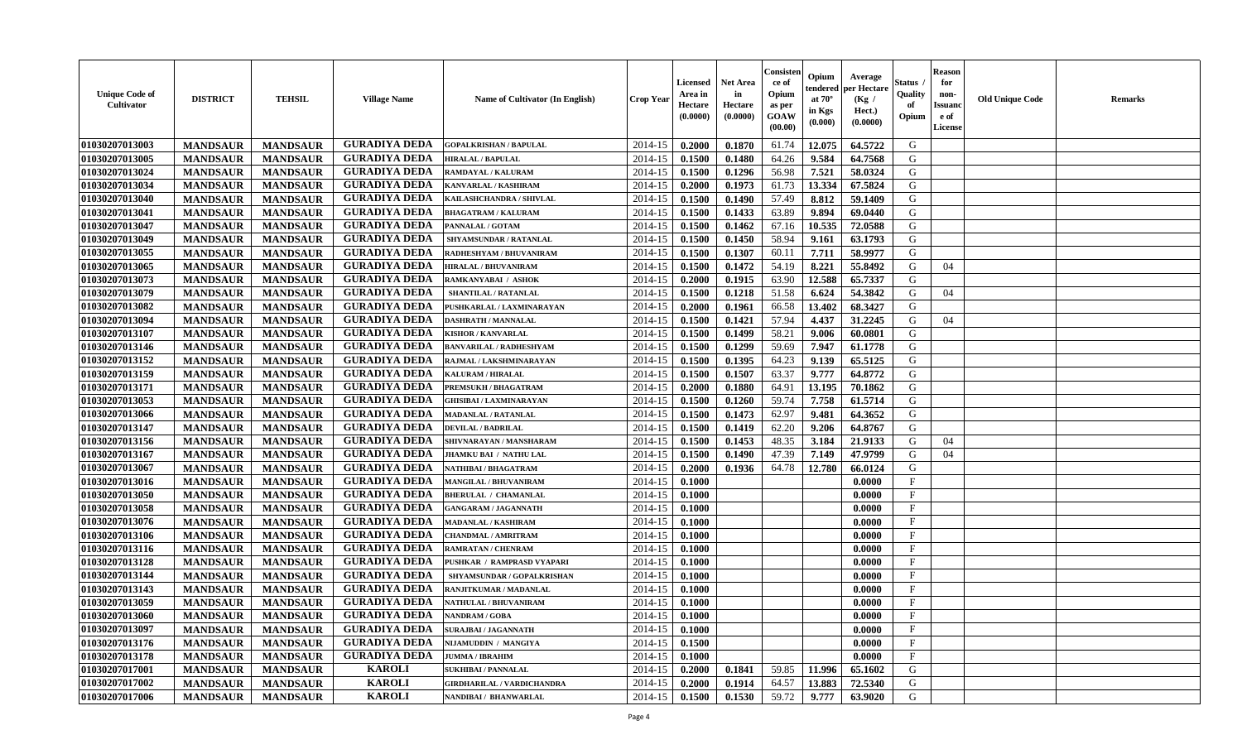| <b>Unique Code of</b><br><b>Cultivator</b> | <b>DISTRICT</b> | <b>TEHSIL</b>   | <b>Village Name</b>  | <b>Name of Cultivator (In English)</b> | <b>Crop Year</b> | <b>Licensed</b><br>Area in<br>Hectare<br>(0.0000) | <b>Net Area</b><br>in<br>Hectare<br>(0.0000) | Consisteı<br>ce of<br>Opium<br>as per<br><b>GOAW</b><br>(00.00) | Opium<br>endered<br>at $70^\circ$<br>in Kgs<br>(0.000) | Average<br>per Hectare<br>(Kg /<br>Hect.)<br>(0.0000) | Status<br>Quality<br>of<br>Opium | Reason<br>for<br>non-<br>Issuan<br>e of<br>License | <b>Old Unique Code</b> | <b>Remarks</b> |
|--------------------------------------------|-----------------|-----------------|----------------------|----------------------------------------|------------------|---------------------------------------------------|----------------------------------------------|-----------------------------------------------------------------|--------------------------------------------------------|-------------------------------------------------------|----------------------------------|----------------------------------------------------|------------------------|----------------|
| 01030207013003                             | <b>MANDSAUR</b> | <b>MANDSAUR</b> | <b>GURADIYA DEDA</b> | <b>GOPALKRISHAN / BAPULAL</b>          | 2014-15          | 0.2000                                            | 0.1870                                       | 61.74                                                           | 12.075                                                 | 64.5722                                               | G                                |                                                    |                        |                |
| 01030207013005                             | <b>MANDSAUR</b> | <b>MANDSAUR</b> | <b>GURADIYA DEDA</b> | <b>HIRALAL / BAPULAL</b>               | 2014-15          | 0.1500                                            | 0.1480                                       | 64.26                                                           | 9.584                                                  | 64.7568                                               | G                                |                                                    |                        |                |
| 01030207013024                             | <b>MANDSAUR</b> | <b>MANDSAUR</b> | <b>GURADIYA DEDA</b> | RAMDAYAL / KALURAM                     | 2014-15          | 0.1500                                            | 0.1296                                       | 56.98                                                           | 7.521                                                  | 58.0324                                               | G                                |                                                    |                        |                |
| 01030207013034                             | <b>MANDSAUR</b> | <b>MANDSAUR</b> | <b>GURADIYA DEDA</b> | KANVARLAL / KASHIRAM                   | 2014-15          | 0.2000                                            | 0.1973                                       | 61.73                                                           | 13.334                                                 | 67.5824                                               | G                                |                                                    |                        |                |
| 01030207013040                             | <b>MANDSAUR</b> | <b>MANDSAUR</b> | <b>GURADIYA DEDA</b> | KAILASHCHANDRA / SHIVLAL               | 2014-15          | 0.1500                                            | 0.1490                                       | 57.49                                                           | 8.812                                                  | 59.1409                                               | G                                |                                                    |                        |                |
| 01030207013041                             | <b>MANDSAUR</b> | <b>MANDSAUR</b> | <b>GURADIYA DEDA</b> | <b>BHAGATRAM / KALURAM</b>             | 2014-15          | 0.1500                                            | 0.1433                                       | 63.89                                                           | 9.894                                                  | 69.0440                                               | G                                |                                                    |                        |                |
| 01030207013047                             | <b>MANDSAUR</b> | <b>MANDSAUR</b> | <b>GURADIYA DEDA</b> | PANNALAL / GOTAM                       | 2014-15          | 0.1500                                            | 0.1462                                       | 67.16                                                           | 10.535                                                 | 72.0588                                               | G                                |                                                    |                        |                |
| 01030207013049                             | <b>MANDSAUR</b> | <b>MANDSAUR</b> | <b>GURADIYA DEDA</b> | SHYAMSUNDAR / RATANLAL                 | 2014-15          | 0.1500                                            | 0.1450                                       | 58.94                                                           | 9.161                                                  | 63.1793                                               | G                                |                                                    |                        |                |
| 01030207013055                             | <b>MANDSAUR</b> | <b>MANDSAUR</b> | <b>GURADIYA DEDA</b> | RADHESHYAM / BHUVANIRAM                | 2014-15          | 0.1500                                            | 0.1307                                       | 60.11                                                           | 7.711                                                  | 58.9977                                               | G                                |                                                    |                        |                |
| 01030207013065                             | <b>MANDSAUR</b> | <b>MANDSAUR</b> | <b>GURADIYA DEDA</b> | HIRALAL / BHUVANIRAM                   | 2014-15          | 0.1500                                            | 0.1472                                       | 54.19                                                           | 8.221                                                  | 55.8492                                               | G                                | 04                                                 |                        |                |
| 01030207013073                             | <b>MANDSAUR</b> | <b>MANDSAUR</b> | <b>GURADIYA DEDA</b> | RAMKANYABAI / ASHOK                    | 2014-15          | 0.2000                                            | 0.1915                                       | 63.90                                                           | 12.588                                                 | 65.7337                                               | G                                |                                                    |                        |                |
| 01030207013079                             | <b>MANDSAUR</b> | <b>MANDSAUR</b> | <b>GURADIYA DEDA</b> | <b>SHANTILAL / RATANLAL</b>            | 2014-15          | 0.1500                                            | 0.1218                                       | 51.58                                                           | 6.624                                                  | 54.3842                                               | G                                | 04                                                 |                        |                |
| 01030207013082                             | <b>MANDSAUR</b> | <b>MANDSAUR</b> | <b>GURADIYA DEDA</b> | PUSHKARLAL / LAXMINARAYAN              | 2014-15          | 0.2000                                            | 0.1961                                       | 66.58                                                           | 13.402                                                 | 68.3427                                               | G                                |                                                    |                        |                |
| 01030207013094                             | <b>MANDSAUR</b> | <b>MANDSAUR</b> | <b>GURADIYA DEDA</b> | <b>DASHRATH / MANNALAL</b>             | 2014-15          | 0.1500                                            | 0.1421                                       | 57.94                                                           | 4.437                                                  | 31.2245                                               | G                                | 04                                                 |                        |                |
| 01030207013107                             | <b>MANDSAUR</b> | <b>MANDSAUR</b> | <b>GURADIYA DEDA</b> | <b>KISHOR / KANVARLAL</b>              | 2014-15          | 0.1500                                            | 0.1499                                       | 58.21                                                           | 9.006                                                  | 60.0801                                               | G                                |                                                    |                        |                |
| 01030207013146                             | <b>MANDSAUR</b> | <b>MANDSAUR</b> | <b>GURADIYA DEDA</b> | BANVARILAL / RADHESHYAM                | 2014-15          | 0.1500                                            | 0.1299                                       | 59.69                                                           | 7.947                                                  | 61.1778                                               | G                                |                                                    |                        |                |
| 01030207013152                             | <b>MANDSAUR</b> | <b>MANDSAUR</b> | <b>GURADIYA DEDA</b> | RAJMAL / LAKSHMINARAYAN                | 2014-15          | 0.1500                                            | 0.1395                                       | 64.23                                                           | 9.139                                                  | 65.5125                                               | G                                |                                                    |                        |                |
| 01030207013159                             | <b>MANDSAUR</b> | <b>MANDSAUR</b> | <b>GURADIYA DEDA</b> | <b>KALURAM / HIRALAL</b>               | 2014-15          | 0.1500                                            | 0.1507                                       | 63.37                                                           | 9.777                                                  | 64.8772                                               | G                                |                                                    |                        |                |
| 01030207013171                             | <b>MANDSAUR</b> | <b>MANDSAUR</b> | <b>GURADIYA DEDA</b> | PREMSUKH / BHAGATRAM                   | 2014-15          | 0.2000                                            | 0.1880                                       | 64.91                                                           | 13.195                                                 | 70.1862                                               | G                                |                                                    |                        |                |
| 01030207013053                             | <b>MANDSAUR</b> | <b>MANDSAUR</b> | <b>GURADIYA DEDA</b> | <b>GHISIBAI/LAXMINARAYAN</b>           | 2014-15          | 0.1500                                            | 0.1260                                       | 59.74                                                           | 7.758                                                  | 61.5714                                               | G                                |                                                    |                        |                |
| 01030207013066                             | <b>MANDSAUR</b> | <b>MANDSAUR</b> | <b>GURADIYA DEDA</b> | MADANLAL / RATANLAL                    | 2014-15          | 0.1500                                            | 0.1473                                       | 62.97                                                           | 9.481                                                  | 64.3652                                               | G                                |                                                    |                        |                |
| 01030207013147                             | <b>MANDSAUR</b> | <b>MANDSAUR</b> | <b>GURADIYA DEDA</b> | <b>DEVILAL / BADRILAL</b>              | 2014-15          | 0.1500                                            | 0.1419                                       | 62.20                                                           | 9.206                                                  | 64.8767                                               | G                                |                                                    |                        |                |
| 01030207013156                             | <b>MANDSAUR</b> | <b>MANDSAUR</b> | <b>GURADIYA DEDA</b> | SHIVNARAYAN / MANSHARAM                | 2014-15          | 0.1500                                            | 0.1453                                       | 48.35                                                           | 3.184                                                  | 21.9133                                               | G                                | 04                                                 |                        |                |
| 01030207013167                             | <b>MANDSAUR</b> | <b>MANDSAUR</b> | <b>GURADIYA DEDA</b> | JHAMKU BAI / NATHU LAL                 | 2014-15          | 0.1500                                            | 0.1490                                       | 47.39                                                           | 7.149                                                  | 47.9799                                               | G                                | 04                                                 |                        |                |
| 01030207013067                             | <b>MANDSAUR</b> | <b>MANDSAUR</b> | <b>GURADIYA DEDA</b> | NATHIBAI / BHAGATRAM                   | 2014-15          | 0.2000                                            | 0.1936                                       | 64.78                                                           | 12.780                                                 | 66.0124                                               | G                                |                                                    |                        |                |
| 01030207013016                             | <b>MANDSAUR</b> | <b>MANDSAUR</b> | <b>GURADIYA DEDA</b> | MANGILAL / BHUVANIRAM                  | 2014-15          | 0.1000                                            |                                              |                                                                 |                                                        | 0.0000                                                | $\mathbf{F}$                     |                                                    |                        |                |
| 01030207013050                             | <b>MANDSAUR</b> | <b>MANDSAUR</b> | <b>GURADIYA DEDA</b> | <b>BHERULAL / CHAMANLAL</b>            | 2014-15          | 0.1000                                            |                                              |                                                                 |                                                        | 0.0000                                                | $_{\rm F}$                       |                                                    |                        |                |
| 01030207013058                             | <b>MANDSAUR</b> | <b>MANDSAUR</b> | <b>GURADIYA DEDA</b> | <b>GANGARAM / JAGANNATH</b>            | 2014-15          | 0.1000                                            |                                              |                                                                 |                                                        | 0.0000                                                | $\mathbf{F}$                     |                                                    |                        |                |
| 01030207013076                             | <b>MANDSAUR</b> | <b>MANDSAUR</b> | <b>GURADIYA DEDA</b> | <b>MADANLAL / KASHIRAM</b>             | 2014-15          | 0.1000                                            |                                              |                                                                 |                                                        | 0.0000                                                | $\mathbf{F}$                     |                                                    |                        |                |
| 01030207013106                             | <b>MANDSAUR</b> | <b>MANDSAUR</b> | <b>GURADIYA DEDA</b> | <b>CHANDMAL / AMRITRAM</b>             | 2014-15          | 0.1000                                            |                                              |                                                                 |                                                        | 0.0000                                                | $_{\rm F}$                       |                                                    |                        |                |
| 01030207013116                             | <b>MANDSAUR</b> | <b>MANDSAUR</b> | <b>GURADIYA DEDA</b> | RAMRATAN / CHENRAM                     | 2014-15          | 0.1000                                            |                                              |                                                                 |                                                        | 0.0000                                                | $_{\rm F}$                       |                                                    |                        |                |
| 01030207013128                             | <b>MANDSAUR</b> | <b>MANDSAUR</b> | <b>GURADIYA DEDA</b> | PUSHKAR / RAMPRASD VYAPARI             | 2014-15          | 0.1000                                            |                                              |                                                                 |                                                        | 0.0000                                                | $\mathbf{F}$                     |                                                    |                        |                |
| 01030207013144                             | <b>MANDSAUR</b> | <b>MANDSAUR</b> | <b>GURADIYA DEDA</b> | SHYAMSUNDAR / GOPALKRISHAN             | 2014-15          | 0.1000                                            |                                              |                                                                 |                                                        | 0.0000                                                | $\mathbf{F}$                     |                                                    |                        |                |
| 01030207013143                             | <b>MANDSAUR</b> | <b>MANDSAUR</b> | <b>GURADIYA DEDA</b> | RANJITKUMAR / MADANLAL                 | 2014-15          | 0.1000                                            |                                              |                                                                 |                                                        | 0.0000                                                | $_{\rm F}$                       |                                                    |                        |                |
| 01030207013059                             | <b>MANDSAUR</b> | <b>MANDSAUR</b> | <b>GURADIYA DEDA</b> | NATHULAL / BHUVANIRAM                  | 2014-15          | 0.1000                                            |                                              |                                                                 |                                                        | 0.0000                                                | $\mathbf{F}$                     |                                                    |                        |                |
| 01030207013060                             | <b>MANDSAUR</b> | MANDSAUR        | <b>GURADIYA DEDA</b> | <b>NANDRAM / GOBA</b>                  | $2014-15$ 0.1000 |                                                   |                                              |                                                                 |                                                        | 0.0000                                                | F                                |                                                    |                        |                |
| 01030207013097                             | <b>MANDSAUR</b> | <b>MANDSAUR</b> | <b>GURADIYA DEDA</b> | <b>SURAJBAI / JAGANNATH</b>            | 2014-15          | 0.1000                                            |                                              |                                                                 |                                                        | 0.0000                                                | $_{\rm F}$                       |                                                    |                        |                |
| 01030207013176                             | <b>MANDSAUR</b> | <b>MANDSAUR</b> | <b>GURADIYA DEDA</b> | NIJAMUDDIN / MANGIYA                   | 2014-15          | 0.1500                                            |                                              |                                                                 |                                                        | 0.0000                                                | $\mathbf{F}$                     |                                                    |                        |                |
| 01030207013178                             | <b>MANDSAUR</b> | <b>MANDSAUR</b> | <b>GURADIYA DEDA</b> | <b>JUMMA / IBRAHIM</b>                 | 2014-15          | 0.1000                                            |                                              |                                                                 |                                                        | 0.0000                                                | $\mathbf{F}$                     |                                                    |                        |                |
| 01030207017001                             | <b>MANDSAUR</b> | <b>MANDSAUR</b> | <b>KAROLI</b>        | <b>SUKHIBAI / PANNALAL</b>             | 2014-15          | 0.2000                                            | 0.1841                                       | 59.85                                                           | 11.996                                                 | 65.1602                                               | G                                |                                                    |                        |                |
| 01030207017002                             | <b>MANDSAUR</b> | <b>MANDSAUR</b> | <b>KAROLI</b>        | <b>GIRDHARILAL / VARDICHANDRA</b>      | 2014-15          | 0.2000                                            | 0.1914                                       | 64.57                                                           | 13.883                                                 | 72.5340                                               | G                                |                                                    |                        |                |
| 01030207017006                             | <b>MANDSAUR</b> | <b>MANDSAUR</b> | <b>KAROLI</b>        | <b>NANDIBAI / BHANWARLAL</b>           | 2014-15          | 0.1500                                            | 0.1530                                       | 59.72                                                           | 9.777                                                  | 63.9020                                               | G                                |                                                    |                        |                |
|                                            |                 |                 |                      |                                        |                  |                                                   |                                              |                                                                 |                                                        |                                                       |                                  |                                                    |                        |                |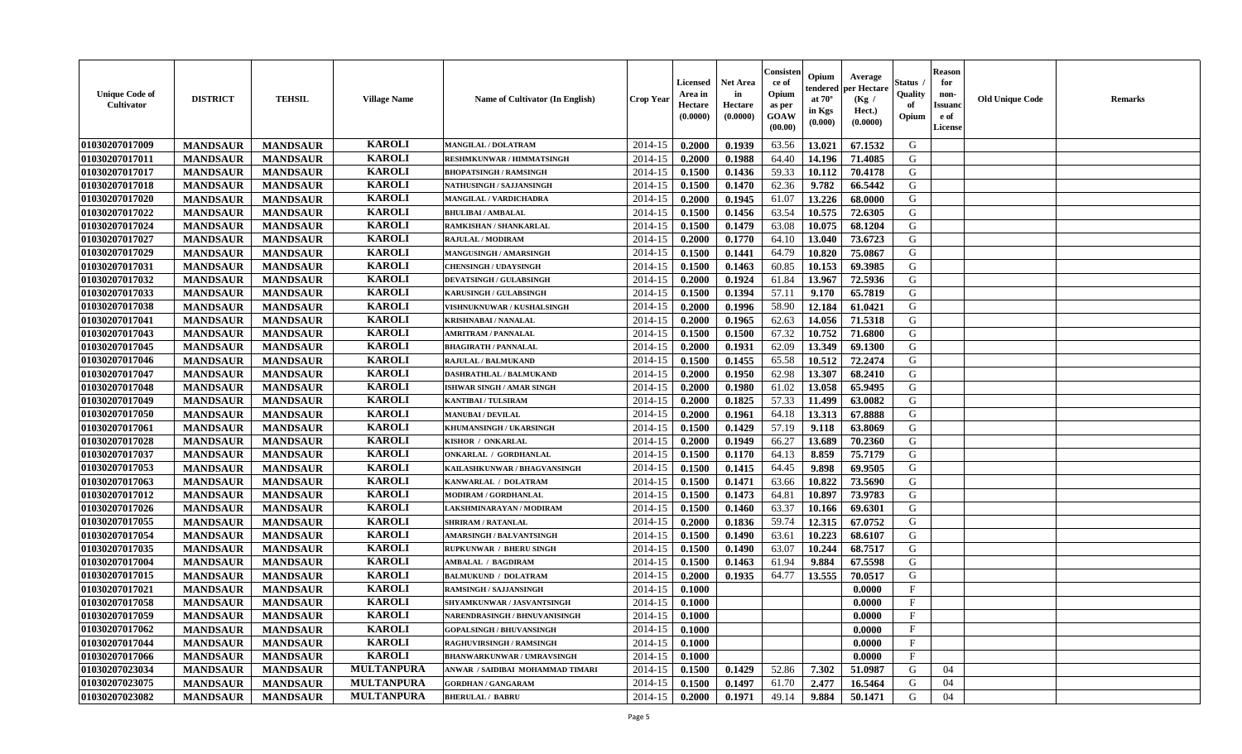| <b>KAROLI</b><br>01030207017009<br>2014-15<br>0.1939<br>63.56<br>13.021<br>G<br><b>MANDSAUR</b><br><b>MANDSAUR</b><br>0.2000<br>67.1532<br><b>MANGILAL / DOLATRAM</b><br><b>KAROLI</b><br>01030207017011<br>G<br><b>MANDSAUR</b><br>2014-15<br>0.1988<br>64.40<br>14.196<br>71.4085<br><b>MANDSAUR</b><br>RESHMKUNWAR / HIMMATSINGH<br>0.2000<br><b>KAROLI</b><br>01030207017017<br>2014-15<br>0.1500<br>59.33<br>10.112<br><b>MANDSAUR</b><br><b>MANDSAUR</b><br><b>BHOPATSINGH / RAMSINGH</b><br>0.1436<br>70.4178<br>G |  |
|---------------------------------------------------------------------------------------------------------------------------------------------------------------------------------------------------------------------------------------------------------------------------------------------------------------------------------------------------------------------------------------------------------------------------------------------------------------------------------------------------------------------------|--|
|                                                                                                                                                                                                                                                                                                                                                                                                                                                                                                                           |  |
|                                                                                                                                                                                                                                                                                                                                                                                                                                                                                                                           |  |
|                                                                                                                                                                                                                                                                                                                                                                                                                                                                                                                           |  |
| <b>KAROLI</b><br>01030207017018<br><b>MANDSAUR</b><br><b>MANDSAUR</b><br>2014-15<br>0.1500<br>0.1470<br>62.36<br>9.782<br>66.5442<br>G<br><b>NATHUSINGH / SAJJANSINGH</b>                                                                                                                                                                                                                                                                                                                                                 |  |
| 01030207017020<br><b>KAROLI</b><br>13.226<br><b>MANDSAUR</b><br><b>MANDSAUR</b><br>2014-15<br>0.2000<br>0.1945<br>61.07<br>68.0000<br>G<br><b>MANGILAL / VARDICHADRA</b>                                                                                                                                                                                                                                                                                                                                                  |  |
| <b>KAROLI</b><br>01030207017022<br><b>MANDSAUR</b><br><b>MANDSAUR</b><br>0.1500<br>0.1456<br>63.54<br>10.575<br>72.6305<br>G<br>2014-15<br><b>BHULIBAI / AMBALAL</b>                                                                                                                                                                                                                                                                                                                                                      |  |
| <b>KAROLI</b><br>01030207017024<br><b>MANDSAUR</b><br>0.1479<br>10.075<br>68.1204<br>G<br><b>MANDSAUR</b><br>2014-15<br>0.1500<br>63.08<br>RAMKISHAN / SHANKARLAL                                                                                                                                                                                                                                                                                                                                                         |  |
| <b>KAROLI</b><br>01030207017027<br><b>MANDSAUR</b><br><b>MANDSAUR</b><br>2014-15<br>0.1770<br>64.10<br>13.040<br>73.6723<br>G<br>0.2000<br>RAJULAL / MODIRAM                                                                                                                                                                                                                                                                                                                                                              |  |
| <b>KAROLI</b><br>01030207017029<br>2014-15<br><b>MANDSAUR</b><br><b>MANDSAUR</b><br>0.1500<br>0.1441<br>64.79<br>10.820<br>75.0867<br>G<br><b>MANGUSINGH / AMARSINGH</b>                                                                                                                                                                                                                                                                                                                                                  |  |
| <b>KAROLI</b><br>01030207017031<br>60.85<br>G<br><b>MANDSAUR</b><br>2014-15<br>0.1500<br>0.1463<br>10.153<br>69.3985<br><b>MANDSAUR</b><br><b>CHENSINGH / UDAYSINGH</b>                                                                                                                                                                                                                                                                                                                                                   |  |
| <b>KAROLI</b><br>72.5936<br>G<br>01030207017032<br><b>MANDSAUR</b><br><b>MANDSAUR</b><br>2014-15<br>0.2000<br>0.1924<br>61.84<br>13.967<br><b>DEVATSINGH / GULABSINGH</b>                                                                                                                                                                                                                                                                                                                                                 |  |
| <b>KAROLI</b><br>01030207017033<br><b>MANDSAUR</b><br><b>MANDSAUR</b><br>2014-15<br>0.1500<br>0.1394<br>57.11<br>9.170<br>65.7819<br>KARUSINGH / GULABSINGH<br>G                                                                                                                                                                                                                                                                                                                                                          |  |
| <b>KAROLI</b><br>01030207017038<br><b>MANDSAUR</b><br><b>MANDSAUR</b><br>0.1996<br>58.90<br>12.184<br>61.0421<br>VISHNUKNUWAR / KUSHALSINGH<br>2014-15<br>0.2000<br>G                                                                                                                                                                                                                                                                                                                                                     |  |
| <b>KAROLI</b><br>01030207017041<br><b>MANDSAUR</b><br><b>MANDSAUR</b><br>14.056<br>71.5318<br>G<br>2014-15<br>0.2000<br>0.1965<br>62.63<br><b>KRISHNABAI / NANALAL</b>                                                                                                                                                                                                                                                                                                                                                    |  |
| <b>KAROLI</b><br>$\mathbf G$<br>01030207017043<br><b>MANDSAUR</b><br><b>MANDSAUR</b><br>0.1500<br>0.1500<br>67.32<br>10.752<br>71.6800<br>2014-15<br><b>AMRITRAM / PANNALAL</b>                                                                                                                                                                                                                                                                                                                                           |  |
| 01030207017045<br><b>KAROLI</b><br>62.09<br>13.349<br>69.1300<br>G<br><b>MANDSAUR</b><br><b>MANDSAUR</b><br>2014-15<br>0.2000<br>0.1931<br><b>BHAGIRATH / PANNALAL</b>                                                                                                                                                                                                                                                                                                                                                    |  |
| <b>KAROLI</b><br>01030207017046<br>65.58<br>G<br><b>MANDSAUR</b><br><b>MANDSAUR</b><br>2014-15<br>0.1500<br>0.1455<br>10.512<br>72.2474<br>RAJULAL / BALMUKAND                                                                                                                                                                                                                                                                                                                                                            |  |
| 01030207017047<br><b>KAROLI</b><br>2014-15<br>0.1950<br>62.98<br>13.307<br>68.2410<br>G<br><b>MANDSAUR</b><br><b>MANDSAUR</b><br>0.2000<br>DASHRATHLAL / BALMUKAND                                                                                                                                                                                                                                                                                                                                                        |  |
| <b>KAROLI</b><br>61.02<br>13.058<br>65.9495<br>01030207017048<br><b>MANDSAUR</b><br><b>MANDSAUR</b><br>2014-15<br>0.2000<br>0.1980<br>G<br>ISHWAR SINGH / AMAR SINGH                                                                                                                                                                                                                                                                                                                                                      |  |
| <b>KAROLI</b><br>0.1825<br>57.33<br>63.0082<br>01030207017049<br><b>MANDSAUR</b><br><b>MANDSAUR</b><br><b>KANTIBAI / TULSIRAM</b><br>2014-15<br>0.2000<br>11.499<br>G                                                                                                                                                                                                                                                                                                                                                     |  |
| <b>KAROLI</b><br>01030207017050<br><b>MANDSAUR</b><br><b>MANDSAUR</b><br>2014-15<br>0.1961<br>13.313<br>67.8888<br><b>MANUBAI/DEVILAL</b><br>0.2000<br>64.18<br>G                                                                                                                                                                                                                                                                                                                                                         |  |
| <b>KAROLI</b><br>01030207017061<br><b>MANDSAUR</b><br><b>MANDSAUR</b><br>2014-15<br>0.1500<br>0.1429<br>57.19<br>9.118<br>63.8069<br>G<br>KHUMANSINGH / UKARSINGH                                                                                                                                                                                                                                                                                                                                                         |  |
| <b>KAROLI</b><br>01030207017028<br>70.2360<br>G<br><b>MANDSAUR</b><br><b>MANDSAUR</b><br>2014-15<br>0.1949<br>66.27<br>13.689<br>KISHOR / ONKARLAL<br>0.2000                                                                                                                                                                                                                                                                                                                                                              |  |
| <b>KAROLI</b><br>64.13<br>G<br>01030207017037<br>2014-15<br>8.859<br>75.7179<br><b>MANDSAUR</b><br><b>MANDSAUR</b><br>0.1500<br>0.1170<br>ONKARLAL / GORDHANLAL                                                                                                                                                                                                                                                                                                                                                           |  |
| <b>KAROLI</b><br>01030207017053<br><b>MANDSAUR</b><br>2014-15<br>0.1415<br>64.45<br>9.898<br>69.9505<br>G<br><b>MANDSAUR</b><br>KAILASHKUNWAR / BHAGVANSINGH<br>0.1500                                                                                                                                                                                                                                                                                                                                                    |  |
| <b>KAROLI</b><br>01030207017063<br><b>MANDSAUR</b><br>2014-15<br>0.1500<br>0.1471<br>63.66<br>10.822<br>73.5690<br>G<br><b>MANDSAUR</b><br>KANWARLAL / DOLATRAM                                                                                                                                                                                                                                                                                                                                                           |  |
| <b>KAROLI</b><br>01030207017012<br><b>MANDSAUR</b><br>2014-15<br>0.1473<br>64.81<br>10.897<br>73.9783<br>G<br><b>MANDSAUR</b><br>MODIRAM / GORDHANLAL<br>0.1500                                                                                                                                                                                                                                                                                                                                                           |  |
| <b>KAROLI</b><br>01030207017026<br>10.166<br><b>MANDSAUR</b><br><b>MANDSAUR</b><br>LAKSHMINARAYAN / MODIRAM<br>2014-15<br>0.1500<br>0.1460<br>63.37<br>69.6301<br>G                                                                                                                                                                                                                                                                                                                                                       |  |
| <b>KAROLI</b><br>01030207017055<br><b>MANDSAUR</b><br><b>MANDSAUR</b><br><b>SHRIRAM / RATANLAL</b><br>2014-15<br>0.2000<br>0.1836<br>59.74<br>12.315<br>67.0752<br>G                                                                                                                                                                                                                                                                                                                                                      |  |
| <b>KAROLI</b><br>01030207017054<br><b>MANDSAUR</b><br><b>MANDSAUR</b><br>2014-15<br>0.1500<br>0.1490<br>63.61<br>10.223<br>68.6107<br>G<br><b>AMARSINGH / BALVANTSINGH</b>                                                                                                                                                                                                                                                                                                                                                |  |
| <b>KAROLI</b><br>01030207017035<br><b>MANDSAUR</b><br><b>MANDSAUR</b><br>63.07<br>10.244<br>68.7517<br>G<br>2014-15<br>0.1500<br>0.1490<br><b>RUPKUNWAR / BHERU SINGH</b>                                                                                                                                                                                                                                                                                                                                                 |  |
| <b>KAROLI</b><br>01030207017004<br>G<br><b>MANDSAUR</b><br>2014-15<br>61.94<br>9.884<br>67.5598<br><b>MANDSAUR</b><br>0.1500<br>0.1463<br><b>AMBALAL / BAGDIRAM</b>                                                                                                                                                                                                                                                                                                                                                       |  |
| <b>KAROLI</b><br>01030207017015<br><b>MANDSAUR</b><br>2014-15<br>0.1935<br>64.77<br>13.555<br>G<br><b>MANDSAUR</b><br><b>BALMUKUND / DOLATRAM</b><br>0.2000<br>70.0517                                                                                                                                                                                                                                                                                                                                                    |  |
| <b>KAROLI</b><br>01030207017021<br>$\mathbf{F}$<br><b>MANDSAUR</b><br><b>MANDSAUR</b><br>2014-15<br>0.1000<br>0.0000<br><b>RAMSINGH / SAJJANSINGH</b>                                                                                                                                                                                                                                                                                                                                                                     |  |
| <b>KAROLI</b><br>01030207017058<br><b>MANDSAUR</b><br>$_{\rm F}$<br><b>MANDSAUR</b><br>2014-15<br>0.1000<br>0.0000<br>SHYAMKUNWAR / JASVANTSINGH                                                                                                                                                                                                                                                                                                                                                                          |  |
| <b>KAROLI</b><br>F<br>01030207017059<br><b>MANDSAUR</b><br><b>MANDSAUR</b><br>NARENDRASINGH / BHNUVANISINGH<br>2014-15<br>0.1000<br>0.0000                                                                                                                                                                                                                                                                                                                                                                                |  |
| <b>KAROLI</b><br>01030207017062<br><b>MANDSAUR</b><br><b>MANDSAUR</b><br>2014-15<br>0.1000<br>0.0000<br>$_{\rm F}$<br><b>GOPALSINGH / BHUVANSINGH</b>                                                                                                                                                                                                                                                                                                                                                                     |  |
| <b>KAROLI</b><br><b>MANDSAUR</b><br><b>MANDSAUR</b><br>01030207017044<br>2014-15<br>0.1000<br>0.0000<br>$\mathbf{F}$<br><b>RAGHUVIRSINGH / RAMSINGH</b>                                                                                                                                                                                                                                                                                                                                                                   |  |
| <b>KAROLI</b><br>01030207017066<br><b>MANDSAUR</b><br><b>MANDSAUR</b><br>0.0000<br>$\mathbf{F}$<br>2014-15<br><b>BHANWARKUNWAR / UMRAVSINGH</b><br>0.1000                                                                                                                                                                                                                                                                                                                                                                 |  |
| <b>MULTANPURA</b><br>01030207023034<br><b>MANDSAUR</b><br><b>MANDSAUR</b><br>0.1500<br>0.1429<br>52.86<br>7.302<br>51.0987<br>G<br>2014-15<br>04<br>ANWAR / SAIDIBAI MOHAMMAD TIMARI                                                                                                                                                                                                                                                                                                                                      |  |
| 01030207023075<br><b>MULTANPURA</b><br>G<br><b>MANDSAUR</b><br>2014-15<br>0.1500<br>0.1497<br>61.70<br>2.477<br>16.5464<br>04<br><b>MANDSAUR</b><br><b>GORDHAN / GANGARAM</b>                                                                                                                                                                                                                                                                                                                                             |  |
| 01030207023082<br><b>MULTANPURA</b><br>2014-15<br>49.14<br>9.884<br>G<br>04<br><b>MANDSAUR</b><br><b>MANDSAUR</b><br>0.2000<br>0.1971<br>50.1471<br><b>BHERULAL / BABRU</b>                                                                                                                                                                                                                                                                                                                                               |  |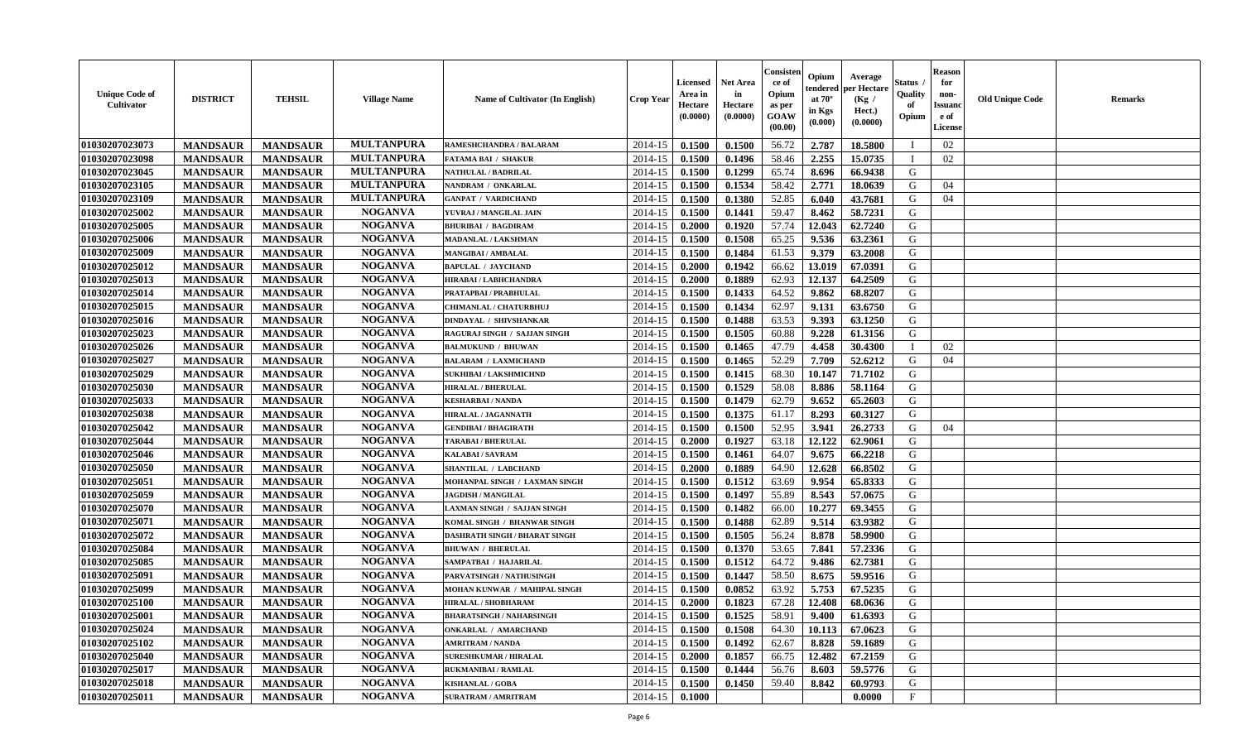| <b>Unique Code of</b><br>Cultivator | <b>DISTRICT</b> | <b>TEHSIL</b>   | <b>Village Name</b> | <b>Name of Cultivator (In English)</b> | <b>Crop Year</b> | <b>Licensed</b><br>Area in<br>Hectare<br>(0.0000) | <b>Net Area</b><br>in<br>Hectare<br>(0.0000) | Consisten<br>ce of<br>Opium<br>as per<br>GOAW<br>(00.00) | Opium<br>at $70^{\circ}$<br>in Kgs<br>$(\mathbf{0.000})$ | Average<br>tendered   per Hectare<br>(Kg /<br>Hect.)<br>(0.0000) | Status .<br>Quality<br>of<br>Opium | <b>Reason</b><br>for<br>non-<br><b>Issuanc</b><br>e of<br>License | <b>Old Unique Code</b> | <b>Remarks</b> |
|-------------------------------------|-----------------|-----------------|---------------------|----------------------------------------|------------------|---------------------------------------------------|----------------------------------------------|----------------------------------------------------------|----------------------------------------------------------|------------------------------------------------------------------|------------------------------------|-------------------------------------------------------------------|------------------------|----------------|
| 01030207023073                      | <b>MANDSAUR</b> | <b>MANDSAUR</b> | <b>MULTANPURA</b>   | RAMESHCHANDRA / BALARAM                | 2014-15          | 0.1500                                            | 0.1500                                       | 56.72                                                    | 2.787                                                    | 18.5800                                                          |                                    | 02                                                                |                        |                |
| 01030207023098                      | <b>MANDSAUR</b> | <b>MANDSAUR</b> | <b>MULTANPURA</b>   | FATAMA BAI / SHAKUR                    | 2014-15          | 0.1500                                            | 0.1496                                       | 58.46                                                    | 2.255                                                    | 15.0735                                                          |                                    | 02                                                                |                        |                |
| 01030207023045                      | <b>MANDSAUR</b> | <b>MANDSAUR</b> | <b>MULTANPURA</b>   | <b>NATHULAL / BADRILAL</b>             | 2014-15          | 0.1500                                            | 0.1299                                       | 65.74                                                    | 8.696                                                    | 66.9438                                                          | G                                  |                                                                   |                        |                |
| 01030207023105                      | <b>MANDSAUR</b> | <b>MANDSAUR</b> | <b>MULTANPURA</b>   | NANDRAM / ONKARLAL                     | 2014-15          | 0.1500                                            | 0.1534                                       | 58.42                                                    | 2.771                                                    | 18.0639                                                          | G                                  | 04                                                                |                        |                |
| 01030207023109                      | <b>MANDSAUR</b> | <b>MANDSAUR</b> | <b>MULTANPURA</b>   | <b>GANPAT / VARDICHAND</b>             | 2014-15          | 0.1500                                            | 0.1380                                       | 52.85                                                    | 6.040                                                    | 43.7681                                                          | G                                  | 04                                                                |                        |                |
| 01030207025002                      | <b>MANDSAUR</b> | <b>MANDSAUR</b> | <b>NOGANVA</b>      | YUVRAJ / MANGILAL JAIN                 | 2014-15          | 0.1500                                            | 0.1441                                       | 59.47                                                    | 8.462                                                    | 58.7231                                                          | G                                  |                                                                   |                        |                |
| 01030207025005                      | <b>MANDSAUR</b> | <b>MANDSAUR</b> | <b>NOGANVA</b>      | <b>BHURIBAI / BAGDIRAM</b>             | 2014-15          | 0.2000                                            | 0.1920                                       | 57.74                                                    | 12.043                                                   | 62.7240                                                          | G                                  |                                                                   |                        |                |
| 01030207025006                      | <b>MANDSAUR</b> | <b>MANDSAUR</b> | <b>NOGANVA</b>      | MADANLAL / LAKSHMAN                    | 2014-15          | 0.1500                                            | 0.1508                                       | 65.25                                                    | 9.536                                                    | 63.2361                                                          | G                                  |                                                                   |                        |                |
| 01030207025009                      | <b>MANDSAUR</b> | <b>MANDSAUR</b> | <b>NOGANVA</b>      | <b>MANGIBAI/AMBALAL</b>                | 2014-15          | 0.1500                                            | 0.1484                                       | 61.53                                                    | 9.379                                                    | 63.2008                                                          | G                                  |                                                                   |                        |                |
| 01030207025012                      | <b>MANDSAUR</b> | <b>MANDSAUR</b> | <b>NOGANVA</b>      | <b>BAPULAL / JAYCHAND</b>              | 2014-15          | 0.2000                                            | 0.1942                                       | 66.62                                                    | 13.019                                                   | 67.0391                                                          | G                                  |                                                                   |                        |                |
| 01030207025013                      | <b>MANDSAUR</b> | <b>MANDSAUR</b> | <b>NOGANVA</b>      | HIRABAI / LABHCHANDRA                  | 2014-15          | 0.2000                                            | 0.1889                                       | 62.93                                                    | 12.137                                                   | 64.2509                                                          | G                                  |                                                                   |                        |                |
| 01030207025014                      | <b>MANDSAUR</b> | <b>MANDSAUR</b> | <b>NOGANVA</b>      | PRATAPBAI / PRABHULAL                  | 2014-15          | 0.1500                                            | 0.1433                                       | 64.52                                                    | 9.862                                                    | 68.8207                                                          | G                                  |                                                                   |                        |                |
| 01030207025015                      | <b>MANDSAUR</b> | <b>MANDSAUR</b> | <b>NOGANVA</b>      | <b>CHIMANLAL / CHATURBHUJ</b>          | 2014-15          | 0.1500                                            | 0.1434                                       | 62.97                                                    | 9.131                                                    | 63.6750                                                          | G                                  |                                                                   |                        |                |
| 01030207025016                      | <b>MANDSAUR</b> | <b>MANDSAUR</b> | <b>NOGANVA</b>      | DINDAYAL / SHIVSHANKAR                 | 2014-15          | 0.1500                                            | 0.1488                                       | 63.53                                                    | 9.393                                                    | 63.1250                                                          | G                                  |                                                                   |                        |                |
| 01030207025023                      | <b>MANDSAUR</b> | <b>MANDSAUR</b> | <b>NOGANVA</b>      | RAGURAJ SINGH / SAJJAN SINGH           | 2014-15          | 0.1500                                            | 0.1505                                       | 60.88                                                    | 9.228                                                    | 61.3156                                                          | G                                  |                                                                   |                        |                |
| 01030207025026                      | <b>MANDSAUR</b> | <b>MANDSAUR</b> | <b>NOGANVA</b>      | <b>BALMUKUND / BHUWAN</b>              | 2014-15          | 0.1500                                            | 0.1465                                       | 47.79                                                    | 4.458                                                    | 30.4300                                                          |                                    | 02                                                                |                        |                |
| 01030207025027                      | <b>MANDSAUR</b> | <b>MANDSAUR</b> | <b>NOGANVA</b>      | <b>BALARAM / LAXMICHAND</b>            | 2014-15          | 0.1500                                            | 0.1465                                       | 52.29                                                    | 7.709                                                    | 52.6212                                                          | G                                  | 04                                                                |                        |                |
| 01030207025029                      | <b>MANDSAUR</b> | <b>MANDSAUR</b> | <b>NOGANVA</b>      | <b>SUKHIBAI / LAKSHMICHND</b>          | 2014-15          | 0.1500                                            | 0.1415                                       | 68.30                                                    | 10.147                                                   | 71.7102                                                          | G                                  |                                                                   |                        |                |
| 01030207025030                      | <b>MANDSAUR</b> | <b>MANDSAUR</b> | <b>NOGANVA</b>      | <b>HIRALAL / BHERULAL</b>              | 2014-15          | 0.1500                                            | 0.1529                                       | 58.08                                                    | 8.886                                                    | 58.1164                                                          | G                                  |                                                                   |                        |                |
| 01030207025033                      | <b>MANDSAUR</b> | <b>MANDSAUR</b> | <b>NOGANVA</b>      | <b>KESHARBAI/NANDA</b>                 | 2014-15          | 0.1500                                            | 0.1479                                       | 62.79                                                    | 9.652                                                    | 65.2603                                                          | G                                  |                                                                   |                        |                |
| 01030207025038                      | <b>MANDSAUR</b> | <b>MANDSAUR</b> | <b>NOGANVA</b>      | HIRALAL / JAGANNATH                    | 2014-15          | 0.1500                                            | 0.1375                                       | 61.17                                                    | 8.293                                                    | 60.3127                                                          | G                                  |                                                                   |                        |                |
| 01030207025042                      | <b>MANDSAUR</b> | <b>MANDSAUR</b> | <b>NOGANVA</b>      | <b>GENDIBAI / BHAGIRATH</b>            | 2014-15          | 0.1500                                            | 0.1500                                       | 52.95                                                    | 3.941                                                    | 26,2733                                                          | G                                  | 04                                                                |                        |                |
| 01030207025044                      | <b>MANDSAUR</b> | <b>MANDSAUR</b> | <b>NOGANVA</b>      | <b>TARABAI / BHERULAL</b>              | 2014-15          | 0.2000                                            | 0.1927                                       | 63.18                                                    | 12.122                                                   | 62.9061                                                          | G                                  |                                                                   |                        |                |
| 01030207025046                      | <b>MANDSAUR</b> | <b>MANDSAUR</b> | <b>NOGANVA</b>      | KALABAI/SAVRAM                         | 2014-15          | 0.1500                                            | 0.1461                                       | 64.07                                                    | 9.675                                                    | 66.2218                                                          | G                                  |                                                                   |                        |                |
| 01030207025050                      | <b>MANDSAUR</b> | <b>MANDSAUR</b> | <b>NOGANVA</b>      | SHANTILAL / LABCHAND                   | 2014-15          | 0.2000                                            | 0.1889                                       | 64.90                                                    | 12.628                                                   | 66.8502                                                          | G                                  |                                                                   |                        |                |
| 01030207025051                      | <b>MANDSAUR</b> | <b>MANDSAUR</b> | <b>NOGANVA</b>      | MOHANPAL SINGH / LAXMAN SINGH          | 2014-15          | 0.1500                                            | 0.1512                                       | 63.69                                                    | 9.954                                                    | 65.8333                                                          | G                                  |                                                                   |                        |                |
| 01030207025059                      | <b>MANDSAUR</b> | <b>MANDSAUR</b> | <b>NOGANVA</b>      | <b>JAGDISH / MANGILAL</b>              | 2014-15          | 0.1500                                            | 0.1497                                       | 55.89                                                    | 8.543                                                    | 57.0675                                                          | G                                  |                                                                   |                        |                |
| 01030207025070                      | <b>MANDSAUR</b> | <b>MANDSAUR</b> | <b>NOGANVA</b>      | LAXMAN SINGH / SAJJAN SINGH            | 2014-15          | 0.1500                                            | 0.1482                                       | 66.00                                                    | 10.277                                                   | 69.3455                                                          | G                                  |                                                                   |                        |                |
| 01030207025071                      | <b>MANDSAUR</b> | <b>MANDSAUR</b> | <b>NOGANVA</b>      | KOMAL SINGH / BHANWAR SINGH            | 2014-15          | 0.1500                                            | 0.1488                                       | 62.89                                                    | 9.514                                                    | 63.9382                                                          | G                                  |                                                                   |                        |                |
| 01030207025072                      | <b>MANDSAUR</b> | <b>MANDSAUR</b> | <b>NOGANVA</b>      | <b>DASHRATH SINGH / BHARAT SINGH</b>   | 2014-15          | 0.1500                                            | 0.1505                                       | 56.24                                                    | 8.878                                                    | 58.9900                                                          | G                                  |                                                                   |                        |                |
| 01030207025084                      | <b>MANDSAUR</b> | <b>MANDSAUR</b> | <b>NOGANVA</b>      | <b>BHUWAN / BHERULAL</b>               | 2014-15          | 0.1500                                            | 0.1370                                       | 53.65                                                    | 7.841                                                    | 57.2336                                                          | G                                  |                                                                   |                        |                |
| 01030207025085                      | <b>MANDSAUR</b> | <b>MANDSAUR</b> | <b>NOGANVA</b>      | SAMPATBAI / HAJARILAL                  | 2014-15          | 0.1500                                            | 0.1512                                       | 64.72                                                    | 9.486                                                    | 62.7381                                                          | G                                  |                                                                   |                        |                |
| 01030207025091                      | <b>MANDSAUR</b> | <b>MANDSAUR</b> | <b>NOGANVA</b>      | PARVATSINGH / NATHUSINGH               | 2014-15          | 0.1500                                            | 0.1447                                       | 58.50                                                    | 8.675                                                    | 59.9516                                                          | G                                  |                                                                   |                        |                |
| 01030207025099                      | <b>MANDSAUR</b> | <b>MANDSAUR</b> | <b>NOGANVA</b>      | MOHAN KUNWAR / MAHIPAL SINGH           | 2014-15          | 0.1500                                            | 0.0852                                       | 63.92                                                    | 5.753                                                    | 67.5235                                                          | G                                  |                                                                   |                        |                |
| 01030207025100                      | <b>MANDSAUR</b> | <b>MANDSAUR</b> | <b>NOGANVA</b>      | HIRALAL / SHOBHARAM                    | 2014-15          | 0.2000                                            | 0.1823                                       | 67.28                                                    | 12.408                                                   | 68.0636                                                          | G                                  |                                                                   |                        |                |
| 01030207025001                      | <b>MANDSAUR</b> | <b>MANDSAUR</b> | <b>NOGANVA</b>      | <b>BHARATSINGH / NAHARSINGH</b>        | $2014-15$ 0.1500 |                                                   | 0.1525                                       | 58.91                                                    | 9.400                                                    | 61.6393                                                          | G                                  |                                                                   |                        |                |
| 01030207025024                      | <b>MANDSAUR</b> | <b>MANDSAUR</b> | <b>NOGANVA</b>      | <b>ONKARLAL / AMARCHAND</b>            | 2014-15          | 0.1500                                            | 0.1508                                       | 64.30                                                    | 10.113                                                   | 67.0623                                                          | G                                  |                                                                   |                        |                |
| 01030207025102                      | <b>MANDSAUR</b> | <b>MANDSAUR</b> | <b>NOGANVA</b>      | <b>AMRITRAM / NANDA</b>                | 2014-15          | 0.1500                                            | 0.1492                                       | 62.67                                                    | 8.828                                                    | 59.1689                                                          | G                                  |                                                                   |                        |                |
| 01030207025040                      | <b>MANDSAUR</b> | <b>MANDSAUR</b> | <b>NOGANVA</b>      | <b>SURESHKUMAR / HIRALAL</b>           | 2014-15          | 0.2000                                            | 0.1857                                       | 66.75                                                    | 12.482                                                   | 67.2159                                                          | G                                  |                                                                   |                        |                |
| 01030207025017                      | <b>MANDSAUR</b> | <b>MANDSAUR</b> | <b>NOGANVA</b>      | <b>RUKMANIBAI / RAMLAL</b>             | 2014-15          | 0.1500                                            | 0.1444                                       | 56.76                                                    | 8.603                                                    | 59.5776                                                          | G                                  |                                                                   |                        |                |
| 01030207025018                      | <b>MANDSAUR</b> | <b>MANDSAUR</b> | <b>NOGANVA</b>      | <b>KISHANLAL / GOBA</b>                | 2014-15          | 0.1500                                            | 0.1450                                       | 59.40                                                    | 8.842                                                    | 60.9793                                                          | G                                  |                                                                   |                        |                |
| 01030207025011                      | <b>MANDSAUR</b> | <b>MANDSAUR</b> | <b>NOGANVA</b>      | SURATRAM / AMRITRAM                    | $2014 - 15$      | 0.1000                                            |                                              |                                                          |                                                          | 0.0000                                                           | $\mathbf{F}$                       |                                                                   |                        |                |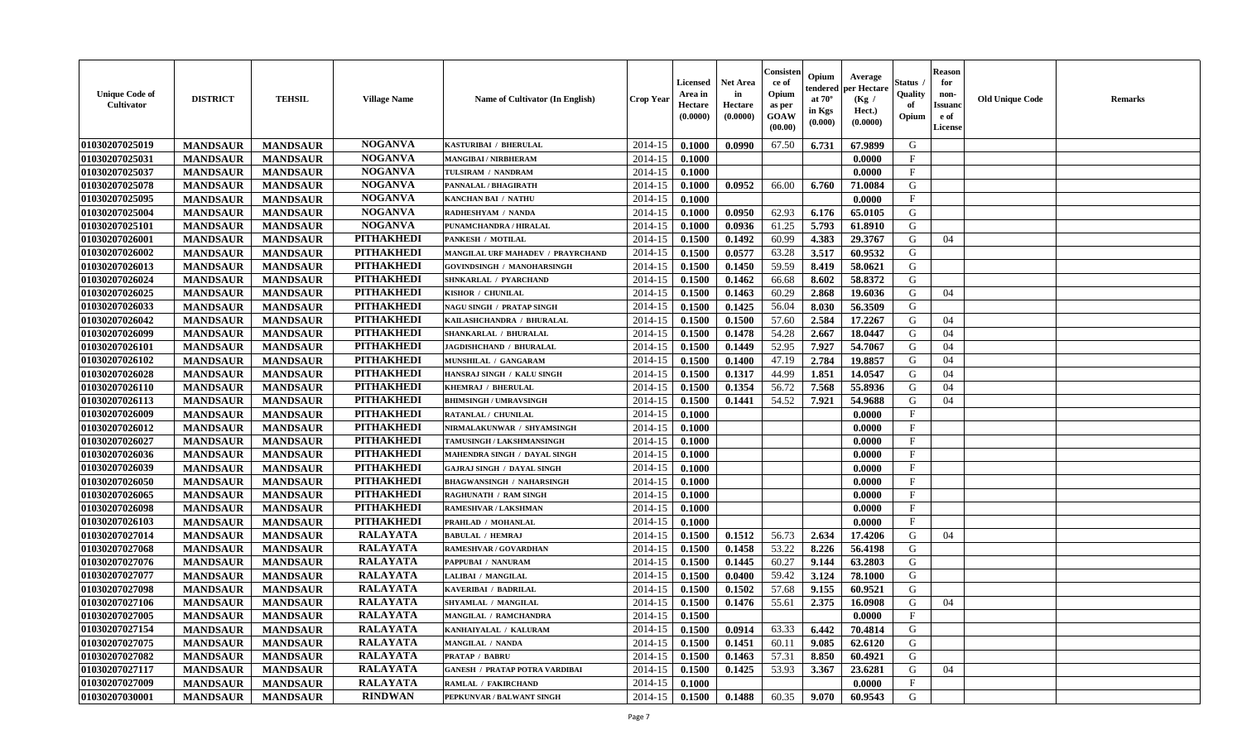| <b>Unique Code of</b><br>Cultivator | <b>DISTRICT</b> | <b>TEHSIL</b>   | <b>Village Name</b> | Name of Cultivator (In English)       | <b>Crop Year</b> | <b>Licensed</b><br>Area in<br>Hectare<br>(0.0000) | <b>Net Area</b><br>in<br>Hectare<br>(0.0000) | Consister<br>ce of<br>Opium<br>as per<br><b>GOAW</b><br>(00.00) | Opium<br>endered<br>at $70^\circ$<br>in Kgs<br>(0.000) | Average<br>per Hectare<br>(Kg /<br>Hect.)<br>(0.0000) | <b>Status</b><br>Quality<br>of<br>Opium | <b>Reason</b><br>for<br>non-<br><b>Issuand</b><br>e of<br>License | <b>Old Unique Code</b> | <b>Remarks</b> |
|-------------------------------------|-----------------|-----------------|---------------------|---------------------------------------|------------------|---------------------------------------------------|----------------------------------------------|-----------------------------------------------------------------|--------------------------------------------------------|-------------------------------------------------------|-----------------------------------------|-------------------------------------------------------------------|------------------------|----------------|
| 01030207025019                      | <b>MANDSAUR</b> | <b>MANDSAUR</b> | <b>NOGANVA</b>      | KASTURIBAI / BHERULAL                 | 2014-15          | 0.1000                                            | 0.0990                                       | 67.50                                                           | 6.731                                                  | 67.9899                                               | G                                       |                                                                   |                        |                |
| 01030207025031                      | <b>MANDSAUR</b> | <b>MANDSAUR</b> | <b>NOGANVA</b>      | <b>MANGIBAI/NIRBHERAM</b>             | 2014-15          | 0.1000                                            |                                              |                                                                 |                                                        | 0.0000                                                | $\mathbf{F}$                            |                                                                   |                        |                |
| 01030207025037                      | <b>MANDSAUR</b> | <b>MANDSAUR</b> | <b>NOGANVA</b>      | TULSIRAM / NANDRAM                    | 2014-15          | 0.1000                                            |                                              |                                                                 |                                                        | 0.0000                                                | $\mathbf{F}$                            |                                                                   |                        |                |
| 01030207025078                      | <b>MANDSAUR</b> | <b>MANDSAUR</b> | <b>NOGANVA</b>      | PANNALAL / BHAGIRATH                  | 2014-15          | 0.1000                                            | 0.0952                                       | 66.00                                                           | 6.760                                                  | 71.0084                                               | G                                       |                                                                   |                        |                |
| 01030207025095                      | <b>MANDSAUR</b> | <b>MANDSAUR</b> | <b>NOGANVA</b>      | <b>KANCHAN BAI / NATHU</b>            | 2014-15          | 0.1000                                            |                                              |                                                                 |                                                        | 0.0000                                                | $\mathbf{F}$                            |                                                                   |                        |                |
| 01030207025004                      | <b>MANDSAUR</b> | <b>MANDSAUR</b> | <b>NOGANVA</b>      | RADHESHYAM / NANDA                    | 2014-15          | 0.1000                                            | 0.0950                                       | 62.93                                                           | 6.176                                                  | 65.0105                                               | G                                       |                                                                   |                        |                |
| 01030207025101                      | <b>MANDSAUR</b> | <b>MANDSAUR</b> | <b>NOGANVA</b>      | PUNAMCHANDRA / HIRALAL                | 2014-15          | 0.1000                                            | 0.0936                                       | 61.25                                                           | 5.793                                                  | 61.8910                                               | G                                       |                                                                   |                        |                |
| 01030207026001                      | <b>MANDSAUR</b> | <b>MANDSAUR</b> | <b>PITHAKHEDI</b>   | PANKESH / MOTILAL                     | 2014-15          | 0.1500                                            | 0.1492                                       | 60.99                                                           | 4.383                                                  | 29.3767                                               | G                                       | 04                                                                |                        |                |
| 01030207026002                      | <b>MANDSAUR</b> | <b>MANDSAUR</b> | <b>PITHAKHEDI</b>   | MANGILAL URF MAHADEV / PRAYRCHAND     | 2014-15          | 0.1500                                            | 0.0577                                       | 63.28                                                           | 3.517                                                  | 60.9532                                               | G                                       |                                                                   |                        |                |
| 01030207026013                      | <b>MANDSAUR</b> | <b>MANDSAUR</b> | <b>PITHAKHEDI</b>   | GOVINDSINGH / MANOHARSINGH            | 2014-15          | 0.1500                                            | 0.1450                                       | 59.59                                                           | 8.419                                                  | 58.0621                                               | G                                       |                                                                   |                        |                |
| 01030207026024                      | <b>MANDSAUR</b> | <b>MANDSAUR</b> | <b>PITHAKHEDI</b>   | SHNKARLAL / PYARCHAND                 | 2014-15          | 0.1500                                            | 0.1462                                       | 66.68                                                           | 8.602                                                  | 58.8372                                               | ${\bf G}$                               |                                                                   |                        |                |
| 01030207026025                      | <b>MANDSAUR</b> | <b>MANDSAUR</b> | <b>PITHAKHEDI</b>   | KISHOR / CHUNILAL                     | 2014-15          | 0.1500                                            | 0.1463                                       | 60.29                                                           | 2.868                                                  | 19.6036                                               | G                                       | 04                                                                |                        |                |
| 01030207026033                      | <b>MANDSAUR</b> | <b>MANDSAUR</b> | <b>PITHAKHEDI</b>   | <b>NAGU SINGH / PRATAP SINGH</b>      | 2014-15          | 0.1500                                            | 0.1425                                       | 56.04                                                           | 8.030                                                  | 56.3509                                               | G                                       |                                                                   |                        |                |
| 01030207026042                      | <b>MANDSAUR</b> | <b>MANDSAUR</b> | <b>PITHAKHEDI</b>   | KAILASHCHANDRA / BHURALAL             | 2014-15          | 0.1500                                            | 0.1500                                       | 57.60                                                           | 2.584                                                  | 17.2267                                               | G                                       | 04                                                                |                        |                |
| 01030207026099                      | <b>MANDSAUR</b> | <b>MANDSAUR</b> | <b>PITHAKHEDI</b>   | SHANKARLAL / BHURALAL                 | 2014-15          | 0.1500                                            | 0.1478                                       | 54.28                                                           | 2.667                                                  | 18.0447                                               | G                                       | 04                                                                |                        |                |
| 01030207026101                      | <b>MANDSAUR</b> | <b>MANDSAUR</b> | <b>PITHAKHEDI</b>   | JAGDISHCHAND / BHURALAL               | 2014-15          | 0.1500                                            | 0.1449                                       | 52.95                                                           | 7.927                                                  | 54.7067                                               | G                                       | 04                                                                |                        |                |
| 01030207026102                      | <b>MANDSAUR</b> | <b>MANDSAUR</b> | <b>PITHAKHEDI</b>   | MUNSHILAL / GANGARAM                  | 2014-15          | 0.1500                                            | 0.1400                                       | 47.19                                                           | 2.784                                                  | 19.8857                                               | G                                       | 04                                                                |                        |                |
| 01030207026028                      | <b>MANDSAUR</b> | <b>MANDSAUR</b> | <b>PITHAKHEDI</b>   | HANSRAJ SINGH / KALU SINGH            | 2014-15          | 0.1500                                            | 0.1317                                       | 44.99                                                           | 1.851                                                  | 14.0547                                               | G                                       | 04                                                                |                        |                |
| 01030207026110                      | <b>MANDSAUR</b> | <b>MANDSAUR</b> | <b>PITHAKHEDI</b>   | KHEMRAJ / BHERULAL                    | 2014-15          | 0.1500                                            | 0.1354                                       | 56.72                                                           | 7.568                                                  | 55.8936                                               | G                                       | 04                                                                |                        |                |
| 01030207026113                      | <b>MANDSAUR</b> | <b>MANDSAUR</b> | <b>PITHAKHEDI</b>   | <b>BHIMSINGH / UMRAVSINGH</b>         | 2014-15          | 0.1500                                            | 0.1441                                       | 54.52                                                           | 7.921                                                  | 54.9688                                               | G                                       | 04                                                                |                        |                |
| 01030207026009                      | <b>MANDSAUR</b> | <b>MANDSAUR</b> | <b>PITHAKHEDI</b>   | RATANLAL / CHUNILAL                   | 2014-15          | 0.1000                                            |                                              |                                                                 |                                                        | 0.0000                                                | $\mathbf{F}$                            |                                                                   |                        |                |
| 01030207026012                      | <b>MANDSAUR</b> | <b>MANDSAUR</b> | <b>PITHAKHEDI</b>   | NIRMALAKUNWAR / SHYAMSINGH            | 2014-15          | 0.1000                                            |                                              |                                                                 |                                                        | 0.0000                                                | $\mathbf{F}$                            |                                                                   |                        |                |
| 01030207026027                      | <b>MANDSAUR</b> | <b>MANDSAUR</b> | <b>PITHAKHEDI</b>   | TAMUSINGH / LAKSHMANSINGH             | 2014-15          | 0.1000                                            |                                              |                                                                 |                                                        | 0.0000                                                | $\mathbf{F}$                            |                                                                   |                        |                |
| 01030207026036                      | <b>MANDSAUR</b> | <b>MANDSAUR</b> | <b>PITHAKHEDI</b>   | MAHENDRA SINGH / DAYAL SINGH          | 2014-15          | 0.1000                                            |                                              |                                                                 |                                                        | 0.0000                                                | $\mathbf{F}$                            |                                                                   |                        |                |
| 01030207026039                      | <b>MANDSAUR</b> | <b>MANDSAUR</b> | <b>PITHAKHEDI</b>   | <b>GAJRAJ SINGH / DAYAL SINGH</b>     | 2014-15          | 0.1000                                            |                                              |                                                                 |                                                        | 0.0000                                                | $_{\rm F}$                              |                                                                   |                        |                |
| 01030207026050                      | <b>MANDSAUR</b> | <b>MANDSAUR</b> | <b>PITHAKHEDI</b>   | <b>BHAGWANSINGH / NAHARSINGH</b>      | 2014-15          | 0.1000                                            |                                              |                                                                 |                                                        | 0.0000                                                | $\mathbf{F}$                            |                                                                   |                        |                |
| 01030207026065                      | <b>MANDSAUR</b> | <b>MANDSAUR</b> | <b>PITHAKHEDI</b>   | <b>RAGHUNATH / RAM SINGH</b>          | 2014-15          | 0.1000                                            |                                              |                                                                 |                                                        | 0.0000                                                | $\mathbf F$                             |                                                                   |                        |                |
| 01030207026098                      | <b>MANDSAUR</b> | <b>MANDSAUR</b> | <b>PITHAKHEDI</b>   | <b>RAMESHVAR / LAKSHMAN</b>           | 2014-15          | 0.1000                                            |                                              |                                                                 |                                                        | 0.0000                                                | $\mathbf{F}$                            |                                                                   |                        |                |
| 01030207026103                      | <b>MANDSAUR</b> | <b>MANDSAUR</b> | <b>PITHAKHEDI</b>   | PRAHLAD / MOHANLAL                    | 2014-15          | 0.1000                                            |                                              |                                                                 |                                                        | 0.0000                                                | $\mathbf{F}$                            |                                                                   |                        |                |
| 01030207027014                      | <b>MANDSAUR</b> | <b>MANDSAUR</b> | <b>RALAYATA</b>     | <b>BABULAL / HEMRAJ</b>               | 2014-15          | 0.1500                                            | 0.1512                                       | 56.73                                                           | 2.634                                                  | 17.4206                                               | G                                       | 04                                                                |                        |                |
| 01030207027068                      | <b>MANDSAUR</b> | <b>MANDSAUR</b> | <b>RALAYATA</b>     | RAMESHVAR / GOVARDHAN                 | 2014-15          | 0.1500                                            | 0.1458                                       | 53.22                                                           | 8.226                                                  | 56.4198                                               | G                                       |                                                                   |                        |                |
| 01030207027076                      | <b>MANDSAUR</b> | <b>MANDSAUR</b> | <b>RALAYATA</b>     | PAPPUBAI / NANURAM                    | $2014 - 15$      | 0.1500                                            | 0.1445                                       | 60.27                                                           | 9.144                                                  | 63.2803                                               | G                                       |                                                                   |                        |                |
| 01030207027077                      | <b>MANDSAUR</b> | <b>MANDSAUR</b> | <b>RALAYATA</b>     | LALIBAI / MANGILAL                    | 2014-15          | 0.1500                                            | 0.0400                                       | 59.42                                                           | 3.124                                                  | 78.1000                                               | G                                       |                                                                   |                        |                |
| 01030207027098                      | <b>MANDSAUR</b> | <b>MANDSAUR</b> | <b>RALAYATA</b>     | KAVERIBAI / BADRILAL                  | 2014-15          | 0.1500                                            | 0.1502                                       | 57.68                                                           | 9.155                                                  | 60.9521                                               | G                                       |                                                                   |                        |                |
| 01030207027106                      | <b>MANDSAUR</b> | <b>MANDSAUR</b> | <b>RALAYATA</b>     | SHYAMLAL / MANGILAL                   | 2014-15          | 0.1500                                            | 0.1476                                       | 55.61                                                           | 2.375                                                  | 16.0908                                               | G                                       | 04                                                                |                        |                |
| 01030207027005                      | <b>MANDSAUR</b> | <b>MANDSAUR</b> | <b>RALAYATA</b>     | MANGILAL / RAMCHANDRA                 | 2014-15          | 0.1500                                            |                                              |                                                                 |                                                        | 0.0000                                                | F                                       |                                                                   |                        |                |
| 01030207027154                      | <b>MANDSAUR</b> | <b>MANDSAUR</b> | <b>RALAYATA</b>     | KANHAIYALAL / KALURAM                 | 2014-15          | 0.1500                                            | 0.0914                                       | 63.33                                                           | 6.442                                                  | 70.4814                                               | G                                       |                                                                   |                        |                |
| 01030207027075                      | <b>MANDSAUR</b> | <b>MANDSAUR</b> | <b>RALAYATA</b>     | <b>MANGILAL / NANDA</b>               | 2014-15          | 0.1500                                            | 0.1451                                       | 60.11                                                           | 9.085                                                  | 62.6120                                               | G                                       |                                                                   |                        |                |
| 01030207027082                      | <b>MANDSAUR</b> | <b>MANDSAUR</b> | <b>RALAYATA</b>     | <b>PRATAP / BABRU</b>                 | 2014-15          | 0.1500                                            | 0.1463                                       | 57.31                                                           | 8.850                                                  | 60.4921                                               | G                                       |                                                                   |                        |                |
| 01030207027117                      | <b>MANDSAUR</b> | <b>MANDSAUR</b> | <b>RALAYATA</b>     | <b>GANESH / PRATAP POTRA VARDIBAI</b> | 2014-15          | 0.1500                                            | 0.1425                                       | 53.93                                                           | 3.367                                                  | 23.6281                                               | G                                       | 04                                                                |                        |                |
| 01030207027009                      | <b>MANDSAUR</b> | <b>MANDSAUR</b> | <b>RALAYATA</b>     | RAMLAL / FAKIRCHAND                   | 2014-15          | 0.1000                                            |                                              |                                                                 |                                                        | 0.0000                                                | $\mathbf{F}$                            |                                                                   |                        |                |
| 01030207030001                      | <b>MANDSAUR</b> | <b>MANDSAUR</b> | <b>RINDWAN</b>      | PEPKUNVAR / BALWANT SINGH             | 2014-15          | 0.1500                                            | 0.1488                                       | 60.35                                                           | 9.070                                                  | 60.9543                                               | G                                       |                                                                   |                        |                |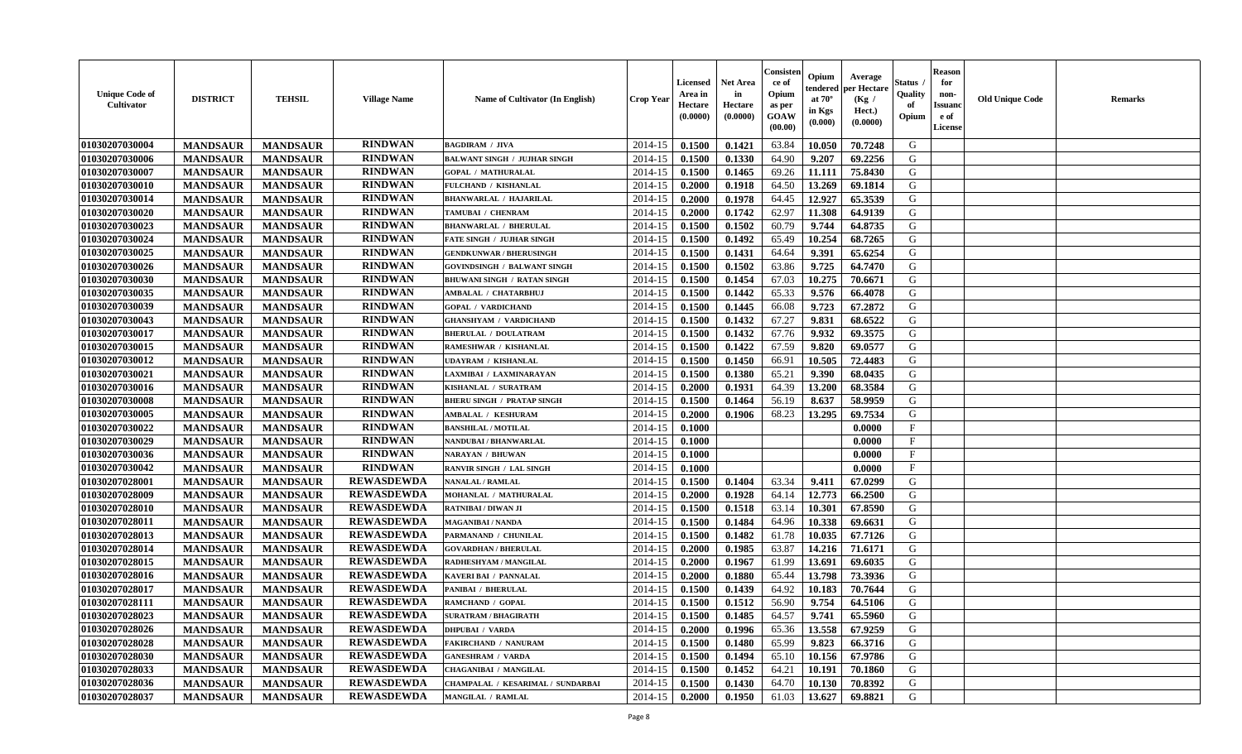| <b>Unique Code of</b><br>Cultivator | <b>DISTRICT</b> | <b>TEHSIL</b>   | <b>Village Name</b> | Name of Cultivator (In English)     | <b>Crop Year</b> | <b>Licensed</b><br>Area in<br>Hectare<br>(0.0000) | <b>Net Area</b><br>in<br>Hectare<br>(0.0000) | Consister<br>ce of<br>Opium<br>as per<br><b>GOAW</b><br>(00.00) | Opium<br>endered<br>at $70^{\circ}$<br>in Kgs<br>$(\mathbf{0.000})$ | Average<br>per Hectare<br>(Kg /<br>Hect.)<br>(0.0000) | Status<br>Quality<br>of<br>Opium | <b>Reason</b><br>for<br>non-<br><b>Issuanc</b><br>e of<br>License | <b>Old Unique Code</b> | <b>Remarks</b> |
|-------------------------------------|-----------------|-----------------|---------------------|-------------------------------------|------------------|---------------------------------------------------|----------------------------------------------|-----------------------------------------------------------------|---------------------------------------------------------------------|-------------------------------------------------------|----------------------------------|-------------------------------------------------------------------|------------------------|----------------|
| 01030207030004                      | <b>MANDSAUR</b> | <b>MANDSAUR</b> | <b>RINDWAN</b>      | <b>BAGDIRAM / JIVA</b>              | 2014-15          | 0.1500                                            | 0.1421                                       | 63.84                                                           | 10.050                                                              | 70.7248                                               | G                                |                                                                   |                        |                |
| 01030207030006                      | <b>MANDSAUR</b> | <b>MANDSAUR</b> | <b>RINDWAN</b>      | <b>BALWANT SINGH / JUJHAR SINGH</b> | 2014-15          | 0.1500                                            | 0.1330                                       | 64.90                                                           | 9.207                                                               | 69.2256                                               | G                                |                                                                   |                        |                |
| 01030207030007                      | <b>MANDSAUR</b> | <b>MANDSAUR</b> | <b>RINDWAN</b>      | <b>GOPAL / MATHURALAL</b>           | 2014-15          | 0.1500                                            | 0.1465                                       | 69.26                                                           | 11.111                                                              | 75.8430                                               | G                                |                                                                   |                        |                |
| 01030207030010                      | <b>MANDSAUR</b> | <b>MANDSAUR</b> | <b>RINDWAN</b>      | FULCHAND / KISHANLAL                | 2014-15          | 0.2000                                            | 0.1918                                       | 64.50                                                           | 13.269                                                              | 69.1814                                               | G                                |                                                                   |                        |                |
| 01030207030014                      | <b>MANDSAUR</b> | <b>MANDSAUR</b> | <b>RINDWAN</b>      | <b>BHANWARLAL / HAJARILAL</b>       | 2014-15          | 0.2000                                            | 0.1978                                       | 64.45                                                           | 12.927                                                              | 65.3539                                               | G                                |                                                                   |                        |                |
| 01030207030020                      | <b>MANDSAUR</b> | <b>MANDSAUR</b> | <b>RINDWAN</b>      | TAMUBAI / CHENRAM                   | 2014-15          | 0.2000                                            | 0.1742                                       | 62.97                                                           | 11.308                                                              | 64.9139                                               | G                                |                                                                   |                        |                |
| 01030207030023                      | <b>MANDSAUR</b> | <b>MANDSAUR</b> | <b>RINDWAN</b>      | <b>BHANWARLAL / BHERULAL</b>        | 2014-15          | 0.1500                                            | 0.1502                                       | 60.79                                                           | 9.744                                                               | 64.8735                                               | G                                |                                                                   |                        |                |
| 01030207030024                      | <b>MANDSAUR</b> | <b>MANDSAUR</b> | <b>RINDWAN</b>      | <b>FATE SINGH / JUJHAR SINGH</b>    | 2014-15          | 0.1500                                            | 0.1492                                       | 65.49                                                           | 10.254                                                              | 68.7265                                               | G                                |                                                                   |                        |                |
| 01030207030025                      | <b>MANDSAUR</b> | <b>MANDSAUR</b> | <b>RINDWAN</b>      | <b>GENDKUNWAR / BHERUSINGH</b>      | 2014-15          | 0.1500                                            | 0.1431                                       | 64.64                                                           | 9.391                                                               | 65.6254                                               | G                                |                                                                   |                        |                |
| 01030207030026                      | <b>MANDSAUR</b> | <b>MANDSAUR</b> | <b>RINDWAN</b>      | GOVINDSINGH / BALWANT SINGH         | 2014-15          | 0.1500                                            | 0.1502                                       | 63.86                                                           | 9.725                                                               | 64.7470                                               | G                                |                                                                   |                        |                |
| 01030207030030                      | <b>MANDSAUR</b> | <b>MANDSAUR</b> | <b>RINDWAN</b>      | <b>BHUWANI SINGH / RATAN SINGH</b>  | 2014-15          | 0.1500                                            | 0.1454                                       | 67.03                                                           | 10.275                                                              | 70.6671                                               | G                                |                                                                   |                        |                |
| 01030207030035                      | <b>MANDSAUR</b> | <b>MANDSAUR</b> | <b>RINDWAN</b>      | <b>AMBALAL / CHATARBHUJ</b>         | 2014-15          | 0.1500                                            | 0.1442                                       | 65.33                                                           | 9.576                                                               | 66.4078                                               | G                                |                                                                   |                        |                |
| 01030207030039                      | <b>MANDSAUR</b> | <b>MANDSAUR</b> | <b>RINDWAN</b>      | <b>GOPAL / VARDICHAND</b>           | 2014-15          | 0.1500                                            | 0.1445                                       | 66.08                                                           | 9.723                                                               | 67.2872                                               | G                                |                                                                   |                        |                |
| 01030207030043                      | <b>MANDSAUR</b> | <b>MANDSAUR</b> | <b>RINDWAN</b>      | <b>GHANSHYAM / VARDICHAND</b>       | 2014-15          | 0.1500                                            | 0.1432                                       | 67.27                                                           | 9.831                                                               | 68.6522                                               | G                                |                                                                   |                        |                |
| 01030207030017                      | <b>MANDSAUR</b> | <b>MANDSAUR</b> | <b>RINDWAN</b>      | <b>BHERULAL / DOULATRAM</b>         | 2014-15          | 0.1500                                            | 0.1432                                       | 67.76                                                           | 9.932                                                               | 69.3575                                               | G                                |                                                                   |                        |                |
| 01030207030015                      | <b>MANDSAUR</b> | <b>MANDSAUR</b> | <b>RINDWAN</b>      | RAMESHWAR / KISHANLAL               | 2014-15          | 0.1500                                            | 0.1422                                       | 67.59                                                           | 9.820                                                               | 69.0577                                               | G                                |                                                                   |                        |                |
| 01030207030012                      | <b>MANDSAUR</b> | <b>MANDSAUR</b> | <b>RINDWAN</b>      | UDAYRAM / KISHANLAL                 | 2014-15          | 0.1500                                            | 0.1450                                       | 66.91                                                           | 10.505                                                              | 72.4483                                               | G                                |                                                                   |                        |                |
| 01030207030021                      | <b>MANDSAUR</b> | <b>MANDSAUR</b> | <b>RINDWAN</b>      | LAXMIBAI / LAXMINARAYAN             | 2014-15          | 0.1500                                            | 0.1380                                       | 65.21                                                           | 9.390                                                               | 68.0435                                               | G                                |                                                                   |                        |                |
| 01030207030016                      | <b>MANDSAUR</b> | <b>MANDSAUR</b> | <b>RINDWAN</b>      | KISHANLAL / SURATRAM                | 2014-15          | 0.2000                                            | 0.1931                                       | 64.39                                                           | 13.200                                                              | 68.3584                                               | G                                |                                                                   |                        |                |
| 01030207030008                      | <b>MANDSAUR</b> | <b>MANDSAUR</b> | <b>RINDWAN</b>      | <b>BHERU SINGH / PRATAP SINGH</b>   | 2014-15          | 0.1500                                            | 0.1464                                       | 56.19                                                           | 8.637                                                               | 58.9959                                               | G                                |                                                                   |                        |                |
| 01030207030005                      | <b>MANDSAUR</b> | <b>MANDSAUR</b> | <b>RINDWAN</b>      | AMBALAL / KESHURAM                  | 2014-15          | 0.2000                                            | 0.1906                                       | 68.23                                                           | 13.295                                                              | 69.7534                                               | G                                |                                                                   |                        |                |
| 01030207030022                      | <b>MANDSAUR</b> | <b>MANDSAUR</b> | <b>RINDWAN</b>      | <b>BANSHILAL / MOTILAL</b>          | 2014-15          | 0.1000                                            |                                              |                                                                 |                                                                     | 0.0000                                                | $\mathbf{F}$                     |                                                                   |                        |                |
| 01030207030029                      | <b>MANDSAUR</b> | <b>MANDSAUR</b> | <b>RINDWAN</b>      | <b>NANDUBAI / BHANWARLAL</b>        | 2014-15          | 0.1000                                            |                                              |                                                                 |                                                                     | 0.0000                                                | $_{\rm F}$                       |                                                                   |                        |                |
| 01030207030036                      | <b>MANDSAUR</b> | <b>MANDSAUR</b> | <b>RINDWAN</b>      | <b>NARAYAN / BHUWAN</b>             | 2014-15          | 0.1000                                            |                                              |                                                                 |                                                                     | 0.0000                                                | $\mathbf{F}$                     |                                                                   |                        |                |
| 01030207030042                      | <b>MANDSAUR</b> | <b>MANDSAUR</b> | <b>RINDWAN</b>      | RANVIR SINGH / LAL SINGH            | 2014-15          | 0.1000                                            |                                              |                                                                 |                                                                     | 0.0000                                                | $\mathbf F$                      |                                                                   |                        |                |
| 01030207028001                      | <b>MANDSAUR</b> | <b>MANDSAUR</b> | <b>REWASDEWDA</b>   | <b>NANALAL / RAMLAL</b>             | 2014-15          | 0.1500                                            | 0.1404                                       | 63.34                                                           | 9.411                                                               | 67.0299                                               | G                                |                                                                   |                        |                |
| 01030207028009                      | <b>MANDSAUR</b> | <b>MANDSAUR</b> | <b>REWASDEWDA</b>   | MOHANLAL / MATHURALAL               | 2014-15          | 0.2000                                            | 0.1928                                       | 64.14                                                           | 12.773                                                              | 66.2500                                               | G                                |                                                                   |                        |                |
| 01030207028010                      | <b>MANDSAUR</b> | <b>MANDSAUR</b> | <b>REWASDEWDA</b>   | <b>RATNIBAI / DIWAN JI</b>          | 2014-15          | 0.1500                                            | 0.1518                                       | 63.14                                                           | 10.301                                                              | 67.8590                                               | G                                |                                                                   |                        |                |
| 01030207028011                      | <b>MANDSAUR</b> | <b>MANDSAUR</b> | <b>REWASDEWDA</b>   | <b>MAGANIBAI / NANDA</b>            | 2014-15          | 0.1500                                            | 0.1484                                       | 64.96                                                           | 10.338                                                              | 69.6631                                               | G                                |                                                                   |                        |                |
| 01030207028013                      | <b>MANDSAUR</b> | <b>MANDSAUR</b> | <b>REWASDEWDA</b>   | PARMANAND / CHUNILAL                | 2014-15          | 0.1500                                            | 0.1482                                       | 61.78                                                           | 10.035                                                              | 67.7126                                               | G                                |                                                                   |                        |                |
| 01030207028014                      | <b>MANDSAUR</b> | <b>MANDSAUR</b> | <b>REWASDEWDA</b>   | <b>GOVARDHAN / BHERULAL</b>         | 2014-15          | 0.2000                                            | 0.1985                                       | 63.87                                                           | 14.216                                                              | 71.6171                                               | G                                |                                                                   |                        |                |
| 01030207028015                      | <b>MANDSAUR</b> | <b>MANDSAUR</b> | <b>REWASDEWDA</b>   | RADHESHYAM / MANGILAL               | 2014-15          | 0.2000                                            | 0.1967                                       | 61.99                                                           | 13.691                                                              | 69.6035                                               | G                                |                                                                   |                        |                |
| 01030207028016                      | <b>MANDSAUR</b> | <b>MANDSAUR</b> | <b>REWASDEWDA</b>   | KAVERI BAI / PANNALAL               | 2014-15          | 0.2000                                            | 0.1880                                       | 65.44                                                           | 13.798                                                              | 73.3936                                               | G                                |                                                                   |                        |                |
| 01030207028017                      | <b>MANDSAUR</b> | <b>MANDSAUR</b> | <b>REWASDEWDA</b>   | PANIBAI / BHERULAL                  | 2014-15          | 0.1500                                            | 0.1439                                       | 64.92                                                           | 10.183                                                              | 70.7644                                               | G                                |                                                                   |                        |                |
| 01030207028111                      | <b>MANDSAUR</b> | <b>MANDSAUR</b> | <b>REWASDEWDA</b>   | RAMCHAND / GOPAL                    | 2014-15          | 0.1500                                            | 0.1512                                       | 56.90                                                           | 9.754                                                               | 64.5106                                               | G                                |                                                                   |                        |                |
| 01030207028023                      | <b>MANDSAUR</b> | MANDSAUR        | <b>REWASDEWDA</b>   | <b>SURATRAM / BHAGIRATH</b>         |                  | $2014-15$ 0.1500                                  | 0.1485                                       | 64.57                                                           | 9.741                                                               | 65.5960                                               | G                                |                                                                   |                        |                |
| 01030207028026                      | <b>MANDSAUR</b> | <b>MANDSAUR</b> | <b>REWASDEWDA</b>   | <b>DHPUBAI / VARDA</b>              | 2014-15          | 0.2000                                            | 0.1996                                       | 65.36                                                           | 13.558                                                              | 67.9259                                               | G                                |                                                                   |                        |                |
| 01030207028028                      | <b>MANDSAUR</b> | <b>MANDSAUR</b> | <b>REWASDEWDA</b>   | FAKIRCHAND / NANURAM                | 2014-15          | 0.1500                                            | 0.1480                                       | 65.99                                                           | 9.823                                                               | 66.3716                                               | G                                |                                                                   |                        |                |
| 01030207028030                      | <b>MANDSAUR</b> | <b>MANDSAUR</b> | <b>REWASDEWDA</b>   | <b>GANESHRAM / VARDA</b>            | 2014-15          | 0.1500                                            | 0.1494                                       | 65.10                                                           | 10.156                                                              | 67.9786                                               | G                                |                                                                   |                        |                |
| 01030207028033                      | <b>MANDSAUR</b> | <b>MANDSAUR</b> | <b>REWASDEWDA</b>   | <b>CHAGANIBAI / MANGILAL</b>        | 2014-15          | 0.1500                                            | 0.1452                                       | 64.21                                                           | 10.191                                                              | 70.1860                                               | G                                |                                                                   |                        |                |
| 01030207028036                      | <b>MANDSAUR</b> | <b>MANDSAUR</b> | <b>REWASDEWDA</b>   | CHAMPALAL / KESARIMAL / SUNDARBAI   | 2014-15          | 0.1500                                            | 0.1430                                       | 64.70                                                           | 10.130                                                              | 70.8392                                               | G                                |                                                                   |                        |                |
| 01030207028037                      | <b>MANDSAUR</b> | <b>MANDSAUR</b> | <b>REWASDEWDA</b>   | <b>MANGILAL / RAMLAL</b>            | 2014-15          | 0.2000                                            | 0.1950                                       | 61.03                                                           | 13.627                                                              | 69.8821                                               | G                                |                                                                   |                        |                |
|                                     |                 |                 |                     |                                     |                  |                                                   |                                              |                                                                 |                                                                     |                                                       |                                  |                                                                   |                        |                |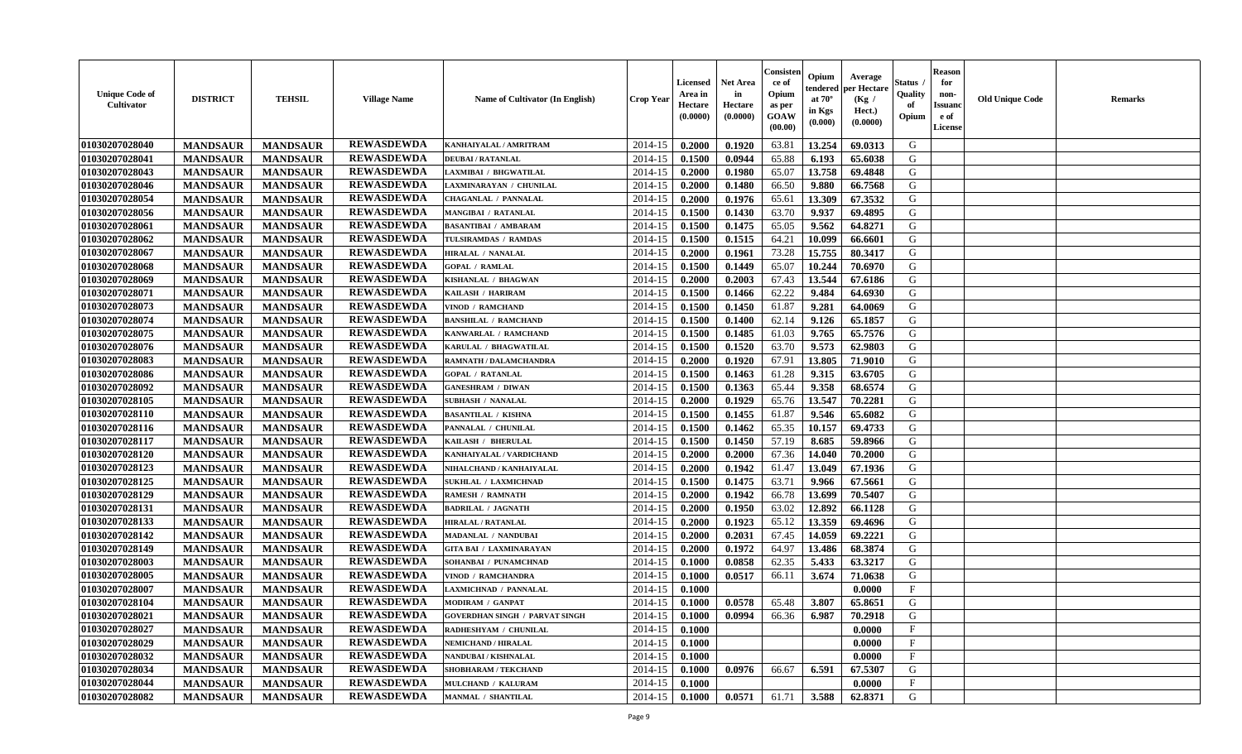| <b>Unique Code of</b><br><b>Cultivator</b> | <b>DISTRICT</b> | <b>TEHSIL</b>   | <b>Village Name</b> | <b>Name of Cultivator (In English)</b> | <b>Crop Year</b> | <b>Licensed</b><br>Area in<br>Hectare<br>(0.0000) | <b>Net Area</b><br>in<br>Hectare<br>(0.0000) | Consister<br>ce of<br>Opium<br>as per<br><b>GOAW</b><br>(00.00) | Opium<br>endered<br>at $70^{\circ}$<br>in Kgs<br>$(\mathbf{0.000})$ | Average<br>per Hectare<br>(Kg)<br>Hect.)<br>(0.0000) | Status<br>Quality<br>of<br>Opium | <b>Reason</b><br>for<br>non-<br><b>Issuano</b><br>e of<br>License | <b>Old Unique Code</b> | <b>Remarks</b> |
|--------------------------------------------|-----------------|-----------------|---------------------|----------------------------------------|------------------|---------------------------------------------------|----------------------------------------------|-----------------------------------------------------------------|---------------------------------------------------------------------|------------------------------------------------------|----------------------------------|-------------------------------------------------------------------|------------------------|----------------|
| 01030207028040                             | <b>MANDSAUR</b> | <b>MANDSAUR</b> | <b>REWASDEWDA</b>   | KANHAIYALAL / AMRITRAM                 | 2014-15          | 0.2000                                            | 0.1920                                       | 63.81                                                           | 13.254                                                              | 69.0313                                              | G                                |                                                                   |                        |                |
| 01030207028041                             | <b>MANDSAUR</b> | <b>MANDSAUR</b> | <b>REWASDEWDA</b>   | <b>DEUBAI/RATANLAL</b>                 | 2014-15          | 0.1500                                            | 0.0944                                       | 65.88                                                           | 6.193                                                               | 65.6038                                              | G                                |                                                                   |                        |                |
| 01030207028043                             | <b>MANDSAUR</b> | <b>MANDSAUR</b> | <b>REWASDEWDA</b>   | LAXMIBAI / BHGWATILAL                  | 2014-15          | 0.2000                                            | 0.1980                                       | 65.07                                                           | 13.758                                                              | 69.4848                                              | G                                |                                                                   |                        |                |
| 01030207028046                             | <b>MANDSAUR</b> | <b>MANDSAUR</b> | <b>REWASDEWDA</b>   | LAXMINARAYAN / CHUNILAL                | 2014-15          | 0.2000                                            | 0.1480                                       | 66.50                                                           | 9.880                                                               | 66.7568                                              | G                                |                                                                   |                        |                |
| 01030207028054                             | <b>MANDSAUR</b> | <b>MANDSAUR</b> | <b>REWASDEWDA</b>   | <b>CHAGANLAL / PANNALAL</b>            | 2014-15          | 0.2000                                            | 0.1976                                       | 65.61                                                           | 13.309                                                              | 67.3532                                              | G                                |                                                                   |                        |                |
| 01030207028056                             | <b>MANDSAUR</b> | <b>MANDSAUR</b> | <b>REWASDEWDA</b>   | MANGIBAI / RATANLAL                    | 2014-15          | 0.1500                                            | 0.1430                                       | 63.70                                                           | 9.937                                                               | 69.4895                                              | G                                |                                                                   |                        |                |
| 01030207028061                             | <b>MANDSAUR</b> | <b>MANDSAUR</b> | <b>REWASDEWDA</b>   | <b>BASANTIBAI / AMBARAM</b>            | 2014-15          | 0.1500                                            | 0.1475                                       | 65.05                                                           | 9.562                                                               | 64.8271                                              | G                                |                                                                   |                        |                |
| 01030207028062                             | <b>MANDSAUR</b> | <b>MANDSAUR</b> | <b>REWASDEWDA</b>   | TULSIRAMDAS / RAMDAS                   | 2014-15          | 0.1500                                            | 0.1515                                       | 64.21                                                           | 10.099                                                              | 66.6601                                              | G                                |                                                                   |                        |                |
| 01030207028067                             | <b>MANDSAUR</b> | <b>MANDSAUR</b> | <b>REWASDEWDA</b>   | HIRALAL / NANALAL                      | 2014-15          | 0.2000                                            | 0.1961                                       | 73.28                                                           | 15.755                                                              | 80.3417                                              | G                                |                                                                   |                        |                |
| 01030207028068                             | <b>MANDSAUR</b> | <b>MANDSAUR</b> | <b>REWASDEWDA</b>   | <b>GOPAL / RAMLAL</b>                  | 2014-15          | 0.1500                                            | 0.1449                                       | 65.07                                                           | 10.244                                                              | 70.6970                                              | G                                |                                                                   |                        |                |
| 01030207028069                             | <b>MANDSAUR</b> | <b>MANDSAUR</b> | <b>REWASDEWDA</b>   | KISHANLAL / BHAGWAN                    | 2014-15          | 0.2000                                            | 0.2003                                       | 67.43                                                           | 13.544                                                              | 67.6186                                              | G                                |                                                                   |                        |                |
| 01030207028071                             | <b>MANDSAUR</b> | <b>MANDSAUR</b> | <b>REWASDEWDA</b>   | KAILASH / HARIRAM                      | 2014-15          | 0.1500                                            | 0.1466                                       | 62.22                                                           | 9.484                                                               | 64.6930                                              | G                                |                                                                   |                        |                |
| 01030207028073                             | <b>MANDSAUR</b> | <b>MANDSAUR</b> | <b>REWASDEWDA</b>   | VINOD / RAMCHAND                       | 2014-15          | 0.1500                                            | 0.1450                                       | 61.87                                                           | 9.281                                                               | 64.0069                                              | G                                |                                                                   |                        |                |
| 01030207028074                             | <b>MANDSAUR</b> | <b>MANDSAUR</b> | <b>REWASDEWDA</b>   | <b>BANSHILAL / RAMCHAND</b>            | 2014-15          | 0.1500                                            | 0.1400                                       | 62.14                                                           | 9.126                                                               | 65.1857                                              | G                                |                                                                   |                        |                |
| 01030207028075                             | <b>MANDSAUR</b> | <b>MANDSAUR</b> | <b>REWASDEWDA</b>   | KANWARLAL / RAMCHAND                   | 2014-15          | 0.1500                                            | 0.1485                                       | 61.03                                                           | 9.765                                                               | 65.7576                                              | G                                |                                                                   |                        |                |
| 01030207028076                             | <b>MANDSAUR</b> | <b>MANDSAUR</b> | <b>REWASDEWDA</b>   | KARULAL / BHAGWATILAL                  | 2014-15          | 0.1500                                            | 0.1520                                       | 63.70                                                           | 9.573                                                               | 62.9803                                              | G                                |                                                                   |                        |                |
| 01030207028083                             | <b>MANDSAUR</b> | <b>MANDSAUR</b> | <b>REWASDEWDA</b>   | RAMNATH / DALAMCHANDRA                 | 2014-15          | 0.2000                                            | 0.1920                                       | 67.91                                                           | 13.805                                                              | 71.9010                                              | G                                |                                                                   |                        |                |
| 01030207028086                             | <b>MANDSAUR</b> | <b>MANDSAUR</b> | <b>REWASDEWDA</b>   | <b>GOPAL / RATANLAL</b>                | 2014-15          | 0.1500                                            | 0.1463                                       | 61.28                                                           | 9.315                                                               | 63.6705                                              | G                                |                                                                   |                        |                |
| 01030207028092                             | <b>MANDSAUR</b> | <b>MANDSAUR</b> | <b>REWASDEWDA</b>   | <b>GANESHRAM / DIWAN</b>               | 2014-15          | 0.1500                                            | 0.1363                                       | 65.44                                                           | 9.358                                                               | 68.6574                                              | G                                |                                                                   |                        |                |
| 01030207028105                             | <b>MANDSAUR</b> | <b>MANDSAUR</b> | <b>REWASDEWDA</b>   | <b>SUBHASH / NANALAL</b>               | 2014-15          | 0.2000                                            | 0.1929                                       | 65.76                                                           | 13.547                                                              | 70.2281                                              | G                                |                                                                   |                        |                |
| 01030207028110                             | <b>MANDSAUR</b> | <b>MANDSAUR</b> | <b>REWASDEWDA</b>   | <b>BASANTILAL / KISHNA</b>             | 2014-15          | 0.1500                                            | 0.1455                                       | 61.87                                                           | 9.546                                                               | 65.6082                                              | G                                |                                                                   |                        |                |
| 01030207028116                             | <b>MANDSAUR</b> | <b>MANDSAUR</b> | <b>REWASDEWDA</b>   | PANNALAL / CHUNILAL                    | 2014-15          | 0.1500                                            | 0.1462                                       | 65.35                                                           | 10.157                                                              | 69.4733                                              | G                                |                                                                   |                        |                |
| 01030207028117                             | <b>MANDSAUR</b> | <b>MANDSAUR</b> | <b>REWASDEWDA</b>   | KAILASH / BHERULAL                     | 2014-15          | 0.1500                                            | 0.1450                                       | 57.19                                                           | 8.685                                                               | 59.8966                                              | G                                |                                                                   |                        |                |
| 01030207028120                             | <b>MANDSAUR</b> | <b>MANDSAUR</b> | <b>REWASDEWDA</b>   | KANHAIYALAL / VARDICHAND               | 2014-15          | 0.2000                                            | 0.2000                                       | 67.36                                                           | 14.040                                                              | 70.2000                                              | G                                |                                                                   |                        |                |
| 01030207028123                             | <b>MANDSAUR</b> | <b>MANDSAUR</b> | <b>REWASDEWDA</b>   | NIHALCHAND / KANHAIYALAL               | 2014-15          | 0.2000                                            | 0.1942                                       | 61.47                                                           | 13.049                                                              | 67.1936                                              | G                                |                                                                   |                        |                |
| 01030207028125                             | <b>MANDSAUR</b> | <b>MANDSAUR</b> | <b>REWASDEWDA</b>   | <b>SUKHLAL / LAXMICHNAD</b>            | 2014-15          | 0.1500                                            | 0.1475                                       | 63.71                                                           | 9.966                                                               | 67.5661                                              | G                                |                                                                   |                        |                |
| 01030207028129                             | <b>MANDSAUR</b> | <b>MANDSAUR</b> | <b>REWASDEWDA</b>   | RAMESH / RAMNATH                       | 2014-15          | 0.2000                                            | 0.1942                                       | 66.78                                                           | 13.699                                                              | 70.5407                                              | G                                |                                                                   |                        |                |
| 01030207028131                             | <b>MANDSAUR</b> | <b>MANDSAUR</b> | <b>REWASDEWDA</b>   | <b>BADRILAL / JAGNATH</b>              | 2014-15          | 0.2000                                            | 0.1950                                       | 63.02                                                           | 12.892                                                              | 66.1128                                              | G                                |                                                                   |                        |                |
| 01030207028133                             | <b>MANDSAUR</b> | <b>MANDSAUR</b> | <b>REWASDEWDA</b>   | <b>HIRALAL / RATANLAL</b>              | 2014-15          | 0.2000                                            | 0.1923                                       | 65.12                                                           | 13.359                                                              | 69.4696                                              | G                                |                                                                   |                        |                |
| 01030207028142                             | <b>MANDSAUR</b> | <b>MANDSAUR</b> | <b>REWASDEWDA</b>   | MADANLAL / NANDUBAI                    | 2014-15          | 0.2000                                            | 0.2031                                       | 67.45                                                           | 14.059                                                              | 69.2221                                              | G                                |                                                                   |                        |                |
| 01030207028149                             | <b>MANDSAUR</b> | <b>MANDSAUR</b> | <b>REWASDEWDA</b>   | <b>GITA BAI / LAXMINARAYAN</b>         | 2014-15          | 0.2000                                            | 0.1972                                       | 64.97                                                           | 13.486                                                              | 68.3874                                              | G                                |                                                                   |                        |                |
| 01030207028003                             | <b>MANDSAUR</b> | <b>MANDSAUR</b> | <b>REWASDEWDA</b>   | SOHANBAI / PUNAMCHNAD                  | 2014-15          | 0.1000                                            | 0.0858                                       | 62.35                                                           | 5.433                                                               | 63.3217                                              | G                                |                                                                   |                        |                |
| 01030207028005                             | <b>MANDSAUR</b> | <b>MANDSAUR</b> | <b>REWASDEWDA</b>   | VINOD / RAMCHANDRA                     | 2014-15          | 0.1000                                            | 0.0517                                       | 66.11                                                           | 3.674                                                               | 71.0638                                              | G                                |                                                                   |                        |                |
| 01030207028007                             | <b>MANDSAUR</b> | <b>MANDSAUR</b> | <b>REWASDEWDA</b>   | LAXMICHNAD / PANNALAL                  | 2014-15          | 0.1000                                            |                                              |                                                                 |                                                                     | 0.0000                                               | $\mathbf{F}$                     |                                                                   |                        |                |
| 01030207028104                             | <b>MANDSAUR</b> | <b>MANDSAUR</b> | <b>REWASDEWDA</b>   | <b>MODIRAM / GANPAT</b>                | 2014-15          | 0.1000                                            | 0.0578                                       | 65.48                                                           | 3.807                                                               | 65.8651                                              | G                                |                                                                   |                        |                |
| 01030207028021                             | <b>MANDSAUR</b> | <b>MANDSAUR</b> | <b>REWASDEWDA</b>   | <b>GOVERDHAN SINGH / PARVAT SINGH</b>  | $2014-15$ 0.1000 |                                                   | 0.0994                                       | 66.36                                                           | 6.987                                                               | 70.2918                                              | G                                |                                                                   |                        |                |
| 01030207028027                             | <b>MANDSAUR</b> | <b>MANDSAUR</b> | <b>REWASDEWDA</b>   | RADHESHYAM / CHUNILAL                  | 2014-15          | 0.1000                                            |                                              |                                                                 |                                                                     | 0.0000                                               | $\mathbf{F}$                     |                                                                   |                        |                |
| <b>01030207028029</b>                      | <b>MANDSAUR</b> | <b>MANDSAUR</b> | <b>REWASDEWDA</b>   | <b>NEMICHAND / HIRALAL</b>             | 2014-15          | 0.1000                                            |                                              |                                                                 |                                                                     | 0.0000                                               | $\mathbf{F}$                     |                                                                   |                        |                |
| 01030207028032                             | <b>MANDSAUR</b> | <b>MANDSAUR</b> | <b>REWASDEWDA</b>   | NANDUBAI / KISHNALAL                   | 2014-15          | 0.1000                                            |                                              |                                                                 |                                                                     | 0.0000                                               | $\mathbf{F}$                     |                                                                   |                        |                |
| 01030207028034                             | <b>MANDSAUR</b> | <b>MANDSAUR</b> | <b>REWASDEWDA</b>   | SHOBHARAM / TEKCHAND                   | 2014-15          | 0.1000                                            | 0.0976                                       | 66.67                                                           | 6.591                                                               | 67.5307                                              | G                                |                                                                   |                        |                |
| 01030207028044                             | <b>MANDSAUR</b> | <b>MANDSAUR</b> | <b>REWASDEWDA</b>   | MULCHAND / KALURAM                     | 2014-15          | 0.1000                                            |                                              |                                                                 |                                                                     | 0.0000                                               | $\mathbf F$                      |                                                                   |                        |                |
| <b>01030207028082</b>                      | <b>MANDSAUR</b> | <b>MANDSAUR</b> | <b>REWASDEWDA</b>   | <b>MANMAL / SHANTILAL</b>              | $2014 - 15$      | $\boldsymbol{0.1000}$                             | 0.0571                                       | 61.71                                                           | 3.588                                                               | 62.8371                                              | G                                |                                                                   |                        |                |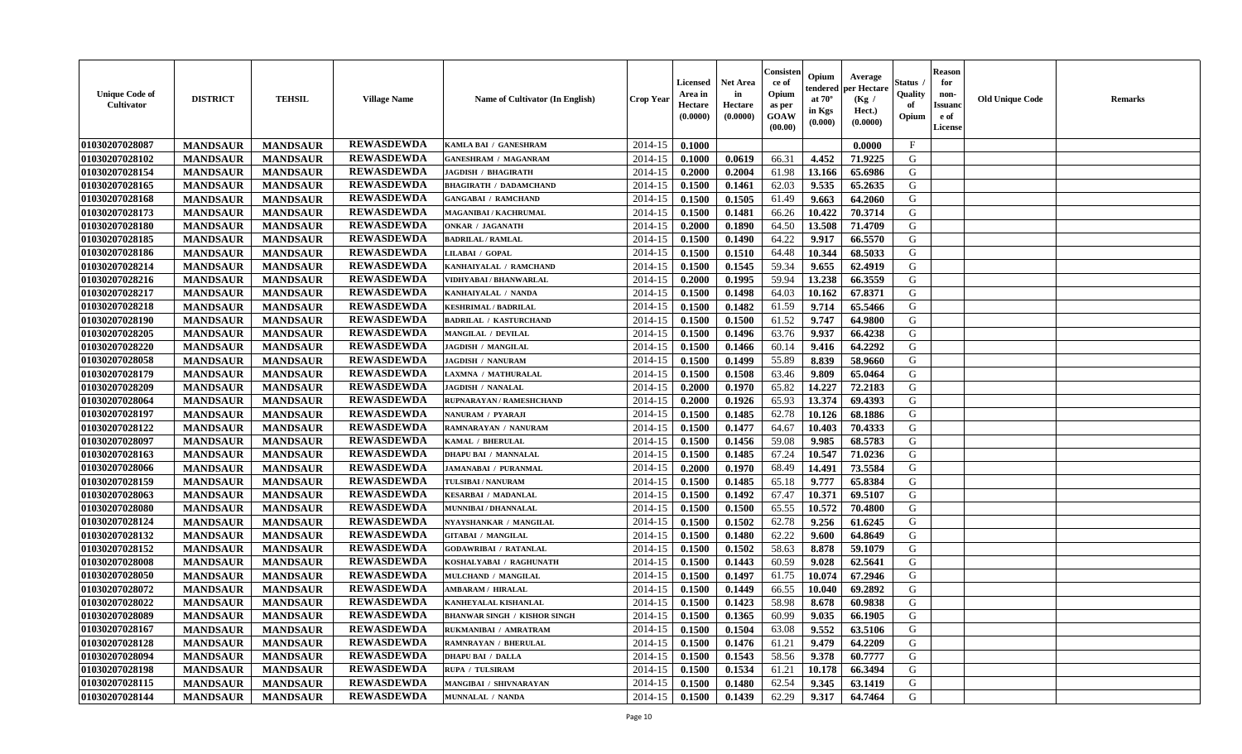| <b>Unique Code of</b><br><b>Cultivator</b> | <b>DISTRICT</b> | <b>TEHSIL</b>   | <b>Village Name</b> | Name of Cultivator (In English)     | <b>Crop Year</b> | <b>Licensed</b><br>Area in<br>Hectare<br>(0.0000) | <b>Net Area</b><br>in<br>Hectare<br>(0.0000) | Consister<br>ce of<br>Opium<br>as per<br>GOAW<br>(00.00) | Opium<br>endered<br>at $70^\circ$<br>in Kgs<br>(0.000) | Average<br>per Hectare<br>(Kg /<br>Hect.)<br>(0.0000) | Status<br>Quality<br>of<br>Opium | <b>Reason</b><br>for<br>non-<br><b>Issuanc</b><br>e of<br>License | <b>Old Unique Code</b> | Remarks |
|--------------------------------------------|-----------------|-----------------|---------------------|-------------------------------------|------------------|---------------------------------------------------|----------------------------------------------|----------------------------------------------------------|--------------------------------------------------------|-------------------------------------------------------|----------------------------------|-------------------------------------------------------------------|------------------------|---------|
| 01030207028087                             | <b>MANDSAUR</b> | <b>MANDSAUR</b> | <b>REWASDEWDA</b>   | KAMLA BAI / GANESHRAM               | 2014-15          | 0.1000                                            |                                              |                                                          |                                                        | 0.0000                                                | $\mathbf{F}$                     |                                                                   |                        |         |
| 01030207028102                             | <b>MANDSAUR</b> | <b>MANDSAUR</b> | <b>REWASDEWDA</b>   | <b>GANESHRAM / MAGANRAM</b>         | 2014-15          | 0.1000                                            | 0.0619                                       | 66.31                                                    | 4.452                                                  | 71.9225                                               | G                                |                                                                   |                        |         |
| 01030207028154                             | <b>MANDSAUR</b> | <b>MANDSAUR</b> | <b>REWASDEWDA</b>   | <b>JAGDISH / BHAGIRATH</b>          | 2014-15          | 0.2000                                            | 0.2004                                       | 61.98                                                    | 13.166                                                 | 65.6986                                               | G                                |                                                                   |                        |         |
| 01030207028165                             | <b>MANDSAUR</b> | <b>MANDSAUR</b> | <b>REWASDEWDA</b>   | <b>BHAGIRATH / DADAMCHAND</b>       | 2014-15          | 0.1500                                            | 0.1461                                       | 62.03                                                    | 9.535                                                  | 65.2635                                               | G                                |                                                                   |                        |         |
| 01030207028168                             | <b>MANDSAUR</b> | <b>MANDSAUR</b> | <b>REWASDEWDA</b>   | <b>GANGABAI / RAMCHAND</b>          | 2014-15          | 0.1500                                            | 0.1505                                       | 61.49                                                    | 9.663                                                  | 64.2060                                               | G                                |                                                                   |                        |         |
| 01030207028173                             | <b>MANDSAUR</b> | <b>MANDSAUR</b> | <b>REWASDEWDA</b>   | MAGANIBAI / KACHRUMAL               | 2014-15          | 0.1500                                            | 0.1481                                       | 66.26                                                    | 10.422                                                 | 70.3714                                               | G                                |                                                                   |                        |         |
| 01030207028180                             | <b>MANDSAUR</b> | <b>MANDSAUR</b> | <b>REWASDEWDA</b>   | ONKAR / JAGANATH                    | 2014-15          | 0.2000                                            | 0.1890                                       | 64.50                                                    | 13.508                                                 | 71.4709                                               | G                                |                                                                   |                        |         |
| 01030207028185                             | <b>MANDSAUR</b> | <b>MANDSAUR</b> | <b>REWASDEWDA</b>   | <b>BADRILAL / RAMLAL</b>            | 2014-15          | 0.1500                                            | 0.1490                                       | 64.22                                                    | 9.917                                                  | 66.5570                                               | G                                |                                                                   |                        |         |
| 01030207028186                             | <b>MANDSAUR</b> | <b>MANDSAUR</b> | <b>REWASDEWDA</b>   | LILABAI / GOPAL                     | 2014-15          | 0.1500                                            | 0.1510                                       | 64.48                                                    | 10.344                                                 | 68.5033                                               | G                                |                                                                   |                        |         |
| 01030207028214                             | <b>MANDSAUR</b> | <b>MANDSAUR</b> | <b>REWASDEWDA</b>   | KANHAIYALAL / RAMCHAND              | 2014-15          | 0.1500                                            | 0.1545                                       | 59.34                                                    | 9.655                                                  | 62.4919                                               | G                                |                                                                   |                        |         |
| 01030207028216                             | <b>MANDSAUR</b> | <b>MANDSAUR</b> | <b>REWASDEWDA</b>   | VIDHYABAI / BHANWARLAL              | 2014-15          | 0.2000                                            | 0.1995                                       | 59.94                                                    | 13.238                                                 | 66.3559                                               | G                                |                                                                   |                        |         |
| 01030207028217                             | <b>MANDSAUR</b> | <b>MANDSAUR</b> | <b>REWASDEWDA</b>   | KANHAIYALAL / NANDA                 | 2014-15          | 0.1500                                            | 0.1498                                       | 64.03                                                    | 10.162                                                 | 67.8371                                               | G                                |                                                                   |                        |         |
| 01030207028218                             | <b>MANDSAUR</b> | <b>MANDSAUR</b> | <b>REWASDEWDA</b>   | <b>KESHRIMAL / BADRILAL</b>         | 2014-15          | 0.1500                                            | 0.1482                                       | 61.59                                                    | 9.714                                                  | 65.5466                                               | G                                |                                                                   |                        |         |
| 01030207028190                             | <b>MANDSAUR</b> | <b>MANDSAUR</b> | <b>REWASDEWDA</b>   | <b>BADRILAL / KASTURCHAND</b>       | 2014-15          | 0.1500                                            | 0.1500                                       | 61.52                                                    | 9.747                                                  | 64.9800                                               | G                                |                                                                   |                        |         |
| 01030207028205                             | <b>MANDSAUR</b> | <b>MANDSAUR</b> | <b>REWASDEWDA</b>   | <b>MANGILAL / DEVILAL</b>           | 2014-15          | 0.1500                                            | 0.1496                                       | 63.76                                                    | 9.937                                                  | 66.4238                                               | G                                |                                                                   |                        |         |
| 01030207028220                             | <b>MANDSAUR</b> | <b>MANDSAUR</b> | <b>REWASDEWDA</b>   | <b>JAGDISH / MANGILAL</b>           | 2014-15          | 0.1500                                            | 0.1466                                       | 60.14                                                    | 9.416                                                  | 64.2292                                               | G                                |                                                                   |                        |         |
| 01030207028058                             | <b>MANDSAUR</b> | <b>MANDSAUR</b> | <b>REWASDEWDA</b>   | <b>JAGDISH / NANURAM</b>            | 2014-15          | 0.1500                                            | 0.1499                                       | 55.89                                                    | 8.839                                                  | 58.9660                                               | G                                |                                                                   |                        |         |
| 01030207028179                             | <b>MANDSAUR</b> | <b>MANDSAUR</b> | <b>REWASDEWDA</b>   | LAXMNA / MATHURALAL                 | 2014-15          | 0.1500                                            | 0.1508                                       | 63.46                                                    | 9.809                                                  | 65.0464                                               | G                                |                                                                   |                        |         |
| 01030207028209                             | <b>MANDSAUR</b> | <b>MANDSAUR</b> | <b>REWASDEWDA</b>   | <b>JAGDISH / NANALAL</b>            | 2014-15          | 0.2000                                            | 0.1970                                       | 65.82                                                    | 14.227                                                 | 72.2183                                               | G                                |                                                                   |                        |         |
| 01030207028064                             | <b>MANDSAUR</b> | <b>MANDSAUR</b> | <b>REWASDEWDA</b>   | RUPNARAYAN / RAMESHCHAND            | 2014-15          | 0.2000                                            | 0.1926                                       | 65.93                                                    | 13.374                                                 | 69.4393                                               | G                                |                                                                   |                        |         |
| 01030207028197                             | <b>MANDSAUR</b> | <b>MANDSAUR</b> | <b>REWASDEWDA</b>   | NANURAM / PYARAJI                   | 2014-15          | 0.1500                                            | 0.1485                                       | 62.78                                                    | 10.126                                                 | 68.1886                                               | G                                |                                                                   |                        |         |
| 01030207028122                             | <b>MANDSAUR</b> | <b>MANDSAUR</b> | <b>REWASDEWDA</b>   | RAMNARAYAN / NANURAM                | 2014-15          | 0.1500                                            | 0.1477                                       | 64.67                                                    | 10.403                                                 | 70.4333                                               | G                                |                                                                   |                        |         |
| 01030207028097                             | <b>MANDSAUR</b> | <b>MANDSAUR</b> | <b>REWASDEWDA</b>   | KAMAL / BHERULAL                    | 2014-15          | 0.1500                                            | 0.1456                                       | 59.08                                                    | 9.985                                                  | 68.5783                                               | G                                |                                                                   |                        |         |
| 01030207028163                             | <b>MANDSAUR</b> | <b>MANDSAUR</b> | <b>REWASDEWDA</b>   | <b>DHAPU BAI / MANNALAL</b>         | 2014-15          | 0.1500                                            | 0.1485                                       | 67.24                                                    | 10.547                                                 | 71.0236                                               | G                                |                                                                   |                        |         |
| 01030207028066                             | <b>MANDSAUR</b> | <b>MANDSAUR</b> | <b>REWASDEWDA</b>   | <b>JAMANABAI / PURANMAL</b>         | 2014-15          | 0.2000                                            | 0.1970                                       | 68.49                                                    | 14.491                                                 | 73.5584                                               | G                                |                                                                   |                        |         |
| 01030207028159                             | <b>MANDSAUR</b> | <b>MANDSAUR</b> | <b>REWASDEWDA</b>   | TULSIBAI / NANURAM                  | 2014-15          | 0.1500                                            | 0.1485                                       | 65.18                                                    | 9.777                                                  | 65.8384                                               | G                                |                                                                   |                        |         |
| 01030207028063                             | <b>MANDSAUR</b> | <b>MANDSAUR</b> | <b>REWASDEWDA</b>   | <b>KESARBAI / MADANLAL</b>          | 2014-15          | 0.1500                                            | 0.1492                                       | 67.47                                                    | 10.371                                                 | 69.5107                                               | G                                |                                                                   |                        |         |
| 01030207028080                             | <b>MANDSAUR</b> | <b>MANDSAUR</b> | <b>REWASDEWDA</b>   | MUNNIBAI / DHANNALAL                | 2014-15          | 0.1500                                            | 0.1500                                       | 65.55                                                    | 10.572                                                 | 70.4800                                               | G                                |                                                                   |                        |         |
| 01030207028124                             | <b>MANDSAUR</b> | <b>MANDSAUR</b> | <b>REWASDEWDA</b>   | NYAYSHANKAR / MANGILAL              | 2014-15          | 0.1500                                            | 0.1502                                       | 62.78                                                    | 9.256                                                  | 61.6245                                               | G                                |                                                                   |                        |         |
| 01030207028132                             | <b>MANDSAUR</b> | <b>MANDSAUR</b> | <b>REWASDEWDA</b>   | <b>GITABAI / MANGILAL</b>           | 2014-15          | 0.1500                                            | 0.1480                                       | 62.22                                                    | 9.600                                                  | 64.8649                                               | G                                |                                                                   |                        |         |
| 01030207028152                             | <b>MANDSAUR</b> | <b>MANDSAUR</b> | <b>REWASDEWDA</b>   | <b>GODAWRIBAI / RATANLAL</b>        | 2014-15          | 0.1500                                            | 0.1502                                       | 58.63                                                    | 8.878                                                  | 59.1079                                               | G                                |                                                                   |                        |         |
| 01030207028008                             | <b>MANDSAUR</b> | <b>MANDSAUR</b> | <b>REWASDEWDA</b>   | KOSHALYABAI / RAGHUNATH             | 2014-15          | 0.1500                                            | 0.1443                                       | 60.59                                                    | 9.028                                                  | 62.5641                                               | G                                |                                                                   |                        |         |
| 01030207028050                             | <b>MANDSAUR</b> | <b>MANDSAUR</b> | <b>REWASDEWDA</b>   | MULCHAND / MANGILAL                 | 2014-15          | 0.1500                                            | 0.1497                                       | 61.75                                                    | 10.074                                                 | 67.2946                                               | G                                |                                                                   |                        |         |
| 01030207028072                             | <b>MANDSAUR</b> | <b>MANDSAUR</b> | <b>REWASDEWDA</b>   | <b>AMBARAM / HIRALAL</b>            | 2014-15          | 0.1500                                            | 0.1449                                       | 66.55                                                    | 10.040                                                 | 69.2892                                               | G                                |                                                                   |                        |         |
| 01030207028022                             | <b>MANDSAUR</b> | <b>MANDSAUR</b> | <b>REWASDEWDA</b>   | KANHEYALAL KISHANLAL                | 2014-15          | 0.1500                                            | 0.1423                                       | 58.98                                                    | 8.678                                                  | 60.9838                                               | G                                |                                                                   |                        |         |
| 01030207028089                             | <b>MANDSAUR</b> | <b>MANDSAUR</b> | <b>REWASDEWDA</b>   | <b>BHANWAR SINGH / KISHOR SINGH</b> | 2014-15          | 0.1500                                            | 0.1365                                       | 60.99                                                    | 9.035                                                  | 66.1905                                               | G                                |                                                                   |                        |         |
| 01030207028167                             | <b>MANDSAUR</b> | <b>MANDSAUR</b> | <b>REWASDEWDA</b>   | RUKMANIBAI / AMRATRAM               | 2014-15          | 0.1500                                            | 0.1504                                       | 63.08                                                    | 9.552                                                  | 63.5106                                               | G                                |                                                                   |                        |         |
| 01030207028128                             | <b>MANDSAUR</b> | <b>MANDSAUR</b> | <b>REWASDEWDA</b>   | <b>RAMNRAYAN / BHERULAL</b>         | 2014-15          | 0.1500                                            | 0.1476                                       | 61.21                                                    | 9.479                                                  | 64.2209                                               | G                                |                                                                   |                        |         |
| 01030207028094                             | <b>MANDSAUR</b> | <b>MANDSAUR</b> | <b>REWASDEWDA</b>   | <b>DHAPU BAI / DALLA</b>            | 2014-15          | 0.1500                                            | 0.1543                                       | 58.56                                                    | 9.378                                                  | 60.7777                                               | G                                |                                                                   |                        |         |
| 01030207028198                             | <b>MANDSAUR</b> | <b>MANDSAUR</b> | <b>REWASDEWDA</b>   | RUPA / TULSIRAM                     | 2014-15          | 0.1500                                            | 0.1534                                       | 61.21                                                    | 10.178                                                 | 66.3494                                               | ${\bf G}$                        |                                                                   |                        |         |
| 01030207028115                             | <b>MANDSAUR</b> | <b>MANDSAUR</b> | <b>REWASDEWDA</b>   | MANGIBAI / SHIVNARAYAN              | 2014-15          | 0.1500                                            | 0.1480                                       | 62.54                                                    | 9.345                                                  | 63.1419                                               | G                                |                                                                   |                        |         |
| 01030207028144                             | <b>MANDSAUR</b> | <b>MANDSAUR</b> | <b>REWASDEWDA</b>   | <b>MUNNALAL / NANDA</b>             | 2014-15          | 0.1500                                            | 0.1439                                       | 62.29                                                    | 9.317                                                  | 64.7464                                               | G                                |                                                                   |                        |         |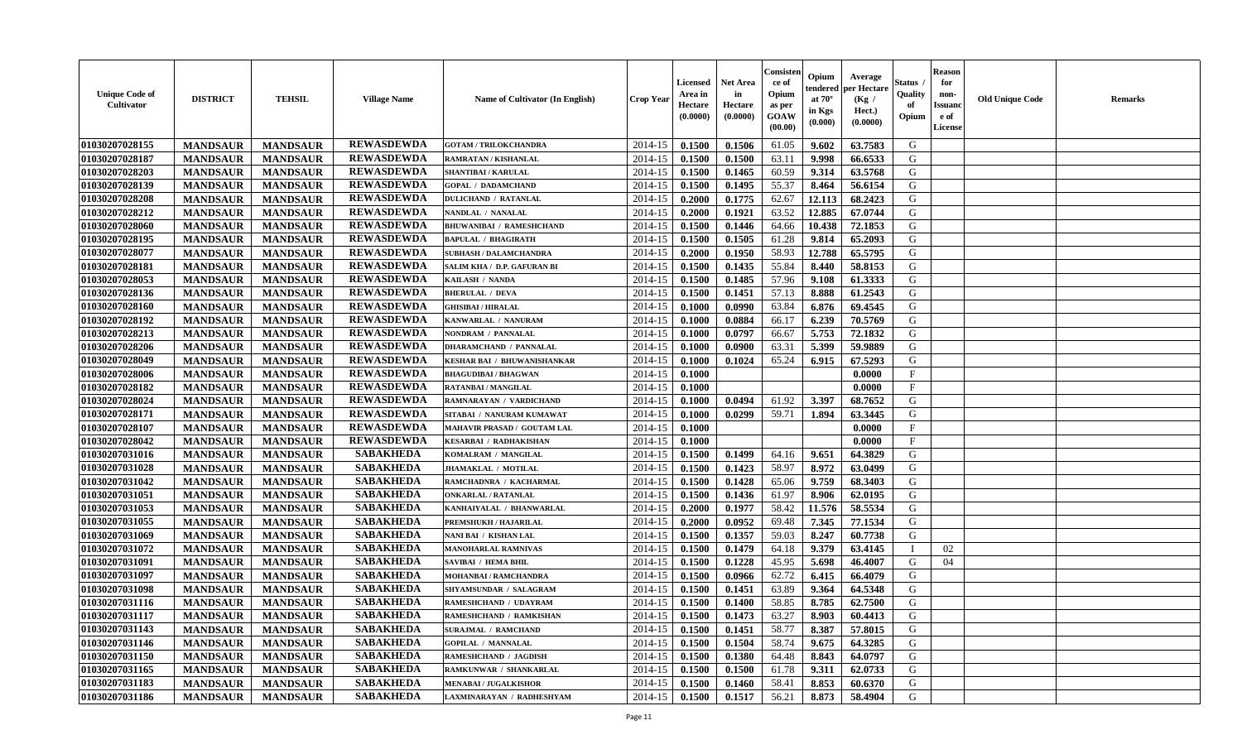| <b>Unique Code of</b><br><b>Cultivator</b> | <b>DISTRICT</b> | <b>TEHSIL</b>   | <b>Village Name</b> | <b>Name of Cultivator (In English)</b> | <b>Crop Year</b> | <b>Licensed</b><br>Area in<br>Hectare<br>(0.0000) | <b>Net Area</b><br>in<br>Hectare<br>(0.0000) | Consister<br>ce of<br>Opium<br>as per<br><b>GOAW</b><br>(00.00) | Opium<br>endered<br>at $70^{\circ}$<br>in Kgs<br>$(\mathbf{0.000})$ | Average<br>per Hectare<br>(Kg)<br>Hect.)<br>(0.0000) | Status<br>Quality<br>of<br>Opium | <b>Reason</b><br>for<br>non-<br><b>Issuano</b><br>e of<br>License | <b>Old Unique Code</b> | <b>Remarks</b> |
|--------------------------------------------|-----------------|-----------------|---------------------|----------------------------------------|------------------|---------------------------------------------------|----------------------------------------------|-----------------------------------------------------------------|---------------------------------------------------------------------|------------------------------------------------------|----------------------------------|-------------------------------------------------------------------|------------------------|----------------|
| 01030207028155                             | <b>MANDSAUR</b> | <b>MANDSAUR</b> | <b>REWASDEWDA</b>   | <b>GOTAM / TRILOKCHANDRA</b>           | 2014-15          | 0.1500                                            | 0.1506                                       | 61.05                                                           | 9.602                                                               | 63.7583                                              | G                                |                                                                   |                        |                |
| 01030207028187                             | <b>MANDSAUR</b> | <b>MANDSAUR</b> | <b>REWASDEWDA</b>   | RAMRATAN / KISHANLAL                   | 2014-15          | 0.1500                                            | 0.1500                                       | 63.11                                                           | 9.998                                                               | 66.6533                                              | G                                |                                                                   |                        |                |
| 01030207028203                             | <b>MANDSAUR</b> | <b>MANDSAUR</b> | <b>REWASDEWDA</b>   | <b>SHANTIBAI / KARULAL</b>             | 2014-15          | 0.1500                                            | 0.1465                                       | 60.59                                                           | 9.314                                                               | 63.5768                                              | G                                |                                                                   |                        |                |
| 01030207028139                             | <b>MANDSAUR</b> | <b>MANDSAUR</b> | <b>REWASDEWDA</b>   | <b>GOPAL / DADAMCHAND</b>              | 2014-15          | 0.1500                                            | 0.1495                                       | 55.37                                                           | 8.464                                                               | 56.6154                                              | G                                |                                                                   |                        |                |
| 01030207028208                             | <b>MANDSAUR</b> | <b>MANDSAUR</b> | <b>REWASDEWDA</b>   | <b>DULICHAND / RATANLAL</b>            | 2014-15          | 0.2000                                            | 0.1775                                       | 62.67                                                           | 12.113                                                              | 68.2423                                              | G                                |                                                                   |                        |                |
| 01030207028212                             | <b>MANDSAUR</b> | <b>MANDSAUR</b> | <b>REWASDEWDA</b>   | NANDLAL / NANALAL                      | 2014-15          | 0.2000                                            | 0.1921                                       | 63.52                                                           | 12.885                                                              | 67.0744                                              | G                                |                                                                   |                        |                |
| 01030207028060                             | <b>MANDSAUR</b> | <b>MANDSAUR</b> | <b>REWASDEWDA</b>   | <b>BHUWANIBAI / RAMESHCHAND</b>        | 2014-15          | 0.1500                                            | 0.1446                                       | 64.66                                                           | 10.438                                                              | 72.1853                                              | G                                |                                                                   |                        |                |
| 01030207028195                             | <b>MANDSAUR</b> | <b>MANDSAUR</b> | <b>REWASDEWDA</b>   | <b>BAPULAL / BHAGIRATH</b>             | 2014-15          | 0.1500                                            | 0.1505                                       | 61.28                                                           | 9.814                                                               | 65.2093                                              | G                                |                                                                   |                        |                |
| 01030207028077                             | <b>MANDSAUR</b> | <b>MANDSAUR</b> | <b>REWASDEWDA</b>   | <b>SUBHASH / DALAMCHANDRA</b>          | 2014-15          | 0.2000                                            | 0.1950                                       | 58.93                                                           | 12.788                                                              | 65.5795                                              | G                                |                                                                   |                        |                |
| 01030207028181                             | <b>MANDSAUR</b> | <b>MANDSAUR</b> | <b>REWASDEWDA</b>   | SALIM KHA / D.P. GAFURAN BI            | 2014-15          | 0.1500                                            | 0.1435                                       | 55.84                                                           | 8.440                                                               | 58.8153                                              | G                                |                                                                   |                        |                |
| 01030207028053                             | <b>MANDSAUR</b> | <b>MANDSAUR</b> | <b>REWASDEWDA</b>   | KAILASH / NANDA                        | 2014-15          | 0.1500                                            | 0.1485                                       | 57.96                                                           | 9.108                                                               | 61.3333                                              | G                                |                                                                   |                        |                |
| 01030207028136                             | <b>MANDSAUR</b> | <b>MANDSAUR</b> | <b>REWASDEWDA</b>   | <b>BHERULAL / DEVA</b>                 | 2014-15          | 0.1500                                            | 0.1451                                       | 57.13                                                           | 8.888                                                               | 61.2543                                              | G                                |                                                                   |                        |                |
| 01030207028160                             | <b>MANDSAUR</b> | <b>MANDSAUR</b> | <b>REWASDEWDA</b>   | <b>GHISIBAI / HIRALAL</b>              | 2014-15          | 0.1000                                            | 0.0990                                       | 63.84                                                           | 6.876                                                               | 69.4545                                              | G                                |                                                                   |                        |                |
| 01030207028192                             | <b>MANDSAUR</b> | <b>MANDSAUR</b> | <b>REWASDEWDA</b>   | KANWARLAL / NANURAM                    | 2014-15          | 0.1000                                            | 0.0884                                       | 66.17                                                           | 6.239                                                               | 70.5769                                              | G                                |                                                                   |                        |                |
| 01030207028213                             | <b>MANDSAUR</b> | <b>MANDSAUR</b> | <b>REWASDEWDA</b>   | NONDRAM / PANNALAL                     | 2014-15          | 0.1000                                            | 0.0797                                       | 66.67                                                           | 5.753                                                               | 72.1832                                              | G                                |                                                                   |                        |                |
| 01030207028206                             | <b>MANDSAUR</b> | <b>MANDSAUR</b> | <b>REWASDEWDA</b>   | <b>DHARAMCHAND / PANNALAL</b>          | 2014-15          | 0.1000                                            | 0.0900                                       | 63.31                                                           | 5.399                                                               | 59.9889                                              | G                                |                                                                   |                        |                |
| 01030207028049                             | <b>MANDSAUR</b> | <b>MANDSAUR</b> | <b>REWASDEWDA</b>   | KESHAR BAI / BHUWANISHANKAR            | 2014-15          | 0.1000                                            | 0.1024                                       | 65.24                                                           | 6.915                                                               | 67.5293                                              | G                                |                                                                   |                        |                |
| 01030207028006                             | <b>MANDSAUR</b> | <b>MANDSAUR</b> | <b>REWASDEWDA</b>   | <b>BHAGUDIBAI / BHAGWAN</b>            | 2014-15          | 0.1000                                            |                                              |                                                                 |                                                                     | 0.0000                                               | $\mathbf{F}$                     |                                                                   |                        |                |
| 01030207028182                             | <b>MANDSAUR</b> | <b>MANDSAUR</b> | <b>REWASDEWDA</b>   | RATANBAI / MANGILAL                    | 2014-15          | 0.1000                                            |                                              |                                                                 |                                                                     | 0.0000                                               | $\mathbf{F}$                     |                                                                   |                        |                |
| 01030207028024                             | <b>MANDSAUR</b> | <b>MANDSAUR</b> | <b>REWASDEWDA</b>   | RAMNARAYAN / VARDICHAND                | 2014-15          | 0.1000                                            | 0.0494                                       | 61.92                                                           | 3.397                                                               | 68.7652                                              | G                                |                                                                   |                        |                |
| 01030207028171                             | <b>MANDSAUR</b> | <b>MANDSAUR</b> | <b>REWASDEWDA</b>   | SITABAI / NANURAM KUMAWAT              | 2014-15          | 0.1000                                            | 0.0299                                       | 59.71                                                           | 1.894                                                               | 63.3445                                              | G                                |                                                                   |                        |                |
| 01030207028107                             | <b>MANDSAUR</b> | <b>MANDSAUR</b> | <b>REWASDEWDA</b>   | MAHAVIR PRASAD / GOUTAM LAL            | 2014-15          | 0.1000                                            |                                              |                                                                 |                                                                     | 0.0000                                               | $_{\rm F}$                       |                                                                   |                        |                |
| 01030207028042                             | <b>MANDSAUR</b> | <b>MANDSAUR</b> | <b>REWASDEWDA</b>   | <b>KESARBAI / RADHAKISHAN</b>          | 2014-15          | 0.1000                                            |                                              |                                                                 |                                                                     | 0.0000                                               | $\mathbf{F}$                     |                                                                   |                        |                |
| 01030207031016                             | <b>MANDSAUR</b> | <b>MANDSAUR</b> | <b>SABAKHEDA</b>    | KOMALRAM / MANGILAL                    | 2014-15          | 0.1500                                            | 0.1499                                       | 64.16                                                           | 9.651                                                               | 64.3829                                              | G                                |                                                                   |                        |                |
| 01030207031028                             | <b>MANDSAUR</b> | <b>MANDSAUR</b> | <b>SABAKHEDA</b>    | JHAMAKLAL / MOTILAL                    | 2014-15          | 0.1500                                            | 0.1423                                       | 58.97                                                           | 8.972                                                               | 63.0499                                              | G                                |                                                                   |                        |                |
| 01030207031042                             | <b>MANDSAUR</b> | <b>MANDSAUR</b> | <b>SABAKHEDA</b>    | RAMCHADNRA / KACHARMAL                 | 2014-15          | 0.1500                                            | 0.1428                                       | 65.06                                                           | 9.759                                                               | 68.3403                                              | G                                |                                                                   |                        |                |
| 01030207031051                             | <b>MANDSAUR</b> | <b>MANDSAUR</b> | <b>SABAKHEDA</b>    | <b>ONKARLAL / RATANLAL</b>             | 2014-15          | 0.1500                                            | 0.1436                                       | 61.97                                                           | 8.906                                                               | 62.0195                                              | G                                |                                                                   |                        |                |
| 01030207031053                             | <b>MANDSAUR</b> | <b>MANDSAUR</b> | <b>SABAKHEDA</b>    | KANHAIYALAL / BHANWARLAL               | 2014-15          | 0.2000                                            | 0.1977                                       | 58.42                                                           | 11.576                                                              | 58.5534                                              | G                                |                                                                   |                        |                |
| 01030207031055                             | <b>MANDSAUR</b> | <b>MANDSAUR</b> | <b>SABAKHEDA</b>    | PREMSHUKH / HAJARILAL                  | 2014-15          | 0.2000                                            | 0.0952                                       | 69.48                                                           | 7.345                                                               | 77.1534                                              | G                                |                                                                   |                        |                |
| 01030207031069                             | <b>MANDSAUR</b> | <b>MANDSAUR</b> | <b>SABAKHEDA</b>    | NANI BAI / KISHAN LAL                  | 2014-15          | 0.1500                                            | 0.1357                                       | 59.03                                                           | 8.247                                                               | 60.7738                                              | G                                |                                                                   |                        |                |
| 01030207031072                             | <b>MANDSAUR</b> | <b>MANDSAUR</b> | <b>SABAKHEDA</b>    | <b>MANOHARLAL RAMNIVAS</b>             | 2014-15          | 0.1500                                            | 0.1479                                       | 64.18                                                           | 9.379                                                               | 63.4145                                              |                                  | 02                                                                |                        |                |
| 01030207031091                             | <b>MANDSAUR</b> | <b>MANDSAUR</b> | <b>SABAKHEDA</b>    | <b>SAVIBAI / HEMA BHIL</b>             | 2014-15          | 0.1500                                            | 0.1228                                       | 45.95                                                           | 5.698                                                               | 46.4007                                              | G                                | 04                                                                |                        |                |
| 01030207031097                             | <b>MANDSAUR</b> | <b>MANDSAUR</b> | <b>SABAKHEDA</b>    | MOHANBAI / RAMCHANDRA                  | 2014-15          | 0.1500                                            | 0.0966                                       | 62.72                                                           | 6.415                                                               | 66.4079                                              | G                                |                                                                   |                        |                |
| 01030207031098                             | <b>MANDSAUR</b> | <b>MANDSAUR</b> | <b>SABAKHEDA</b>    | SHYAMSUNDAR / SALAGRAM                 | 2014-15          | 0.1500                                            | 0.1451                                       | 63.89                                                           | 9.364                                                               | 64.5348                                              | G                                |                                                                   |                        |                |
| 01030207031116                             | <b>MANDSAUR</b> | <b>MANDSAUR</b> | <b>SABAKHEDA</b>    | RAMESHCHAND / UDAYRAM                  | 2014-15          | 0.1500                                            | 0.1400                                       | 58.85                                                           | 8.785                                                               | 62.7500                                              | G                                |                                                                   |                        |                |
| 01030207031117                             | <b>MANDSAUR</b> | <b>MANDSAUR</b> | <b>SABAKHEDA</b>    | RAMESHCHAND / RAMKISHAN                | $2014-15$ 0.1500 |                                                   | 0.1473                                       | 63.27                                                           | 8.903                                                               | 60.4413                                              | G                                |                                                                   |                        |                |
| 01030207031143                             | <b>MANDSAUR</b> | <b>MANDSAUR</b> | <b>SABAKHEDA</b>    | <b>SURAJMAL / RAMCHAND</b>             | 2014-15          | 0.1500                                            | 0.1451                                       | 58.77                                                           | 8.387                                                               | 57.8015                                              | G                                |                                                                   |                        |                |
| 01030207031146                             | <b>MANDSAUR</b> | <b>MANDSAUR</b> | <b>SABAKHEDA</b>    | <b>GOPILAL / MANNALAL</b>              | 2014-15          | 0.1500                                            | 0.1504                                       | 58.74                                                           | 9.675                                                               | 64.3285                                              | G                                |                                                                   |                        |                |
| 01030207031150                             | <b>MANDSAUR</b> | <b>MANDSAUR</b> | <b>SABAKHEDA</b>    | RAMESHCHAND / JAGDISH                  | 2014-15          | 0.1500                                            | 0.1380                                       | 64.48                                                           | 8.843                                                               | 64.0797                                              | G                                |                                                                   |                        |                |
| 01030207031165                             | <b>MANDSAUR</b> | <b>MANDSAUR</b> | <b>SABAKHEDA</b>    | RAMKUNWAR / SHANKARLAL                 | 2014-15          | 0.1500                                            | 0.1500                                       | 61.78                                                           | 9.311                                                               | 62.0733                                              | G                                |                                                                   |                        |                |
| 01030207031183                             | <b>MANDSAUR</b> | <b>MANDSAUR</b> | <b>SABAKHEDA</b>    | <b>MENABAI/JUGALKISHOR</b>             | 2014-15          | 0.1500                                            | 0.1460                                       | 58.41                                                           | 8.853                                                               | 60.6370                                              | G                                |                                                                   |                        |                |
| 01030207031186                             | <b>MANDSAUR</b> | <b>MANDSAUR</b> | <b>SABAKHEDA</b>    | LAXMINARAYAN / RADHESHYAM              | $2014 - 15$      | 0.1500                                            | 0.1517                                       | 56.21                                                           | 8.873                                                               | 58.4904                                              | G                                |                                                                   |                        |                |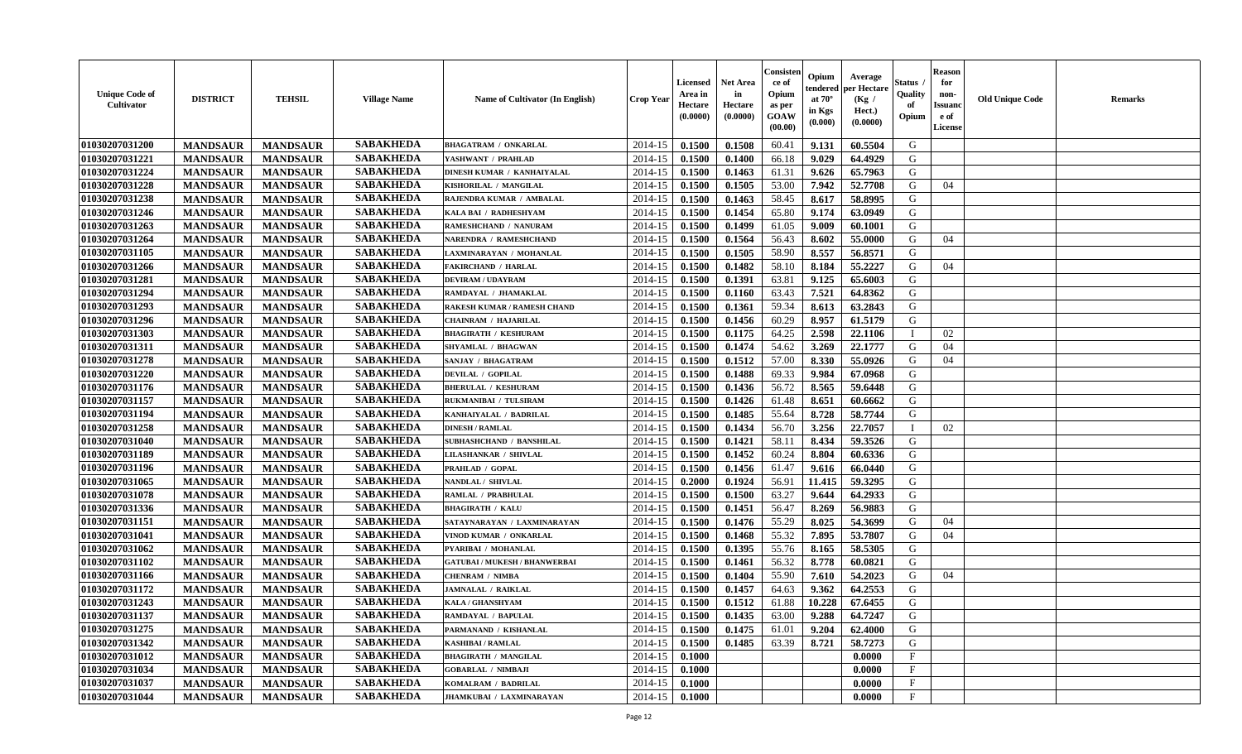| <b>SABAKHEDA</b><br>2014-15<br>G<br>0.1500<br>0.1508<br>60.41<br>9.131<br>60.5504<br><b>MANDSAUR</b><br><b>MANDSAUR</b><br><b>BHAGATRAM / ONKARLAL</b><br><b>SABAKHEDA</b><br><b>MANDSAUR</b><br>2014-15<br>66.18<br>9.029<br>G<br><b>MANDSAUR</b><br>0.1500<br>0.1400<br>64.4929<br>YASHWANT / PRAHLAD<br><b>SABAKHEDA</b><br><b>MANDSAUR</b><br><b>MANDSAUR</b><br>0.1500<br>9.626<br>65.7963<br>G<br>DINESH KUMAR / KANHAIYALAL<br>2014-15<br>0.1463<br>61.31<br><b>SABAKHEDA</b><br>52,7708<br><b>MANDSAUR</b><br><b>MANDSAUR</b><br>2014-15<br>0.1500<br>0.1505<br>53.00<br>7.942<br>G<br>KISHORILAL / MANGILAL<br>04<br><b>SABAKHEDA</b><br>58.45<br><b>MANDSAUR</b><br><b>MANDSAUR</b><br>2014-15<br>0.1500<br>0.1463<br>8.617<br>58.8995<br>G<br>RAJENDRA KUMAR / AMBALAL<br><b>SABAKHEDA</b><br><b>MANDSAUR</b><br><b>MANDSAUR</b><br>0.1500<br>0.1454<br>65.80<br>9.174<br>63.0949<br>G<br>KALA BAI / RADHESHYAM<br>2014-15<br><b>SABAKHEDA</b><br><b>MANDSAUR</b><br><b>MANDSAUR</b><br>0.1500<br>0.1499<br>61.05<br>9.009<br>G<br>2014-15<br>60.1001<br>RAMESHCHAND / NANURAM<br><b>SABAKHEDA</b><br>56.43<br>G<br><b>MANDSAUR</b><br><b>MANDSAUR</b><br>2014-15<br>0.1500<br>0.1564<br>8.602<br>55.0000<br><b>NARENDRA / RAMESHCHAND</b><br>04<br><b>SABAKHEDA</b><br><b>MANDSAUR</b><br>2014-15<br>0.1505<br>58.90<br>8.557<br>G<br><b>MANDSAUR</b><br>LAXMINARAYAN / MOHANLAL<br>0.1500<br>56.8571<br><b>SABAKHEDA</b><br>58.10<br>2014-15<br>0.1482<br>55,2227<br>G<br><b>MANDSAUR</b><br>0.1500<br>8.184<br>04<br><b>MANDSAUR</b><br><b>FAKIRCHAND / HARLAL</b><br><b>SABAKHEDA</b><br><b>MANDSAUR</b><br><b>MANDSAUR</b><br>0.1391<br>63.81<br>9.125<br>65.6003<br>G<br><b>DEVIRAM / UDAYRAM</b><br>2014-15<br>0.1500<br><b>SABAKHEDA</b><br><b>MANDSAUR</b><br>7.521<br>64.8362<br>G<br><b>MANDSAUR</b><br>RAMDAYAL / JHAMAKLAL<br>2014-15<br>0.1500<br>0.1160<br>63.43<br><b>SABAKHEDA</b><br><b>MANDSAUR</b><br>0.1361<br>59.34<br>8.613<br>63.2843<br>G<br><b>MANDSAUR</b><br>RAKESH KUMAR / RAMESH CHAND<br>2014-15<br>0.1500<br><b>SABAKHEDA</b><br><b>MANDSAUR</b><br><b>MANDSAUR</b><br>61.5179<br>G<br><b>CHAINRAM / HAJARILAL</b><br>2014-15<br>0.1500<br>0.1456<br>60.29<br>8.957<br><b>SABAKHEDA</b><br>01030207031303<br><b>MANDSAUR</b><br>2.598<br><b>MANDSAUR</b><br>2014-15<br>0.1500<br>0.1175<br>64.25<br>22.1106<br>02<br><b>BHAGIRATH / KESHURAM</b><br><b>SABAKHEDA</b><br>0.1474<br>3.269<br><b>MANDSAUR</b><br><b>MANDSAUR</b><br>2014-15<br>0.1500<br>54.62<br>22,1777<br>G<br>04<br>SHYAMLAL / BHAGWAN<br><b>SABAKHEDA</b><br>01030207031278<br>57.00<br><b>MANDSAUR</b><br><b>MANDSAUR</b><br>2014-15<br>0.1500<br>0.1512<br>8.330<br>55.0926<br>G<br>04<br>SANJAY / BHAGATRAM<br>01030207031220<br><b>SABAKHEDA</b><br><b>MANDSAUR</b><br>2014-15<br>0.1488<br>69.33<br>G<br><b>MANDSAUR</b><br><b>DEVILAL / GOPILAL</b><br>0.1500<br>9.984<br>67.0968<br><b>SABAKHEDA</b><br>01030207031176<br><b>MANDSAUR</b><br>0.1436<br>56.72<br>8.565<br>G<br><b>MANDSAUR</b><br><b>BHERULAL / KESHURAM</b><br>2014-15<br>0.1500<br>59.6448<br><b>SABAKHEDA</b><br>01030207031157<br><b>MANDSAUR</b><br><b>MANDSAUR</b><br>0.1426<br>RUKMANIBAI / TULSIRAM<br>2014-15<br>0.1500<br>61.48<br>8.651<br>60.6662<br>G<br><b>SABAKHEDA</b><br>0.1485<br>55.64<br>8.728<br>58.7744<br>G<br>01030207031194<br><b>MANDSAUR</b><br><b>MANDSAUR</b><br>2014-15<br>0.1500<br>KANHAIYALAL / BADRILAL<br><b>SABAKHEDA</b><br><b>MANDSAUR</b><br><b>MANDSAUR</b><br>0.1434<br>56.70<br>3.256<br>22.7057<br>01030207031258<br>2014-15<br>0.1500<br><b>DINESH / RAMLAL</b><br>02<br>П<br><b>SABAKHEDA</b><br>01030207031040<br><b>MANDSAUR</b><br>0.1421<br>58.11<br><b>MANDSAUR</b><br>SUBHASHCHAND / BANSHILAL<br>2014-15<br>0.1500<br>8.434<br>59.3526<br>G<br><b>SABAKHEDA</b><br>01030207031189<br>60.24<br><b>MANDSAUR</b><br>2014-15<br>0.1452<br>8.804<br>G<br><b>MANDSAUR</b><br>0.1500<br>60.6336<br>LILASHANKAR / SHIVLAL<br><b>SABAKHEDA</b><br>01030207031196<br>G<br><b>MANDSAUR</b><br><b>MANDSAUR</b><br>2014-15<br>0.1500<br>0.1456<br>61.47<br>9.616<br>PRAHLAD / GOPAL<br>66.0440<br><b>SABAKHEDA</b><br>G<br>01030207031065<br><b>MANDSAUR</b><br>2014-15<br>0.1924<br>56.91<br>59.3295<br><b>MANDSAUR</b><br>NANDLAL / SHIVLAL<br>0.2000<br>11.415<br><b>SABAKHEDA</b><br>9.644<br>01030207031078<br><b>MANDSAUR</b><br><b>MANDSAUR</b><br>2014-15<br>0.1500<br>0.1500<br>63.27<br>64.2933<br>G<br>RAMLAL / PRABHULAL<br><b>SABAKHEDA</b><br>01030207031336<br><b>MANDSAUR</b><br><b>MANDSAUR</b><br>0.1500<br>0.1451<br>56.47<br>8.269<br>56.9883<br>G<br><b>BHAGIRATH / KALU</b><br>2014-15<br><b>SABAKHEDA</b><br>01030207031151<br><b>MANDSAUR</b><br><b>MANDSAUR</b><br>55.29<br>54.3699<br>G<br>SATAYNARAYAN / LAXMINARAYAN<br>2014-15<br>0.1500<br>0.1476<br>8.025<br>04<br><b>SABAKHEDA</b><br>01030207031041<br>55.32<br>7.895<br>53.7807<br><b>MANDSAUR</b><br><b>MANDSAUR</b><br>VINOD KUMAR / ONKARLAL<br>2014-15<br>0.1500<br>0.1468<br>G<br>04<br><b>SABAKHEDA</b><br>01030207031062<br><b>MANDSAUR</b><br><b>MANDSAUR</b><br>0.1395<br>55.76<br>58.5305<br>PYARIBAI / MOHANLAL<br>2014-15<br>0.1500<br>8.165<br>G<br><b>SABAKHEDA</b><br>01030207031102<br>2014-15<br>56.32<br>G<br><b>MANDSAUR</b><br><b>MANDSAUR</b><br>0.1500<br>0.1461<br>8.778<br>60.0821<br><b>GATUBAI / MUKESH / BHANWERBAI</b><br><b>SABAKHEDA</b><br>55.90<br>G<br>01030207031166<br><b>MANDSAUR</b><br><b>MANDSAUR</b><br>2014-15<br>0.1500<br>0.1404<br>7.610<br>54.2023<br>04<br><b>CHENRAM / NIMBA</b><br><b>SABAKHEDA</b><br>01030207031172<br><b>MANDSAUR</b><br>0.1457<br>64.63<br>9.362<br>64.2553<br>G<br><b>MANDSAUR</b><br>2014-15<br>0.1500<br><b>JAMNALAL / RAIKLAL</b><br><b>SABAKHEDA</b><br>01030207031243<br>0.1512<br>10.228<br>67.6455<br>G<br><b>MANDSAUR</b><br><b>MANDSAUR</b><br>2014-15<br>0.1500<br>61.88<br>KALA / GHANSHYAM<br> 01030207031137<br><b>SABAKHEDA</b><br>9.288<br>G<br><b>MANDSAUR</b><br><b>MANDSAUR</b><br>RAMDAYAL / BAPULAL<br>$2014-15$ 0.1500<br>0.1435<br>63.00<br>64.7247<br><b>SABAKHEDA</b><br>01030207031275<br><b>MANDSAUR</b><br><b>MANDSAUR</b><br>2014-15<br>0.1500<br>0.1475<br>61.01<br>9.204<br>62.4000<br>G<br>PARMANAND / KISHANLAL<br><b>SABAKHEDA</b><br>01030207031342<br><b>MANDSAUR</b><br><b>MANDSAUR</b><br><b>KASHIBAI / RAMLAL</b><br>2014-15<br>0.1500<br>0.1485<br>63.39<br>8.721<br>58.7273<br>G<br><b>SABAKHEDA</b><br>01030207031012<br><b>MANDSAUR</b><br><b>MANDSAUR</b><br>$\mathbf{F}$<br><b>BHAGIRATH / MANGILAL</b><br>2014-15<br>0.0000<br>0.1000<br>01030207031034<br><b>SABAKHEDA</b><br>$\mathbf{F}$<br><b>MANDSAUR</b><br><b>MANDSAUR</b><br>2014-15<br>0.0000<br><b>GOBARLAL / NIMBAJI</b><br>0.1000<br>01030207031037<br><b>SABAKHEDA</b><br>2014-15<br>$\mathbf{F}$<br><b>MANDSAUR</b><br><b>MANDSAUR</b><br>KOMALRAM / BADRILAL<br>0.0000<br>0.1000<br>01030207031044<br><b>SABAKHEDA</b><br>$\mathbf{F}$<br><b>MANDSAUR</b><br>2014-15<br><b>MANDSAUR</b><br>JHAMKUBAI / LAXMINARAYAN<br>$\boldsymbol{0.1000}$<br>0.0000 | <b>Unique Code of</b><br><b>Cultivator</b> | <b>DISTRICT</b> | <b>TEHSIL</b> | <b>Village Name</b> | Name of Cultivator (In English) | <b>Crop Year</b> | <b>Licensed</b><br>Area in<br>Hectare<br>(0.0000) | <b>Net Area</b><br>in<br>Hectare<br>(0.0000) | Consisteı<br>ce of<br>Opium<br>as per<br><b>GOAW</b><br>(00.00) | Opium<br>endered<br>at $70^\circ$<br>in Kgs<br>$(\mathbf{0.000})$ | Average<br>per Hectare<br>(Kg /<br>Hect.)<br>(0.0000) | Status<br>Quality<br>of<br>Opium | <b>Reason</b><br>for<br>non-<br>Issuan<br>e of<br><b>License</b> | <b>Old Unique Code</b> | <b>Remarks</b> |
|-----------------------------------------------------------------------------------------------------------------------------------------------------------------------------------------------------------------------------------------------------------------------------------------------------------------------------------------------------------------------------------------------------------------------------------------------------------------------------------------------------------------------------------------------------------------------------------------------------------------------------------------------------------------------------------------------------------------------------------------------------------------------------------------------------------------------------------------------------------------------------------------------------------------------------------------------------------------------------------------------------------------------------------------------------------------------------------------------------------------------------------------------------------------------------------------------------------------------------------------------------------------------------------------------------------------------------------------------------------------------------------------------------------------------------------------------------------------------------------------------------------------------------------------------------------------------------------------------------------------------------------------------------------------------------------------------------------------------------------------------------------------------------------------------------------------------------------------------------------------------------------------------------------------------------------------------------------------------------------------------------------------------------------------------------------------------------------------------------------------------------------------------------------------------------------------------------------------------------------------------------------------------------------------------------------------------------------------------------------------------------------------------------------------------------------------------------------------------------------------------------------------------------------------------------------------------------------------------------------------------------------------------------------------------------------------------------------------------------------------------------------------------------------------------------------------------------------------------------------------------------------------------------------------------------------------------------------------------------------------------------------------------------------------------------------------------------------------------------------------------------------------------------------------------------------------------------------------------------------------------------------------------------------------------------------------------------------------------------------------------------------------------------------------------------------------------------------------------------------------------------------------------------------------------------------------------------------------------------------------------------------------------------------------------------------------------------------------------------------------------------------------------------------------------------------------------------------------------------------------------------------------------------------------------------------------------------------------------------------------------------------------------------------------------------------------------------------------------------------------------------------------------------------------------------------------------------------------------------------------------------------------------------------------------------------------------------------------------------------------------------------------------------------------------------------------------------------------------------------------------------------------------------------------------------------------------------------------------------------------------------------------------------------------------------------------------------------------------------------------------------------------------------------------------------------------------------------------------------------------------------------------------------------------------------------------------------------------------------------------------------------------------------------------------------------------------------------------------------------------------------------------------------------------------------------------------------------------------------------------------------------------------------------------------------------------------------------------------------------------------------------------------------------------------------------------------------------------------------------------------------------------------------------------------------------------------------------------------------------------------------------------------------------------------------------------------------------------------------------------------------------------------------------------------------------------------------------------------------------------------------------------------------------------------------------------------------------------------------------------------------------------------------------------------------------------------------------------------------------------------------------------------------------------------------------------------------------------------------------------------------------------------------------------------------------------------------------------------------------------------------------------------------------------------------------------------------------------------------------------------------------------------------------------------------------------------------------------------------------------------------------------------------------------------------------------------------------------------------------------------------------------------------------------------------------------------------------------------------------------------------------------------------------------------------------------------------------------------------------------------------------------------------------------------------|--------------------------------------------|-----------------|---------------|---------------------|---------------------------------|------------------|---------------------------------------------------|----------------------------------------------|-----------------------------------------------------------------|-------------------------------------------------------------------|-------------------------------------------------------|----------------------------------|------------------------------------------------------------------|------------------------|----------------|
|                                                                                                                                                                                                                                                                                                                                                                                                                                                                                                                                                                                                                                                                                                                                                                                                                                                                                                                                                                                                                                                                                                                                                                                                                                                                                                                                                                                                                                                                                                                                                                                                                                                                                                                                                                                                                                                                                                                                                                                                                                                                                                                                                                                                                                                                                                                                                                                                                                                                                                                                                                                                                                                                                                                                                                                                                                                                                                                                                                                                                                                                                                                                                                                                                                                                                                                                                                                                                                                                                                                                                                                                                                                                                                                                                                                                                                                                                                                                                                                                                                                                                                                                                                                                                                                                                                                                                                                                                                                                                                                                                                                                                                                                                                                                                                                                                                                                                                                                                                                                                                                                                                                                                                                                                                                                                                                                                                                                                                                                                                                                                                                                                                                                                                                                                                                                                                                                                                                                                                                                                                                                                                                                                                                                                                                                                                                                                                                                                                                                                                                                                                                                                                                                                                                                                                                                                                                                                                                                                                                                                                                     | 01030207031200                             |                 |               |                     |                                 |                  |                                                   |                                              |                                                                 |                                                                   |                                                       |                                  |                                                                  |                        |                |
|                                                                                                                                                                                                                                                                                                                                                                                                                                                                                                                                                                                                                                                                                                                                                                                                                                                                                                                                                                                                                                                                                                                                                                                                                                                                                                                                                                                                                                                                                                                                                                                                                                                                                                                                                                                                                                                                                                                                                                                                                                                                                                                                                                                                                                                                                                                                                                                                                                                                                                                                                                                                                                                                                                                                                                                                                                                                                                                                                                                                                                                                                                                                                                                                                                                                                                                                                                                                                                                                                                                                                                                                                                                                                                                                                                                                                                                                                                                                                                                                                                                                                                                                                                                                                                                                                                                                                                                                                                                                                                                                                                                                                                                                                                                                                                                                                                                                                                                                                                                                                                                                                                                                                                                                                                                                                                                                                                                                                                                                                                                                                                                                                                                                                                                                                                                                                                                                                                                                                                                                                                                                                                                                                                                                                                                                                                                                                                                                                                                                                                                                                                                                                                                                                                                                                                                                                                                                                                                                                                                                                                                     | 01030207031221                             |                 |               |                     |                                 |                  |                                                   |                                              |                                                                 |                                                                   |                                                       |                                  |                                                                  |                        |                |
|                                                                                                                                                                                                                                                                                                                                                                                                                                                                                                                                                                                                                                                                                                                                                                                                                                                                                                                                                                                                                                                                                                                                                                                                                                                                                                                                                                                                                                                                                                                                                                                                                                                                                                                                                                                                                                                                                                                                                                                                                                                                                                                                                                                                                                                                                                                                                                                                                                                                                                                                                                                                                                                                                                                                                                                                                                                                                                                                                                                                                                                                                                                                                                                                                                                                                                                                                                                                                                                                                                                                                                                                                                                                                                                                                                                                                                                                                                                                                                                                                                                                                                                                                                                                                                                                                                                                                                                                                                                                                                                                                                                                                                                                                                                                                                                                                                                                                                                                                                                                                                                                                                                                                                                                                                                                                                                                                                                                                                                                                                                                                                                                                                                                                                                                                                                                                                                                                                                                                                                                                                                                                                                                                                                                                                                                                                                                                                                                                                                                                                                                                                                                                                                                                                                                                                                                                                                                                                                                                                                                                                                     | 01030207031224                             |                 |               |                     |                                 |                  |                                                   |                                              |                                                                 |                                                                   |                                                       |                                  |                                                                  |                        |                |
|                                                                                                                                                                                                                                                                                                                                                                                                                                                                                                                                                                                                                                                                                                                                                                                                                                                                                                                                                                                                                                                                                                                                                                                                                                                                                                                                                                                                                                                                                                                                                                                                                                                                                                                                                                                                                                                                                                                                                                                                                                                                                                                                                                                                                                                                                                                                                                                                                                                                                                                                                                                                                                                                                                                                                                                                                                                                                                                                                                                                                                                                                                                                                                                                                                                                                                                                                                                                                                                                                                                                                                                                                                                                                                                                                                                                                                                                                                                                                                                                                                                                                                                                                                                                                                                                                                                                                                                                                                                                                                                                                                                                                                                                                                                                                                                                                                                                                                                                                                                                                                                                                                                                                                                                                                                                                                                                                                                                                                                                                                                                                                                                                                                                                                                                                                                                                                                                                                                                                                                                                                                                                                                                                                                                                                                                                                                                                                                                                                                                                                                                                                                                                                                                                                                                                                                                                                                                                                                                                                                                                                                     | 01030207031228                             |                 |               |                     |                                 |                  |                                                   |                                              |                                                                 |                                                                   |                                                       |                                  |                                                                  |                        |                |
|                                                                                                                                                                                                                                                                                                                                                                                                                                                                                                                                                                                                                                                                                                                                                                                                                                                                                                                                                                                                                                                                                                                                                                                                                                                                                                                                                                                                                                                                                                                                                                                                                                                                                                                                                                                                                                                                                                                                                                                                                                                                                                                                                                                                                                                                                                                                                                                                                                                                                                                                                                                                                                                                                                                                                                                                                                                                                                                                                                                                                                                                                                                                                                                                                                                                                                                                                                                                                                                                                                                                                                                                                                                                                                                                                                                                                                                                                                                                                                                                                                                                                                                                                                                                                                                                                                                                                                                                                                                                                                                                                                                                                                                                                                                                                                                                                                                                                                                                                                                                                                                                                                                                                                                                                                                                                                                                                                                                                                                                                                                                                                                                                                                                                                                                                                                                                                                                                                                                                                                                                                                                                                                                                                                                                                                                                                                                                                                                                                                                                                                                                                                                                                                                                                                                                                                                                                                                                                                                                                                                                                                     | 01030207031238                             |                 |               |                     |                                 |                  |                                                   |                                              |                                                                 |                                                                   |                                                       |                                  |                                                                  |                        |                |
|                                                                                                                                                                                                                                                                                                                                                                                                                                                                                                                                                                                                                                                                                                                                                                                                                                                                                                                                                                                                                                                                                                                                                                                                                                                                                                                                                                                                                                                                                                                                                                                                                                                                                                                                                                                                                                                                                                                                                                                                                                                                                                                                                                                                                                                                                                                                                                                                                                                                                                                                                                                                                                                                                                                                                                                                                                                                                                                                                                                                                                                                                                                                                                                                                                                                                                                                                                                                                                                                                                                                                                                                                                                                                                                                                                                                                                                                                                                                                                                                                                                                                                                                                                                                                                                                                                                                                                                                                                                                                                                                                                                                                                                                                                                                                                                                                                                                                                                                                                                                                                                                                                                                                                                                                                                                                                                                                                                                                                                                                                                                                                                                                                                                                                                                                                                                                                                                                                                                                                                                                                                                                                                                                                                                                                                                                                                                                                                                                                                                                                                                                                                                                                                                                                                                                                                                                                                                                                                                                                                                                                                     | 01030207031246                             |                 |               |                     |                                 |                  |                                                   |                                              |                                                                 |                                                                   |                                                       |                                  |                                                                  |                        |                |
|                                                                                                                                                                                                                                                                                                                                                                                                                                                                                                                                                                                                                                                                                                                                                                                                                                                                                                                                                                                                                                                                                                                                                                                                                                                                                                                                                                                                                                                                                                                                                                                                                                                                                                                                                                                                                                                                                                                                                                                                                                                                                                                                                                                                                                                                                                                                                                                                                                                                                                                                                                                                                                                                                                                                                                                                                                                                                                                                                                                                                                                                                                                                                                                                                                                                                                                                                                                                                                                                                                                                                                                                                                                                                                                                                                                                                                                                                                                                                                                                                                                                                                                                                                                                                                                                                                                                                                                                                                                                                                                                                                                                                                                                                                                                                                                                                                                                                                                                                                                                                                                                                                                                                                                                                                                                                                                                                                                                                                                                                                                                                                                                                                                                                                                                                                                                                                                                                                                                                                                                                                                                                                                                                                                                                                                                                                                                                                                                                                                                                                                                                                                                                                                                                                                                                                                                                                                                                                                                                                                                                                                     | 01030207031263                             |                 |               |                     |                                 |                  |                                                   |                                              |                                                                 |                                                                   |                                                       |                                  |                                                                  |                        |                |
|                                                                                                                                                                                                                                                                                                                                                                                                                                                                                                                                                                                                                                                                                                                                                                                                                                                                                                                                                                                                                                                                                                                                                                                                                                                                                                                                                                                                                                                                                                                                                                                                                                                                                                                                                                                                                                                                                                                                                                                                                                                                                                                                                                                                                                                                                                                                                                                                                                                                                                                                                                                                                                                                                                                                                                                                                                                                                                                                                                                                                                                                                                                                                                                                                                                                                                                                                                                                                                                                                                                                                                                                                                                                                                                                                                                                                                                                                                                                                                                                                                                                                                                                                                                                                                                                                                                                                                                                                                                                                                                                                                                                                                                                                                                                                                                                                                                                                                                                                                                                                                                                                                                                                                                                                                                                                                                                                                                                                                                                                                                                                                                                                                                                                                                                                                                                                                                                                                                                                                                                                                                                                                                                                                                                                                                                                                                                                                                                                                                                                                                                                                                                                                                                                                                                                                                                                                                                                                                                                                                                                                                     | 01030207031264                             |                 |               |                     |                                 |                  |                                                   |                                              |                                                                 |                                                                   |                                                       |                                  |                                                                  |                        |                |
|                                                                                                                                                                                                                                                                                                                                                                                                                                                                                                                                                                                                                                                                                                                                                                                                                                                                                                                                                                                                                                                                                                                                                                                                                                                                                                                                                                                                                                                                                                                                                                                                                                                                                                                                                                                                                                                                                                                                                                                                                                                                                                                                                                                                                                                                                                                                                                                                                                                                                                                                                                                                                                                                                                                                                                                                                                                                                                                                                                                                                                                                                                                                                                                                                                                                                                                                                                                                                                                                                                                                                                                                                                                                                                                                                                                                                                                                                                                                                                                                                                                                                                                                                                                                                                                                                                                                                                                                                                                                                                                                                                                                                                                                                                                                                                                                                                                                                                                                                                                                                                                                                                                                                                                                                                                                                                                                                                                                                                                                                                                                                                                                                                                                                                                                                                                                                                                                                                                                                                                                                                                                                                                                                                                                                                                                                                                                                                                                                                                                                                                                                                                                                                                                                                                                                                                                                                                                                                                                                                                                                                                     | 01030207031105                             |                 |               |                     |                                 |                  |                                                   |                                              |                                                                 |                                                                   |                                                       |                                  |                                                                  |                        |                |
|                                                                                                                                                                                                                                                                                                                                                                                                                                                                                                                                                                                                                                                                                                                                                                                                                                                                                                                                                                                                                                                                                                                                                                                                                                                                                                                                                                                                                                                                                                                                                                                                                                                                                                                                                                                                                                                                                                                                                                                                                                                                                                                                                                                                                                                                                                                                                                                                                                                                                                                                                                                                                                                                                                                                                                                                                                                                                                                                                                                                                                                                                                                                                                                                                                                                                                                                                                                                                                                                                                                                                                                                                                                                                                                                                                                                                                                                                                                                                                                                                                                                                                                                                                                                                                                                                                                                                                                                                                                                                                                                                                                                                                                                                                                                                                                                                                                                                                                                                                                                                                                                                                                                                                                                                                                                                                                                                                                                                                                                                                                                                                                                                                                                                                                                                                                                                                                                                                                                                                                                                                                                                                                                                                                                                                                                                                                                                                                                                                                                                                                                                                                                                                                                                                                                                                                                                                                                                                                                                                                                                                                     | 01030207031266                             |                 |               |                     |                                 |                  |                                                   |                                              |                                                                 |                                                                   |                                                       |                                  |                                                                  |                        |                |
|                                                                                                                                                                                                                                                                                                                                                                                                                                                                                                                                                                                                                                                                                                                                                                                                                                                                                                                                                                                                                                                                                                                                                                                                                                                                                                                                                                                                                                                                                                                                                                                                                                                                                                                                                                                                                                                                                                                                                                                                                                                                                                                                                                                                                                                                                                                                                                                                                                                                                                                                                                                                                                                                                                                                                                                                                                                                                                                                                                                                                                                                                                                                                                                                                                                                                                                                                                                                                                                                                                                                                                                                                                                                                                                                                                                                                                                                                                                                                                                                                                                                                                                                                                                                                                                                                                                                                                                                                                                                                                                                                                                                                                                                                                                                                                                                                                                                                                                                                                                                                                                                                                                                                                                                                                                                                                                                                                                                                                                                                                                                                                                                                                                                                                                                                                                                                                                                                                                                                                                                                                                                                                                                                                                                                                                                                                                                                                                                                                                                                                                                                                                                                                                                                                                                                                                                                                                                                                                                                                                                                                                     | 01030207031281                             |                 |               |                     |                                 |                  |                                                   |                                              |                                                                 |                                                                   |                                                       |                                  |                                                                  |                        |                |
|                                                                                                                                                                                                                                                                                                                                                                                                                                                                                                                                                                                                                                                                                                                                                                                                                                                                                                                                                                                                                                                                                                                                                                                                                                                                                                                                                                                                                                                                                                                                                                                                                                                                                                                                                                                                                                                                                                                                                                                                                                                                                                                                                                                                                                                                                                                                                                                                                                                                                                                                                                                                                                                                                                                                                                                                                                                                                                                                                                                                                                                                                                                                                                                                                                                                                                                                                                                                                                                                                                                                                                                                                                                                                                                                                                                                                                                                                                                                                                                                                                                                                                                                                                                                                                                                                                                                                                                                                                                                                                                                                                                                                                                                                                                                                                                                                                                                                                                                                                                                                                                                                                                                                                                                                                                                                                                                                                                                                                                                                                                                                                                                                                                                                                                                                                                                                                                                                                                                                                                                                                                                                                                                                                                                                                                                                                                                                                                                                                                                                                                                                                                                                                                                                                                                                                                                                                                                                                                                                                                                                                                     | 01030207031294                             |                 |               |                     |                                 |                  |                                                   |                                              |                                                                 |                                                                   |                                                       |                                  |                                                                  |                        |                |
|                                                                                                                                                                                                                                                                                                                                                                                                                                                                                                                                                                                                                                                                                                                                                                                                                                                                                                                                                                                                                                                                                                                                                                                                                                                                                                                                                                                                                                                                                                                                                                                                                                                                                                                                                                                                                                                                                                                                                                                                                                                                                                                                                                                                                                                                                                                                                                                                                                                                                                                                                                                                                                                                                                                                                                                                                                                                                                                                                                                                                                                                                                                                                                                                                                                                                                                                                                                                                                                                                                                                                                                                                                                                                                                                                                                                                                                                                                                                                                                                                                                                                                                                                                                                                                                                                                                                                                                                                                                                                                                                                                                                                                                                                                                                                                                                                                                                                                                                                                                                                                                                                                                                                                                                                                                                                                                                                                                                                                                                                                                                                                                                                                                                                                                                                                                                                                                                                                                                                                                                                                                                                                                                                                                                                                                                                                                                                                                                                                                                                                                                                                                                                                                                                                                                                                                                                                                                                                                                                                                                                                                     | 01030207031293                             |                 |               |                     |                                 |                  |                                                   |                                              |                                                                 |                                                                   |                                                       |                                  |                                                                  |                        |                |
|                                                                                                                                                                                                                                                                                                                                                                                                                                                                                                                                                                                                                                                                                                                                                                                                                                                                                                                                                                                                                                                                                                                                                                                                                                                                                                                                                                                                                                                                                                                                                                                                                                                                                                                                                                                                                                                                                                                                                                                                                                                                                                                                                                                                                                                                                                                                                                                                                                                                                                                                                                                                                                                                                                                                                                                                                                                                                                                                                                                                                                                                                                                                                                                                                                                                                                                                                                                                                                                                                                                                                                                                                                                                                                                                                                                                                                                                                                                                                                                                                                                                                                                                                                                                                                                                                                                                                                                                                                                                                                                                                                                                                                                                                                                                                                                                                                                                                                                                                                                                                                                                                                                                                                                                                                                                                                                                                                                                                                                                                                                                                                                                                                                                                                                                                                                                                                                                                                                                                                                                                                                                                                                                                                                                                                                                                                                                                                                                                                                                                                                                                                                                                                                                                                                                                                                                                                                                                                                                                                                                                                                     | 01030207031296                             |                 |               |                     |                                 |                  |                                                   |                                              |                                                                 |                                                                   |                                                       |                                  |                                                                  |                        |                |
|                                                                                                                                                                                                                                                                                                                                                                                                                                                                                                                                                                                                                                                                                                                                                                                                                                                                                                                                                                                                                                                                                                                                                                                                                                                                                                                                                                                                                                                                                                                                                                                                                                                                                                                                                                                                                                                                                                                                                                                                                                                                                                                                                                                                                                                                                                                                                                                                                                                                                                                                                                                                                                                                                                                                                                                                                                                                                                                                                                                                                                                                                                                                                                                                                                                                                                                                                                                                                                                                                                                                                                                                                                                                                                                                                                                                                                                                                                                                                                                                                                                                                                                                                                                                                                                                                                                                                                                                                                                                                                                                                                                                                                                                                                                                                                                                                                                                                                                                                                                                                                                                                                                                                                                                                                                                                                                                                                                                                                                                                                                                                                                                                                                                                                                                                                                                                                                                                                                                                                                                                                                                                                                                                                                                                                                                                                                                                                                                                                                                                                                                                                                                                                                                                                                                                                                                                                                                                                                                                                                                                                                     |                                            |                 |               |                     |                                 |                  |                                                   |                                              |                                                                 |                                                                   |                                                       |                                  |                                                                  |                        |                |
|                                                                                                                                                                                                                                                                                                                                                                                                                                                                                                                                                                                                                                                                                                                                                                                                                                                                                                                                                                                                                                                                                                                                                                                                                                                                                                                                                                                                                                                                                                                                                                                                                                                                                                                                                                                                                                                                                                                                                                                                                                                                                                                                                                                                                                                                                                                                                                                                                                                                                                                                                                                                                                                                                                                                                                                                                                                                                                                                                                                                                                                                                                                                                                                                                                                                                                                                                                                                                                                                                                                                                                                                                                                                                                                                                                                                                                                                                                                                                                                                                                                                                                                                                                                                                                                                                                                                                                                                                                                                                                                                                                                                                                                                                                                                                                                                                                                                                                                                                                                                                                                                                                                                                                                                                                                                                                                                                                                                                                                                                                                                                                                                                                                                                                                                                                                                                                                                                                                                                                                                                                                                                                                                                                                                                                                                                                                                                                                                                                                                                                                                                                                                                                                                                                                                                                                                                                                                                                                                                                                                                                                     | 01030207031311                             |                 |               |                     |                                 |                  |                                                   |                                              |                                                                 |                                                                   |                                                       |                                  |                                                                  |                        |                |
|                                                                                                                                                                                                                                                                                                                                                                                                                                                                                                                                                                                                                                                                                                                                                                                                                                                                                                                                                                                                                                                                                                                                                                                                                                                                                                                                                                                                                                                                                                                                                                                                                                                                                                                                                                                                                                                                                                                                                                                                                                                                                                                                                                                                                                                                                                                                                                                                                                                                                                                                                                                                                                                                                                                                                                                                                                                                                                                                                                                                                                                                                                                                                                                                                                                                                                                                                                                                                                                                                                                                                                                                                                                                                                                                                                                                                                                                                                                                                                                                                                                                                                                                                                                                                                                                                                                                                                                                                                                                                                                                                                                                                                                                                                                                                                                                                                                                                                                                                                                                                                                                                                                                                                                                                                                                                                                                                                                                                                                                                                                                                                                                                                                                                                                                                                                                                                                                                                                                                                                                                                                                                                                                                                                                                                                                                                                                                                                                                                                                                                                                                                                                                                                                                                                                                                                                                                                                                                                                                                                                                                                     |                                            |                 |               |                     |                                 |                  |                                                   |                                              |                                                                 |                                                                   |                                                       |                                  |                                                                  |                        |                |
|                                                                                                                                                                                                                                                                                                                                                                                                                                                                                                                                                                                                                                                                                                                                                                                                                                                                                                                                                                                                                                                                                                                                                                                                                                                                                                                                                                                                                                                                                                                                                                                                                                                                                                                                                                                                                                                                                                                                                                                                                                                                                                                                                                                                                                                                                                                                                                                                                                                                                                                                                                                                                                                                                                                                                                                                                                                                                                                                                                                                                                                                                                                                                                                                                                                                                                                                                                                                                                                                                                                                                                                                                                                                                                                                                                                                                                                                                                                                                                                                                                                                                                                                                                                                                                                                                                                                                                                                                                                                                                                                                                                                                                                                                                                                                                                                                                                                                                                                                                                                                                                                                                                                                                                                                                                                                                                                                                                                                                                                                                                                                                                                                                                                                                                                                                                                                                                                                                                                                                                                                                                                                                                                                                                                                                                                                                                                                                                                                                                                                                                                                                                                                                                                                                                                                                                                                                                                                                                                                                                                                                                     |                                            |                 |               |                     |                                 |                  |                                                   |                                              |                                                                 |                                                                   |                                                       |                                  |                                                                  |                        |                |
|                                                                                                                                                                                                                                                                                                                                                                                                                                                                                                                                                                                                                                                                                                                                                                                                                                                                                                                                                                                                                                                                                                                                                                                                                                                                                                                                                                                                                                                                                                                                                                                                                                                                                                                                                                                                                                                                                                                                                                                                                                                                                                                                                                                                                                                                                                                                                                                                                                                                                                                                                                                                                                                                                                                                                                                                                                                                                                                                                                                                                                                                                                                                                                                                                                                                                                                                                                                                                                                                                                                                                                                                                                                                                                                                                                                                                                                                                                                                                                                                                                                                                                                                                                                                                                                                                                                                                                                                                                                                                                                                                                                                                                                                                                                                                                                                                                                                                                                                                                                                                                                                                                                                                                                                                                                                                                                                                                                                                                                                                                                                                                                                                                                                                                                                                                                                                                                                                                                                                                                                                                                                                                                                                                                                                                                                                                                                                                                                                                                                                                                                                                                                                                                                                                                                                                                                                                                                                                                                                                                                                                                     |                                            |                 |               |                     |                                 |                  |                                                   |                                              |                                                                 |                                                                   |                                                       |                                  |                                                                  |                        |                |
|                                                                                                                                                                                                                                                                                                                                                                                                                                                                                                                                                                                                                                                                                                                                                                                                                                                                                                                                                                                                                                                                                                                                                                                                                                                                                                                                                                                                                                                                                                                                                                                                                                                                                                                                                                                                                                                                                                                                                                                                                                                                                                                                                                                                                                                                                                                                                                                                                                                                                                                                                                                                                                                                                                                                                                                                                                                                                                                                                                                                                                                                                                                                                                                                                                                                                                                                                                                                                                                                                                                                                                                                                                                                                                                                                                                                                                                                                                                                                                                                                                                                                                                                                                                                                                                                                                                                                                                                                                                                                                                                                                                                                                                                                                                                                                                                                                                                                                                                                                                                                                                                                                                                                                                                                                                                                                                                                                                                                                                                                                                                                                                                                                                                                                                                                                                                                                                                                                                                                                                                                                                                                                                                                                                                                                                                                                                                                                                                                                                                                                                                                                                                                                                                                                                                                                                                                                                                                                                                                                                                                                                     |                                            |                 |               |                     |                                 |                  |                                                   |                                              |                                                                 |                                                                   |                                                       |                                  |                                                                  |                        |                |
|                                                                                                                                                                                                                                                                                                                                                                                                                                                                                                                                                                                                                                                                                                                                                                                                                                                                                                                                                                                                                                                                                                                                                                                                                                                                                                                                                                                                                                                                                                                                                                                                                                                                                                                                                                                                                                                                                                                                                                                                                                                                                                                                                                                                                                                                                                                                                                                                                                                                                                                                                                                                                                                                                                                                                                                                                                                                                                                                                                                                                                                                                                                                                                                                                                                                                                                                                                                                                                                                                                                                                                                                                                                                                                                                                                                                                                                                                                                                                                                                                                                                                                                                                                                                                                                                                                                                                                                                                                                                                                                                                                                                                                                                                                                                                                                                                                                                                                                                                                                                                                                                                                                                                                                                                                                                                                                                                                                                                                                                                                                                                                                                                                                                                                                                                                                                                                                                                                                                                                                                                                                                                                                                                                                                                                                                                                                                                                                                                                                                                                                                                                                                                                                                                                                                                                                                                                                                                                                                                                                                                                                     |                                            |                 |               |                     |                                 |                  |                                                   |                                              |                                                                 |                                                                   |                                                       |                                  |                                                                  |                        |                |
|                                                                                                                                                                                                                                                                                                                                                                                                                                                                                                                                                                                                                                                                                                                                                                                                                                                                                                                                                                                                                                                                                                                                                                                                                                                                                                                                                                                                                                                                                                                                                                                                                                                                                                                                                                                                                                                                                                                                                                                                                                                                                                                                                                                                                                                                                                                                                                                                                                                                                                                                                                                                                                                                                                                                                                                                                                                                                                                                                                                                                                                                                                                                                                                                                                                                                                                                                                                                                                                                                                                                                                                                                                                                                                                                                                                                                                                                                                                                                                                                                                                                                                                                                                                                                                                                                                                                                                                                                                                                                                                                                                                                                                                                                                                                                                                                                                                                                                                                                                                                                                                                                                                                                                                                                                                                                                                                                                                                                                                                                                                                                                                                                                                                                                                                                                                                                                                                                                                                                                                                                                                                                                                                                                                                                                                                                                                                                                                                                                                                                                                                                                                                                                                                                                                                                                                                                                                                                                                                                                                                                                                     |                                            |                 |               |                     |                                 |                  |                                                   |                                              |                                                                 |                                                                   |                                                       |                                  |                                                                  |                        |                |
|                                                                                                                                                                                                                                                                                                                                                                                                                                                                                                                                                                                                                                                                                                                                                                                                                                                                                                                                                                                                                                                                                                                                                                                                                                                                                                                                                                                                                                                                                                                                                                                                                                                                                                                                                                                                                                                                                                                                                                                                                                                                                                                                                                                                                                                                                                                                                                                                                                                                                                                                                                                                                                                                                                                                                                                                                                                                                                                                                                                                                                                                                                                                                                                                                                                                                                                                                                                                                                                                                                                                                                                                                                                                                                                                                                                                                                                                                                                                                                                                                                                                                                                                                                                                                                                                                                                                                                                                                                                                                                                                                                                                                                                                                                                                                                                                                                                                                                                                                                                                                                                                                                                                                                                                                                                                                                                                                                                                                                                                                                                                                                                                                                                                                                                                                                                                                                                                                                                                                                                                                                                                                                                                                                                                                                                                                                                                                                                                                                                                                                                                                                                                                                                                                                                                                                                                                                                                                                                                                                                                                                                     |                                            |                 |               |                     |                                 |                  |                                                   |                                              |                                                                 |                                                                   |                                                       |                                  |                                                                  |                        |                |
|                                                                                                                                                                                                                                                                                                                                                                                                                                                                                                                                                                                                                                                                                                                                                                                                                                                                                                                                                                                                                                                                                                                                                                                                                                                                                                                                                                                                                                                                                                                                                                                                                                                                                                                                                                                                                                                                                                                                                                                                                                                                                                                                                                                                                                                                                                                                                                                                                                                                                                                                                                                                                                                                                                                                                                                                                                                                                                                                                                                                                                                                                                                                                                                                                                                                                                                                                                                                                                                                                                                                                                                                                                                                                                                                                                                                                                                                                                                                                                                                                                                                                                                                                                                                                                                                                                                                                                                                                                                                                                                                                                                                                                                                                                                                                                                                                                                                                                                                                                                                                                                                                                                                                                                                                                                                                                                                                                                                                                                                                                                                                                                                                                                                                                                                                                                                                                                                                                                                                                                                                                                                                                                                                                                                                                                                                                                                                                                                                                                                                                                                                                                                                                                                                                                                                                                                                                                                                                                                                                                                                                                     |                                            |                 |               |                     |                                 |                  |                                                   |                                              |                                                                 |                                                                   |                                                       |                                  |                                                                  |                        |                |
|                                                                                                                                                                                                                                                                                                                                                                                                                                                                                                                                                                                                                                                                                                                                                                                                                                                                                                                                                                                                                                                                                                                                                                                                                                                                                                                                                                                                                                                                                                                                                                                                                                                                                                                                                                                                                                                                                                                                                                                                                                                                                                                                                                                                                                                                                                                                                                                                                                                                                                                                                                                                                                                                                                                                                                                                                                                                                                                                                                                                                                                                                                                                                                                                                                                                                                                                                                                                                                                                                                                                                                                                                                                                                                                                                                                                                                                                                                                                                                                                                                                                                                                                                                                                                                                                                                                                                                                                                                                                                                                                                                                                                                                                                                                                                                                                                                                                                                                                                                                                                                                                                                                                                                                                                                                                                                                                                                                                                                                                                                                                                                                                                                                                                                                                                                                                                                                                                                                                                                                                                                                                                                                                                                                                                                                                                                                                                                                                                                                                                                                                                                                                                                                                                                                                                                                                                                                                                                                                                                                                                                                     |                                            |                 |               |                     |                                 |                  |                                                   |                                              |                                                                 |                                                                   |                                                       |                                  |                                                                  |                        |                |
|                                                                                                                                                                                                                                                                                                                                                                                                                                                                                                                                                                                                                                                                                                                                                                                                                                                                                                                                                                                                                                                                                                                                                                                                                                                                                                                                                                                                                                                                                                                                                                                                                                                                                                                                                                                                                                                                                                                                                                                                                                                                                                                                                                                                                                                                                                                                                                                                                                                                                                                                                                                                                                                                                                                                                                                                                                                                                                                                                                                                                                                                                                                                                                                                                                                                                                                                                                                                                                                                                                                                                                                                                                                                                                                                                                                                                                                                                                                                                                                                                                                                                                                                                                                                                                                                                                                                                                                                                                                                                                                                                                                                                                                                                                                                                                                                                                                                                                                                                                                                                                                                                                                                                                                                                                                                                                                                                                                                                                                                                                                                                                                                                                                                                                                                                                                                                                                                                                                                                                                                                                                                                                                                                                                                                                                                                                                                                                                                                                                                                                                                                                                                                                                                                                                                                                                                                                                                                                                                                                                                                                                     |                                            |                 |               |                     |                                 |                  |                                                   |                                              |                                                                 |                                                                   |                                                       |                                  |                                                                  |                        |                |
|                                                                                                                                                                                                                                                                                                                                                                                                                                                                                                                                                                                                                                                                                                                                                                                                                                                                                                                                                                                                                                                                                                                                                                                                                                                                                                                                                                                                                                                                                                                                                                                                                                                                                                                                                                                                                                                                                                                                                                                                                                                                                                                                                                                                                                                                                                                                                                                                                                                                                                                                                                                                                                                                                                                                                                                                                                                                                                                                                                                                                                                                                                                                                                                                                                                                                                                                                                                                                                                                                                                                                                                                                                                                                                                                                                                                                                                                                                                                                                                                                                                                                                                                                                                                                                                                                                                                                                                                                                                                                                                                                                                                                                                                                                                                                                                                                                                                                                                                                                                                                                                                                                                                                                                                                                                                                                                                                                                                                                                                                                                                                                                                                                                                                                                                                                                                                                                                                                                                                                                                                                                                                                                                                                                                                                                                                                                                                                                                                                                                                                                                                                                                                                                                                                                                                                                                                                                                                                                                                                                                                                                     |                                            |                 |               |                     |                                 |                  |                                                   |                                              |                                                                 |                                                                   |                                                       |                                  |                                                                  |                        |                |
|                                                                                                                                                                                                                                                                                                                                                                                                                                                                                                                                                                                                                                                                                                                                                                                                                                                                                                                                                                                                                                                                                                                                                                                                                                                                                                                                                                                                                                                                                                                                                                                                                                                                                                                                                                                                                                                                                                                                                                                                                                                                                                                                                                                                                                                                                                                                                                                                                                                                                                                                                                                                                                                                                                                                                                                                                                                                                                                                                                                                                                                                                                                                                                                                                                                                                                                                                                                                                                                                                                                                                                                                                                                                                                                                                                                                                                                                                                                                                                                                                                                                                                                                                                                                                                                                                                                                                                                                                                                                                                                                                                                                                                                                                                                                                                                                                                                                                                                                                                                                                                                                                                                                                                                                                                                                                                                                                                                                                                                                                                                                                                                                                                                                                                                                                                                                                                                                                                                                                                                                                                                                                                                                                                                                                                                                                                                                                                                                                                                                                                                                                                                                                                                                                                                                                                                                                                                                                                                                                                                                                                                     |                                            |                 |               |                     |                                 |                  |                                                   |                                              |                                                                 |                                                                   |                                                       |                                  |                                                                  |                        |                |
|                                                                                                                                                                                                                                                                                                                                                                                                                                                                                                                                                                                                                                                                                                                                                                                                                                                                                                                                                                                                                                                                                                                                                                                                                                                                                                                                                                                                                                                                                                                                                                                                                                                                                                                                                                                                                                                                                                                                                                                                                                                                                                                                                                                                                                                                                                                                                                                                                                                                                                                                                                                                                                                                                                                                                                                                                                                                                                                                                                                                                                                                                                                                                                                                                                                                                                                                                                                                                                                                                                                                                                                                                                                                                                                                                                                                                                                                                                                                                                                                                                                                                                                                                                                                                                                                                                                                                                                                                                                                                                                                                                                                                                                                                                                                                                                                                                                                                                                                                                                                                                                                                                                                                                                                                                                                                                                                                                                                                                                                                                                                                                                                                                                                                                                                                                                                                                                                                                                                                                                                                                                                                                                                                                                                                                                                                                                                                                                                                                                                                                                                                                                                                                                                                                                                                                                                                                                                                                                                                                                                                                                     |                                            |                 |               |                     |                                 |                  |                                                   |                                              |                                                                 |                                                                   |                                                       |                                  |                                                                  |                        |                |
|                                                                                                                                                                                                                                                                                                                                                                                                                                                                                                                                                                                                                                                                                                                                                                                                                                                                                                                                                                                                                                                                                                                                                                                                                                                                                                                                                                                                                                                                                                                                                                                                                                                                                                                                                                                                                                                                                                                                                                                                                                                                                                                                                                                                                                                                                                                                                                                                                                                                                                                                                                                                                                                                                                                                                                                                                                                                                                                                                                                                                                                                                                                                                                                                                                                                                                                                                                                                                                                                                                                                                                                                                                                                                                                                                                                                                                                                                                                                                                                                                                                                                                                                                                                                                                                                                                                                                                                                                                                                                                                                                                                                                                                                                                                                                                                                                                                                                                                                                                                                                                                                                                                                                                                                                                                                                                                                                                                                                                                                                                                                                                                                                                                                                                                                                                                                                                                                                                                                                                                                                                                                                                                                                                                                                                                                                                                                                                                                                                                                                                                                                                                                                                                                                                                                                                                                                                                                                                                                                                                                                                                     |                                            |                 |               |                     |                                 |                  |                                                   |                                              |                                                                 |                                                                   |                                                       |                                  |                                                                  |                        |                |
|                                                                                                                                                                                                                                                                                                                                                                                                                                                                                                                                                                                                                                                                                                                                                                                                                                                                                                                                                                                                                                                                                                                                                                                                                                                                                                                                                                                                                                                                                                                                                                                                                                                                                                                                                                                                                                                                                                                                                                                                                                                                                                                                                                                                                                                                                                                                                                                                                                                                                                                                                                                                                                                                                                                                                                                                                                                                                                                                                                                                                                                                                                                                                                                                                                                                                                                                                                                                                                                                                                                                                                                                                                                                                                                                                                                                                                                                                                                                                                                                                                                                                                                                                                                                                                                                                                                                                                                                                                                                                                                                                                                                                                                                                                                                                                                                                                                                                                                                                                                                                                                                                                                                                                                                                                                                                                                                                                                                                                                                                                                                                                                                                                                                                                                                                                                                                                                                                                                                                                                                                                                                                                                                                                                                                                                                                                                                                                                                                                                                                                                                                                                                                                                                                                                                                                                                                                                                                                                                                                                                                                                     |                                            |                 |               |                     |                                 |                  |                                                   |                                              |                                                                 |                                                                   |                                                       |                                  |                                                                  |                        |                |
|                                                                                                                                                                                                                                                                                                                                                                                                                                                                                                                                                                                                                                                                                                                                                                                                                                                                                                                                                                                                                                                                                                                                                                                                                                                                                                                                                                                                                                                                                                                                                                                                                                                                                                                                                                                                                                                                                                                                                                                                                                                                                                                                                                                                                                                                                                                                                                                                                                                                                                                                                                                                                                                                                                                                                                                                                                                                                                                                                                                                                                                                                                                                                                                                                                                                                                                                                                                                                                                                                                                                                                                                                                                                                                                                                                                                                                                                                                                                                                                                                                                                                                                                                                                                                                                                                                                                                                                                                                                                                                                                                                                                                                                                                                                                                                                                                                                                                                                                                                                                                                                                                                                                                                                                                                                                                                                                                                                                                                                                                                                                                                                                                                                                                                                                                                                                                                                                                                                                                                                                                                                                                                                                                                                                                                                                                                                                                                                                                                                                                                                                                                                                                                                                                                                                                                                                                                                                                                                                                                                                                                                     |                                            |                 |               |                     |                                 |                  |                                                   |                                              |                                                                 |                                                                   |                                                       |                                  |                                                                  |                        |                |
|                                                                                                                                                                                                                                                                                                                                                                                                                                                                                                                                                                                                                                                                                                                                                                                                                                                                                                                                                                                                                                                                                                                                                                                                                                                                                                                                                                                                                                                                                                                                                                                                                                                                                                                                                                                                                                                                                                                                                                                                                                                                                                                                                                                                                                                                                                                                                                                                                                                                                                                                                                                                                                                                                                                                                                                                                                                                                                                                                                                                                                                                                                                                                                                                                                                                                                                                                                                                                                                                                                                                                                                                                                                                                                                                                                                                                                                                                                                                                                                                                                                                                                                                                                                                                                                                                                                                                                                                                                                                                                                                                                                                                                                                                                                                                                                                                                                                                                                                                                                                                                                                                                                                                                                                                                                                                                                                                                                                                                                                                                                                                                                                                                                                                                                                                                                                                                                                                                                                                                                                                                                                                                                                                                                                                                                                                                                                                                                                                                                                                                                                                                                                                                                                                                                                                                                                                                                                                                                                                                                                                                                     |                                            |                 |               |                     |                                 |                  |                                                   |                                              |                                                                 |                                                                   |                                                       |                                  |                                                                  |                        |                |
|                                                                                                                                                                                                                                                                                                                                                                                                                                                                                                                                                                                                                                                                                                                                                                                                                                                                                                                                                                                                                                                                                                                                                                                                                                                                                                                                                                                                                                                                                                                                                                                                                                                                                                                                                                                                                                                                                                                                                                                                                                                                                                                                                                                                                                                                                                                                                                                                                                                                                                                                                                                                                                                                                                                                                                                                                                                                                                                                                                                                                                                                                                                                                                                                                                                                                                                                                                                                                                                                                                                                                                                                                                                                                                                                                                                                                                                                                                                                                                                                                                                                                                                                                                                                                                                                                                                                                                                                                                                                                                                                                                                                                                                                                                                                                                                                                                                                                                                                                                                                                                                                                                                                                                                                                                                                                                                                                                                                                                                                                                                                                                                                                                                                                                                                                                                                                                                                                                                                                                                                                                                                                                                                                                                                                                                                                                                                                                                                                                                                                                                                                                                                                                                                                                                                                                                                                                                                                                                                                                                                                                                     |                                            |                 |               |                     |                                 |                  |                                                   |                                              |                                                                 |                                                                   |                                                       |                                  |                                                                  |                        |                |
|                                                                                                                                                                                                                                                                                                                                                                                                                                                                                                                                                                                                                                                                                                                                                                                                                                                                                                                                                                                                                                                                                                                                                                                                                                                                                                                                                                                                                                                                                                                                                                                                                                                                                                                                                                                                                                                                                                                                                                                                                                                                                                                                                                                                                                                                                                                                                                                                                                                                                                                                                                                                                                                                                                                                                                                                                                                                                                                                                                                                                                                                                                                                                                                                                                                                                                                                                                                                                                                                                                                                                                                                                                                                                                                                                                                                                                                                                                                                                                                                                                                                                                                                                                                                                                                                                                                                                                                                                                                                                                                                                                                                                                                                                                                                                                                                                                                                                                                                                                                                                                                                                                                                                                                                                                                                                                                                                                                                                                                                                                                                                                                                                                                                                                                                                                                                                                                                                                                                                                                                                                                                                                                                                                                                                                                                                                                                                                                                                                                                                                                                                                                                                                                                                                                                                                                                                                                                                                                                                                                                                                                     |                                            |                 |               |                     |                                 |                  |                                                   |                                              |                                                                 |                                                                   |                                                       |                                  |                                                                  |                        |                |
|                                                                                                                                                                                                                                                                                                                                                                                                                                                                                                                                                                                                                                                                                                                                                                                                                                                                                                                                                                                                                                                                                                                                                                                                                                                                                                                                                                                                                                                                                                                                                                                                                                                                                                                                                                                                                                                                                                                                                                                                                                                                                                                                                                                                                                                                                                                                                                                                                                                                                                                                                                                                                                                                                                                                                                                                                                                                                                                                                                                                                                                                                                                                                                                                                                                                                                                                                                                                                                                                                                                                                                                                                                                                                                                                                                                                                                                                                                                                                                                                                                                                                                                                                                                                                                                                                                                                                                                                                                                                                                                                                                                                                                                                                                                                                                                                                                                                                                                                                                                                                                                                                                                                                                                                                                                                                                                                                                                                                                                                                                                                                                                                                                                                                                                                                                                                                                                                                                                                                                                                                                                                                                                                                                                                                                                                                                                                                                                                                                                                                                                                                                                                                                                                                                                                                                                                                                                                                                                                                                                                                                                     |                                            |                 |               |                     |                                 |                  |                                                   |                                              |                                                                 |                                                                   |                                                       |                                  |                                                                  |                        |                |
|                                                                                                                                                                                                                                                                                                                                                                                                                                                                                                                                                                                                                                                                                                                                                                                                                                                                                                                                                                                                                                                                                                                                                                                                                                                                                                                                                                                                                                                                                                                                                                                                                                                                                                                                                                                                                                                                                                                                                                                                                                                                                                                                                                                                                                                                                                                                                                                                                                                                                                                                                                                                                                                                                                                                                                                                                                                                                                                                                                                                                                                                                                                                                                                                                                                                                                                                                                                                                                                                                                                                                                                                                                                                                                                                                                                                                                                                                                                                                                                                                                                                                                                                                                                                                                                                                                                                                                                                                                                                                                                                                                                                                                                                                                                                                                                                                                                                                                                                                                                                                                                                                                                                                                                                                                                                                                                                                                                                                                                                                                                                                                                                                                                                                                                                                                                                                                                                                                                                                                                                                                                                                                                                                                                                                                                                                                                                                                                                                                                                                                                                                                                                                                                                                                                                                                                                                                                                                                                                                                                                                                                     |                                            |                 |               |                     |                                 |                  |                                                   |                                              |                                                                 |                                                                   |                                                       |                                  |                                                                  |                        |                |
|                                                                                                                                                                                                                                                                                                                                                                                                                                                                                                                                                                                                                                                                                                                                                                                                                                                                                                                                                                                                                                                                                                                                                                                                                                                                                                                                                                                                                                                                                                                                                                                                                                                                                                                                                                                                                                                                                                                                                                                                                                                                                                                                                                                                                                                                                                                                                                                                                                                                                                                                                                                                                                                                                                                                                                                                                                                                                                                                                                                                                                                                                                                                                                                                                                                                                                                                                                                                                                                                                                                                                                                                                                                                                                                                                                                                                                                                                                                                                                                                                                                                                                                                                                                                                                                                                                                                                                                                                                                                                                                                                                                                                                                                                                                                                                                                                                                                                                                                                                                                                                                                                                                                                                                                                                                                                                                                                                                                                                                                                                                                                                                                                                                                                                                                                                                                                                                                                                                                                                                                                                                                                                                                                                                                                                                                                                                                                                                                                                                                                                                                                                                                                                                                                                                                                                                                                                                                                                                                                                                                                                                     |                                            |                 |               |                     |                                 |                  |                                                   |                                              |                                                                 |                                                                   |                                                       |                                  |                                                                  |                        |                |
|                                                                                                                                                                                                                                                                                                                                                                                                                                                                                                                                                                                                                                                                                                                                                                                                                                                                                                                                                                                                                                                                                                                                                                                                                                                                                                                                                                                                                                                                                                                                                                                                                                                                                                                                                                                                                                                                                                                                                                                                                                                                                                                                                                                                                                                                                                                                                                                                                                                                                                                                                                                                                                                                                                                                                                                                                                                                                                                                                                                                                                                                                                                                                                                                                                                                                                                                                                                                                                                                                                                                                                                                                                                                                                                                                                                                                                                                                                                                                                                                                                                                                                                                                                                                                                                                                                                                                                                                                                                                                                                                                                                                                                                                                                                                                                                                                                                                                                                                                                                                                                                                                                                                                                                                                                                                                                                                                                                                                                                                                                                                                                                                                                                                                                                                                                                                                                                                                                                                                                                                                                                                                                                                                                                                                                                                                                                                                                                                                                                                                                                                                                                                                                                                                                                                                                                                                                                                                                                                                                                                                                                     |                                            |                 |               |                     |                                 |                  |                                                   |                                              |                                                                 |                                                                   |                                                       |                                  |                                                                  |                        |                |
|                                                                                                                                                                                                                                                                                                                                                                                                                                                                                                                                                                                                                                                                                                                                                                                                                                                                                                                                                                                                                                                                                                                                                                                                                                                                                                                                                                                                                                                                                                                                                                                                                                                                                                                                                                                                                                                                                                                                                                                                                                                                                                                                                                                                                                                                                                                                                                                                                                                                                                                                                                                                                                                                                                                                                                                                                                                                                                                                                                                                                                                                                                                                                                                                                                                                                                                                                                                                                                                                                                                                                                                                                                                                                                                                                                                                                                                                                                                                                                                                                                                                                                                                                                                                                                                                                                                                                                                                                                                                                                                                                                                                                                                                                                                                                                                                                                                                                                                                                                                                                                                                                                                                                                                                                                                                                                                                                                                                                                                                                                                                                                                                                                                                                                                                                                                                                                                                                                                                                                                                                                                                                                                                                                                                                                                                                                                                                                                                                                                                                                                                                                                                                                                                                                                                                                                                                                                                                                                                                                                                                                                     |                                            |                 |               |                     |                                 |                  |                                                   |                                              |                                                                 |                                                                   |                                                       |                                  |                                                                  |                        |                |
|                                                                                                                                                                                                                                                                                                                                                                                                                                                                                                                                                                                                                                                                                                                                                                                                                                                                                                                                                                                                                                                                                                                                                                                                                                                                                                                                                                                                                                                                                                                                                                                                                                                                                                                                                                                                                                                                                                                                                                                                                                                                                                                                                                                                                                                                                                                                                                                                                                                                                                                                                                                                                                                                                                                                                                                                                                                                                                                                                                                                                                                                                                                                                                                                                                                                                                                                                                                                                                                                                                                                                                                                                                                                                                                                                                                                                                                                                                                                                                                                                                                                                                                                                                                                                                                                                                                                                                                                                                                                                                                                                                                                                                                                                                                                                                                                                                                                                                                                                                                                                                                                                                                                                                                                                                                                                                                                                                                                                                                                                                                                                                                                                                                                                                                                                                                                                                                                                                                                                                                                                                                                                                                                                                                                                                                                                                                                                                                                                                                                                                                                                                                                                                                                                                                                                                                                                                                                                                                                                                                                                                                     |                                            |                 |               |                     |                                 |                  |                                                   |                                              |                                                                 |                                                                   |                                                       |                                  |                                                                  |                        |                |
|                                                                                                                                                                                                                                                                                                                                                                                                                                                                                                                                                                                                                                                                                                                                                                                                                                                                                                                                                                                                                                                                                                                                                                                                                                                                                                                                                                                                                                                                                                                                                                                                                                                                                                                                                                                                                                                                                                                                                                                                                                                                                                                                                                                                                                                                                                                                                                                                                                                                                                                                                                                                                                                                                                                                                                                                                                                                                                                                                                                                                                                                                                                                                                                                                                                                                                                                                                                                                                                                                                                                                                                                                                                                                                                                                                                                                                                                                                                                                                                                                                                                                                                                                                                                                                                                                                                                                                                                                                                                                                                                                                                                                                                                                                                                                                                                                                                                                                                                                                                                                                                                                                                                                                                                                                                                                                                                                                                                                                                                                                                                                                                                                                                                                                                                                                                                                                                                                                                                                                                                                                                                                                                                                                                                                                                                                                                                                                                                                                                                                                                                                                                                                                                                                                                                                                                                                                                                                                                                                                                                                                                     |                                            |                 |               |                     |                                 |                  |                                                   |                                              |                                                                 |                                                                   |                                                       |                                  |                                                                  |                        |                |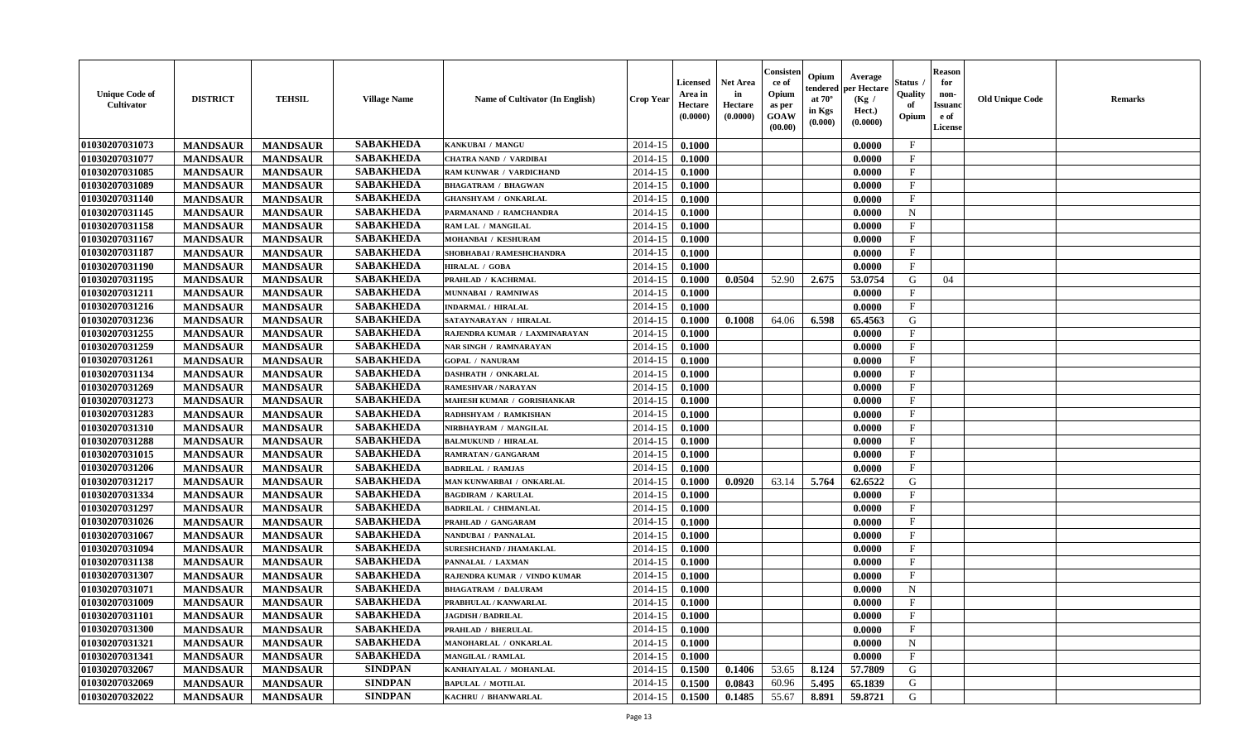| <b>Unique Code of</b><br><b>Cultivator</b> | <b>DISTRICT</b> | <b>TEHSIL</b>   | <b>Village Name</b> | Name of Cultivator (In English) | <b>Crop Year</b> | <b>Licensed</b><br>Area in<br>Hectare<br>(0.0000) | <b>Net Area</b><br>in<br>Hectare<br>(0.0000) | Consister<br>ce of<br>Opium<br>as per<br><b>GOAW</b><br>(00.00) | Opium<br>endered<br>at $70^\circ$<br>in Kgs<br>(0.000) | Average<br>per Hectare<br>(Kg /<br>Hect.)<br>(0.0000) | Status<br>Quality<br>of<br>Opium | <b>Reason</b><br>for<br>non-<br><b>Issuand</b><br>e of<br><b>License</b> | <b>Old Unique Code</b> | <b>Remarks</b> |
|--------------------------------------------|-----------------|-----------------|---------------------|---------------------------------|------------------|---------------------------------------------------|----------------------------------------------|-----------------------------------------------------------------|--------------------------------------------------------|-------------------------------------------------------|----------------------------------|--------------------------------------------------------------------------|------------------------|----------------|
| 01030207031073                             | <b>MANDSAUR</b> | <b>MANDSAUR</b> | <b>SABAKHEDA</b>    | KANKUBAI / MANGU                | 2014-15          | 0.1000                                            |                                              |                                                                 |                                                        | 0.0000                                                | $\mathbf{F}$                     |                                                                          |                        |                |
| 01030207031077                             | <b>MANDSAUR</b> | <b>MANDSAUR</b> | <b>SABAKHEDA</b>    | <b>CHATRA NAND / VARDIBAI</b>   | 2014-15          | 0.1000                                            |                                              |                                                                 |                                                        | 0.0000                                                | $\mathbf F$                      |                                                                          |                        |                |
| 01030207031085                             | <b>MANDSAUR</b> | <b>MANDSAUR</b> | <b>SABAKHEDA</b>    | RAM KUNWAR / VARDICHAND         | 2014-15          | 0.1000                                            |                                              |                                                                 |                                                        | 0.0000                                                | $\mathbf{F}$                     |                                                                          |                        |                |
| 01030207031089                             | <b>MANDSAUR</b> | <b>MANDSAUR</b> | <b>SABAKHEDA</b>    | <b>BHAGATRAM / BHAGWAN</b>      | 2014-15          | 0.1000                                            |                                              |                                                                 |                                                        | 0.0000                                                | $\mathbf{F}$                     |                                                                          |                        |                |
| 01030207031140                             | <b>MANDSAUR</b> | <b>MANDSAUR</b> | <b>SABAKHEDA</b>    | <b>GHANSHYAM / ONKARLAL</b>     | 2014-15          | 0.1000                                            |                                              |                                                                 |                                                        | 0.0000                                                | $\mathbf{F}$                     |                                                                          |                        |                |
| 01030207031145                             | <b>MANDSAUR</b> | <b>MANDSAUR</b> | <b>SABAKHEDA</b>    | PARMANAND / RAMCHANDRA          | 2014-15          | 0.1000                                            |                                              |                                                                 |                                                        | 0.0000                                                | $\mathbf N$                      |                                                                          |                        |                |
| 01030207031158                             | <b>MANDSAUR</b> | <b>MANDSAUR</b> | <b>SABAKHEDA</b>    | RAM LAL / MANGILAL              | 2014-15          | 0.1000                                            |                                              |                                                                 |                                                        | 0.0000                                                | $\mathbf{F}$                     |                                                                          |                        |                |
| 01030207031167                             | <b>MANDSAUR</b> | <b>MANDSAUR</b> | <b>SABAKHEDA</b>    | MOHANBAI / KESHURAM             | 2014-15          | 0.1000                                            |                                              |                                                                 |                                                        | 0.0000                                                | $\mathbf{F}$                     |                                                                          |                        |                |
| 01030207031187                             | <b>MANDSAUR</b> | <b>MANDSAUR</b> | <b>SABAKHEDA</b>    | SHOBHABAI / RAMESHCHANDRA       | 2014-15          | 0.1000                                            |                                              |                                                                 |                                                        | 0.0000                                                | $\mathbf{F}$                     |                                                                          |                        |                |
| 01030207031190                             | <b>MANDSAUR</b> | <b>MANDSAUR</b> | <b>SABAKHEDA</b>    | <b>HIRALAL / GOBA</b>           | 2014-15          | 0.1000                                            |                                              |                                                                 |                                                        | 0.0000                                                | $\mathbf{F}$                     |                                                                          |                        |                |
| 01030207031195                             | <b>MANDSAUR</b> | <b>MANDSAUR</b> | <b>SABAKHEDA</b>    | PRAHLAD / KACHRMAL              | 2014-15          | 0.1000                                            | 0.0504                                       | 52.90                                                           | 2.675                                                  | 53.0754                                               | G                                | 04                                                                       |                        |                |
| 01030207031211                             | <b>MANDSAUR</b> | <b>MANDSAUR</b> | <b>SABAKHEDA</b>    | MUNNABAI / RAMNIWAS             | 2014-15          | 0.1000                                            |                                              |                                                                 |                                                        | 0.0000                                                | $\mathbf{F}$                     |                                                                          |                        |                |
| 01030207031216                             | <b>MANDSAUR</b> | <b>MANDSAUR</b> | <b>SABAKHEDA</b>    | <b>INDARMAL / HIRALAL</b>       | 2014-15          | 0.1000                                            |                                              |                                                                 |                                                        | 0.0000                                                | $\mathbf{F}$                     |                                                                          |                        |                |
| 01030207031236                             | <b>MANDSAUR</b> | <b>MANDSAUR</b> | <b>SABAKHEDA</b>    | SATAYNARAYAN / HIRALAL          | 2014-15          | 0.1000                                            | 0.1008                                       | 64.06                                                           | 6.598                                                  | 65.4563                                               | G                                |                                                                          |                        |                |
| 01030207031255                             | <b>MANDSAUR</b> | <b>MANDSAUR</b> | <b>SABAKHEDA</b>    | RAJENDRA KUMAR / LAXMINARAYAN   | 2014-15          | 0.1000                                            |                                              |                                                                 |                                                        | 0.0000                                                | $\mathbf{F}$                     |                                                                          |                        |                |
| 01030207031259                             | <b>MANDSAUR</b> | <b>MANDSAUR</b> | <b>SABAKHEDA</b>    | NAR SINGH / RAMNARAYAN          | 2014-15          | 0.1000                                            |                                              |                                                                 |                                                        | 0.0000                                                | $_{\rm F}$                       |                                                                          |                        |                |
| 01030207031261                             | <b>MANDSAUR</b> | <b>MANDSAUR</b> | <b>SABAKHEDA</b>    | <b>GOPAL / NANURAM</b>          | 2014-15          | 0.1000                                            |                                              |                                                                 |                                                        | 0.0000                                                | $\mathbf{F}$                     |                                                                          |                        |                |
| 01030207031134                             | <b>MANDSAUR</b> | <b>MANDSAUR</b> | <b>SABAKHEDA</b>    | <b>DASHRATH / ONKARLAL</b>      | 2014-15          | 0.1000                                            |                                              |                                                                 |                                                        | 0.0000                                                | $_{\rm F}$                       |                                                                          |                        |                |
| 01030207031269                             | <b>MANDSAUR</b> | <b>MANDSAUR</b> | <b>SABAKHEDA</b>    | RAMESHVAR / NARAYAN             | 2014-15          | 0.1000                                            |                                              |                                                                 |                                                        | 0.0000                                                | $\mathbf{F}$                     |                                                                          |                        |                |
| 01030207031273                             | <b>MANDSAUR</b> | <b>MANDSAUR</b> | <b>SABAKHEDA</b>    | MAHESH KUMAR / GORISHANKAR      | 2014-15          | 0.1000                                            |                                              |                                                                 |                                                        | 0.0000                                                | $\mathbf{F}$                     |                                                                          |                        |                |
| 01030207031283                             | <b>MANDSAUR</b> | <b>MANDSAUR</b> | <b>SABAKHEDA</b>    | RADHSHYAM / RAMKISHAN           | 2014-15          | 0.1000                                            |                                              |                                                                 |                                                        | 0.0000                                                | $\mathbf{F}$                     |                                                                          |                        |                |
| 01030207031310                             | <b>MANDSAUR</b> | <b>MANDSAUR</b> | <b>SABAKHEDA</b>    | NIRBHAYRAM / MANGILAL           | 2014-15          | 0.1000                                            |                                              |                                                                 |                                                        | 0.0000                                                | $_{\rm F}$                       |                                                                          |                        |                |
| 01030207031288                             | <b>MANDSAUR</b> | <b>MANDSAUR</b> | <b>SABAKHEDA</b>    | <b>BALMUKUND / HIRALAL</b>      | 2014-15          | 0.1000                                            |                                              |                                                                 |                                                        | 0.0000                                                | $\mathbf{F}$                     |                                                                          |                        |                |
| 01030207031015                             | <b>MANDSAUR</b> | <b>MANDSAUR</b> | <b>SABAKHEDA</b>    | <b>RAMRATAN / GANGARAM</b>      | 2014-15          | 0.1000                                            |                                              |                                                                 |                                                        | 0.0000                                                | $\mathbf{F}$                     |                                                                          |                        |                |
| 01030207031206                             | <b>MANDSAUR</b> | <b>MANDSAUR</b> | <b>SABAKHEDA</b>    | <b>BADRILAL / RAMJAS</b>        | 2014-15          | 0.1000                                            |                                              |                                                                 |                                                        | 0.0000                                                | $\mathbf{F}$                     |                                                                          |                        |                |
| 01030207031217                             | <b>MANDSAUR</b> | <b>MANDSAUR</b> | <b>SABAKHEDA</b>    | MAN KUNWARBAI / ONKARLAL        | 2014-15          | 0.1000                                            | 0.0920                                       | 63.14                                                           | 5.764                                                  | 62.6522                                               | G                                |                                                                          |                        |                |
| 01030207031334                             | <b>MANDSAUR</b> | <b>MANDSAUR</b> | <b>SABAKHEDA</b>    | <b>BAGDIRAM / KARULAL</b>       | 2014-15          | 0.1000                                            |                                              |                                                                 |                                                        | 0.0000                                                | F                                |                                                                          |                        |                |
| 01030207031297                             | <b>MANDSAUR</b> | <b>MANDSAUR</b> | <b>SABAKHEDA</b>    | <b>BADRILAL / CHIMANLAL</b>     | 2014-15          | 0.1000                                            |                                              |                                                                 |                                                        | 0.0000                                                | $_{\rm F}$                       |                                                                          |                        |                |
| 01030207031026                             | <b>MANDSAUR</b> | <b>MANDSAUR</b> | <b>SABAKHEDA</b>    | PRAHLAD / GANGARAM              | 2014-15          | 0.1000                                            |                                              |                                                                 |                                                        | 0.0000                                                | $\rm F$                          |                                                                          |                        |                |
| 01030207031067                             | <b>MANDSAUR</b> | <b>MANDSAUR</b> | <b>SABAKHEDA</b>    | NANDUBAI / PANNALAL             | 2014-15          | 0.1000                                            |                                              |                                                                 |                                                        | 0.0000                                                | $\mathbf{F}$                     |                                                                          |                        |                |
| 01030207031094                             | <b>MANDSAUR</b> | <b>MANDSAUR</b> | <b>SABAKHEDA</b>    | <b>SURESHCHAND / JHAMAKLAL</b>  | 2014-15          | 0.1000                                            |                                              |                                                                 |                                                        | 0.0000                                                | $\mathbf{F}$                     |                                                                          |                        |                |
| 01030207031138                             | <b>MANDSAUR</b> | <b>MANDSAUR</b> | <b>SABAKHEDA</b>    | PANNALAL / LAXMAN               | 2014-15          | 0.1000                                            |                                              |                                                                 |                                                        | 0.0000                                                | $\mathbf{F}$                     |                                                                          |                        |                |
| 01030207031307                             | <b>MANDSAUR</b> | <b>MANDSAUR</b> | <b>SABAKHEDA</b>    | RAJENDRA KUMAR / VINDO KUMAR    | 2014-15          | 0.1000                                            |                                              |                                                                 |                                                        | 0.0000                                                | $\mathbf{F}$                     |                                                                          |                        |                |
| 01030207031071                             | <b>MANDSAUR</b> | <b>MANDSAUR</b> | <b>SABAKHEDA</b>    | <b>BHAGATRAM / DALURAM</b>      | 2014-15          | 0.1000                                            |                                              |                                                                 |                                                        | 0.0000                                                | $\mathbf N$                      |                                                                          |                        |                |
| 01030207031009                             | <b>MANDSAUR</b> | <b>MANDSAUR</b> | <b>SABAKHEDA</b>    | PRABHULAL / KANWARLAL           | 2014-15          | 0.1000                                            |                                              |                                                                 |                                                        | 0.0000                                                | $\mathbf{F}$                     |                                                                          |                        |                |
| 01030207031101                             | <b>MANDSAUR</b> | <b>MANDSAUR</b> | <b>SABAKHEDA</b>    | <b>JAGDISH / BADRILAL</b>       | 2014-15          | 0.1000                                            |                                              |                                                                 |                                                        | 0.0000                                                | $\mathbf{F}$                     |                                                                          |                        |                |
| 01030207031300                             | <b>MANDSAUR</b> | <b>MANDSAUR</b> | <b>SABAKHEDA</b>    | <b>PRAHLAD / BHERULAL</b>       | 2014-15          | 0.1000                                            |                                              |                                                                 |                                                        | 0.0000                                                | $\mathbf{F}$                     |                                                                          |                        |                |
| 01030207031321                             | <b>MANDSAUR</b> | <b>MANDSAUR</b> | <b>SABAKHEDA</b>    | MANOHARLAL / ONKARLAL           | 2014-15          | 0.1000                                            |                                              |                                                                 |                                                        | 0.0000                                                | $\mathbf N$                      |                                                                          |                        |                |
| 01030207031341                             | <b>MANDSAUR</b> | <b>MANDSAUR</b> | <b>SABAKHEDA</b>    | <b>MANGILAL / RAMLAL</b>        | 2014-15          | 0.1000                                            |                                              |                                                                 |                                                        | 0.0000                                                | $\mathbf{F}$                     |                                                                          |                        |                |
| 01030207032067                             | <b>MANDSAUR</b> | <b>MANDSAUR</b> | <b>SINDPAN</b>      | KANHAIYALAL / MOHANLAL          | 2014-15          | 0.1500                                            | 0.1406                                       | 53.65                                                           | 8.124                                                  | 57.7809                                               | $\mathbf G$                      |                                                                          |                        |                |
| 01030207032069                             | <b>MANDSAUR</b> | <b>MANDSAUR</b> | <b>SINDPAN</b>      | <b>BAPULAL / MOTILAL</b>        | 2014-15          | 0.1500                                            | 0.0843                                       | 60.96                                                           | 5.495                                                  | 65.1839                                               | G                                |                                                                          |                        |                |
| 01030207032022                             | <b>MANDSAUR</b> | <b>MANDSAUR</b> | <b>SINDPAN</b>      | KACHRU / BHANWARLAL             | 2014-15          | 0.1500                                            | 0.1485                                       | 55.67                                                           | 8.891                                                  | 59.8721                                               | G                                |                                                                          |                        |                |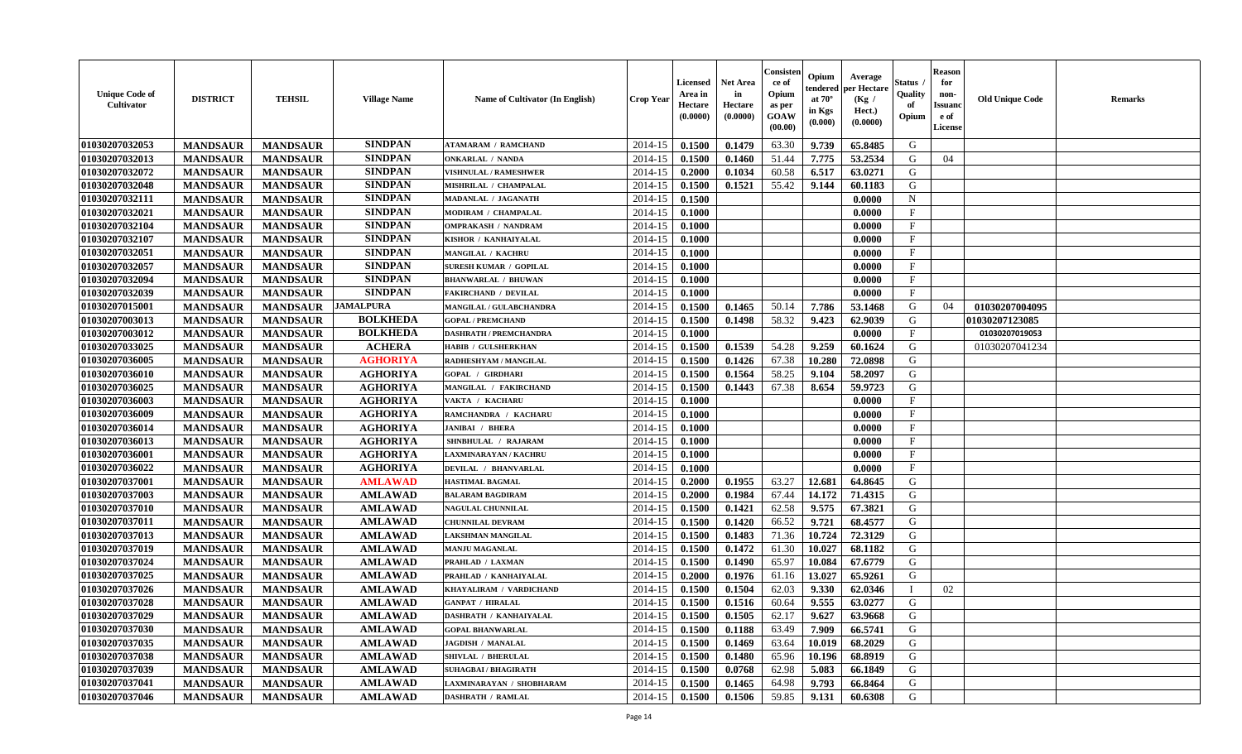| <b>Unique Code of</b><br><b>Cultivator</b> | <b>DISTRICT</b> | <b>TEHSIL</b>   | <b>Village Name</b> | Name of Cultivator (In English) | <b>Crop Year</b> | <b>Licensed</b><br>Area in<br>Hectare<br>(0.0000) | <b>Net Area</b><br>in<br>Hectare<br>(0.0000) | Consister<br>ce of<br>Opium<br>as per<br><b>GOAW</b><br>(00.00) | Opium<br>endered<br>at $70^\circ$<br>in Kgs<br>(0.000) | Average<br>per Hectare<br>(Kg /<br>Hect.)<br>(0.0000) | Status<br>Quality<br>of<br>Opium | <b>Reason</b><br>for<br>non-<br><b>Issuand</b><br>e of<br><b>License</b> | <b>Old Unique Code</b> | <b>Remarks</b> |
|--------------------------------------------|-----------------|-----------------|---------------------|---------------------------------|------------------|---------------------------------------------------|----------------------------------------------|-----------------------------------------------------------------|--------------------------------------------------------|-------------------------------------------------------|----------------------------------|--------------------------------------------------------------------------|------------------------|----------------|
| 01030207032053                             | <b>MANDSAUR</b> | <b>MANDSAUR</b> | <b>SINDPAN</b>      | <b>ATAMARAM / RAMCHAND</b>      | 2014-15          | 0.1500                                            | 0.1479                                       | 63.30                                                           | 9.739                                                  | 65.8485                                               | G                                |                                                                          |                        |                |
| 01030207032013                             | <b>MANDSAUR</b> | <b>MANDSAUR</b> | <b>SINDPAN</b>      | <b>ONKARLAL / NANDA</b>         | 2014-15          | 0.1500                                            | 0.1460                                       | 51.44                                                           | 7.775                                                  | 53.2534                                               | G                                | 04                                                                       |                        |                |
| 01030207032072                             | <b>MANDSAUR</b> | <b>MANDSAUR</b> | <b>SINDPAN</b>      | VISHNULAL / RAMESHWER           | 2014-15          | 0.2000                                            | 0.1034                                       | 60.58                                                           | 6.517                                                  | 63.0271                                               | G                                |                                                                          |                        |                |
| 01030207032048                             | <b>MANDSAUR</b> | <b>MANDSAUR</b> | <b>SINDPAN</b>      | MISHRILAL / CHAMPALAL           | 2014-15          | 0.1500                                            | 0.1521                                       | 55.42                                                           | 9.144                                                  | 60.1183                                               | G                                |                                                                          |                        |                |
| 01030207032111                             | <b>MANDSAUR</b> | <b>MANDSAUR</b> | <b>SINDPAN</b>      | MADANLAL / JAGANATH             | 2014-15          | 0.1500                                            |                                              |                                                                 |                                                        | 0.0000                                                | N                                |                                                                          |                        |                |
| 01030207032021                             | <b>MANDSAUR</b> | <b>MANDSAUR</b> | <b>SINDPAN</b>      | MODIRAM / CHAMPALAL             | 2014-15          | 0.1000                                            |                                              |                                                                 |                                                        | 0.0000                                                | $\mathbf{F}$                     |                                                                          |                        |                |
| 01030207032104                             | <b>MANDSAUR</b> | <b>MANDSAUR</b> | <b>SINDPAN</b>      | <b>OMPRAKASH / NANDRAM</b>      | 2014-15          | 0.1000                                            |                                              |                                                                 |                                                        | 0.0000                                                | F                                |                                                                          |                        |                |
| 01030207032107                             | <b>MANDSAUR</b> | <b>MANDSAUR</b> | <b>SINDPAN</b>      | KISHOR / KANHAIYALAL            | 2014-15          | 0.1000                                            |                                              |                                                                 |                                                        | 0.0000                                                | $\mathbf{F}$                     |                                                                          |                        |                |
| 01030207032051                             | <b>MANDSAUR</b> | <b>MANDSAUR</b> | <b>SINDPAN</b>      | <b>MANGILAL / KACHRU</b>        | 2014-15          | 0.1000                                            |                                              |                                                                 |                                                        | 0.0000                                                | $\mathbf{F}$                     |                                                                          |                        |                |
| 01030207032057                             | <b>MANDSAUR</b> | <b>MANDSAUR</b> | <b>SINDPAN</b>      | <b>SURESH KUMAR / GOPILAL</b>   | 2014-15          | 0.1000                                            |                                              |                                                                 |                                                        | 0.0000                                                | $\mathbf{F}$                     |                                                                          |                        |                |
| 01030207032094                             | <b>MANDSAUR</b> | <b>MANDSAUR</b> | <b>SINDPAN</b>      | <b>BHANWARLAL / BHUWAN</b>      | 2014-15          | 0.1000                                            |                                              |                                                                 |                                                        | 0.0000                                                | $\mathbf{F}$                     |                                                                          |                        |                |
| 01030207032039                             | <b>MANDSAUR</b> | <b>MANDSAUR</b> | <b>SINDPAN</b>      | <b>FAKIRCHAND / DEVILAL</b>     | 2014-15          | 0.1000                                            |                                              |                                                                 |                                                        | 0.0000                                                | $\mathbf{F}$                     |                                                                          |                        |                |
| 01030207015001                             | <b>MANDSAUR</b> | <b>MANDSAUR</b> | <b>JAMALPURA</b>    | <b>MANGILAL / GULABCHANDRA</b>  | 2014-15          | 0.1500                                            | 0.1465                                       | 50.14                                                           | 7.786                                                  | 53.1468                                               | G                                | 04                                                                       | 01030207004095         |                |
| 01030207003013                             | <b>MANDSAUR</b> | <b>MANDSAUR</b> | <b>BOLKHEDA</b>     | <b>GOPAL / PREMCHAND</b>        | 2014-15          | 0.1500                                            | 0.1498                                       | 58.32                                                           | 9.423                                                  | 62.9039                                               | G                                |                                                                          | 01030207123085         |                |
| 01030207003012                             | <b>MANDSAUR</b> | <b>MANDSAUR</b> | <b>BOLKHEDA</b>     | <b>DASHRATH / PREMCHANDRA</b>   | 2014-15          | 0.1000                                            |                                              |                                                                 |                                                        | 0.0000                                                | F                                |                                                                          | 01030207019053         |                |
| 01030207033025                             | <b>MANDSAUR</b> | <b>MANDSAUR</b> | <b>ACHERA</b>       | <b>HABIB / GULSHERKHAN</b>      | 2014-15          | 0.1500                                            | 0.1539                                       | 54.28                                                           | 9.259                                                  | 60.1624                                               | G                                |                                                                          | 01030207041234         |                |
| 01030207036005                             | <b>MANDSAUR</b> | <b>MANDSAUR</b> | <b>AGHORIYA</b>     | RADHESHYAM / MANGILAL           | 2014-15          | 0.1500                                            | 0.1426                                       | 67.38                                                           | 10.280                                                 | 72.0898                                               | G                                |                                                                          |                        |                |
| 01030207036010                             | <b>MANDSAUR</b> | <b>MANDSAUR</b> | <b>AGHORIYA</b>     | <b>GOPAL / GIRDHARI</b>         | 2014-15          | 0.1500                                            | 0.1564                                       | 58.25                                                           | 9.104                                                  | 58.2097                                               | G                                |                                                                          |                        |                |
| 01030207036025                             | <b>MANDSAUR</b> | <b>MANDSAUR</b> | <b>AGHORIYA</b>     | MANGILAL / FAKIRCHAND           | 2014-15          | 0.1500                                            | 0.1443                                       | 67.38                                                           | 8.654                                                  | 59.9723                                               | G                                |                                                                          |                        |                |
| 01030207036003                             | <b>MANDSAUR</b> | <b>MANDSAUR</b> | <b>AGHORIYA</b>     | VAKTA / KACHARU                 | 2014-15          | 0.1000                                            |                                              |                                                                 |                                                        | 0.0000                                                | $\rm F$                          |                                                                          |                        |                |
| 01030207036009                             | <b>MANDSAUR</b> | <b>MANDSAUR</b> | <b>AGHORIYA</b>     | RAMCHANDRA / KACHARU            | 2014-15          | 0.1000                                            |                                              |                                                                 |                                                        | 0.0000                                                | $_{\rm F}$                       |                                                                          |                        |                |
| 01030207036014                             | <b>MANDSAUR</b> | <b>MANDSAUR</b> | <b>AGHORIYA</b>     | JANIBAI / BHERA                 | 2014-15          | 0.1000                                            |                                              |                                                                 |                                                        | 0.0000                                                | F                                |                                                                          |                        |                |
| 01030207036013                             | <b>MANDSAUR</b> | <b>MANDSAUR</b> | <b>AGHORIYA</b>     | SHNBHULAL / RAJARAM             | 2014-15          | 0.1000                                            |                                              |                                                                 |                                                        | 0.0000                                                | $\mathbf{F}$                     |                                                                          |                        |                |
| 01030207036001                             | <b>MANDSAUR</b> | <b>MANDSAUR</b> | <b>AGHORIYA</b>     | LAXMINARAYAN / KACHRU           | 2014-15          | 0.1000                                            |                                              |                                                                 |                                                        | 0.0000                                                | $\mathbf{F}$                     |                                                                          |                        |                |
| 01030207036022                             | <b>MANDSAUR</b> | <b>MANDSAUR</b> | <b>AGHORIYA</b>     | DEVILAL / BHANVARLAL            | 2014-15          | 0.1000                                            |                                              |                                                                 |                                                        | 0.0000                                                | $\mathbf{F}$                     |                                                                          |                        |                |
| 01030207037001                             | <b>MANDSAUR</b> | <b>MANDSAUR</b> | <b>AMLAWAD</b>      | <b>HASTIMAL BAGMAL</b>          | 2014-15          | 0.2000                                            | 0.1955                                       | 63.27                                                           | 12.681                                                 | 64.8645                                               | G                                |                                                                          |                        |                |
| 01030207037003                             | <b>MANDSAUR</b> | <b>MANDSAUR</b> | <b>AMLAWAD</b>      | <b>BALARAM BAGDIRAM</b>         | 2014-15          | 0.2000                                            | 0.1984                                       | 67.44                                                           | 14.172                                                 | 71.4315                                               | G                                |                                                                          |                        |                |
| 01030207037010                             | <b>MANDSAUR</b> | <b>MANDSAUR</b> | <b>AMLAWAD</b>      | <b>NAGULAL CHUNNILAL</b>        | 2014-15          | 0.1500                                            | 0.1421                                       | 62.58                                                           | 9.575                                                  | 67.3821                                               | G                                |                                                                          |                        |                |
| 01030207037011                             | <b>MANDSAUR</b> | <b>MANDSAUR</b> | <b>AMLAWAD</b>      | <b>CHUNNILAL DEVRAM</b>         | 2014-15          | 0.1500                                            | 0.1420                                       | 66.52                                                           | 9.721                                                  | 68.4577                                               | G                                |                                                                          |                        |                |
| 01030207037013                             | <b>MANDSAUR</b> | <b>MANDSAUR</b> | <b>AMLAWAD</b>      | LAKSHMAN MANGILAL               | 2014-15          | 0.1500                                            | 0.1483                                       | 71.36                                                           | 10.724                                                 | 72.3129                                               | G                                |                                                                          |                        |                |
| 01030207037019                             | <b>MANDSAUR</b> | <b>MANDSAUR</b> | <b>AMLAWAD</b>      | <b>MANJU MAGANLAL</b>           | 2014-15          | 0.1500                                            | 0.1472                                       | 61.30                                                           | 10.027                                                 | 68.1182                                               | $\mathbf G$                      |                                                                          |                        |                |
| 01030207037024                             | <b>MANDSAUR</b> | <b>MANDSAUR</b> | <b>AMLAWAD</b>      | PRAHLAD / LAXMAN                | 2014-15          | 0.1500                                            | 0.1490                                       | 65.97                                                           | 10.084                                                 | 67.6779                                               | G                                |                                                                          |                        |                |
| 01030207037025                             | <b>MANDSAUR</b> | <b>MANDSAUR</b> | <b>AMLAWAD</b>      | PRAHLAD / KANHAIYALAL           | 2014-15          | 0.2000                                            | 0.1976                                       | 61.16                                                           | 13.027                                                 | 65.9261                                               | G                                |                                                                          |                        |                |
| 01030207037026                             | <b>MANDSAUR</b> | <b>MANDSAUR</b> | <b>AMLAWAD</b>      | KHAYALIRAM / VARDICHAND         | 2014-15          | 0.1500                                            | 0.1504                                       | 62.03                                                           | 9.330                                                  | 62.0346                                               | $\mathbf{I}$                     | 02                                                                       |                        |                |
| 01030207037028                             | <b>MANDSAUR</b> | <b>MANDSAUR</b> | <b>AMLAWAD</b>      | <b>GANPAT / HIRALAL</b>         | 2014-15          | 0.1500                                            | 0.1516                                       | 60.64                                                           | 9.555                                                  | 63.0277                                               | G                                |                                                                          |                        |                |
| 01030207037029                             | <b>MANDSAUR</b> | <b>MANDSAUR</b> | <b>AMLAWAD</b>      | DASHRATH / KANHAIYALAL          | 2014-15          | 0.1500                                            | 0.1505                                       | 62.17                                                           | 9.627                                                  | 63.9668                                               | G                                |                                                                          |                        |                |
| 01030207037030                             | <b>MANDSAUR</b> | <b>MANDSAUR</b> | <b>AMLAWAD</b>      | <b>GOPAL BHANWARLAL</b>         | 2014-15          | 0.1500                                            | 0.1188                                       | 63.49                                                           | 7.909                                                  | 66.5741                                               | G                                |                                                                          |                        |                |
| 01030207037035                             | <b>MANDSAUR</b> | <b>MANDSAUR</b> | <b>AMLAWAD</b>      | <b>JAGDISH / MANALAL</b>        | 2014-15          | 0.1500                                            | 0.1469                                       | 63.64                                                           | 10.019                                                 | 68.2029                                               | G                                |                                                                          |                        |                |
| 01030207037038                             | <b>MANDSAUR</b> | <b>MANDSAUR</b> | <b>AMLAWAD</b>      | SHIVLAL / BHERULAL              | 2014-15          | 0.1500                                            | 0.1480                                       | 65.96                                                           | 10.196                                                 | 68.8919                                               | G                                |                                                                          |                        |                |
| 01030207037039                             | <b>MANDSAUR</b> | <b>MANDSAUR</b> | <b>AMLAWAD</b>      | <b>SUHAGBAI/BHAGIRATH</b>       | 2014-15          | 0.1500                                            | 0.0768                                       | 62.98                                                           | 5.083                                                  | 66.1849                                               | G                                |                                                                          |                        |                |
| 01030207037041                             | <b>MANDSAUR</b> | <b>MANDSAUR</b> | <b>AMLAWAD</b>      | LAXMINARAYAN / SHOBHARAM        | 2014-15          | 0.1500                                            | 0.1465                                       | 64.98                                                           | 9.793                                                  | 66.8464                                               | G                                |                                                                          |                        |                |
| 01030207037046                             | <b>MANDSAUR</b> | <b>MANDSAUR</b> | <b>AMLAWAD</b>      | <b>DASHRATH / RAMLAL</b>        | 2014-15          | 0.1500                                            | 0.1506                                       | 59.85                                                           | 9.131                                                  | 60.6308                                               | G                                |                                                                          |                        |                |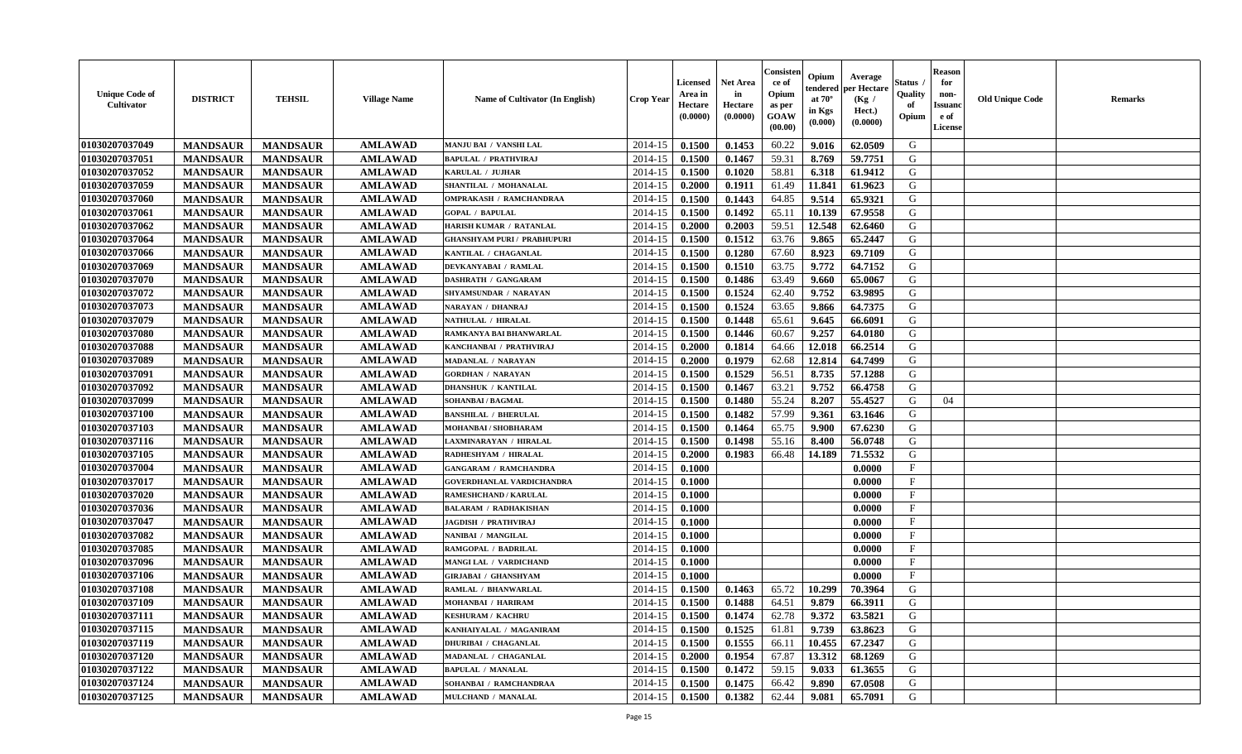| <b>Unique Code of</b><br><b>Cultivator</b> | <b>DISTRICT</b> | <b>TEHSIL</b>   | <b>Village Name</b> | <b>Name of Cultivator (In English)</b> | <b>Crop Year</b> | Licensed<br>Area in<br>Hectare<br>(0.0000) | <b>Net Area</b><br>in<br>Hectare<br>(0.0000) | Consister<br>ce of<br>Opium<br>as per<br>GOAW<br>(00.00) | Opium<br>endered<br>at $70^\circ$<br>in Kgs<br>(0.000) | Average<br>per Hectare<br>(Kg /<br>Hect.)<br>(0.0000) | <b>Status</b> .<br>Quality<br>of<br>Opium | <b>Reason</b><br>for<br>non-<br><b>Issuand</b><br>e of<br>License | <b>Old Unique Code</b> | <b>Remarks</b> |
|--------------------------------------------|-----------------|-----------------|---------------------|----------------------------------------|------------------|--------------------------------------------|----------------------------------------------|----------------------------------------------------------|--------------------------------------------------------|-------------------------------------------------------|-------------------------------------------|-------------------------------------------------------------------|------------------------|----------------|
| 01030207037049                             | <b>MANDSAUR</b> | <b>MANDSAUR</b> | <b>AMLAWAD</b>      | MANJU BAI / VANSHI LAL                 | 2014-15          | 0.1500                                     | 0.1453                                       | 60.22                                                    | 9.016                                                  | 62.0509                                               | G                                         |                                                                   |                        |                |
| 01030207037051                             | <b>MANDSAUR</b> | <b>MANDSAUR</b> | <b>AMLAWAD</b>      | <b>BAPULAL / PRATHVIRAJ</b>            | 2014-15          | 0.1500                                     | 0.1467                                       | 59.31                                                    | 8.769                                                  | 59.7751                                               | G                                         |                                                                   |                        |                |
| 01030207037052                             | <b>MANDSAUR</b> | <b>MANDSAUR</b> | <b>AMLAWAD</b>      | KARULAL / JUJHAR                       | 2014-15          | 0.1500                                     | 0.1020                                       | 58.81                                                    | 6.318                                                  | 61.9412                                               | G                                         |                                                                   |                        |                |
| 01030207037059                             | <b>MANDSAUR</b> | <b>MANDSAUR</b> | <b>AMLAWAD</b>      | SHANTILAL / MOHANALAL                  | 2014-15          | 0.2000                                     | 0.1911                                       | 61.49                                                    | 11.841                                                 | 61.9623                                               | G                                         |                                                                   |                        |                |
| 01030207037060                             | <b>MANDSAUR</b> | <b>MANDSAUR</b> | <b>AMLAWAD</b>      | <b>OMPRAKASH / RAMCHANDRAA</b>         | 2014-15          | 0.1500                                     | 0.1443                                       | 64.85                                                    | 9.514                                                  | 65.9321                                               | G                                         |                                                                   |                        |                |
| 01030207037061                             | <b>MANDSAUR</b> | <b>MANDSAUR</b> | <b>AMLAWAD</b>      | <b>GOPAL / BAPULAL</b>                 | 2014-15          | 0.1500                                     | 0.1492                                       | 65.11                                                    | 10.139                                                 | 67.9558                                               | G                                         |                                                                   |                        |                |
| 01030207037062                             | <b>MANDSAUR</b> | <b>MANDSAUR</b> | <b>AMLAWAD</b>      | <b>HARISH KUMAR / RATANLAL</b>         | 2014-15          | 0.2000                                     | 0.2003                                       | 59.51                                                    | 12.548                                                 | 62.6460                                               | G                                         |                                                                   |                        |                |
| 01030207037064                             | <b>MANDSAUR</b> | <b>MANDSAUR</b> | <b>AMLAWAD</b>      | <b>GHANSHYAM PURI / PRABHUPURI</b>     | 2014-15          | 0.1500                                     | 0.1512                                       | 63.76                                                    | 9.865                                                  | 65.2447                                               | G                                         |                                                                   |                        |                |
| 01030207037066                             | <b>MANDSAUR</b> | <b>MANDSAUR</b> | <b>AMLAWAD</b>      | KANTILAL / CHAGANLAL                   | 2014-15          | 0.1500                                     | 0.1280                                       | 67.60                                                    | 8.923                                                  | 69.7109                                               | G                                         |                                                                   |                        |                |
| 01030207037069                             | <b>MANDSAUR</b> | <b>MANDSAUR</b> | <b>AMLAWAD</b>      | DEVKANYABAI / RAMLAL                   | 2014-15          | 0.1500                                     | 0.1510                                       | 63.75                                                    | 9.772                                                  | 64.7152                                               | G                                         |                                                                   |                        |                |
| 01030207037070                             | <b>MANDSAUR</b> | <b>MANDSAUR</b> | <b>AMLAWAD</b>      | DASHRATH / GANGARAM                    | 2014-15          | 0.1500                                     | 0.1486                                       | 63.49                                                    | 9.660                                                  | 65.0067                                               | G                                         |                                                                   |                        |                |
| 01030207037072                             | <b>MANDSAUR</b> | <b>MANDSAUR</b> | <b>AMLAWAD</b>      | SHYAMSUNDAR / NARAYAN                  | 2014-15          | 0.1500                                     | 0.1524                                       | 62.40                                                    | 9.752                                                  | 63.9895                                               | G                                         |                                                                   |                        |                |
| 01030207037073                             | <b>MANDSAUR</b> | <b>MANDSAUR</b> | <b>AMLAWAD</b>      | <b>NARAYAN / DHANRAJ</b>               | 2014-15          | 0.1500                                     | 0.1524                                       | 63.65                                                    | 9.866                                                  | 64.7375                                               | G                                         |                                                                   |                        |                |
| 01030207037079                             | <b>MANDSAUR</b> | <b>MANDSAUR</b> | <b>AMLAWAD</b>      | NATHULAL / HIRALAL                     | 2014-15          | 0.1500                                     | 0.1448                                       | 65.61                                                    | 9.645                                                  | 66.6091                                               | G                                         |                                                                   |                        |                |
| 01030207037080                             | <b>MANDSAUR</b> | <b>MANDSAUR</b> | <b>AMLAWAD</b>      | RAMKANYA BAI BHANWARLAL                | 2014-15          | 0.1500                                     | 0.1446                                       | 60.67                                                    | 9.257                                                  | 64.0180                                               | ${\bf G}$                                 |                                                                   |                        |                |
| 01030207037088                             | <b>MANDSAUR</b> | <b>MANDSAUR</b> | <b>AMLAWAD</b>      | KANCHANBAI / PRATHVIRAJ                | 2014-15          | 0.2000                                     | 0.1814                                       | 64.66                                                    | 12.018                                                 | 66.2514                                               | G                                         |                                                                   |                        |                |
| 01030207037089                             | <b>MANDSAUR</b> | <b>MANDSAUR</b> | <b>AMLAWAD</b>      | MADANLAL / NARAYAN                     | 2014-15          | 0.2000                                     | 0.1979                                       | 62.68                                                    | 12.814                                                 | 64.7499                                               | G                                         |                                                                   |                        |                |
| 01030207037091                             | <b>MANDSAUR</b> | <b>MANDSAUR</b> | <b>AMLAWAD</b>      | <b>GORDHAN / NARAYAN</b>               | 2014-15          | 0.1500                                     | 0.1529                                       | 56.51                                                    | 8.735                                                  | 57.1288                                               | G                                         |                                                                   |                        |                |
| 01030207037092                             | <b>MANDSAUR</b> | <b>MANDSAUR</b> | <b>AMLAWAD</b>      | <b>DHANSHUK / KANTILAL</b>             | 2014-15          | 0.1500                                     | 0.1467                                       | 63.21                                                    | 9.752                                                  | 66.4758                                               | G                                         |                                                                   |                        |                |
| 01030207037099                             | <b>MANDSAUR</b> | <b>MANDSAUR</b> | <b>AMLAWAD</b>      | SOHANBAI / BAGMAL                      | 2014-15          | 0.1500                                     | 0.1480                                       | 55.24                                                    | 8.207                                                  | 55.4527                                               | G                                         | 04                                                                |                        |                |
| 01030207037100                             | <b>MANDSAUR</b> | <b>MANDSAUR</b> | <b>AMLAWAD</b>      | <b>BANSHILAL / BHERULAL</b>            | 2014-15          | 0.1500                                     | 0.1482                                       | 57.99                                                    | 9.361                                                  | 63.1646                                               | G                                         |                                                                   |                        |                |
| 01030207037103                             | <b>MANDSAUR</b> | <b>MANDSAUR</b> | <b>AMLAWAD</b>      | MOHANBAI / SHOBHARAM                   | 2014-15          | 0.1500                                     | 0.1464                                       | 65.75                                                    | 9.900                                                  | 67.6230                                               | G                                         |                                                                   |                        |                |
| 01030207037116                             | <b>MANDSAUR</b> | <b>MANDSAUR</b> | <b>AMLAWAD</b>      | AXMINARAYAN / HIRALAL                  | 2014-15          | 0.1500                                     | 0.1498                                       | 55.16                                                    | 8.400                                                  | 56.0748                                               | G                                         |                                                                   |                        |                |
| 01030207037105                             | <b>MANDSAUR</b> | <b>MANDSAUR</b> | <b>AMLAWAD</b>      | RADHESHYAM / HIRALAL                   | 2014-15          | 0.2000                                     | 0.1983                                       | 66.48                                                    | 14.189                                                 | 71.5532                                               | G                                         |                                                                   |                        |                |
| 01030207037004                             | <b>MANDSAUR</b> | <b>MANDSAUR</b> | <b>AMLAWAD</b>      | <b>GANGARAM / RAMCHANDRA</b>           | 2014-15          | 0.1000                                     |                                              |                                                          |                                                        | 0.0000                                                | $\mathbf F$                               |                                                                   |                        |                |
| 01030207037017                             | <b>MANDSAUR</b> | <b>MANDSAUR</b> | <b>AMLAWAD</b>      | GOVERDHANLAL VARDICHANDRA              | 2014-15          | 0.1000                                     |                                              |                                                          |                                                        | 0.0000                                                | $\mathbf{F}$                              |                                                                   |                        |                |
| 01030207037020                             | <b>MANDSAUR</b> | <b>MANDSAUR</b> | <b>AMLAWAD</b>      | RAMESHCHAND / KARULAL                  | 2014-15          | 0.1000                                     |                                              |                                                          |                                                        | 0.0000                                                | $\mathbf{F}$                              |                                                                   |                        |                |
| 01030207037036                             | <b>MANDSAUR</b> | <b>MANDSAUR</b> | <b>AMLAWAD</b>      | <b>BALARAM / RADHAKISHAN</b>           | 2014-15          | 0.1000                                     |                                              |                                                          |                                                        | 0.0000                                                | $\mathbf{F}$                              |                                                                   |                        |                |
| 01030207037047                             | <b>MANDSAUR</b> | <b>MANDSAUR</b> | <b>AMLAWAD</b>      | <b>JAGDISH / PRATHVIRAJ</b>            | 2014-15          | 0.1000                                     |                                              |                                                          |                                                        | 0.0000                                                | $\mathbf{F}$                              |                                                                   |                        |                |
| 01030207037082                             | <b>MANDSAUR</b> | <b>MANDSAUR</b> | <b>AMLAWAD</b>      | NANIBAI / MANGILAL                     | 2014-15          | 0.1000                                     |                                              |                                                          |                                                        | 0.0000                                                | $\mathbf F$                               |                                                                   |                        |                |
| 01030207037085                             | <b>MANDSAUR</b> | <b>MANDSAUR</b> | <b>AMLAWAD</b>      | RAMGOPAL / BADRILAL                    | 2014-15          | 0.1000                                     |                                              |                                                          |                                                        | 0.0000                                                | $\mathbf{F}$                              |                                                                   |                        |                |
| 01030207037096                             | <b>MANDSAUR</b> | <b>MANDSAUR</b> | <b>AMLAWAD</b>      | MANGI LAL / VARDICHAND                 | 2014-15          | 0.1000                                     |                                              |                                                          |                                                        | 0.0000                                                | $\mathbf F$                               |                                                                   |                        |                |
| 01030207037106                             | <b>MANDSAUR</b> | <b>MANDSAUR</b> | <b>AMLAWAD</b>      | <b>GIRJABAI / GHANSHYAM</b>            | 2014-15          | 0.1000                                     |                                              |                                                          |                                                        | 0.0000                                                | $\mathbf{F}$                              |                                                                   |                        |                |
| 01030207037108                             | <b>MANDSAUR</b> | <b>MANDSAUR</b> | <b>AMLAWAD</b>      | RAMLAL / BHANWARLAL                    | 2014-15          | 0.1500                                     | 0.1463                                       | 65.72                                                    | 10.299                                                 | 70.3964                                               | G                                         |                                                                   |                        |                |
| 01030207037109                             | <b>MANDSAUR</b> | <b>MANDSAUR</b> | <b>AMLAWAD</b>      | MOHANBAI / HARIRAM                     | 2014-15          | 0.1500                                     | 0.1488                                       | 64.51                                                    | 9.879                                                  | 66.3911                                               | G                                         |                                                                   |                        |                |
| 01030207037111                             | <b>MANDSAUR</b> | <b>MANDSAUR</b> | <b>AMLAWAD</b>      | <b>KESHURAM / KACHRU</b>               | 2014-15          | 0.1500                                     | 0.1474                                       | 62.78                                                    | 9.372                                                  | 63.5821                                               | G                                         |                                                                   |                        |                |
| 01030207037115                             | <b>MANDSAUR</b> | <b>MANDSAUR</b> | <b>AMLAWAD</b>      | KANHAIYALAL / MAGANIRAM                | 2014-15          | 0.1500                                     | 0.1525                                       | 61.81                                                    | 9.739                                                  | 63.8623                                               | G                                         |                                                                   |                        |                |
| 01030207037119                             | <b>MANDSAUR</b> | <b>MANDSAUR</b> | <b>AMLAWAD</b>      | <b>DHURIBAI / CHAGANLAL</b>            | 2014-15          | 0.1500                                     | 0.1555                                       | 66.11                                                    | 10.455                                                 | 67.2347                                               | G                                         |                                                                   |                        |                |
| 01030207037120                             | <b>MANDSAUR</b> | <b>MANDSAUR</b> | <b>AMLAWAD</b>      | MADANLAL / CHAGANLAL                   | 2014-15          | 0.2000                                     | 0.1954                                       | 67.87                                                    | 13.312                                                 | 68.1269                                               | G                                         |                                                                   |                        |                |
| 01030207037122                             | <b>MANDSAUR</b> | <b>MANDSAUR</b> | <b>AMLAWAD</b>      | <b>BAPULAL / MANALAL</b>               | 2014-15          | 0.1500                                     | 0.1472                                       | 59.15                                                    | 9.033                                                  | 61.3655                                               | ${\bf G}$                                 |                                                                   |                        |                |
| 01030207037124                             | <b>MANDSAUR</b> | <b>MANDSAUR</b> | <b>AMLAWAD</b>      | SOHANBAI / RAMCHANDRAA                 | 2014-15          | 0.1500                                     | 0.1475                                       | 66.42                                                    | 9.890                                                  | 67.0508                                               | G                                         |                                                                   |                        |                |
| 01030207037125                             | <b>MANDSAUR</b> | <b>MANDSAUR</b> | <b>AMLAWAD</b>      | MULCHAND / MANALAL                     | 2014-15          | 0.1500                                     | 0.1382                                       | 62.44                                                    | 9.081                                                  | 65.7091                                               | G                                         |                                                                   |                        |                |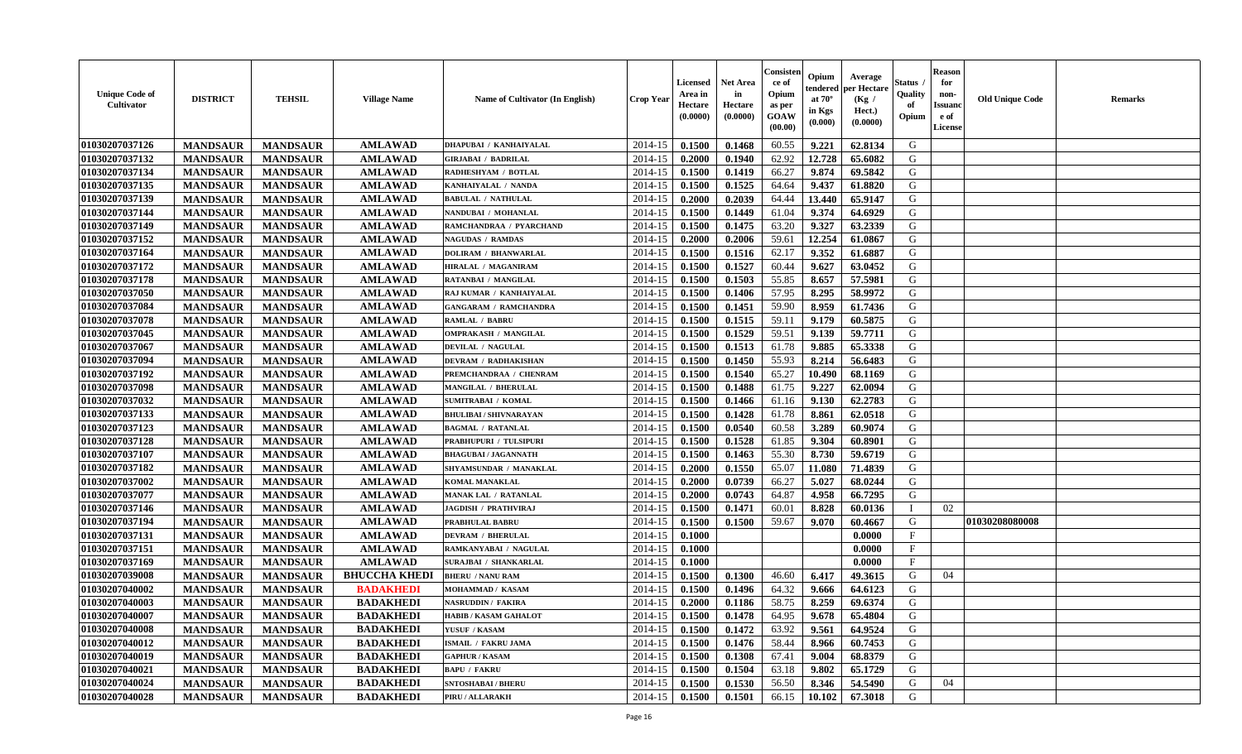| <b>Unique Code of</b><br><b>Cultivator</b> | <b>DISTRICT</b> | <b>TEHSIL</b>   | <b>Village Name</b>  | <b>Name of Cultivator (In English)</b> | <b>Crop Year</b> | <b>Licensed</b><br>Area in<br>Hectare<br>(0.0000) | <b>Net Area</b><br>in<br>Hectare<br>(0.0000) | Consister<br>ce of<br>Opium<br>as per<br>GOAW<br>(00.00) | Opium<br>endered<br>at $70^\circ$<br>in Kgs<br>(0.000) | Average<br>per Hectare<br>(Kg /<br>Hect.)<br>(0.0000) | <b>Status</b> .<br>Quality<br>of<br>Opium | <b>Reason</b><br>for<br>non-<br><b>Issuand</b><br>e of<br>License | <b>Old Unique Code</b> | <b>Remarks</b> |
|--------------------------------------------|-----------------|-----------------|----------------------|----------------------------------------|------------------|---------------------------------------------------|----------------------------------------------|----------------------------------------------------------|--------------------------------------------------------|-------------------------------------------------------|-------------------------------------------|-------------------------------------------------------------------|------------------------|----------------|
| 01030207037126                             | <b>MANDSAUR</b> | <b>MANDSAUR</b> | <b>AMLAWAD</b>       | DHAPUBAI / KANHAIYALAL                 | 2014-15          | 0.1500                                            | 0.1468                                       | 60.55                                                    | 9.221                                                  | 62.8134                                               | G                                         |                                                                   |                        |                |
| 01030207037132                             | <b>MANDSAUR</b> | <b>MANDSAUR</b> | <b>AMLAWAD</b>       | <b>GIRJABAI / BADRILAL</b>             | 2014-15          | 0.2000                                            | 0.1940                                       | 62.92                                                    | 12.728                                                 | 65.6082                                               | G                                         |                                                                   |                        |                |
| 01030207037134                             | <b>MANDSAUR</b> | <b>MANDSAUR</b> | <b>AMLAWAD</b>       | RADHESHYAM / BOTLAL                    | 2014-15          | 0.1500                                            | 0.1419                                       | 66.27                                                    | 9.874                                                  | 69.5842                                               | G                                         |                                                                   |                        |                |
| 01030207037135                             | <b>MANDSAUR</b> | <b>MANDSAUR</b> | <b>AMLAWAD</b>       | KANHAIYALAL / NANDA                    | 2014-15          | 0.1500                                            | 0.1525                                       | 64.64                                                    | 9.437                                                  | 61.8820                                               | G                                         |                                                                   |                        |                |
| 01030207037139                             | <b>MANDSAUR</b> | <b>MANDSAUR</b> | <b>AMLAWAD</b>       | <b>BABULAL / NATHULAL</b>              | 2014-15          | 0.2000                                            | 0.2039                                       | 64.44                                                    | 13.440                                                 | 65.9147                                               | G                                         |                                                                   |                        |                |
| 01030207037144                             | <b>MANDSAUR</b> | <b>MANDSAUR</b> | <b>AMLAWAD</b>       | NANDUBAI / MOHANLAL                    | 2014-15          | 0.1500                                            | 0.1449                                       | 61.04                                                    | 9.374                                                  | 64.6929                                               | G                                         |                                                                   |                        |                |
| 01030207037149                             | <b>MANDSAUR</b> | <b>MANDSAUR</b> | <b>AMLAWAD</b>       | RAMCHANDRAA / PYARCHAND                | 2014-15          | 0.1500                                            | 0.1475                                       | 63.20                                                    | 9.327                                                  | 63.2339                                               | G                                         |                                                                   |                        |                |
| 01030207037152                             | <b>MANDSAUR</b> | <b>MANDSAUR</b> | <b>AMLAWAD</b>       | <b>NAGUDAS / RAMDAS</b>                | 2014-15          | 0.2000                                            | 0.2006                                       | 59.61                                                    | 12.254                                                 | 61.0867                                               | G                                         |                                                                   |                        |                |
| 01030207037164                             | <b>MANDSAUR</b> | <b>MANDSAUR</b> | <b>AMLAWAD</b>       | <b>DOLIRAM / BHANWARLAL</b>            | 2014-15          | 0.1500                                            | 0.1516                                       | 62.17                                                    | 9.352                                                  | 61.6887                                               | G                                         |                                                                   |                        |                |
| 01030207037172                             | <b>MANDSAUR</b> | <b>MANDSAUR</b> | <b>AMLAWAD</b>       | HIRALAL / MAGANIRAM                    | 2014-15          | 0.1500                                            | 0.1527                                       | 60.44                                                    | 9.627                                                  | 63.0452                                               | G                                         |                                                                   |                        |                |
| 01030207037178                             | <b>MANDSAUR</b> | <b>MANDSAUR</b> | <b>AMLAWAD</b>       | RATANBAI / MANGILAL                    | 2014-15          | 0.1500                                            | 0.1503                                       | 55.85                                                    | 8.657                                                  | 57.5981                                               | G                                         |                                                                   |                        |                |
| 01030207037050                             | <b>MANDSAUR</b> | <b>MANDSAUR</b> | <b>AMLAWAD</b>       | RAJ KUMAR / KANHAIYALAL                | 2014-15          | 0.1500                                            | 0.1406                                       | 57.95                                                    | 8.295                                                  | 58.9972                                               | G                                         |                                                                   |                        |                |
| 01030207037084                             | <b>MANDSAUR</b> | <b>MANDSAUR</b> | <b>AMLAWAD</b>       | <b>GANGARAM / RAMCHANDRA</b>           | 2014-15          | 0.1500                                            | 0.1451                                       | 59.90                                                    | 8.959                                                  | 61.7436                                               | G                                         |                                                                   |                        |                |
| 01030207037078                             | <b>MANDSAUR</b> | <b>MANDSAUR</b> | <b>AMLAWAD</b>       | <b>RAMLAL / BABRU</b>                  | 2014-15          | 0.1500                                            | 0.1515                                       | 59.11                                                    | 9.179                                                  | 60.5875                                               | G                                         |                                                                   |                        |                |
| 01030207037045                             | <b>MANDSAUR</b> | <b>MANDSAUR</b> | <b>AMLAWAD</b>       | <b>OMPRAKASH / MANGILAL</b>            | 2014-15          | 0.1500                                            | 0.1529                                       | 59.51                                                    | 9.139                                                  | 59.7711                                               | ${\bf G}$                                 |                                                                   |                        |                |
| 01030207037067                             | <b>MANDSAUR</b> | <b>MANDSAUR</b> | <b>AMLAWAD</b>       | <b>DEVILAL / NAGULAL</b>               | 2014-15          | 0.1500                                            | 0.1513                                       | 61.78                                                    | 9.885                                                  | 65.3338                                               | G                                         |                                                                   |                        |                |
| 01030207037094                             | <b>MANDSAUR</b> | <b>MANDSAUR</b> | <b>AMLAWAD</b>       | <b>DEVRAM / RADHAKISHAN</b>            | 2014-15          | 0.1500                                            | 0.1450                                       | 55.93                                                    | 8.214                                                  | 56.6483                                               | G                                         |                                                                   |                        |                |
| 01030207037192                             | <b>MANDSAUR</b> | <b>MANDSAUR</b> | <b>AMLAWAD</b>       | PREMCHANDRAA / CHENRAM                 | 2014-15          | 0.1500                                            | 0.1540                                       | 65.27                                                    | 10.490                                                 | 68.1169                                               | G                                         |                                                                   |                        |                |
| 01030207037098                             | <b>MANDSAUR</b> | <b>MANDSAUR</b> | <b>AMLAWAD</b>       | MANGILAL / BHERULAL                    | 2014-15          | 0.1500                                            | 0.1488                                       | 61.75                                                    | 9.227                                                  | 62.0094                                               | G                                         |                                                                   |                        |                |
|                                            |                 |                 |                      | <b>SUMITRABAI / KOMAL</b>              |                  |                                                   |                                              |                                                          |                                                        | 62.2783                                               | G                                         |                                                                   |                        |                |
| 01030207037032                             | <b>MANDSAUR</b> | <b>MANDSAUR</b> | <b>AMLAWAD</b>       |                                        | 2014-15          | 0.1500                                            | 0.1466                                       | 61.16                                                    | 9.130                                                  |                                                       |                                           |                                                                   |                        |                |
| 01030207037133                             | <b>MANDSAUR</b> | <b>MANDSAUR</b> | <b>AMLAWAD</b>       | <b>BHULIBAI / SHIVNARAYAN</b>          | 2014-15          | 0.1500                                            | 0.1428                                       | 61.78                                                    | 8.861                                                  | 62.0518                                               | G                                         |                                                                   |                        |                |
| 01030207037123                             | <b>MANDSAUR</b> | <b>MANDSAUR</b> | <b>AMLAWAD</b>       | <b>BAGMAL / RATANLAL</b>               | 2014-15          | 0.1500                                            | 0.0540                                       | 60.58                                                    | 3.289                                                  | 60.9074                                               | G                                         |                                                                   |                        |                |
| 01030207037128                             | <b>MANDSAUR</b> | <b>MANDSAUR</b> | <b>AMLAWAD</b>       | <b>PRABHUPURI / TULSIPURI</b>          | 2014-15          | 0.1500                                            | 0.1528                                       | 61.85                                                    | 9.304                                                  | 60.8901                                               | G                                         |                                                                   |                        |                |
| 01030207037107                             | <b>MANDSAUR</b> | <b>MANDSAUR</b> | <b>AMLAWAD</b>       | <b>BHAGUBAI / JAGANNATH</b>            | 2014-15          | 0.1500                                            | 0.1463                                       | 55.30                                                    | 8.730                                                  | 59.6719                                               | ${\bf G}$                                 |                                                                   |                        |                |
| 01030207037182                             | <b>MANDSAUR</b> | <b>MANDSAUR</b> | <b>AMLAWAD</b>       | SHYAMSUNDAR / MANAKLAL                 | 2014-15          | 0.2000                                            | 0.1550                                       | 65.07                                                    | 11.080                                                 | 71.4839                                               | G                                         |                                                                   |                        |                |
| 01030207037002                             | <b>MANDSAUR</b> | <b>MANDSAUR</b> | <b>AMLAWAD</b>       | <b>KOMAL MANAKLAL</b>                  | 2014-15          | 0.2000                                            | 0.0739                                       | 66.27                                                    | 5.027                                                  | 68.0244                                               | G                                         |                                                                   |                        |                |
| 01030207037077                             | <b>MANDSAUR</b> | <b>MANDSAUR</b> | <b>AMLAWAD</b>       | MANAK LAL / RATANLAL                   | 2014-15          | 0.2000                                            | 0.0743                                       | 64.87                                                    | 4.958                                                  | 66.7295                                               | G                                         |                                                                   |                        |                |
| 01030207037146                             | <b>MANDSAUR</b> | <b>MANDSAUR</b> | <b>AMLAWAD</b>       | <b>JAGDISH / PRATHVIRAJ</b>            | 2014-15          | 0.1500                                            | 0.1471                                       | 60.01                                                    | 8.828                                                  | 60.0136                                               | $\mathbf I$                               | 02                                                                |                        |                |
| 01030207037194                             | <b>MANDSAUR</b> | <b>MANDSAUR</b> | <b>AMLAWAD</b>       | PRABHULAL BABRU                        | 2014-15          | 0.1500                                            | 0.1500                                       | 59.67                                                    | 9.070                                                  | 60.4667                                               | G                                         |                                                                   | 01030208080008         |                |
| 01030207037131                             | <b>MANDSAUR</b> | <b>MANDSAUR</b> | <b>AMLAWAD</b>       | <b>DEVRAM / BHERULAL</b>               | 2014-15          | 0.1000                                            |                                              |                                                          |                                                        | 0.0000                                                | $\mathbf F$                               |                                                                   |                        |                |
| 01030207037151                             | <b>MANDSAUR</b> | <b>MANDSAUR</b> | <b>AMLAWAD</b>       | RAMKANYABAI / NAGULAL                  | 2014-15          | 0.1000                                            |                                              |                                                          |                                                        | 0.0000                                                | $\mathbf{F}$                              |                                                                   |                        |                |
| 01030207037169                             | <b>MANDSAUR</b> | <b>MANDSAUR</b> | <b>AMLAWAD</b>       | SURAJBAI / SHANKARLAL                  | 2014-15          | 0.1000                                            |                                              |                                                          |                                                        | 0.0000                                                | $\mathbf F$                               |                                                                   |                        |                |
| 01030207039008                             | <b>MANDSAUR</b> | <b>MANDSAUR</b> | <b>BHUCCHA KHEDI</b> | <b>BHERU / NANU RAM</b>                | 2014-15          | 0.1500                                            | 0.1300                                       | 46.60                                                    | 6.417                                                  | 49.3615                                               | G                                         | 04                                                                |                        |                |
| 01030207040002                             | <b>MANDSAUR</b> | <b>MANDSAUR</b> | <b>BADAKHEDI</b>     | MOHAMMAD / KASAM                       | 2014-15          | 0.1500                                            | 0.1496                                       | 64.32                                                    | 9.666                                                  | 64.6123                                               | G                                         |                                                                   |                        |                |
| 01030207040003                             | <b>MANDSAUR</b> | <b>MANDSAUR</b> | <b>BADAKHEDI</b>     | <b>NASRUDDIN / FAKIRA</b>              | 2014-15          | 0.2000                                            | 0.1186                                       | 58.75                                                    | 8.259                                                  | 69.6374                                               | G                                         |                                                                   |                        |                |
| 01030207040007                             | <b>MANDSAUR</b> | <b>MANDSAUR</b> | <b>BADAKHEDI</b>     | <b>HABIB / KASAM GAHALOT</b>           | 2014-15          | 0.1500                                            | 0.1478                                       | 64.95                                                    | 9.678                                                  | 65.4804                                               | G                                         |                                                                   |                        |                |
| 01030207040008                             | <b>MANDSAUR</b> | <b>MANDSAUR</b> | <b>BADAKHEDI</b>     | YUSUF / KASAM                          | 2014-15          | 0.1500                                            | 0.1472                                       | 63.92                                                    | 9.561                                                  | 64.9524                                               | G                                         |                                                                   |                        |                |
| 01030207040012                             | <b>MANDSAUR</b> | <b>MANDSAUR</b> | <b>BADAKHEDI</b>     | <b>ISMAIL / FAKRU JAMA</b>             | 2014-15          | 0.1500                                            | 0.1476                                       | 58.44                                                    | 8.966                                                  | 60.7453                                               | G                                         |                                                                   |                        |                |
| 01030207040019                             | <b>MANDSAUR</b> | <b>MANDSAUR</b> | <b>BADAKHEDI</b>     | <b>GAPHUR / KASAM</b>                  | 2014-15          | 0.1500                                            | 0.1308                                       | 67.41                                                    | 9.004                                                  | 68.8379                                               | G                                         |                                                                   |                        |                |
| 01030207040021                             | <b>MANDSAUR</b> | <b>MANDSAUR</b> | <b>BADAKHEDI</b>     | <b>BAPU / FAKRU</b>                    | 2014-15          | 0.1500                                            | 0.1504                                       | 63.18                                                    | 9.802                                                  | 65.1729                                               | ${\bf G}$                                 |                                                                   |                        |                |
| 01030207040024                             | <b>MANDSAUR</b> | <b>MANDSAUR</b> | <b>BADAKHEDI</b>     | <b>SNTOSHABAI / BHERU</b>              | 2014-15          | 0.1500                                            | 0.1530                                       | 56.50                                                    | 8.346                                                  | 54.5490                                               | G                                         | 04                                                                |                        |                |
| 01030207040028                             | <b>MANDSAUR</b> | <b>MANDSAUR</b> | <b>BADAKHEDI</b>     | PIRU / ALLARAKH                        | 2014-15          | 0.1500                                            | 0.1501                                       | 66.15                                                    | 10.102                                                 | 67.3018                                               | G                                         |                                                                   |                        |                |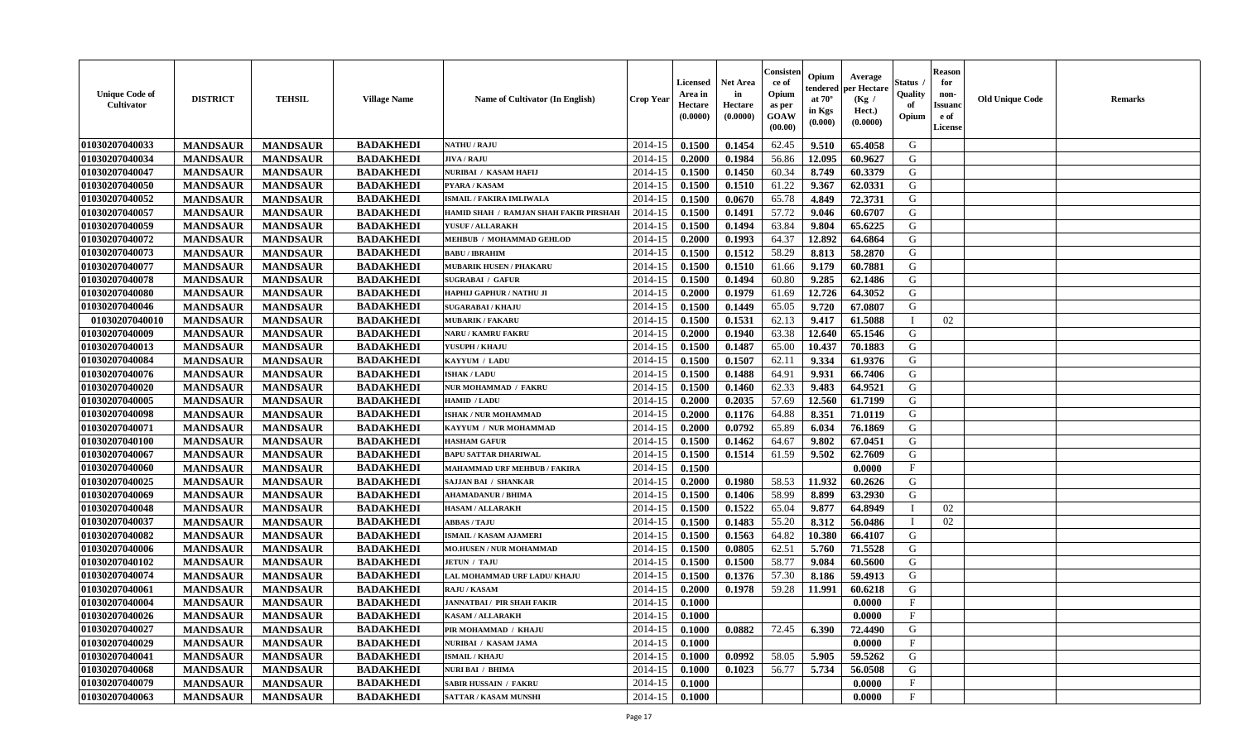| <b>Unique Code of</b><br><b>Cultivator</b> | <b>DISTRICT</b> | <b>TEHSIL</b>   | <b>Village Name</b> | <b>Name of Cultivator (In English)</b> | <b>Crop Year</b> | <b>Licensed</b><br>Area in<br>Hectare<br>(0.0000) | <b>Net Area</b><br>in<br>Hectare<br>(0.0000) | Consister<br>ce of<br>Opium<br>as per<br><b>GOAW</b><br>(00.00) | Opium<br>endered<br>at $70^\circ$<br>in Kgs<br>$(\mathbf{0.000})$ | Average<br>per Hectare<br>(Kg)<br>Hect.)<br>(0.0000) | Status<br>Quality<br>of<br>Opium | <b>Reason</b><br>for<br>non-<br><b>Issuano</b><br>e of<br>License | <b>Old Unique Code</b> | <b>Remarks</b> |
|--------------------------------------------|-----------------|-----------------|---------------------|----------------------------------------|------------------|---------------------------------------------------|----------------------------------------------|-----------------------------------------------------------------|-------------------------------------------------------------------|------------------------------------------------------|----------------------------------|-------------------------------------------------------------------|------------------------|----------------|
| 01030207040033                             | <b>MANDSAUR</b> | <b>MANDSAUR</b> | <b>BADAKHEDI</b>    | <b>NATHU / RAJU</b>                    | 2014-15          | 0.1500                                            | 0.1454                                       | 62.45                                                           | 9.510                                                             | 65.4058                                              | G                                |                                                                   |                        |                |
| 01030207040034                             | <b>MANDSAUR</b> | <b>MANDSAUR</b> | <b>BADAKHEDI</b>    | <b>JIVA / RAJU</b>                     | 2014-15          | 0.2000                                            | 0.1984                                       | 56.86                                                           | 12.095                                                            | 60.9627                                              | G                                |                                                                   |                        |                |
| 01030207040047                             | <b>MANDSAUR</b> | <b>MANDSAUR</b> | <b>BADAKHEDI</b>    | NURIBAI / KASAM HAFIJ                  | 2014-15          | 0.1500                                            | 0.1450                                       | 60.34                                                           | 8.749                                                             | 60.3379                                              | G                                |                                                                   |                        |                |
| 01030207040050                             | <b>MANDSAUR</b> | <b>MANDSAUR</b> | <b>BADAKHEDI</b>    | PYARA / KASAM                          | 2014-15          | 0.1500                                            | 0.1510                                       | 61.22                                                           | 9.367                                                             | 62.0331                                              | G                                |                                                                   |                        |                |
| 01030207040052                             | <b>MANDSAUR</b> | <b>MANDSAUR</b> | <b>BADAKHEDI</b>    | <b>ISMAIL / FAKIRA IMLIWALA</b>        | 2014-15          | 0.1500                                            | 0.0670                                       | 65.78                                                           | 4.849                                                             | 72.3731                                              | G                                |                                                                   |                        |                |
| 01030207040057                             | <b>MANDSAUR</b> | <b>MANDSAUR</b> | <b>BADAKHEDI</b>    | HAMID SHAH / RAMJAN SHAH FAKIR PIRSHAH | 2014-15          | 0.1500                                            | 0.1491                                       | 57.72                                                           | 9.046                                                             | 60.6707                                              | G                                |                                                                   |                        |                |
| 01030207040059                             | <b>MANDSAUR</b> | <b>MANDSAUR</b> | <b>BADAKHEDI</b>    | YUSUF / ALLARAKH                       | 2014-15          | 0.1500                                            | 0.1494                                       | 63.84                                                           | 9.804                                                             | 65.6225                                              | G                                |                                                                   |                        |                |
| 01030207040072                             | <b>MANDSAUR</b> | <b>MANDSAUR</b> | <b>BADAKHEDI</b>    | MEHBUB / MOHAMMAD GEHLOD               | 2014-15          | 0.2000                                            | 0.1993                                       | 64.37                                                           | 12.892                                                            | 64.6864                                              | G                                |                                                                   |                        |                |
| 01030207040073                             | <b>MANDSAUR</b> | <b>MANDSAUR</b> | <b>BADAKHEDI</b>    | <b>BABU / IBRAHIM</b>                  | 2014-15          | 0.1500                                            | 0.1512                                       | 58.29                                                           | 8.813                                                             | 58.2870                                              | G                                |                                                                   |                        |                |
| 01030207040077                             | <b>MANDSAUR</b> | <b>MANDSAUR</b> | <b>BADAKHEDI</b>    | <b>MUBARIK HUSEN / PHAKARU</b>         | 2014-15          | 0.1500                                            | 0.1510                                       | 61.66                                                           | 9.179                                                             | 60.7881                                              | G                                |                                                                   |                        |                |
| 01030207040078                             | <b>MANDSAUR</b> | <b>MANDSAUR</b> | <b>BADAKHEDI</b>    | <b>SUGRABAI / GAFUR</b>                | 2014-15          | 0.1500                                            | 0.1494                                       | 60.80                                                           | 9.285                                                             | 62.1486                                              | G                                |                                                                   |                        |                |
| 01030207040080                             | <b>MANDSAUR</b> | <b>MANDSAUR</b> | <b>BADAKHEDI</b>    | HAPHIJ GAPHUR / NATHU JI               | 2014-15          | 0.2000                                            | 0.1979                                       | 61.69                                                           | 12.726                                                            | 64.3052                                              | G                                |                                                                   |                        |                |
| 01030207040046                             | <b>MANDSAUR</b> | <b>MANDSAUR</b> | <b>BADAKHEDI</b>    | <b>SUGARABAI / KHAJU</b>               | 2014-15          | 0.1500                                            | 0.1449                                       | 65.05                                                           | 9.720                                                             | 67.0807                                              | G                                |                                                                   |                        |                |
| 01030207040010                             | <b>MANDSAUR</b> | <b>MANDSAUR</b> | <b>BADAKHEDI</b>    | <b>MUBARIK / FAKARU</b>                | 2014-15          | 0.1500                                            | 0.1531                                       | 62.13                                                           | 9.417                                                             | 61.5088                                              |                                  | 02                                                                |                        |                |
| 01030207040009                             | <b>MANDSAUR</b> | <b>MANDSAUR</b> | <b>BADAKHEDI</b>    | NARU / KAMRU FAKRU                     | 2014-15          | 0.2000                                            | 0.1940                                       | 63.38                                                           | 12.640                                                            | 65.1546                                              | G                                |                                                                   |                        |                |
| 01030207040013                             | <b>MANDSAUR</b> | <b>MANDSAUR</b> | <b>BADAKHEDI</b>    | YUSUPH / KHAJU                         | 2014-15          | 0.1500                                            | 0.1487                                       | 65.00                                                           | 10.437                                                            | 70.1883                                              | G                                |                                                                   |                        |                |
| 01030207040084                             | <b>MANDSAUR</b> | <b>MANDSAUR</b> | <b>BADAKHEDI</b>    | KAYYUM / LADU                          | 2014-15          | 0.1500                                            | 0.1507                                       | 62.11                                                           | 9.334                                                             | 61.9376                                              | G                                |                                                                   |                        |                |
| 01030207040076                             | <b>MANDSAUR</b> | <b>MANDSAUR</b> | <b>BADAKHEDI</b>    | <b>ISHAK / LADU</b>                    | 2014-15          | 0.1500                                            | 0.1488                                       | 64.91                                                           | 9.931                                                             | 66.7406                                              | G                                |                                                                   |                        |                |
| 01030207040020                             | <b>MANDSAUR</b> | <b>MANDSAUR</b> | <b>BADAKHEDI</b>    | NUR MOHAMMAD / FAKRU                   | 2014-15          | 0.1500                                            | 0.1460                                       | 62.33                                                           | 9.483                                                             | 64.9521                                              | G                                |                                                                   |                        |                |
| 01030207040005                             | <b>MANDSAUR</b> | <b>MANDSAUR</b> | <b>BADAKHEDI</b>    | HAMID / LADU                           | 2014-15          | 0.2000                                            | 0.2035                                       | 57.69                                                           | 12.560                                                            | 61.7199                                              | G                                |                                                                   |                        |                |
| 01030207040098                             | <b>MANDSAUR</b> | <b>MANDSAUR</b> | <b>BADAKHEDI</b>    | ISHAK / NUR MOHAMMAD                   | 2014-15          | 0.2000                                            | 0.1176                                       | 64.88                                                           | 8.351                                                             | 71.0119                                              | G                                |                                                                   |                        |                |
| 01030207040071                             | <b>MANDSAUR</b> | <b>MANDSAUR</b> | <b>BADAKHEDI</b>    | KAYYUM / NUR MOHAMMAD                  | 2014-15          | 0.2000                                            | 0.0792                                       | 65.89                                                           | 6.034                                                             | 76.1869                                              | G                                |                                                                   |                        |                |
| 01030207040100                             | <b>MANDSAUR</b> | <b>MANDSAUR</b> | <b>BADAKHEDI</b>    | <b>HASHAM GAFUR</b>                    | 2014-15          | 0.1500                                            | 0.1462                                       | 64.67                                                           | 9.802                                                             | 67.0451                                              | G                                |                                                                   |                        |                |
| 01030207040067                             | <b>MANDSAUR</b> | <b>MANDSAUR</b> | <b>BADAKHEDI</b>    | <b>BAPU SATTAR DHARIWAL</b>            | 2014-15          | 0.1500                                            | 0.1514                                       | 61.59                                                           | 9.502                                                             | 62.7609                                              | G                                |                                                                   |                        |                |
| 01030207040060                             | <b>MANDSAUR</b> | <b>MANDSAUR</b> | <b>BADAKHEDI</b>    | <b>MAHAMMAD URF MEHBUB / FAKIRA</b>    | 2014-15          | 0.1500                                            |                                              |                                                                 |                                                                   | 0.0000                                               | $\mathbf{F}$                     |                                                                   |                        |                |
| 01030207040025                             | <b>MANDSAUR</b> | <b>MANDSAUR</b> | <b>BADAKHEDI</b>    | <b>SAJJAN BAI / SHANKAR</b>            | 2014-15          | 0.2000                                            | 0.1980                                       | 58.53                                                           | 11.932                                                            | 60.2626                                              | G                                |                                                                   |                        |                |
| 01030207040069                             | <b>MANDSAUR</b> | <b>MANDSAUR</b> | <b>BADAKHEDI</b>    | AHAMADANUR / BHIMA                     | 2014-15          | 0.1500                                            | 0.1406                                       | 58.99                                                           | 8.899                                                             | 63.2930                                              | G                                |                                                                   |                        |                |
| 01030207040048                             | <b>MANDSAUR</b> | <b>MANDSAUR</b> | <b>BADAKHEDI</b>    | <b>HASAM / ALLARAKH</b>                | 2014-15          | 0.1500                                            | 0.1522                                       | 65.04                                                           | 9.877                                                             | 64.8949                                              | - 1                              | 02                                                                |                        |                |
| 01030207040037                             | <b>MANDSAUR</b> | <b>MANDSAUR</b> | <b>BADAKHEDI</b>    | <b>ABBAS / TAJU</b>                    | 2014-15          | 0.1500                                            | 0.1483                                       | 55.20                                                           | 8.312                                                             | 56.0486                                              | - 1                              | 02                                                                |                        |                |
| 01030207040082                             | <b>MANDSAUR</b> | <b>MANDSAUR</b> | <b>BADAKHEDI</b>    | <b>ISMAIL / KASAM AJAMERI</b>          | 2014-15          | 0.1500                                            | 0.1563                                       | 64.82                                                           | 10.380                                                            | 66.4107                                              | G                                |                                                                   |                        |                |
| 01030207040006                             | <b>MANDSAUR</b> | <b>MANDSAUR</b> | <b>BADAKHEDI</b>    | <b>MO.HUSEN / NUR MOHAMMAD</b>         | 2014-15          | 0.1500                                            | 0.0805                                       | 62.51                                                           | 5.760                                                             | 71.5528                                              | G                                |                                                                   |                        |                |
| 01030207040102                             | <b>MANDSAUR</b> | <b>MANDSAUR</b> | <b>BADAKHEDI</b>    | <b>JETUN / TAJU</b>                    | 2014-15          | 0.1500                                            | 0.1500                                       | 58.77                                                           | 9.084                                                             | 60.5600                                              | G                                |                                                                   |                        |                |
| 01030207040074                             | <b>MANDSAUR</b> | <b>MANDSAUR</b> | <b>BADAKHEDI</b>    | LAL MOHAMMAD URF LADU/ KHAJU           | 2014-15          | 0.1500                                            | 0.1376                                       | 57.30                                                           | 8.186                                                             | 59.4913                                              | G                                |                                                                   |                        |                |
| 01030207040061                             | <b>MANDSAUR</b> | <b>MANDSAUR</b> | <b>BADAKHEDI</b>    | <b>RAJU / KASAM</b>                    | 2014-15          | 0.2000                                            | 0.1978                                       | 59.28                                                           | 11.991                                                            | 60.6218                                              | G                                |                                                                   |                        |                |
| 01030207040004                             | <b>MANDSAUR</b> | <b>MANDSAUR</b> | <b>BADAKHEDI</b>    | <b>JANNATBAI / PIR SHAH FAKIR</b>      | 2014-15          | 0.1000                                            |                                              |                                                                 |                                                                   | 0.0000                                               | $\mathbf{F}$                     |                                                                   |                        |                |
| 01030207040026                             | <b>MANDSAUR</b> | <b>MANDSAUR</b> | <b>BADAKHEDI</b>    | <b>KASAM / ALLARAKH</b>                | $2014-15$ 0.1000 |                                                   |                                              |                                                                 |                                                                   | 0.0000                                               | $_{\rm F}$                       |                                                                   |                        |                |
| 01030207040027                             | <b>MANDSAUR</b> | <b>MANDSAUR</b> | <b>BADAKHEDI</b>    | PIR MOHAMMAD / KHAJU                   | 2014-15          | 0.1000                                            | 0.0882                                       | 72.45                                                           | 6.390                                                             | 72.4490                                              | G                                |                                                                   |                        |                |
| 01030207040029                             | <b>MANDSAUR</b> | <b>MANDSAUR</b> | <b>BADAKHEDI</b>    | NURIBAI / KASAM JAMA                   | 2014-15          | 0.1000                                            |                                              |                                                                 |                                                                   | 0.0000                                               | $\mathbf{F}$                     |                                                                   |                        |                |
| 01030207040041                             | <b>MANDSAUR</b> | <b>MANDSAUR</b> | <b>BADAKHEDI</b>    | <b>ISMAIL / KHAJU</b>                  | 2014-15          | 0.1000                                            | 0.0992                                       | 58.05                                                           | 5.905                                                             | 59.5262                                              | G                                |                                                                   |                        |                |
| 01030207040068                             | <b>MANDSAUR</b> | <b>MANDSAUR</b> | <b>BADAKHEDI</b>    | <b>NURI BAI / BHIMA</b>                | 2014-15          | 0.1000                                            | 0.1023                                       | 56.77                                                           | 5.734                                                             | 56.0508                                              | G                                |                                                                   |                        |                |
| 01030207040079                             | <b>MANDSAUR</b> | <b>MANDSAUR</b> | <b>BADAKHEDI</b>    | <b>SABIR HUSSAIN / FAKRU</b>           | 2014-15          | 0.1000                                            |                                              |                                                                 |                                                                   | 0.0000                                               | $\mathbf F$                      |                                                                   |                        |                |
| 01030207040063                             | <b>MANDSAUR</b> | <b>MANDSAUR</b> | <b>BADAKHEDI</b>    | <b>SATTAR / KASAM MUNSHI</b>           | $2014 - 15$      | 0.1000                                            |                                              |                                                                 |                                                                   | 0.0000                                               | $\mathbf{F}$                     |                                                                   |                        |                |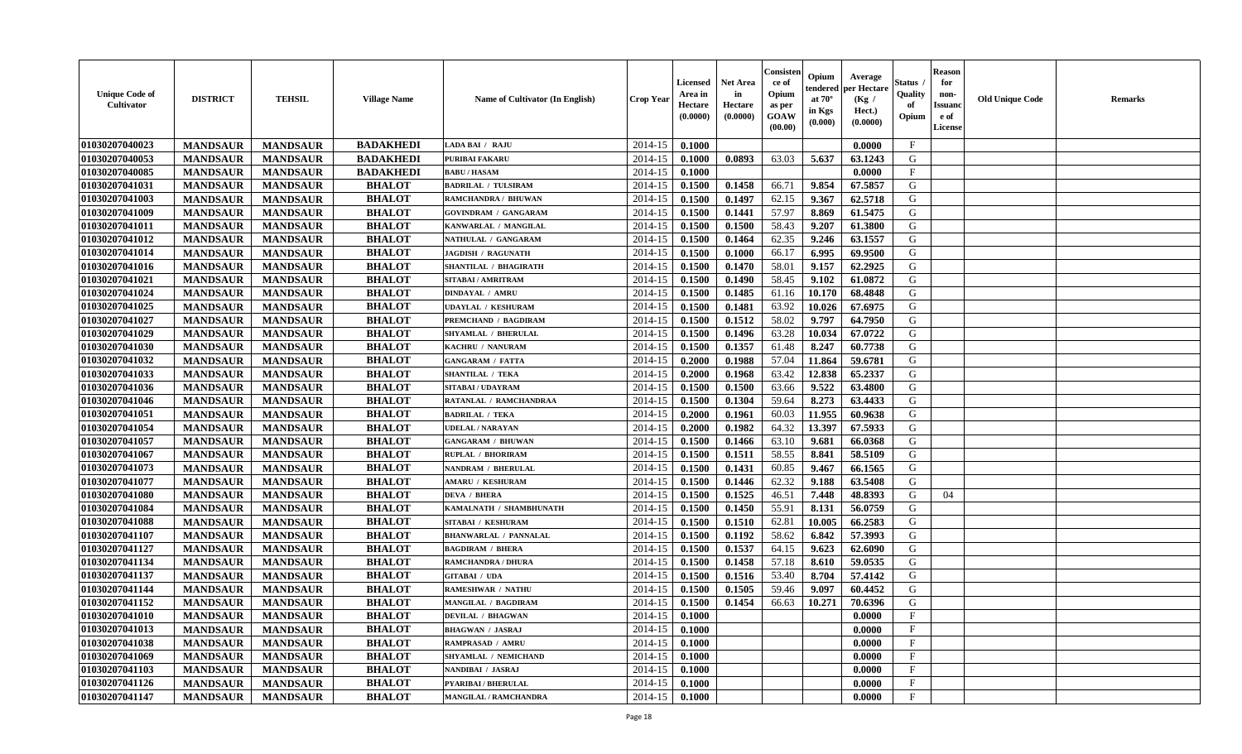| <b>Unique Code of</b><br><b>Cultivator</b> | <b>DISTRICT</b> | <b>TEHSIL</b>   | <b>Village Name</b> | <b>Name of Cultivator (In English)</b> | <b>Crop Year</b> | <b>Licensed</b><br>Area in<br>Hectare<br>(0.0000) | <b>Net Area</b><br>in<br>Hectare<br>(0.0000) | Consisteı<br>ce of<br>Opium<br>as per<br><b>GOAW</b><br>(00.00) | Opium<br>endered<br>at $70^\circ$<br>in Kgs<br>$(\mathbf{0.000})$ | Average<br>per Hectare<br>(Kg /<br>Hect.)<br>(0.0000) | Status<br>Quality<br>of<br>Opium | <b>Reason</b><br>for<br>non-<br>Issuan<br>e of<br>License | <b>Old Unique Code</b> | <b>Remarks</b> |
|--------------------------------------------|-----------------|-----------------|---------------------|----------------------------------------|------------------|---------------------------------------------------|----------------------------------------------|-----------------------------------------------------------------|-------------------------------------------------------------------|-------------------------------------------------------|----------------------------------|-----------------------------------------------------------|------------------------|----------------|
| 01030207040023                             | <b>MANDSAUR</b> | <b>MANDSAUR</b> | <b>BADAKHEDI</b>    | LADA BAI / RAJU                        | 2014-15          | 0.1000                                            |                                              |                                                                 |                                                                   | 0.0000                                                | $\mathbf{F}$                     |                                                           |                        |                |
| 01030207040053                             | <b>MANDSAUR</b> | <b>MANDSAUR</b> | <b>BADAKHEDI</b>    | <b>PURIBAI FAKARU</b>                  | 2014-15          | 0.1000                                            | 0.0893                                       | 63.03                                                           | 5.637                                                             | 63.1243                                               | G                                |                                                           |                        |                |
| 01030207040085                             | <b>MANDSAUR</b> | <b>MANDSAUR</b> | <b>BADAKHEDI</b>    | <b>BABU/HASAM</b>                      | 2014-15          | 0.1000                                            |                                              |                                                                 |                                                                   | 0.0000                                                | $\mathbf{F}$                     |                                                           |                        |                |
| 01030207041031                             | <b>MANDSAUR</b> | <b>MANDSAUR</b> | <b>BHALOT</b>       | <b>BADRILAL / TULSIRAM</b>             | 2014-15          | 0.1500                                            | 0.1458                                       | 66.71                                                           | 9.854                                                             | 67.5857                                               | G                                |                                                           |                        |                |
| 01030207041003                             | <b>MANDSAUR</b> | <b>MANDSAUR</b> | <b>BHALOT</b>       | RAMCHANDRA / BHUWAN                    | 2014-15          | 0.1500                                            | 0.1497                                       | 62.15                                                           | 9.367                                                             | 62.5718                                               | G                                |                                                           |                        |                |
| 01030207041009                             | <b>MANDSAUR</b> | <b>MANDSAUR</b> | <b>BHALOT</b>       | <b>GOVINDRAM / GANGARAM</b>            | 2014-15          | 0.1500                                            | 0.1441                                       | 57.97                                                           | 8.869                                                             | 61.5475                                               | G                                |                                                           |                        |                |
| 01030207041011                             | <b>MANDSAUR</b> | <b>MANDSAUR</b> | <b>BHALOT</b>       | KANWARLAL / MANGILAL                   | 2014-15          | 0.1500                                            | 0.1500                                       | 58.43                                                           | 9.207                                                             | 61.3800                                               | G                                |                                                           |                        |                |
| 01030207041012                             | <b>MANDSAUR</b> | <b>MANDSAUR</b> | <b>BHALOT</b>       | NATHULAL / GANGARAM                    | 2014-15          | 0.1500                                            | 0.1464                                       | 62.35                                                           | 9.246                                                             | 63.1557                                               | G                                |                                                           |                        |                |
| 01030207041014                             | <b>MANDSAUR</b> | <b>MANDSAUR</b> | <b>BHALOT</b>       | <b>JAGDISH / RAGUNATH</b>              | 2014-15          | 0.1500                                            | 0.1000                                       | 66.17                                                           | 6.995                                                             | 69.9500                                               | G                                |                                                           |                        |                |
| 01030207041016                             | <b>MANDSAUR</b> | <b>MANDSAUR</b> | <b>BHALOT</b>       | SHANTILAL / BHAGIRATH                  | 2014-15          | 0.1500                                            | 0.1470                                       | 58.01                                                           | 9.157                                                             | 62.2925                                               | G                                |                                                           |                        |                |
| 01030207041021                             | <b>MANDSAUR</b> | <b>MANDSAUR</b> | <b>BHALOT</b>       | SITABAI / AMRITRAM                     | 2014-15          | 0.1500                                            | 0.1490                                       | 58.45                                                           | 9.102                                                             | 61.0872                                               | G                                |                                                           |                        |                |
| 01030207041024                             | <b>MANDSAUR</b> | <b>MANDSAUR</b> | <b>BHALOT</b>       | <b>DINDAYAL / AMRU</b>                 | 2014-15          | 0.1500                                            | 0.1485                                       | 61.16                                                           | 10.170                                                            | 68.4848                                               | G                                |                                                           |                        |                |
| 01030207041025                             | <b>MANDSAUR</b> | <b>MANDSAUR</b> | <b>BHALOT</b>       | <b>UDAYLAL / KESHURAM</b>              | 2014-15          | 0.1500                                            | 0.1481                                       | 63.92                                                           | 10.026                                                            | 67.6975                                               | G                                |                                                           |                        |                |
| 01030207041027                             | <b>MANDSAUR</b> | <b>MANDSAUR</b> | <b>BHALOT</b>       | PREMCHAND / BAGDIRAM                   | 2014-15          | 0.1500                                            | 0.1512                                       | 58.02                                                           | 9.797                                                             | 64.7950                                               | G                                |                                                           |                        |                |
| 01030207041029                             | <b>MANDSAUR</b> | <b>MANDSAUR</b> | <b>BHALOT</b>       | SHYAMLAL / BHERULAL                    | 2014-15          | 0.1500                                            | 0.1496                                       | 63.28                                                           | 10.034                                                            | 67.0722                                               | G                                |                                                           |                        |                |
| 01030207041030                             | <b>MANDSAUR</b> | <b>MANDSAUR</b> | <b>BHALOT</b>       | KACHRU / NANURAM                       | 2014-15          | 0.1500                                            | 0.1357                                       | 61.48                                                           | 8.247                                                             | 60.7738                                               | G                                |                                                           |                        |                |
| 01030207041032                             | <b>MANDSAUR</b> | <b>MANDSAUR</b> | <b>BHALOT</b>       | <b>GANGARAM / FATTA</b>                | 2014-15          | 0.2000                                            | 0.1988                                       | 57.04                                                           | 11.864                                                            | 59.6781                                               | G                                |                                                           |                        |                |
| 01030207041033                             | <b>MANDSAUR</b> | <b>MANDSAUR</b> | <b>BHALOT</b>       | <b>SHANTILAL / TEKA</b>                | 2014-15          | 0.2000                                            | 0.1968                                       | 63.42                                                           | 12.838                                                            | 65.2337                                               | G                                |                                                           |                        |                |
| 01030207041036                             | <b>MANDSAUR</b> | <b>MANDSAUR</b> | <b>BHALOT</b>       | SITABAI / UDAYRAM                      | 2014-15          | 0.1500                                            | 0.1500                                       | 63.66                                                           | 9.522                                                             | 63.4800                                               | G                                |                                                           |                        |                |
| 01030207041046                             | <b>MANDSAUR</b> | <b>MANDSAUR</b> | <b>BHALOT</b>       | RATANLAL / RAMCHANDRAA                 | 2014-15          | 0.1500                                            | 0.1304                                       | 59.64                                                           | 8.273                                                             | 63.4433                                               | G                                |                                                           |                        |                |
| 01030207041051                             | <b>MANDSAUR</b> | <b>MANDSAUR</b> | <b>BHALOT</b>       | <b>BADRILAL / TEKA</b>                 | 2014-15          | 0.2000                                            | 0.1961                                       | 60.03                                                           | 11.955                                                            | 60.9638                                               | G                                |                                                           |                        |                |
| 01030207041054                             | <b>MANDSAUR</b> | <b>MANDSAUR</b> | <b>BHALOT</b>       | <b>UDELAL / NARAYAN</b>                | 2014-15          | 0.2000                                            | 0.1982                                       | 64.32                                                           | 13.397                                                            | 67.5933                                               | G                                |                                                           |                        |                |
| 01030207041057                             | <b>MANDSAUR</b> | <b>MANDSAUR</b> | <b>BHALOT</b>       | <b>GANGARAM / BHUWAN</b>               | 2014-15          | 0.1500                                            | 0.1466                                       | 63.10                                                           | 9.681                                                             | 66.0368                                               | G                                |                                                           |                        |                |
| 01030207041067                             | <b>MANDSAUR</b> | <b>MANDSAUR</b> | <b>BHALOT</b>       | RUPLAL / BHORIRAM                      | 2014-15          | 0.1500                                            | 0.1511                                       | 58.55                                                           | 8.841                                                             | 58.5109                                               | G                                |                                                           |                        |                |
| 01030207041073                             | <b>MANDSAUR</b> | <b>MANDSAUR</b> | <b>BHALOT</b>       | <b>NANDRAM / BHERULAL</b>              | 2014-15          | 0.1500                                            | 0.1431                                       | 60.85                                                           | 9.467                                                             | 66.1565                                               | G                                |                                                           |                        |                |
| 01030207041077                             | <b>MANDSAUR</b> | <b>MANDSAUR</b> | <b>BHALOT</b>       | <b>AMARU / KESHURAM</b>                | 2014-15          | 0.1500                                            | 0.1446                                       | 62.32                                                           | 9.188                                                             | 63.5408                                               | G                                |                                                           |                        |                |
| 01030207041080                             | <b>MANDSAUR</b> | <b>MANDSAUR</b> | <b>BHALOT</b>       | <b>DEVA / BHERA</b>                    | 2014-15          | 0.1500                                            | 0.1525                                       | 46.51                                                           | 7.448                                                             | 48.8393                                               | G                                | 04                                                        |                        |                |
| 01030207041084                             | <b>MANDSAUR</b> | <b>MANDSAUR</b> | <b>BHALOT</b>       | KAMALNATH / SHAMBHUNATH                | 2014-15          | 0.1500                                            | 0.1450                                       | 55.91                                                           | 8.131                                                             | 56.0759                                               | G                                |                                                           |                        |                |
| 01030207041088                             | <b>MANDSAUR</b> | <b>MANDSAUR</b> | <b>BHALOT</b>       | SITABAI / KESHURAM                     | 2014-15          | 0.1500                                            | 0.1510                                       | 62.81                                                           | 10.005                                                            | 66.2583                                               | G                                |                                                           |                        |                |
| 01030207041107                             | <b>MANDSAUR</b> | <b>MANDSAUR</b> | <b>BHALOT</b>       | <b>BHANWARLAL / PANNALAL</b>           | 2014-15          | 0.1500                                            | 0.1192                                       | 58.62                                                           | 6.842                                                             | 57.3993                                               | G                                |                                                           |                        |                |
| 01030207041127                             | <b>MANDSAUR</b> | <b>MANDSAUR</b> | <b>BHALOT</b>       | <b>BAGDIRAM / BHERA</b>                | 2014-15          | 0.1500                                            | 0.1537                                       | 64.15                                                           | 9.623                                                             | 62.6090                                               | G                                |                                                           |                        |                |
| 01030207041134                             | <b>MANDSAUR</b> | <b>MANDSAUR</b> | <b>BHALOT</b>       | RAMCHANDRA / DHURA                     | 2014-15          | 0.1500                                            | 0.1458                                       | 57.18                                                           | 8.610                                                             | 59.0535                                               | G                                |                                                           |                        |                |
| 01030207041137                             | <b>MANDSAUR</b> | <b>MANDSAUR</b> | <b>BHALOT</b>       | <b>GITABAI / UDA</b>                   | 2014-15          | 0.1500                                            | 0.1516                                       | 53.40                                                           | 8.704                                                             | 57.4142                                               | G                                |                                                           |                        |                |
| 01030207041144                             | <b>MANDSAUR</b> | <b>MANDSAUR</b> | <b>BHALOT</b>       | <b>RAMESHWAR / NATHU</b>               | 2014-15          | 0.1500                                            | 0.1505                                       | 59.46                                                           | 9.097                                                             | 60.4452                                               | G                                |                                                           |                        |                |
| 01030207041152                             | <b>MANDSAUR</b> | <b>MANDSAUR</b> | <b>BHALOT</b>       | MANGILAL / BAGDIRAM                    | 2014-15          | 0.1500                                            | 0.1454                                       | 66.63                                                           | 10.271                                                            | 70.6396                                               | G                                |                                                           |                        |                |
| 01030207041010                             | <b>MANDSAUR</b> | <b>MANDSAUR</b> | <b>BHALOT</b>       | <b>DEVILAL / BHAGWAN</b>               | $2014-15$ 0.1000 |                                                   |                                              |                                                                 |                                                                   | 0.0000                                                | F                                |                                                           |                        |                |
| 01030207041013                             | <b>MANDSAUR</b> | <b>MANDSAUR</b> | <b>BHALOT</b>       | <b>BHAGWAN / JASRAJ</b>                | 2014-15          | 0.1000                                            |                                              |                                                                 |                                                                   | 0.0000                                                | $\mathbf{F}$                     |                                                           |                        |                |
| 01030207041038                             | <b>MANDSAUR</b> | <b>MANDSAUR</b> | <b>BHALOT</b>       | <b>RAMPRASAD / AMRU</b>                | 2014-15          | 0.1000                                            |                                              |                                                                 |                                                                   | 0.0000                                                | $\mathbf{F}$                     |                                                           |                        |                |
| 01030207041069                             | <b>MANDSAUR</b> | <b>MANDSAUR</b> | <b>BHALOT</b>       | SHYAMLAL / NEMICHAND                   | 2014-15          | 0.1000                                            |                                              |                                                                 |                                                                   | 0.0000                                                | $\mathbf{F}$                     |                                                           |                        |                |
| 01030207041103                             | <b>MANDSAUR</b> | <b>MANDSAUR</b> | <b>BHALOT</b>       | NANDIBAI / JASRAJ                      | 2014-15          | 0.1000                                            |                                              |                                                                 |                                                                   | 0.0000                                                | $\mathbf{F}$                     |                                                           |                        |                |
| 01030207041126                             | <b>MANDSAUR</b> | <b>MANDSAUR</b> | <b>BHALOT</b>       | PYARIBAI / BHERULAL                    | 2014-15          | 0.1000                                            |                                              |                                                                 |                                                                   | 0.0000                                                | $\mathbf{F}$                     |                                                           |                        |                |
| 01030207041147                             | <b>MANDSAUR</b> | <b>MANDSAUR</b> | <b>BHALOT</b>       | <b>MANGILAL / RAMCHANDRA</b>           | 2014-15          | $\boldsymbol{0.1000}$                             |                                              |                                                                 |                                                                   | 0.0000                                                | $\mathbf{F}$                     |                                                           |                        |                |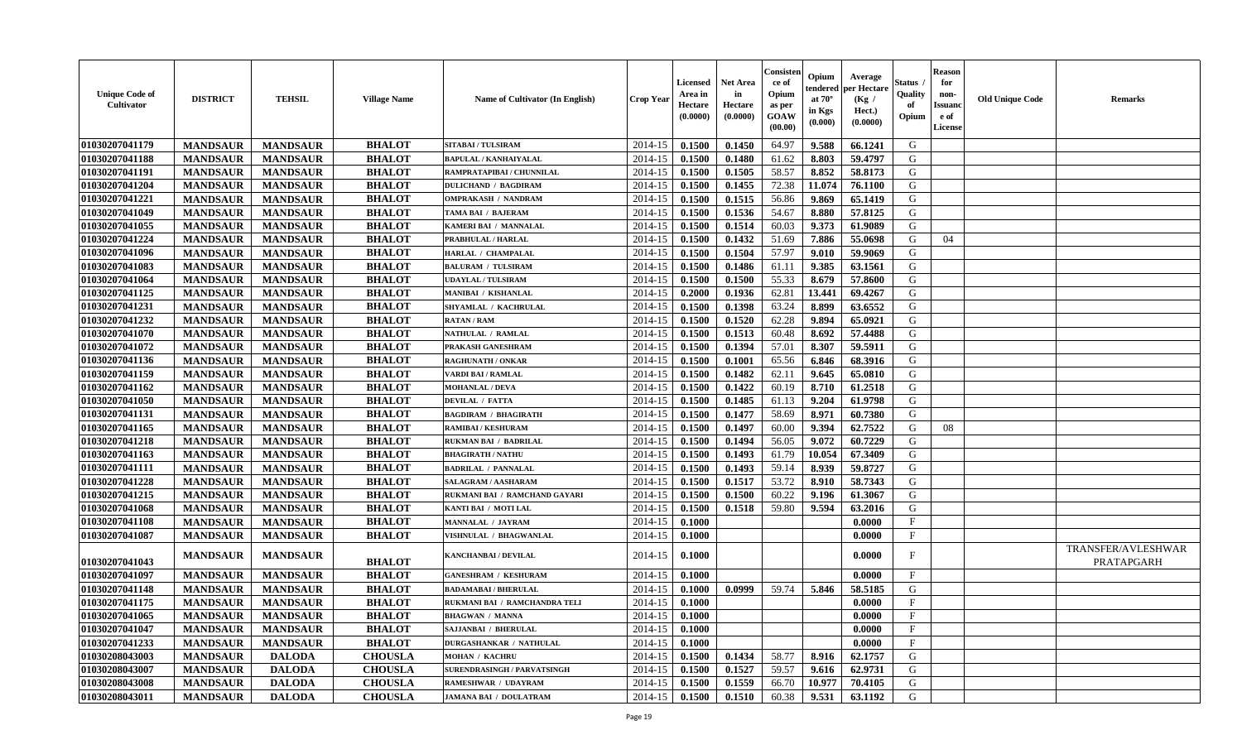| <b>Unique Code of</b><br><b>Cultivator</b> | <b>DISTRICT</b> | <b>TEHSIL</b>   | <b>Village Name</b> | <b>Name of Cultivator (In English)</b> | <b>Crop Year</b> | <b>Licensed</b><br>Area in<br>Hectare<br>(0.0000) | <b>Net Area</b><br>in<br>Hectare<br>(0.0000) | Consister<br>ce of<br>Opium<br>as per<br><b>GOAW</b><br>(00.00) | Opium<br>endered<br>at $70^{\circ}$<br>in Kgs<br>$(\mathbf{0.000})$ | Average<br>per Hectare<br>(Kg /<br>Hect.)<br>(0.0000) | <b>Status</b><br>Quality<br>of<br>Opium | <b>Reason</b><br>for<br>non-<br><b>Issuanc</b><br>e of<br>License | <b>Old Unique Code</b> | <b>Remarks</b>                   |
|--------------------------------------------|-----------------|-----------------|---------------------|----------------------------------------|------------------|---------------------------------------------------|----------------------------------------------|-----------------------------------------------------------------|---------------------------------------------------------------------|-------------------------------------------------------|-----------------------------------------|-------------------------------------------------------------------|------------------------|----------------------------------|
| 01030207041179                             | <b>MANDSAUR</b> | <b>MANDSAUR</b> | <b>BHALOT</b>       | <b>SITABAI/TULSIRAM</b>                | 2014-15          | 0.1500                                            | 0.1450                                       | 64.97                                                           | 9.588                                                               | 66.1241                                               | G                                       |                                                                   |                        |                                  |
| 01030207041188                             | <b>MANDSAUR</b> | <b>MANDSAUR</b> | <b>BHALOT</b>       | <b>BAPULAL / KANHAIYALAL</b>           | 2014-15          | 0.1500                                            | 0.1480                                       | 61.62                                                           | 8.803                                                               | 59,4797                                               | G                                       |                                                                   |                        |                                  |
| 01030207041191                             | <b>MANDSAUR</b> | <b>MANDSAUR</b> | <b>BHALOT</b>       | RAMPRATAPIBAI / CHUNNILAL              | 2014-15          | 0.1500                                            | 0.1505                                       | 58.57                                                           | 8.852                                                               | 58.8173                                               | G                                       |                                                                   |                        |                                  |
| 01030207041204                             | <b>MANDSAUR</b> | <b>MANDSAUR</b> | <b>BHALOT</b>       | <b>DULICHAND / BAGDIRAM</b>            | 2014-15          | 0.1500                                            | 0.1455                                       | 72.38                                                           | 11.074                                                              | 76.1100                                               | G                                       |                                                                   |                        |                                  |
| 01030207041221                             | <b>MANDSAUR</b> | <b>MANDSAUR</b> | <b>BHALOT</b>       | <b>OMPRAKASH / NANDRAM</b>             | 2014-15          | 0.1500                                            | 0.1515                                       | 56.86                                                           | 9.869                                                               | 65.1419                                               | G                                       |                                                                   |                        |                                  |
| 01030207041049                             | <b>MANDSAUR</b> | <b>MANDSAUR</b> | <b>BHALOT</b>       | TAMA BAI / BAJERAM                     | 2014-15          | 0.1500                                            | 0.1536                                       | 54.67                                                           | 8.880                                                               | 57.8125                                               | G                                       |                                                                   |                        |                                  |
| 01030207041055                             | <b>MANDSAUR</b> | <b>MANDSAUR</b> | <b>BHALOT</b>       | KAMERI BAI / MANNALAL                  | 2014-15          | 0.1500                                            | 0.1514                                       | 60.03                                                           | 9.373                                                               | 61.9089                                               | G                                       |                                                                   |                        |                                  |
| 01030207041224                             | <b>MANDSAUR</b> | <b>MANDSAUR</b> | <b>BHALOT</b>       | PRABHULAL / HARLAL                     | 2014-15          | 0.1500                                            | 0.1432                                       | 51.69                                                           | 7.886                                                               | 55.0698                                               | G                                       | 04                                                                |                        |                                  |
| 01030207041096                             | <b>MANDSAUR</b> | <b>MANDSAUR</b> | <b>BHALOT</b>       | HARLAL / CHAMPALAL                     | 2014-15          | 0.1500                                            | 0.1504                                       | 57.97                                                           | 9.010                                                               | 59.9069                                               | G                                       |                                                                   |                        |                                  |
| 01030207041083                             | <b>MANDSAUR</b> | <b>MANDSAUR</b> | <b>BHALOT</b>       | <b>BALURAM / TULSIRAM</b>              | 2014-15          | 0.1500                                            | 0.1486                                       | 61.11                                                           | 9.385                                                               | 63.1561                                               | G                                       |                                                                   |                        |                                  |
| 01030207041064                             | <b>MANDSAUR</b> | <b>MANDSAUR</b> | <b>BHALOT</b>       | <b>UDAYLAL / TULSIRAM</b>              | 2014-15          | 0.1500                                            | 0.1500                                       | 55.33                                                           | 8.679                                                               | 57.8600                                               | G                                       |                                                                   |                        |                                  |
| 01030207041125                             | <b>MANDSAUR</b> | <b>MANDSAUR</b> | <b>BHALOT</b>       | <b>MANIBAI / KISHANLAL</b>             | 2014-15          | 0.2000                                            | 0.1936                                       | 62.81                                                           | 13.441                                                              | 69.4267                                               | G                                       |                                                                   |                        |                                  |
| 01030207041231                             | <b>MANDSAUR</b> | <b>MANDSAUR</b> | <b>BHALOT</b>       | SHYAMLAL / KACHRULAL                   | 2014-15          | 0.1500                                            | 0.1398                                       | 63.24                                                           | 8.899                                                               | 63.6552                                               | G                                       |                                                                   |                        |                                  |
| 01030207041232                             | <b>MANDSAUR</b> | <b>MANDSAUR</b> | <b>BHALOT</b>       | <b>RATAN / RAM</b>                     | 2014-15          | 0.1500                                            | 0.1520                                       | 62.28                                                           | 9.894                                                               | 65.0921                                               | G                                       |                                                                   |                        |                                  |
| 01030207041070                             | <b>MANDSAUR</b> | <b>MANDSAUR</b> | <b>BHALOT</b>       | NATHULAL / RAMLAL                      | 2014-15          | 0.1500                                            | 0.1513                                       | 60.48                                                           | 8.692                                                               | 57.4488                                               | G                                       |                                                                   |                        |                                  |
| 01030207041072                             | <b>MANDSAUR</b> | <b>MANDSAUR</b> | <b>BHALOT</b>       | PRAKASH GANESHRAM                      | 2014-15          | 0.1500                                            | 0.1394                                       | 57.01                                                           | 8.307                                                               | 59.5911                                               | G                                       |                                                                   |                        |                                  |
| 01030207041136                             | <b>MANDSAUR</b> | <b>MANDSAUR</b> | <b>BHALOT</b>       | <b>RAGHUNATH / ONKAR</b>               | 2014-15          | 0.1500                                            | 0.1001                                       | 65.56                                                           | 6.846                                                               | 68.3916                                               | G                                       |                                                                   |                        |                                  |
| 01030207041159                             | <b>MANDSAUR</b> | <b>MANDSAUR</b> | <b>BHALOT</b>       | <b>VARDI BAI/RAMLAL</b>                | 2014-15          | 0.1500                                            | 0.1482                                       | 62.11                                                           | 9.645                                                               | 65.0810                                               | G                                       |                                                                   |                        |                                  |
| 01030207041162                             | <b>MANDSAUR</b> | <b>MANDSAUR</b> | <b>BHALOT</b>       | <b>MOHANLAL / DEVA</b>                 | 2014-15          | 0.1500                                            | 0.1422                                       | 60.19                                                           | 8.710                                                               | 61.2518                                               | G                                       |                                                                   |                        |                                  |
| 01030207041050                             | <b>MANDSAUR</b> | <b>MANDSAUR</b> | <b>BHALOT</b>       | <b>DEVILAL / FATTA</b>                 | 2014-15          | 0.1500                                            | 0.1485                                       | 61.13                                                           | 9.204                                                               | 61.9798                                               | G                                       |                                                                   |                        |                                  |
| 01030207041131                             | <b>MANDSAUR</b> | <b>MANDSAUR</b> | <b>BHALOT</b>       | <b>BAGDIRAM / BHAGIRATH</b>            | 2014-15          | 0.1500                                            | 0.1477                                       | 58.69                                                           | 8.971                                                               | 60.7380                                               | G                                       |                                                                   |                        |                                  |
| 01030207041165                             | <b>MANDSAUR</b> | <b>MANDSAUR</b> | <b>BHALOT</b>       | <b>RAMIBAI / KESHURAM</b>              | 2014-15          | 0.1500                                            | 0.1497                                       | 60.00                                                           | 9.394                                                               | 62.7522                                               | G                                       | 08                                                                |                        |                                  |
| 01030207041218                             | <b>MANDSAUR</b> | <b>MANDSAUR</b> | <b>BHALOT</b>       | <b>RUKMAN BAI / BADRILAL</b>           | 2014-15          | 0.1500                                            | $0.149\overline{4}$                          | 56.05                                                           | 9.072                                                               | 60.7229                                               | G                                       |                                                                   |                        |                                  |
| 01030207041163                             | <b>MANDSAUR</b> | <b>MANDSAUR</b> | <b>BHALOT</b>       | <b>BHAGIRATH / NATHU</b>               | 2014-15          | 0.1500                                            | 0.1493                                       | 61.79                                                           | 10.054                                                              | 67.3409                                               | G                                       |                                                                   |                        |                                  |
| 01030207041111                             | <b>MANDSAUR</b> | <b>MANDSAUR</b> | <b>BHALOT</b>       | <b>BADRILAL / PANNALAL</b>             | 2014-15          | 0.1500                                            | 0.1493                                       | 59.14                                                           | 8.939                                                               | 59.8727                                               | G                                       |                                                                   |                        |                                  |
| 01030207041228                             | <b>MANDSAUR</b> | <b>MANDSAUR</b> | <b>BHALOT</b>       | SALAGRAM / AASHARAM                    | 2014-15          | 0.1500                                            | 0.1517                                       | 53.72                                                           | 8.910                                                               | 58.7343                                               | G                                       |                                                                   |                        |                                  |
| 01030207041215                             | <b>MANDSAUR</b> | <b>MANDSAUR</b> | <b>BHALOT</b>       | RUKMANI BAI / RAMCHAND GAYARI          | 2014-15          | 0.1500                                            | 0.1500                                       | 60.22                                                           | 9.196                                                               | 61.3067                                               | G                                       |                                                                   |                        |                                  |
| 01030207041068                             | <b>MANDSAUR</b> | <b>MANDSAUR</b> | <b>BHALOT</b>       | KANTI BAI / MOTI LAL                   | 2014-15          | 0.1500                                            | 0.1518                                       | 59.80                                                           | 9.594                                                               | 63.2016                                               | G                                       |                                                                   |                        |                                  |
| 01030207041108                             | <b>MANDSAUR</b> | <b>MANDSAUR</b> | <b>BHALOT</b>       | <b>MANNALAL / JAYRAM</b>               | 2014-15          | 0.1000                                            |                                              |                                                                 |                                                                     | 0.0000                                                | $\mathbf{F}$                            |                                                                   |                        |                                  |
| 01030207041087                             | <b>MANDSAUR</b> | <b>MANDSAUR</b> | <b>BHALOT</b>       | VISHNULAL / BHAGWANLAL                 | 2014-15          | 0.1000                                            |                                              |                                                                 |                                                                     | 0.0000                                                | $\mathbf F$                             |                                                                   |                        |                                  |
| 01030207041043                             | <b>MANDSAUR</b> | <b>MANDSAUR</b> | <b>BHALOT</b>       | KANCHANBAI / DEVILAL                   | 2014-15          | 0.1000                                            |                                              |                                                                 |                                                                     | 0.0000                                                | F                                       |                                                                   |                        | TRANSFER/AVLESHWAR<br>PRATAPGARH |
| 01030207041097                             | <b>MANDSAUR</b> | <b>MANDSAUR</b> | <b>BHALOT</b>       | <b>GANESHRAM / KESHURAM</b>            | 2014-15          | 0.1000                                            |                                              |                                                                 |                                                                     | 0.0000                                                | $\mathbf{F}$                            |                                                                   |                        |                                  |
| 01030207041148                             | <b>MANDSAUR</b> | <b>MANDSAUR</b> | <b>BHALOT</b>       | <b>BADAMABAI / BHERULAL</b>            | 2014-15          | 0.1000                                            | 0.0999                                       | 59.74                                                           | 5.846                                                               | 58.5185                                               | G                                       |                                                                   |                        |                                  |
| 01030207041175                             | <b>MANDSAUR</b> | <b>MANDSAUR</b> | <b>BHALOT</b>       | RUKMANI BAI / RAMCHANDRA TELI          | 2014-15          | 0.1000                                            |                                              |                                                                 |                                                                     | 0.0000                                                | F                                       |                                                                   |                        |                                  |
| 01030207041065                             | <b>MANDSAUR</b> | <b>MANDSAUR</b> | <b>BHALOT</b>       | <b>BHAGWAN / MANNA</b>                 |                  | $2014-15$ 0.1000                                  |                                              |                                                                 |                                                                     | 0.0000                                                | F                                       |                                                                   |                        |                                  |
| 01030207041047                             | <b>MANDSAUR</b> | <b>MANDSAUR</b> | <b>BHALOT</b>       | SAJJANBAI / BHERULAL                   | 2014-15          | 0.1000                                            |                                              |                                                                 |                                                                     | 0.0000                                                | $\mathbf{F}$                            |                                                                   |                        |                                  |
| 01030207041233                             | <b>MANDSAUR</b> | <b>MANDSAUR</b> | <b>BHALOT</b>       | DURGASHANKAR / NATHULAL                | 2014-15          | 0.1000                                            |                                              |                                                                 |                                                                     | 0.0000                                                | $\mathbf F$                             |                                                                   |                        |                                  |
| 01030208043003                             | <b>MANDSAUR</b> | <b>DALODA</b>   | <b>CHOUSLA</b>      | <b>MOHAN / KACHRU</b>                  | 2014-15          | 0.1500                                            | 0.1434                                       | 58.77                                                           | 8.916                                                               | 62.1757                                               | G                                       |                                                                   |                        |                                  |
| 01030208043007                             | <b>MANDSAUR</b> | <b>DALODA</b>   | <b>CHOUSLA</b>      | SURENDRASINGH / PARVATSINGH            | 2014-15          | 0.1500                                            | 0.1527                                       | 59.57                                                           | 9.616                                                               | 62.9731                                               | G                                       |                                                                   |                        |                                  |
| 01030208043008                             | <b>MANDSAUR</b> | <b>DALODA</b>   | <b>CHOUSLA</b>      | <b>RAMESHWAR / UDAYRAM</b>             | 2014-15          | 0.1500                                            | 0.1559                                       | 66.70                                                           | 10.977                                                              | 70.4105                                               | G                                       |                                                                   |                        |                                  |
| 01030208043011                             | <b>MANDSAUR</b> | <b>DALODA</b>   | <b>CHOUSLA</b>      | <b>JAMANA BAI / DOULATRAM</b>          | 2014-15          | 0.1500                                            | 0.1510                                       | 60.38                                                           | 9.531                                                               | 63.1192                                               | G                                       |                                                                   |                        |                                  |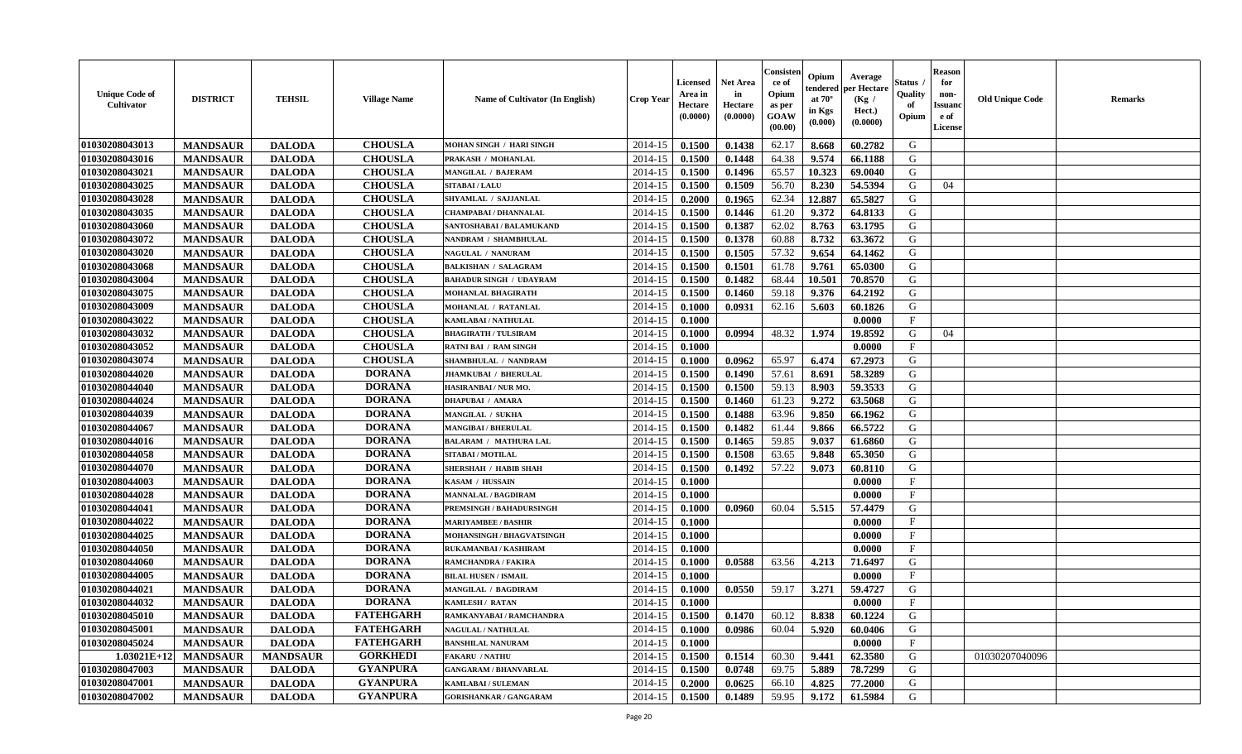| <b>Unique Code of</b><br>Cultivator | <b>DISTRICT</b> | <b>TEHSIL</b>   | <b>Village Name</b> | Name of Cultivator (In English) | <b>Crop Year</b> | <b>Licensed</b><br>Area in<br>Hectare<br>(0.0000) | <b>Net Area</b><br>in<br>Hectare<br>(0.0000) | Consister<br>ce of<br>Opium<br>as per<br><b>GOAW</b><br>(00.00) | Opium<br>endered<br>at $70^\circ$<br>in Kgs<br>(0.000) | Average<br>per Hectare<br>(Kg /<br>Hect.)<br>(0.0000) | <b>Status</b><br>Quality<br>of<br>Opium | <b>Reason</b><br>for<br>non-<br><b>Issuand</b><br>e of<br>License | <b>Old Unique Code</b> | <b>Remarks</b> |
|-------------------------------------|-----------------|-----------------|---------------------|---------------------------------|------------------|---------------------------------------------------|----------------------------------------------|-----------------------------------------------------------------|--------------------------------------------------------|-------------------------------------------------------|-----------------------------------------|-------------------------------------------------------------------|------------------------|----------------|
| 01030208043013                      | <b>MANDSAUR</b> | <b>DALODA</b>   | <b>CHOUSLA</b>      | MOHAN SINGH / HARI SINGH        | 2014-15          | 0.1500                                            | 0.1438                                       | 62.17                                                           | 8.668                                                  | 60.2782                                               | G                                       |                                                                   |                        |                |
| 01030208043016                      | <b>MANDSAUR</b> | <b>DALODA</b>   | <b>CHOUSLA</b>      | PRAKASH / MOHANLAL              | 2014-15          | 0.1500                                            | 0.1448                                       | 64.38                                                           | 9.574                                                  | 66.1188                                               | G                                       |                                                                   |                        |                |
| 01030208043021                      | <b>MANDSAUR</b> | <b>DALODA</b>   | <b>CHOUSLA</b>      | MANGILAL / BAJERAM              | 2014-15          | 0.1500                                            | 0.1496                                       | 65.57                                                           | 10.323                                                 | 69.0040                                               | G                                       |                                                                   |                        |                |
| 01030208043025                      | <b>MANDSAUR</b> | <b>DALODA</b>   | <b>CHOUSLA</b>      | <b>SITABAI/LALU</b>             | 2014-15          | 0.1500                                            | 0.1509                                       | 56.70                                                           | 8.230                                                  | 54.5394                                               | G                                       | 04                                                                |                        |                |
| 01030208043028                      | <b>MANDSAUR</b> | <b>DALODA</b>   | <b>CHOUSLA</b>      | SHYAMLAL / SAJJANLAL            | 2014-15          | 0.2000                                            | 0.1965                                       | 62.34                                                           | 12.887                                                 | 65.5827                                               | G                                       |                                                                   |                        |                |
| 01030208043035                      | <b>MANDSAUR</b> | <b>DALODA</b>   | <b>CHOUSLA</b>      | <b>CHAMPABAI / DHANNALAL</b>    | 2014-15          | 0.1500                                            | 0.1446                                       | 61.20                                                           | 9.372                                                  | 64.8133                                               | G                                       |                                                                   |                        |                |
| 01030208043060                      | <b>MANDSAUR</b> | <b>DALODA</b>   | <b>CHOUSLA</b>      | SANTOSHABAI / BALAMUKAND        | 2014-15          | 0.1500                                            | 0.1387                                       | 62.02                                                           | 8.763                                                  | 63.1795                                               | G                                       |                                                                   |                        |                |
| 01030208043072                      | <b>MANDSAUR</b> | <b>DALODA</b>   | <b>CHOUSLA</b>      | NANDRAM / SHAMBHULAL            | 2014-15          | 0.1500                                            | 0.1378                                       | 60.88                                                           | 8.732                                                  | 63.3672                                               | G                                       |                                                                   |                        |                |
| 01030208043020                      | <b>MANDSAUR</b> | <b>DALODA</b>   | <b>CHOUSLA</b>      | NAGULAL / NANURAM               | 2014-15          | 0.1500                                            | 0.1505                                       | 57.32                                                           | 9.654                                                  | 64.1462                                               | G                                       |                                                                   |                        |                |
| 01030208043068                      | <b>MANDSAUR</b> | <b>DALODA</b>   | <b>CHOUSLA</b>      | <b>BALKISHAN / SALAGRAM</b>     | 2014-15          | 0.1500                                            | 0.1501                                       | 61.78                                                           | 9.761                                                  | 65.0300                                               | G                                       |                                                                   |                        |                |
| 01030208043004                      | <b>MANDSAUR</b> | <b>DALODA</b>   | <b>CHOUSLA</b>      | <b>BAHADUR SINGH / UDAYRAM</b>  | 2014-15          | 0.1500                                            | 0.1482                                       | 68.44                                                           | 10.501                                                 | 70.8570                                               | G                                       |                                                                   |                        |                |
| 01030208043075                      | <b>MANDSAUR</b> | <b>DALODA</b>   | <b>CHOUSLA</b>      | MOHANLAL BHAGIRATH              | 2014-15          | 0.1500                                            | 0.1460                                       | 59.18                                                           | 9.376                                                  | 64.2192                                               | G                                       |                                                                   |                        |                |
| 01030208043009                      | <b>MANDSAUR</b> | <b>DALODA</b>   | <b>CHOUSLA</b>      | <b>MOHANLAL / RATANLAL</b>      | 2014-15          | 0.1000                                            | 0.0931                                       | 62.16                                                           | 5.603                                                  | 60.1826                                               | G                                       |                                                                   |                        |                |
| 01030208043022                      | <b>MANDSAUR</b> | <b>DALODA</b>   | <b>CHOUSLA</b>      | <b>KAMLABAI/NATHULAL</b>        | 2014-15          | 0.1000                                            |                                              |                                                                 |                                                        | 0.0000                                                | $\mathbf{F}$                            |                                                                   |                        |                |
| 01030208043032                      | <b>MANDSAUR</b> | <b>DALODA</b>   | <b>CHOUSLA</b>      | <b>BHAGIRATH / TULSIRAM</b>     | 2014-15          | 0.1000                                            | 0.0994                                       | 48.32                                                           | 1.974                                                  | 19.8592                                               | G                                       | 04                                                                |                        |                |
| 01030208043052                      | <b>MANDSAUR</b> | <b>DALODA</b>   | <b>CHOUSLA</b>      | <b>RATNI BAI / RAM SINGH</b>    | 2014-15          | 0.1000                                            |                                              |                                                                 |                                                        | 0.0000                                                | $\mathbf F$                             |                                                                   |                        |                |
| 01030208043074                      | <b>MANDSAUR</b> | <b>DALODA</b>   | <b>CHOUSLA</b>      | SHAMBHULAL / NANDRAM            | 2014-15          | 0.1000                                            | 0.0962                                       | 65.97                                                           | 6.474                                                  | 67.2973                                               | G                                       |                                                                   |                        |                |
| 01030208044020                      | <b>MANDSAUR</b> | <b>DALODA</b>   | <b>DORANA</b>       | <b>JHAMKUBAI / BHERULAL</b>     | 2014-15          | 0.1500                                            | 0.1490                                       | 57.61                                                           | 8.691                                                  | 58.3289                                               | G                                       |                                                                   |                        |                |
| 01030208044040                      | <b>MANDSAUR</b> | <b>DALODA</b>   | <b>DORANA</b>       | HASIRANBAI / NUR MO.            | 2014-15          | 0.1500                                            | 0.1500                                       | 59.13                                                           | 8.903                                                  | 59.3533                                               | G                                       |                                                                   |                        |                |
| 01030208044024                      | <b>MANDSAUR</b> | <b>DALODA</b>   | <b>DORANA</b>       | <b>DHAPUBAI / AMARA</b>         | 2014-15          | 0.1500                                            | 0.1460                                       | 61.23                                                           | 9.272                                                  | 63.5068                                               | G                                       |                                                                   |                        |                |
| 01030208044039                      | <b>MANDSAUR</b> | <b>DALODA</b>   | <b>DORANA</b>       | MANGILAL / SUKHA                | 2014-15          | 0.1500                                            | 0.1488                                       | 63.96                                                           | 9.850                                                  | 66.1962                                               | G                                       |                                                                   |                        |                |
| 01030208044067                      | <b>MANDSAUR</b> | <b>DALODA</b>   | <b>DORANA</b>       | <b>MANGIBAI / BHERULAL</b>      | 2014-15          | 0.1500                                            | 0.1482                                       | 61.44                                                           | 9.866                                                  | 66.5722                                               | G                                       |                                                                   |                        |                |
| 01030208044016                      | <b>MANDSAUR</b> | <b>DALODA</b>   | <b>DORANA</b>       | <b>BALARAM / MATHURA LAL</b>    | 2014-15          | 0.1500                                            | 0.1465                                       | 59.85                                                           | 9.037                                                  | 61.6860                                               | G                                       |                                                                   |                        |                |
| 01030208044058                      | <b>MANDSAUR</b> | <b>DALODA</b>   | <b>DORANA</b>       | SITABAI / MOTILAL               | 2014-15          | 0.1500                                            | 0.1508                                       | 63.65                                                           | 9.848                                                  | 65.3050                                               | G                                       |                                                                   |                        |                |
| 01030208044070                      | <b>MANDSAUR</b> | <b>DALODA</b>   | <b>DORANA</b>       | <b>SHERSHAH / HABIB SHAH</b>    | 2014-15          | 0.1500                                            | 0.1492                                       | 57.22                                                           | 9.073                                                  | 60.8110                                               | G                                       |                                                                   |                        |                |
| 01030208044003                      | <b>MANDSAUR</b> | <b>DALODA</b>   | <b>DORANA</b>       | KASAM / HUSSAIN                 | 2014-15          | 0.1000                                            |                                              |                                                                 |                                                        | 0.0000                                                | $_{\rm F}$                              |                                                                   |                        |                |
| 01030208044028                      | <b>MANDSAUR</b> | <b>DALODA</b>   | <b>DORANA</b>       | <b>MANNALAL / BAGDIRAM</b>      | 2014-15          | 0.1000                                            |                                              |                                                                 |                                                        | 0.0000                                                | F                                       |                                                                   |                        |                |
| 01030208044041                      | <b>MANDSAUR</b> | <b>DALODA</b>   | <b>DORANA</b>       | PREMSINGH / BAHADURSINGH        | 2014-15          | 0.1000                                            | 0.0960                                       | 60.04                                                           | 5.515                                                  | 57.4479                                               | G                                       |                                                                   |                        |                |
| 01030208044022                      | <b>MANDSAUR</b> | <b>DALODA</b>   | <b>DORANA</b>       | <b>MARIYAMBEE / BASHIR</b>      | 2014-15          | 0.1000                                            |                                              |                                                                 |                                                        | 0.0000                                                | $\mathbf{F}$                            |                                                                   |                        |                |
| 01030208044025                      | <b>MANDSAUR</b> | <b>DALODA</b>   | <b>DORANA</b>       | MOHANSINGH / BHAGVATSINGH       | 2014-15          | 0.1000                                            |                                              |                                                                 |                                                        | 0.0000                                                | $\mathbf{F}$                            |                                                                   |                        |                |
| 01030208044050                      | <b>MANDSAUR</b> | <b>DALODA</b>   | <b>DORANA</b>       | RUKAMANBAI / KASHIRAM           | 2014-15          | 0.1000                                            |                                              |                                                                 |                                                        | 0.0000                                                | $\mathbf{F}$                            |                                                                   |                        |                |
| 01030208044060                      | <b>MANDSAUR</b> | <b>DALODA</b>   | <b>DORANA</b>       | RAMCHANDRA / FAKIRA             | 2014-15          | 0.1000                                            | 0.0588                                       | 63.56                                                           | 4.213                                                  | 71.6497                                               | G                                       |                                                                   |                        |                |
| 01030208044005                      | <b>MANDSAUR</b> | <b>DALODA</b>   | <b>DORANA</b>       | <b>BILAL HUSEN / ISMAIL</b>     | 2014-15          | 0.1000                                            |                                              |                                                                 |                                                        | 0.0000                                                | $\mathbf F$                             |                                                                   |                        |                |
| 01030208044021                      | <b>MANDSAUR</b> | <b>DALODA</b>   | <b>DORANA</b>       | <b>MANGILAL / BAGDIRAM</b>      | 2014-15          | 0.1000                                            | 0.0550                                       | 59.17                                                           | 3.271                                                  | 59.4727                                               | G                                       |                                                                   |                        |                |
| 01030208044032                      | <b>MANDSAUR</b> | <b>DALODA</b>   | <b>DORANA</b>       | <b>KAMLESH / RATAN</b>          | 2014-15          | 0.1000                                            |                                              |                                                                 |                                                        | 0.0000                                                | $\mathbf F$                             |                                                                   |                        |                |
| 01030208045010                      | <b>MANDSAUR</b> | <b>DALODA</b>   | <b>FATEHGARH</b>    | RAMKANYABAI / RAMCHANDRA        | 2014-15          | 0.1500                                            | 0.1470                                       | 60.12                                                           | 8.838                                                  | 60.1224                                               | G                                       |                                                                   |                        |                |
| 01030208045001                      | <b>MANDSAUR</b> | <b>DALODA</b>   | <b>FATEHGARH</b>    | <b>NAGULAL / NATHULAL</b>       | 2014-15          | 0.1000                                            | 0.0986                                       | 60.04                                                           | 5.920                                                  | 60.0406                                               | G                                       |                                                                   |                        |                |
| 01030208045024                      | <b>MANDSAUR</b> | <b>DALODA</b>   | <b>FATEHGARH</b>    | <b>BANSHILAL NANURAM</b>        | 2014-15          | 0.1000                                            |                                              |                                                                 |                                                        | 0.0000                                                | $\mathbf{F}$                            |                                                                   |                        |                |
| $1.03021E+12$                       | <b>MANDSAUR</b> | <b>MANDSAUR</b> | <b>GORKHEDI</b>     | <b>FAKARU / NATHU</b>           | 2014-15          | 0.1500                                            | 0.1514                                       | 60.30                                                           | 9.441                                                  | 62.3580                                               | G                                       |                                                                   | 01030207040096         |                |
| 01030208047003                      | <b>MANDSAUR</b> | <b>DALODA</b>   | <b>GYANPURA</b>     | <b>GANGARAM / BHANVARLAL</b>    | 2014-15          | 0.1500                                            | 0.0748                                       | 69.75                                                           | 5.889                                                  | 78.7299                                               | ${\bf G}$                               |                                                                   |                        |                |
| 01030208047001                      | <b>MANDSAUR</b> | <b>DALODA</b>   | <b>GYANPURA</b>     | <b>KAMLABAI/SULEMAN</b>         | 2014-15          | 0.2000                                            | 0.0625                                       | 66.10                                                           | 4.825                                                  | 77.2000                                               | G                                       |                                                                   |                        |                |
| 01030208047002                      | <b>MANDSAUR</b> | <b>DALODA</b>   | <b>GYANPURA</b>     | <b>GORISHANKAR / GANGARAM</b>   | 2014-15          | 0.1500                                            | 0.1489                                       | 59.95                                                           | 9.172                                                  | 61.5984                                               | G                                       |                                                                   |                        |                |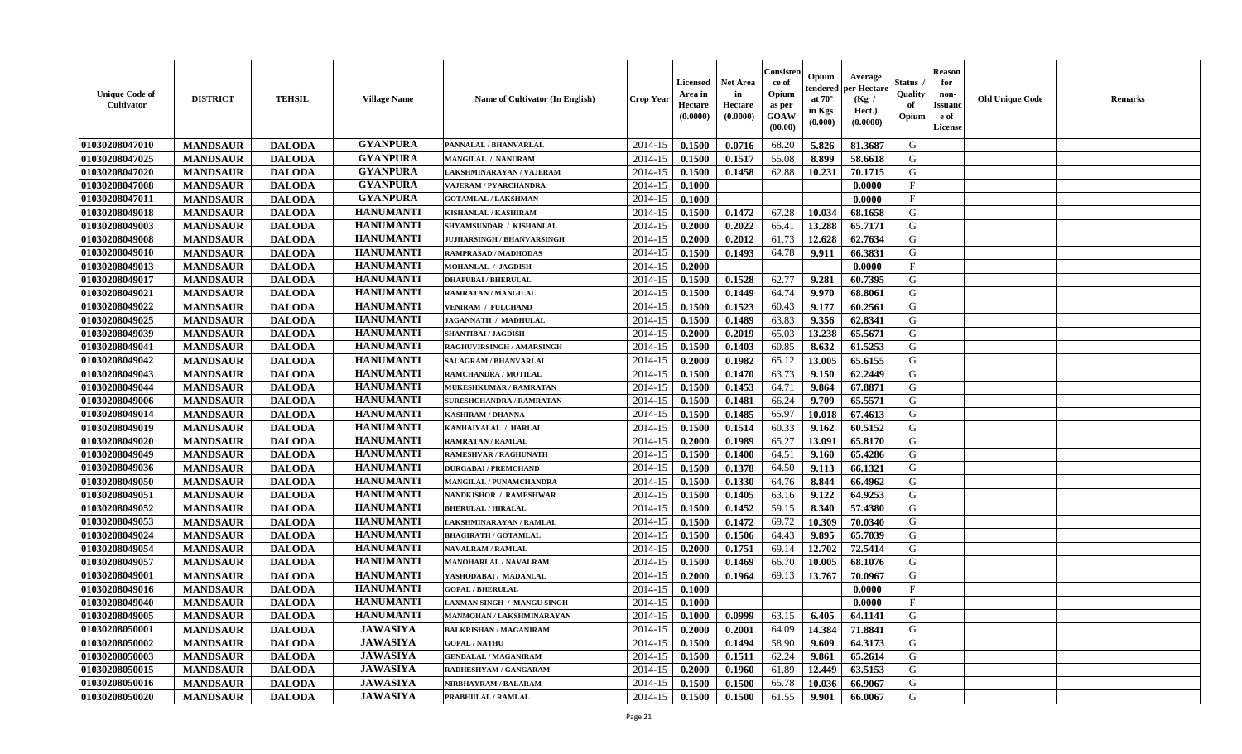| <b>Unique Code of</b><br><b>Cultivator</b> | <b>DISTRICT</b> | <b>TEHSIL</b> | <b>Village Name</b> | Name of Cultivator (In English)   | <b>Crop Year</b> | <b>Licensed</b><br>Area in<br>Hectare<br>(0.0000) | <b>Net Area</b><br>in<br>Hectare<br>(0.0000) | Consister<br>ce of<br>Opium<br>as per<br><b>GOAW</b><br>(00.00) | Opium<br>endered<br>at $70^\circ$<br>in Kgs<br>(0.000) | Average<br>per Hectare<br>(Kg /<br>Hect.)<br>(0.0000) | Status<br>Quality<br>of<br>Opium | <b>Reason</b><br>for<br>non-<br><b>Issuand</b><br>e of<br><b>License</b> | <b>Old Unique Code</b> | <b>Remarks</b> |
|--------------------------------------------|-----------------|---------------|---------------------|-----------------------------------|------------------|---------------------------------------------------|----------------------------------------------|-----------------------------------------------------------------|--------------------------------------------------------|-------------------------------------------------------|----------------------------------|--------------------------------------------------------------------------|------------------------|----------------|
| 01030208047010                             | <b>MANDSAUR</b> | <b>DALODA</b> | <b>GYANPURA</b>     | PANNALAL / BHANVARLAL             | 2014-15          | 0.1500                                            | 0.0716                                       | 68.20                                                           | 5.826                                                  | 81.3687                                               | G                                |                                                                          |                        |                |
| 01030208047025                             | <b>MANDSAUR</b> | <b>DALODA</b> | <b>GYANPURA</b>     | <b>MANGILAL / NANURAM</b>         | 2014-15          | 0.1500                                            | 0.1517                                       | 55.08                                                           | 8.899                                                  | 58.6618                                               | G                                |                                                                          |                        |                |
| 01030208047020                             | <b>MANDSAUR</b> | <b>DALODA</b> | <b>GYANPURA</b>     | LAKSHMINARAYAN / VAJERAM          | 2014-15          | 0.1500                                            | 0.1458                                       | 62.88                                                           | 10.231                                                 | 70.1715                                               | G                                |                                                                          |                        |                |
| 01030208047008                             | <b>MANDSAUR</b> | <b>DALODA</b> | <b>GYANPURA</b>     | <b>VAJERAM / PYARCHANDRA</b>      | 2014-15          | 0.1000                                            |                                              |                                                                 |                                                        | 0.0000                                                | $\mathbf{F}$                     |                                                                          |                        |                |
| 01030208047011                             | <b>MANDSAUR</b> | <b>DALODA</b> | <b>GYANPURA</b>     | <b>GOTAMLAL / LAKSHMAN</b>        | 2014-15          | 0.1000                                            |                                              |                                                                 |                                                        | 0.0000                                                | $\mathbf{F}$                     |                                                                          |                        |                |
| 01030208049018                             | <b>MANDSAUR</b> | <b>DALODA</b> | <b>HANUMANTI</b>    | <b>KISHANLAL / KASHIRAM</b>       | 2014-15          | 0.1500                                            | 0.1472                                       | 67.28                                                           | 10.034                                                 | 68.1658                                               | G                                |                                                                          |                        |                |
| 01030208049003                             | <b>MANDSAUR</b> | <b>DALODA</b> | <b>HANUMANTI</b>    | SHYAMSUNDAR / KISHANLAL           | 2014-15          | 0.2000                                            | 0.2022                                       | 65.41                                                           | 13.288                                                 | 65.7171                                               | G                                |                                                                          |                        |                |
| 01030208049008                             | <b>MANDSAUR</b> | <b>DALODA</b> | <b>HANUMANTI</b>    | <b>JUJHARSINGH / BHANVARSINGH</b> | 2014-15          | 0.2000                                            | 0.2012                                       | 61.73                                                           | 12.628                                                 | 62.7634                                               | ${\bf G}$                        |                                                                          |                        |                |
| 01030208049010                             | <b>MANDSAUR</b> | <b>DALODA</b> | <b>HANUMANTI</b>    | <b>RAMPRASAD / MADHODAS</b>       | 2014-15          | 0.1500                                            | 0.1493                                       | 64.78                                                           | 9.911                                                  | 66.3831                                               | G                                |                                                                          |                        |                |
| 01030208049013                             | <b>MANDSAUR</b> | <b>DALODA</b> | <b>HANUMANTI</b>    | MOHANLAL / JAGDISH                | 2014-15          | 0.2000                                            |                                              |                                                                 |                                                        | 0.0000                                                | $\mathbf{F}$                     |                                                                          |                        |                |
| 01030208049017                             | <b>MANDSAUR</b> | <b>DALODA</b> | <b>HANUMANTI</b>    | <b>DHAPUBAI/BHERULAL</b>          | 2014-15          | 0.1500                                            | 0.1528                                       | 62.77                                                           | 9.281                                                  | 60.7395                                               | G                                |                                                                          |                        |                |
| 01030208049021                             | <b>MANDSAUR</b> | <b>DALODA</b> | <b>HANUMANTI</b>    | <b>RAMRATAN / MANGILAL</b>        | 2014-15          | 0.1500                                            | 0.1449                                       | 64.74                                                           | 9.970                                                  | 68.8061                                               | G                                |                                                                          |                        |                |
| 01030208049022                             | <b>MANDSAUR</b> | <b>DALODA</b> | <b>HANUMANTI</b>    | <b>VENIRAM / FULCHAND</b>         | 2014-15          | 0.1500                                            | 0.1523                                       | 60.43                                                           | 9.177                                                  | 60.2561                                               | G                                |                                                                          |                        |                |
| 01030208049025                             | <b>MANDSAUR</b> | <b>DALODA</b> | <b>HANUMANTI</b>    | JAGANNATH / MADHULAL              | 2014-15          | 0.1500                                            | 0.1489                                       | 63.83                                                           | 9.356                                                  | 62.8341                                               | G                                |                                                                          |                        |                |
| 01030208049039                             | <b>MANDSAUR</b> | <b>DALODA</b> | <b>HANUMANTI</b>    | <b>SHANTIBAI / JAGDISH</b>        | 2014-15          | 0.2000                                            | 0.2019                                       | 65.03                                                           | 13.238                                                 | 65.5671                                               | G                                |                                                                          |                        |                |
| 01030208049041                             | <b>MANDSAUR</b> | <b>DALODA</b> | <b>HANUMANTI</b>    | RAGHUVIRSINGH / AMARSINGH         | 2014-15          | 0.1500                                            | 0.1403                                       | 60.85                                                           | 8.632                                                  | 61.5253                                               | G                                |                                                                          |                        |                |
| 01030208049042                             | <b>MANDSAUR</b> | <b>DALODA</b> | <b>HANUMANTI</b>    | SALAGRAM / BHANVARLAL             | 2014-15          | 0.2000                                            | 0.1982                                       | 65.12                                                           | 13.005                                                 | 65.6155                                               | G                                |                                                                          |                        |                |
| 01030208049043                             | <b>MANDSAUR</b> | <b>DALODA</b> | <b>HANUMANTI</b>    | RAMCHANDRA / MOTILAL              | 2014-15          | 0.1500                                            | 0.1470                                       | 63.73                                                           | 9.150                                                  | 62.2449                                               | G                                |                                                                          |                        |                |
| 01030208049044                             | <b>MANDSAUR</b> | <b>DALODA</b> | <b>HANUMANTI</b>    | MUKESHKUMAR / RAMRATAN            | 2014-15          | 0.1500                                            | 0.1453                                       | 64.71                                                           | 9.864                                                  | 67.8871                                               | G                                |                                                                          |                        |                |
| 01030208049006                             | <b>MANDSAUR</b> | <b>DALODA</b> | <b>HANUMANTI</b>    | <b>SURESHCHANDRA / RAMRATAN</b>   | 2014-15          | 0.1500                                            | 0.1481                                       | 66.24                                                           | 9.709                                                  | 65.5571                                               | G                                |                                                                          |                        |                |
| 01030208049014                             | <b>MANDSAUR</b> | <b>DALODA</b> | <b>HANUMANTI</b>    | <b>KASHIRAM / DHANNA</b>          | 2014-15          | 0.1500                                            | 0.1485                                       | 65.97                                                           | 10.018                                                 | 67.4613                                               | G                                |                                                                          |                        |                |
| 01030208049019                             | <b>MANDSAUR</b> | <b>DALODA</b> | <b>HANUMANTI</b>    | KANHAIYALAL / HARLAL              | 2014-15          | 0.1500                                            | 0.1514                                       | 60.33                                                           | 9.162                                                  | 60.5152                                               | G                                |                                                                          |                        |                |
| 01030208049020                             | <b>MANDSAUR</b> | <b>DALODA</b> | <b>HANUMANTI</b>    | <b>RAMRATAN / RAMLAL</b>          | 2014-15          | 0.2000                                            | 0.1989                                       | 65.27                                                           | 13.091                                                 | 65.8170                                               | G                                |                                                                          |                        |                |
| 01030208049049                             | <b>MANDSAUR</b> | <b>DALODA</b> | <b>HANUMANTI</b>    | <b>RAMESHVAR / RAGHUNATH</b>      | 2014-15          | 0.1500                                            | 0.1400                                       | 64.51                                                           | 9.160                                                  | 65.4286                                               | G                                |                                                                          |                        |                |
| 01030208049036                             | <b>MANDSAUR</b> | <b>DALODA</b> | <b>HANUMANTI</b>    | <b>DURGABAI/PREMCHAND</b>         | 2014-15          | 0.1500                                            | 0.1378                                       | 64.50                                                           | 9.113                                                  | 66.1321                                               | G                                |                                                                          |                        |                |
| 01030208049050                             | <b>MANDSAUR</b> | <b>DALODA</b> | <b>HANUMANTI</b>    | MANGILAL / PUNAMCHANDRA           | 2014-15          | 0.1500                                            | 0.1330                                       | 64.76                                                           | 8.844                                                  | 66.4962                                               | G                                |                                                                          |                        |                |
| 01030208049051                             | <b>MANDSAUR</b> | <b>DALODA</b> | <b>HANUMANTI</b>    | <b>NANDKISHOR / RAMESHWAR</b>     | 2014-15          | 0.1500                                            | 0.1405                                       | 63.16                                                           | 9.122                                                  | 64.9253                                               | G                                |                                                                          |                        |                |
| 01030208049052                             | <b>MANDSAUR</b> | <b>DALODA</b> | <b>HANUMANTI</b>    | <b>BHERULAL / HIRALAL</b>         | 2014-15          | 0.1500                                            | 0.1452                                       | 59.15                                                           | 8.340                                                  | 57.4380                                               | G                                |                                                                          |                        |                |
| 01030208049053                             | <b>MANDSAUR</b> | <b>DALODA</b> | <b>HANUMANTI</b>    | LAKSHMINARAYAN / RAMLAL           | 2014-15          | 0.1500                                            | 0.1472                                       | 69.72                                                           | 10.309                                                 | 70.0340                                               | G                                |                                                                          |                        |                |
| 01030208049024                             | <b>MANDSAUR</b> | <b>DALODA</b> | <b>HANUMANTI</b>    | <b>BHAGIRATH / GOTAMLAL</b>       | 2014-15          | 0.1500                                            | 0.1506                                       | 64.43                                                           | 9.895                                                  | 65.7039                                               | G                                |                                                                          |                        |                |
| 01030208049054                             | <b>MANDSAUR</b> | <b>DALODA</b> | <b>HANUMANTI</b>    | <b>NAVALRAM / RAMLAL</b>          | 2014-15          | 0.2000                                            | 0.1751                                       | 69.14                                                           | 12.702                                                 | 72.5414                                               | G                                |                                                                          |                        |                |
| 01030208049057                             | <b>MANDSAUR</b> | <b>DALODA</b> | <b>HANUMANTI</b>    | MANOHARLAL / NAVALRAM             | 2014-15          | 0.1500                                            | 0.1469                                       | 66.70                                                           | 10.005                                                 | 68.1076                                               | ${\bf G}$                        |                                                                          |                        |                |
| 01030208049001                             | <b>MANDSAUR</b> | <b>DALODA</b> | <b>HANUMANTI</b>    | YASHODABAI/ MADANLAL              | 2014-15          | 0.2000                                            | 0.1964                                       | 69.13                                                           | 13.767                                                 | 70.0967                                               | G                                |                                                                          |                        |                |
| 01030208049016                             | <b>MANDSAUR</b> | <b>DALODA</b> | <b>HANUMANTI</b>    | <b>GOPAL / BHERULAL</b>           | 2014-15          | 0.1000                                            |                                              |                                                                 |                                                        | 0.0000                                                | $\mathbf{F}$                     |                                                                          |                        |                |
| 01030208049040                             | <b>MANDSAUR</b> | <b>DALODA</b> | <b>HANUMANTI</b>    | LAXMAN SINGH / MANGU SINGH        | 2014-15          | 0.1000                                            |                                              |                                                                 |                                                        | 0.0000                                                | $\mathbf{F}$                     |                                                                          |                        |                |
| 01030208049005                             | <b>MANDSAUR</b> | <b>DALODA</b> | <b>HANUMANTI</b>    | MANMOHAN / LAKSHMINARAYAN         | 2014-15          | 0.1000                                            | 0.0999                                       | 63.15                                                           | 6.405                                                  | 64.1141                                               | G                                |                                                                          |                        |                |
| 01030208050001                             | <b>MANDSAUR</b> | <b>DALODA</b> | <b>JAWASIYA</b>     | <b>BALKRISHAN / MAGANIRAM</b>     | 2014-15          | 0.2000                                            | 0.2001                                       | 64.09                                                           | 14.384                                                 | 71.8841                                               | G                                |                                                                          |                        |                |
| 01030208050002                             | <b>MANDSAUR</b> | <b>DALODA</b> | <b>JAWASIYA</b>     | <b>GOPAL / NATHU</b>              | 2014-15          | 0.1500                                            | 0.1494                                       | 58.90                                                           | 9.609                                                  | 64.3173                                               | G                                |                                                                          |                        |                |
| 01030208050003                             | <b>MANDSAUR</b> | <b>DALODA</b> | <b>JAWASIYA</b>     | <b>GENDALAL / MAGANIRAM</b>       | 2014-15          | 0.1500                                            | 0.1511                                       | 62.24                                                           | 9.861                                                  | 65.2614                                               | G                                |                                                                          |                        |                |
| 01030208050015                             | <b>MANDSAUR</b> | <b>DALODA</b> | <b>JAWASIYA</b>     | RADHESHYAM / GANGARAM             | 2014-15          | 0.2000                                            | 0.1960                                       | 61.89                                                           | 12.449                                                 | 63.5153                                               | ${\bf G}$                        |                                                                          |                        |                |
| 01030208050016                             | <b>MANDSAUR</b> | <b>DALODA</b> | <b>JAWASIYA</b>     | NIRBHAYRAM / BALARAM              | 2014-15          | 0.1500                                            | 0.1500                                       | 65.78                                                           | 10.036                                                 | 66.9067                                               | G                                |                                                                          |                        |                |
| 01030208050020                             | <b>MANDSAUR</b> | <b>DALODA</b> | <b>JAWASIYA</b>     | PRABHULAL / RAMLAL                | 2014-15          | 0.1500                                            | 0.1500                                       | 61.55                                                           | 9.901                                                  | 66.0067                                               | G                                |                                                                          |                        |                |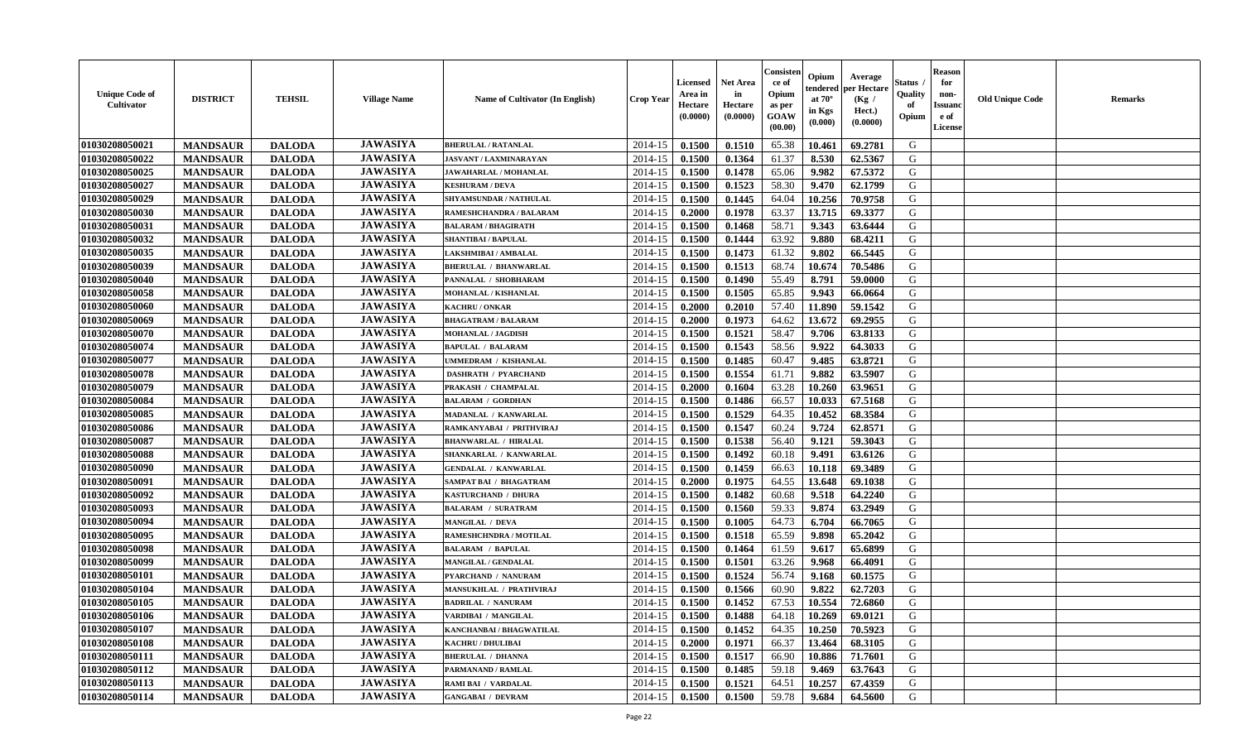| <b>Unique Code of</b><br><b>Cultivator</b> | <b>DISTRICT</b> | <b>TEHSIL</b> | <b>Village Name</b> | <b>Name of Cultivator (In English)</b> | <b>Crop Year</b> | Licensed<br>Area in<br>Hectare<br>(0.0000) | <b>Net Area</b><br>in<br>Hectare<br>(0.0000) | Consisteı<br>ce of<br>Opium<br>as per<br>GOAW<br>(00.00) | Opium<br>endered<br>at $70^\circ$<br>in Kgs<br>(0.000) | Average<br>per Hectare<br>(Kg /<br>Hect.)<br>(0.0000) | Status<br>Quality<br>of<br>Opium | <b>Reason</b><br>for<br>non-<br><b>Issuand</b><br>e of<br>License | <b>Old Unique Code</b> | <b>Remarks</b> |
|--------------------------------------------|-----------------|---------------|---------------------|----------------------------------------|------------------|--------------------------------------------|----------------------------------------------|----------------------------------------------------------|--------------------------------------------------------|-------------------------------------------------------|----------------------------------|-------------------------------------------------------------------|------------------------|----------------|
| 01030208050021                             | <b>MANDSAUR</b> | <b>DALODA</b> | <b>JAWASIYA</b>     | <b>BHERULAL / RATANLAL</b>             | 2014-15          | 0.1500                                     | 0.1510                                       | 65.38                                                    | 10.461                                                 | 69.2781                                               | G                                |                                                                   |                        |                |
| 01030208050022                             | <b>MANDSAUR</b> | <b>DALODA</b> | <b>JAWASIYA</b>     | JASVANT / LAXMINARAYAN                 | 2014-15          | 0.1500                                     | 0.1364                                       | 61.37                                                    | 8.530                                                  | 62.5367                                               | G                                |                                                                   |                        |                |
| 01030208050025                             | <b>MANDSAUR</b> | <b>DALODA</b> | <b>JAWASIYA</b>     | JAWAHARLAL / MOHANLAL                  | 2014-15          | 0.1500                                     | 0.1478                                       | 65.06                                                    | 9.982                                                  | 67.5372                                               | G                                |                                                                   |                        |                |
| 01030208050027                             | <b>MANDSAUR</b> | <b>DALODA</b> | <b>JAWASIYA</b>     | <b>KESHURAM / DEVA</b>                 | 2014-15          | 0.1500                                     | 0.1523                                       | 58.30                                                    | 9.470                                                  | 62.1799                                               | G                                |                                                                   |                        |                |
| 01030208050029                             | <b>MANDSAUR</b> | <b>DALODA</b> | <b>JAWASIYA</b>     | SHYAMSUNDAR / NATHULAL                 | 2014-15          | 0.1500                                     | 0.1445                                       | 64.04                                                    | 10.256                                                 | 70.9758                                               | G                                |                                                                   |                        |                |
| 01030208050030                             | <b>MANDSAUR</b> | <b>DALODA</b> | <b>JAWASIYA</b>     | RAMESHCHANDRA / BALARAM                | 2014-15          | 0.2000                                     | 0.1978                                       | 63.37                                                    | 13.715                                                 | 69.3377                                               | G                                |                                                                   |                        |                |
| 01030208050031                             | <b>MANDSAUR</b> | <b>DALODA</b> | <b>JAWASIYA</b>     | <b>BALARAM / BHAGIRATH</b>             | 2014-15          | 0.1500                                     | 0.1468                                       | 58.71                                                    | 9.343                                                  | 63.6444                                               | G                                |                                                                   |                        |                |
| 01030208050032                             | <b>MANDSAUR</b> | <b>DALODA</b> | <b>JAWASIYA</b>     | <b>SHANTIBAI / BAPULAL</b>             | 2014-15          | 0.1500                                     | 0.1444                                       | 63.92                                                    | 9.880                                                  | 68.4211                                               | G                                |                                                                   |                        |                |
| 01030208050035                             | <b>MANDSAUR</b> | <b>DALODA</b> | <b>JAWASIYA</b>     | LAKSHMIBAI / AMBALAL                   | 2014-15          | 0.1500                                     | 0.1473                                       | 61.32                                                    | 9.802                                                  | 66.5445                                               | G                                |                                                                   |                        |                |
| 01030208050039                             | <b>MANDSAUR</b> | <b>DALODA</b> | <b>JAWASIYA</b>     | <b>BHERULAL / BHANWARLAL</b>           | 2014-15          | 0.1500                                     | 0.1513                                       | 68.74                                                    | 10.674                                                 | 70.5486                                               | G                                |                                                                   |                        |                |
| 01030208050040                             | <b>MANDSAUR</b> | <b>DALODA</b> | <b>JAWASIYA</b>     | PANNALAL / SHOBHARAM                   | 2014-15          | 0.1500                                     | 0.1490                                       | 55.49                                                    | 8.791                                                  | 59.0000                                               | $\mathbf G$                      |                                                                   |                        |                |
| 01030208050058                             | <b>MANDSAUR</b> | <b>DALODA</b> | <b>JAWASIYA</b>     | MOHANLAL / KISHANLAL                   | 2014-15          | 0.1500                                     | 0.1505                                       | 65.85                                                    | 9.943                                                  | 66.0664                                               | G                                |                                                                   |                        |                |
| 01030208050060                             | <b>MANDSAUR</b> | <b>DALODA</b> | <b>JAWASIYA</b>     | <b>KACHRU / ONKAR</b>                  | 2014-15          | 0.2000                                     | 0.2010                                       | 57.40                                                    | 11.890                                                 | 59.1542                                               | G                                |                                                                   |                        |                |
| 01030208050069                             | <b>MANDSAUR</b> | <b>DALODA</b> | <b>JAWASIYA</b>     | <b>BHAGATRAM / BALARAM</b>             | 2014-15          | 0.2000                                     | 0.1973                                       | 64.62                                                    | 13.672                                                 | 69.2955                                               | G                                |                                                                   |                        |                |
| 01030208050070                             | <b>MANDSAUR</b> | <b>DALODA</b> | <b>JAWASIYA</b>     | <b>MOHANLAL / JAGDISH</b>              | 2014-15          | 0.1500                                     | 0.1521                                       | 58.47                                                    | 9.706                                                  | 63.8133                                               | G                                |                                                                   |                        |                |
| 01030208050074                             | <b>MANDSAUR</b> | <b>DALODA</b> | <b>JAWASIYA</b>     | <b>BAPULAL / BALARAM</b>               | 2014-15          | 0.1500                                     | 0.1543                                       | 58.56                                                    | 9.922                                                  | 64.3033                                               | G                                |                                                                   |                        |                |
| 01030208050077                             | <b>MANDSAUR</b> | <b>DALODA</b> | <b>JAWASIYA</b>     | UMMEDRAM / KISHANLAL                   | 2014-15          | 0.1500                                     | 0.1485                                       | 60.47                                                    | 9.485                                                  | 63.8721                                               | G                                |                                                                   |                        |                |
| 01030208050078                             | <b>MANDSAUR</b> | <b>DALODA</b> | <b>JAWASIYA</b>     | <b>DASHRATH / PYARCHAND</b>            | 2014-15          | 0.1500                                     | 0.1554                                       | 61.71                                                    | 9.882                                                  | 63.5907                                               | G                                |                                                                   |                        |                |
| 01030208050079                             | <b>MANDSAUR</b> | <b>DALODA</b> | <b>JAWASIYA</b>     | PRAKASH / CHAMPALAL                    | 2014-15          | 0.2000                                     | 0.1604                                       | 63.28                                                    | 10.260                                                 | 63.9651                                               | G                                |                                                                   |                        |                |
| 01030208050084                             | <b>MANDSAUR</b> | <b>DALODA</b> | <b>JAWASIYA</b>     | <b>BALARAM / GORDHAN</b>               | 2014-15          | 0.1500                                     | 0.1486                                       | 66.57                                                    | 10.033                                                 | 67.5168                                               | G                                |                                                                   |                        |                |
| 01030208050085                             | <b>MANDSAUR</b> | <b>DALODA</b> | <b>JAWASIYA</b>     | MADANLAL / KANWARLAL                   | 2014-15          | 0.1500                                     | 0.1529                                       | 64.35                                                    | 10.452                                                 | 68.3584                                               | G                                |                                                                   |                        |                |
| 01030208050086                             | <b>MANDSAUR</b> | <b>DALODA</b> | <b>JAWASIYA</b>     | RAMKANYABAI / PRITHVIRAJ               | 2014-15          | 0.1500                                     | 0.1547                                       | 60.24                                                    | 9.724                                                  | 62.8571                                               | G                                |                                                                   |                        |                |
| 01030208050087                             | <b>MANDSAUR</b> | <b>DALODA</b> | <b>JAWASIYA</b>     | <b>BHANWARLAL / HIRALAL</b>            | 2014-15          | 0.1500                                     | 0.1538                                       | 56.40                                                    | 9.121                                                  | 59.3043                                               | G                                |                                                                   |                        |                |
| 01030208050088                             | <b>MANDSAUR</b> | <b>DALODA</b> | <b>JAWASIYA</b>     | SHANKARLAL / KANWARLAL                 | 2014-15          | 0.1500                                     | 0.1492                                       | 60.18                                                    | 9.491                                                  | 63.6126                                               | G                                |                                                                   |                        |                |
| 01030208050090                             | <b>MANDSAUR</b> | <b>DALODA</b> | <b>JAWASIYA</b>     | <b>GENDALAL / KANWARLAL</b>            | 2014-15          | 0.1500                                     | 0.1459                                       | 66.63                                                    | 10.118                                                 | 69.3489                                               | G                                |                                                                   |                        |                |
| 01030208050091                             | <b>MANDSAUR</b> | <b>DALODA</b> | <b>JAWASIYA</b>     | <b>SAMPAT BAI / BHAGATRAM</b>          | 2014-15          | 0.2000                                     | 0.1975                                       | 64.55                                                    | 13.648                                                 | 69.1038                                               | G                                |                                                                   |                        |                |
| 01030208050092                             | <b>MANDSAUR</b> | <b>DALODA</b> | <b>JAWASIYA</b>     | <b>KASTURCHAND / DHURA</b>             | 2014-15          | 0.1500                                     | 0.1482                                       | 60.68                                                    | 9.518                                                  | 64.2240                                               | G                                |                                                                   |                        |                |
| 01030208050093                             | <b>MANDSAUR</b> | <b>DALODA</b> | <b>JAWASIYA</b>     | <b>BALARAM / SURATRAM</b>              | 2014-15          | 0.1500                                     | 0.1560                                       | 59.33                                                    | 9.874                                                  | 63.2949                                               | G                                |                                                                   |                        |                |
| 01030208050094                             | <b>MANDSAUR</b> | <b>DALODA</b> | <b>JAWASIYA</b>     | <b>MANGILAL / DEVA</b>                 | 2014-15          | 0.1500                                     | 0.1005                                       | 64.73                                                    | 6.704                                                  | 66.7065                                               | G                                |                                                                   |                        |                |
| 01030208050095                             | <b>MANDSAUR</b> | <b>DALODA</b> | <b>JAWASIYA</b>     | RAMESHCHNDRA / MOTILAL                 | 2014-15          | 0.1500                                     | 0.1518                                       | 65.59                                                    | 9.898                                                  | 65.2042                                               | G                                |                                                                   |                        |                |
| 01030208050098                             | <b>MANDSAUR</b> | <b>DALODA</b> | <b>JAWASIYA</b>     | <b>BALARAM / BAPULAL</b>               | 2014-15          | 0.1500                                     | 0.1464                                       | 61.59                                                    | 9.617                                                  | 65.6899                                               | ${\bf G}$                        |                                                                   |                        |                |
| 01030208050099                             | <b>MANDSAUR</b> | <b>DALODA</b> | <b>JAWASIYA</b>     | MANGILAL / GENDALAL                    | 2014-15          | 0.1500                                     | 0.1501                                       | 63.26                                                    | 9.968                                                  | 66.4091                                               | G                                |                                                                   |                        |                |
| 01030208050101                             | <b>MANDSAUR</b> | <b>DALODA</b> | <b>JAWASIYA</b>     | PYARCHAND / NANURAM                    | 2014-15          | 0.1500                                     | 0.1524                                       | 56.74                                                    | 9.168                                                  | 60.1575                                               | G                                |                                                                   |                        |                |
| 01030208050104                             | <b>MANDSAUR</b> | <b>DALODA</b> | <b>JAWASIYA</b>     | <b>MANSUKHLAL / PRATHVIRAJ</b>         | 2014-15          | 0.1500                                     | 0.1566                                       | 60.90                                                    | 9.822                                                  | 62.7203                                               | G                                |                                                                   |                        |                |
| 01030208050105                             | <b>MANDSAUR</b> | <b>DALODA</b> | <b>JAWASIYA</b>     | <b>BADRILAL / NANURAM</b>              | 2014-15          | 0.1500                                     | 0.1452                                       | 67.53                                                    | 10.554                                                 | 72.6860                                               | G                                |                                                                   |                        |                |
| 01030208050106                             | <b>MANDSAUR</b> | <b>DALODA</b> | <b>JAWASIYA</b>     | VARDIBAI / MANGILAL                    | 2014-15          | 0.1500                                     | 0.1488                                       | 64.18                                                    | 10.269                                                 | 69.0121                                               | G                                |                                                                   |                        |                |
| 01030208050107                             | <b>MANDSAUR</b> | <b>DALODA</b> | <b>JAWASIYA</b>     | KANCHANBAI / BHAGWATILAL               | 2014-15          | 0.1500                                     | 0.1452                                       | 64.35                                                    | 10.250                                                 | 70.5923                                               | G                                |                                                                   |                        |                |
| 01030208050108                             | <b>MANDSAUR</b> | <b>DALODA</b> | <b>JAWASIYA</b>     | <b>KACHRU / DHULIBAI</b>               | 2014-15          | 0.2000                                     | 0.1971                                       | 66.37                                                    | 13.464                                                 | 68.3105                                               | G                                |                                                                   |                        |                |
| 01030208050111                             | <b>MANDSAUR</b> | <b>DALODA</b> | <b>JAWASIYA</b>     | <b>BHERULAL / DHANNA</b>               | 2014-15          | 0.1500                                     | 0.1517                                       | 66.90                                                    | 10.886                                                 | 71.7601                                               | ${\bf G}$                        |                                                                   |                        |                |
| 01030208050112                             | <b>MANDSAUR</b> | <b>DALODA</b> | <b>JAWASIYA</b>     | PARMANAND / RAMLAL                     | 2014-15          | 0.1500                                     | 0.1485                                       | 59.18                                                    | 9.469                                                  | 63.7643                                               | G                                |                                                                   |                        |                |
| 01030208050113                             | <b>MANDSAUR</b> | <b>DALODA</b> | <b>JAWASIYA</b>     | RAMI BAI / VARDALAL                    | 2014-15          | 0.1500                                     | 0.1521                                       | 64.51                                                    | 10.257                                                 | 67.4359                                               | G                                |                                                                   |                        |                |
| 01030208050114                             | <b>MANDSAUR</b> | <b>DALODA</b> | <b>JAWASIYA</b>     | <b>GANGABAI / DEVRAM</b>               | 2014-15          | 0.1500                                     | 0.1500                                       | 59.78                                                    | 9.684                                                  | 64.5600                                               | G                                |                                                                   |                        |                |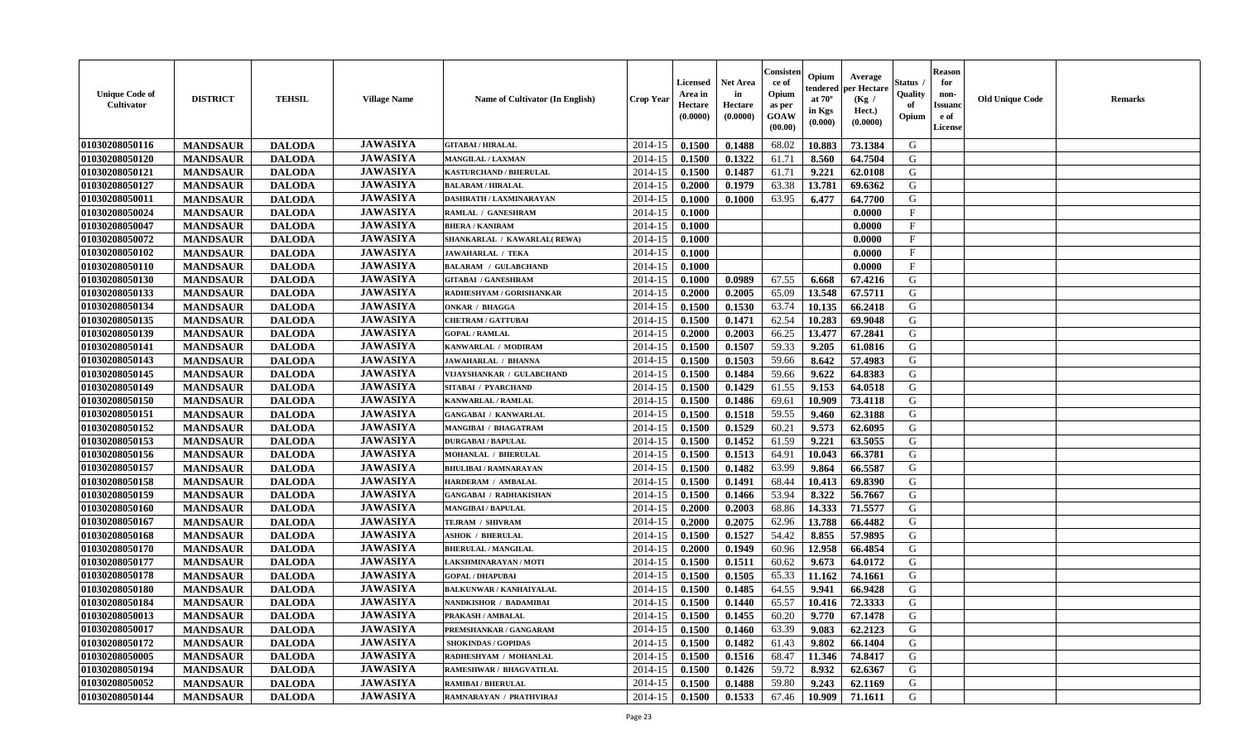| <b>Unique Code of</b><br><b>Cultivator</b> | <b>DISTRICT</b> | <b>TEHSIL</b> | <b>Village Name</b> | Name of Cultivator (In English) | <b>Crop Year</b> | <b>Licensed</b><br>Area in<br>Hectare<br>(0.0000) | Net Area<br>in<br>Hectare<br>(0.0000) | Consister<br>ce of<br>Opium<br>as per<br><b>GOAW</b><br>(00.00) | Opium<br>endered<br>at $70^\circ$<br>in Kgs<br>(0.000) | Average<br>per Hectare<br>(Kg /<br>Hect.)<br>(0.0000) | Status<br>Quality<br>of<br>Opium | <b>Reason</b><br>for<br>non-<br><b>Issuand</b><br>e of<br><b>License</b> | <b>Old Unique Code</b> | <b>Remarks</b> |
|--------------------------------------------|-----------------|---------------|---------------------|---------------------------------|------------------|---------------------------------------------------|---------------------------------------|-----------------------------------------------------------------|--------------------------------------------------------|-------------------------------------------------------|----------------------------------|--------------------------------------------------------------------------|------------------------|----------------|
| 01030208050116                             | <b>MANDSAUR</b> | <b>DALODA</b> | <b>JAWASIYA</b>     | <b>GITABAI/HIRALAL</b>          | 2014-15          | 0.1500                                            | 0.1488                                | 68.02                                                           | 10.883                                                 | 73.1384                                               | G                                |                                                                          |                        |                |
| 01030208050120                             | <b>MANDSAUR</b> | <b>DALODA</b> | <b>JAWASIYA</b>     | <b>MANGILAL / LAXMAN</b>        | 2014-15          | 0.1500                                            | 0.1322                                | 61.71                                                           | 8.560                                                  | 64.7504                                               | G                                |                                                                          |                        |                |
| 01030208050121                             | <b>MANDSAUR</b> | <b>DALODA</b> | <b>JAWASIYA</b>     | <b>KASTURCHAND / BHERULAL</b>   | 2014-15          | 0.1500                                            | 0.1487                                | 61.71                                                           | 9.221                                                  | 62.0108                                               | G                                |                                                                          |                        |                |
| 01030208050127                             | <b>MANDSAUR</b> | <b>DALODA</b> | <b>JAWASIYA</b>     | <b>BALARAM / HIRALAL</b>        | 2014-15          | 0.2000                                            | 0.1979                                | 63.38                                                           | 13.781                                                 | 69.6362                                               | G                                |                                                                          |                        |                |
| 01030208050011                             | <b>MANDSAUR</b> | <b>DALODA</b> | <b>JAWASIYA</b>     | DASHRATH / LAXMINARAYAN         | 2014-15          | 0.1000                                            | 0.1000                                | 63.95                                                           | 6.477                                                  | 64.7700                                               | G                                |                                                                          |                        |                |
| 01030208050024                             | <b>MANDSAUR</b> | <b>DALODA</b> | <b>JAWASIYA</b>     | RAMLAL / GANESHRAM              | 2014-15          | 0.1000                                            |                                       |                                                                 |                                                        | 0.0000                                                | $_{\rm F}$                       |                                                                          |                        |                |
| 01030208050047                             | <b>MANDSAUR</b> | <b>DALODA</b> | <b>JAWASIYA</b>     | <b>BHERA / KANIRAM</b>          | 2014-15          | 0.1000                                            |                                       |                                                                 |                                                        | 0.0000                                                | F                                |                                                                          |                        |                |
| 01030208050072                             | <b>MANDSAUR</b> | <b>DALODA</b> | <b>JAWASIYA</b>     | SHANKARLAL / KAWARLAL(REWA)     | 2014-15          | 0.1000                                            |                                       |                                                                 |                                                        | 0.0000                                                | $\mathbf{F}$                     |                                                                          |                        |                |
| 01030208050102                             | <b>MANDSAUR</b> | <b>DALODA</b> | <b>JAWASIYA</b>     | <b>JAWAHARLAL / TEKA</b>        | 2014-15          | 0.1000                                            |                                       |                                                                 |                                                        | 0.0000                                                | $\mathbf{F}$                     |                                                                          |                        |                |
| 01030208050110                             | <b>MANDSAUR</b> | <b>DALODA</b> | <b>JAWASIYA</b>     | <b>BALARAM / GULABCHAND</b>     | 2014-15          | 0.1000                                            |                                       |                                                                 |                                                        | 0.0000                                                | $\mathbf{F}$                     |                                                                          |                        |                |
| 01030208050130                             | <b>MANDSAUR</b> | <b>DALODA</b> | <b>JAWASIYA</b>     | <b>GITABAI / GANESHRAM</b>      | 2014-15          | 0.1000                                            | 0.0989                                | 67.55                                                           | 6.668                                                  | 67.4216                                               | G                                |                                                                          |                        |                |
| 01030208050133                             | <b>MANDSAUR</b> | <b>DALODA</b> | <b>JAWASIYA</b>     | RADHESHYAM / GORISHANKAR        | 2014-15          | 0.2000                                            | 0.2005                                | 65.09                                                           | 13.548                                                 | 67.5711                                               | G                                |                                                                          |                        |                |
| 01030208050134                             | <b>MANDSAUR</b> | <b>DALODA</b> | <b>JAWASIYA</b>     | <b>ONKAR / BHAGGA</b>           | 2014-15          | 0.1500                                            | 0.1530                                | 63.74                                                           | 10.135                                                 | 66.2418                                               | G                                |                                                                          |                        |                |
| 01030208050135                             | <b>MANDSAUR</b> | <b>DALODA</b> | <b>JAWASIYA</b>     | <b>CHETRAM / GATTUBAI</b>       | 2014-15          | 0.1500                                            | 0.1471                                | 62.54                                                           | 10.283                                                 | 69.9048                                               | G                                |                                                                          |                        |                |
| 01030208050139                             | <b>MANDSAUR</b> | <b>DALODA</b> | <b>JAWASIYA</b>     | <b>GOPAL / RAMLAL</b>           | 2014-15          | 0.2000                                            | 0.2003                                | 66.25                                                           | 13.477                                                 | 67.2841                                               | ${\bf G}$                        |                                                                          |                        |                |
| 01030208050141                             | <b>MANDSAUR</b> | <b>DALODA</b> | <b>JAWASIYA</b>     | KANWARLAL / MODIRAM             | 2014-15          | 0.1500                                            | 0.1507                                | 59.33                                                           | 9.205                                                  | 61.0816                                               | G                                |                                                                          |                        |                |
| 01030208050143                             | <b>MANDSAUR</b> | <b>DALODA</b> | <b>JAWASIYA</b>     | <b>JAWAHARLAL / BHANNA</b>      | 2014-15          | 0.1500                                            | 0.1503                                | 59.66                                                           | 8.642                                                  | 57.4983                                               | G                                |                                                                          |                        |                |
| 01030208050145                             | <b>MANDSAUR</b> | <b>DALODA</b> | <b>JAWASIYA</b>     | VIJAYSHANKAR / GULABCHAND       | 2014-15          | 0.1500                                            | 0.1484                                | 59.66                                                           | 9.622                                                  | 64.8383                                               | G                                |                                                                          |                        |                |
| 01030208050149                             | <b>MANDSAUR</b> | <b>DALODA</b> | <b>JAWASIYA</b>     | SITABAI / PYARCHAND             | 2014-15          | 0.1500                                            | 0.1429                                | 61.55                                                           | 9.153                                                  | 64.0518                                               | G                                |                                                                          |                        |                |
| 01030208050150                             | <b>MANDSAUR</b> | <b>DALODA</b> | <b>JAWASIYA</b>     | KANWARLAL / RAMLAL              | 2014-15          | 0.1500                                            | 0.1486                                | 69.61                                                           | 10.909                                                 | 73.4118                                               | G                                |                                                                          |                        |                |
| 01030208050151                             | <b>MANDSAUR</b> | <b>DALODA</b> | <b>JAWASIYA</b>     | <b>GANGABAI / KANWARLAL</b>     | 2014-15          | 0.1500                                            | 0.1518                                | 59.55                                                           | 9.460                                                  | 62.3188                                               | G                                |                                                                          |                        |                |
| 01030208050152                             | <b>MANDSAUR</b> | <b>DALODA</b> | <b>JAWASIYA</b>     | <b>MANGIBAI / BHAGATRAM</b>     | 2014-15          | 0.1500                                            | 0.1529                                | 60.21                                                           | 9.573                                                  | 62.6095                                               | G                                |                                                                          |                        |                |
| 01030208050153                             | <b>MANDSAUR</b> | <b>DALODA</b> | <b>JAWASIYA</b>     | <b>DURGABAI/BAPULAL</b>         | 2014-15          | 0.1500                                            | 0.1452                                | 61.59                                                           | 9.221                                                  | 63.5055                                               | ${\bf G}$                        |                                                                          |                        |                |
| 01030208050156                             | <b>MANDSAUR</b> | <b>DALODA</b> | <b>JAWASIYA</b>     | MOHANLAL / BHERULAL             | 2014-15          | 0.1500                                            | 0.1513                                | 64.91                                                           | 10.043                                                 | 66.3781                                               | G                                |                                                                          |                        |                |
| 01030208050157                             | <b>MANDSAUR</b> | <b>DALODA</b> | <b>JAWASIYA</b>     | <b>BHULIBAI / RAMNARAYAN</b>    | 2014-15          | 0.1500                                            | 0.1482                                | 63.99                                                           | 9.864                                                  | 66.5587                                               | G                                |                                                                          |                        |                |
| 01030208050158                             | <b>MANDSAUR</b> | <b>DALODA</b> | <b>JAWASIYA</b>     | HARDERAM / AMBALAL              | 2014-15          | 0.1500                                            | 0.1491                                | 68.44                                                           | 10.413                                                 | 69.8390                                               | G                                |                                                                          |                        |                |
| 01030208050159                             | <b>MANDSAUR</b> | <b>DALODA</b> | <b>JAWASIYA</b>     | <b>GANGABAI / RADHAKISHAN</b>   | 2014-15          | 0.1500                                            | 0.1466                                | 53.94                                                           | 8.322                                                  | 56.7667                                               | G                                |                                                                          |                        |                |
| 01030208050160                             | <b>MANDSAUR</b> | <b>DALODA</b> | <b>JAWASIYA</b>     | <b>MANGIBAI/BAPULAL</b>         | 2014-15          | 0.2000                                            | 0.2003                                | 68.86                                                           | 14.333                                                 | 71.5577                                               | G                                |                                                                          |                        |                |
| 01030208050167                             | <b>MANDSAUR</b> | <b>DALODA</b> | <b>JAWASIYA</b>     | TEJRAM / SHIVRAM                | 2014-15          | 0.2000                                            | 0.2075                                | 62.96                                                           | 13.788                                                 | 66.4482                                               | G                                |                                                                          |                        |                |
| 01030208050168                             | <b>MANDSAUR</b> | <b>DALODA</b> | <b>JAWASIYA</b>     | <b>ASHOK / BHERULAL</b>         | 2014-15          | 0.1500                                            | 0.1527                                | 54.42                                                           | 8.855                                                  | 57.9895                                               | G                                |                                                                          |                        |                |
| 01030208050170                             | <b>MANDSAUR</b> | <b>DALODA</b> | <b>JAWASIYA</b>     | <b>BHERULAL / MANGILAL</b>      | 2014-15          | 0.2000                                            | 0.1949                                | 60.96                                                           | 12.958                                                 | 66.4854                                               | $\mathbf G$                      |                                                                          |                        |                |
| 01030208050177                             | <b>MANDSAUR</b> | <b>DALODA</b> | <b>JAWASIYA</b>     | LAKSHMINARAYAN / MOTI           | 2014-15          | 0.1500                                            | 0.1511                                | 60.62                                                           | 9.673                                                  | 64.0172                                               | G                                |                                                                          |                        |                |
| 01030208050178                             | <b>MANDSAUR</b> | <b>DALODA</b> | <b>JAWASIYA</b>     | <b>GOPAL / DHAPUBAI</b>         | 2014-15          | 0.1500                                            | 0.1505                                | 65.33                                                           | 11.162                                                 | 74.1661                                               | G                                |                                                                          |                        |                |
| 01030208050180                             | <b>MANDSAUR</b> | <b>DALODA</b> | <b>JAWASIYA</b>     | <b>BALKUNWAR / KANHAIYALAL</b>  | 2014-15          | 0.1500                                            | 0.1485                                | 64.55                                                           | 9.941                                                  | 66.9428                                               | G                                |                                                                          |                        |                |
| 01030208050184                             | <b>MANDSAUR</b> | <b>DALODA</b> | <b>JAWASIYA</b>     | <b>NANDKISHOR / BADAMIBAI</b>   | 2014-15          | 0.1500                                            | 0.1440                                | 65.57                                                           | 10.416                                                 | 72.3333                                               | G                                |                                                                          |                        |                |
|                                            |                 |               | <b>JAWASIYA</b>     | PRAKASH / AMBALAL               | 2014-15          | 0.1500                                            | 0.1455                                | 60.20                                                           | 9.770                                                  |                                                       | G                                |                                                                          |                        |                |
| 01030208050013<br>01030208050017           | <b>MANDSAUR</b> | <b>DALODA</b> | <b>JAWASIYA</b>     | PREMSHANKAR / GANGARAM          |                  |                                                   | 0.1460                                |                                                                 | 9.083                                                  | 67.1478<br>62.2123                                    | G                                |                                                                          |                        |                |
|                                            | <b>MANDSAUR</b> | <b>DALODA</b> | <b>JAWASIYA</b>     |                                 | 2014-15          | 0.1500                                            |                                       | 63.39                                                           |                                                        |                                                       | G                                |                                                                          |                        |                |
| 01030208050172                             | <b>MANDSAUR</b> | <b>DALODA</b> | <b>JAWASIYA</b>     | <b>SHOKINDAS / GOPIDAS</b>      | 2014-15          | 0.1500                                            | 0.1482                                | 61.43                                                           | 9.802                                                  | 66.1404                                               | G                                |                                                                          |                        |                |
| 01030208050005                             | <b>MANDSAUR</b> | <b>DALODA</b> |                     | RADHESHYAM / MOHANLAL           | 2014-15          | 0.1500                                            | 0.1516                                | 68.47                                                           | 11.346                                                 | 74.8417                                               |                                  |                                                                          |                        |                |
| 01030208050194                             | <b>MANDSAUR</b> | <b>DALODA</b> | <b>JAWASIYA</b>     | RAMESHWAR / BHAGVATILAL         | 2014-15          | 0.1500                                            | 0.1426                                | 59.72                                                           | 8.932                                                  | 62.6367                                               | G                                |                                                                          |                        |                |
| 01030208050052                             | <b>MANDSAUR</b> | <b>DALODA</b> | <b>JAWASIYA</b>     | <b>RAMIBAI / BHERULAL</b>       | 2014-15          | 0.1500                                            | 0.1488                                | 59.80                                                           | 9.243                                                  | 62.1169                                               | G                                |                                                                          |                        |                |
| 01030208050144                             | <b>MANDSAUR</b> | <b>DALODA</b> | <b>JAWASIYA</b>     | RAMNARAYAN / PRATHVIRAJ         | 2014-15          | 0.1500                                            | 0.1533                                | 67.46                                                           | 10.909                                                 | 71.1611                                               | G                                |                                                                          |                        |                |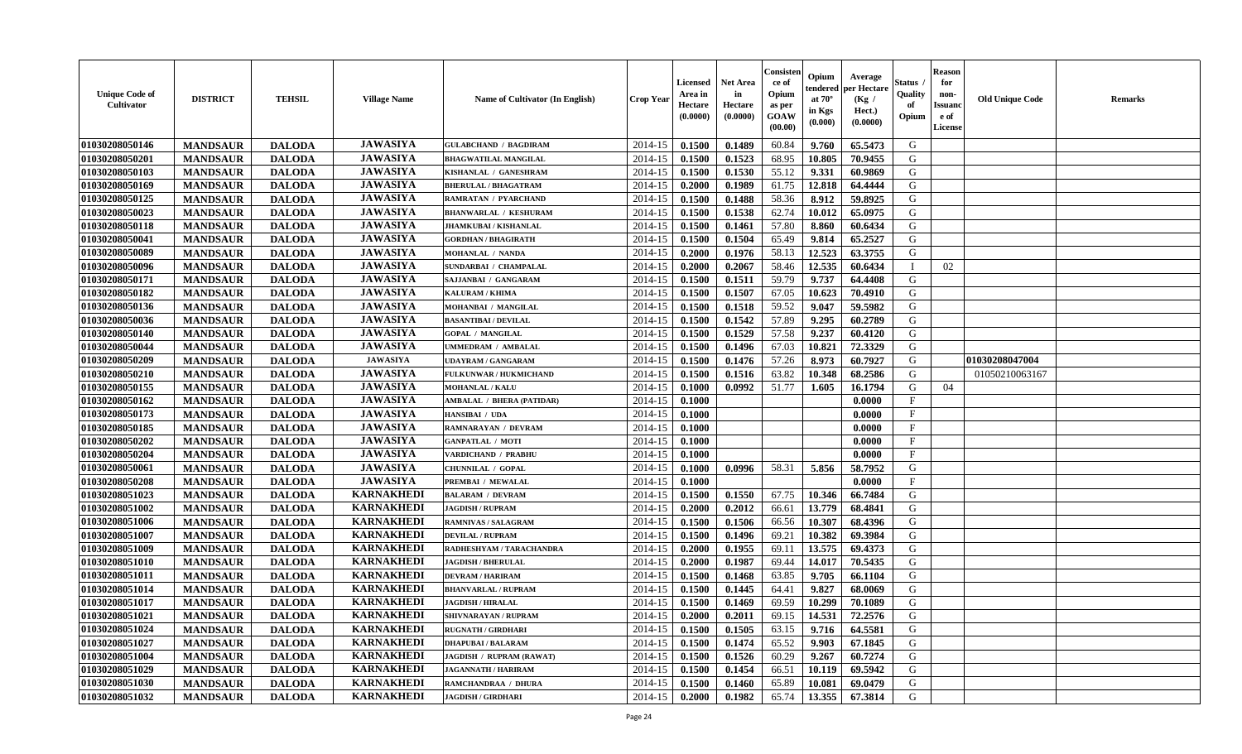| <b>Unique Code of</b><br><b>Cultivator</b> | <b>DISTRICT</b> | <b>TEHSIL</b> | <b>Village Name</b> | <b>Name of Cultivator (In English)</b> | <b>Crop Year</b> | <b>Licensed</b><br>Area in<br>Hectare<br>(0.0000) | Net Area<br>in<br>Hectare<br>(0.0000) | Consister<br>ce of<br>Opium<br>as per<br>GOAW<br>(00.00) | Opium<br>endered<br>at $70^\circ$<br>in Kgs<br>(0.000) | Average<br>per Hectare<br>(Kg /<br>Hect.)<br>(0.0000) | Status<br>Quality<br>of<br>Opium | <b>Reason</b><br>for<br>non-<br><b>Issuand</b><br>e of<br>License | <b>Old Unique Code</b> | Remarks |
|--------------------------------------------|-----------------|---------------|---------------------|----------------------------------------|------------------|---------------------------------------------------|---------------------------------------|----------------------------------------------------------|--------------------------------------------------------|-------------------------------------------------------|----------------------------------|-------------------------------------------------------------------|------------------------|---------|
| 01030208050146                             | <b>MANDSAUR</b> | <b>DALODA</b> | <b>JAWASIYA</b>     | <b>GULABCHAND / BAGDIRAM</b>           | 2014-15          | 0.1500                                            | 0.1489                                | 60.84                                                    | 9.760                                                  | 65.5473                                               | G                                |                                                                   |                        |         |
| 01030208050201                             | <b>MANDSAUR</b> | <b>DALODA</b> | <b>JAWASIYA</b>     | <b>BHAGWATILAL MANGILAL</b>            | 2014-15          | 0.1500                                            | 0.1523                                | 68.95                                                    | 10.805                                                 | 70.9455                                               | G                                |                                                                   |                        |         |
| 01030208050103                             | <b>MANDSAUR</b> | <b>DALODA</b> | <b>JAWASIYA</b>     | KISHANLAL / GANESHRAM                  | 2014-15          | 0.1500                                            | 0.1530                                | 55.12                                                    | 9.331                                                  | 60.9869                                               | G                                |                                                                   |                        |         |
| 01030208050169                             | <b>MANDSAUR</b> | <b>DALODA</b> | <b>JAWASIYA</b>     | <b>BHERULAL / BHAGATRAM</b>            | 2014-15          | 0.2000                                            | 0.1989                                | 61.75                                                    | 12.818                                                 | 64.4444                                               | G                                |                                                                   |                        |         |
| 01030208050125                             | <b>MANDSAUR</b> | <b>DALODA</b> | <b>JAWASIYA</b>     | <b>RAMRATAN / PYARCHAND</b>            | 2014-15          | 0.1500                                            | 0.1488                                | 58.36                                                    | 8.912                                                  | 59.8925                                               | G                                |                                                                   |                        |         |
| 01030208050023                             | <b>MANDSAUR</b> | <b>DALODA</b> | <b>JAWASIYA</b>     | <b>BHANWARLAL / KESHURAM</b>           | 2014-15          | 0.1500                                            | 0.1538                                | 62.74                                                    | 10.012                                                 | 65.0975                                               | G                                |                                                                   |                        |         |
| 01030208050118                             | <b>MANDSAUR</b> | <b>DALODA</b> | <b>JAWASIYA</b>     | <b>JHAMKUBAI / KISHANLAL</b>           | 2014-15          | 0.1500                                            | 0.1461                                | 57.80                                                    | 8.860                                                  | 60.6434                                               | G                                |                                                                   |                        |         |
| 01030208050041                             | <b>MANDSAUR</b> | <b>DALODA</b> | <b>JAWASIYA</b>     | <b>GORDHAN / BHAGIRATH</b>             | 2014-15          | 0.1500                                            | 0.1504                                | 65.49                                                    | 9.814                                                  | 65.2527                                               | G                                |                                                                   |                        |         |
| 01030208050089                             | <b>MANDSAUR</b> | <b>DALODA</b> | <b>JAWASIYA</b>     | <b>MOHANLAL / NANDA</b>                | 2014-15          | 0.2000                                            | 0.1976                                | 58.13                                                    | 12.523                                                 | 63.3755                                               | G                                |                                                                   |                        |         |
| 01030208050096                             | <b>MANDSAUR</b> | <b>DALODA</b> | <b>JAWASIYA</b>     | SUNDARBAI / CHAMPALAL                  | 2014-15          | 0.2000                                            | 0.2067                                | 58.46                                                    | 12.535                                                 | 60.6434                                               | $\mathbf I$                      | 02                                                                |                        |         |
| 01030208050171                             | <b>MANDSAUR</b> | <b>DALODA</b> | <b>JAWASIYA</b>     | SAJJANBAI / GANGARAM                   | 2014-15          | 0.1500                                            | 0.1511                                | 59.79                                                    | 9.737                                                  | 64.4408                                               | G                                |                                                                   |                        |         |
| 01030208050182                             | <b>MANDSAUR</b> | <b>DALODA</b> | <b>JAWASIYA</b>     | <b>KALURAM / KHIMA</b>                 | 2014-15          | 0.1500                                            | 0.1507                                | 67.05                                                    | 10.623                                                 | 70.4910                                               | G                                |                                                                   |                        |         |
| 01030208050136                             | <b>MANDSAUR</b> | <b>DALODA</b> | <b>JAWASIYA</b>     | MOHANBAI / MANGILAL                    | 2014-15          | 0.1500                                            | 0.1518                                | 59.52                                                    | 9.047                                                  | 59.5982                                               | G                                |                                                                   |                        |         |
| 01030208050036                             | <b>MANDSAUR</b> | <b>DALODA</b> | <b>JAWASIYA</b>     | <b>BASANTIBAI / DEVILAL</b>            | 2014-15          | 0.1500                                            | 0.1542                                | 57.89                                                    | 9.295                                                  | 60.2789                                               | G                                |                                                                   |                        |         |
| 01030208050140                             | <b>MANDSAUR</b> | <b>DALODA</b> | <b>JAWASIYA</b>     | <b>GOPAL / MANGILAL</b>                | 2014-15          | 0.1500                                            | 0.1529                                | 57.58                                                    | 9.237                                                  | 60.4120                                               | ${\bf G}$                        |                                                                   |                        |         |
| 01030208050044                             | <b>MANDSAUR</b> | <b>DALODA</b> | <b>JAWASIYA</b>     | UMMEDRAM / AMBALAL                     | 2014-15          | 0.1500                                            | 0.1496                                | 67.03                                                    | 10.821                                                 | 72.3329                                               | G                                |                                                                   |                        |         |
| 01030208050209                             | <b>MANDSAUR</b> | <b>DALODA</b> | <b>JAWASIYA</b>     | <b>UDAYRAM / GANGARAM</b>              | 2014-15          | 0.1500                                            | 0.1476                                | 57.26                                                    | 8.973                                                  | 60.7927                                               | G                                |                                                                   | 01030208047004         |         |
| 01030208050210                             | <b>MANDSAUR</b> | <b>DALODA</b> | <b>JAWASIYA</b>     | FULKUNWAR / HUKMICHAND                 | 2014-15          | 0.1500                                            | 0.1516                                | 63.82                                                    | 10.348                                                 | 68.2586                                               | G                                |                                                                   | 01050210063167         |         |
| 01030208050155                             | <b>MANDSAUR</b> | <b>DALODA</b> | <b>JAWASIYA</b>     | <b>MOHANLAL / KALU</b>                 | 2014-15          | 0.1000                                            | 0.0992                                | 51.77                                                    | 1.605                                                  | 16.1794                                               | G                                | 04                                                                |                        |         |
| 01030208050162                             | <b>MANDSAUR</b> | <b>DALODA</b> | <b>JAWASIYA</b>     | <b>AMBALAL / BHERA (PATIDAR)</b>       | 2014-15          | 0.1000                                            |                                       |                                                          |                                                        | 0.0000                                                | $\mathbf{F}$                     |                                                                   |                        |         |
| 01030208050173                             | <b>MANDSAUR</b> | <b>DALODA</b> | <b>JAWASIYA</b>     | HANSIBAI / UDA                         | 2014-15          | 0.1000                                            |                                       |                                                          |                                                        | 0.0000                                                | $\mathbf{F}$                     |                                                                   |                        |         |
| 01030208050185                             | <b>MANDSAUR</b> | <b>DALODA</b> | <b>JAWASIYA</b>     | <b>RAMNARAYAN / DEVRAM</b>             | 2014-15          | 0.1000                                            |                                       |                                                          |                                                        | 0.0000                                                | $_{\rm F}$                       |                                                                   |                        |         |
| 01030208050202                             | <b>MANDSAUR</b> | <b>DALODA</b> | <b>JAWASIYA</b>     | <b>GANPATLAL / MOTI</b>                | 2014-15          | 0.1000                                            |                                       |                                                          |                                                        | 0.0000                                                | F                                |                                                                   |                        |         |
| 01030208050204                             | <b>MANDSAUR</b> | <b>DALODA</b> | <b>JAWASIYA</b>     | VARDICHAND / PRABHU                    | 2014-15          | 0.1000                                            |                                       |                                                          |                                                        | 0.0000                                                | $\rm F$                          |                                                                   |                        |         |
| 01030208050061                             | <b>MANDSAUR</b> | <b>DALODA</b> | <b>JAWASIYA</b>     | CHUNNILAL / GOPAL                      | 2014-15          | 0.1000                                            | 0.0996                                | 58.31                                                    | 5.856                                                  | 58.7952                                               | G                                |                                                                   |                        |         |
| 01030208050208                             | <b>MANDSAUR</b> | <b>DALODA</b> | <b>JAWASIYA</b>     | PREMBAI / MEWALAL                      | 2014-15          | 0.1000                                            |                                       |                                                          |                                                        | 0.0000                                                | $\mathbf{F}$                     |                                                                   |                        |         |
| 01030208051023                             | <b>MANDSAUR</b> | <b>DALODA</b> | <b>KARNAKHEDI</b>   | <b>BALARAM / DEVRAM</b>                | 2014-15          | 0.1500                                            | 0.1550                                | 67.75                                                    | 10.346                                                 | 66.7484                                               | G                                |                                                                   |                        |         |
| 01030208051002                             | <b>MANDSAUR</b> | <b>DALODA</b> | <b>KARNAKHEDI</b>   | <b>JAGDISH / RUPRAM</b>                | 2014-15          | 0.2000                                            | 0.2012                                | 66.61                                                    | 13.779                                                 | 68.4841                                               | G                                |                                                                   |                        |         |
| 01030208051006                             | <b>MANDSAUR</b> | <b>DALODA</b> | <b>KARNAKHEDI</b>   | <b>RAMNIVAS / SALAGRAM</b>             | 2014-15          | 0.1500                                            | 0.1506                                | 66.56                                                    | 10.307                                                 | 68.4396                                               | G                                |                                                                   |                        |         |
| 01030208051007                             | <b>MANDSAUR</b> | <b>DALODA</b> | <b>KARNAKHEDI</b>   | <b>DEVILAL / RUPRAM</b>                | 2014-15          | 0.1500                                            | 0.1496                                | 69.21                                                    | 10.382                                                 | 69.3984                                               | G                                |                                                                   |                        |         |
| 01030208051009                             | <b>MANDSAUR</b> | <b>DALODA</b> | <b>KARNAKHEDI</b>   | RADHESHYAM / TARACHANDRA               | 2014-15          | 0.2000                                            | 0.1955                                | 69.11                                                    | 13.575                                                 | 69.4373                                               | G                                |                                                                   |                        |         |
| 01030208051010                             | <b>MANDSAUR</b> | <b>DALODA</b> | <b>KARNAKHEDI</b>   | <b>JAGDISH / BHERULAL</b>              | 2014-15          | 0.2000                                            | 0.1987                                | 69.44                                                    | 14.017                                                 | 70.5435                                               | G                                |                                                                   |                        |         |
| 01030208051011                             | <b>MANDSAUR</b> | <b>DALODA</b> | <b>KARNAKHEDI</b>   | <b>DEVRAM / HARIRAM</b>                | 2014-15          | 0.1500                                            | 0.1468                                | 63.85                                                    | 9.705                                                  | 66.1104                                               | G                                |                                                                   |                        |         |
| 01030208051014                             | <b>MANDSAUR</b> | <b>DALODA</b> | <b>KARNAKHEDI</b>   | <b>BHANVARLAL / RUPRAM</b>             | 2014-15          | 0.1500                                            | 0.1445                                | 64.41                                                    | 9.827                                                  | 68.0069                                               | G                                |                                                                   |                        |         |
| 01030208051017                             | <b>MANDSAUR</b> | <b>DALODA</b> | <b>KARNAKHEDI</b>   | <b>JAGDISH / HIRALAL</b>               | 2014-15          | 0.1500                                            | 0.1469                                | 69.59                                                    | 10.299                                                 | 70.1089                                               | G                                |                                                                   |                        |         |
| 01030208051021                             | <b>MANDSAUR</b> | <b>DALODA</b> | <b>KARNAKHEDI</b>   | SHIVNARAYAN / RUPRAM                   | 2014-15          | 0.2000                                            | 0.2011                                | 69.15                                                    | 14.531                                                 | 72.2576                                               | G                                |                                                                   |                        |         |
| 01030208051024                             | <b>MANDSAUR</b> | <b>DALODA</b> | <b>KARNAKHEDI</b>   | <b>RUGNATH / GIRDHARI</b>              | 2014-15          | 0.1500                                            | 0.1505                                | 63.15                                                    | 9.716                                                  | 64.5581                                               | G                                |                                                                   |                        |         |
| 01030208051027                             | <b>MANDSAUR</b> | <b>DALODA</b> | <b>KARNAKHEDI</b>   | <b>DHAPUBAI/BALARAM</b>                | 2014-15          | 0.1500                                            | 0.1474                                | 65.52                                                    | 9.903                                                  | 67.1845                                               | G                                |                                                                   |                        |         |
| 01030208051004                             | <b>MANDSAUR</b> | <b>DALODA</b> | <b>KARNAKHEDI</b>   | JAGDISH / RUPRAM (RAWAT)               | 2014-15          | 0.1500                                            | 0.1526                                | 60.29                                                    | 9.267                                                  | 60.7274                                               | G                                |                                                                   |                        |         |
| 01030208051029                             | <b>MANDSAUR</b> | <b>DALODA</b> | <b>KARNAKHEDI</b>   | <b>JAGANNATH / HARIRAM</b>             | 2014-15          | 0.1500                                            | 0.1454                                | 66.51                                                    | 10.119                                                 | 69.5942                                               | ${\bf G}$                        |                                                                   |                        |         |
| 01030208051030                             | <b>MANDSAUR</b> | <b>DALODA</b> | <b>KARNAKHEDI</b>   | RAMCHANDRAA / DHURA                    | 2014-15          | 0.1500                                            | 0.1460                                | 65.89                                                    | 10.081                                                 | 69.0479                                               | G                                |                                                                   |                        |         |
| 01030208051032                             | <b>MANDSAUR</b> | <b>DALODA</b> | <b>KARNAKHEDI</b>   | <b>JAGDISH / GIRDHARI</b>              | 2014-15          | 0.2000                                            | 0.1982                                | 65.74                                                    | 13.355                                                 | 67.3814                                               | G                                |                                                                   |                        |         |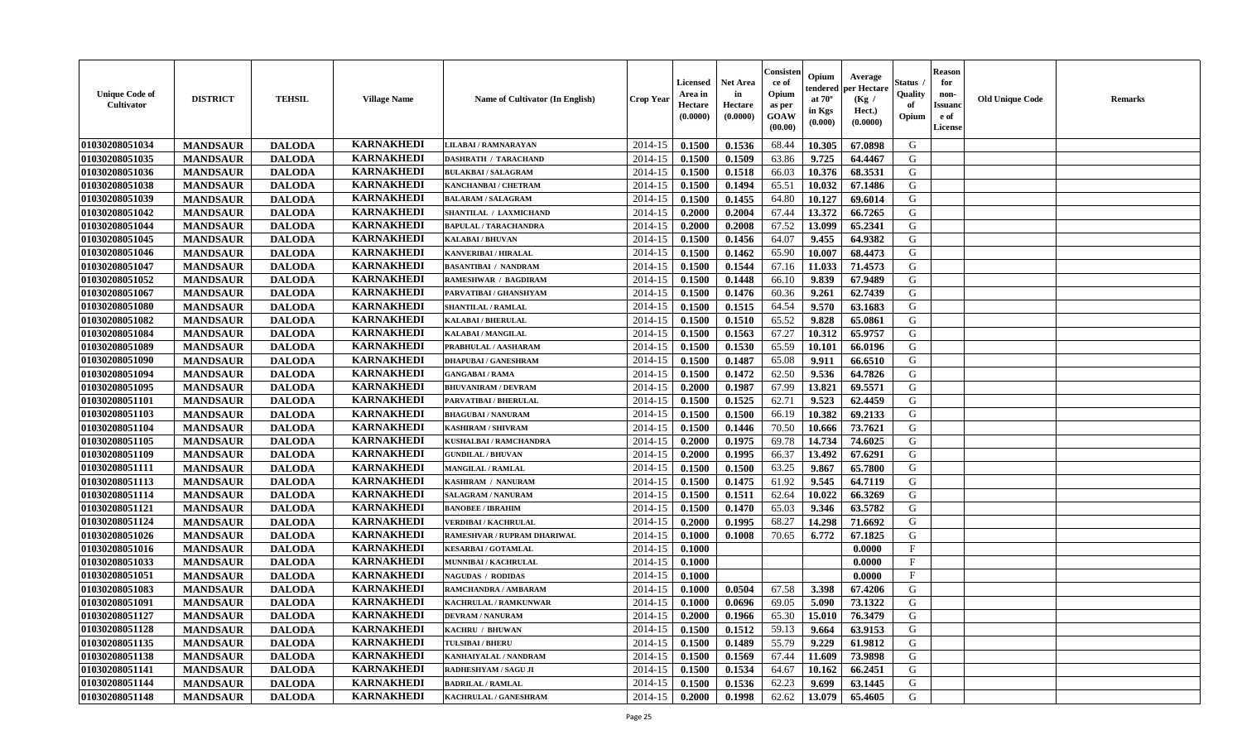| <b>Unique Code of</b><br><b>Cultivator</b> | <b>DISTRICT</b> | <b>TEHSIL</b> | <b>Village Name</b> | Name of Cultivator (In English) | <b>Crop Year</b> | <b>Licensed</b><br>Area in<br>Hectare<br>(0.0000) | <b>Net Area</b><br>in<br>Hectare<br>(0.0000) | Consister<br>ce of<br>Opium<br>as per<br><b>GOAW</b><br>(00.00) | Opium<br>endered<br>at $70^\circ$<br>in Kgs<br>(0.000) | Average<br>per Hectare<br>(Kg /<br>Hect.)<br>(0.0000) | Status<br>Quality<br>of<br>Opium | <b>Reason</b><br>for<br>non-<br><b>Issuand</b><br>e of<br><b>License</b> | <b>Old Unique Code</b> | <b>Remarks</b> |
|--------------------------------------------|-----------------|---------------|---------------------|---------------------------------|------------------|---------------------------------------------------|----------------------------------------------|-----------------------------------------------------------------|--------------------------------------------------------|-------------------------------------------------------|----------------------------------|--------------------------------------------------------------------------|------------------------|----------------|
| 01030208051034                             | <b>MANDSAUR</b> | <b>DALODA</b> | <b>KARNAKHEDI</b>   | LILABAI / RAMNARAYAN            | 2014-15          | 0.1500                                            | 0.1536                                       | 68.44                                                           | 10.305                                                 | 67.0898                                               | G                                |                                                                          |                        |                |
| 01030208051035                             | <b>MANDSAUR</b> | <b>DALODA</b> | <b>KARNAKHEDI</b>   | <b>DASHRATH / TARACHAND</b>     | 2014-15          | 0.1500                                            | 0.1509                                       | 63.86                                                           | 9.725                                                  | 64.4467                                               | G                                |                                                                          |                        |                |
| 01030208051036                             | <b>MANDSAUR</b> | <b>DALODA</b> | <b>KARNAKHEDI</b>   | <b>BULAKBAI/SALAGRAM</b>        | 2014-15          | 0.1500                                            | 0.1518                                       | 66.03                                                           | 10.376                                                 | 68.3531                                               | G                                |                                                                          |                        |                |
| 01030208051038                             | <b>MANDSAUR</b> | <b>DALODA</b> | <b>KARNAKHEDI</b>   | KANCHANBAI / CHETRAM            | 2014-15          | 0.1500                                            | 0.1494                                       | 65.51                                                           | 10.032                                                 | 67.1486                                               | G                                |                                                                          |                        |                |
| 01030208051039                             | <b>MANDSAUR</b> | <b>DALODA</b> | <b>KARNAKHEDI</b>   | <b>BALARAM / SALAGRAM</b>       | 2014-15          | 0.1500                                            | 0.1455                                       | 64.80                                                           | 10.127                                                 | 69.6014                                               | G                                |                                                                          |                        |                |
| 01030208051042                             | <b>MANDSAUR</b> | <b>DALODA</b> | <b>KARNAKHEDI</b>   | SHANTILAL / LAXMICHAND          | 2014-15          | 0.2000                                            | 0.2004                                       | 67.44                                                           | 13.372                                                 | 66.7265                                               | G                                |                                                                          |                        |                |
| 01030208051044                             | <b>MANDSAUR</b> | <b>DALODA</b> | <b>KARNAKHEDI</b>   | <b>BAPULAL / TARACHANDRA</b>    | 2014-15          | 0.2000                                            | 0.2008                                       | 67.52                                                           | 13.099                                                 | 65.2341                                               | G                                |                                                                          |                        |                |
| 01030208051045                             | <b>MANDSAUR</b> | <b>DALODA</b> | <b>KARNAKHEDI</b>   | KALABAI / BHUVAN                | 2014-15          | 0.1500                                            | 0.1456                                       | 64.07                                                           | 9.455                                                  | 64.9382                                               | ${\bf G}$                        |                                                                          |                        |                |
| 01030208051046                             | <b>MANDSAUR</b> | <b>DALODA</b> | <b>KARNAKHEDI</b>   | <b>KANVERIBAI / HIRALAL</b>     | 2014-15          | 0.1500                                            | 0.1462                                       | 65.90                                                           | 10.007                                                 | 68.4473                                               | G                                |                                                                          |                        |                |
| 01030208051047                             | <b>MANDSAUR</b> | <b>DALODA</b> | <b>KARNAKHEDI</b>   | <b>BASANTIBAI / NANDRAM</b>     | 2014-15          | 0.1500                                            | 0.1544                                       | 67.16                                                           | 11.033                                                 | 71.4573                                               | G                                |                                                                          |                        |                |
| 01030208051052                             | <b>MANDSAUR</b> | <b>DALODA</b> | <b>KARNAKHEDI</b>   | <b>RAMESHWAR / BAGDIRAM</b>     | 2014-15          | 0.1500                                            | 0.1448                                       | 66.10                                                           | 9.839                                                  | 67.9489                                               | G                                |                                                                          |                        |                |
| 01030208051067                             | <b>MANDSAUR</b> | <b>DALODA</b> | <b>KARNAKHEDI</b>   | PARVATIBAI / GHANSHYAM          | 2014-15          | 0.1500                                            | 0.1476                                       | 60.36                                                           | 9.261                                                  | 62.7439                                               | G                                |                                                                          |                        |                |
| 01030208051080                             | <b>MANDSAUR</b> | <b>DALODA</b> | <b>KARNAKHEDI</b>   | <b>SHANTILAL / RAMLAL</b>       | 2014-15          | 0.1500                                            | 0.1515                                       | 64.54                                                           | 9.570                                                  | 63.1683                                               | G                                |                                                                          |                        |                |
| 01030208051082                             | <b>MANDSAUR</b> | <b>DALODA</b> | <b>KARNAKHEDI</b>   | <b>KALABAI/BHERULAL</b>         | 2014-15          | 0.1500                                            | 0.1510                                       | 65.52                                                           | 9.828                                                  | 65.0861                                               | G                                |                                                                          |                        |                |
| 01030208051084                             | <b>MANDSAUR</b> | <b>DALODA</b> | <b>KARNAKHEDI</b>   | KALABAI / MANGILAL              | 2014-15          | 0.1500                                            | 0.1563                                       | 67.27                                                           | 10.312                                                 | 65.9757                                               | G                                |                                                                          |                        |                |
| 01030208051089                             | <b>MANDSAUR</b> | <b>DALODA</b> | <b>KARNAKHEDI</b>   | PRABHULAL / AASHARAM            | 2014-15          | 0.1500                                            | 0.1530                                       | 65.59                                                           | 10.101                                                 | 66.0196                                               | G                                |                                                                          |                        |                |
| 01030208051090                             | <b>MANDSAUR</b> | <b>DALODA</b> | <b>KARNAKHEDI</b>   | <b>DHAPUBAI/GANESHRAM</b>       | 2014-15          | 0.1500                                            | 0.1487                                       | 65.08                                                           | 9.911                                                  | 66.6510                                               | G                                |                                                                          |                        |                |
| 01030208051094                             | <b>MANDSAUR</b> | <b>DALODA</b> | <b>KARNAKHEDI</b>   | <b>GANGABAI/RAMA</b>            | 2014-15          | 0.1500                                            | 0.1472                                       | 62.50                                                           | 9.536                                                  | 64.7826                                               | G                                |                                                                          |                        |                |
| 01030208051095                             | <b>MANDSAUR</b> | <b>DALODA</b> | <b>KARNAKHEDI</b>   | <b>BHUVANIRAM / DEVRAM</b>      | 2014-15          | 0.2000                                            | 0.1987                                       | 67.99                                                           | 13.821                                                 | 69.5571                                               | G                                |                                                                          |                        |                |
| 01030208051101                             | <b>MANDSAUR</b> | <b>DALODA</b> | <b>KARNAKHEDI</b>   | PARVATIBAI / BHERULAL           | 2014-15          | 0.1500                                            | 0.1525                                       | 62.71                                                           | 9.523                                                  | 62.4459                                               | G                                |                                                                          |                        |                |
| 01030208051103                             | <b>MANDSAUR</b> | <b>DALODA</b> | <b>KARNAKHEDI</b>   | <b>BHAGUBAI / NANURAM</b>       | 2014-15          | 0.1500                                            | 0.1500                                       | 66.19                                                           | 10.382                                                 | 69.2133                                               | G                                |                                                                          |                        |                |
| 01030208051104                             | <b>MANDSAUR</b> | <b>DALODA</b> | <b>KARNAKHEDI</b>   | <b>KASHIRAM / SHIVRAM</b>       | 2014-15          | 0.1500                                            | 0.1446                                       | 70.50                                                           | 10.666                                                 | 73.7621                                               | G                                |                                                                          |                        |                |
| 01030208051105                             | <b>MANDSAUR</b> | <b>DALODA</b> | <b>KARNAKHEDI</b>   | KUSHALBAI / RAMCHANDRA          | 2014-15          | 0.2000                                            | 0.1975                                       | 69.78                                                           | 14.734                                                 | 74.6025                                               | G                                |                                                                          |                        |                |
| 01030208051109                             | <b>MANDSAUR</b> | <b>DALODA</b> | <b>KARNAKHEDI</b>   | <b>GUNDILAL / BHUVAN</b>        | 2014-15          | 0.2000                                            | 0.1995                                       | 66.37                                                           | 13.492                                                 | 67.6291                                               | G                                |                                                                          |                        |                |
| 01030208051111                             | <b>MANDSAUR</b> | <b>DALODA</b> | <b>KARNAKHEDI</b>   | <b>MANGILAL / RAMLAL</b>        | 2014-15          | 0.1500                                            | 0.1500                                       | 63.25                                                           | 9.867                                                  | 65.7800                                               | G                                |                                                                          |                        |                |
| 01030208051113                             | <b>MANDSAUR</b> | <b>DALODA</b> | <b>KARNAKHEDI</b>   | KASHIRAM / NANURAM              | 2014-15          | 0.1500                                            | 0.1475                                       | 61.92                                                           | 9.545                                                  | 64.7119                                               | G                                |                                                                          |                        |                |
| 01030208051114                             | <b>MANDSAUR</b> | <b>DALODA</b> | <b>KARNAKHEDI</b>   | <b>SALAGRAM / NANURAM</b>       | 2014-15          | 0.1500                                            | 0.1511                                       | 62.64                                                           | 10.022                                                 | 66.3269                                               | G                                |                                                                          |                        |                |
| 01030208051121                             | <b>MANDSAUR</b> | <b>DALODA</b> | <b>KARNAKHEDI</b>   | <b>BANOBEE / IBRAHIM</b>        | 2014-15          | 0.1500                                            | 0.1470                                       | 65.03                                                           | 9.346                                                  | 63.5782                                               | G                                |                                                                          |                        |                |
| 01030208051124                             | <b>MANDSAUR</b> | <b>DALODA</b> | <b>KARNAKHEDI</b>   | <b>VERDIBAI / KACHRULAL</b>     | 2014-15          | 0.2000                                            | 0.1995                                       | 68.27                                                           | 14.298                                                 | 71.6692                                               | G                                |                                                                          |                        |                |
| 01030208051026                             | <b>MANDSAUR</b> | <b>DALODA</b> | <b>KARNAKHEDI</b>   | RAMESHVAR / RUPRAM DHARIWAL     | 2014-15          | 0.1000                                            | 0.1008                                       | 70.65                                                           | 6.772                                                  | 67.1825                                               | G                                |                                                                          |                        |                |
| 01030208051016                             | <b>MANDSAUR</b> | <b>DALODA</b> | <b>KARNAKHEDI</b>   | <b>KESARBAI/GOTAMLAL</b>        | 2014-15          | 0.1000                                            |                                              |                                                                 |                                                        | 0.0000                                                | F                                |                                                                          |                        |                |
| 01030208051033                             | <b>MANDSAUR</b> | <b>DALODA</b> | <b>KARNAKHEDI</b>   | MUNNIBAI / KACHRULAL            | 2014-15          | 0.1000                                            |                                              |                                                                 |                                                        | 0.0000                                                | $\mathbf{F}$                     |                                                                          |                        |                |
| 01030208051051                             | <b>MANDSAUR</b> | <b>DALODA</b> | <b>KARNAKHEDI</b>   | <b>NAGUDAS / RODIDAS</b>        | 2014-15          | 0.1000                                            |                                              |                                                                 |                                                        | 0.0000                                                | $\mathbf{F}$                     |                                                                          |                        |                |
| 01030208051083                             | <b>MANDSAUR</b> | <b>DALODA</b> | <b>KARNAKHEDI</b>   | RAMCHANDRA / AMBARAM            | 2014-15          | 0.1000                                            | 0.0504                                       | 67.58                                                           | 3.398                                                  | 67.4206                                               | G                                |                                                                          |                        |                |
| 01030208051091                             | <b>MANDSAUR</b> | <b>DALODA</b> | <b>KARNAKHEDI</b>   | KACHRULAL / RAMKUNWAR           | 2014-15          | 0.1000                                            | 0.0696                                       | 69.05                                                           | 5.090                                                  | 73.1322                                               | G                                |                                                                          |                        |                |
| 01030208051127                             | <b>MANDSAUR</b> | <b>DALODA</b> | <b>KARNAKHEDI</b>   | <b>DEVRAM / NANURAM</b>         | 2014-15          | 0.2000                                            | 0.1966                                       | 65.30                                                           | 15.010                                                 | 76.3479                                               | G                                |                                                                          |                        |                |
| 01030208051128                             | <b>MANDSAUR</b> | <b>DALODA</b> | <b>KARNAKHEDI</b>   | KACHRU / BHUWAN                 | 2014-15          | 0.1500                                            | 0.1512                                       | 59.13                                                           | 9.664                                                  | 63.9153                                               | G                                |                                                                          |                        |                |
| 01030208051135                             | <b>MANDSAUR</b> | <b>DALODA</b> | <b>KARNAKHEDI</b>   | <b>TULSIBAI/BHERU</b>           | 2014-15          | 0.1500                                            | 0.1489                                       | 55.79                                                           | 9.229                                                  | 61.9812                                               | G                                |                                                                          |                        |                |
| 01030208051138                             | <b>MANDSAUR</b> | <b>DALODA</b> | <b>KARNAKHEDI</b>   | KANHAIYALAL / NANDRAM           | 2014-15          | 0.1500                                            | 0.1569                                       | 67.44                                                           | 11.609                                                 | 73.9898                                               | G                                |                                                                          |                        |                |
| 01030208051141                             | <b>MANDSAUR</b> | <b>DALODA</b> | <b>KARNAKHEDI</b>   | RADHESHYAM / SAGU JI            | 2014-15          | 0.1500                                            | 0.1534                                       | 64.67                                                           | 10.162                                                 | 66.2451                                               | ${\bf G}$                        |                                                                          |                        |                |
| 01030208051144                             | <b>MANDSAUR</b> | <b>DALODA</b> | <b>KARNAKHEDI</b>   | <b>BADRILAL / RAMLAL</b>        | 2014-15          | 0.1500                                            | 0.1536                                       | 62.23                                                           | 9.699                                                  | 63.1445                                               | G                                |                                                                          |                        |                |
| 01030208051148                             | <b>MANDSAUR</b> | <b>DALODA</b> | <b>KARNAKHEDI</b>   | KACHRULAL / GANESHRAM           | 2014-15          | 0.2000                                            | 0.1998                                       | 62.62                                                           | 13.079                                                 | 65.4605                                               | G                                |                                                                          |                        |                |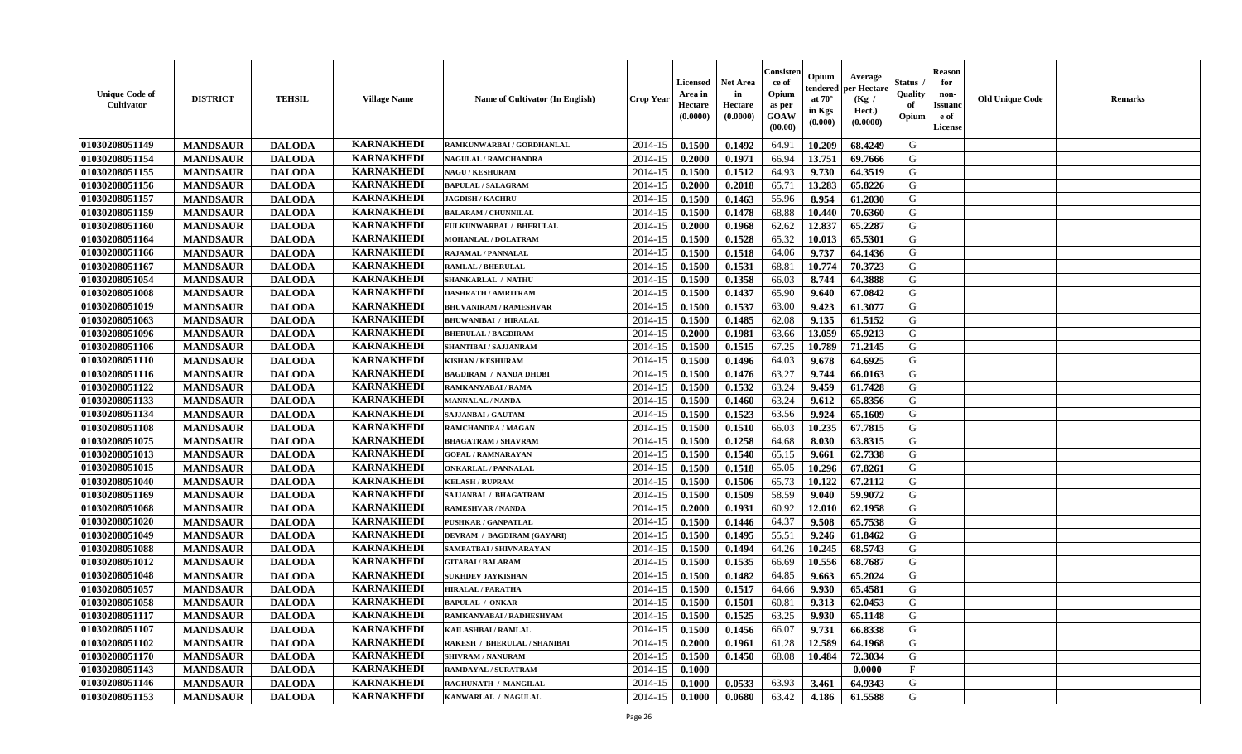| <b>Unique Code of</b><br><b>Cultivator</b> | <b>DISTRICT</b> | <b>TEHSIL</b> | <b>Village Name</b> | <b>Name of Cultivator (In English)</b> | <b>Crop Year</b> | <b>Licensed</b><br>Area in<br>Hectare<br>(0.0000) | Net Area<br>in<br>Hectare<br>(0.0000) | Consisteı<br>ce of<br>Opium<br>as per<br>GOAW<br>(00.00) | Opium<br>endered<br>at $70^\circ$<br>in Kgs<br>(0.000) | Average<br>per Hectare<br>(Kg /<br>Hect.)<br>(0.0000) | Status<br>Quality<br>of<br>Opium | <b>Reason</b><br>for<br>non-<br><b>Issuand</b><br>e of<br>License | <b>Old Unique Code</b> | Remarks |
|--------------------------------------------|-----------------|---------------|---------------------|----------------------------------------|------------------|---------------------------------------------------|---------------------------------------|----------------------------------------------------------|--------------------------------------------------------|-------------------------------------------------------|----------------------------------|-------------------------------------------------------------------|------------------------|---------|
| 01030208051149                             | <b>MANDSAUR</b> | <b>DALODA</b> | <b>KARNAKHEDI</b>   | RAMKUNWARBAI / GORDHANLAL              | 2014-15          | 0.1500                                            | 0.1492                                | 64.91                                                    | 10.209                                                 | 68.4249                                               | G                                |                                                                   |                        |         |
| 01030208051154                             | <b>MANDSAUR</b> | <b>DALODA</b> | <b>KARNAKHEDI</b>   | <b>NAGULAL / RAMCHANDRA</b>            | 2014-15          | 0.2000                                            | 0.1971                                | 66.94                                                    | 13.751                                                 | 69.7666                                               | G                                |                                                                   |                        |         |
| 01030208051155                             | <b>MANDSAUR</b> | <b>DALODA</b> | <b>KARNAKHEDI</b>   | <b>NAGU / KESHURAM</b>                 | 2014-15          | 0.1500                                            | 0.1512                                | 64.93                                                    | 9.730                                                  | 64.3519                                               | G                                |                                                                   |                        |         |
| 01030208051156                             | <b>MANDSAUR</b> | <b>DALODA</b> | <b>KARNAKHEDI</b>   | <b>BAPULAL / SALAGRAM</b>              | 2014-15          | 0.2000                                            | 0.2018                                | 65.71                                                    | 13.283                                                 | 65.8226                                               | G                                |                                                                   |                        |         |
| 01030208051157                             | <b>MANDSAUR</b> | <b>DALODA</b> | <b>KARNAKHEDI</b>   | <b>JAGDISH / KACHRU</b>                | 2014-15          | 0.1500                                            | 0.1463                                | 55.96                                                    | 8.954                                                  | 61.2030                                               | G                                |                                                                   |                        |         |
| 01030208051159                             | <b>MANDSAUR</b> | <b>DALODA</b> | <b>KARNAKHEDI</b>   | <b>BALARAM / CHUNNILAL</b>             | 2014-15          | 0.1500                                            | 0.1478                                | 68.88                                                    | 10.440                                                 | 70.6360                                               | G                                |                                                                   |                        |         |
| 01030208051160                             | <b>MANDSAUR</b> | <b>DALODA</b> | <b>KARNAKHEDI</b>   | FULKUNWARBAI / BHERULAL                | 2014-15          | 0.2000                                            | 0.1968                                | 62.62                                                    | 12.837                                                 | 65.2287                                               | G                                |                                                                   |                        |         |
| 01030208051164                             | <b>MANDSAUR</b> | <b>DALODA</b> | <b>KARNAKHEDI</b>   | MOHANLAL / DOLATRAM                    | 2014-15          | 0.1500                                            | 0.1528                                | 65.32                                                    | 10.013                                                 | 65.5301                                               | G                                |                                                                   |                        |         |
| 01030208051166                             | <b>MANDSAUR</b> | <b>DALODA</b> | <b>KARNAKHEDI</b>   | <b>RAJAMAL / PANNALAL</b>              | 2014-15          | 0.1500                                            | 0.1518                                | 64.06                                                    | 9.737                                                  | 64.1436                                               | G                                |                                                                   |                        |         |
| 01030208051167                             | <b>MANDSAUR</b> | <b>DALODA</b> | <b>KARNAKHEDI</b>   | <b>RAMLAL / BHERULAL</b>               | 2014-15          | 0.1500                                            | 0.1531                                | 68.81                                                    | 10.774                                                 | 70.3723                                               | G                                |                                                                   |                        |         |
| 01030208051054                             | <b>MANDSAUR</b> | <b>DALODA</b> | <b>KARNAKHEDI</b>   | SHANKARLAL / NATHU                     | 2014-15          | 0.1500                                            | 0.1358                                | 66.03                                                    | 8.744                                                  | 64.3888                                               | G                                |                                                                   |                        |         |
| 01030208051008                             | <b>MANDSAUR</b> | <b>DALODA</b> | <b>KARNAKHEDI</b>   | <b>DASHRATH / AMRITRAM</b>             | 2014-15          | 0.1500                                            | 0.1437                                | 65.90                                                    | 9.640                                                  | 67.0842                                               | G                                |                                                                   |                        |         |
| 01030208051019                             | <b>MANDSAUR</b> | <b>DALODA</b> | <b>KARNAKHEDI</b>   | <b>BHUVANIRAM / RAMESHVAR</b>          | 2014-15          | 0.1500                                            | 0.1537                                | 63.00                                                    | 9.423                                                  | 61.3077                                               | G                                |                                                                   |                        |         |
| 01030208051063                             | <b>MANDSAUR</b> | <b>DALODA</b> | <b>KARNAKHEDI</b>   | <b>BHUWANIBAI / HIRALAL</b>            | 2014-15          | 0.1500                                            | 0.1485                                | 62.08                                                    | 9.135                                                  | 61.5152                                               | G                                |                                                                   |                        |         |
| 01030208051096                             | <b>MANDSAUR</b> | <b>DALODA</b> | <b>KARNAKHEDI</b>   | <b>BHERULAL / BAGDIRAM</b>             | 2014-15          | 0.2000                                            | 0.1981                                | 63.66                                                    | 13.059                                                 | 65.9213                                               | ${\bf G}$                        |                                                                   |                        |         |
| 01030208051106                             | <b>MANDSAUR</b> | <b>DALODA</b> | <b>KARNAKHEDI</b>   | SHANTIBAI / SAJJANRAM                  | 2014-15          | 0.1500                                            | 0.1515                                | 67.25                                                    | 10.789                                                 | 71.2145                                               | G                                |                                                                   |                        |         |
| 01030208051110                             | <b>MANDSAUR</b> | <b>DALODA</b> | <b>KARNAKHEDI</b>   | <b>KISHAN / KESHURAM</b>               | 2014-15          | 0.1500                                            | 0.1496                                | 64.03                                                    | 9.678                                                  | 64.6925                                               | G                                |                                                                   |                        |         |
| 01030208051116                             | <b>MANDSAUR</b> | <b>DALODA</b> | <b>KARNAKHEDI</b>   | <b>BAGDIRAM / NANDA DHOBI</b>          | 2014-15          | 0.1500                                            | 0.1476                                | 63.27                                                    | 9.744                                                  | 66.0163                                               | G                                |                                                                   |                        |         |
| 01030208051122                             | <b>MANDSAUR</b> | <b>DALODA</b> | <b>KARNAKHEDI</b>   | RAMKANYABAI / RAMA                     | 2014-15          | 0.1500                                            | 0.1532                                | 63.24                                                    | 9.459                                                  | 61.7428                                               | G                                |                                                                   |                        |         |
| 01030208051133                             | <b>MANDSAUR</b> | <b>DALODA</b> | <b>KARNAKHEDI</b>   | <b>MANNALAL / NANDA</b>                | 2014-15          | 0.1500                                            | 0.1460                                | 63.24                                                    | 9.612                                                  | 65.8356                                               | G                                |                                                                   |                        |         |
| 01030208051134                             | <b>MANDSAUR</b> | <b>DALODA</b> | <b>KARNAKHEDI</b>   | <b>SAJJANBAI / GAUTAM</b>              | 2014-15          | 0.1500                                            | 0.1523                                | 63.56                                                    | 9.924                                                  | 65.1609                                               | G                                |                                                                   |                        |         |
| 01030208051108                             | <b>MANDSAUR</b> | <b>DALODA</b> | <b>KARNAKHEDI</b>   | <b>RAMCHANDRA / MAGAN</b>              | 2014-15          | 0.1500                                            | 0.1510                                | 66.03                                                    | 10.235                                                 | 67.7815                                               | G                                |                                                                   |                        |         |
| 01030208051075                             | <b>MANDSAUR</b> | <b>DALODA</b> | <b>KARNAKHEDI</b>   | <b>BHAGATRAM / SHAVRAM</b>             | 2014-15          | 0.1500                                            | 0.1258                                | 64.68                                                    | 8.030                                                  | 63.8315                                               | G                                |                                                                   |                        |         |
| 01030208051013                             | <b>MANDSAUR</b> | <b>DALODA</b> | <b>KARNAKHEDI</b>   | <b>GOPAL / RAMNARAYAN</b>              | 2014-15          | 0.1500                                            | 0.1540                                | 65.15                                                    | 9.661                                                  | 62.7338                                               | G                                |                                                                   |                        |         |
| 01030208051015                             | <b>MANDSAUR</b> | <b>DALODA</b> | <b>KARNAKHEDI</b>   | <b>ONKARLAL / PANNALAL</b>             | 2014-15          | 0.1500                                            | 0.1518                                | 65.05                                                    | 10.296                                                 | 67.8261                                               | G                                |                                                                   |                        |         |
| 01030208051040                             | <b>MANDSAUR</b> | <b>DALODA</b> | <b>KARNAKHEDI</b>   | <b>KELASH / RUPRAM</b>                 | 2014-15          | 0.1500                                            | 0.1506                                | 65.73                                                    | 10.122                                                 | 67.2112                                               | G                                |                                                                   |                        |         |
| 01030208051169                             | <b>MANDSAUR</b> | <b>DALODA</b> | <b>KARNAKHEDI</b>   | SAJJANBAI / BHAGATRAM                  | 2014-15          | 0.1500                                            | 0.1509                                | 58.59                                                    | 9.040                                                  | 59.9072                                               | G                                |                                                                   |                        |         |
| 01030208051068                             | <b>MANDSAUR</b> | <b>DALODA</b> | <b>KARNAKHEDI</b>   | <b>RAMESHVAR / NANDA</b>               | 2014-15          | 0.2000                                            | 0.1931                                | 60.92                                                    | 12.010                                                 | 62.1958                                               | G                                |                                                                   |                        |         |
| 01030208051020                             | <b>MANDSAUR</b> | <b>DALODA</b> | <b>KARNAKHEDI</b>   | <b>PUSHKAR / GANPATLAL</b>             | 2014-15          | 0.1500                                            | 0.1446                                | 64.37                                                    | 9.508                                                  | 65.7538                                               | G                                |                                                                   |                        |         |
| 01030208051049                             | <b>MANDSAUR</b> | <b>DALODA</b> | <b>KARNAKHEDI</b>   | DEVRAM / BAGDIRAM (GAYARI)             | 2014-15          | 0.1500                                            | 0.1495                                | 55.51                                                    | 9.246                                                  | 61.8462                                               | G                                |                                                                   |                        |         |
| 01030208051088                             | <b>MANDSAUR</b> | <b>DALODA</b> | <b>KARNAKHEDI</b>   | SAMPATBAI / SHIVNARAYAN                | 2014-15          | 0.1500                                            | 0.1494                                | 64.26                                                    | 10.245                                                 | 68.5743                                               | G                                |                                                                   |                        |         |
| 01030208051012                             | <b>MANDSAUR</b> | <b>DALODA</b> | <b>KARNAKHEDI</b>   | <b>GITABAI/BALARAM</b>                 | 2014-15          | 0.1500                                            | 0.1535                                | 66.69                                                    | 10.556                                                 | 68.7687                                               | G                                |                                                                   |                        |         |
| 01030208051048                             | <b>MANDSAUR</b> | <b>DALODA</b> | <b>KARNAKHEDI</b>   | <b>SUKHDEV JAYKISHAN</b>               | 2014-15          | 0.1500                                            | 0.1482                                | 64.85                                                    | 9.663                                                  | 65.2024                                               | G                                |                                                                   |                        |         |
| 01030208051057                             | <b>MANDSAUR</b> | <b>DALODA</b> | <b>KARNAKHEDI</b>   | <b>HIRALAL / PARATHA</b>               | 2014-15          | 0.1500                                            | 0.1517                                | 64.66                                                    | 9.930                                                  | 65.4581                                               | G                                |                                                                   |                        |         |
| 01030208051058                             | <b>MANDSAUR</b> | <b>DALODA</b> | <b>KARNAKHEDI</b>   | <b>BAPULAL / ONKAR</b>                 | 2014-15          | 0.1500                                            | 0.1501                                | 60.81                                                    | 9.313                                                  | 62.0453                                               | G                                |                                                                   |                        |         |
| 01030208051117                             | <b>MANDSAUR</b> | <b>DALODA</b> | <b>KARNAKHEDI</b>   | RAMKANYABAI / RADHESHYAM               | 2014-15          | 0.1500                                            | 0.1525                                | 63.25                                                    | 9.930                                                  | 65.1148                                               | G                                |                                                                   |                        |         |
| 01030208051107                             | <b>MANDSAUR</b> | <b>DALODA</b> | <b>KARNAKHEDI</b>   | KAILASHBAI / RAMLAL                    | 2014-15          | 0.1500                                            | 0.1456                                | 66.07                                                    | 9.731                                                  | 66.8338                                               | G                                |                                                                   |                        |         |
| 01030208051102                             | <b>MANDSAUR</b> | <b>DALODA</b> | <b>KARNAKHEDI</b>   | <b>RAKESH / BHERULAL / SHANIBAI</b>    | 2014-15          | 0.2000                                            | 0.1961                                | 61.28                                                    | 12.589                                                 | 64.1968                                               | G                                |                                                                   |                        |         |
| 01030208051170                             | <b>MANDSAUR</b> | <b>DALODA</b> | <b>KARNAKHEDI</b>   | <b>SHIVRAM / NANURAM</b>               | 2014-15          | 0.1500                                            | 0.1450                                | 68.08                                                    | 10.484                                                 | 72.3034                                               | G                                |                                                                   |                        |         |
| 01030208051143                             | <b>MANDSAUR</b> | <b>DALODA</b> | <b>KARNAKHEDI</b>   | RAMDAYAL / SURATRAM                    | 2014-15          | 0.1000                                            |                                       |                                                          |                                                        | 0.0000                                                | F                                |                                                                   |                        |         |
| 01030208051146                             | <b>MANDSAUR</b> | <b>DALODA</b> | <b>KARNAKHEDI</b>   | RAGHUNATH / MANGILAL                   | 2014-15          | 0.1000                                            | 0.0533                                | 63.93                                                    | 3.461                                                  | 64.9343                                               | G                                |                                                                   |                        |         |
| 01030208051153                             | <b>MANDSAUR</b> | <b>DALODA</b> | <b>KARNAKHEDI</b>   | KANWARLAL / NAGULAL                    | 2014-15          | 0.1000                                            | 0.0680                                | 63.42                                                    | 4.186                                                  | 61.5588                                               | G                                |                                                                   |                        |         |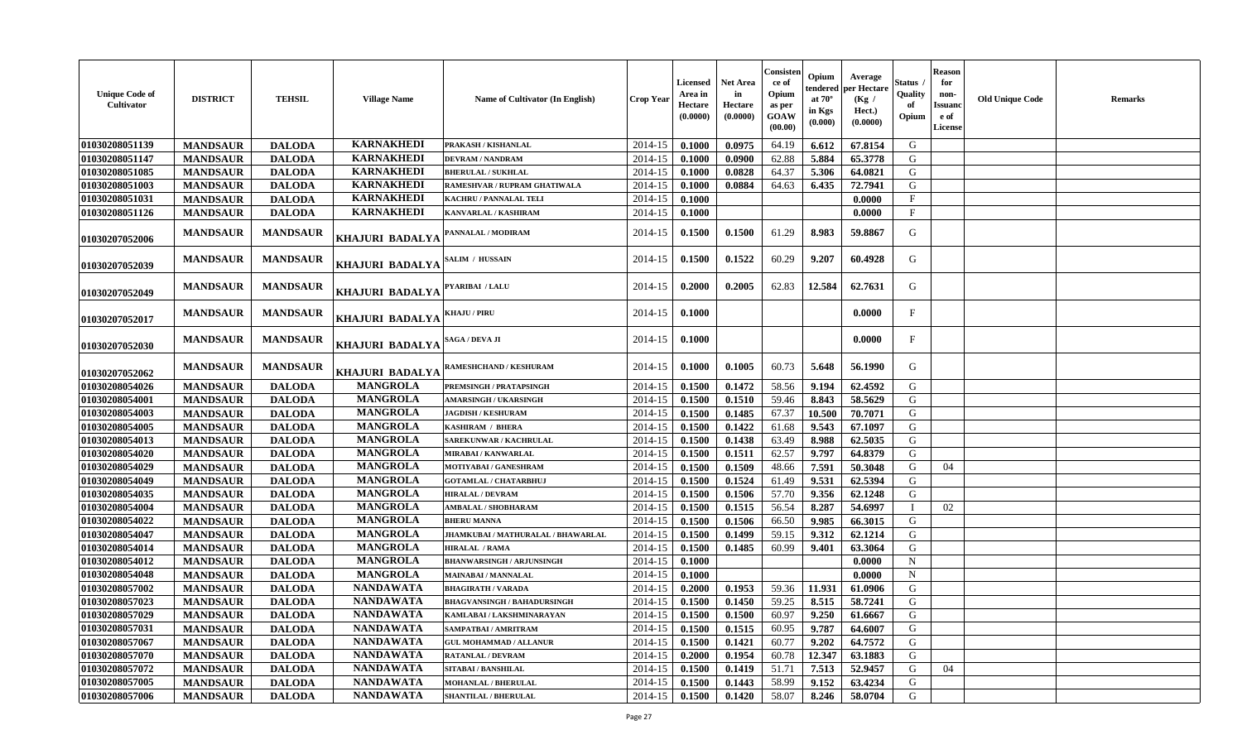| <b>Unique Code of</b><br>Cultivator | <b>DISTRICT</b> | <b>TEHSIL</b>   | <b>Village Name</b>    | Name of Cultivator (In English)                                    | <b>Crop Year</b> | <b>Licensed</b><br>Area in<br>Hectare<br>(0.0000) | <b>Net Area</b><br>in<br>Hectare<br>(0.0000) | Consister<br>ce of<br>Opium<br>as per<br>GOAW<br>(00.00) | Opium<br>endered<br>at $70^\circ$<br>in Kgs<br>(0.000) | Average<br>per Hectare<br>(Kg /<br>Hect.)<br>(0.0000) | Status<br>Quality<br>of<br>Opium | <b>Reason</b><br>for<br>non-<br><b>Issuanc</b><br>e of<br><b>License</b> | <b>Old Unique Code</b> | <b>Remarks</b> |
|-------------------------------------|-----------------|-----------------|------------------------|--------------------------------------------------------------------|------------------|---------------------------------------------------|----------------------------------------------|----------------------------------------------------------|--------------------------------------------------------|-------------------------------------------------------|----------------------------------|--------------------------------------------------------------------------|------------------------|----------------|
| 01030208051139                      | <b>MANDSAUR</b> | <b>DALODA</b>   | <b>KARNAKHEDI</b>      | PRAKASH / KISHANLAL                                                | 2014-15          | 0.1000                                            | 0.0975                                       | 64.19                                                    | 6.612                                                  | 67.8154                                               | G                                |                                                                          |                        |                |
| 01030208051147                      | <b>MANDSAUR</b> | <b>DALODA</b>   | <b>KARNAKHEDI</b>      | <b>DEVRAM / NANDRAM</b>                                            | 2014-15          | 0.1000                                            | 0.0900                                       | 62.88                                                    | 5.884                                                  | 65.3778                                               | G                                |                                                                          |                        |                |
| 01030208051085                      | <b>MANDSAUR</b> | <b>DALODA</b>   | <b>KARNAKHEDI</b>      | <b>BHERULAL / SUKHLAL</b>                                          | 2014-15          | 0.1000                                            | 0.0828                                       | 64.37                                                    | 5.306                                                  | 64.0821                                               | G                                |                                                                          |                        |                |
| 01030208051003                      | <b>MANDSAUR</b> | <b>DALODA</b>   | <b>KARNAKHEDI</b>      | RAMESHVAR / RUPRAM GHATIWALA                                       | 2014-15          | 0.1000                                            | 0.0884                                       | 64.63                                                    | 6.435                                                  | 72.7941                                               | G                                |                                                                          |                        |                |
| 01030208051031                      | <b>MANDSAUR</b> | <b>DALODA</b>   | <b>KARNAKHEDI</b>      | <b>KACHRU / PANNALAL TELI</b>                                      | 2014-15          | 0.1000                                            |                                              |                                                          |                                                        | 0.0000                                                | $\mathbf{F}$                     |                                                                          |                        |                |
| 01030208051126                      | <b>MANDSAUR</b> | <b>DALODA</b>   | <b>KARNAKHEDI</b>      | KANVARLAL / KASHIRAM                                               | 2014-15          | 0.1000                                            |                                              |                                                          |                                                        | 0.0000                                                | $\mathbf{F}$                     |                                                                          |                        |                |
| 01030207052006                      | <b>MANDSAUR</b> | <b>MANDSAUR</b> | KHAJURI BADALYA        | PANNALAL / MODIRAM                                                 | 2014-15          | 0.1500                                            | 0.1500                                       | 61.29                                                    | 8.983                                                  | 59.8867                                               | G                                |                                                                          |                        |                |
| 01030207052039                      | <b>MANDSAUR</b> | <b>MANDSAUR</b> | KHAJURI BADALYA        | <b>SALIM / HUSSAIN</b>                                             | 2014-15          | 0.1500                                            | 0.1522                                       | 60.29                                                    | 9.207                                                  | 60.4928                                               | G                                |                                                                          |                        |                |
| 01030207052049                      | <b>MANDSAUR</b> | <b>MANDSAUR</b> | KHAJURI BADALYA        | PYARIBAI / LALU                                                    | 2014-15          | 0.2000                                            | 0.2005                                       | 62.83                                                    | 12.584                                                 | 62.7631                                               | G                                |                                                                          |                        |                |
| 01030207052017                      | <b>MANDSAUR</b> | <b>MANDSAUR</b> | <b>KHAJURI BADALYA</b> | <b>KHAJU / PIRU</b>                                                | 2014-15          | 0.1000                                            |                                              |                                                          |                                                        | 0.0000                                                | $\mathbf{F}$                     |                                                                          |                        |                |
| 01030207052030                      | <b>MANDSAUR</b> | <b>MANDSAUR</b> | KHAJURI BADALYA        | $\operatorname{\mathbf{SAGA}}$ / $\operatorname{\mathbf{DEVA}}$ JI | 2014-15          | 0.1000                                            |                                              |                                                          |                                                        | 0.0000                                                | $\mathbf{F}$                     |                                                                          |                        |                |
| 01030207052062                      | <b>MANDSAUR</b> | <b>MANDSAUR</b> | KHAJURI BADALYA        | RAMESHCHAND / KESHURAM                                             | 2014-15          | 0.1000                                            | 0.1005                                       | 60.73                                                    | 5.648                                                  | 56.1990                                               | G                                |                                                                          |                        |                |
| 01030208054026                      | <b>MANDSAUR</b> | <b>DALODA</b>   | <b>MANGROLA</b>        | PREMSINGH / PRATAPSINGH                                            | 2014-15          | 0.1500                                            | 0.1472                                       | 58.56                                                    | 9.194                                                  | 62.4592                                               | G                                |                                                                          |                        |                |
| 01030208054001                      | <b>MANDSAUR</b> | <b>DALODA</b>   | <b>MANGROLA</b>        | <b>AMARSINGH / UKARSINGH</b>                                       | 2014-15          | 0.1500                                            | 0.1510                                       | 59.46                                                    | 8.843                                                  | 58.5629                                               | G                                |                                                                          |                        |                |
| 01030208054003                      | <b>MANDSAUR</b> | <b>DALODA</b>   | <b>MANGROLA</b>        | <b>JAGDISH / KESHURAM</b>                                          | 2014-15          | 0.1500                                            | 0.1485                                       | 67.37                                                    | 10.500                                                 | 70.7071                                               | G                                |                                                                          |                        |                |
| 01030208054005                      | <b>MANDSAUR</b> | <b>DALODA</b>   | <b>MANGROLA</b>        | <b>KASHIRAM / BHERA</b>                                            | 2014-15          | 0.1500                                            | 0.1422                                       | 61.68                                                    | 9.543                                                  | 67.1097                                               | G                                |                                                                          |                        |                |
| 01030208054013                      | <b>MANDSAUR</b> | <b>DALODA</b>   | <b>MANGROLA</b>        | SAREKUNWAR / KACHRULAL                                             | 2014-15          | 0.1500                                            | 0.1438                                       | 63.49                                                    | 8.988                                                  | 62.5035                                               | G                                |                                                                          |                        |                |
| 01030208054020                      | <b>MANDSAUR</b> | <b>DALODA</b>   | <b>MANGROLA</b>        | MIRABAI / KANWARLAL                                                | 2014-15          | 0.1500                                            | 0.1511                                       | 62.57                                                    | 9.797                                                  | 64.8379                                               | G                                |                                                                          |                        |                |
| 01030208054029                      | <b>MANDSAUR</b> | <b>DALODA</b>   | <b>MANGROLA</b>        | MOTIYABAI / GANESHRAM                                              | 2014-15          | 0.1500                                            | 0.1509                                       | 48.66                                                    | 7.591                                                  | 50.3048                                               | G                                | 04                                                                       |                        |                |
| 01030208054049                      | <b>MANDSAUR</b> | <b>DALODA</b>   | <b>MANGROLA</b>        | <b>GOTAMLAL / CHATARBHUJ</b>                                       | 2014-15          | 0.1500                                            | 0.1524                                       | 61.49                                                    | 9.531                                                  | 62.5394                                               | G                                |                                                                          |                        |                |
| 01030208054035                      | <b>MANDSAUR</b> | <b>DALODA</b>   | <b>MANGROLA</b>        | <b>HIRALAL / DEVRAM</b>                                            | 2014-15          | 0.1500                                            | 0.1506                                       | 57.70                                                    | 9.356                                                  | 62.1248                                               | G                                |                                                                          |                        |                |
| 01030208054004                      | <b>MANDSAUR</b> | <b>DALODA</b>   | <b>MANGROLA</b>        | <b>AMBALAL / SHOBHARAM</b>                                         | 2014-15          | 0.1500                                            | 0.1515                                       | 56.54                                                    | 8.287                                                  | 54.6997                                               | $\mathbf I$                      | 02                                                                       |                        |                |
| 01030208054022                      | <b>MANDSAUR</b> | <b>DALODA</b>   | <b>MANGROLA</b>        | <b>BHERU MANNA</b>                                                 | 2014-15          | 0.1500                                            | 0.1506                                       | 66.50                                                    | 9.985                                                  | 66.3015                                               | G                                |                                                                          |                        |                |
| 01030208054047                      | <b>MANDSAUR</b> | <b>DALODA</b>   | <b>MANGROLA</b>        | JHAMKUBAI / MATHURALAL / BHAWARLAL                                 | 2014-15          | 0.1500                                            | 0.1499                                       | 59.15                                                    | 9.312                                                  | 62.1214                                               | G                                |                                                                          |                        |                |
| 01030208054014                      | <b>MANDSAUR</b> | <b>DALODA</b>   | <b>MANGROLA</b>        | <b>HIRALAL / RAMA</b>                                              | 2014-15          | 0.1500                                            | 0.1485                                       | 60.99                                                    | 9.401                                                  | 63.3064                                               | G                                |                                                                          |                        |                |
| 01030208054012                      | <b>MANDSAUR</b> | <b>DALODA</b>   | <b>MANGROLA</b>        | <b>BHANWARSINGH / ARJUNSINGH</b>                                   | 2014-15          | 0.1000                                            |                                              |                                                          |                                                        | 0.0000                                                | N                                |                                                                          |                        |                |
| 01030208054048                      | <b>MANDSAUR</b> | <b>DALODA</b>   | <b>MANGROLA</b>        | <b>MAINABAI/MANNALAL</b>                                           | 2014-15          | 0.1000                                            |                                              |                                                          |                                                        | 0.0000                                                | $\mathbf N$                      |                                                                          |                        |                |
| 01030208057002                      | <b>MANDSAUR</b> | <b>DALODA</b>   | <b>NANDAWATA</b>       | <b>BHAGIRATH / VARADA</b>                                          | 2014-15          | 0.2000                                            | 0.1953                                       | 59.36                                                    | 11.931                                                 | 61.0906                                               | G                                |                                                                          |                        |                |
| 01030208057023                      | <b>MANDSAUR</b> | <b>DALODA</b>   | <b>NANDAWATA</b>       | <b>BHAGVANSINGH / BAHADURSINGH</b>                                 | 2014-15          | 0.1500                                            | 0.1450                                       | 59.25                                                    | 8.515                                                  | 58.7241                                               | G                                |                                                                          |                        |                |
| 01030208057029                      | <b>MANDSAUR</b> | <b>DALODA</b>   | <b>NANDAWATA</b>       | KAMLABAI / LAKSHMINARAYAN                                          | 2014-15          | 0.1500                                            | 0.1500                                       | 60.97                                                    | 9.250                                                  | 61.6667                                               | G                                |                                                                          |                        |                |
| 01030208057031                      | <b>MANDSAUR</b> | <b>DALODA</b>   | <b>NANDAWATA</b>       | SAMPATBAI / AMRITRAM                                               | 2014-15          | 0.1500                                            | 0.1515                                       | 60.95                                                    | 9.787                                                  | 64.6007                                               | G                                |                                                                          |                        |                |
| 01030208057067                      | <b>MANDSAUR</b> | <b>DALODA</b>   | <b>NANDAWATA</b>       | <b>GUL MOHAMMAD / ALLANUR</b>                                      | 2014-15          | 0.1500                                            | 0.1421                                       | 60.77                                                    | 9.202                                                  | 64.7572                                               | G                                |                                                                          |                        |                |
| 01030208057070                      | <b>MANDSAUR</b> | <b>DALODA</b>   | <b>NANDAWATA</b>       | <b>RATANLAL / DEVRAM</b>                                           | 2014-15          | 0.2000                                            | 0.1954                                       | 60.78                                                    | 12.347                                                 | 63.1883                                               | G                                |                                                                          |                        |                |
| 01030208057072                      | <b>MANDSAUR</b> | <b>DALODA</b>   | <b>NANDAWATA</b>       | <b>SITABAI / BANSHILAL</b>                                         | 2014-15          | 0.1500                                            | 0.1419                                       | 51.71                                                    | 7.513                                                  | 52.9457                                               | G                                | 04                                                                       |                        |                |
| 01030208057005                      | <b>MANDSAUR</b> | <b>DALODA</b>   | <b>NANDAWATA</b>       | <b>MOHANLAL / BHERULAL</b>                                         | 2014-15          | 0.1500                                            | 0.1443                                       | 58.99                                                    | 9.152                                                  | 63.4234                                               | G                                |                                                                          |                        |                |
| 01030208057006                      | <b>MANDSAUR</b> | <b>DALODA</b>   | <b>NANDAWATA</b>       | <b>SHANTILAL / BHERULAL</b>                                        | 2014-15          | 0.1500                                            | 0.1420                                       | 58.07                                                    | 8.246                                                  | 58.0704                                               | G                                |                                                                          |                        |                |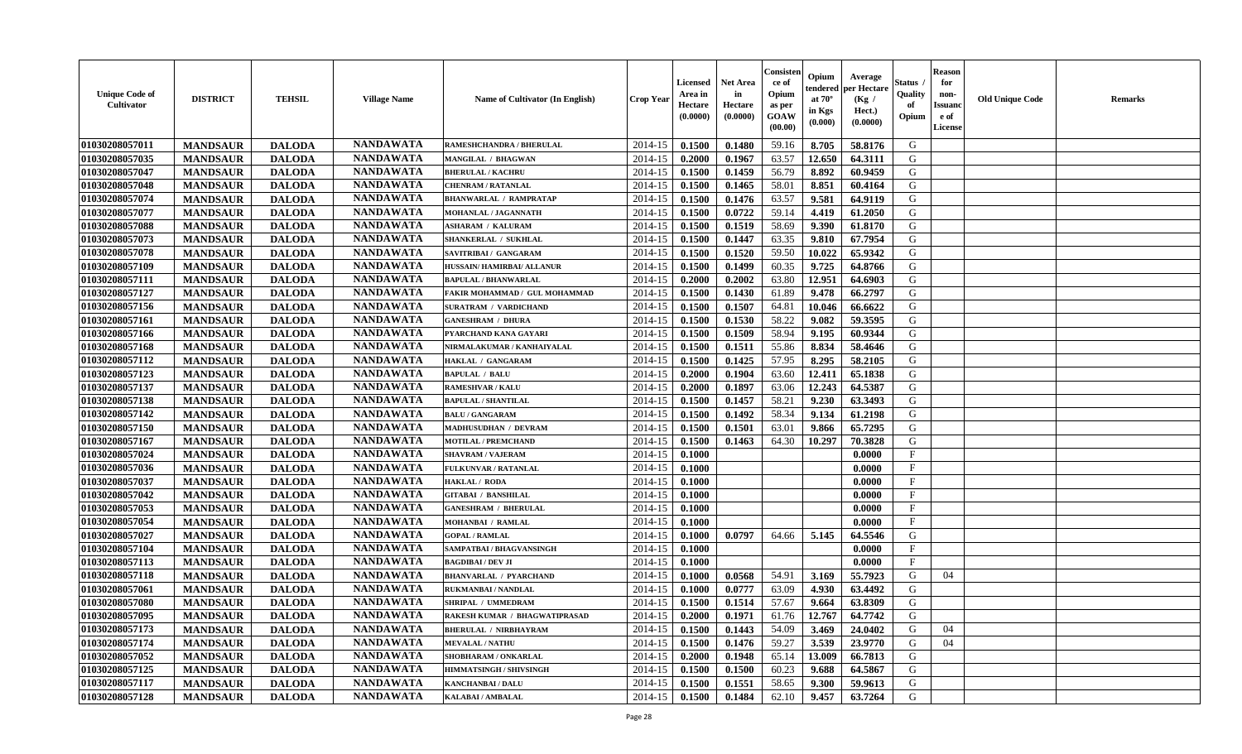| <b>Unique Code of</b><br><b>Cultivator</b> | <b>DISTRICT</b> | <b>TEHSIL</b> | <b>Village Name</b> | Name of Cultivator (In English)      | <b>Crop Year</b> | <b>Licensed</b><br>Area in<br>Hectare<br>(0.0000) | <b>Net Area</b><br>in<br>Hectare<br>(0.0000) | Consister<br>ce of<br>Opium<br>as per<br><b>GOAW</b><br>(00.00) | Opium<br>endered<br>at $70^\circ$<br>in Kgs<br>$(\mathbf{0.000})$ | Average<br>per Hectare<br>(Kg /<br>Hect.)<br>(0.0000) | Status<br>Quality<br>of<br>Opium | <b>Reason</b><br>for<br>non-<br>Issuan<br>e of<br>License | <b>Old Unique Code</b> | <b>Remarks</b> |
|--------------------------------------------|-----------------|---------------|---------------------|--------------------------------------|------------------|---------------------------------------------------|----------------------------------------------|-----------------------------------------------------------------|-------------------------------------------------------------------|-------------------------------------------------------|----------------------------------|-----------------------------------------------------------|------------------------|----------------|
| 01030208057011                             | <b>MANDSAUR</b> | <b>DALODA</b> | <b>NANDAWATA</b>    | RAMESHCHANDRA / BHERULAL             | 2014-15          | 0.1500                                            | 0.1480                                       | 59.16                                                           | 8.705                                                             | 58.8176                                               | G                                |                                                           |                        |                |
| 01030208057035                             | <b>MANDSAUR</b> | <b>DALODA</b> | <b>NANDAWATA</b>    | MANGILAL / BHAGWAN                   | 2014-15          | 0.2000                                            | 0.1967                                       | 63.57                                                           | 12.650                                                            | 64.3111                                               | G                                |                                                           |                        |                |
| 01030208057047                             | <b>MANDSAUR</b> | <b>DALODA</b> | <b>NANDAWATA</b>    | <b>BHERULAL / KACHRU</b>             | 2014-15          | 0.1500                                            | 0.1459                                       | 56.79                                                           | 8.892                                                             | 60.9459                                               | G                                |                                                           |                        |                |
| 01030208057048                             | <b>MANDSAUR</b> | <b>DALODA</b> | <b>NANDAWATA</b>    | <b>CHENRAM / RATANLAL</b>            | 2014-15          | 0.1500                                            | 0.1465                                       | 58.01                                                           | 8.851                                                             | 60.4164                                               | G                                |                                                           |                        |                |
| 01030208057074                             | <b>MANDSAUR</b> | <b>DALODA</b> | <b>NANDAWATA</b>    | <b>BHANWARLAL / RAMPRATAP</b>        | 2014-15          | 0.1500                                            | 0.1476                                       | 63.57                                                           | 9.581                                                             | 64.9119                                               | G                                |                                                           |                        |                |
| 01030208057077                             | <b>MANDSAUR</b> | <b>DALODA</b> | <b>NANDAWATA</b>    | <b>MOHANLAL / JAGANNATH</b>          | 2014-15          | 0.1500                                            | 0.0722                                       | 59.14                                                           | 4.419                                                             | 61.2050                                               | G                                |                                                           |                        |                |
| 01030208057088                             | <b>MANDSAUR</b> | <b>DALODA</b> | <b>NANDAWATA</b>    | <b>ASHARAM / KALURAM</b>             | 2014-15          | 0.1500                                            | 0.1519                                       | 58.69                                                           | 9.390                                                             | 61.8170                                               | G                                |                                                           |                        |                |
| 01030208057073                             | <b>MANDSAUR</b> | <b>DALODA</b> | <b>NANDAWATA</b>    | SHANKERLAL / SUKHLAL                 | 2014-15          | 0.1500                                            | 0.1447                                       | 63.35                                                           | 9.810                                                             | 67.7954                                               | G                                |                                                           |                        |                |
| 01030208057078                             | <b>MANDSAUR</b> | <b>DALODA</b> | <b>NANDAWATA</b>    | SAVITRIBAI / GANGARAM                | 2014-15          | 0.1500                                            | 0.1520                                       | 59.50                                                           | 10.022                                                            | 65.9342                                               | G                                |                                                           |                        |                |
| 01030208057109                             | <b>MANDSAUR</b> | <b>DALODA</b> | <b>NANDAWATA</b>    | HUSSAIN/HAMIRBAI/ ALLANUR            | 2014-15          | 0.1500                                            | 0.1499                                       | 60.35                                                           | 9.725                                                             | 64.8766                                               | G                                |                                                           |                        |                |
| 01030208057111                             | <b>MANDSAUR</b> | <b>DALODA</b> | <b>NANDAWATA</b>    | <b>BAPULAL / BHANWARLAL</b>          | 2014-15          | 0.2000                                            | 0.2002                                       | 63.80                                                           | 12.951                                                            | 64.6903                                               | G                                |                                                           |                        |                |
| 01030208057127                             | <b>MANDSAUR</b> | <b>DALODA</b> | <b>NANDAWATA</b>    | FAKIR MOHAMMAD / GUL MOHAMMAD        | 2014-15          | 0.1500                                            | 0.1430                                       | 61.89                                                           | 9.478                                                             | 66.2797                                               | G                                |                                                           |                        |                |
| 01030208057156                             | <b>MANDSAUR</b> | <b>DALODA</b> | <b>NANDAWATA</b>    | <b>SURATRAM / VARDICHAND</b>         | 2014-15          | 0.1500                                            | 0.1507                                       | 64.81                                                           | 10.046                                                            | 66.6622                                               | G                                |                                                           |                        |                |
| 01030208057161                             | <b>MANDSAUR</b> | <b>DALODA</b> | <b>NANDAWATA</b>    | <b>GANESHRAM / DHURA</b>             | 2014-15          | 0.1500                                            | 0.1530                                       | 58.22                                                           | 9.082                                                             | 59.3595                                               | G                                |                                                           |                        |                |
| 01030208057166                             | <b>MANDSAUR</b> | <b>DALODA</b> | <b>NANDAWATA</b>    | PYARCHAND KANA GAYARI                | 2014-15          | 0.1500                                            | 0.1509                                       | 58.94                                                           | 9.195                                                             | 60.9344                                               | G                                |                                                           |                        |                |
| 01030208057168                             | <b>MANDSAUR</b> | <b>DALODA</b> | <b>NANDAWATA</b>    | NIRMALAKUMAR / KANHAIYALAL           | 2014-15          | 0.1500                                            | 0.1511                                       | 55.86                                                           | 8.834                                                             | 58.4646                                               | G                                |                                                           |                        |                |
| 01030208057112                             | <b>MANDSAUR</b> | <b>DALODA</b> | <b>NANDAWATA</b>    | HAKLAL / GANGARAM                    | 2014-15          | 0.1500                                            | 0.1425                                       | 57.95                                                           | 8.295                                                             | 58.2105                                               | G                                |                                                           |                        |                |
| 01030208057123                             | <b>MANDSAUR</b> | <b>DALODA</b> | <b>NANDAWATA</b>    | <b>BAPULAL / BALU</b>                | 2014-15          | 0.2000                                            | 0.1904                                       | 63.60                                                           | 12.411                                                            | 65.1838                                               | G                                |                                                           |                        |                |
| 01030208057137                             | <b>MANDSAUR</b> | <b>DALODA</b> | <b>NANDAWATA</b>    | <b>RAMESHVAR / KALU</b>              | 2014-15          | 0.2000                                            | 0.1897                                       | 63.06                                                           | 12.243                                                            | 64.5387                                               | G                                |                                                           |                        |                |
| 01030208057138                             | <b>MANDSAUR</b> | <b>DALODA</b> | <b>NANDAWATA</b>    | <b>BAPULAL / SHANTILAL</b>           | 2014-15          | 0.1500                                            | 0.1457                                       | 58.21                                                           | 9.230                                                             | 63.3493                                               | G                                |                                                           |                        |                |
| 01030208057142                             | <b>MANDSAUR</b> | <b>DALODA</b> | <b>NANDAWATA</b>    | <b>BALU / GANGARAM</b>               | 2014-15          | 0.1500                                            | 0.1492                                       | 58.34                                                           | 9.134                                                             | 61.2198                                               | G                                |                                                           |                        |                |
| 01030208057150                             | <b>MANDSAUR</b> | <b>DALODA</b> | <b>NANDAWATA</b>    | MADHUSUDHAN / DEVRAM                 | 2014-15          | 0.1500                                            | 0.1501                                       | 63.01                                                           | 9.866                                                             | 65.7295                                               | G                                |                                                           |                        |                |
| 01030208057167                             | <b>MANDSAUR</b> | <b>DALODA</b> | <b>NANDAWATA</b>    | <b>MOTILAL / PREMCHAND</b>           | 2014-15          | 0.1500                                            | 0.1463                                       | 64.30                                                           | 10.297                                                            | 70.3828                                               | G                                |                                                           |                        |                |
| 01030208057024                             | <b>MANDSAUR</b> | <b>DALODA</b> | <b>NANDAWATA</b>    | <b>SHAVRAM / VAJERAM</b>             | 2014-15          | 0.1000                                            |                                              |                                                                 |                                                                   | 0.0000                                                | $\mathbf{F}$                     |                                                           |                        |                |
| 01030208057036                             | <b>MANDSAUR</b> | <b>DALODA</b> | <b>NANDAWATA</b>    | <b>FULKUNVAR / RATANLAL</b>          | 2014-15          | 0.1000                                            |                                              |                                                                 |                                                                   | 0.0000                                                | $\mathbf{F}$                     |                                                           |                        |                |
| 01030208057037                             | <b>MANDSAUR</b> | <b>DALODA</b> | <b>NANDAWATA</b>    | HAKLAL / RODA                        | 2014-15          | 0.1000                                            |                                              |                                                                 |                                                                   | 0.0000                                                | $\mathbf{F}$                     |                                                           |                        |                |
| 01030208057042                             | <b>MANDSAUR</b> | <b>DALODA</b> | <b>NANDAWATA</b>    | <b>GITABAI / BANSHILAL</b>           | 2014-15          | 0.1000                                            |                                              |                                                                 |                                                                   | 0.0000                                                | $_{\rm F}$                       |                                                           |                        |                |
| 01030208057053                             | <b>MANDSAUR</b> | <b>DALODA</b> | <b>NANDAWATA</b>    | <b>GANESHRAM / BHERULAL</b>          | 2014-15          | 0.1000                                            |                                              |                                                                 |                                                                   | 0.0000                                                | $\mathbf{F}$                     |                                                           |                        |                |
| 01030208057054                             | <b>MANDSAUR</b> | <b>DALODA</b> | <b>NANDAWATA</b>    | <b>MOHANBAI / RAMLAL</b>             | 2014-15          | 0.1000                                            |                                              |                                                                 |                                                                   | 0.0000                                                | $\mathbf{F}$                     |                                                           |                        |                |
| 01030208057027                             | <b>MANDSAUR</b> | <b>DALODA</b> | <b>NANDAWATA</b>    | <b>GOPAL / RAMLAL</b>                | 2014-15          | 0.1000                                            | 0.0797                                       | 64.66                                                           | 5.145                                                             | 64.5546                                               | G                                |                                                           |                        |                |
| 01030208057104                             | <b>MANDSAUR</b> | <b>DALODA</b> | <b>NANDAWATA</b>    | SAMPATBAI / BHAGVANSINGH             | 2014-15          | 0.1000                                            |                                              |                                                                 |                                                                   | 0.0000                                                | $_{\rm F}$                       |                                                           |                        |                |
| 01030208057113                             | <b>MANDSAUR</b> | <b>DALODA</b> | <b>NANDAWATA</b>    | <b>BAGDIBAI / DEV JI</b>             | 2014-15          | 0.1000                                            |                                              |                                                                 |                                                                   | 0.0000                                                | $\mathbf{F}$                     |                                                           |                        |                |
| 01030208057118                             | <b>MANDSAUR</b> | <b>DALODA</b> | <b>NANDAWATA</b>    | <b>BHANVARLAL / PYARCHAND</b>        | 2014-15          | 0.1000                                            | 0.0568                                       | 54.91                                                           | 3.169                                                             | 55.7923                                               | G                                | 04                                                        |                        |                |
| 01030208057061                             | <b>MANDSAUR</b> | <b>DALODA</b> | <b>NANDAWATA</b>    | RUKMANBAI / NANDLAL                  | 2014-15          | 0.1000                                            | 0.0777                                       | 63.09                                                           | 4.930                                                             | 63.4492                                               | G                                |                                                           |                        |                |
| 01030208057080                             | <b>MANDSAUR</b> | <b>DALODA</b> | <b>NANDAWATA</b>    | SHRIPAL / UMMEDRAM                   | 2014-15          | 0.1500                                            | 0.1514                                       | 57.67                                                           | 9.664                                                             | 63.8309                                               | G                                |                                                           |                        |                |
| 01030208057095                             | <b>MANDSAUR</b> | <b>DALODA</b> | <b>NANDAWATA</b>    | <b>RAKESH KUMAR / BHAGWATIPRASAD</b> | $2014-15$ 0.2000 |                                                   | 0.1971                                       | 61.76                                                           | 12.767                                                            | 64.7742                                               | G                                |                                                           |                        |                |
| 01030208057173                             | <b>MANDSAUR</b> | <b>DALODA</b> | <b>NANDAWATA</b>    | <b>BHERULAL / NIRBHAYRAM</b>         | 2014-15          | 0.1500                                            | 0.1443                                       | 54.09                                                           | 3.469                                                             | 24.0402                                               | G                                | 04                                                        |                        |                |
| 01030208057174                             | <b>MANDSAUR</b> | <b>DALODA</b> | <b>NANDAWATA</b>    | <b>MEVALAL / NATHU</b>               | 2014-15          | 0.1500                                            | 0.1476                                       | 59.27                                                           | 3.539                                                             | 23.9770                                               | G                                | 04                                                        |                        |                |
| 01030208057052                             | <b>MANDSAUR</b> | <b>DALODA</b> | <b>NANDAWATA</b>    | SHOBHARAM / ONKARLAL                 | 2014-15          | 0.2000                                            | 0.1948                                       | 65.14                                                           | 13.009                                                            | 66.7813                                               | G                                |                                                           |                        |                |
| 01030208057125                             | <b>MANDSAUR</b> | <b>DALODA</b> | <b>NANDAWATA</b>    | <b>HIMMATSINGH / SHIVSINGH</b>       | 2014-15          | 0.1500                                            | 0.1500                                       | 60.23                                                           | 9.688                                                             | 64.5867                                               | G                                |                                                           |                        |                |
| 01030208057117                             | <b>MANDSAUR</b> | <b>DALODA</b> | <b>NANDAWATA</b>    | <b>KANCHANBAI / DALU</b>             | 2014-15          | 0.1500                                            | 0.1551                                       | 58.65                                                           | 9.300                                                             | 59.9613                                               | G                                |                                                           |                        |                |
| 01030208057128                             | <b>MANDSAUR</b> | <b>DALODA</b> | <b>NANDAWATA</b>    | <b>KALABAI/AMBALAL</b>               | 2014-15          | 0.1500                                            | 0.1484                                       | 62.10                                                           | 9.457                                                             | 63.7264                                               | G                                |                                                           |                        |                |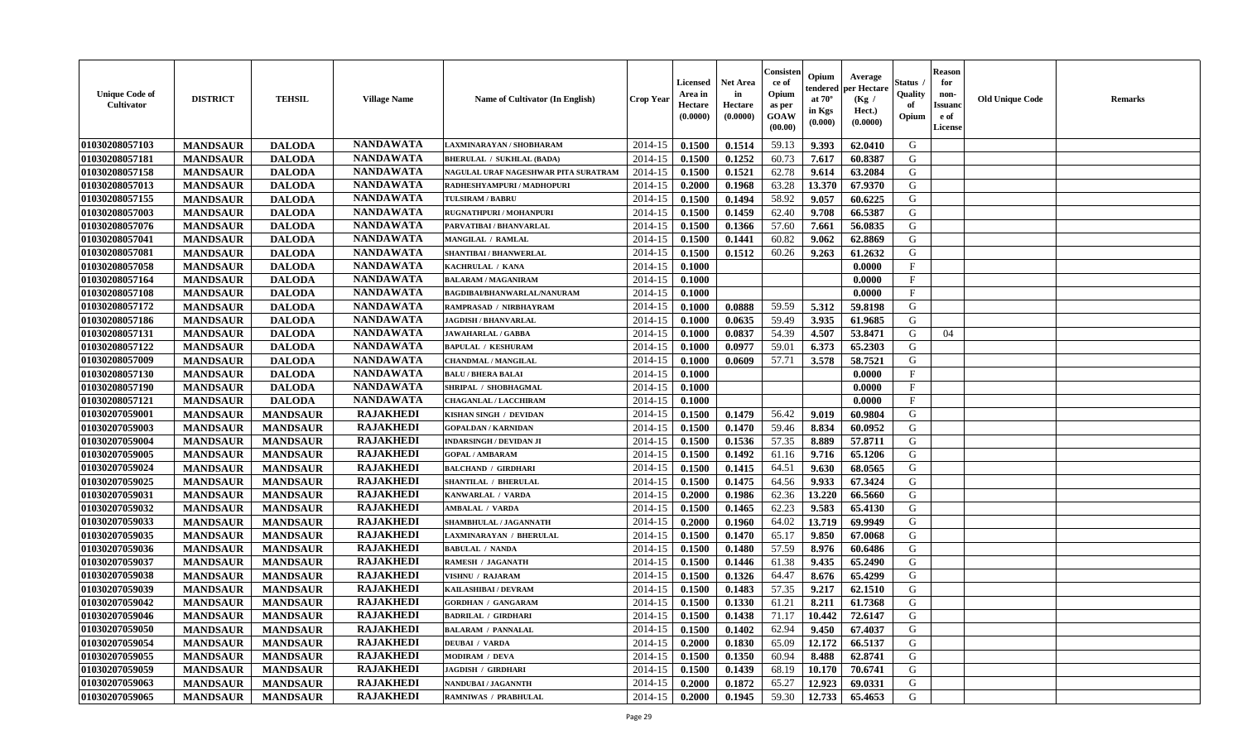| <b>Unique Code of</b><br><b>Cultivator</b> | <b>DISTRICT</b> | <b>TEHSIL</b>   | <b>Village Name</b> | <b>Name of Cultivator (In English)</b> | <b>Crop Year</b> | <b>Licensed</b><br>Area in<br>Hectare<br>(0.0000) | Net Area<br>in<br>Hectare<br>(0.0000) | Consisteı<br>ce of<br>Opium<br>as per<br>GOAW<br>(00.00) | Opium<br>endered<br>at $70^\circ$<br>in Kgs<br>(0.000) | Average<br>per Hectare<br>(Kg /<br>Hect.)<br>(0.0000) | Status<br>Quality<br>of<br>Opium | <b>Reason</b><br>for<br>non-<br><b>Issuand</b><br>e of<br>License | <b>Old Unique Code</b> | Remarks |
|--------------------------------------------|-----------------|-----------------|---------------------|----------------------------------------|------------------|---------------------------------------------------|---------------------------------------|----------------------------------------------------------|--------------------------------------------------------|-------------------------------------------------------|----------------------------------|-------------------------------------------------------------------|------------------------|---------|
| 01030208057103                             | <b>MANDSAUR</b> | <b>DALODA</b>   | <b>NANDAWATA</b>    | LAXMINARAYAN / SHOBHARAM               | 2014-15          | 0.1500                                            | 0.1514                                | 59.13                                                    | 9.393                                                  | 62.0410                                               | G                                |                                                                   |                        |         |
| 01030208057181                             | <b>MANDSAUR</b> | <b>DALODA</b>   | <b>NANDAWATA</b>    | <b>BHERULAL / SUKHLAL (BADA)</b>       | 2014-15          | 0.1500                                            | 0.1252                                | 60.73                                                    | 7.617                                                  | 60.8387                                               | G                                |                                                                   |                        |         |
| 01030208057158                             | <b>MANDSAUR</b> | <b>DALODA</b>   | <b>NANDAWATA</b>    | NAGULAL URAF NAGESHWAR PITA SURATRAM   | 2014-15          | 0.1500                                            | 0.1521                                | 62.78                                                    | 9.614                                                  | 63.2084                                               | G                                |                                                                   |                        |         |
| 01030208057013                             | <b>MANDSAUR</b> | <b>DALODA</b>   | <b>NANDAWATA</b>    | RADHESHYAMPURI / MADHOPURI             | 2014-15          | 0.2000                                            | 0.1968                                | 63.28                                                    | 13.370                                                 | 67.9370                                               | G                                |                                                                   |                        |         |
| 01030208057155                             | <b>MANDSAUR</b> | <b>DALODA</b>   | <b>NANDAWATA</b>    | <b>TULSIRAM / BABRU</b>                | 2014-15          | 0.1500                                            | 0.1494                                | 58.92                                                    | 9.057                                                  | 60.6225                                               | G                                |                                                                   |                        |         |
| 01030208057003                             | <b>MANDSAUR</b> | <b>DALODA</b>   | <b>NANDAWATA</b>    | RUGNATHPURI / MOHANPURI                | 2014-15          | 0.1500                                            | 0.1459                                | 62.40                                                    | 9.708                                                  | 66.5387                                               | G                                |                                                                   |                        |         |
| 01030208057076                             | <b>MANDSAUR</b> | <b>DALODA</b>   | <b>NANDAWATA</b>    | PARVATIBAI / BHANVARLAL                | 2014-15          | 0.1500                                            | 0.1366                                | 57.60                                                    | 7.661                                                  | 56.0835                                               | G                                |                                                                   |                        |         |
| 01030208057041                             | <b>MANDSAUR</b> | <b>DALODA</b>   | <b>NANDAWATA</b>    | MANGILAL / RAMLAL                      | 2014-15          | 0.1500                                            | 0.1441                                | 60.82                                                    | 9.062                                                  | 62.8869                                               | G                                |                                                                   |                        |         |
| 01030208057081                             | <b>MANDSAUR</b> | <b>DALODA</b>   | <b>NANDAWATA</b>    | SHANTIBAI / BHANWERLAL                 | 2014-15          | 0.1500                                            | 0.1512                                | 60.26                                                    | 9.263                                                  | 61.2632                                               | G                                |                                                                   |                        |         |
| 01030208057058                             | <b>MANDSAUR</b> | <b>DALODA</b>   | <b>NANDAWATA</b>    | KACHRULAL / KANA                       | 2014-15          | 0.1000                                            |                                       |                                                          |                                                        | 0.0000                                                | F                                |                                                                   |                        |         |
| 01030208057164                             | <b>MANDSAUR</b> | <b>DALODA</b>   | <b>NANDAWATA</b>    | <b>BALARAM / MAGANIRAM</b>             | 2014-15          | 0.1000                                            |                                       |                                                          |                                                        | 0.0000                                                | F                                |                                                                   |                        |         |
| 01030208057108                             | <b>MANDSAUR</b> | <b>DALODA</b>   | <b>NANDAWATA</b>    | BAGDIBAI/BHANWARLAL/NANURAM            | 2014-15          | 0.1000                                            |                                       |                                                          |                                                        | 0.0000                                                | $\mathbf{F}$                     |                                                                   |                        |         |
| 01030208057172                             | <b>MANDSAUR</b> | <b>DALODA</b>   | <b>NANDAWATA</b>    | RAMPRASAD / NIRBHAYRAM                 | 2014-15          | 0.1000                                            | 0.0888                                | 59.59                                                    | 5.312                                                  | 59.8198                                               | G                                |                                                                   |                        |         |
| 01030208057186                             | <b>MANDSAUR</b> | <b>DALODA</b>   | <b>NANDAWATA</b>    | <b>JAGDISH / BHANVARLAL</b>            | 2014-15          | 0.1000                                            | 0.0635                                | 59.49                                                    | 3.935                                                  | 61.9685                                               | G                                |                                                                   |                        |         |
| 01030208057131                             | <b>MANDSAUR</b> | <b>DALODA</b>   | <b>NANDAWATA</b>    | JAWAHARLAL / GABBA                     | 2014-15          | 0.1000                                            | 0.0837                                | 54.39                                                    | 4.507                                                  | 53.8471                                               | G                                | 04                                                                |                        |         |
| 01030208057122                             | <b>MANDSAUR</b> | <b>DALODA</b>   | <b>NANDAWATA</b>    | <b>BAPULAL / KESHURAM</b>              | 2014-15          | 0.1000                                            | 0.0977                                | 59.01                                                    | 6.373                                                  | 65.2303                                               | G                                |                                                                   |                        |         |
| 01030208057009                             | <b>MANDSAUR</b> | <b>DALODA</b>   | <b>NANDAWATA</b>    | <b>CHANDMAL / MANGILAL</b>             | 2014-15          | 0.1000                                            | 0.0609                                | 57.71                                                    | 3.578                                                  | 58.7521                                               | G                                |                                                                   |                        |         |
| 01030208057130                             | <b>MANDSAUR</b> | <b>DALODA</b>   | <b>NANDAWATA</b>    | <b>BALU / BHERA BALAI</b>              | 2014-15          | 0.1000                                            |                                       |                                                          |                                                        | 0.0000                                                | F                                |                                                                   |                        |         |
| 01030208057190                             | <b>MANDSAUR</b> | <b>DALODA</b>   | <b>NANDAWATA</b>    | SHRIPAL / SHOBHAGMAL                   | 2014-15          | 0.1000                                            |                                       |                                                          |                                                        | 0.0000                                                | F                                |                                                                   |                        |         |
| 01030208057121                             | <b>MANDSAUR</b> | <b>DALODA</b>   | <b>NANDAWATA</b>    | <b>CHAGANLAL / LACCHIRAM</b>           | 2014-15          | 0.1000                                            |                                       |                                                          |                                                        | 0.0000                                                | $\mathbf{F}$                     |                                                                   |                        |         |
| 01030207059001                             | <b>MANDSAUR</b> | <b>MANDSAUR</b> | <b>RAJAKHEDI</b>    | KISHAN SINGH / DEVIDAN                 | 2014-15          | 0.1500                                            | 0.1479                                | 56.42                                                    | 9.019                                                  | 60.9804                                               | G                                |                                                                   |                        |         |
| 01030207059003                             | <b>MANDSAUR</b> | <b>MANDSAUR</b> | <b>RAJAKHEDI</b>    | <b>GOPALDAN / KARNIDAN</b>             | 2014-15          | 0.1500                                            | 0.1470                                | 59.46                                                    | 8.834                                                  | 60.0952                                               | G                                |                                                                   |                        |         |
| 01030207059004                             | <b>MANDSAUR</b> | <b>MANDSAUR</b> | <b>RAJAKHEDI</b>    | <b>INDARSINGH / DEVIDAN JI</b>         | 2014-15          | 0.1500                                            | 0.1536                                | 57.35                                                    | 8.889                                                  | 57.8711                                               | G                                |                                                                   |                        |         |
| 01030207059005                             | <b>MANDSAUR</b> | <b>MANDSAUR</b> | <b>RAJAKHEDI</b>    | <b>GOPAL / AMBARAM</b>                 | 2014-15          | 0.1500                                            | 0.1492                                | 61.16                                                    | 9.716                                                  | 65.1206                                               | G                                |                                                                   |                        |         |
| 01030207059024                             | <b>MANDSAUR</b> | <b>MANDSAUR</b> | <b>RAJAKHEDI</b>    | <b>BALCHAND / GIRDHARI</b>             | 2014-15          | 0.1500                                            | 0.1415                                | 64.51                                                    | 9.630                                                  | 68.0565                                               | G                                |                                                                   |                        |         |
| 01030207059025                             | <b>MANDSAUR</b> | <b>MANDSAUR</b> | <b>RAJAKHEDI</b>    | SHANTILAL / BHERULAL                   | 2014-15          | 0.1500                                            | 0.1475                                | 64.56                                                    | 9.933                                                  | 67.3424                                               | G                                |                                                                   |                        |         |
| 01030207059031                             | <b>MANDSAUR</b> | <b>MANDSAUR</b> | <b>RAJAKHEDI</b>    | KANWARLAL / VARDA                      | 2014-15          | 0.2000                                            | 0.1986                                | 62.36                                                    | 13.220                                                 | 66.5660                                               | G                                |                                                                   |                        |         |
| 01030207059032                             | <b>MANDSAUR</b> | <b>MANDSAUR</b> | <b>RAJAKHEDI</b>    | <b>AMBALAL / VARDA</b>                 | 2014-15          | 0.1500                                            | 0.1465                                | 62.23                                                    | 9.583                                                  | 65.4130                                               | G                                |                                                                   |                        |         |
| 01030207059033                             | <b>MANDSAUR</b> | <b>MANDSAUR</b> | <b>RAJAKHEDI</b>    | SHAMBHULAL / JAGANNATH                 | 2014-15          | 0.2000                                            | 0.1960                                | 64.02                                                    | 13.719                                                 | 69.9949                                               | G                                |                                                                   |                        |         |
| 01030207059035                             | <b>MANDSAUR</b> | <b>MANDSAUR</b> | <b>RAJAKHEDI</b>    | LAXMINARAYAN / BHERULAL                | 2014-15          | 0.1500                                            | 0.1470                                | 65.17                                                    | 9.850                                                  | 67.0068                                               | G                                |                                                                   |                        |         |
| 01030207059036                             | <b>MANDSAUR</b> | <b>MANDSAUR</b> | <b>RAJAKHEDI</b>    | <b>BABULAL / NANDA</b>                 | 2014-15          | 0.1500                                            | 0.1480                                | 57.59                                                    | 8.976                                                  | 60.6486                                               | G                                |                                                                   |                        |         |
| 01030207059037                             | <b>MANDSAUR</b> | <b>MANDSAUR</b> | <b>RAJAKHEDI</b>    | RAMESH / JAGANATH                      | 2014-15          | 0.1500                                            | 0.1446                                | 61.38                                                    | 9.435                                                  | 65.2490                                               | G                                |                                                                   |                        |         |
| 01030207059038                             | <b>MANDSAUR</b> | <b>MANDSAUR</b> | <b>RAJAKHEDI</b>    | <b>VISHNU / RAJARAM</b>                | 2014-15          | 0.1500                                            | 0.1326                                | 64.47                                                    | 8.676                                                  | 65.4299                                               | G                                |                                                                   |                        |         |
| 01030207059039                             | <b>MANDSAUR</b> | <b>MANDSAUR</b> | <b>RAJAKHEDI</b>    | KAILASHIBAI / DEVRAM                   | 2014-15          | 0.1500                                            | 0.1483                                | 57.35                                                    | 9.217                                                  | 62.1510                                               | G                                |                                                                   |                        |         |
| 01030207059042                             | <b>MANDSAUR</b> | <b>MANDSAUR</b> | <b>RAJAKHEDI</b>    | <b>GORDHAN / GANGARAM</b>              | 2014-15          | 0.1500                                            | 0.1330                                | 61.21                                                    | 8.211                                                  | 61.7368                                               | G                                |                                                                   |                        |         |
| 01030207059046                             | <b>MANDSAUR</b> | <b>MANDSAUR</b> | <b>RAJAKHEDI</b>    | <b>BADRILAL / GIRDHARI</b>             | 2014-15          | 0.1500                                            | 0.1438                                | 71.17                                                    | 10.442                                                 | 72.6147                                               | G                                |                                                                   |                        |         |
| 01030207059050                             | <b>MANDSAUR</b> | <b>MANDSAUR</b> | <b>RAJAKHEDI</b>    | <b>BALARAM / PANNALAL</b>              | 2014-15          | 0.1500                                            | 0.1402                                | 62.94                                                    | 9.450                                                  | 67.4037                                               | G                                |                                                                   |                        |         |
| 01030207059054                             | <b>MANDSAUR</b> | <b>MANDSAUR</b> | <b>RAJAKHEDI</b>    | <b>DEUBAI / VARDA</b>                  | 2014-15          | 0.2000                                            | 0.1830                                | 65.09                                                    | 12.172                                                 | 66.5137                                               | G                                |                                                                   |                        |         |
| 01030207059055                             | <b>MANDSAUR</b> | <b>MANDSAUR</b> | <b>RAJAKHEDI</b>    | MODIRAM / DEVA                         | 2014-15          | 0.1500                                            | 0.1350                                | 60.94                                                    | 8.488                                                  | 62.8741                                               | G                                |                                                                   |                        |         |
| 01030207059059                             | <b>MANDSAUR</b> | <b>MANDSAUR</b> | <b>RAJAKHEDI</b>    | <b>JAGDISH / GIRDHARI</b>              | 2014-15          | 0.1500                                            | 0.1439                                | 68.19                                                    | 10.170                                                 | 70.6741                                               | ${\bf G}$                        |                                                                   |                        |         |
| 01030207059063                             | <b>MANDSAUR</b> | <b>MANDSAUR</b> | RAJAKHEDI           | NANDUBAI / JAGANNTH                    | 2014-15          | 0.2000                                            | 0.1872                                | 65.27                                                    | 12.923                                                 | 69.0331                                               | G                                |                                                                   |                        |         |
| 01030207059065                             | <b>MANDSAUR</b> | <b>MANDSAUR</b> | <b>RAJAKHEDI</b>    | <b>RAMNIWAS / PRABHULAL</b>            | 2014-15          | 0.2000                                            | 0.1945                                | 59.30                                                    | 12.733                                                 | 65.4653                                               | G                                |                                                                   |                        |         |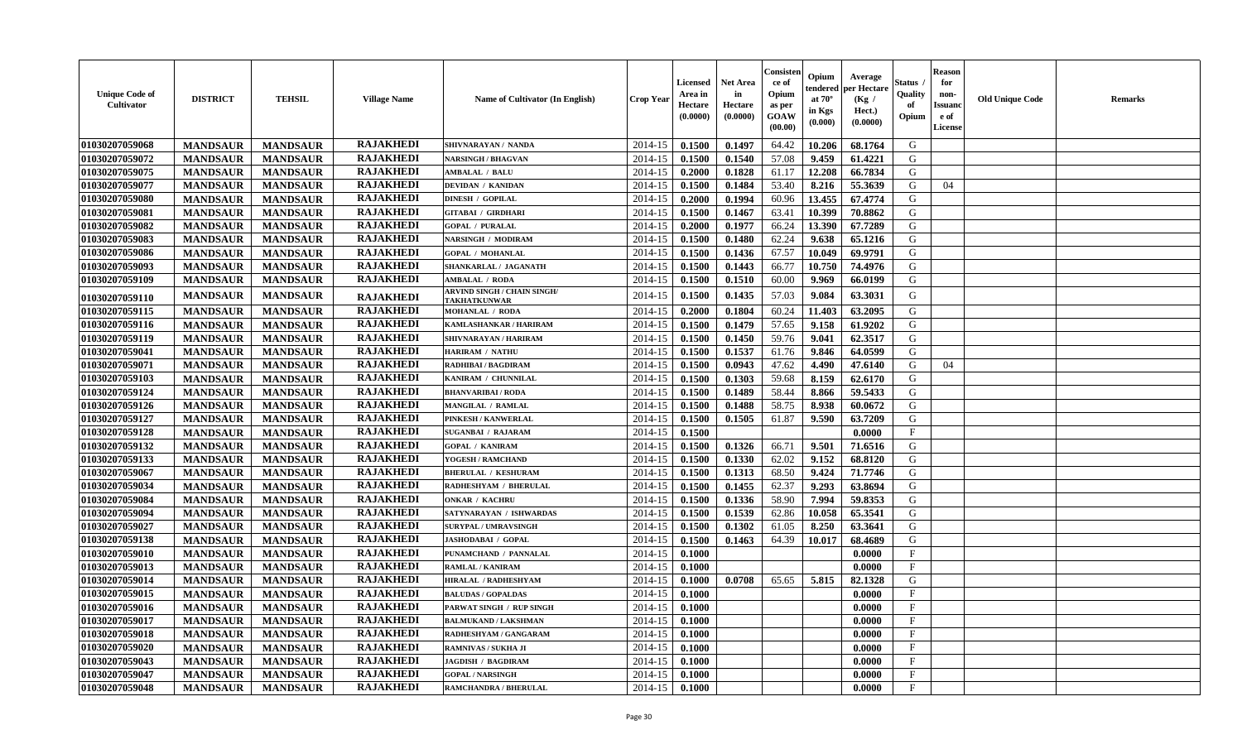| <b>Unique Code of</b><br><b>Cultivator</b> | <b>DISTRICT</b> | <b>TEHSIL</b>   | <b>Village Name</b> | <b>Name of Cultivator (In English)</b>             | <b>Crop Year</b> | <b>Licensed</b><br>Area in<br>Hectare<br>(0.0000) | <b>Net Area</b><br>in<br>Hectare<br>(0.0000) | Consisteı<br>ce of<br>Opium<br>as per<br><b>GOAW</b><br>(00.00) | Opium<br>endered<br>at $70^\circ$<br>in Kgs<br>(0.000) | Average<br>oer Hectare<br>(Kg /<br>Hect.)<br>(0.0000) | Status<br>Quality<br>of<br>Opium | <b>Reason</b><br>for<br>non-<br><b>Issuanc</b><br>e of<br><b>License</b> | <b>Old Unique Code</b> | <b>Remarks</b> |
|--------------------------------------------|-----------------|-----------------|---------------------|----------------------------------------------------|------------------|---------------------------------------------------|----------------------------------------------|-----------------------------------------------------------------|--------------------------------------------------------|-------------------------------------------------------|----------------------------------|--------------------------------------------------------------------------|------------------------|----------------|
| 01030207059068                             | <b>MANDSAUR</b> | <b>MANDSAUR</b> | <b>RAJAKHEDI</b>    | SHIVNARAYAN / NANDA                                | 2014-15          | 0.1500                                            | 0.1497                                       | 64.42                                                           | 10.206                                                 | 68.1764                                               | G                                |                                                                          |                        |                |
| 01030207059072                             | <b>MANDSAUR</b> | <b>MANDSAUR</b> | <b>RAJAKHEDI</b>    | <b>NARSINGH / BHAGVAN</b>                          | 2014-15          | 0.1500                                            | 0.1540                                       | 57.08                                                           | 9.459                                                  | 61.4221                                               | G                                |                                                                          |                        |                |
| 01030207059075                             | <b>MANDSAUR</b> | <b>MANDSAUR</b> | <b>RAJAKHEDI</b>    | <b>AMBALAL / BALU</b>                              | 2014-15          | 0.2000                                            | 0.1828                                       | 61.17                                                           | 12.208                                                 | 66.7834                                               | G                                |                                                                          |                        |                |
| 01030207059077                             | <b>MANDSAUR</b> | <b>MANDSAUR</b> | <b>RAJAKHEDI</b>    | <b>DEVIDAN / KANIDAN</b>                           | 2014-15          | 0.1500                                            | 0.1484                                       | 53.40                                                           | 8.216                                                  | 55.3639                                               | G                                | 04                                                                       |                        |                |
| 01030207059080                             | <b>MANDSAUR</b> | <b>MANDSAUR</b> | <b>RAJAKHEDI</b>    | <b>DINESH / GOPILAL</b>                            | 2014-15          | 0.2000                                            | 0.1994                                       | 60.96                                                           | 13.455                                                 | 67.4774                                               | G                                |                                                                          |                        |                |
| 01030207059081                             | <b>MANDSAUR</b> | <b>MANDSAUR</b> | <b>RAJAKHEDI</b>    | <b>GITABAI / GIRDHARI</b>                          | 2014-15          | 0.1500                                            | 0.1467                                       | 63.41                                                           | 10.399                                                 | 70.8862                                               | G                                |                                                                          |                        |                |
| 01030207059082                             | <b>MANDSAUR</b> | <b>MANDSAUR</b> | <b>RAJAKHEDI</b>    | <b>GOPAL / PURALAL</b>                             | 2014-15          | 0.2000                                            | 0.1977                                       | 66.24                                                           | 13.390                                                 | 67.7289                                               | G                                |                                                                          |                        |                |
| 01030207059083                             | <b>MANDSAUR</b> | <b>MANDSAUR</b> | <b>RAJAKHEDI</b>    | <b>NARSINGH / MODIRAM</b>                          | 2014-15          | 0.1500                                            | 0.1480                                       | 62.24                                                           | 9.638                                                  | 65.1216                                               | G                                |                                                                          |                        |                |
| 01030207059086                             | <b>MANDSAUR</b> | <b>MANDSAUR</b> | <b>RAJAKHEDI</b>    | <b>GOPAL / MOHANLAL</b>                            | 2014-15          | 0.1500                                            | 0.1436                                       | 67.57                                                           | 10.049                                                 | 69.9791                                               | G                                |                                                                          |                        |                |
| 01030207059093                             | <b>MANDSAUR</b> | <b>MANDSAUR</b> | <b>RAJAKHEDI</b>    | SHANKARLAL / JAGANATH                              | 2014-15          | 0.1500                                            | 0.1443                                       | 66.77                                                           | 10.750                                                 | 74.4976                                               | G                                |                                                                          |                        |                |
| 01030207059109                             | <b>MANDSAUR</b> | <b>MANDSAUR</b> | <b>RAJAKHEDI</b>    | <b>AMBALAL / RODA</b>                              | 2014-15          | 0.1500                                            | 0.1510                                       | 60.00                                                           | 9.969                                                  | 66.0199                                               | G                                |                                                                          |                        |                |
| 01030207059110                             | <b>MANDSAUR</b> | <b>MANDSAUR</b> | <b>RAJAKHEDI</b>    | <b>ARVIND SINGH / CHAIN SINGH/</b><br>TAKHATKUNWAR | 2014-15          | 0.1500                                            | 0.1435                                       | 57.03                                                           | 9.084                                                  | 63.3031                                               | G                                |                                                                          |                        |                |
| 01030207059115                             | <b>MANDSAUR</b> | <b>MANDSAUR</b> | <b>RAJAKHEDI</b>    | <b>MOHANLAL / RODA</b>                             | 2014-15          | 0.2000                                            | 0.1804                                       | 60.24                                                           | 11.403                                                 | 63.2095                                               | G                                |                                                                          |                        |                |
| 01030207059116                             | <b>MANDSAUR</b> | <b>MANDSAUR</b> | <b>RAJAKHEDI</b>    | KAMLASHANKAR / HARIRAM                             | 2014-15          | 0.1500                                            | 0.1479                                       | 57.65                                                           | 9.158                                                  | 61.9202                                               | G                                |                                                                          |                        |                |
| 01030207059119                             | <b>MANDSAUR</b> | <b>MANDSAUR</b> | <b>RAJAKHEDI</b>    | SHIVNARAYAN / HARIRAM                              | 2014-15          | 0.1500                                            | 0.1450                                       | 59.76                                                           | 9.041                                                  | 62.3517                                               | G                                |                                                                          |                        |                |
| 01030207059041                             | <b>MANDSAUR</b> | <b>MANDSAUR</b> | <b>RAJAKHEDI</b>    | <b>HARIRAM / NATHU</b>                             | 2014-15          | 0.1500                                            | 0.1537                                       | 61.76                                                           | 9.846                                                  | 64.0599                                               | G                                |                                                                          |                        |                |
| 01030207059071                             | <b>MANDSAUR</b> | <b>MANDSAUR</b> | <b>RAJAKHEDI</b>    | RADHIBAI / BAGDIRAM                                | 2014-15          | 0.1500                                            | 0.0943                                       | 47.62                                                           | 4.490                                                  | 47.6140                                               | G                                | 04                                                                       |                        |                |
| 01030207059103                             | <b>MANDSAUR</b> | <b>MANDSAUR</b> | <b>RAJAKHEDI</b>    | KANIRAM / CHUNNILAL                                | 2014-15          | 0.1500                                            | 0.1303                                       | 59.68                                                           | 8.159                                                  | 62.6170                                               | G                                |                                                                          |                        |                |
| 01030207059124                             | <b>MANDSAUR</b> | <b>MANDSAUR</b> | <b>RAJAKHEDI</b>    | <b>BHANVARIBAI/RODA</b>                            | 2014-15          | 0.1500                                            | 0.1489                                       | 58.44                                                           | 8.866                                                  | 59.5433                                               | G                                |                                                                          |                        |                |
| 01030207059126                             | <b>MANDSAUR</b> | <b>MANDSAUR</b> | <b>RAJAKHEDI</b>    | MANGILAL / RAMLAL                                  | 2014-15          | 0.1500                                            | 0.1488                                       | 58.75                                                           | 8.938                                                  | 60.0672                                               | G                                |                                                                          |                        |                |
| 01030207059127                             | <b>MANDSAUR</b> | <b>MANDSAUR</b> | <b>RAJAKHEDI</b>    | PINKESH / KANWERLAL                                | 2014-15          | 0.1500                                            | 0.1505                                       | 61.87                                                           | 9.590                                                  | 63.7209                                               | G                                |                                                                          |                        |                |
| 01030207059128                             | <b>MANDSAUR</b> | <b>MANDSAUR</b> | <b>RAJAKHEDI</b>    | <b>SUGANBAI / RAJARAM</b>                          | 2014-15          | 0.1500                                            |                                              |                                                                 |                                                        | 0.0000                                                | $\mathbf{F}$                     |                                                                          |                        |                |
| 01030207059132                             | <b>MANDSAUR</b> | <b>MANDSAUR</b> | <b>RAJAKHEDI</b>    | <b>GOPAL / KANIRAM</b>                             | 2014-15          | 0.1500                                            | 0.1326                                       | 66.71                                                           | 9.501                                                  | 71.6516                                               | G                                |                                                                          |                        |                |
| 01030207059133                             | <b>MANDSAUR</b> | <b>MANDSAUR</b> | <b>RAJAKHEDI</b>    | YOGESH / RAMCHAND                                  | 2014-15          | 0.1500                                            | 0.1330                                       | 62.02                                                           | 9.152                                                  | 68.8120                                               | G                                |                                                                          |                        |                |
| 01030207059067                             | <b>MANDSAUR</b> | <b>MANDSAUR</b> | <b>RAJAKHEDI</b>    | <b>BHERULAL / KESHURAM</b>                         | 2014-15          | 0.1500                                            | 0.1313                                       | 68.50                                                           | 9.424                                                  | 71.7746                                               | G                                |                                                                          |                        |                |
| 01030207059034                             | <b>MANDSAUR</b> | <b>MANDSAUR</b> | <b>RAJAKHEDI</b>    | RADHESHYAM / BHERULAL                              | 2014-15          | 0.1500                                            | 0.1455                                       | 62.37                                                           | 9.293                                                  | 63.8694                                               | G                                |                                                                          |                        |                |
| 01030207059084                             | <b>MANDSAUR</b> | <b>MANDSAUR</b> | <b>RAJAKHEDI</b>    | <b>ONKAR / KACHRU</b>                              | 2014-15          | 0.1500                                            | 0.1336                                       | 58.90                                                           | 7.994                                                  | 59.8353                                               | G                                |                                                                          |                        |                |
| 01030207059094                             | <b>MANDSAUR</b> | <b>MANDSAUR</b> | <b>RAJAKHEDI</b>    | SATYNARAYAN / ISHWARDAS                            | 2014-15          | 0.1500                                            | 0.1539                                       | 62.86                                                           | 10.058                                                 | 65.3541                                               | G                                |                                                                          |                        |                |
| 01030207059027                             | <b>MANDSAUR</b> | <b>MANDSAUR</b> | <b>RAJAKHEDI</b>    | <b>SURYPAL / UMRAVSINGH</b>                        | 2014-15          | 0.1500                                            | 0.1302                                       | 61.05                                                           | 8.250                                                  | 63.3641                                               | G                                |                                                                          |                        |                |
| 01030207059138                             | <b>MANDSAUR</b> | <b>MANDSAUR</b> | <b>RAJAKHEDI</b>    | JASHODABAI / GOPAL                                 | 2014-15          | 0.1500                                            | 0.1463                                       | 64.39                                                           | 10.017                                                 | 68.4689                                               | ${\bf G}$                        |                                                                          |                        |                |
| 01030207059010                             | <b>MANDSAUR</b> | <b>MANDSAUR</b> | <b>RAJAKHEDI</b>    | PUNAMCHAND / PANNALAL                              | 2014-15          | 0.1000                                            |                                              |                                                                 |                                                        | 0.0000                                                | $_{\rm F}$                       |                                                                          |                        |                |
| 01030207059013                             | <b>MANDSAUR</b> | <b>MANDSAUR</b> | <b>RAJAKHEDI</b>    | <b>RAMLAL / KANIRAM</b>                            | 2014-15          | 0.1000                                            |                                              |                                                                 |                                                        | 0.0000                                                | $_{\rm F}$                       |                                                                          |                        |                |
| 01030207059014                             | <b>MANDSAUR</b> | <b>MANDSAUR</b> | <b>RAJAKHEDI</b>    | HIRALAL / RADHESHYAM                               | 2014-15          | 0.1000                                            | 0.0708                                       | 65.65                                                           | 5.815                                                  | 82.1328                                               | G                                |                                                                          |                        |                |
| 01030207059015                             | <b>MANDSAUR</b> | <b>MANDSAUR</b> | <b>RAJAKHEDI</b>    | <b>BALUDAS / GOPALDAS</b>                          | 2014-15          | 0.1000                                            |                                              |                                                                 |                                                        | 0.0000                                                | F                                |                                                                          |                        |                |
| 01030207059016                             | <b>MANDSAUR</b> | <b>MANDSAUR</b> | <b>RAJAKHEDI</b>    | PARWAT SINGH / RUP SINGH                           | 2014-15          | 0.1000                                            |                                              |                                                                 |                                                        | 0.0000                                                | $_{\rm F}$                       |                                                                          |                        |                |
| 01030207059017                             | <b>MANDSAUR</b> | <b>MANDSAUR</b> | <b>RAJAKHEDI</b>    | <b>BALMUKAND / LAKSHMAN</b>                        | 2014-15          | 0.1000                                            |                                              |                                                                 |                                                        | 0.0000                                                | $\mathbf{F}$                     |                                                                          |                        |                |
| 01030207059018                             | <b>MANDSAUR</b> | <b>MANDSAUR</b> | <b>RAJAKHEDI</b>    | RADHESHYAM / GANGARAM                              | 2014-15          | 0.1000                                            |                                              |                                                                 |                                                        | 0.0000                                                | $\mathbf{F}$                     |                                                                          |                        |                |
| 01030207059020                             | <b>MANDSAUR</b> | <b>MANDSAUR</b> | <b>RAJAKHEDI</b>    | RAMNIVAS / SUKHA JI                                | 2014-15          | 0.1000                                            |                                              |                                                                 |                                                        | 0.0000                                                | $\mathbf{F}$                     |                                                                          |                        |                |
| 01030207059043                             | <b>MANDSAUR</b> | <b>MANDSAUR</b> | <b>RAJAKHEDI</b>    | <b>JAGDISH / BAGDIRAM</b>                          | 2014-15          | 0.1000                                            |                                              |                                                                 |                                                        | 0.0000                                                | $\mathbf{F}$                     |                                                                          |                        |                |
| 01030207059047                             | <b>MANDSAUR</b> | <b>MANDSAUR</b> | <b>RAJAKHEDI</b>    | <b>GOPAL / NARSINGH</b>                            | 2014-15          | 0.1000                                            |                                              |                                                                 |                                                        | 0.0000                                                | F                                |                                                                          |                        |                |
| 01030207059048                             | <b>MANDSAUR</b> | <b>MANDSAUR</b> | <b>RAJAKHEDI</b>    | RAMCHANDRA / BHERULAL                              | 2014-15          | 0.1000                                            |                                              |                                                                 |                                                        | 0.0000                                                | $\mathbf{F}$                     |                                                                          |                        |                |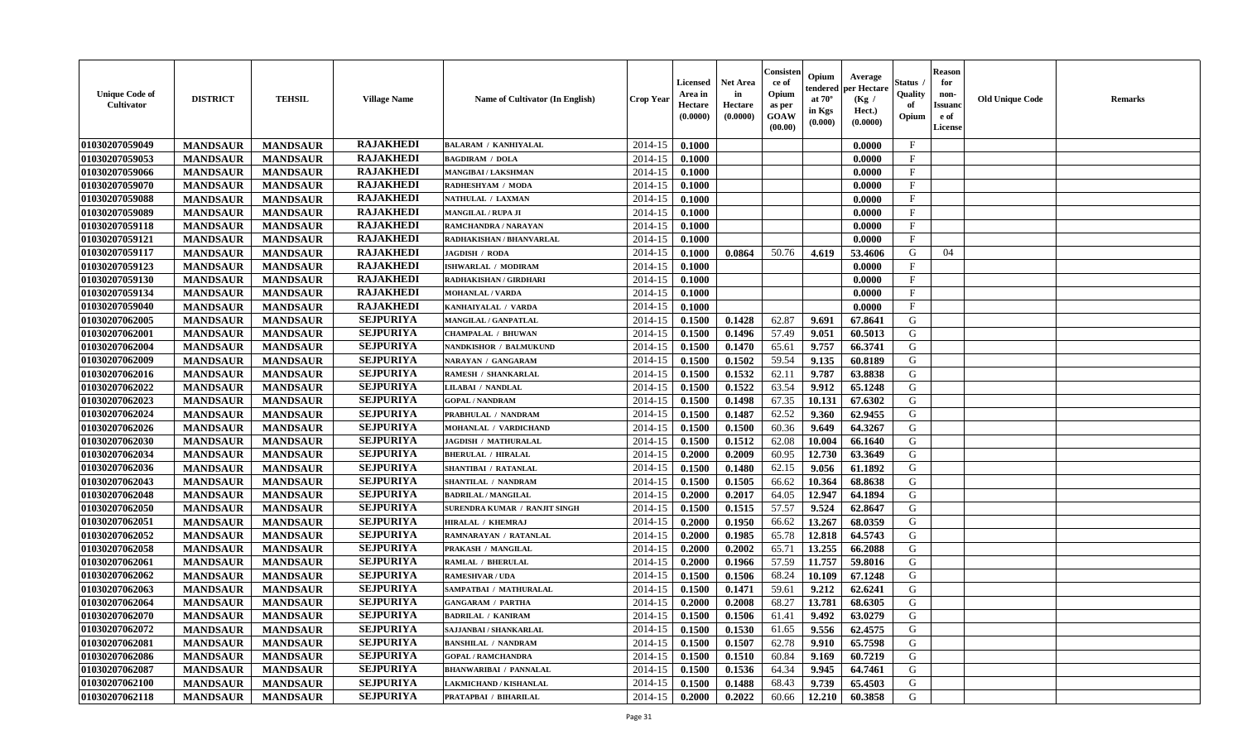| <b>Unique Code of</b><br><b>Cultivator</b> | <b>DISTRICT</b> | <b>TEHSIL</b>   | <b>Village Name</b> | <b>Name of Cultivator (In English)</b> | <b>Crop Year</b> | <b>Licensed</b><br>Area in<br>Hectare<br>(0.0000) | <b>Net Area</b><br>in<br>Hectare<br>(0.0000) | Consister<br>ce of<br>Opium<br>as per<br>GOAW<br>(00.00) | Opium<br>endered<br>at $70^\circ$<br>in Kgs<br>(0.000) | Average<br>per Hectare<br>(Kg /<br>Hect.)<br>(0.0000) | Status<br>Quality<br>of<br>Opium | <b>Reason</b><br>for<br>non-<br><b>Issuand</b><br>e of<br>License | <b>Old Unique Code</b> | <b>Remarks</b> |
|--------------------------------------------|-----------------|-----------------|---------------------|----------------------------------------|------------------|---------------------------------------------------|----------------------------------------------|----------------------------------------------------------|--------------------------------------------------------|-------------------------------------------------------|----------------------------------|-------------------------------------------------------------------|------------------------|----------------|
| 01030207059049                             | <b>MANDSAUR</b> | <b>MANDSAUR</b> | <b>RAJAKHEDI</b>    | <b>BALARAM / KANHIYALAL</b>            | 2014-15          | 0.1000                                            |                                              |                                                          |                                                        | 0.0000                                                | $\mathbf{F}$                     |                                                                   |                        |                |
| 01030207059053                             | <b>MANDSAUR</b> | <b>MANDSAUR</b> | <b>RAJAKHEDI</b>    | <b>BAGDIRAM / DOLA</b>                 | 2014-15          | 0.1000                                            |                                              |                                                          |                                                        | 0.0000                                                | $\mathbf{F}$                     |                                                                   |                        |                |
| 01030207059066                             | <b>MANDSAUR</b> | <b>MANDSAUR</b> | <b>RAJAKHEDI</b>    | MANGIBAI / LAKSHMAN                    | 2014-15          | 0.1000                                            |                                              |                                                          |                                                        | 0.0000                                                | $_{\rm F}$                       |                                                                   |                        |                |
| 01030207059070                             | <b>MANDSAUR</b> | <b>MANDSAUR</b> | <b>RAJAKHEDI</b>    | RADHESHYAM / MODA                      | 2014-15          | 0.1000                                            |                                              |                                                          |                                                        | 0.0000                                                | $\mathbf{F}$                     |                                                                   |                        |                |
| 01030207059088                             | <b>MANDSAUR</b> | <b>MANDSAUR</b> | <b>RAJAKHEDI</b>    | NATHULAL / LAXMAN                      | 2014-15          | 0.1000                                            |                                              |                                                          |                                                        | 0.0000                                                | $_{\rm F}$                       |                                                                   |                        |                |
| 01030207059089                             | <b>MANDSAUR</b> | <b>MANDSAUR</b> | <b>RAJAKHEDI</b>    | <b>MANGILAL / RUPA JI</b>              | 2014-15          | 0.1000                                            |                                              |                                                          |                                                        | 0.0000                                                | $\mathbf{F}$                     |                                                                   |                        |                |
| 01030207059118                             | <b>MANDSAUR</b> | <b>MANDSAUR</b> | <b>RAJAKHEDI</b>    | RAMCHANDRA / NARAYAN                   | 2014-15          | 0.1000                                            |                                              |                                                          |                                                        | 0.0000                                                | $\rm F$                          |                                                                   |                        |                |
| 01030207059121                             | <b>MANDSAUR</b> | <b>MANDSAUR</b> | <b>RAJAKHEDI</b>    | RADHAKISHAN / BHANVARLAL               | 2014-15          | 0.1000                                            |                                              |                                                          |                                                        | 0.0000                                                | $\mathbf{F}$                     |                                                                   |                        |                |
| 01030207059117                             | <b>MANDSAUR</b> | <b>MANDSAUR</b> | <b>RAJAKHEDI</b>    | JAGDISH / RODA                         | 2014-15          | 0.1000                                            | 0.0864                                       | 50.76                                                    | 4.619                                                  | 53.4606                                               | G                                | 04                                                                |                        |                |
| 01030207059123                             | <b>MANDSAUR</b> | <b>MANDSAUR</b> | <b>RAJAKHEDI</b>    | ISHWARLAL / MODIRAM                    | 2014-15          | 0.1000                                            |                                              |                                                          |                                                        | 0.0000                                                | $\mathbf{F}$                     |                                                                   |                        |                |
| 01030207059130                             | <b>MANDSAUR</b> | <b>MANDSAUR</b> | <b>RAJAKHEDI</b>    | <b>RADHAKISHAN / GIRDHARI</b>          | 2014-15          | 0.1000                                            |                                              |                                                          |                                                        | 0.0000                                                | F                                |                                                                   |                        |                |
| 01030207059134                             | <b>MANDSAUR</b> | <b>MANDSAUR</b> | <b>RAJAKHEDI</b>    | <b>MOHANLAL / VARDA</b>                | 2014-15          | 0.1000                                            |                                              |                                                          |                                                        | 0.0000                                                | F                                |                                                                   |                        |                |
| 01030207059040                             | <b>MANDSAUR</b> | <b>MANDSAUR</b> | <b>RAJAKHEDI</b>    | KANHAIYALAL / VARDA                    | 2014-15          | 0.1000                                            |                                              |                                                          |                                                        | 0.0000                                                | $_{\rm F}$                       |                                                                   |                        |                |
| 01030207062005                             | <b>MANDSAUR</b> | <b>MANDSAUR</b> | <b>SEJPURIYA</b>    | MANGILAL / GANPATLAL                   | 2014-15          | 0.1500                                            | 0.1428                                       | 62.87                                                    | 9.691                                                  | 67.8641                                               | G                                |                                                                   |                        |                |
| 01030207062001                             | <b>MANDSAUR</b> | <b>MANDSAUR</b> | <b>SEJPURIYA</b>    | CHAMPALAL / BHUWAN                     | 2014-15          | 0.1500                                            | 0.1496                                       | 57.49                                                    | 9.051                                                  | 60.5013                                               | G                                |                                                                   |                        |                |
| 01030207062004                             | <b>MANDSAUR</b> | <b>MANDSAUR</b> | <b>SEJPURIYA</b>    | <b>NANDKISHOR / BALMUKUND</b>          | 2014-15          | 0.1500                                            | 0.1470                                       | 65.61                                                    | 9.757                                                  | 66.3741                                               | G                                |                                                                   |                        |                |
| 01030207062009                             | <b>MANDSAUR</b> | <b>MANDSAUR</b> | <b>SEJPURIYA</b>    | <b>NARAYAN / GANGARAM</b>              | 2014-15          | 0.1500                                            | 0.1502                                       | 59.54                                                    | 9.135                                                  | 60.8189                                               | G                                |                                                                   |                        |                |
| 01030207062016                             | <b>MANDSAUR</b> | <b>MANDSAUR</b> | <b>SEJPURIYA</b>    | <b>RAMESH / SHANKARLAL</b>             | 2014-15          | 0.1500                                            | 0.1532                                       | 62.11                                                    | 9.787                                                  | 63.8838                                               | G                                |                                                                   |                        |                |
| 01030207062022                             | <b>MANDSAUR</b> | <b>MANDSAUR</b> | <b>SEJPURIYA</b>    | LILABAI / NANDLAL                      | 2014-15          | 0.1500                                            | 0.1522                                       | 63.54                                                    | 9.912                                                  | 65.1248                                               | G                                |                                                                   |                        |                |
| 01030207062023                             | <b>MANDSAUR</b> | <b>MANDSAUR</b> | <b>SEJPURIYA</b>    | <b>GOPAL / NANDRAM</b>                 | 2014-15          | 0.1500                                            | 0.1498                                       | 67.35                                                    | 10.131                                                 | 67.6302                                               | G                                |                                                                   |                        |                |
| 01030207062024                             | <b>MANDSAUR</b> | <b>MANDSAUR</b> | <b>SEJPURIYA</b>    | PRABHULAL / NANDRAM                    | 2014-15          | 0.1500                                            | 0.1487                                       | 62.52                                                    | 9.360                                                  | 62.9455                                               | G                                |                                                                   |                        |                |
| 01030207062026                             | <b>MANDSAUR</b> | <b>MANDSAUR</b> | <b>SEJPURIYA</b>    | MOHANLAL / VARDICHAND                  | 2014-15          | 0.1500                                            | 0.1500                                       | 60.36                                                    | 9.649                                                  | 64.3267                                               | G                                |                                                                   |                        |                |
| 01030207062030                             | <b>MANDSAUR</b> | <b>MANDSAUR</b> | <b>SEJPURIYA</b>    | JAGDISH / MATHURALAL                   | 2014-15          | 0.1500                                            | 0.1512                                       | 62.08                                                    | 10.004                                                 | 66.1640                                               | G                                |                                                                   |                        |                |
| 01030207062034                             | <b>MANDSAUR</b> | <b>MANDSAUR</b> | <b>SEJPURIYA</b>    | <b>BHERULAL / HIRALAL</b>              | 2014-15          | 0.2000                                            | 0.2009                                       | 60.95                                                    | 12.730                                                 | 63.3649                                               | G                                |                                                                   |                        |                |
| 01030207062036                             | <b>MANDSAUR</b> | <b>MANDSAUR</b> | <b>SEJPURIYA</b>    | <b>SHANTIBAI / RATANLAL</b>            | 2014-15          | 0.1500                                            | 0.1480                                       | 62.15                                                    | 9.056                                                  | 61.1892                                               | G                                |                                                                   |                        |                |
| 01030207062043                             | <b>MANDSAUR</b> | <b>MANDSAUR</b> | <b>SEJPURIYA</b>    | SHANTILAL / NANDRAM                    | 2014-15          | 0.1500                                            | 0.1505                                       | 66.62                                                    | 10.364                                                 | 68.8638                                               | G                                |                                                                   |                        |                |
| 01030207062048                             | <b>MANDSAUR</b> | <b>MANDSAUR</b> | <b>SEJPURIYA</b>    | <b>BADRILAL / MANGILAL</b>             | 2014-15          | 0.2000                                            | 0.2017                                       | 64.05                                                    | 12.947                                                 | 64.1894                                               | G                                |                                                                   |                        |                |
| 01030207062050                             | <b>MANDSAUR</b> | <b>MANDSAUR</b> | <b>SEJPURIYA</b>    | SURENDRA KUMAR / RANJIT SINGH          | 2014-15          | 0.1500                                            | 0.1515                                       | 57.57                                                    | 9.524                                                  | 62.8647                                               | G                                |                                                                   |                        |                |
| 01030207062051                             | <b>MANDSAUR</b> | <b>MANDSAUR</b> | <b>SEJPURIYA</b>    | <b>HIRALAL / KHEMRAJ</b>               | 2014-15          | 0.2000                                            | 0.1950                                       | 66.62                                                    | 13.267                                                 | 68.0359                                               | G                                |                                                                   |                        |                |
| 01030207062052                             | <b>MANDSAUR</b> | <b>MANDSAUR</b> | <b>SEJPURIYA</b>    | RAMNARAYAN / RATANLAL                  | 2014-15          | 0.2000                                            | 0.1985                                       | 65.78                                                    | 12.818                                                 | 64.5743                                               | G                                |                                                                   |                        |                |
| 01030207062058                             | <b>MANDSAUR</b> | <b>MANDSAUR</b> | <b>SEJPURIYA</b>    | PRAKASH / MANGILAL                     | 2014-15          | 0.2000                                            | 0.2002                                       | 65.71                                                    | 13.255                                                 | 66.2088                                               | ${\bf G}$                        |                                                                   |                        |                |
| 01030207062061                             | <b>MANDSAUR</b> | <b>MANDSAUR</b> | <b>SEJPURIYA</b>    | <b>RAMLAL / BHERULAL</b>               | 2014-15          | 0.2000                                            | 0.1966                                       | 57.59                                                    | 11.757                                                 | 59.8016                                               | G                                |                                                                   |                        |                |
| 01030207062062                             | <b>MANDSAUR</b> | <b>MANDSAUR</b> | <b>SEJPURIYA</b>    | <b>RAMESHVAR / UDA</b>                 | 2014-15          | 0.1500                                            | 0.1506                                       | 68.24                                                    | 10.109                                                 | 67.1248                                               | G                                |                                                                   |                        |                |
| 01030207062063                             | <b>MANDSAUR</b> | <b>MANDSAUR</b> | <b>SEJPURIYA</b>    | SAMPATBAI / MATHURALAL                 | 2014-15          | 0.1500                                            | 0.1471                                       | 59.61                                                    | 9.212                                                  | 62.6241                                               | G                                |                                                                   |                        |                |
| 01030207062064                             | <b>MANDSAUR</b> | <b>MANDSAUR</b> | <b>SEJPURIYA</b>    | <b>GANGARAM / PARTHA</b>               | 2014-15          | 0.2000                                            | 0.2008                                       | 68.27                                                    | 13.781                                                 | 68.6305                                               | G                                |                                                                   |                        |                |
| 01030207062070                             | <b>MANDSAUR</b> | <b>MANDSAUR</b> | <b>SEJPURIYA</b>    | <b>BADRILAL / KANIRAM</b>              | 2014-15          | 0.1500                                            | 0.1506                                       | 61.41                                                    | 9.492                                                  | 63.0279                                               | G                                |                                                                   |                        |                |
| 01030207062072                             | <b>MANDSAUR</b> | <b>MANDSAUR</b> | <b>SEJPURIYA</b>    | SAJJANBAI / SHANKARLAL                 | 2014-15          | 0.1500                                            | 0.1530                                       | 61.65                                                    | 9.556                                                  | 62.4575                                               | G                                |                                                                   |                        |                |
| 01030207062081                             | <b>MANDSAUR</b> | <b>MANDSAUR</b> | <b>SEJPURIYA</b>    | <b>BANSHILAL / NANDRAM</b>             | 2014-15          | 0.1500                                            | 0.1507                                       | 62.78                                                    | 9.910                                                  | 65.7598                                               | G                                |                                                                   |                        |                |
| 01030207062086                             | <b>MANDSAUR</b> | <b>MANDSAUR</b> | <b>SEJPURIYA</b>    | <b>GOPAL / RAMCHANDRA</b>              | 2014-15          | 0.1500                                            | 0.1510                                       | 60.84                                                    | 9.169                                                  | 60.7219                                               | G                                |                                                                   |                        |                |
| 01030207062087                             | <b>MANDSAUR</b> | <b>MANDSAUR</b> | <b>SEJPURIYA</b>    | <b>BHANWARIBAI / PANNALAL</b>          | 2014-15          | 0.1500                                            | 0.1536                                       | 64.34                                                    | 9.945                                                  | 64.7461                                               | G                                |                                                                   |                        |                |
| 01030207062100                             | <b>MANDSAUR</b> | <b>MANDSAUR</b> | <b>SEJPURIYA</b>    | <b>LAKMICHAND / KISHANLAL</b>          | 2014-15          | 0.1500                                            | 0.1488                                       | 68.43                                                    | 9.739                                                  | 65.4503                                               | G                                |                                                                   |                        |                |
| 01030207062118                             | <b>MANDSAUR</b> | <b>MANDSAUR</b> | <b>SEJPURIYA</b>    | PRATAPBAI / BIHARILAL                  | 2014-15          | 0.2000                                            | 0.2022                                       | 60.66                                                    | 12.210                                                 | 60.3858                                               | G                                |                                                                   |                        |                |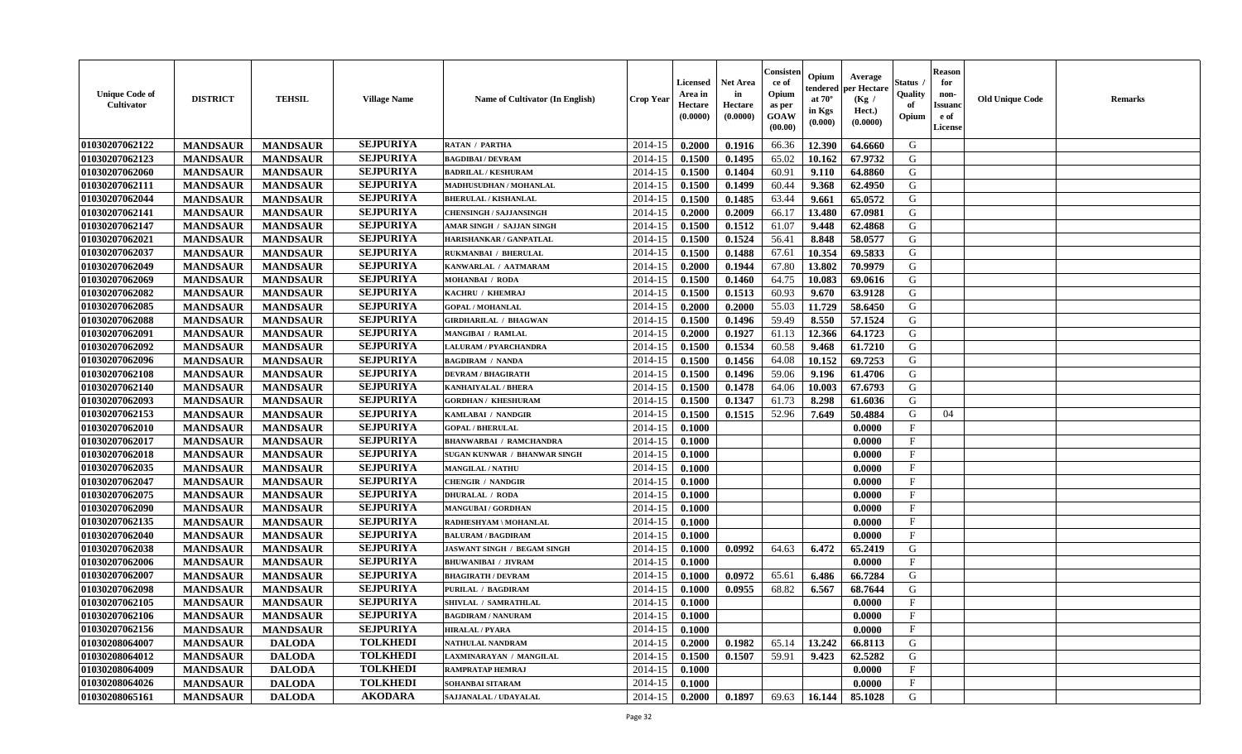| <b>Unique Code of</b><br>Cultivator | <b>DISTRICT</b> | <b>TEHSIL</b>   | <b>Village Name</b> | Name of Cultivator (In English)    | <b>Crop Year</b> | <b>Licensed</b><br>Area in<br>Hectare<br>(0.0000) | <b>Net Area</b><br>in<br>Hectare<br>(0.0000) | Consisten<br>ce of<br>Opium<br>as per<br><b>GOAW</b><br>(00.00) | Opium<br>endered<br>at $70^\circ$<br>in Kgs<br>$(\mathbf{0.000})$ | Average<br>per Hectare<br>(Kg /<br>Hect.)<br>(0.0000) | Status<br>Quality<br>of<br>Opium | <b>Reason</b><br>for<br>non-<br><b>Issuano</b><br>e of<br>License | <b>Old Unique Code</b> | <b>Remarks</b> |
|-------------------------------------|-----------------|-----------------|---------------------|------------------------------------|------------------|---------------------------------------------------|----------------------------------------------|-----------------------------------------------------------------|-------------------------------------------------------------------|-------------------------------------------------------|----------------------------------|-------------------------------------------------------------------|------------------------|----------------|
| 01030207062122                      | <b>MANDSAUR</b> | <b>MANDSAUR</b> | <b>SEJPURIYA</b>    | <b>RATAN / PARTHA</b>              | 2014-15          | 0.2000                                            | 0.1916                                       | 66.36                                                           | 12.390                                                            | 64.6660                                               | G                                |                                                                   |                        |                |
| 01030207062123                      | <b>MANDSAUR</b> | <b>MANDSAUR</b> | <b>SEJPURIYA</b>    | <b>BAGDIBAI / DEVRAM</b>           | 2014-15          | 0.1500                                            | 0.1495                                       | 65.02                                                           | 10.162                                                            | 67.9732                                               | G                                |                                                                   |                        |                |
| 01030207062060                      | <b>MANDSAUR</b> | <b>MANDSAUR</b> | <b>SEJPURIYA</b>    | <b>BADRILAL / KESHURAM</b>         | 2014-15          | 0.1500                                            | 0.1404                                       | 60.91                                                           | 9.110                                                             | 64.8860                                               | G                                |                                                                   |                        |                |
| 01030207062111                      | <b>MANDSAUR</b> | <b>MANDSAUR</b> | <b>SEJPURIYA</b>    | <b>MADHUSUDHAN / MOHANLAL</b>      | 2014-15          | 0.1500                                            | 0.1499                                       | 60.44                                                           | 9.368                                                             | 62.4950                                               | G                                |                                                                   |                        |                |
| 01030207062044                      | <b>MANDSAUR</b> | <b>MANDSAUR</b> | <b>SEJPURIYA</b>    | <b>BHERULAL / KISHANLAL</b>        | 2014-15          | 0.1500                                            | 0.1485                                       | 63.44                                                           | 9.661                                                             | 65.0572                                               | G                                |                                                                   |                        |                |
| 01030207062141                      | <b>MANDSAUR</b> | <b>MANDSAUR</b> | <b>SEJPURIYA</b>    | <b>CHENSINGH / SAJJANSINGH</b>     | 2014-15          | 0.2000                                            | 0.2009                                       | 66.17                                                           | 13.480                                                            | 67.0981                                               | G                                |                                                                   |                        |                |
| 01030207062147                      | <b>MANDSAUR</b> | <b>MANDSAUR</b> | <b>SEJPURIYA</b>    | AMAR SINGH / SAJJAN SINGH          | 2014-15          | 0.1500                                            | 0.1512                                       | 61.07                                                           | 9.448                                                             | 62.4868                                               | G                                |                                                                   |                        |                |
| 01030207062021                      | <b>MANDSAUR</b> | <b>MANDSAUR</b> | <b>SEJPURIYA</b>    | HARISHANKAR / GANPATLAL            | 2014-15          | 0.1500                                            | 0.1524                                       | 56.41                                                           | 8.848                                                             | 58.0577                                               | G                                |                                                                   |                        |                |
| 01030207062037                      | <b>MANDSAUR</b> | <b>MANDSAUR</b> | <b>SEJPURIYA</b>    | RUKMANBAI / BHERULAL               | 2014-15          | 0.1500                                            | 0.1488                                       | 67.61                                                           | 10.354                                                            | 69.5833                                               | G                                |                                                                   |                        |                |
| 01030207062049                      | <b>MANDSAUR</b> | <b>MANDSAUR</b> | <b>SEJPURIYA</b>    | KANWARLAL / AATMARAM               | 2014-15          | 0.2000                                            | 0.1944                                       | 67.80                                                           | 13.802                                                            | 70.9979                                               | G                                |                                                                   |                        |                |
| 01030207062069                      | <b>MANDSAUR</b> | <b>MANDSAUR</b> | <b>SEJPURIYA</b>    | <b>MOHANBAI / RODA</b>             | 2014-15          | 0.1500                                            | 0.1460                                       | 64.75                                                           | 10.083                                                            | 69.0616                                               | G                                |                                                                   |                        |                |
| 01030207062082                      | <b>MANDSAUR</b> | <b>MANDSAUR</b> | <b>SEJPURIYA</b>    | KACHRU / KHEMRAJ                   | 2014-15          | 0.1500                                            | 0.1513                                       | 60.93                                                           | 9.670                                                             | 63.9128                                               | G                                |                                                                   |                        |                |
| 01030207062085                      | <b>MANDSAUR</b> | <b>MANDSAUR</b> | <b>SEJPURIYA</b>    | <b>GOPAL / MOHANLAL</b>            | 2014-15          | 0.2000                                            | 0.2000                                       | 55.03                                                           | 11.729                                                            | 58.6450                                               | G                                |                                                                   |                        |                |
| 01030207062088                      | <b>MANDSAUR</b> | <b>MANDSAUR</b> | <b>SEJPURIYA</b>    | <b>GIRDHARILAL / BHAGWAN</b>       | 2014-15          | 0.1500                                            | 0.1496                                       | 59.49                                                           | 8.550                                                             | 57.1524                                               | G                                |                                                                   |                        |                |
| 01030207062091                      | <b>MANDSAUR</b> | <b>MANDSAUR</b> | <b>SEJPURIYA</b>    | <b>MANGIBAI / RAMLAL</b>           | 2014-15          | 0.2000                                            | 0.1927                                       | 61.13                                                           | 12.366                                                            | 64.1723                                               | G                                |                                                                   |                        |                |
| 01030207062092                      | <b>MANDSAUR</b> | <b>MANDSAUR</b> | <b>SEJPURIYA</b>    | <b>LALURAM / PYARCHANDRA</b>       | 2014-15          | 0.1500                                            | 0.1534                                       | 60.58                                                           | 9.468                                                             | 61.7210                                               | G                                |                                                                   |                        |                |
| 01030207062096                      | <b>MANDSAUR</b> | <b>MANDSAUR</b> | <b>SEJPURIYA</b>    | <b>BAGDIRAM / NANDA</b>            | 2014-15          | 0.1500                                            | 0.1456                                       | 64.08                                                           | 10.152                                                            | 69.7253                                               | G                                |                                                                   |                        |                |
| 01030207062108                      | <b>MANDSAUR</b> | <b>MANDSAUR</b> | <b>SEJPURIYA</b>    | <b>DEVRAM / BHAGIRATH</b>          | 2014-15          | 0.1500                                            | 0.1496                                       | 59.06                                                           | 9.196                                                             | 61.4706                                               | G                                |                                                                   |                        |                |
| 01030207062140                      | <b>MANDSAUR</b> | <b>MANDSAUR</b> | <b>SEJPURIYA</b>    | <b>KANHAIYALAL / BHERA</b>         | 2014-15          | 0.1500                                            | 0.1478                                       | 64.06                                                           | 10.003                                                            | 67.6793                                               | G                                |                                                                   |                        |                |
| 01030207062093                      | <b>MANDSAUR</b> | <b>MANDSAUR</b> | <b>SEJPURIYA</b>    | <b>GORDHAN / KHESHURAM</b>         | 2014-15          | 0.1500                                            | 0.1347                                       | 61.73                                                           | 8.298                                                             | 61.6036                                               | G                                |                                                                   |                        |                |
| 01030207062153                      | <b>MANDSAUR</b> | <b>MANDSAUR</b> | <b>SEJPURIYA</b>    | KAMLABAI / NANDGIR                 | 2014-15          | 0.1500                                            | 0.1515                                       | 52.96                                                           | 7.649                                                             | 50.4884                                               | G                                | 04                                                                |                        |                |
| 01030207062010                      | <b>MANDSAUR</b> | <b>MANDSAUR</b> | <b>SEJPURIYA</b>    | <b>GOPAL / BHERULAL</b>            | 2014-15          | 0.1000                                            |                                              |                                                                 |                                                                   | 0.0000                                                | $\mathbf{F}$                     |                                                                   |                        |                |
| 01030207062017                      | <b>MANDSAUR</b> | <b>MANDSAUR</b> | <b>SEJPURIYA</b>    | <b>BHANWARBAI / RAMCHANDRA</b>     | 2014-15          | 0.1000                                            |                                              |                                                                 |                                                                   | 0.0000                                                | $\mathbf{F}$                     |                                                                   |                        |                |
| 01030207062018                      | <b>MANDSAUR</b> | <b>MANDSAUR</b> | <b>SEJPURIYA</b>    | SUGAN KUNWAR / BHANWAR SINGH       | 2014-15          | 0.1000                                            |                                              |                                                                 |                                                                   | 0.0000                                                | $\mathbf F$                      |                                                                   |                        |                |
| 01030207062035                      | <b>MANDSAUR</b> | <b>MANDSAUR</b> | <b>SEJPURIYA</b>    | <b>MANGILAL / NATHU</b>            | 2014-15          | 0.1000                                            |                                              |                                                                 |                                                                   | 0.0000                                                | $\mathbf{F}$                     |                                                                   |                        |                |
| 01030207062047                      | <b>MANDSAUR</b> | <b>MANDSAUR</b> | <b>SEJPURIYA</b>    | <b>CHENGIR / NANDGIR</b>           | 2014-15          | 0.1000                                            |                                              |                                                                 |                                                                   | 0.0000                                                | $\mathbf{F}$                     |                                                                   |                        |                |
| 01030207062075                      | <b>MANDSAUR</b> | <b>MANDSAUR</b> | <b>SEJPURIYA</b>    | <b>DHURALAL / RODA</b>             | 2014-15          | 0.1000                                            |                                              |                                                                 |                                                                   | 0.0000                                                | $_{\rm F}$                       |                                                                   |                        |                |
| 01030207062090                      | <b>MANDSAUR</b> | <b>MANDSAUR</b> | <b>SEJPURIYA</b>    | MANGUBAI / GORDHAN                 | 2014-15          | 0.1000                                            |                                              |                                                                 |                                                                   | 0.0000                                                | $\mathbf{F}$                     |                                                                   |                        |                |
| 01030207062135                      | <b>MANDSAUR</b> | <b>MANDSAUR</b> | <b>SEJPURIYA</b>    | RADHESHYAM \ MOHANLAL              | 2014-15          | 0.1000                                            |                                              |                                                                 |                                                                   | 0.0000                                                | $\mathbf{F}$                     |                                                                   |                        |                |
| 01030207062040                      | <b>MANDSAUR</b> | <b>MANDSAUR</b> | <b>SEJPURIYA</b>    | <b>BALURAM / BAGDIRAM</b>          | 2014-15          | 0.1000                                            |                                              |                                                                 |                                                                   | 0.0000                                                | $\mathbf{F}$                     |                                                                   |                        |                |
| 01030207062038                      | <b>MANDSAUR</b> | <b>MANDSAUR</b> | <b>SEJPURIYA</b>    | <b>JASWANT SINGH / BEGAM SINGH</b> | 2014-15          | 0.1000                                            | 0.0992                                       | 64.63                                                           | 6.472                                                             | 65.2419                                               | G                                |                                                                   |                        |                |
| 01030207062006                      | <b>MANDSAUR</b> | <b>MANDSAUR</b> | <b>SEJPURIYA</b>    | BHUWANIBAI / JIVRAM                | 2014-15          | 0.1000                                            |                                              |                                                                 |                                                                   | 0.0000                                                | F                                |                                                                   |                        |                |
| 01030207062007                      | <b>MANDSAUR</b> | <b>MANDSAUR</b> | <b>SEJPURIYA</b>    | <b>BHAGIRATH / DEVRAM</b>          | 2014-15          | 0.1000                                            | 0.0972                                       | 65.61                                                           | 6.486                                                             | 66.7284                                               | G                                |                                                                   |                        |                |
| 01030207062098                      | <b>MANDSAUR</b> | <b>MANDSAUR</b> | <b>SEJPURIYA</b>    | PURILAL / BAGDIRAM                 | 2014-15          | 0.1000                                            | 0.0955                                       | 68.82                                                           | 6.567                                                             | 68.7644                                               | G                                |                                                                   |                        |                |
| 01030207062105                      | <b>MANDSAUR</b> | <b>MANDSAUR</b> | <b>SEJPURIYA</b>    | SHIVLAL / SAMRATHLAL               | 2014-15          | 0.1000                                            |                                              |                                                                 |                                                                   | 0.0000                                                | $\mathbf{F}$                     |                                                                   |                        |                |
| 01030207062106                      | <b>MANDSAUR</b> | <b>MANDSAUR</b> | <b>SEJPURIYA</b>    | <b>BAGDIRAM / NANURAM</b>          | $2014-15$ 0.1000 |                                                   |                                              |                                                                 |                                                                   | 0.0000                                                | F                                |                                                                   |                        |                |
| 01030207062156                      | <b>MANDSAUR</b> | <b>MANDSAUR</b> | <b>SEJPURIYA</b>    | <b>HIRALAL / PYARA</b>             | 2014-15          | 0.1000                                            |                                              |                                                                 |                                                                   | 0.0000                                                | $\mathbf{F}$                     |                                                                   |                        |                |
| 01030208064007                      | <b>MANDSAUR</b> | <b>DALODA</b>   | <b>TOLKHEDI</b>     | NATHULAL NANDRAM                   | 2014-15          | 0.2000                                            | 0.1982                                       | 65.14                                                           | 13.242                                                            | 66.8113                                               | G                                |                                                                   |                        |                |
| 01030208064012                      | <b>MANDSAUR</b> | <b>DALODA</b>   | <b>TOLKHEDI</b>     | LAXMINARAYAN / MANGILAL            | 2014-15          | 0.1500                                            | 0.1507                                       | 59.91                                                           | 9.423                                                             | 62.5282                                               | G                                |                                                                   |                        |                |
| 01030208064009                      | <b>MANDSAUR</b> | <b>DALODA</b>   | <b>TOLKHEDI</b>     | <b>RAMPRATAP HEMRAJ</b>            | 2014-15          | 0.1000                                            |                                              |                                                                 |                                                                   | 0.0000                                                | $\mathbf{F}$                     |                                                                   |                        |                |
| 01030208064026                      | <b>MANDSAUR</b> | <b>DALODA</b>   | <b>TOLKHEDI</b>     | SOHANBAI SITARAM                   | 2014-15          | 0.1000                                            |                                              |                                                                 |                                                                   | 0.0000                                                | $\mathbf{F}$                     |                                                                   |                        |                |
| 01030208065161                      | <b>MANDSAUR</b> | <b>DALODA</b>   | <b>AKODARA</b>      | SAJJANALAL / UDAYALAL              | 2014-15          | 0.2000                                            | 0.1897                                       | 69.63                                                           | 16.144                                                            | 85.1028                                               | G                                |                                                                   |                        |                |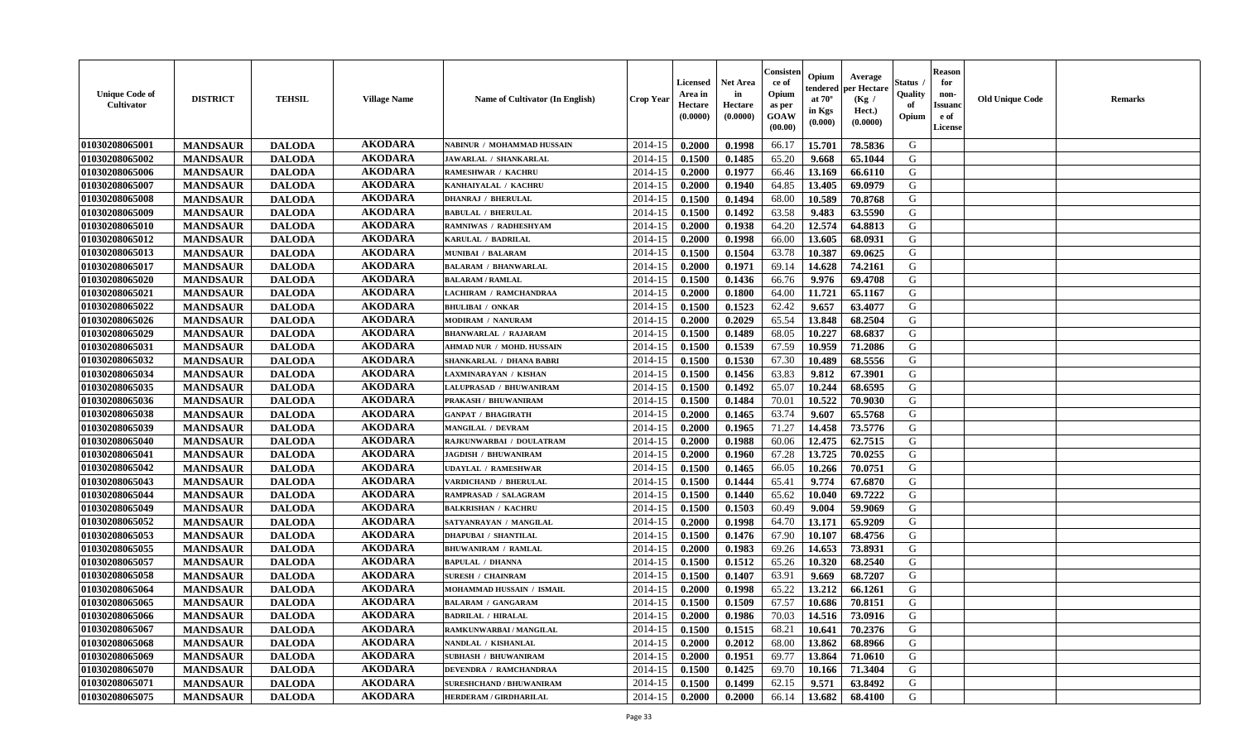| <b>Unique Code of</b><br><b>Cultivator</b> | <b>DISTRICT</b> | <b>TEHSIL</b> | <b>Village Name</b> | <b>Name of Cultivator (In English)</b> | <b>Crop Year</b> | <b>Licensed</b><br>Area in<br>Hectare<br>(0.0000) | Net Area<br>in<br>Hectare<br>(0.0000) | Consisteı<br>ce of<br>Opium<br>as per<br>GOAW<br>(00.00) | Opium<br>endered<br>at $70^\circ$<br>in Kgs<br>(0.000) | Average<br>per Hectare<br>(Kg /<br>Hect.)<br>(0.0000) | Status<br>Quality<br>of<br>Opium | <b>Reason</b><br>for<br>non-<br><b>Issuand</b><br>e of<br>License | <b>Old Unique Code</b> | Remarks |
|--------------------------------------------|-----------------|---------------|---------------------|----------------------------------------|------------------|---------------------------------------------------|---------------------------------------|----------------------------------------------------------|--------------------------------------------------------|-------------------------------------------------------|----------------------------------|-------------------------------------------------------------------|------------------------|---------|
| 01030208065001                             | <b>MANDSAUR</b> | <b>DALODA</b> | <b>AKODARA</b>      | NABINUR / MOHAMMAD HUSSAIN             | 2014-15          | 0.2000                                            | 0.1998                                | 66.17                                                    | 15.701                                                 | 78.5836                                               | G                                |                                                                   |                        |         |
| 01030208065002                             | <b>MANDSAUR</b> | <b>DALODA</b> | <b>AKODARA</b>      | JAWARLAL / SHANKARLAL                  | 2014-15          | 0.1500                                            | 0.1485                                | 65.20                                                    | 9.668                                                  | 65.1044                                               | G                                |                                                                   |                        |         |
| 01030208065006                             | <b>MANDSAUR</b> | <b>DALODA</b> | <b>AKODARA</b>      | <b>RAMESHWAR / KACHRU</b>              | 2014-15          | 0.2000                                            | 0.1977                                | 66.46                                                    | 13.169                                                 | 66.6110                                               | G                                |                                                                   |                        |         |
| 01030208065007                             | <b>MANDSAUR</b> | <b>DALODA</b> | <b>AKODARA</b>      | KANHAIYALAL / KACHRU                   | 2014-15          | 0.2000                                            | 0.1940                                | 64.85                                                    | 13.405                                                 | 69.0979                                               | G                                |                                                                   |                        |         |
| 01030208065008                             | <b>MANDSAUR</b> | <b>DALODA</b> | <b>AKODARA</b>      | <b>DHANRAJ / BHERULAL</b>              | 2014-15          | 0.1500                                            | 0.1494                                | 68.00                                                    | 10.589                                                 | 70.8768                                               | G                                |                                                                   |                        |         |
| 01030208065009                             | <b>MANDSAUR</b> | <b>DALODA</b> | <b>AKODARA</b>      | <b>BABULAL / BHERULAL</b>              | 2014-15          | 0.1500                                            | 0.1492                                | 63.58                                                    | 9.483                                                  | 63.5590                                               | G                                |                                                                   |                        |         |
| 01030208065010                             | <b>MANDSAUR</b> | <b>DALODA</b> | <b>AKODARA</b>      | RAMNIWAS / RADHESHYAM                  | 2014-15          | 0.2000                                            | 0.1938                                | 64.20                                                    | 12.574                                                 | 64.8813                                               | G                                |                                                                   |                        |         |
| 01030208065012                             | <b>MANDSAUR</b> | <b>DALODA</b> | <b>AKODARA</b>      | KARULAL / BADRILAL                     | 2014-15          | 0.2000                                            | 0.1998                                | 66.00                                                    | 13.605                                                 | 68.0931                                               | G                                |                                                                   |                        |         |
| 01030208065013                             | <b>MANDSAUR</b> | <b>DALODA</b> | <b>AKODARA</b>      | <b>MUNIBAI / BALARAM</b>               | 2014-15          | 0.1500                                            | 0.1504                                | 63.78                                                    | 10.387                                                 | 69.0625                                               | G                                |                                                                   |                        |         |
| 01030208065017                             | <b>MANDSAUR</b> | <b>DALODA</b> | <b>AKODARA</b>      | <b>BALARAM / BHANWARLAL</b>            | 2014-15          | 0.2000                                            | 0.1971                                | 69.14                                                    | 14.628                                                 | 74.2161                                               | G                                |                                                                   |                        |         |
| 01030208065020                             | <b>MANDSAUR</b> | <b>DALODA</b> | <b>AKODARA</b>      | <b>BALARAM / RAMLAL</b>                | 2014-15          | 0.1500                                            | 0.1436                                | 66.76                                                    | 9.976                                                  | 69.4708                                               | G                                |                                                                   |                        |         |
| 01030208065021                             | <b>MANDSAUR</b> | <b>DALODA</b> | <b>AKODARA</b>      | <b>LACHIRAM / RAMCHANDRAA</b>          | 2014-15          | 0.2000                                            | 0.1800                                | 64.00                                                    | 11.721                                                 | 65.1167                                               | G                                |                                                                   |                        |         |
| 01030208065022                             | <b>MANDSAUR</b> | <b>DALODA</b> | <b>AKODARA</b>      | <b>BHULIBAI / ONKAR</b>                | 2014-15          | 0.1500                                            | 0.1523                                | 62.42                                                    | 9.657                                                  | 63.4077                                               | G                                |                                                                   |                        |         |
| 01030208065026                             | <b>MANDSAUR</b> | <b>DALODA</b> | <b>AKODARA</b>      | <b>MODIRAM / NANURAM</b>               | 2014-15          | 0.2000                                            | 0.2029                                | 65.54                                                    | 13.848                                                 | 68.2504                                               | G                                |                                                                   |                        |         |
| 01030208065029                             | <b>MANDSAUR</b> | <b>DALODA</b> | <b>AKODARA</b>      | <b>BHANWARLAL / RAJARAM</b>            | 2014-15          | 0.1500                                            | 0.1489                                | 68.05                                                    | 10.227                                                 | 68.6837                                               | $\mathbf G$                      |                                                                   |                        |         |
| 01030208065031                             | <b>MANDSAUR</b> | <b>DALODA</b> | <b>AKODARA</b>      | AHMAD NUR / MOHD. HUSSAIN              | 2014-15          | 0.1500                                            | 0.1539                                | 67.59                                                    | 10.959                                                 | 71.2086                                               | G                                |                                                                   |                        |         |
| 01030208065032                             | <b>MANDSAUR</b> | <b>DALODA</b> | <b>AKODARA</b>      | SHANKARLAL / DHANA BABRI               | 2014-15          | 0.1500                                            | 0.1530                                | 67.30                                                    | 10.489                                                 | 68.5556                                               | G                                |                                                                   |                        |         |
| 01030208065034                             | <b>MANDSAUR</b> | <b>DALODA</b> | <b>AKODARA</b>      | LAXMINARAYAN / KISHAN                  | 2014-15          | 0.1500                                            | 0.1456                                | 63.83                                                    | 9.812                                                  | 67.3901                                               | G                                |                                                                   |                        |         |
| 01030208065035                             | <b>MANDSAUR</b> | <b>DALODA</b> | <b>AKODARA</b>      | LALUPRASAD / BHUWANIRAM                | 2014-15          | 0.1500                                            | 0.1492                                | 65.07                                                    | 10.244                                                 | 68.6595                                               | G                                |                                                                   |                        |         |
| 01030208065036                             | <b>MANDSAUR</b> | <b>DALODA</b> | <b>AKODARA</b>      | PRAKASH / BHUWANIRAM                   | 2014-15          | 0.1500                                            | 0.1484                                | 70.01                                                    | 10.522                                                 | 70.9030                                               | G                                |                                                                   |                        |         |
| 01030208065038                             | <b>MANDSAUR</b> | <b>DALODA</b> | <b>AKODARA</b>      | <b>GANPAT / BHAGIRATH</b>              | 2014-15          | 0.2000                                            | 0.1465                                | 63.74                                                    | 9.607                                                  | 65.5768                                               | G                                |                                                                   |                        |         |
| 01030208065039                             | <b>MANDSAUR</b> | <b>DALODA</b> | <b>AKODARA</b>      | <b>MANGILAL / DEVRAM</b>               | 2014-15          | 0.2000                                            | 0.1965                                | 71.27                                                    | 14.458                                                 | 73.5776                                               | G                                |                                                                   |                        |         |
| 01030208065040                             | <b>MANDSAUR</b> | <b>DALODA</b> | <b>AKODARA</b>      | RAJKUNWARBAI / DOULATRAM               | 2014-15          | 0.2000                                            | 0.1988                                | 60.06                                                    | 12.475                                                 | 62.7515                                               | G                                |                                                                   |                        |         |
| 01030208065041                             | <b>MANDSAUR</b> | <b>DALODA</b> | <b>AKODARA</b>      | <b>JAGDISH / BHUWANIRAM</b>            | 2014-15          | 0.2000                                            | 0.1960                                | 67.28                                                    | 13.725                                                 | 70.0255                                               | G                                |                                                                   |                        |         |
| 01030208065042                             | <b>MANDSAUR</b> | <b>DALODA</b> | <b>AKODARA</b>      | <b>UDAYLAL / RAMESHWAR</b>             | 2014-15          | 0.1500                                            | 0.1465                                | 66.05                                                    | 10.266                                                 | 70.0751                                               | G                                |                                                                   |                        |         |
| 01030208065043                             | <b>MANDSAUR</b> | <b>DALODA</b> | <b>AKODARA</b>      | VARDICHAND / BHERULAL                  | 2014-15          | 0.1500                                            | 0.1444                                | 65.41                                                    | 9.774                                                  | 67.6870                                               | G                                |                                                                   |                        |         |
| 01030208065044                             | <b>MANDSAUR</b> | <b>DALODA</b> | <b>AKODARA</b>      | RAMPRASAD / SALAGRAM                   | 2014-15          | 0.1500                                            | 0.1440                                | 65.62                                                    | 10.040                                                 | 69.7222                                               | G                                |                                                                   |                        |         |
| 01030208065049                             | <b>MANDSAUR</b> | <b>DALODA</b> | <b>AKODARA</b>      | <b>BALKRISHAN / KACHRU</b>             | 2014-15          | 0.1500                                            | 0.1503                                | 60.49                                                    | 9.004                                                  | 59.9069                                               | G                                |                                                                   |                        |         |
| 01030208065052                             | <b>MANDSAUR</b> | <b>DALODA</b> | <b>AKODARA</b>      | SATYANRAYAN / MANGILAL                 | 2014-15          | 0.2000                                            | 0.1998                                | 64.70                                                    | 13.171                                                 | 65.9209                                               | G                                |                                                                   |                        |         |
| 01030208065053                             | <b>MANDSAUR</b> | <b>DALODA</b> | <b>AKODARA</b>      | <b>DHAPUBAI / SHANTILAL</b>            | 2014-15          | 0.1500                                            | 0.1476                                | 67.90                                                    | 10.107                                                 | 68.4756                                               | G                                |                                                                   |                        |         |
| 01030208065055                             | <b>MANDSAUR</b> | <b>DALODA</b> | <b>AKODARA</b>      | <b>BHUWANIRAM / RAMLAL</b>             | 2014-15          | 0.2000                                            | 0.1983                                | 69.26                                                    | 14.653                                                 | 73.8931                                               | G                                |                                                                   |                        |         |
| 01030208065057                             | <b>MANDSAUR</b> | <b>DALODA</b> | <b>AKODARA</b>      | <b>BAPULAL / DHANNA</b>                | 2014-15          | 0.1500                                            | 0.1512                                | 65.26                                                    | 10.320                                                 | 68.2540                                               | G                                |                                                                   |                        |         |
| 01030208065058                             | <b>MANDSAUR</b> | <b>DALODA</b> | <b>AKODARA</b>      | <b>SURESH / CHAINRAM</b>               | 2014-15          | 0.1500                                            | 0.1407                                | 63.91                                                    | 9.669                                                  | 68.7207                                               | G                                |                                                                   |                        |         |
| 01030208065064                             | <b>MANDSAUR</b> | <b>DALODA</b> | <b>AKODARA</b>      | MOHAMMAD HUSSAIN / ISMAIL              | 2014-15          | 0.2000                                            | 0.1998                                | 65.22                                                    | 13.212                                                 | 66.1261                                               | G                                |                                                                   |                        |         |
| 01030208065065                             | <b>MANDSAUR</b> | <b>DALODA</b> | <b>AKODARA</b>      | <b>BALARAM / GANGARAM</b>              | 2014-15          | 0.1500                                            | 0.1509                                | 67.57                                                    | 10.686                                                 | 70.8151                                               | G                                |                                                                   |                        |         |
| 01030208065066                             | <b>MANDSAUR</b> | <b>DALODA</b> | <b>AKODARA</b>      | <b>BADRILAL / HIRALAL</b>              | 2014-15          | 0.2000                                            | 0.1986                                | 70.03                                                    | 14.516                                                 | 73.0916                                               | G                                |                                                                   |                        |         |
| 01030208065067                             | <b>MANDSAUR</b> | <b>DALODA</b> | <b>AKODARA</b>      | RAMKUNWARBAI / MANGILAL                | 2014-15          | 0.1500                                            | 0.1515                                | 68.21                                                    | 10.641                                                 | 70.2376                                               | G                                |                                                                   |                        |         |
| 01030208065068                             | <b>MANDSAUR</b> | <b>DALODA</b> | <b>AKODARA</b>      | NANDLAL / KISHANLAL                    | 2014-15          | 0.2000                                            | 0.2012                                | 68.00                                                    | 13.862                                                 | 68.8966                                               | G                                |                                                                   |                        |         |
| 01030208065069                             | <b>MANDSAUR</b> | <b>DALODA</b> | <b>AKODARA</b>      | <b>SUBHASH / BHUWANIRAM</b>            | 2014-15          | 0.2000                                            | 0.1951                                | 69.77                                                    | 13.864                                                 | 71.0610                                               | G                                |                                                                   |                        |         |
| 01030208065070                             | <b>MANDSAUR</b> | <b>DALODA</b> | <b>AKODARA</b>      | <b>DEVENDRA / RAMCHANDRAA</b>          | 2014-15          | 0.1500                                            | 0.1425                                | 69.70                                                    | 10.166                                                 | 71.3404                                               | ${\bf G}$                        |                                                                   |                        |         |
| 01030208065071                             | <b>MANDSAUR</b> | <b>DALODA</b> | <b>AKODARA</b>      | <b>SURESHCHAND / BHUWANIRAM</b>        | 2014-15          | 0.1500                                            | 0.1499                                | 62.15                                                    | 9.571                                                  | 63.8492                                               | G                                |                                                                   |                        |         |
| 01030208065075                             | <b>MANDSAUR</b> | <b>DALODA</b> | <b>AKODARA</b>      | HERDERAM / GIRDHARILAL                 | 2014-15          | 0.2000                                            | 0.2000                                | 66.14                                                    | 13.682                                                 | 68.4100                                               | G                                |                                                                   |                        |         |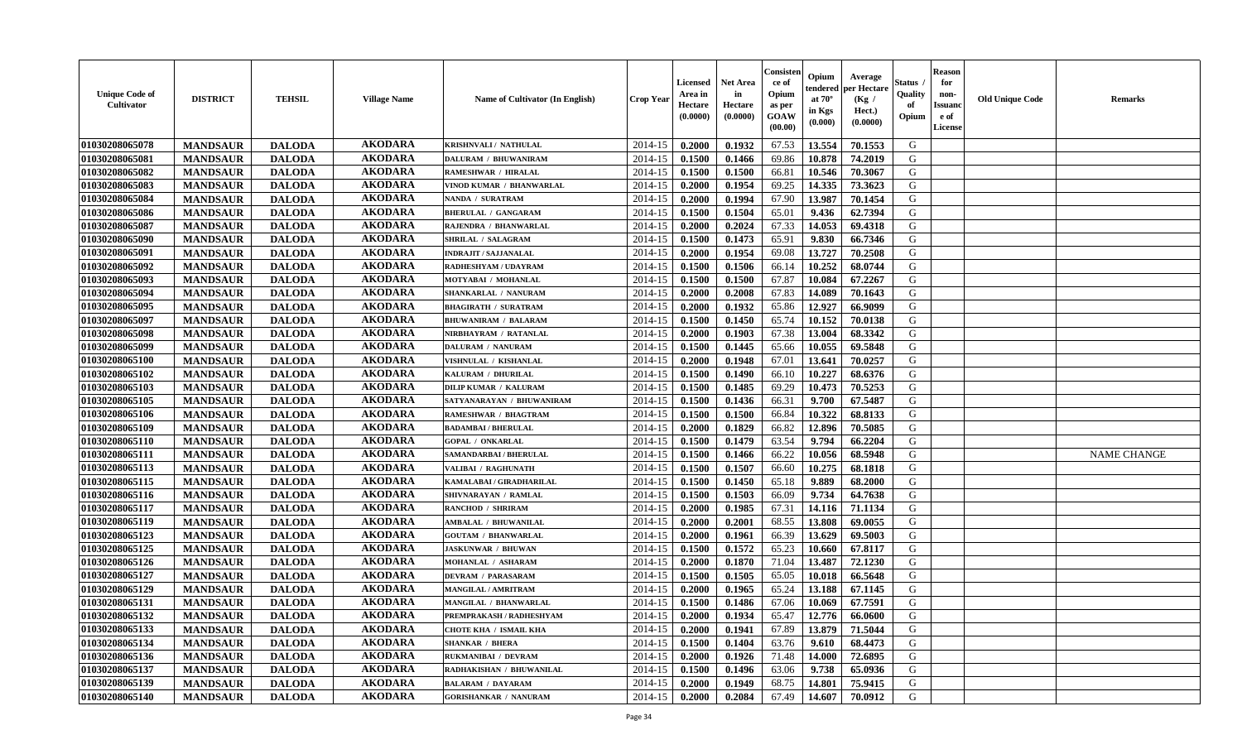| <b>Unique Code of</b><br><b>Cultivator</b> | <b>DISTRICT</b> | <b>TEHSIL</b> | <b>Village Name</b> | <b>Name of Cultivator (In English)</b> | <b>Crop Year</b> | <b>Licensed</b><br>Area in<br>Hectare<br>(0.0000) | <b>Net Area</b><br>in<br>Hectare<br>(0.0000) | Consister<br>ce of<br>Opium<br>as per<br><b>GOAW</b><br>(00.00) | Opium<br>Average<br>per Hectare<br>endered<br>at $70^\circ$<br>(Kg /<br>in Kgs<br>Hect.)<br>(0.0000)<br>(0.000) | Status<br>Quality<br>of<br>Opium | <b>Reason</b><br>for<br>non-<br><b>Issuano</b><br>e of<br>License | <b>Old Unique Code</b> | <b>Remarks</b>     |
|--------------------------------------------|-----------------|---------------|---------------------|----------------------------------------|------------------|---------------------------------------------------|----------------------------------------------|-----------------------------------------------------------------|-----------------------------------------------------------------------------------------------------------------|----------------------------------|-------------------------------------------------------------------|------------------------|--------------------|
| 01030208065078                             | <b>MANDSAUR</b> | <b>DALODA</b> | <b>AKODARA</b>      | KRISHNVALI / NATHULAL                  | 2014-15          | 0.2000                                            | 0.1932                                       | 67.53                                                           | 13.554<br>70.1553                                                                                               | G                                |                                                                   |                        |                    |
| 01030208065081                             | <b>MANDSAUR</b> | <b>DALODA</b> | <b>AKODARA</b>      | <b>DALURAM / BHUWANIRAM</b>            | 2014-15          | 0.1500                                            | 0.1466                                       | 69.86                                                           | 10.878<br>74.2019                                                                                               | G                                |                                                                   |                        |                    |
| 01030208065082                             | <b>MANDSAUR</b> | <b>DALODA</b> | <b>AKODARA</b>      | RAMESHWAR / HIRALAL                    | 2014-15          | 0.1500                                            | 0.1500                                       | 66.81                                                           | 10.546<br>70.3067                                                                                               | G                                |                                                                   |                        |                    |
| 01030208065083                             | <b>MANDSAUR</b> | <b>DALODA</b> | <b>AKODARA</b>      | VINOD KUMAR / BHANWARLAL               | 2014-15          | 0.2000                                            | 0.1954                                       | 69.25                                                           | 14.335<br>73.3623                                                                                               | G                                |                                                                   |                        |                    |
| 01030208065084                             | <b>MANDSAUR</b> | <b>DALODA</b> | <b>AKODARA</b>      | NANDA / SURATRAM                       | 2014-15          | 0.2000                                            | 0.1994                                       | 67.90                                                           | 13.987<br>70.1454                                                                                               | G                                |                                                                   |                        |                    |
| 01030208065086                             | <b>MANDSAUR</b> | <b>DALODA</b> | <b>AKODARA</b>      | <b>BHERULAL / GANGARAM</b>             | 2014-15          | 0.1500                                            | 0.1504                                       | 65.01                                                           | 9.436<br>62.7394                                                                                                | G                                |                                                                   |                        |                    |
| 01030208065087                             | <b>MANDSAUR</b> | <b>DALODA</b> | <b>AKODARA</b>      | RAJENDRA / BHANWARLAL                  | 2014-15          | 0.2000                                            | 0.2024                                       | 67.33                                                           | 14.053<br>69.4318                                                                                               | G                                |                                                                   |                        |                    |
| 01030208065090                             | <b>MANDSAUR</b> | <b>DALODA</b> | <b>AKODARA</b>      | <b>SHRILAL / SALAGRAM</b>              | 2014-15          | 0.1500                                            | 0.1473                                       | 65.91                                                           | 9.830<br>66.7346                                                                                                | G                                |                                                                   |                        |                    |
| 01030208065091                             | <b>MANDSAUR</b> | <b>DALODA</b> | <b>AKODARA</b>      | <b>INDRAJIT / SAJJANALAL</b>           | 2014-15          | 0.2000                                            | 0.1954                                       | 69.08                                                           | 13.727<br>70.2508                                                                                               | G                                |                                                                   |                        |                    |
| 01030208065092                             | <b>MANDSAUR</b> | <b>DALODA</b> | <b>AKODARA</b>      | RADHESHYAM / UDAYRAM                   | 2014-15          | 0.1500                                            | 0.1506                                       | 66.14                                                           | 10.252<br>68.0744                                                                                               | G                                |                                                                   |                        |                    |
| 01030208065093                             | <b>MANDSAUR</b> | <b>DALODA</b> | <b>AKODARA</b>      | MOTYABAI / MOHANLAL                    | 2014-15          | 0.1500                                            | 0.1500                                       | 67.87                                                           | 10.084<br>67.2267                                                                                               | G                                |                                                                   |                        |                    |
| 01030208065094                             | <b>MANDSAUR</b> | <b>DALODA</b> | <b>AKODARA</b>      | SHANKARLAL / NANURAM                   | 2014-15          | 0.2000                                            | 0.2008                                       | 67.83                                                           | 14.089<br>70.1643                                                                                               | G                                |                                                                   |                        |                    |
| 01030208065095                             | <b>MANDSAUR</b> | <b>DALODA</b> | <b>AKODARA</b>      | <b>BHAGIRATH / SURATRAM</b>            | 2014-15          | 0.2000                                            | 0.1932                                       | 65.86                                                           | 12.927<br>66.9099                                                                                               | G                                |                                                                   |                        |                    |
| 01030208065097                             | <b>MANDSAUR</b> | <b>DALODA</b> | <b>AKODARA</b>      | <b>BHUWANIRAM / BALARAM</b>            | 2014-15          | 0.1500                                            | 0.1450                                       | 65.74                                                           | 10.152<br>70.0138                                                                                               | G                                |                                                                   |                        |                    |
| 01030208065098                             | <b>MANDSAUR</b> | <b>DALODA</b> | <b>AKODARA</b>      | NIRBHAYRAM / RATANLAL                  | 2014-15          | 0.2000                                            | 0.1903                                       | 67.38                                                           | 13.004<br>68.3342                                                                                               | G                                |                                                                   |                        |                    |
| 01030208065099                             | <b>MANDSAUR</b> | <b>DALODA</b> | <b>AKODARA</b>      | DALURAM / NANURAM                      | 2014-15          | 0.1500                                            | 0.1445                                       | 65.66                                                           | 69.5848<br>10.055                                                                                               | G                                |                                                                   |                        |                    |
| 01030208065100                             | <b>MANDSAUR</b> | <b>DALODA</b> | <b>AKODARA</b>      | VISHNULAL / KISHANLAL                  | 2014-15          | 0.2000                                            | 0.1948                                       | 67.01                                                           | 13.641<br>70.0257                                                                                               | G                                |                                                                   |                        |                    |
| 01030208065102                             | <b>MANDSAUR</b> | <b>DALODA</b> | <b>AKODARA</b>      | KALURAM / DHURILAL                     | 2014-15          | 0.1500                                            | 0.1490                                       | 66.10                                                           | 10.227<br>68.6376                                                                                               | G                                |                                                                   |                        |                    |
| 01030208065103                             | <b>MANDSAUR</b> | <b>DALODA</b> | <b>AKODARA</b>      | <b>DILIP KUMAR / KALURAM</b>           | 2014-15          | 0.1500                                            | 0.1485                                       | 69.29                                                           | 10.473<br>70.5253                                                                                               | G                                |                                                                   |                        |                    |
| 01030208065105                             | <b>MANDSAUR</b> | <b>DALODA</b> | <b>AKODARA</b>      | SATYANARAYAN / BHUWANIRAM              | 2014-15          | 0.1500                                            | 0.1436                                       | 66.31                                                           | 9.700<br>67.5487                                                                                                | G                                |                                                                   |                        |                    |
| 01030208065106                             | <b>MANDSAUR</b> | <b>DALODA</b> | <b>AKODARA</b>      | RAMESHWAR / BHAGTRAM                   | 2014-15          | 0.1500                                            | 0.1500                                       | 66.84                                                           | 10.322<br>68.8133                                                                                               | G                                |                                                                   |                        |                    |
| 01030208065109                             | <b>MANDSAUR</b> | <b>DALODA</b> | <b>AKODARA</b>      | <b>BADAMBAI / BHERULAL</b>             | 2014-15          | 0.2000                                            | 0.1829                                       | 66.82                                                           | 12.896<br>70.5085                                                                                               | G                                |                                                                   |                        |                    |
| 01030208065110                             | <b>MANDSAUR</b> | <b>DALODA</b> | <b>AKODARA</b>      | <b>GOPAL / ONKARLAL</b>                | 2014-15          | 0.1500                                            | 0.1479                                       | 63.54                                                           | 9.794<br>66.2204                                                                                                | G                                |                                                                   |                        |                    |
| 01030208065111                             | <b>MANDSAUR</b> | <b>DALODA</b> | <b>AKODARA</b>      | SAMANDARBAI / BHERULAL                 | 2014-15          | 0.1500                                            | 0.1466                                       | 66.22                                                           | 10.056<br>68.5948                                                                                               | G                                |                                                                   |                        | <b>NAME CHANGE</b> |
| 01030208065113                             | <b>MANDSAUR</b> | <b>DALODA</b> | <b>AKODARA</b>      | VALIBAI / RAGHUNATH                    | 2014-15          | 0.1500                                            | 0.1507                                       | 66.60                                                           | 10.275<br>68.1818                                                                                               | G                                |                                                                   |                        |                    |
| 01030208065115                             | <b>MANDSAUR</b> | <b>DALODA</b> | <b>AKODARA</b>      | KAMALABAI / GIRADHARILAL               | 2014-15          | 0.1500                                            | 0.1450                                       | 65.18                                                           | 9.889<br>68.2000                                                                                                | G                                |                                                                   |                        |                    |
| 01030208065116                             | <b>MANDSAUR</b> | <b>DALODA</b> | <b>AKODARA</b>      | SHIVNARAYAN / RAMLAL                   | 2014-15          | 0.1500                                            | 0.1503                                       | 66.09                                                           | 9.734<br>64.7638                                                                                                | G                                |                                                                   |                        |                    |
| 01030208065117                             | <b>MANDSAUR</b> | <b>DALODA</b> | <b>AKODARA</b>      | <b>RANCHOD / SHRIRAM</b>               | 2014-15          | 0.2000                                            | 0.1985                                       | 67.31                                                           | 14.116<br>71.1134                                                                                               | G                                |                                                                   |                        |                    |
| 01030208065119                             | <b>MANDSAUR</b> | <b>DALODA</b> | <b>AKODARA</b>      | AMBALAL / BHUWANILAL                   | 2014-15          | 0.2000                                            | 0.2001                                       | 68.55                                                           | 13.808<br>69.0055                                                                                               | G                                |                                                                   |                        |                    |
| 01030208065123                             | <b>MANDSAUR</b> | <b>DALODA</b> | <b>AKODARA</b>      | <b>GOUTAM / BHANWARLAL</b>             | 2014-15          | 0.2000                                            | 0.1961                                       | 66.39                                                           | 13.629<br>69.5003                                                                                               | G                                |                                                                   |                        |                    |
| 01030208065125                             | <b>MANDSAUR</b> | <b>DALODA</b> | <b>AKODARA</b>      | <b>JASKUNWAR / BHUWAN</b>              | 2014-15          | 0.1500                                            | 0.1572                                       | 65.23                                                           | 67.8117<br>10.660                                                                                               | G                                |                                                                   |                        |                    |
| 01030208065126                             | <b>MANDSAUR</b> | <b>DALODA</b> | <b>AKODARA</b>      | MOHANLAL / ASHARAM                     | 2014-15          | 0.2000                                            | 0.1870                                       | 71.04                                                           | 13.487<br>72.1230                                                                                               | G                                |                                                                   |                        |                    |
| 01030208065127                             | <b>MANDSAUR</b> | <b>DALODA</b> | <b>AKODARA</b>      | <b>DEVRAM / PARASARAM</b>              | 2014-15          | 0.1500                                            | 0.1505                                       | 65.05                                                           | 10.018<br>66.5648                                                                                               | G                                |                                                                   |                        |                    |
| 01030208065129                             | <b>MANDSAUR</b> | <b>DALODA</b> | <b>AKODARA</b>      | MANGILAL / AMRITRAM                    | 2014-15          | 0.2000                                            | 0.1965                                       | 65.24                                                           | 13.188<br>67.1145                                                                                               | G                                |                                                                   |                        |                    |
| 01030208065131                             | <b>MANDSAUR</b> | <b>DALODA</b> | <b>AKODARA</b>      | MANGILAL / BHANWARLAL                  | 2014-15          | 0.1500                                            | 0.1486                                       | 67.06                                                           | 67.7591<br>10.069                                                                                               | G                                |                                                                   |                        |                    |
| 01030208065132                             | <b>MANDSAUR</b> | <b>DALODA</b> | <b>AKODARA</b>      | PREMPRAKASH / RADHESHYAM               | $2014-15$ 0.2000 |                                                   | 0.1934                                       | 65.47                                                           | 12.776<br>66.0600                                                                                               | G                                |                                                                   |                        |                    |
| 01030208065133                             | <b>MANDSAUR</b> | <b>DALODA</b> | <b>AKODARA</b>      | <b>CHOTE KHA / ISMAIL KHA</b>          | 2014-15          | 0.2000                                            | 0.1941                                       | 67.89                                                           | 13.879<br>71.5044                                                                                               | G                                |                                                                   |                        |                    |
| 01030208065134                             | <b>MANDSAUR</b> | <b>DALODA</b> | <b>AKODARA</b>      | <b>SHANKAR / BHERA</b>                 | 2014-15          | 0.1500                                            | 0.1404                                       | 63.76                                                           | 68.4473<br>9.610                                                                                                | G                                |                                                                   |                        |                    |
| 01030208065136                             | <b>MANDSAUR</b> | <b>DALODA</b> | <b>AKODARA</b>      | RUKMANIBAI / DEVRAM                    | 2014-15          | 0.2000                                            | 0.1926                                       | 71.48                                                           | 14.000<br>72.6895                                                                                               | G                                |                                                                   |                        |                    |
| 01030208065137                             | <b>MANDSAUR</b> | <b>DALODA</b> | <b>AKODARA</b>      | RADHAKISHAN / BHUWANILAL               | 2014-15          | 0.1500                                            | 0.1496                                       | 63.06                                                           | 9.738<br>65.0936                                                                                                | G                                |                                                                   |                        |                    |
| 01030208065139                             | <b>MANDSAUR</b> | <b>DALODA</b> | <b>AKODARA</b>      | <b>BALARAM / DAYARAM</b>               | 2014-15          | 0.2000                                            | 0.1949                                       | 68.75                                                           | 75.9415<br>14.801                                                                                               | G                                |                                                                   |                        |                    |
| 01030208065140                             | <b>MANDSAUR</b> | <b>DALODA</b> | <b>AKODARA</b>      | <b>GORISHANKAR / NANURAM</b>           | $2014-15$        | 0.2000                                            | 0.2084                                       | 67.49                                                           | 14.607<br>70.0912                                                                                               | G                                |                                                                   |                        |                    |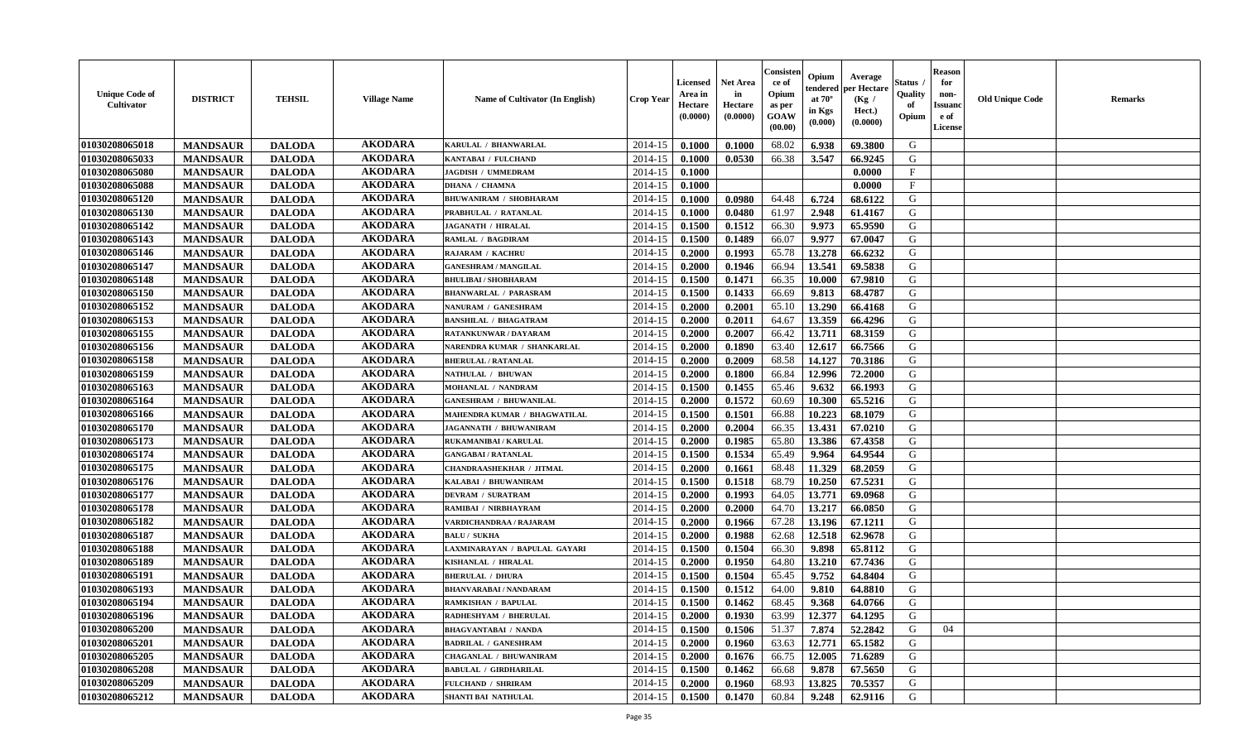| <b>Unique Code of</b><br><b>Cultivator</b> | <b>DISTRICT</b> | <b>TEHSIL</b> | <b>Village Name</b> | Name of Cultivator (In English) | <b>Crop Year</b> | <b>Licensed</b><br>Area in<br>Hectare<br>(0.0000) | Net Area<br>in<br>Hectare<br>(0.0000) | Consisteı<br>ce of<br>Opium<br>as per<br>GOAW<br>(00.00) | Opium<br>endered<br>at $70^\circ$<br>in Kgs<br>(0.000) | Average<br>per Hectare<br>(Kg /<br>Hect.)<br>(0.0000) | Status<br>Quality<br>of<br>Opium | <b>Reason</b><br>for<br>non-<br><b>Issuand</b><br>e of<br>License | <b>Old Unique Code</b> | Remarks |
|--------------------------------------------|-----------------|---------------|---------------------|---------------------------------|------------------|---------------------------------------------------|---------------------------------------|----------------------------------------------------------|--------------------------------------------------------|-------------------------------------------------------|----------------------------------|-------------------------------------------------------------------|------------------------|---------|
| 01030208065018                             | <b>MANDSAUR</b> | <b>DALODA</b> | <b>AKODARA</b>      | KARULAL / BHANWARLAL            | 2014-15          | 0.1000                                            | 0.1000                                | 68.02                                                    | 6.938                                                  | 69.3800                                               | G                                |                                                                   |                        |         |
| 01030208065033                             | <b>MANDSAUR</b> | <b>DALODA</b> | <b>AKODARA</b>      | KANTABAI / FULCHAND             | 2014-15          | 0.1000                                            | 0.0530                                | 66.38                                                    | 3.547                                                  | 66.9245                                               | G                                |                                                                   |                        |         |
| 01030208065080                             | <b>MANDSAUR</b> | <b>DALODA</b> | <b>AKODARA</b>      | <b>JAGDISH / UMMEDRAM</b>       | 2014-15          | 0.1000                                            |                                       |                                                          |                                                        | 0.0000                                                | $\mathbf{F}$                     |                                                                   |                        |         |
| 01030208065088                             | <b>MANDSAUR</b> | <b>DALODA</b> | <b>AKODARA</b>      | <b>DHANA / CHAMNA</b>           | 2014-15          | 0.1000                                            |                                       |                                                          |                                                        | 0.0000                                                | $\mathbf{F}$                     |                                                                   |                        |         |
| 01030208065120                             | <b>MANDSAUR</b> | <b>DALODA</b> | <b>AKODARA</b>      | <b>BHUWANIRAM / SHOBHARAM</b>   | 2014-15          | 0.1000                                            | 0.0980                                | 64.48                                                    | 6.724                                                  | 68.6122                                               | G                                |                                                                   |                        |         |
| 01030208065130                             | <b>MANDSAUR</b> | <b>DALODA</b> | <b>AKODARA</b>      | PRABHULAL / RATANLAL            | 2014-15          | 0.1000                                            | 0.0480                                | 61.97                                                    | 2.948                                                  | 61.4167                                               | G                                |                                                                   |                        |         |
| 01030208065142                             | <b>MANDSAUR</b> | <b>DALODA</b> | <b>AKODARA</b>      | <b>JAGANATH / HIRALAL</b>       | 2014-15          | 0.1500                                            | 0.1512                                | 66.30                                                    | 9.973                                                  | 65.9590                                               | G                                |                                                                   |                        |         |
| 01030208065143                             | <b>MANDSAUR</b> | <b>DALODA</b> | <b>AKODARA</b>      | RAMLAL / BAGDIRAM               | 2014-15          | 0.1500                                            | 0.1489                                | 66.07                                                    | 9.977                                                  | 67.0047                                               | G                                |                                                                   |                        |         |
| 01030208065146                             | <b>MANDSAUR</b> | <b>DALODA</b> | <b>AKODARA</b>      | <b>RAJARAM / KACHRU</b>         | 2014-15          | 0.2000                                            | 0.1993                                | 65.78                                                    | 13.278                                                 | 66.6232                                               | G                                |                                                                   |                        |         |
| 01030208065147                             | <b>MANDSAUR</b> | <b>DALODA</b> | <b>AKODARA</b>      | <b>GANESHRAM / MANGILAL</b>     | 2014-15          | 0.2000                                            | 0.1946                                | 66.94                                                    | 13.541                                                 | 69.5838                                               | G                                |                                                                   |                        |         |
| 01030208065148                             | <b>MANDSAUR</b> | <b>DALODA</b> | <b>AKODARA</b>      | <b>BHULIBAI / SHOBHARAM</b>     | 2014-15          | 0.1500                                            | 0.1471                                | 66.35                                                    | 10.000                                                 | 67.9810                                               | G                                |                                                                   |                        |         |
| 01030208065150                             | <b>MANDSAUR</b> | <b>DALODA</b> | <b>AKODARA</b>      | <b>BHANWARLAL / PARASRAM</b>    | 2014-15          | 0.1500                                            | 0.1433                                | 66.69                                                    | 9.813                                                  | 68.4787                                               | G                                |                                                                   |                        |         |
| 01030208065152                             | <b>MANDSAUR</b> | <b>DALODA</b> | <b>AKODARA</b>      | <b>NANURAM / GANESHRAM</b>      | 2014-15          | 0.2000                                            | 0.2001                                | 65.10                                                    | 13.290                                                 | 66.4168                                               | G                                |                                                                   |                        |         |
| 01030208065153                             | <b>MANDSAUR</b> | <b>DALODA</b> | <b>AKODARA</b>      | <b>BANSHILAL / BHAGATRAM</b>    | 2014-15          | 0.2000                                            | 0.2011                                | 64.67                                                    | 13.359                                                 | 66.4296                                               | G                                |                                                                   |                        |         |
| 01030208065155                             | <b>MANDSAUR</b> | <b>DALODA</b> | <b>AKODARA</b>      | RATANKUNWAR / DAYARAM           | 2014-15          | 0.2000                                            | 0.2007                                | 66.42                                                    | 13.711                                                 | 68.3159                                               | $\mathbf G$                      |                                                                   |                        |         |
| 01030208065156                             | <b>MANDSAUR</b> | <b>DALODA</b> | <b>AKODARA</b>      | NARENDRA KUMAR / SHANKARLAL     | 2014-15          | 0.2000                                            | 0.1890                                | 63.40                                                    | 12.617                                                 | 66.7566                                               | G                                |                                                                   |                        |         |
| 01030208065158                             | <b>MANDSAUR</b> | <b>DALODA</b> | <b>AKODARA</b>      | <b>BHERULAL / RATANLAL</b>      | 2014-15          | 0.2000                                            | 0.2009                                | 68.58                                                    | 14.127                                                 | 70.3186                                               | G                                |                                                                   |                        |         |
| 01030208065159                             | <b>MANDSAUR</b> | <b>DALODA</b> | <b>AKODARA</b>      | NATHULAL / BHUWAN               | 2014-15          | 0.2000                                            | 0.1800                                | 66.84                                                    | 12.996                                                 | 72.2000                                               | G                                |                                                                   |                        |         |
| 01030208065163                             | <b>MANDSAUR</b> | <b>DALODA</b> | <b>AKODARA</b>      | MOHANLAL / NANDRAM              | 2014-15          | 0.1500                                            | 0.1455                                | 65.46                                                    | 9.632                                                  | 66.1993                                               | G                                |                                                                   |                        |         |
| 01030208065164                             | <b>MANDSAUR</b> | <b>DALODA</b> | <b>AKODARA</b>      | <b>GANESHRAM / BHUWANILAL</b>   | 2014-15          | 0.2000                                            | 0.1572                                | 60.69                                                    | 10.300                                                 | 65.5216                                               | G                                |                                                                   |                        |         |
| 01030208065166                             | <b>MANDSAUR</b> | <b>DALODA</b> | <b>AKODARA</b>      | MAHENDRA KUMAR / BHAGWATILAL    | 2014-15          | 0.1500                                            | 0.1501                                | 66.88                                                    | 10.223                                                 | 68.1079                                               | G                                |                                                                   |                        |         |
| 01030208065170                             | <b>MANDSAUR</b> | <b>DALODA</b> | <b>AKODARA</b>      | <b>JAGANNATH / BHUWANIRAM</b>   | 2014-15          | 0.2000                                            | 0.2004                                | 66.35                                                    | 13.431                                                 | 67.0210                                               | G                                |                                                                   |                        |         |
| 01030208065173                             | <b>MANDSAUR</b> | <b>DALODA</b> | <b>AKODARA</b>      | RUKAMANIBAI / KARULAL           | 2014-15          | 0.2000                                            | 0.1985                                | 65.80                                                    | 13.386                                                 | 67.4358                                               | G                                |                                                                   |                        |         |
| 01030208065174                             | <b>MANDSAUR</b> | <b>DALODA</b> | <b>AKODARA</b>      | <b>GANGABAI/RATANLAL</b>        | 2014-15          | 0.1500                                            | 0.1534                                | 65.49                                                    | 9.964                                                  | 64.9544                                               | G                                |                                                                   |                        |         |
| 01030208065175                             | <b>MANDSAUR</b> | <b>DALODA</b> | <b>AKODARA</b>      | <b>CHANDRAASHEKHAR / JITMAL</b> | 2014-15          | 0.2000                                            | 0.1661                                | 68.48                                                    | 11.329                                                 | 68.2059                                               | G                                |                                                                   |                        |         |
| 01030208065176                             | <b>MANDSAUR</b> | <b>DALODA</b> | <b>AKODARA</b>      | KALABAI / BHUWANIRAM            | 2014-15          | 0.1500                                            | 0.1518                                | 68.79                                                    | 10.250                                                 | 67.5231                                               | G                                |                                                                   |                        |         |
| 01030208065177                             | <b>MANDSAUR</b> | <b>DALODA</b> | <b>AKODARA</b>      | <b>DEVRAM / SURATRAM</b>        | 2014-15          | 0.2000                                            | 0.1993                                | 64.05                                                    | 13.771                                                 | 69.0968                                               | G                                |                                                                   |                        |         |
| 01030208065178                             | <b>MANDSAUR</b> | <b>DALODA</b> | <b>AKODARA</b>      | RAMIBAI / NIRBHAYRAM            | 2014-15          | 0.2000                                            | 0.2000                                | 64.70                                                    | 13.217                                                 | 66.0850                                               | G                                |                                                                   |                        |         |
| 01030208065182                             | <b>MANDSAUR</b> | <b>DALODA</b> | <b>AKODARA</b>      | VARDICHANDRAA / RAJARAM         | 2014-15          | 0.2000                                            | 0.1966                                | 67.28                                                    | 13.196                                                 | 67.1211                                               | G                                |                                                                   |                        |         |
| 01030208065187                             | <b>MANDSAUR</b> | <b>DALODA</b> | <b>AKODARA</b>      | <b>BALU / SUKHA</b>             | 2014-15          | 0.2000                                            | 0.1988                                | 62.68                                                    | 12.518                                                 | 62.9678                                               | G                                |                                                                   |                        |         |
| 01030208065188                             | <b>MANDSAUR</b> | <b>DALODA</b> | <b>AKODARA</b>      | LAXMINARAYAN / BAPULAL GAYARI   | 2014-15          | 0.1500                                            | 0.1504                                | 66.30                                                    | 9.898                                                  | 65.8112                                               | G                                |                                                                   |                        |         |
| 01030208065189                             | <b>MANDSAUR</b> | <b>DALODA</b> | <b>AKODARA</b>      | KISHANLAL / HIRALAL             | 2014-15          | 0.2000                                            | 0.1950                                | 64.80                                                    | 13.210                                                 | 67.7436                                               | G                                |                                                                   |                        |         |
| 01030208065191                             | <b>MANDSAUR</b> | <b>DALODA</b> | <b>AKODARA</b>      | <b>BHERULAL / DHURA</b>         | 2014-15          | 0.1500                                            | 0.1504                                | 65.45                                                    | 9.752                                                  | 64.8404                                               | G                                |                                                                   |                        |         |
| 01030208065193                             | <b>MANDSAUR</b> | <b>DALODA</b> | <b>AKODARA</b>      | <b>BHANVARABAI / NANDARAM</b>   | 2014-15          | 0.1500                                            | 0.1512                                | 64.00                                                    | 9.810                                                  | 64.8810                                               | G                                |                                                                   |                        |         |
| 01030208065194                             | <b>MANDSAUR</b> | <b>DALODA</b> | <b>AKODARA</b>      | <b>RAMKISHAN / BAPULAL</b>      | 2014-15          | 0.1500                                            | 0.1462                                | 68.45                                                    | 9.368                                                  | 64.0766                                               | G                                |                                                                   |                        |         |
| 01030208065196                             | <b>MANDSAUR</b> | <b>DALODA</b> | <b>AKODARA</b>      | RADHESHYAM / BHERULAL           | 2014-15          | 0.2000                                            | 0.1930                                | 63.99                                                    | 12.377                                                 | 64.1295                                               | G                                |                                                                   |                        |         |
| 01030208065200                             | <b>MANDSAUR</b> | <b>DALODA</b> | <b>AKODARA</b>      | <b>BHAGVANTABAI / NANDA</b>     | 2014-15          | 0.1500                                            | 0.1506                                | 51.37                                                    | 7.874                                                  | 52.2842                                               | G                                | 04                                                                |                        |         |
| 01030208065201                             | <b>MANDSAUR</b> | <b>DALODA</b> | <b>AKODARA</b>      | <b>BADRILAL / GANESHRAM</b>     | 2014-15          | 0.2000                                            | 0.1960                                | 63.63                                                    | 12.771                                                 | 65.1582                                               | G                                |                                                                   |                        |         |
| 01030208065205                             | <b>MANDSAUR</b> | <b>DALODA</b> | <b>AKODARA</b>      | CHAGANLAL / BHUWANIRAM          | 2014-15          | 0.2000                                            | 0.1676                                | 66.75                                                    | 12.005                                                 | 71.6289                                               | G                                |                                                                   |                        |         |
| 01030208065208                             | <b>MANDSAUR</b> | <b>DALODA</b> | <b>AKODARA</b>      | <b>BABULAL / GIRDHARILAL</b>    | 2014-15          | 0.1500                                            | 0.1462                                | 66.68                                                    | 9.878                                                  | 67.5650                                               | ${\bf G}$                        |                                                                   |                        |         |
| 01030208065209                             | <b>MANDSAUR</b> | <b>DALODA</b> | <b>AKODARA</b>      | FULCHAND / SHRIRAM              | 2014-15          | 0.2000                                            | 0.1960                                | 68.93                                                    | 13.825                                                 | 70.5357                                               | G                                |                                                                   |                        |         |
| 01030208065212                             |                 | <b>DALODA</b> | <b>AKODARA</b>      | <b>SHANTI BAI NATHULAL</b>      | 2014-15          | 0.1500                                            | 0.1470                                | 60.84                                                    | 9.248                                                  | 62.9116                                               | G                                |                                                                   |                        |         |
|                                            | <b>MANDSAUR</b> |               |                     |                                 |                  |                                                   |                                       |                                                          |                                                        |                                                       |                                  |                                                                   |                        |         |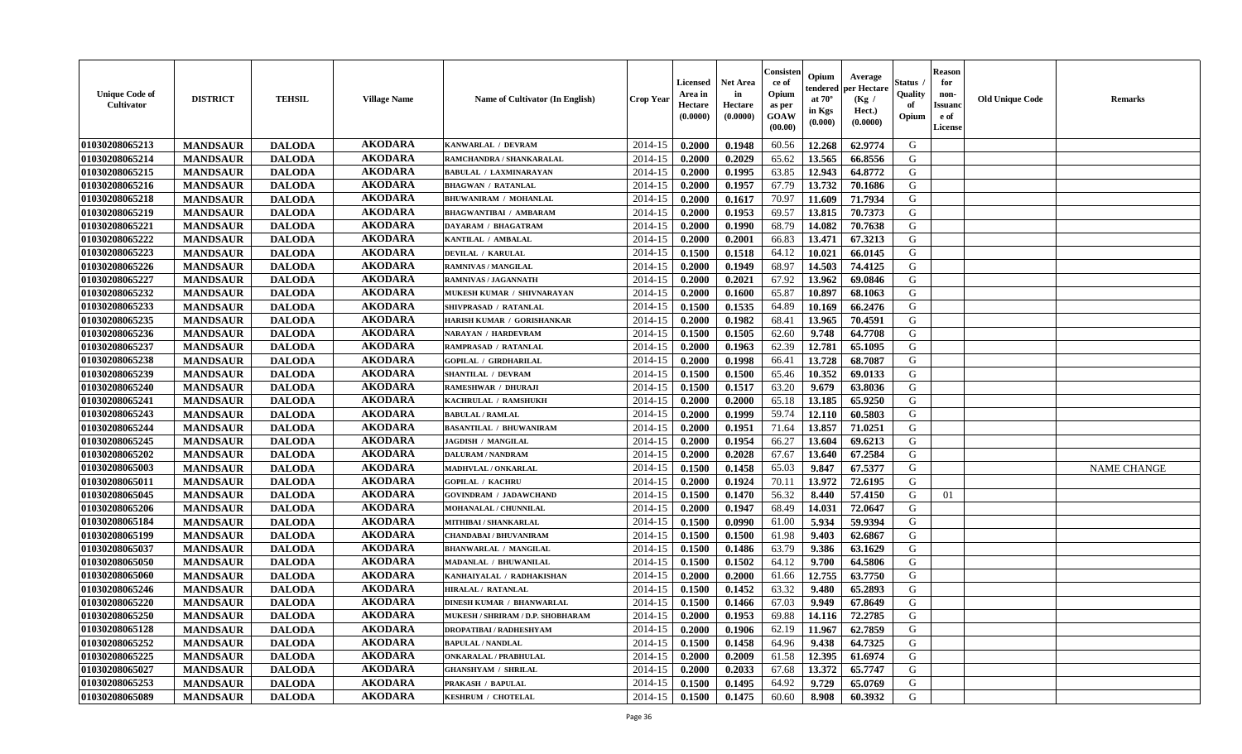| <b>Unique Code of</b><br><b>Cultivator</b> | <b>DISTRICT</b> | <b>TEHSIL</b> | <b>Village Name</b> | Name of Cultivator (In English)   | <b>Crop Year</b> | <b>Licensed</b><br>Area in<br>Hectare<br>(0.0000) | <b>Net Area</b><br>in<br>Hectare<br>(0.0000) | Consister<br>ce of<br>Opium<br>as per<br><b>GOAW</b><br>(00.00) | Opium<br>endered<br>at $70^\circ$<br>in Kgs<br>(0.000) | Average<br>per Hectare<br>(Kg /<br>Hect.)<br>(0.0000) | Status<br>Quality<br>of<br>Opium | <b>Reason</b><br>for<br>non-<br><b>Issuano</b><br>e of<br>License | <b>Old Unique Code</b> | <b>Remarks</b>     |
|--------------------------------------------|-----------------|---------------|---------------------|-----------------------------------|------------------|---------------------------------------------------|----------------------------------------------|-----------------------------------------------------------------|--------------------------------------------------------|-------------------------------------------------------|----------------------------------|-------------------------------------------------------------------|------------------------|--------------------|
| 01030208065213                             | <b>MANDSAUR</b> | <b>DALODA</b> | <b>AKODARA</b>      | KANWARLAL / DEVRAM                | 2014-15          | 0.2000                                            | 0.1948                                       | 60.56                                                           | 12.268                                                 | 62.9774                                               | G                                |                                                                   |                        |                    |
| 01030208065214                             | <b>MANDSAUR</b> | <b>DALODA</b> | <b>AKODARA</b>      | RAMCHANDRA / SHANKARALAL          | 2014-15          | 0.2000                                            | 0.2029                                       | 65.62                                                           | 13.565                                                 | 66.8556                                               | G                                |                                                                   |                        |                    |
| 01030208065215                             | <b>MANDSAUR</b> | <b>DALODA</b> | <b>AKODARA</b>      | <b>BABULAL / LAXMINARAYAN</b>     | 2014-15          | 0.2000                                            | 0.1995                                       | 63.85                                                           | 12.943                                                 | 64.8772                                               | G                                |                                                                   |                        |                    |
| 01030208065216                             | <b>MANDSAUR</b> | <b>DALODA</b> | <b>AKODARA</b>      | <b>BHAGWAN / RATANLAL</b>         | 2014-15          | 0.2000                                            | 0.1957                                       | 67.79                                                           | 13.732                                                 | 70.1686                                               | G                                |                                                                   |                        |                    |
| 01030208065218                             | <b>MANDSAUR</b> | <b>DALODA</b> | <b>AKODARA</b>      | <b>BHUWANIRAM / MOHANLAL</b>      | 2014-15          | 0.2000                                            | 0.1617                                       | 70.97                                                           | 11.609                                                 | 71.7934                                               | G                                |                                                                   |                        |                    |
| 01030208065219                             | <b>MANDSAUR</b> | <b>DALODA</b> | <b>AKODARA</b>      | <b>BHAGWANTIBAI / AMBARAM</b>     | 2014-15          | 0.2000                                            | 0.1953                                       | 69.57                                                           | 13.815                                                 | 70.7373                                               | G                                |                                                                   |                        |                    |
| 01030208065221                             | <b>MANDSAUR</b> | <b>DALODA</b> | <b>AKODARA</b>      | DAYARAM / BHAGATRAM               | 2014-15          | 0.2000                                            | 0.1990                                       | 68.79                                                           | 14.082                                                 | 70.7638                                               | G                                |                                                                   |                        |                    |
| 01030208065222                             | <b>MANDSAUR</b> | <b>DALODA</b> | <b>AKODARA</b>      | KANTILAL / AMBALAL                | 2014-15          | 0.2000                                            | 0.2001                                       | 66.83                                                           | 13.471                                                 | 67.3213                                               | G                                |                                                                   |                        |                    |
| 01030208065223                             | <b>MANDSAUR</b> | <b>DALODA</b> | <b>AKODARA</b>      | <b>DEVILAL / KARULAL</b>          | 2014-15          | 0.1500                                            | 0.1518                                       | 64.12                                                           | 10.021                                                 | 66.0145                                               | G                                |                                                                   |                        |                    |
| 01030208065226                             | <b>MANDSAUR</b> | <b>DALODA</b> | <b>AKODARA</b>      | RAMNIVAS / MANGILAL               | 2014-15          | 0.2000                                            | 0.1949                                       | 68.97                                                           | 14.503                                                 | 74.4125                                               | G                                |                                                                   |                        |                    |
| 01030208065227                             | <b>MANDSAUR</b> | <b>DALODA</b> | <b>AKODARA</b>      | RAMNIVAS / JAGANNATH              | 2014-15          | 0.2000                                            | 0.2021                                       | 67.92                                                           | 13.962                                                 | 69.0846                                               | G                                |                                                                   |                        |                    |
| 01030208065232                             | <b>MANDSAUR</b> | <b>DALODA</b> | <b>AKODARA</b>      | MUKESH KUMAR / SHIVNARAYAN        | 2014-15          | 0.2000                                            | 0.1600                                       | 65.87                                                           | 10.897                                                 | 68.1063                                               | G                                |                                                                   |                        |                    |
| 01030208065233                             | <b>MANDSAUR</b> | <b>DALODA</b> | <b>AKODARA</b>      | SHIVPRASAD / RATANLAL             | 2014-15          | 0.1500                                            | 0.1535                                       | 64.89                                                           | 10.169                                                 | 66.2476                                               | G                                |                                                                   |                        |                    |
| 01030208065235                             | <b>MANDSAUR</b> | <b>DALODA</b> | <b>AKODARA</b>      | HARISH KUMAR / GORISHANKAR        | 2014-15          | 0.2000                                            | 0.1982                                       | 68.41                                                           | 13.965                                                 | 70.4591                                               | G                                |                                                                   |                        |                    |
| 01030208065236                             | <b>MANDSAUR</b> | <b>DALODA</b> | <b>AKODARA</b>      | NARAYAN / HARDEVRAM               | 2014-15          | 0.1500                                            | 0.1505                                       | 62.60                                                           | 9.748                                                  | 64.7708                                               | G                                |                                                                   |                        |                    |
| 01030208065237                             | <b>MANDSAUR</b> | <b>DALODA</b> | <b>AKODARA</b>      | RAMPRASAD / RATANLAL              | 2014-15          | 0.2000                                            | 0.1963                                       | 62.39                                                           | 12.781                                                 | 65.1095                                               | G                                |                                                                   |                        |                    |
| 01030208065238                             | <b>MANDSAUR</b> | <b>DALODA</b> | <b>AKODARA</b>      | <b>GOPILAL / GIRDHARILAL</b>      | 2014-15          | 0.2000                                            | 0.1998                                       | 66.41                                                           | 13.728                                                 | 68.7087                                               | G                                |                                                                   |                        |                    |
| 01030208065239                             | <b>MANDSAUR</b> | <b>DALODA</b> | <b>AKODARA</b>      | <b>SHANTILAL / DEVRAM</b>         | 2014-15          | 0.1500                                            | 0.1500                                       | 65.46                                                           | 10.352                                                 | 69.0133                                               | G                                |                                                                   |                        |                    |
| 01030208065240                             | <b>MANDSAUR</b> | <b>DALODA</b> | <b>AKODARA</b>      | RAMESHWAR / DHURAJI               | 2014-15          | 0.1500                                            | 0.1517                                       | 63.20                                                           | 9.679                                                  | 63.8036                                               | G                                |                                                                   |                        |                    |
| 01030208065241                             | <b>MANDSAUR</b> | <b>DALODA</b> | <b>AKODARA</b>      | KACHRULAL / RAMSHUKH              | 2014-15          | 0.2000                                            | 0.2000                                       | 65.18                                                           | 13.185                                                 | 65.9250                                               | G                                |                                                                   |                        |                    |
| 01030208065243                             | <b>MANDSAUR</b> | <b>DALODA</b> | <b>AKODARA</b>      | <b>BABULAL / RAMLAL</b>           | 2014-15          | 0.2000                                            | 0.1999                                       | 59.74                                                           | 12.110                                                 | 60.5803                                               | G                                |                                                                   |                        |                    |
| 01030208065244                             | <b>MANDSAUR</b> | <b>DALODA</b> | <b>AKODARA</b>      | <b>BASANTILAL / BHUWANIRAM</b>    | 2014-15          | 0.2000                                            | 0.1951                                       | 71.64                                                           | 13.857                                                 | 71.0251                                               | G                                |                                                                   |                        |                    |
| 01030208065245                             | <b>MANDSAUR</b> | <b>DALODA</b> | <b>AKODARA</b>      | <b>JAGDISH / MANGILAL</b>         | 2014-15          | 0.2000                                            | 0.1954                                       | 66.27                                                           | 13.604                                                 | 69.6213                                               | G                                |                                                                   |                        |                    |
| 01030208065202                             | <b>MANDSAUR</b> | <b>DALODA</b> | <b>AKODARA</b>      | <b>DALURAM / NANDRAM</b>          | 2014-15          | 0.2000                                            | 0.2028                                       | 67.67                                                           | 13.640                                                 | 67.2584                                               | G                                |                                                                   |                        |                    |
| 01030208065003                             | <b>MANDSAUR</b> | <b>DALODA</b> | <b>AKODARA</b>      | MADHVLAL / ONKARLAL               | 2014-15          | 0.1500                                            | 0.1458                                       | 65.03                                                           | 9.847                                                  | 67.5377                                               | G                                |                                                                   |                        | <b>NAME CHANGE</b> |
| 01030208065011                             | <b>MANDSAUR</b> | <b>DALODA</b> | <b>AKODARA</b>      | <b>GOPILAL / KACHRU</b>           | 2014-15          | 0.2000                                            | 0.1924                                       | 70.11                                                           | 13.972                                                 | 72.6195                                               | G                                |                                                                   |                        |                    |
| 01030208065045                             | <b>MANDSAUR</b> | <b>DALODA</b> | <b>AKODARA</b>      | <b>GOVINDRAM / JADAWCHAND</b>     | 2014-15          | 0.1500                                            | 0.1470                                       | 56.32                                                           | 8.440                                                  | 57.4150                                               | G                                | 01                                                                |                        |                    |
| 01030208065206                             | <b>MANDSAUR</b> | <b>DALODA</b> | <b>AKODARA</b>      | MOHANALAL / CHUNNILAL             | 2014-15          | 0.2000                                            | 0.1947                                       | 68.49                                                           | 14.031                                                 | 72.0647                                               | G                                |                                                                   |                        |                    |
| 01030208065184                             | <b>MANDSAUR</b> | <b>DALODA</b> | <b>AKODARA</b>      | MITHIBAI / SHANKARLAL             | 2014-15          | 0.1500                                            | 0.0990                                       | 61.00                                                           | 5.934                                                  | 59.9394                                               | G                                |                                                                   |                        |                    |
| 01030208065199                             | <b>MANDSAUR</b> | <b>DALODA</b> | <b>AKODARA</b>      | <b>CHANDABAI / BHUVANIRAM</b>     | 2014-15          | 0.1500                                            | 0.1500                                       | 61.98                                                           | 9.403                                                  | 62.6867                                               | G                                |                                                                   |                        |                    |
| 01030208065037                             | <b>MANDSAUR</b> | <b>DALODA</b> | <b>AKODARA</b>      | <b>BHANWARLAL / MANGILAL</b>      | 2014-15          | 0.1500                                            | 0.1486                                       | 63.79                                                           | 9.386                                                  | 63.1629                                               | G                                |                                                                   |                        |                    |
| 01030208065050                             | <b>MANDSAUR</b> | <b>DALODA</b> | <b>AKODARA</b>      | <b>MADANLAL / BHUWANILAL</b>      | 2014-15          | 0.1500                                            | 0.1502                                       | 64.12                                                           | 9.700                                                  | 64.5806                                               | G                                |                                                                   |                        |                    |
| 01030208065060                             | <b>MANDSAUR</b> | <b>DALODA</b> | <b>AKODARA</b>      | KANHAIYALAL / RADHAKISHAN         | 2014-15          | 0.2000                                            | 0.2000                                       | 61.66                                                           | 12.755                                                 | 63.7750                                               | G                                |                                                                   |                        |                    |
| 01030208065246                             | <b>MANDSAUR</b> | <b>DALODA</b> | <b>AKODARA</b>      | <b>HIRALAL / RATANLAL</b>         | 2014-15          | 0.1500                                            | 0.1452                                       | 63.32                                                           | 9.480                                                  | 65.2893                                               | G                                |                                                                   |                        |                    |
| 01030208065220                             | <b>MANDSAUR</b> | <b>DALODA</b> | <b>AKODARA</b>      | <b>DINESH KUMAR / BHANWARLAL</b>  | 2014-15          | 0.1500                                            | 0.1466                                       | 67.03                                                           | 9.949                                                  | 67.8649                                               | G                                |                                                                   |                        |                    |
| 01030208065250                             | <b>MANDSAUR</b> | <b>DALODA</b> | AKODARA             | MUKESH / SHRIRAM / D.P. SHOBHARAM | $2014-15$ 0.2000 |                                                   | 0.1953                                       | 69.88                                                           | $14.116$ 72.2785                                       |                                                       | G                                |                                                                   |                        |                    |
| 01030208065128                             | <b>MANDSAUR</b> | <b>DALODA</b> | <b>AKODARA</b>      | <b>DROPATIBAI/RADHESHYAM</b>      | 2014-15          | 0.2000                                            | 0.1906                                       | 62.19                                                           | 11.967                                                 | 62.7859                                               | G                                |                                                                   |                        |                    |
| 01030208065252                             | <b>MANDSAUR</b> | <b>DALODA</b> | <b>AKODARA</b>      | <b>BAPULAL / NANDLAL</b>          | 2014-15          | 0.1500                                            | 0.1458                                       | 64.96                                                           | 9.438                                                  | 64.7325                                               | G                                |                                                                   |                        |                    |
| 01030208065225                             | <b>MANDSAUR</b> | <b>DALODA</b> | <b>AKODARA</b>      | <b>ONKARALAL / PRABHULAL</b>      | 2014-15          | 0.2000                                            | 0.2009                                       | 61.58                                                           | 12.395                                                 | 61.6974                                               | G                                |                                                                   |                        |                    |
| 01030208065027                             | <b>MANDSAUR</b> | <b>DALODA</b> | <b>AKODARA</b>      | <b>GHANSHYAM / SHRILAL</b>        | 2014-15          | 0.2000                                            | 0.2033                                       | 67.68                                                           | 13.372                                                 | 65.7747                                               | G                                |                                                                   |                        |                    |
| 01030208065253                             | <b>MANDSAUR</b> | <b>DALODA</b> | <b>AKODARA</b>      | PRAKASH / BAPULAL                 | 2014-15          | 0.1500                                            | 0.1495                                       | 64.92                                                           | 9.729                                                  | 65.0769                                               | G                                |                                                                   |                        |                    |
| 01030208065089                             | <b>MANDSAUR</b> | <b>DALODA</b> | <b>AKODARA</b>      | <b>KESHRUM / CHOTELAL</b>         | $2014 - 15$      | 0.1500                                            | 0.1475                                       | 60.60                                                           | 8.908                                                  | 60.3932                                               | G                                |                                                                   |                        |                    |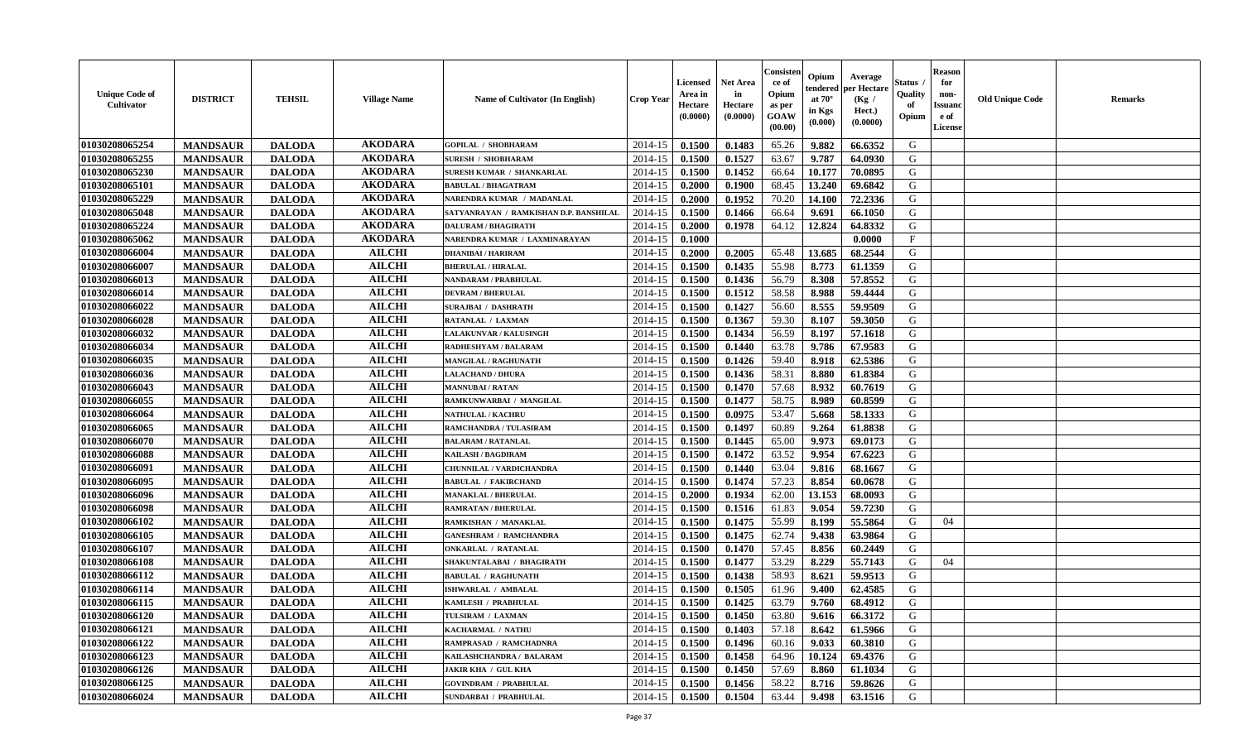| <b>Unique Code of</b><br><b>Cultivator</b> | <b>DISTRICT</b> | <b>TEHSIL</b> | <b>Village Name</b> | <b>Name of Cultivator (In English)</b> | <b>Crop Year</b> | Licensed<br>Area in<br>Hectare<br>(0.0000) | Net Area<br>in<br>Hectare<br>(0.0000) | Consisteı<br>ce of<br>Opium<br>as per<br>GOAW<br>(00.00) | Opium<br>endered<br>at $70^\circ$<br>in Kgs<br>(0.000) | Average<br>per Hectare<br>(Kg /<br>Hect.)<br>(0.0000) | Status<br>Quality<br>of<br>Opium | <b>Reason</b><br>for<br>non-<br><b>Issuand</b><br>e of<br>License | <b>Old Unique Code</b> | Remarks |
|--------------------------------------------|-----------------|---------------|---------------------|----------------------------------------|------------------|--------------------------------------------|---------------------------------------|----------------------------------------------------------|--------------------------------------------------------|-------------------------------------------------------|----------------------------------|-------------------------------------------------------------------|------------------------|---------|
| 01030208065254                             | <b>MANDSAUR</b> | <b>DALODA</b> | <b>AKODARA</b>      | <b>GOPILAL / SHOBHARAM</b>             | 2014-15          | 0.1500                                     | 0.1483                                | 65.26                                                    | 9.882                                                  | 66.6352                                               | G                                |                                                                   |                        |         |
| 01030208065255                             | <b>MANDSAUR</b> | <b>DALODA</b> | <b>AKODARA</b>      | <b>SURESH / SHOBHARAM</b>              | 2014-15          | 0.1500                                     | 0.1527                                | 63.67                                                    | 9.787                                                  | 64.0930                                               | G                                |                                                                   |                        |         |
| 01030208065230                             | <b>MANDSAUR</b> | <b>DALODA</b> | <b>AKODARA</b>      | SURESH KUMAR / SHANKARLAL              | 2014-15          | 0.1500                                     | 0.1452                                | 66.64                                                    | 10.177                                                 | 70.0895                                               | G                                |                                                                   |                        |         |
| 01030208065101                             | <b>MANDSAUR</b> | <b>DALODA</b> | <b>AKODARA</b>      | <b>BABULAL / BHAGATRAM</b>             | 2014-15          | 0.2000                                     | 0.1900                                | 68.45                                                    | 13.240                                                 | 69.6842                                               | G                                |                                                                   |                        |         |
| 01030208065229                             | <b>MANDSAUR</b> | <b>DALODA</b> | <b>AKODARA</b>      | NARENDRA KUMAR / MADANLAL              | 2014-15          | 0.2000                                     | 0.1952                                | 70.20                                                    | 14.100                                                 | 72.2336                                               | G                                |                                                                   |                        |         |
| 01030208065048                             | <b>MANDSAUR</b> | <b>DALODA</b> | <b>AKODARA</b>      | SATYANRAYAN / RAMKISHAN D.P. BANSHILAL | 2014-15          | 0.1500                                     | 0.1466                                | 66.64                                                    | 9.691                                                  | 66.1050                                               | G                                |                                                                   |                        |         |
| 01030208065224                             | <b>MANDSAUR</b> | <b>DALODA</b> | <b>AKODARA</b>      | <b>DALURAM / BHAGIRATH</b>             | 2014-15          | 0.2000                                     | 0.1978                                | 64.12                                                    | 12.824                                                 | 64.8332                                               | G                                |                                                                   |                        |         |
| 01030208065062                             | <b>MANDSAUR</b> | <b>DALODA</b> | <b>AKODARA</b>      | NARENDRA KUMAR / LAXMINARAYAN          | 2014-15          | 0.1000                                     |                                       |                                                          |                                                        | 0.0000                                                | $_{\rm F}$                       |                                                                   |                        |         |
| 01030208066004                             | <b>MANDSAUR</b> | <b>DALODA</b> | <b>AILCHI</b>       | <b>DHANIBAI / HARIRAM</b>              | 2014-15          | 0.2000                                     | 0.2005                                | 65.48                                                    | 13.685                                                 | 68.2544                                               | G                                |                                                                   |                        |         |
| 01030208066007                             | <b>MANDSAUR</b> | <b>DALODA</b> | <b>AILCHI</b>       | <b>BHERULAL / HIRALAL</b>              | 2014-15          | 0.1500                                     | 0.1435                                | 55.98                                                    | 8.773                                                  | 61.1359                                               | G                                |                                                                   |                        |         |
| 01030208066013                             | <b>MANDSAUR</b> | <b>DALODA</b> | <b>AILCHI</b>       | NANDARAM / PRABHULAL                   | 2014-15          | 0.1500                                     | 0.1436                                | 56.79                                                    | 8.308                                                  | 57.8552                                               | G                                |                                                                   |                        |         |
| 01030208066014                             | <b>MANDSAUR</b> | <b>DALODA</b> | <b>AILCHI</b>       | <b>DEVRAM / BHERULAL</b>               | 2014-15          | 0.1500                                     | 0.1512                                | 58.58                                                    | 8.988                                                  | 59.4444                                               | G                                |                                                                   |                        |         |
| 01030208066022                             | <b>MANDSAUR</b> | <b>DALODA</b> | <b>AILCHI</b>       | <b>SURAJBAI / DASHRATH</b>             | 2014-15          | 0.1500                                     | 0.1427                                | 56.60                                                    | 8.555                                                  | 59.9509                                               | G                                |                                                                   |                        |         |
| 01030208066028                             | <b>MANDSAUR</b> | <b>DALODA</b> | <b>AILCHI</b>       | RATANLAL / LAXMAN                      | 2014-15          | 0.1500                                     | 0.1367                                | 59.30                                                    | 8.107                                                  | 59.3050                                               | G                                |                                                                   |                        |         |
| 01030208066032                             | <b>MANDSAUR</b> | <b>DALODA</b> | <b>AILCHI</b>       | <b>LALAKUNVAR / KALUSINGH</b>          | 2014-15          | 0.1500                                     | 0.1434                                | 56.59                                                    | 8.197                                                  | 57.1618                                               | $\mathbf G$                      |                                                                   |                        |         |
| 01030208066034                             | <b>MANDSAUR</b> | <b>DALODA</b> | <b>AILCHI</b>       | RADHESHYAM / BALARAM                   | 2014-15          | 0.1500                                     | 0.1440                                | 63.78                                                    | 9.786                                                  | 67.9583                                               | G                                |                                                                   |                        |         |
| 01030208066035                             | <b>MANDSAUR</b> | <b>DALODA</b> | <b>AILCHI</b>       | MANGILAL / RAGHUNATH                   | 2014-15          | 0.1500                                     | 0.1426                                | 59.40                                                    | 8.918                                                  | 62.5386                                               | G                                |                                                                   |                        |         |
| 01030208066036                             | <b>MANDSAUR</b> | <b>DALODA</b> | <b>AILCHI</b>       | <b>LALACHAND / DHURA</b>               | 2014-15          | 0.1500                                     | 0.1436                                | 58.31                                                    | 8.880                                                  | 61.8384                                               | G                                |                                                                   |                        |         |
| 01030208066043                             | <b>MANDSAUR</b> | <b>DALODA</b> | <b>AILCHI</b>       | <b>MANNUBAI/RATAN</b>                  | 2014-15          | 0.1500                                     | 0.1470                                | 57.68                                                    | 8.932                                                  | 60.7619                                               | G                                |                                                                   |                        |         |
| 01030208066055                             | <b>MANDSAUR</b> | <b>DALODA</b> | <b>AILCHI</b>       | RAMKUNWARBAI / MANGILAL                | 2014-15          | 0.1500                                     | 0.1477                                | 58.75                                                    | 8.989                                                  | 60.8599                                               | G                                |                                                                   |                        |         |
| 01030208066064                             | <b>MANDSAUR</b> | <b>DALODA</b> | <b>AILCHI</b>       | NATHULAL / KACHRU                      | 2014-15          | 0.1500                                     | 0.0975                                | 53.47                                                    | 5.668                                                  | 58.1333                                               | G                                |                                                                   |                        |         |
| 01030208066065                             | <b>MANDSAUR</b> | <b>DALODA</b> | <b>AILCHI</b>       | RAMCHANDRA / TULASIRAM                 | 2014-15          | 0.1500                                     | 0.1497                                | 60.89                                                    | 9.264                                                  | 61.8838                                               | G                                |                                                                   |                        |         |
| 01030208066070                             | <b>MANDSAUR</b> | <b>DALODA</b> | <b>AILCHI</b>       | <b>BALARAM / RATANLAL</b>              | 2014-15          | 0.1500                                     | 0.1445                                | 65.00                                                    | 9.973                                                  | 69.0173                                               | G                                |                                                                   |                        |         |
| 01030208066088                             | <b>MANDSAUR</b> | <b>DALODA</b> | <b>AILCHI</b>       | KAILASH / BAGDIRAM                     | 2014-15          | 0.1500                                     | 0.1472                                | 63.52                                                    | 9.954                                                  | 67.6223                                               | G                                |                                                                   |                        |         |
| 01030208066091                             | <b>MANDSAUR</b> | <b>DALODA</b> | <b>AILCHI</b>       | CHUNNILAL / VARDICHANDRA               | 2014-15          | 0.1500                                     | 0.1440                                | 63.04                                                    | 9.816                                                  | 68.1667                                               | G                                |                                                                   |                        |         |
| 01030208066095                             | <b>MANDSAUR</b> | <b>DALODA</b> | <b>AILCHI</b>       | <b>BABULAL / FAKIRCHAND</b>            | 2014-15          | 0.1500                                     | 0.1474                                | 57.23                                                    | 8.854                                                  | 60.0678                                               | G                                |                                                                   |                        |         |
| 01030208066096                             | <b>MANDSAUR</b> | <b>DALODA</b> | <b>AILCHI</b>       | <b>MANAKLAL / BHERULAL</b>             | 2014-15          | 0.2000                                     | 0.1934                                | 62.00                                                    | 13.153                                                 | 68.0093                                               | G                                |                                                                   |                        |         |
| 01030208066098                             | <b>MANDSAUR</b> | <b>DALODA</b> | <b>AILCHI</b>       | <b>RAMRATAN / BHERULAL</b>             | 2014-15          | 0.1500                                     | 0.1516                                | 61.83                                                    | 9.054                                                  | 59.7230                                               | G                                |                                                                   |                        |         |
| 01030208066102                             | <b>MANDSAUR</b> | <b>DALODA</b> | <b>AILCHI</b>       | RAMKISHAN / MANAKLAL                   | 2014-15          | 0.1500                                     | 0.1475                                | 55.99                                                    | 8.199                                                  | 55.5864                                               | G                                | 04                                                                |                        |         |
| 01030208066105                             | <b>MANDSAUR</b> | <b>DALODA</b> | <b>AILCHI</b>       | <b>GANESHRAM / RAMCHANDRA</b>          | 2014-15          | 0.1500                                     | 0.1475                                | 62.74                                                    | 9.438                                                  | 63.9864                                               | G                                |                                                                   |                        |         |
| 01030208066107                             | <b>MANDSAUR</b> | <b>DALODA</b> | <b>AILCHI</b>       | <b>ONKARLAL / RATANLAL</b>             | 2014-15          | 0.1500                                     | 0.1470                                | 57.45                                                    | 8.856                                                  | 60.2449                                               | G                                |                                                                   |                        |         |
| 01030208066108                             | <b>MANDSAUR</b> | <b>DALODA</b> | <b>AILCHI</b>       | SHAKUNTALABAI / BHAGIRATH              | 2014-15          | 0.1500                                     | 0.1477                                | 53.29                                                    | 8.229                                                  | 55.7143                                               | G                                | 04                                                                |                        |         |
| 01030208066112                             | <b>MANDSAUR</b> | <b>DALODA</b> | <b>AILCHI</b>       | <b>BABULAL / RAGHUNATH</b>             | 2014-15          | 0.1500                                     | 0.1438                                | 58.93                                                    | 8.621                                                  | 59.9513                                               | G                                |                                                                   |                        |         |
| 01030208066114                             | <b>MANDSAUR</b> | <b>DALODA</b> | <b>AILCHI</b>       | <b>ISHWARLAL / AMBALAL</b>             | 2014-15          | 0.1500                                     | 0.1505                                | 61.96                                                    | 9.400                                                  | 62.4585                                               | G                                |                                                                   |                        |         |
| 01030208066115                             | <b>MANDSAUR</b> | <b>DALODA</b> | <b>AILCHI</b>       | KAMLESH / PRABHULAL                    | 2014-15          | 0.1500                                     | 0.1425                                | 63.79                                                    | 9.760                                                  | 68.4912                                               | G                                |                                                                   |                        |         |
| 01030208066120                             | <b>MANDSAUR</b> | <b>DALODA</b> | <b>AILCHI</b>       | TULSIRAM / LAXMAN                      | 2014-15          | 0.1500                                     | 0.1450                                | 63.80                                                    | 9.616                                                  | 66.3172                                               | G                                |                                                                   |                        |         |
| 01030208066121                             | <b>MANDSAUR</b> | <b>DALODA</b> | <b>AILCHI</b>       | KACHARMAL / NATHU                      | 2014-15          | 0.1500                                     | 0.1403                                | 57.18                                                    | 8.642                                                  | 61.5966                                               | G                                |                                                                   |                        |         |
| 01030208066122                             | <b>MANDSAUR</b> | <b>DALODA</b> | <b>AILCHI</b>       | RAMPRASAD / RAMCHADNRA                 | 2014-15          | 0.1500                                     | 0.1496                                | 60.16                                                    | 9.033                                                  | 60.3810                                               | G                                |                                                                   |                        |         |
| 01030208066123                             | <b>MANDSAUR</b> | <b>DALODA</b> | <b>AILCHI</b>       | KAILASHCHANDRA / BALARAM               | 2014-15          | 0.1500                                     | 0.1458                                | 64.96                                                    | 10.124                                                 | 69.4376                                               | G                                |                                                                   |                        |         |
| 01030208066126                             | <b>MANDSAUR</b> | <b>DALODA</b> | <b>AILCHI</b>       | <b>JAKIR KHA / GUL KHA</b>             | 2014-15          | 0.1500                                     | 0.1450                                | 57.69                                                    | 8.860                                                  | 61.1034                                               | ${\bf G}$                        |                                                                   |                        |         |
| 01030208066125                             | <b>MANDSAUR</b> | <b>DALODA</b> | <b>AILCHI</b>       | <b>GOVINDRAM / PRABHULAL</b>           | 2014-15          | 0.1500                                     | 0.1456                                | 58.22                                                    | 8.716                                                  | 59.8626                                               | G                                |                                                                   |                        |         |
| 01030208066024                             | <b>MANDSAUR</b> | <b>DALODA</b> | <b>AILCHI</b>       | <b>SUNDARBAI / PRABHULAL</b>           | 2014-15          | 0.1500                                     | 0.1504                                | 63.44                                                    | 9.498                                                  | 63.1516                                               | G                                |                                                                   |                        |         |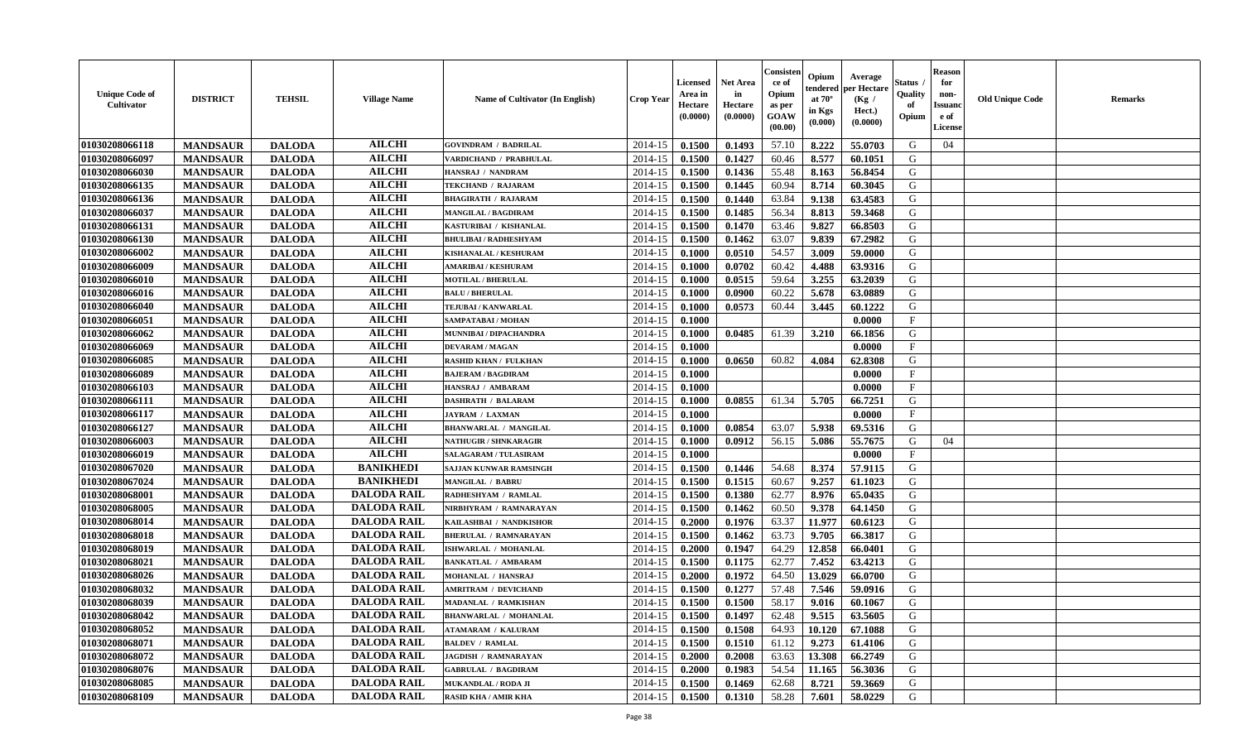| <b>Unique Code of</b><br>Cultivator | <b>DISTRICT</b> | <b>TEHSIL</b> | <b>Village Name</b> | <b>Name of Cultivator (In English)</b> | Crop Year | Licensed<br>Area in<br>Hectare<br>(0.0000) | <b>Net Area</b><br>in<br>Hectare<br>(0.0000) | Consister<br>ce of<br>Opium<br>as per<br>GOAW<br>(00.00) | Opium<br>endered<br>at $70^\circ$<br>in Kgs<br>(0.000) | Average<br>per Hectare<br>(Kg /<br>Hect.)<br>(0.0000) | Status<br>Quality<br>of<br>Opium | <b>Reason</b><br>for<br>non-<br><b>Issuanc</b><br>e of<br><b>License</b> | <b>Old Unique Code</b> | <b>Remarks</b> |
|-------------------------------------|-----------------|---------------|---------------------|----------------------------------------|-----------|--------------------------------------------|----------------------------------------------|----------------------------------------------------------|--------------------------------------------------------|-------------------------------------------------------|----------------------------------|--------------------------------------------------------------------------|------------------------|----------------|
| 01030208066118                      | <b>MANDSAUR</b> | <b>DALODA</b> | <b>AILCHI</b>       | <b>GOVINDRAM / BADRILAL</b>            | 2014-15   | 0.1500                                     | 0.1493                                       | 57.10                                                    | 8.222                                                  | 55.0703                                               | G                                | 04                                                                       |                        |                |
| 01030208066097                      | <b>MANDSAUR</b> | <b>DALODA</b> | <b>AILCHI</b>       | VARDICHAND / PRABHULAL                 | 2014-15   | 0.1500                                     | 0.1427                                       | 60.46                                                    | 8.577                                                  | 60.1051                                               | G                                |                                                                          |                        |                |
| 01030208066030                      | <b>MANDSAUR</b> | <b>DALODA</b> | <b>AILCHI</b>       | HANSRAJ / NANDRAM                      | 2014-15   | 0.1500                                     | 0.1436                                       | 55.48                                                    | 8.163                                                  | 56.8454                                               | G                                |                                                                          |                        |                |
| 01030208066135                      | <b>MANDSAUR</b> | <b>DALODA</b> | <b>AILCHI</b>       | TEKCHAND / RAJARAM                     | 2014-15   | 0.1500                                     | 0.1445                                       | 60.94                                                    | 8.714                                                  | 60.3045                                               | G                                |                                                                          |                        |                |
| 01030208066136                      | <b>MANDSAUR</b> | <b>DALODA</b> | <b>AILCHI</b>       | <b>BHAGIRATH / RAJARAM</b>             | 2014-15   | 0.1500                                     | 0.1440                                       | 63.84                                                    | 9.138                                                  | 63.4583                                               | G                                |                                                                          |                        |                |
| 01030208066037                      | <b>MANDSAUR</b> | <b>DALODA</b> | <b>AILCHI</b>       | <b>MANGILAL / BAGDIRAM</b>             | 2014-15   | 0.1500                                     | 0.1485                                       | 56.34                                                    | 8.813                                                  | 59.3468                                               | G                                |                                                                          |                        |                |
| 01030208066131                      | <b>MANDSAUR</b> | <b>DALODA</b> | <b>AILCHI</b>       | KASTURIBAI / KISHANLAL                 | 2014-15   | 0.1500                                     | 0.1470                                       | 63.46                                                    | 9.827                                                  | 66.8503                                               | G                                |                                                                          |                        |                |
| 01030208066130                      | <b>MANDSAUR</b> | <b>DALODA</b> | <b>AILCHI</b>       | <b>BHULIBAI / RADHESHYAM</b>           | 2014-15   | 0.1500                                     | 0.1462                                       | 63.07                                                    | 9.839                                                  | 67.2982                                               | G                                |                                                                          |                        |                |
| 01030208066002                      | <b>MANDSAUR</b> | <b>DALODA</b> | <b>AILCHI</b>       | KISHANALAL / KESHURAM                  | 2014-15   | 0.1000                                     | 0.0510                                       | 54.57                                                    | 3.009                                                  | 59.0000                                               | G                                |                                                                          |                        |                |
| 01030208066009                      | <b>MANDSAUR</b> | <b>DALODA</b> | <b>AILCHI</b>       | <b>AMARIBAI/KESHURAM</b>               | 2014-15   | 0.1000                                     | 0.0702                                       | 60.42                                                    | 4.488                                                  | 63.9316                                               | G                                |                                                                          |                        |                |
| 01030208066010                      | <b>MANDSAUR</b> | <b>DALODA</b> | <b>AILCHI</b>       | <b>MOTILAL / BHERULAL</b>              | 2014-15   | 0.1000                                     | 0.0515                                       | 59.64                                                    | 3.255                                                  | 63.2039                                               | $\mathbf G$                      |                                                                          |                        |                |
| 01030208066016                      | <b>MANDSAUR</b> | <b>DALODA</b> | <b>AILCHI</b>       | <b>BALU / BHERULAL</b>                 | 2014-15   | 0.1000                                     | 0.0900                                       | 60.22                                                    | 5.678                                                  | 63.0889                                               | G                                |                                                                          |                        |                |
| 01030208066040                      | <b>MANDSAUR</b> | <b>DALODA</b> | <b>AILCHI</b>       | <b>TEJUBAI/KANWARLAL</b>               | 2014-15   | 0.1000                                     | 0.0573                                       | 60.44                                                    | 3.445                                                  | 60.1222                                               | G                                |                                                                          |                        |                |
| 01030208066051                      | <b>MANDSAUR</b> | <b>DALODA</b> | <b>AILCHI</b>       | SAMPATABAI / MOHAN                     | 2014-15   | 0.1000                                     |                                              |                                                          |                                                        | 0.0000                                                | $\mathbf{F}$                     |                                                                          |                        |                |
| 01030208066062                      | <b>MANDSAUR</b> | <b>DALODA</b> | <b>AILCHI</b>       | MUNNIBAI / DIPACHANDRA                 | 2014-15   | 0.1000                                     | 0.0485                                       | 61.39                                                    | 3.210                                                  | 66.1856                                               | G                                |                                                                          |                        |                |
| 01030208066069                      | <b>MANDSAUR</b> | <b>DALODA</b> | <b>AILCHI</b>       | <b>DEVARAM / MAGAN</b>                 | 2014-15   | 0.1000                                     |                                              |                                                          |                                                        | 0.0000                                                | $\mathbf F$                      |                                                                          |                        |                |
| 01030208066085                      | <b>MANDSAUR</b> | <b>DALODA</b> | <b>AILCHI</b>       | <b>RASHID KHAN / FULKHAN</b>           | 2014-15   | 0.1000                                     | 0.0650                                       | 60.82                                                    | 4.084                                                  | 62.8308                                               | G                                |                                                                          |                        |                |
| 01030208066089                      | <b>MANDSAUR</b> | <b>DALODA</b> | <b>AILCHI</b>       | <b>BAJERAM / BAGDIRAM</b>              | 2014-15   | 0.1000                                     |                                              |                                                          |                                                        | 0.0000                                                | $\mathbf{F}$                     |                                                                          |                        |                |
| 01030208066103                      | <b>MANDSAUR</b> | <b>DALODA</b> | <b>AILCHI</b>       | HANSRAJ / AMBARAM                      | 2014-15   | 0.1000                                     |                                              |                                                          |                                                        | 0.0000                                                | $\mathbf{F}$                     |                                                                          |                        |                |
| 01030208066111                      | <b>MANDSAUR</b> | <b>DALODA</b> | <b>AILCHI</b>       | <b>DASHRATH / BALARAM</b>              | 2014-15   | 0.1000                                     | 0.0855                                       | 61.34                                                    | 5.705                                                  | 66.7251                                               | G                                |                                                                          |                        |                |
| 01030208066117                      | <b>MANDSAUR</b> | <b>DALODA</b> | <b>AILCHI</b>       | <b>JAYRAM / LAXMAN</b>                 | 2014-15   | 0.1000                                     |                                              |                                                          |                                                        | 0.0000                                                | $\mathbf{F}$                     |                                                                          |                        |                |
| 01030208066127                      | <b>MANDSAUR</b> | <b>DALODA</b> | <b>AILCHI</b>       | <b>BHANWARLAL / MANGILAL</b>           | 2014-15   | 0.1000                                     | 0.0854                                       | 63.07                                                    | 5.938                                                  | 69.5316                                               | G                                |                                                                          |                        |                |
| 01030208066003                      | <b>MANDSAUR</b> | <b>DALODA</b> | <b>AILCHI</b>       | <b>NATHUGIR / SHNKARAGIR</b>           | 2014-15   | 0.1000                                     | 0.0912                                       | 56.15                                                    | 5.086                                                  | 55.7675                                               | G                                | 04                                                                       |                        |                |
| 01030208066019                      | <b>MANDSAUR</b> | <b>DALODA</b> | <b>AILCHI</b>       | <b>SALAGARAM / TULASIRAM</b>           | 2014-15   | 0.1000                                     |                                              |                                                          |                                                        | 0.0000                                                | $\mathbf{F}$                     |                                                                          |                        |                |
| 01030208067020                      | <b>MANDSAUR</b> | <b>DALODA</b> | <b>BANIKHEDI</b>    | <b>SAJJAN KUNWAR RAMSINGH</b>          | 2014-15   | 0.1500                                     | 0.1446                                       | 54.68                                                    | 8.374                                                  | 57.9115                                               | G                                |                                                                          |                        |                |
| 01030208067024                      | <b>MANDSAUR</b> | <b>DALODA</b> | <b>BANIKHEDI</b>    | <b>MANGILAL / BABRU</b>                | 2014-15   | 0.1500                                     | 0.1515                                       | 60.67                                                    | 9.257                                                  | 61.1023                                               | G                                |                                                                          |                        |                |
| 01030208068001                      | <b>MANDSAUR</b> | <b>DALODA</b> | <b>DALODA RAIL</b>  | RADHESHYAM / RAMLAL                    | 2014-15   | 0.1500                                     | 0.1380                                       | 62.77                                                    | 8.976                                                  | 65.0435                                               | G                                |                                                                          |                        |                |
| 01030208068005                      | <b>MANDSAUR</b> | <b>DALODA</b> | <b>DALODA RAIL</b>  | NIRBHYRAM / RAMNARAYAN                 | 2014-15   | 0.1500                                     | 0.1462                                       | 60.50                                                    | 9.378                                                  | 64.1450                                               | G                                |                                                                          |                        |                |
| 01030208068014                      | <b>MANDSAUR</b> | <b>DALODA</b> | <b>DALODA RAIL</b>  | KAILASHBAI / NANDKISHOR                | 2014-15   | 0.2000                                     | 0.1976                                       | 63.37                                                    | 11.977                                                 | 60.6123                                               | G                                |                                                                          |                        |                |
| 01030208068018                      | <b>MANDSAUR</b> | <b>DALODA</b> | <b>DALODA RAIL</b>  | <b>BHERULAL / RAMNARAYAN</b>           | 2014-15   | 0.1500                                     | 0.1462                                       | 63.73                                                    | 9.705                                                  | 66.3817                                               | G                                |                                                                          |                        |                |
| 01030208068019                      | <b>MANDSAUR</b> | <b>DALODA</b> | <b>DALODA RAIL</b>  | ISHWARLAL / MOHANLAL                   | 2014-15   | 0.2000                                     | 0.1947                                       | 64.29                                                    | 12.858                                                 | 66.0401                                               | ${\bf G}$                        |                                                                          |                        |                |
| 01030208068021                      | <b>MANDSAUR</b> | <b>DALODA</b> | <b>DALODA RAIL</b>  | <b>BANKATLAL / AMBARAM</b>             | 2014-15   | 0.1500                                     | 0.1175                                       | 62.77                                                    | 7.452                                                  | 63.4213                                               | G                                |                                                                          |                        |                |
| 01030208068026                      | <b>MANDSAUR</b> | <b>DALODA</b> | <b>DALODA RAIL</b>  | <b>MOHANLAL / HANSRAJ</b>              | 2014-15   | 0.2000                                     | 0.1972                                       | 64.50                                                    | 13.029                                                 | 66.0700                                               | G                                |                                                                          |                        |                |
| 01030208068032                      | <b>MANDSAUR</b> | <b>DALODA</b> | <b>DALODA RAIL</b>  | <b>AMRITRAM / DEVICHAND</b>            | 2014-15   | 0.1500                                     | 0.1277                                       | 57.48                                                    | 7.546                                                  | 59.0916                                               | G                                |                                                                          |                        |                |
| 01030208068039                      | <b>MANDSAUR</b> | <b>DALODA</b> | <b>DALODA RAIL</b>  | <b>MADANLAL / RAMKISHAN</b>            | 2014-15   | 0.1500                                     | 0.1500                                       | 58.17                                                    | 9.016                                                  | 60.1067                                               | G                                |                                                                          |                        |                |
| 01030208068042                      | <b>MANDSAUR</b> | <b>DALODA</b> | <b>DALODA RAIL</b>  | <b>BHANWARLAL / MOHANLAL</b>           | 2014-15   | 0.1500                                     | 0.1497                                       | 62.48                                                    | 9.515                                                  | 63.5605                                               | G                                |                                                                          |                        |                |
| 01030208068052                      | <b>MANDSAUR</b> | <b>DALODA</b> | <b>DALODA RAIL</b>  | <b>ATAMARAM / KALURAM</b>              | 2014-15   | 0.1500                                     | 0.1508                                       | 64.93                                                    | 10.120                                                 | 67.1088                                               | G                                |                                                                          |                        |                |
| 01030208068071                      | <b>MANDSAUR</b> | <b>DALODA</b> | <b>DALODA RAIL</b>  | <b>BALDEV / RAMLAL</b>                 | 2014-15   | 0.1500                                     | 0.1510                                       | 61.12                                                    | 9.273                                                  | 61.4106                                               | G                                |                                                                          |                        |                |
| 01030208068072                      | <b>MANDSAUR</b> | <b>DALODA</b> | <b>DALODA RAIL</b>  | <b>JAGDISH / RAMNARAYAN</b>            | 2014-15   | 0.2000                                     | 0.2008                                       | 63.63                                                    | 13.308                                                 | 66.2749                                               | G                                |                                                                          |                        |                |
| 01030208068076                      | <b>MANDSAUR</b> | <b>DALODA</b> | <b>DALODA RAIL</b>  | <b>GABRULAL / BAGDIRAM</b>             | 2014-15   | 0.2000                                     | 0.1983                                       | 54.54                                                    | 11.165                                                 | 56.3036                                               | G                                |                                                                          |                        |                |
| 01030208068085                      | <b>MANDSAUR</b> | <b>DALODA</b> | <b>DALODA RAIL</b>  | <b>MUKANDLAL / RODA JI</b>             | 2014-15   | 0.1500                                     | 0.1469                                       | 62.68                                                    | 8.721                                                  | 59.3669                                               | G                                |                                                                          |                        |                |
| 01030208068109                      | <b>MANDSAUR</b> | <b>DALODA</b> | <b>DALODA RAIL</b>  | <b>RASID KHA / AMIR KHA</b>            | 2014-15   | 0.1500                                     | 0.1310                                       | 58.28                                                    | 7.601                                                  | 58.0229                                               | G                                |                                                                          |                        |                |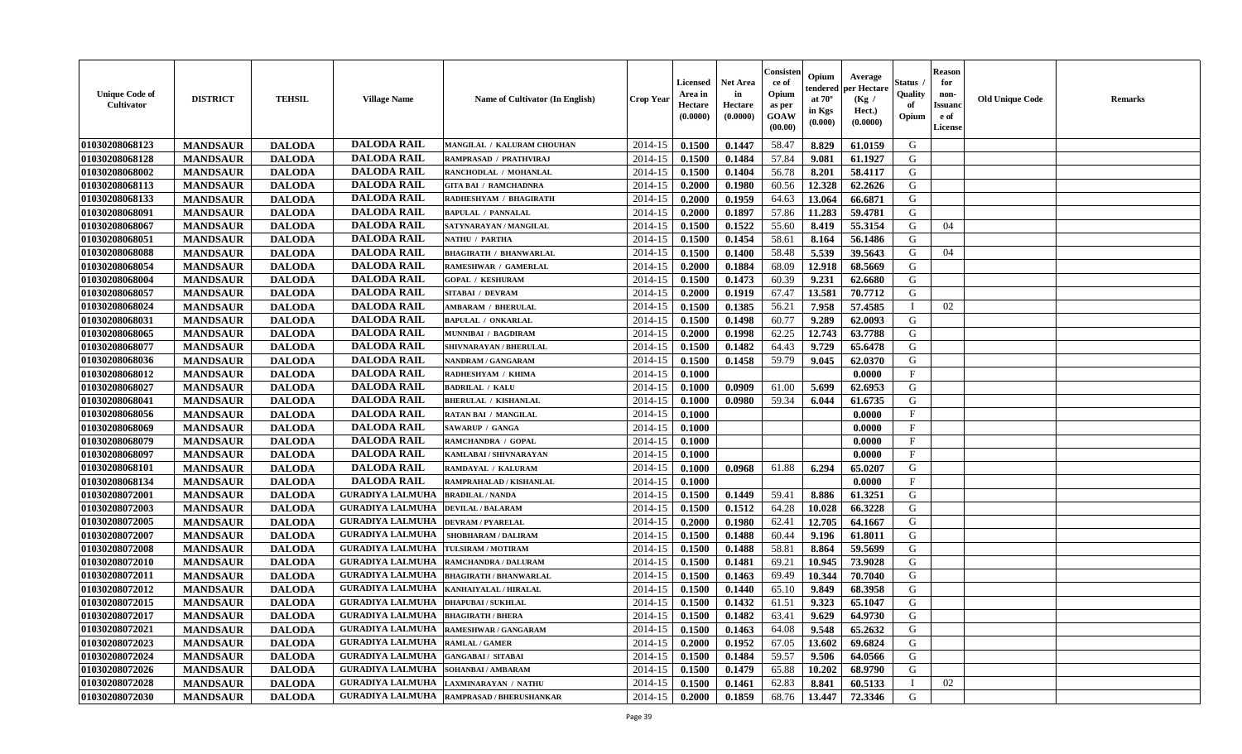| <b>Unique Code of</b><br>Cultivator | <b>DISTRICT</b> | <b>TEHSIL</b> | <b>Village Name</b>                          | <b>Name of Cultivator (In English)</b>     | <b>Crop Year</b> | Licensed<br>Area in<br>Hectare<br>(0.0000) | <b>Net Area</b><br>in<br>Hectare<br>(0.0000) | Consister<br>ce of<br>Opium<br>as per<br>GOAW<br>(00.00) | Opium<br>endered<br>at $70^{\circ}$<br>in Kgs<br>$(\mathbf{0.000})$ | Average<br>per Hectare<br>(Kg /<br>Hect.)<br>(0.0000) | Status<br>Quality<br>of<br>Opium | <b>Reason</b><br>for<br>non-<br><b>Issuano</b><br>e of<br>License | <b>Old Unique Code</b> | <b>Remarks</b> |
|-------------------------------------|-----------------|---------------|----------------------------------------------|--------------------------------------------|------------------|--------------------------------------------|----------------------------------------------|----------------------------------------------------------|---------------------------------------------------------------------|-------------------------------------------------------|----------------------------------|-------------------------------------------------------------------|------------------------|----------------|
| 01030208068123                      | <b>MANDSAUR</b> | <b>DALODA</b> | <b>DALODA RAIL</b>                           | MANGILAL / KALURAM CHOUHAN                 | 2014-15          | 0.1500                                     | 0.1447                                       | 58.47                                                    | 8.829                                                               | 61.0159                                               | G                                |                                                                   |                        |                |
| 01030208068128                      | <b>MANDSAUR</b> | <b>DALODA</b> | <b>DALODA RAIL</b>                           | RAMPRASAD / PRATHVIRAJ                     | 2014-15          | 0.1500                                     | 0.1484                                       | 57.84                                                    | 9.081                                                               | 61.1927                                               | G                                |                                                                   |                        |                |
| 01030208068002                      | <b>MANDSAUR</b> | <b>DALODA</b> | <b>DALODA RAIL</b>                           | RANCHODLAL / MOHANLAL                      | 2014-15          | 0.1500                                     | 0.1404                                       | 56.78                                                    | 8.201                                                               | 58.4117                                               | G                                |                                                                   |                        |                |
| 01030208068113                      | <b>MANDSAUR</b> | <b>DALODA</b> | <b>DALODA RAIL</b>                           | <b>GITA BAI / RAMCHADNRA</b>               | 2014-15          | 0.2000                                     | 0.1980                                       | 60.56                                                    | 12.328                                                              | 62.2626                                               | G                                |                                                                   |                        |                |
| 01030208068133                      | <b>MANDSAUR</b> | <b>DALODA</b> | <b>DALODA RAIL</b>                           | RADHESHYAM / BHAGIRATH                     | 2014-15          | 0.2000                                     | 0.1959                                       | 64.63                                                    | 13.064                                                              | 66.6871                                               | G                                |                                                                   |                        |                |
| 01030208068091                      | <b>MANDSAUR</b> | <b>DALODA</b> | <b>DALODA RAIL</b>                           | <b>BAPULAL / PANNALAL</b>                  | 2014-15          | 0.2000                                     | 0.1897                                       | 57.86                                                    | 11.283                                                              | 59,4781                                               | G                                |                                                                   |                        |                |
| 01030208068067                      | <b>MANDSAUR</b> | <b>DALODA</b> | <b>DALODA RAIL</b>                           | SATYNARAYAN / MANGILAL                     | 2014-15          | 0.1500                                     | 0.1522                                       | 55.60                                                    | 8.419                                                               | 55.3154                                               | G                                | 04                                                                |                        |                |
| 01030208068051                      | <b>MANDSAUR</b> | <b>DALODA</b> | <b>DALODA RAIL</b>                           | NATHU / PARTHA                             | 2014-15          | 0.1500                                     | 0.1454                                       | 58.61                                                    | 8.164                                                               | 56.1486                                               | G                                |                                                                   |                        |                |
| 01030208068088                      | <b>MANDSAUR</b> | <b>DALODA</b> | <b>DALODA RAIL</b>                           | <b>BHAGIRATH / BHANWARLAL</b>              | 2014-15          | 0.1500                                     | 0.1400                                       | 58.48                                                    | 5.539                                                               | 39.5643                                               | G                                | 04                                                                |                        |                |
| 01030208068054                      | <b>MANDSAUR</b> | <b>DALODA</b> | <b>DALODA RAIL</b>                           | RAMESHWAR / GAMERLAL                       | 2014-15          | 0.2000                                     | 0.1884                                       | 68.09                                                    | 12.918                                                              | 68.5669                                               | G                                |                                                                   |                        |                |
| 01030208068004                      | <b>MANDSAUR</b> | <b>DALODA</b> | <b>DALODA RAIL</b>                           | <b>GOPAL / KESHURAM</b>                    | 2014-15          | 0.1500                                     | 0.1473                                       | 60.39                                                    | 9.231                                                               | 62.6680                                               | G                                |                                                                   |                        |                |
| 01030208068057                      | <b>MANDSAUR</b> | <b>DALODA</b> | <b>DALODA RAIL</b>                           | <b>SITABAI / DEVRAM</b>                    | 2014-15          | 0.2000                                     | 0.1919                                       | 67.47                                                    | 13.581                                                              | 70.7712                                               | G                                |                                                                   |                        |                |
| 01030208068024                      | <b>MANDSAUR</b> | <b>DALODA</b> | <b>DALODA RAIL</b>                           | <b>AMBARAM / BHERULAL</b>                  | 2014-15          | 0.1500                                     | 0.1385                                       | 56.21                                                    | 7.958                                                               | 57.4585                                               | $\blacksquare$                   | 02                                                                |                        |                |
| 01030208068031                      | <b>MANDSAUR</b> | <b>DALODA</b> | <b>DALODA RAIL</b>                           | <b>BAPULAL / ONKARLAL</b>                  | 2014-15          | 0.1500                                     | 0.1498                                       | 60.77                                                    | 9.289                                                               | 62.0093                                               | G                                |                                                                   |                        |                |
| 01030208068065                      | <b>MANDSAUR</b> | <b>DALODA</b> | <b>DALODA RAIL</b>                           | <b>MUNNIBAI / BAGDIRAM</b>                 | 2014-15          | 0.2000                                     | 0.1998                                       | 62.25                                                    | 12.743                                                              | 63.7788                                               | G                                |                                                                   |                        |                |
| 01030208068077                      | <b>MANDSAUR</b> | <b>DALODA</b> | <b>DALODA RAIL</b>                           | SHIVNARAYAN / BHERULAL                     | 2014-15          | 0.1500                                     | 0.1482                                       | 64.43                                                    | 9.729                                                               | 65.6478                                               | G                                |                                                                   |                        |                |
| 01030208068036                      | <b>MANDSAUR</b> | <b>DALODA</b> | <b>DALODA RAIL</b>                           | <b>NANDRAM / GANGARAM</b>                  | 2014-15          | 0.1500                                     | 0.1458                                       | 59.79                                                    | 9.045                                                               | 62.0370                                               | G                                |                                                                   |                        |                |
| 01030208068012                      | <b>MANDSAUR</b> | <b>DALODA</b> | <b>DALODA RAIL</b>                           | RADHESHYAM / KHIMA                         | 2014-15          | 0.1000                                     |                                              |                                                          |                                                                     | 0.0000                                                | $\mathbf{F}$                     |                                                                   |                        |                |
| 01030208068027                      | <b>MANDSAUR</b> | <b>DALODA</b> | <b>DALODA RAIL</b>                           | <b>BADRILAL / KALU</b>                     | 2014-15          | 0.1000                                     | 0.0909                                       | 61.00                                                    | 5.699                                                               | 62.6953                                               | G                                |                                                                   |                        |                |
| 01030208068041                      | <b>MANDSAUR</b> | <b>DALODA</b> | <b>DALODA RAIL</b>                           | <b>BHERULAL / KISHANLAL</b>                | 2014-15          | 0.1000                                     | 0.0980                                       | 59.34                                                    | 6.044                                                               | 61.6735                                               | G                                |                                                                   |                        |                |
| 01030208068056                      | <b>MANDSAUR</b> | <b>DALODA</b> | <b>DALODA RAIL</b>                           | RATAN BAI / MANGILAL                       | 2014-15          | 0.1000                                     |                                              |                                                          |                                                                     | 0.0000                                                | F                                |                                                                   |                        |                |
| 01030208068069                      | <b>MANDSAUR</b> | <b>DALODA</b> | <b>DALODA RAIL</b>                           | <b>SAWARUP / GANGA</b>                     | 2014-15          | 0.1000                                     |                                              |                                                          |                                                                     | 0.0000                                                | $\mathbf{F}$                     |                                                                   |                        |                |
| 01030208068079                      | <b>MANDSAUR</b> | <b>DALODA</b> | <b>DALODA RAIL</b>                           | RAMCHANDRA / GOPAL                         | 2014-15          | 0.1000                                     |                                              |                                                          |                                                                     | 0.0000                                                | $\mathbf{F}$                     |                                                                   |                        |                |
| 01030208068097                      | <b>MANDSAUR</b> | <b>DALODA</b> | <b>DALODA RAIL</b>                           | KAMLABAI / SHIVNARAYAN                     | 2014-15          | 0.1000                                     |                                              |                                                          |                                                                     | 0.0000                                                | $\mathbf{F}$                     |                                                                   |                        |                |
| 01030208068101                      | <b>MANDSAUR</b> | <b>DALODA</b> | <b>DALODA RAIL</b>                           | RAMDAYAL / KALURAM                         | 2014-15          | 0.1000                                     | 0.0968                                       | 61.88                                                    | 6.294                                                               | 65.0207                                               | G                                |                                                                   |                        |                |
| 01030208068134                      | <b>MANDSAUR</b> | <b>DALODA</b> | <b>DALODA RAIL</b>                           | RAMPRAHALAD / KISHANLAL                    | 2014-15          | 0.1000                                     |                                              |                                                          |                                                                     | 0.0000                                                | $\mathbf{F}$                     |                                                                   |                        |                |
| 01030208072001                      | <b>MANDSAUR</b> | <b>DALODA</b> | <b>GURADIYA LALMUHA</b>                      | <b>BRADILAL / NANDA</b>                    | 2014-15          | 0.1500                                     | 0.1449                                       | 59.41                                                    | 8.886                                                               | 61.3251                                               | G                                |                                                                   |                        |                |
| 01030208072003                      | <b>MANDSAUR</b> | <b>DALODA</b> | <b>GURADIYA LALMUHA</b>                      | <b>DEVILAL / BALARAM</b>                   | 2014-15          | 0.1500                                     | 0.1512                                       | 64.28                                                    | 10.028                                                              | 66.3228                                               | G                                |                                                                   |                        |                |
| 01030208072005                      | <b>MANDSAUR</b> | <b>DALODA</b> | <b>GURADIYA LALMUHA</b>                      | <b>DEVRAM / PYARELAL</b>                   | 2014-15          | 0.2000                                     | 0.1980                                       | 62.41                                                    | 12.705                                                              | 64.1667                                               | G                                |                                                                   |                        |                |
| 01030208072007                      | <b>MANDSAUR</b> | <b>DALODA</b> | <b>GURADIYA LALMUHA</b>                      | <b>SHOBHARAM / DALIRAM</b>                 | 2014-15          | 0.1500                                     | 0.1488                                       | 60.44                                                    | 9.196                                                               | 61.8011                                               | G                                |                                                                   |                        |                |
| 01030208072008                      | <b>MANDSAUR</b> | <b>DALODA</b> | <b>GURADIYA LALMUHA</b>                      | TULSIRAM / MOTIRAM                         | 2014-15          | 0.1500                                     | 0.1488                                       | 58.81                                                    | 8.864                                                               | 59.5699                                               | G                                |                                                                   |                        |                |
| 01030208072010                      | <b>MANDSAUR</b> | <b>DALODA</b> | <b>GURADIYA LALMUHA</b>                      | RAMCHANDRA / DALURAM                       | 2014-15          | 0.1500                                     | 0.1481                                       | 69.21                                                    | 10.945                                                              | 73.9028                                               | G                                |                                                                   |                        |                |
| 01030208072011                      | <b>MANDSAUR</b> | <b>DALODA</b> | <b>GURADIYA LALMUHA</b>                      | <b>BHAGIRATH / BHANWARLAL</b>              | 2014-15          | 0.1500                                     | 0.1463                                       | 69.49                                                    | 10.344                                                              | 70.7040                                               | G                                |                                                                   |                        |                |
| 01030208072012                      | <b>MANDSAUR</b> | <b>DALODA</b> | <b>GURADIYA LALMUHA</b>                      | KANHAIYALAL / HIRALAL                      | 2014-15          | 0.1500                                     | 0.1440                                       | 65.10                                                    | 9.849                                                               | 68.3958                                               | G                                |                                                                   |                        |                |
| 01030208072015                      | <b>MANDSAUR</b> | <b>DALODA</b> | <b>GURADIYA LALMUHA</b>                      | <b>DHAPUBAI/SUKHLAL</b>                    | 2014-15          | 0.1500                                     | 0.1432                                       | 61.51                                                    | 9.323                                                               | 65.1047                                               | G                                |                                                                   |                        |                |
| 01030208072017                      | <b>MANDSAUR</b> | <b>DALODA</b> | <b>GURADIYA LALMUHA BHAGIRATH / BHERA</b>    |                                            | $2014-15$ 0.1500 |                                            | 0.1482                                       | 63.41                                                    | 9.629                                                               | 64.9730                                               | G                                |                                                                   |                        |                |
| 01030208072021                      | <b>MANDSAUR</b> | <b>DALODA</b> | <b>GURADIYA LALMUHA</b>                      | <b>RAMESHWAR / GANGARAM</b>                | 2014-15          | 0.1500                                     | 0.1463                                       | 64.08                                                    | 9.548                                                               | 65.2632                                               | G                                |                                                                   |                        |                |
| 01030208072023                      | <b>MANDSAUR</b> | <b>DALODA</b> | <b>GURADIYA LALMUHA RAMLAL / GAMER</b>       |                                            | 2014-15          | 0.2000                                     | 0.1952                                       | 67.05                                                    | 13.602                                                              | 69.6824                                               | G                                |                                                                   |                        |                |
| 01030208072024                      | <b>MANDSAUR</b> | <b>DALODA</b> | <b>GURADIYA LALMUHA</b>                      | <b>GANGABAI/ SITABAI</b>                   | 2014-15          | 0.1500                                     | 0.1484                                       | 59.57                                                    | 9.506                                                               | 64.0566                                               | G                                |                                                                   |                        |                |
| 01030208072026                      | <b>MANDSAUR</b> | <b>DALODA</b> | <b>GURADIYA LALMUHA   SOHANBAI / AMBARAM</b> |                                            | 2014-15          | 0.1500                                     | 0.1479                                       | 65.88                                                    | 10.202                                                              | 68.9790                                               | G                                |                                                                   |                        |                |
| 01030208072028                      | <b>MANDSAUR</b> | <b>DALODA</b> | <b>GURADIYA LALMUHA</b>                      | <b>LAXMINARAYAN / NATHU</b>                | 2014-15          | 0.1500                                     | 0.1461                                       | 62.83                                                    | 8.841                                                               | 60.5133                                               |                                  | 02                                                                |                        |                |
| 01030208072030                      | <b>MANDSAUR</b> | <b>DALODA</b> |                                              | GURADIYA LALMUHA  RAMPRASAD / BHERUSHANKAR | 2014-15          | 0.2000                                     | 0.1859                                       | 68.76                                                    | 13.447                                                              | 72.3346                                               | G                                |                                                                   |                        |                |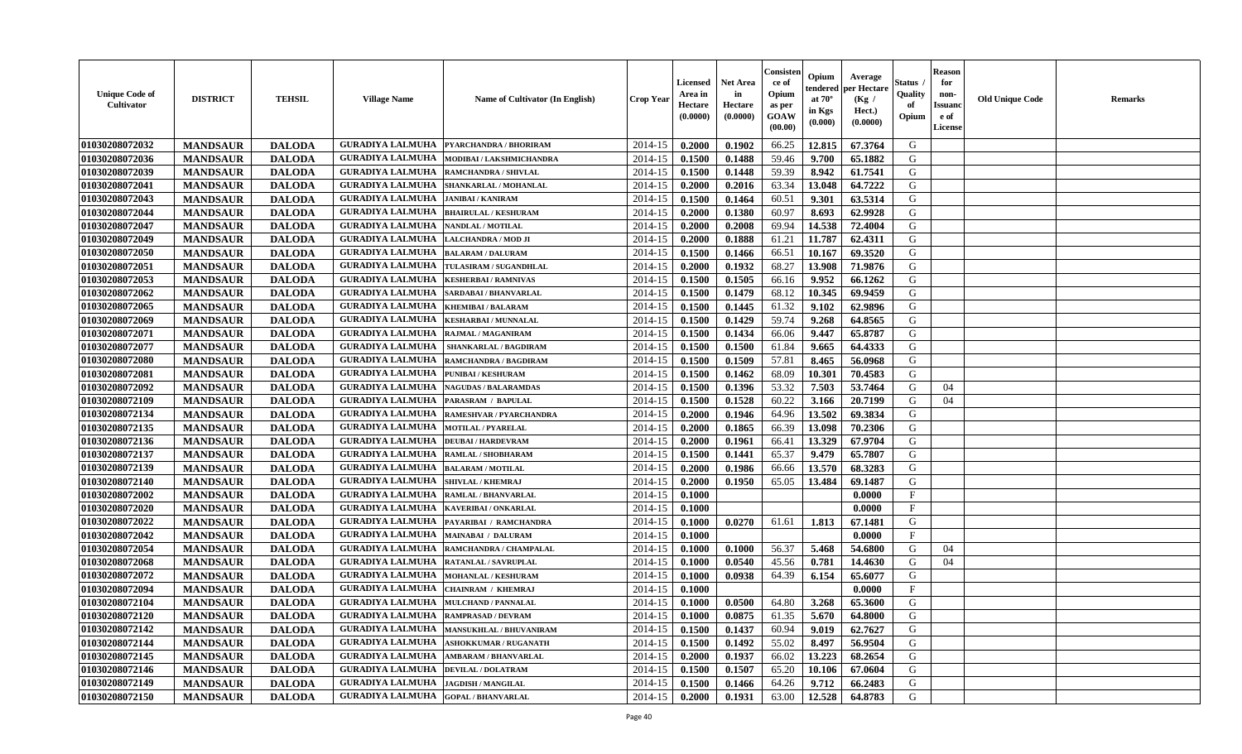| <b>Unique Code of</b><br><b>Cultivator</b> | <b>DISTRICT</b> | <b>TEHSIL</b> | <b>Village Name</b>                         | Name of Cultivator (In English) | <b>Crop Year</b> | <b>Licensed</b><br>Area in<br>Hectare<br>(0.0000) | <b>Net Area</b><br>in<br>Hectare<br>(0.0000) | Consister<br>ce of<br>Opium<br>as per<br><b>GOAW</b><br>(00.00) | Opium<br>endered<br>at $70^\circ$<br>in Kgs<br>(0.000) | Average<br>per Hectare<br>(Kg /<br>Hect.)<br>(0.0000) | Status<br>Quality<br>of<br>Opium | <b>Reason</b><br>for<br>non-<br><b>Issuano</b><br>e of<br>License | <b>Old Unique Code</b> | <b>Remarks</b> |
|--------------------------------------------|-----------------|---------------|---------------------------------------------|---------------------------------|------------------|---------------------------------------------------|----------------------------------------------|-----------------------------------------------------------------|--------------------------------------------------------|-------------------------------------------------------|----------------------------------|-------------------------------------------------------------------|------------------------|----------------|
| 01030208072032                             | <b>MANDSAUR</b> | <b>DALODA</b> | <b>GURADIYA LALMUHA</b>                     | <b>PYARCHANDRA / BHORIRAM</b>   | 2014-15          | 0.2000                                            | 0.1902                                       | 66.25                                                           | 12.815                                                 | 67.3764                                               | G                                |                                                                   |                        |                |
| 01030208072036                             | <b>MANDSAUR</b> | <b>DALODA</b> | <b>GURADIYA LALMUHA</b>                     | MODIBAI / LAKSHMICHANDRA        | 2014-15          | 0.1500                                            | 0.1488                                       | 59.46                                                           | 9.700                                                  | 65.1882                                               | G                                |                                                                   |                        |                |
| 01030208072039                             | <b>MANDSAUR</b> | <b>DALODA</b> | <b>GURADIYA LALMUHA</b>                     | RAMCHANDRA / SHIVLAL            | 2014-15          | 0.1500                                            | 0.1448                                       | 59.39                                                           | 8.942                                                  | 61.7541                                               | G                                |                                                                   |                        |                |
| 01030208072041                             | <b>MANDSAUR</b> | <b>DALODA</b> | <b>GURADIYA LALMUHA</b>                     | SHANKARLAL / MOHANLAL           | 2014-15          | 0.2000                                            | 0.2016                                       | 63.34                                                           | 13.048                                                 | 64.7222                                               | G                                |                                                                   |                        |                |
| 01030208072043                             | <b>MANDSAUR</b> | <b>DALODA</b> | <b>GURADIYA LALMUHA</b>                     | <b>JANIBAI / KANIRAM</b>        | 2014-15          | 0.1500                                            | 0.1464                                       | 60.51                                                           | 9.301                                                  | 63.5314                                               | G                                |                                                                   |                        |                |
| 01030208072044                             | <b>MANDSAUR</b> | <b>DALODA</b> | <b>GURADIYA LALMUHA</b>                     | <b>BHAIRULAL / KESHURAM</b>     | 2014-15          | 0.2000                                            | 0.1380                                       | 60.97                                                           | 8.693                                                  | 62.9928                                               | G                                |                                                                   |                        |                |
| 01030208072047                             | <b>MANDSAUR</b> | <b>DALODA</b> | <b>GURADIYA LALMUHA</b>                     | NANDLAL / MOTILAL               | 2014-15          | 0.2000                                            | 0.2008                                       | 69.94                                                           | 14.538                                                 | 72.4004                                               | G                                |                                                                   |                        |                |
| 01030208072049                             | <b>MANDSAUR</b> | <b>DALODA</b> | <b>GURADIYA LALMUHA</b>                     | LALCHANDRA / MOD JI             | 2014-15          | 0.2000                                            | 0.1888                                       | 61.21                                                           | 11.787                                                 | 62.4311                                               | G                                |                                                                   |                        |                |
| 01030208072050                             | <b>MANDSAUR</b> | <b>DALODA</b> | <b>GURADIYA LALMUHA</b>                     | <b>BALARAM / DALURAM</b>        | 2014-15          | 0.1500                                            | 0.1466                                       | 66.51                                                           | 10.167                                                 | 69.3520                                               | G                                |                                                                   |                        |                |
| 01030208072051                             | <b>MANDSAUR</b> | <b>DALODA</b> | <b>GURADIYA LALMUHA</b>                     | TULASIRAM / SUGANDHLAL          | 2014-15          | 0.2000                                            | 0.1932                                       | 68.27                                                           | 13.908                                                 | 71.9876                                               | G                                |                                                                   |                        |                |
| 01030208072053                             | <b>MANDSAUR</b> | <b>DALODA</b> | <b>GURADIYA LALMUHA</b>                     | <b>KESHERBAI/RAMNIVAS</b>       | 2014-15          | 0.1500                                            | 0.1505                                       | 66.16                                                           | 9.952                                                  | 66.1262                                               | G                                |                                                                   |                        |                |
| 01030208072062                             | <b>MANDSAUR</b> | <b>DALODA</b> | <b>GURADIYA LALMUHA</b>                     | SARDABAI / BHANVARLAL           | 2014-15          | 0.1500                                            | 0.1479                                       | 68.12                                                           | 10.345                                                 | 69.9459                                               | G                                |                                                                   |                        |                |
| 01030208072065                             | <b>MANDSAUR</b> | <b>DALODA</b> | <b>GURADIYA LALMUHA</b>                     | <b>KHEMIBAI/BALARAM</b>         | 2014-15          | 0.1500                                            | 0.1445                                       | 61.32                                                           | 9.102                                                  | 62.9896                                               | G                                |                                                                   |                        |                |
| 01030208072069                             | <b>MANDSAUR</b> | <b>DALODA</b> | <b>GURADIYA LALMUHA</b>                     | <b>KESHARBAI / MUNNALAL</b>     | 2014-15          | 0.1500                                            | 0.1429                                       | 59.74                                                           | 9.268                                                  | 64.8565                                               | G                                |                                                                   |                        |                |
| 01030208072071                             | <b>MANDSAUR</b> | <b>DALODA</b> | <b>GURADIYA LALMUHA</b>                     | RAJMAL / MAGANIRAM              | 2014-15          | 0.1500                                            | 0.1434                                       | 66.06                                                           | 9.447                                                  | 65.8787                                               | G                                |                                                                   |                        |                |
| 01030208072077                             | <b>MANDSAUR</b> | <b>DALODA</b> | <b>GURADIYA LALMUHA</b>                     | <b>SHANKARLAL / BAGDIRAM</b>    | 2014-15          | 0.1500                                            | 0.1500                                       | 61.84                                                           | 9.665                                                  | 64.4333                                               | G                                |                                                                   |                        |                |
| 01030208072080                             | <b>MANDSAUR</b> | <b>DALODA</b> | <b>GURADIYA LALMUHA</b>                     | RAMCHANDRA / BAGDIRAM           | 2014-15          | 0.1500                                            | 0.1509                                       | 57.81                                                           | 8.465                                                  | 56.0968                                               | G                                |                                                                   |                        |                |
| 01030208072081                             | <b>MANDSAUR</b> | <b>DALODA</b> | <b>GURADIYA LALMUHA</b>                     | <b>PUNIBAI / KESHURAM</b>       | 2014-15          | 0.1500                                            | 0.1462                                       | 68.09                                                           | 10.301                                                 | 70.4583                                               | G                                |                                                                   |                        |                |
| 01030208072092                             | <b>MANDSAUR</b> | <b>DALODA</b> | <b>GURADIYA LALMUHA</b>                     | <b>NAGUDAS / BALARAMDAS</b>     | 2014-15          | 0.1500                                            | 0.1396                                       | 53.32                                                           | 7.503                                                  | 53.7464                                               | G                                | 04                                                                |                        |                |
| 01030208072109                             | <b>MANDSAUR</b> | <b>DALODA</b> | <b>GURADIYA LALMUHA</b>                     | PARASRAM / BAPULAL              | 2014-15          | 0.1500                                            | 0.1528                                       | 60.22                                                           | 3.166                                                  | 20.7199                                               | G                                | 04                                                                |                        |                |
| 01030208072134                             | <b>MANDSAUR</b> | <b>DALODA</b> | <b>GURADIYA LALMUHA</b>                     | RAMESHVAR / PYARCHANDRA         | 2014-15          | 0.2000                                            | 0.1946                                       | 64.96                                                           | 13.502                                                 | 69.3834                                               | G                                |                                                                   |                        |                |
| 01030208072135                             | <b>MANDSAUR</b> | <b>DALODA</b> | <b>GURADIYA LALMUHA</b>                     | <b>MOTILAL / PYARELAL</b>       | 2014-15          | 0.2000                                            | 0.1865                                       | 66.39                                                           | 13.098                                                 | 70.2306                                               | G                                |                                                                   |                        |                |
| 01030208072136                             | <b>MANDSAUR</b> | <b>DALODA</b> | <b>GURADIYA LALMUHA</b>                     | <b>DEUBAI/HARDEVRAM</b>         | 2014-15          | 0.2000                                            | 0.1961                                       | 66.41                                                           | 13.329                                                 | 67.9704                                               | G                                |                                                                   |                        |                |
| 01030208072137                             | <b>MANDSAUR</b> | <b>DALODA</b> | <b>GURADIYA LALMUHA</b>                     | RAMLAL / SHOBHARAM              | 2014-15          | 0.1500                                            | 0.1441                                       | 65.37                                                           | 9.479                                                  | 65.7807                                               | G                                |                                                                   |                        |                |
| 01030208072139                             | <b>MANDSAUR</b> | <b>DALODA</b> | <b>GURADIYA LALMUHA</b>                     | <b>BALARAM / MOTILAL</b>        | 2014-15          | 0.2000                                            | 0.1986                                       | 66.66                                                           | 13.570                                                 | 68.3283                                               | G                                |                                                                   |                        |                |
| 01030208072140                             | <b>MANDSAUR</b> | <b>DALODA</b> | <b>GURADIYA LALMUHA</b>                     | <b>SHIVLAL / KHEMRAJ</b>        | 2014-15          | 0.2000                                            | 0.1950                                       | 65.05                                                           | 13.484                                                 | 69.1487                                               | G                                |                                                                   |                        |                |
| 01030208072002                             | <b>MANDSAUR</b> | <b>DALODA</b> | <b>GURADIYA LALMUHA</b>                     | <b>RAMLAL / BHANVARLAL</b>      | 2014-15          | 0.1000                                            |                                              |                                                                 |                                                        | 0.0000                                                | $\mathbf{F}$                     |                                                                   |                        |                |
| 01030208072020                             | <b>MANDSAUR</b> | <b>DALODA</b> | <b>GURADIYA LALMUHA</b>                     | <b>KAVERIBAI/ONKARLAL</b>       | 2014-15          | 0.1000                                            |                                              |                                                                 |                                                        | 0.0000                                                | $\mathbf{F}$                     |                                                                   |                        |                |
| 01030208072022                             | <b>MANDSAUR</b> | <b>DALODA</b> | <b>GURADIYA LALMUHA</b>                     | PAYARIBAI / RAMCHANDRA          | 2014-15          | 0.1000                                            | 0.0270                                       | 61.61                                                           | 1.813                                                  | 67.1481                                               | G                                |                                                                   |                        |                |
| 01030208072042                             | <b>MANDSAUR</b> | <b>DALODA</b> | <b>GURADIYA LALMUHA</b>                     | <b>MAINABAI / DALURAM</b>       | 2014-15          | 0.1000                                            |                                              |                                                                 |                                                        | 0.0000                                                | $\mathbf{F}$                     |                                                                   |                        |                |
| 01030208072054                             | <b>MANDSAUR</b> | <b>DALODA</b> | <b>GURADIYA LALMUHA</b>                     | RAMCHANDRA / CHAMPALAL          | 2014-15          | 0.1000                                            | 0.1000                                       | 56.37                                                           | 5.468                                                  | 54.6800                                               | G                                | 04                                                                |                        |                |
| 01030208072068                             | <b>MANDSAUR</b> | <b>DALODA</b> | <b>GURADIYA LALMUHA</b>                     | RATANLAL / SAVRUPLAL            | 2014-15          | 0.1000                                            | 0.0540                                       | 45.56                                                           | 0.781                                                  | 14.4630                                               | G                                | 04                                                                |                        |                |
| 01030208072072                             | <b>MANDSAUR</b> | <b>DALODA</b> | <b>GURADIYA LALMUHA</b>                     | <b>MOHANLAL / KESHURAM</b>      | 2014-15          | 0.1000                                            | 0.0938                                       | 64.39                                                           | 6.154                                                  | 65.6077                                               | G                                |                                                                   |                        |                |
| 01030208072094                             | <b>MANDSAUR</b> | <b>DALODA</b> | <b>GURADIYA LALMUHA</b>                     | <b>CHAINRAM / KHEMRAJ</b>       | 2014-15          | 0.1000                                            |                                              |                                                                 |                                                        | 0.0000                                                | $\mathbf{F}$                     |                                                                   |                        |                |
| 01030208072104                             | <b>MANDSAUR</b> | <b>DALODA</b> | <b>GURADIYA LALMUHA</b>                     | <b>MULCHAND / PANNALAL</b>      | 2014-15          | 0.1000                                            | 0.0500                                       | 64.80                                                           | 3.268                                                  | 65.3600                                               | G                                |                                                                   |                        |                |
| <b>01030208072120</b>                      | <b>MANDSAUR</b> | <b>DALODA</b> | <b>GURADIYA LALMUHA  RAMPRASAD / DEVRAM</b> |                                 | $2014-15$ 0.1000 |                                                   | 0.0875                                       | 61.35                                                           | 5.670                                                  | 64.8000                                               | G                                |                                                                   |                        |                |
| 01030208072142                             | <b>MANDSAUR</b> | <b>DALODA</b> | <b>GURADIYA LALMUHA</b>                     | <b>MANSUKHLAL / BHUVANIRAM</b>  | 2014-15          | 0.1500                                            | 0.1437                                       | 60.94                                                           | 9.019                                                  | 62.7627                                               | G                                |                                                                   |                        |                |
| 01030208072144                             | <b>MANDSAUR</b> | <b>DALODA</b> | <b>GURADIYA LALMUHA</b>                     | <b>ASHOKKUMAR / RUGANATH</b>    | 2014-15          | 0.1500                                            | 0.1492                                       | 55.02                                                           | 8.497                                                  | 56.9504                                               | G                                |                                                                   |                        |                |
| 01030208072145                             | <b>MANDSAUR</b> | <b>DALODA</b> | <b>GURADIYA LALMUHA</b>                     | <b>AMBARAM / BHANVARLAL</b>     | 2014-15          | 0.2000                                            | 0.1937                                       | 66.02                                                           | 13.223                                                 | 68.2654                                               | G                                |                                                                   |                        |                |
| 01030208072146                             | <b>MANDSAUR</b> | <b>DALODA</b> | <b>GURADIYA LALMUHA</b>                     | <b>DEVILAL / DOLATRAM</b>       | 2014-15          | 0.1500                                            | 0.1507                                       | 65.20                                                           | 10.106                                                 | 67.0604                                               | G                                |                                                                   |                        |                |
| 01030208072149                             | <b>MANDSAUR</b> | <b>DALODA</b> | <b>GURADIYA LALMUHA</b>                     | <b>JAGDISH / MANGILAL</b>       | 2014-15          | 0.1500                                            | 0.1466                                       | 64.26                                                           | 9.712                                                  | 66.2483                                               | G                                |                                                                   |                        |                |
| 01030208072150                             | <b>MANDSAUR</b> | <b>DALODA</b> | <b>GURADIYA LALMUHA GOPAL / BHANVARLAL</b>  |                                 | 2014-15          | 0.2000                                            | 0.1931                                       | 63.00                                                           | 12.528                                                 | 64.8783                                               | G                                |                                                                   |                        |                |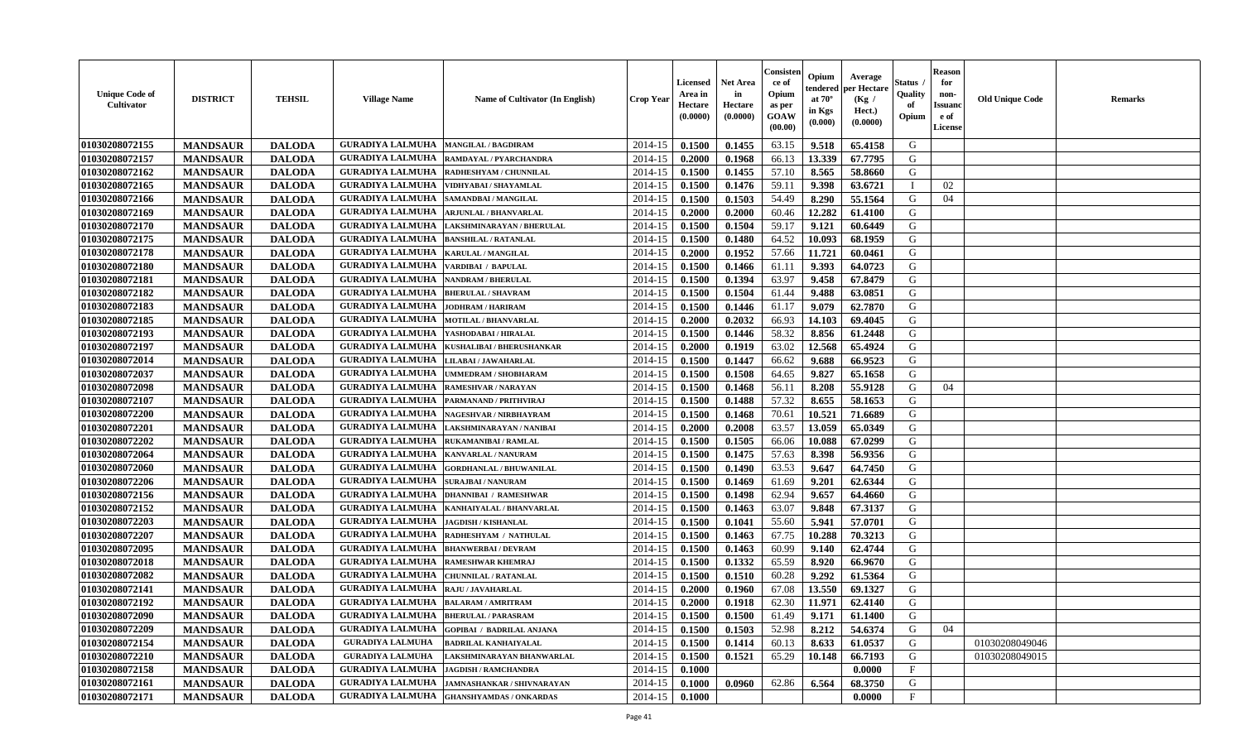| <b>Unique Code of</b><br><b>Cultivator</b> | <b>DISTRICT</b> | <b>TEHSIL</b> | <b>Village Name</b>                          | Name of Cultivator (In English)   | <b>Crop Year</b> | <b>Licensed</b><br>Area in<br>Hectare<br>(0.0000) | <b>Net Area</b><br>in<br>Hectare<br>(0.0000) | Consisteı<br>ce of<br>Opium<br>as per<br><b>GOAW</b><br>(00.00) | Opium<br>endered<br>at $70^\circ$<br>in Kgs<br>$(\mathbf{0.000})$ | Average<br>per Hectare<br>(Kg /<br>Hect.)<br>(0.0000) | Status<br>Quality<br>of<br>Opium | <b>Reason</b><br>for<br>non-<br>Issuan<br>e of<br><b>License</b> | <b>Old Unique Code</b> | <b>Remarks</b> |
|--------------------------------------------|-----------------|---------------|----------------------------------------------|-----------------------------------|------------------|---------------------------------------------------|----------------------------------------------|-----------------------------------------------------------------|-------------------------------------------------------------------|-------------------------------------------------------|----------------------------------|------------------------------------------------------------------|------------------------|----------------|
| 01030208072155                             | <b>MANDSAUR</b> | <b>DALODA</b> | <b>GURADIYA LALMUHA</b>                      | <b>MANGILAL / BAGDIRAM</b>        | 2014-15          | 0.1500                                            | 0.1455                                       | 63.15                                                           | 9.518                                                             | 65.4158                                               | G                                |                                                                  |                        |                |
| 01030208072157                             | <b>MANDSAUR</b> | <b>DALODA</b> | <b>GURADIYA LALMUHA</b>                      | RAMDAYAL / PYARCHANDRA            | 2014-15          | 0.2000                                            | 0.1968                                       | 66.13                                                           | 13.339                                                            | 67.7795                                               | G                                |                                                                  |                        |                |
| 01030208072162                             | <b>MANDSAUR</b> | <b>DALODA</b> | <b>GURADIYA LALMUHA</b>                      | RADHESHYAM / CHUNNILAL            | 2014-15          | 0.1500                                            | 0.1455                                       | 57.10                                                           | 8.565                                                             | 58.8660                                               | G                                |                                                                  |                        |                |
| 01030208072165                             | <b>MANDSAUR</b> | <b>DALODA</b> | <b>GURADIYA LALMUHA</b>                      | VIDHYABAI / SHAYAMLAL             | 2014-15          | 0.1500                                            | 0.1476                                       | 59.11                                                           | 9.398                                                             | 63.6721                                               | $\mathbf I$                      | 02                                                               |                        |                |
| 01030208072166                             | <b>MANDSAUR</b> | <b>DALODA</b> | <b>GURADIYA LALMUHA</b>                      | SAMANDBAI / MANGILAL              | 2014-15          | 0.1500                                            | 0.1503                                       | 54.49                                                           | 8.290                                                             | 55.1564                                               | G                                | 04                                                               |                        |                |
| 01030208072169                             | <b>MANDSAUR</b> | <b>DALODA</b> | <b>GURADIYA LALMUHA</b>                      | <b>ARJUNLAL / BHANVARLAL</b>      | 2014-15          | 0.2000                                            | 0.2000                                       | 60.46                                                           | 12.282                                                            | 61.4100                                               | G                                |                                                                  |                        |                |
| 01030208072170                             | <b>MANDSAUR</b> | <b>DALODA</b> | <b>GURADIYA LALMUHA</b>                      | LAKSHMINARAYAN / BHERULAL         | 2014-15          | 0.1500                                            | 0.1504                                       | 59.17                                                           | 9.121                                                             | 60.6449                                               | G                                |                                                                  |                        |                |
| 01030208072175                             | <b>MANDSAUR</b> | <b>DALODA</b> | <b>GURADIYA LALMUHA</b>                      | <b>BANSHILAL / RATANLAL</b>       | 2014-15          | 0.1500                                            | 0.1480                                       | 64.52                                                           | 10.093                                                            | 68.1959                                               | G                                |                                                                  |                        |                |
| 01030208072178                             | <b>MANDSAUR</b> | <b>DALODA</b> | <b>GURADIYA LALMUHA</b>                      | <b>KARULAL / MANGILAL</b>         | 2014-15          | 0.2000                                            | 0.1952                                       | 57.66                                                           | 11.721                                                            | 60.0461                                               | G                                |                                                                  |                        |                |
| 01030208072180                             | <b>MANDSAUR</b> | <b>DALODA</b> | <b>GURADIYA LALMUHA</b>                      | VARDIBAI / BAPULAL                | 2014-15          | 0.1500                                            | 0.1466                                       | 61.11                                                           | 9.393                                                             | 64.0723                                               | G                                |                                                                  |                        |                |
| 01030208072181                             | <b>MANDSAUR</b> | <b>DALODA</b> | <b>GURADIYA LALMUHA</b>                      | <b>NANDRAM / BHERULAL</b>         | 2014-15          | 0.1500                                            | 0.1394                                       | 63.97                                                           | 9.458                                                             | 67.8479                                               | G                                |                                                                  |                        |                |
| 01030208072182                             | <b>MANDSAUR</b> | <b>DALODA</b> | <b>GURADIYA LALMUHA</b>                      | <b>BHERULAL / SHAVRAM</b>         | 2014-15          | 0.1500                                            | 0.1504                                       | 61.44                                                           | 9.488                                                             | 63.0851                                               | G                                |                                                                  |                        |                |
| 01030208072183                             | <b>MANDSAUR</b> | <b>DALODA</b> | <b>GURADIYA LALMUHA</b>                      | JODHRAM / HARIRAM                 | 2014-15          | 0.1500                                            | 0.1446                                       | 61.17                                                           | 9.079                                                             | 62.7870                                               | G                                |                                                                  |                        |                |
| 01030208072185                             | <b>MANDSAUR</b> | <b>DALODA</b> | <b>GURADIYA LALMUHA</b>                      | MOTILAL / BHANVARLAL              | 2014-15          | 0.2000                                            | 0.2032                                       | 66.93                                                           | 14.103                                                            | 69.4045                                               | G                                |                                                                  |                        |                |
| 01030208072193                             | <b>MANDSAUR</b> | <b>DALODA</b> | <b>GURADIYA LALMUHA</b>                      | YASHODABAI / HIRALAL              | 2014-15          | 0.1500                                            | 0.1446                                       | 58.32                                                           | 8.856                                                             | 61.2448                                               | G                                |                                                                  |                        |                |
| 01030208072197                             | <b>MANDSAUR</b> | <b>DALODA</b> | <b>GURADIYA LALMUHA</b>                      | KUSHALIBAI / BHERUSHANKAR         | 2014-15          | 0.2000                                            | 0.1919                                       | 63.02                                                           | 12.568                                                            | 65.4924                                               | G                                |                                                                  |                        |                |
| 01030208072014                             | <b>MANDSAUR</b> | <b>DALODA</b> | <b>GURADIYA LALMUHA</b>                      | LILABAI / JAWAHARLAL              | 2014-15          | 0.1500                                            | 0.1447                                       | 66.62                                                           | 9.688                                                             | 66.9523                                               | G                                |                                                                  |                        |                |
| 01030208072037                             | <b>MANDSAUR</b> | <b>DALODA</b> | <b>GURADIYA LALMUHA</b>                      | <b>UMMEDRAM / SHOBHARAM</b>       | 2014-15          | 0.1500                                            | 0.1508                                       | 64.65                                                           | 9.827                                                             | 65.1658                                               | G                                |                                                                  |                        |                |
| 01030208072098                             | <b>MANDSAUR</b> | <b>DALODA</b> | <b>GURADIYA LALMUHA</b>                      | <b>RAMESHVAR / NARAYAN</b>        | 2014-15          | 0.1500                                            | 0.1468                                       | 56.11                                                           | 8.208                                                             | 55.9128                                               | G                                | 04                                                               |                        |                |
| 01030208072107                             | <b>MANDSAUR</b> | <b>DALODA</b> | <b>GURADIYA LALMUHA</b>                      | PARMANAND / PRITHVIRAJ            | 2014-15          | 0.1500                                            | 0.1488                                       | 57.32                                                           | 8.655                                                             | 58.1653                                               | G                                |                                                                  |                        |                |
| 01030208072200                             | <b>MANDSAUR</b> | <b>DALODA</b> | <b>GURADIYA LALMUHA</b>                      | NAGESHVAR / NIRBHAYRAM            | 2014-15          | 0.1500                                            | 0.1468                                       | 70.61                                                           | 10.521                                                            | 71.6689                                               | G                                |                                                                  |                        |                |
| 01030208072201                             | <b>MANDSAUR</b> | <b>DALODA</b> | <b>GURADIYA LALMUHA</b>                      | LAKSHMINARAYAN / NANIBAI          | 2014-15          | 0.2000                                            | 0.2008                                       | 63.57                                                           | 13.059                                                            | 65.0349                                               | G                                |                                                                  |                        |                |
| 01030208072202                             | <b>MANDSAUR</b> | <b>DALODA</b> | <b>GURADIYA LALMUHA</b>                      | <b>RUKAMANIBAI / RAMLAL</b>       | 2014-15          | 0.1500                                            | 0.1505                                       | 66.06                                                           | 10.088                                                            | 67.0299                                               | G                                |                                                                  |                        |                |
| 01030208072064                             | <b>MANDSAUR</b> | <b>DALODA</b> | <b>GURADIYA LALMUHA</b>                      | KANVARLAL / NANURAM               | 2014-15          | 0.1500                                            | 0.1475                                       | 57.63                                                           | 8.398                                                             | 56.9356                                               | G                                |                                                                  |                        |                |
| 01030208072060                             | <b>MANDSAUR</b> | <b>DALODA</b> | <b>GURADIYA LALMUHA</b>                      | <b>GORDHANLAL / BHUWANILAL</b>    | 2014-15          | 0.1500                                            | 0.1490                                       | 63.53                                                           | 9.647                                                             | 64.7450                                               | G                                |                                                                  |                        |                |
| 01030208072206                             | <b>MANDSAUR</b> | <b>DALODA</b> | <b>GURADIYA LALMUHA</b>                      | <b>SURAJBAI / NANURAM</b>         | 2014-15          | 0.1500                                            | 0.1469                                       | 61.69                                                           | 9.201                                                             | 62.6344                                               | G                                |                                                                  |                        |                |
| 01030208072156                             | <b>MANDSAUR</b> | <b>DALODA</b> | <b>GURADIYA LALMUHA</b>                      | <b>DHANNIBAI / RAMESHWAR</b>      | 2014-15          | 0.1500                                            | 0.1498                                       | 62.94                                                           | 9.657                                                             | 64.4660                                               | G                                |                                                                  |                        |                |
| 01030208072152                             | <b>MANDSAUR</b> | <b>DALODA</b> | <b>GURADIYA LALMUHA</b>                      | KANHAIYALAL / BHANVARLAL          | 2014-15          | 0.1500                                            | 0.1463                                       | 63.07                                                           | 9.848                                                             | 67.3137                                               | G                                |                                                                  |                        |                |
| 01030208072203                             | <b>MANDSAUR</b> | <b>DALODA</b> | <b>GURADIYA LALMUHA</b>                      | <b>JAGDISH / KISHANLAL</b>        | 2014-15          | 0.1500                                            | 0.1041                                       | 55.60                                                           | 5.941                                                             | 57.0701                                               | G                                |                                                                  |                        |                |
| 01030208072207                             | <b>MANDSAUR</b> | <b>DALODA</b> | <b>GURADIYA LALMUHA</b>                      | RADHESHYAM / NATHULAL             | 2014-15          | 0.1500                                            | 0.1463                                       | 67.75                                                           | 10.288                                                            | 70.3213                                               | G                                |                                                                  |                        |                |
| 01030208072095                             | <b>MANDSAUR</b> | <b>DALODA</b> | <b>GURADIYA LALMUHA</b>                      | <b>BHANWERBAI/DEVRAM</b>          | 2014-15          | 0.1500                                            | 0.1463                                       | 60.99                                                           | 9.140                                                             | 62.4744                                               | G                                |                                                                  |                        |                |
| 01030208072018                             | <b>MANDSAUR</b> | <b>DALODA</b> | <b>GURADIYA LALMUHA</b>                      | <b>RAMESHWAR KHEMRAJ</b>          | 2014-15          | 0.1500                                            | 0.1332                                       | 65.59                                                           | 8.920                                                             | 66.9670                                               | G                                |                                                                  |                        |                |
| 01030208072082                             | <b>MANDSAUR</b> | <b>DALODA</b> | <b>GURADIYA LALMUHA</b>                      | <b>CHUNNILAL / RATANLAL</b>       | 2014-15          | 0.1500                                            | 0.1510                                       | 60.28                                                           | 9.292                                                             | 61.5364                                               | G                                |                                                                  |                        |                |
| 01030208072141                             | <b>MANDSAUR</b> | <b>DALODA</b> | <b>GURADIYA LALMUHA</b>                      | <b>RAJU / JAVAHARLAL</b>          | 2014-15          | 0.2000                                            | 0.1960                                       | 67.08                                                           | 13.550                                                            | 69.1327                                               | G                                |                                                                  |                        |                |
| 01030208072192                             | <b>MANDSAUR</b> | <b>DALODA</b> | <b>GURADIYA LALMUHA</b>                      | <b>BALARAM / AMRITRAM</b>         | 2014-15          | 0.2000                                            | 0.1918                                       | 62.30                                                           | 11.971                                                            | 62.4140                                               | G                                |                                                                  |                        |                |
| <b>01030208072090</b>                      | <b>MANDSAUR</b> | <b>DALODA</b> | <b>GURADIYA LALMUHA  BHERULAL / PARASRAM</b> |                                   | $2014-15$ 0.1500 |                                                   | 0.1500                                       | 61.49                                                           |                                                                   | $9.171 \quad 61.1400$                                 | G                                |                                                                  |                        |                |
| 01030208072209                             | <b>MANDSAUR</b> | <b>DALODA</b> | <b>GURADIYA LALMUHA</b>                      | <b>GOPIBAI / BADRILAL ANJANA</b>  | 2014-15          | 0.1500                                            | 0.1503                                       | 52.98                                                           | 8.212                                                             | 54.6374                                               | G                                | 04                                                               |                        |                |
| 01030208072154                             | <b>MANDSAUR</b> | <b>DALODA</b> | <b>GURADIYA LALMUHA</b>                      | <b>BADRILAL KANHAIYALAL</b>       | 2014-15          | 0.1500                                            | 0.1414                                       | 60.13                                                           | 8.633                                                             | 61.0537                                               | G                                |                                                                  | 01030208049046         |                |
| 01030208072210                             | <b>MANDSAUR</b> | <b>DALODA</b> | <b>GURADIYA LALMUHA</b>                      | LAKSHMINARAYAN BHANWARLAL         | 2014-15          | 0.1500                                            | 0.1521                                       | 65.29                                                           | 10.148                                                            | 66.7193                                               | G                                |                                                                  | 01030208049015         |                |
| 01030208072158                             | <b>MANDSAUR</b> | <b>DALODA</b> | <b>GURADIYA LALMUHA</b>                      | <b>JAGDISH / RAMCHANDRA</b>       | 2014-15          | 0.1000                                            |                                              |                                                                 |                                                                   | 0.0000                                                | $\mathbf{F}$                     |                                                                  |                        |                |
| 01030208072161                             | <b>MANDSAUR</b> | <b>DALODA</b> | <b>GURADIYA LALMUHA</b>                      | <b>JAMNASHANKAR / SHIVNARAYAN</b> | 2014-15          | 0.1000                                            | 0.0960                                       | 62.86                                                           | 6.564                                                             | 68.3750                                               | G                                |                                                                  |                        |                |
| 01030208072171                             | <b>MANDSAUR</b> | <b>DALODA</b> | <b>GURADIYA LALMUHA</b>                      | <b>GHANSHYAMDAS / ONKARDAS</b>    | 2014-15          | 0.1000                                            |                                              |                                                                 |                                                                   | 0.0000                                                | $_{\rm F}$                       |                                                                  |                        |                |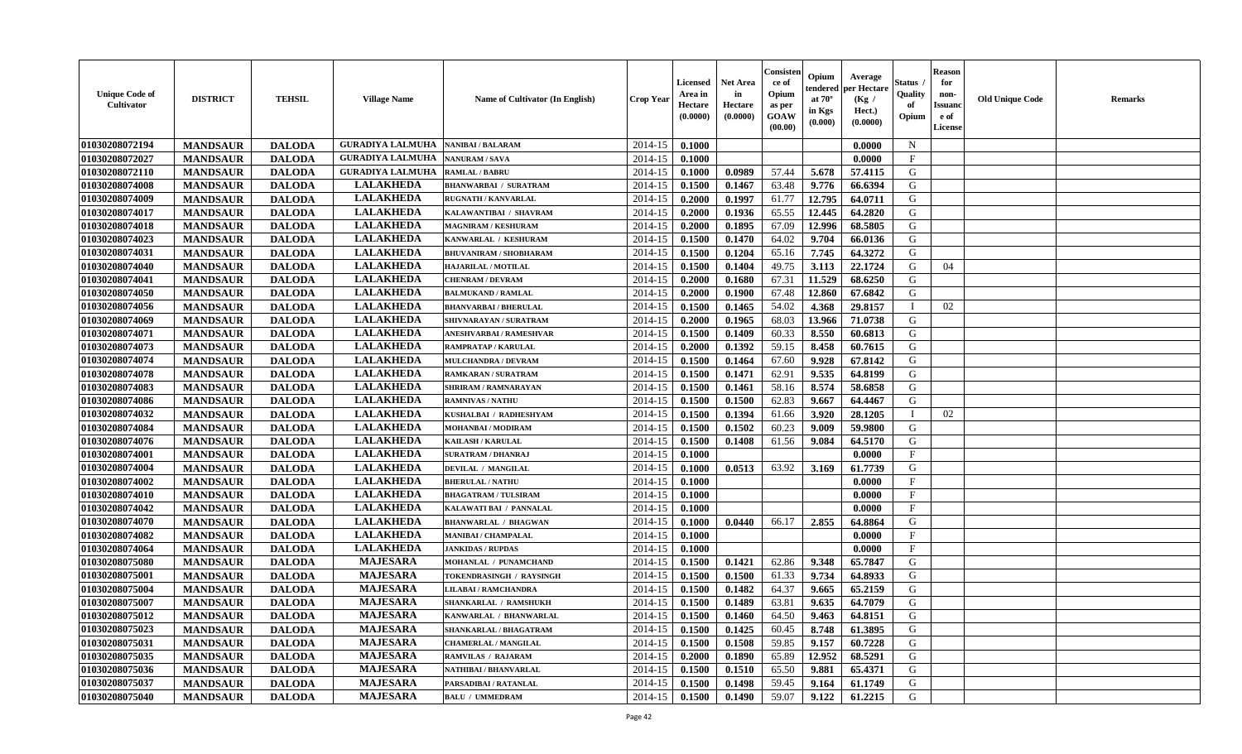| <b>Unique Code of</b><br><b>Cultivator</b> | <b>DISTRICT</b> | <b>TEHSIL</b> | <b>Village Name</b>     | Name of Cultivator (In English) | <b>Crop Year</b> | <b>Licensed</b><br>Area in<br>Hectare<br>(0.0000) | <b>Net Area</b><br>in<br>Hectare<br>(0.0000) | Consister<br>ce of<br>Opium<br>as per<br>GOAW<br>(00.00) | Opium<br>endered<br>at $70^\circ$<br>in Kgs<br>(0.000) | Average<br>per Hectare<br>(Kg /<br>Hect.)<br>(0.0000) | Status<br>Quality<br>of<br>Opium | <b>Reason</b><br>for<br>non-<br><b>Issuand</b><br>e of<br>License | <b>Old Unique Code</b> | <b>Remarks</b> |
|--------------------------------------------|-----------------|---------------|-------------------------|---------------------------------|------------------|---------------------------------------------------|----------------------------------------------|----------------------------------------------------------|--------------------------------------------------------|-------------------------------------------------------|----------------------------------|-------------------------------------------------------------------|------------------------|----------------|
| 01030208072194                             | <b>MANDSAUR</b> | <b>DALODA</b> | <b>GURADIYA LALMUHA</b> | <b>NANIBAI / BALARAM</b>        | 2014-15          | 0.1000                                            |                                              |                                                          |                                                        | 0.0000                                                | $\mathbf N$                      |                                                                   |                        |                |
| 01030208072027                             | <b>MANDSAUR</b> | <b>DALODA</b> | <b>GURADIYA LALMUHA</b> | <b>NANURAM / SAVA</b>           | 2014-15          | 0.1000                                            |                                              |                                                          |                                                        | 0.0000                                                | $\mathbf{F}$                     |                                                                   |                        |                |
| 01030208072110                             | <b>MANDSAUR</b> | <b>DALODA</b> | <b>GURADIYA LALMUHA</b> | <b>RAMLAL / BABRU</b>           | 2014-15          | 0.1000                                            | 0.0989                                       | 57.44                                                    | 5.678                                                  | 57.4115                                               | G                                |                                                                   |                        |                |
| 01030208074008                             | <b>MANDSAUR</b> | <b>DALODA</b> | <b>LALAKHEDA</b>        | <b>BHANWARBAI / SURATRAM</b>    | 2014-15          | 0.1500                                            | 0.1467                                       | 63.48                                                    | 9.776                                                  | 66.6394                                               | G                                |                                                                   |                        |                |
| 01030208074009                             | <b>MANDSAUR</b> | <b>DALODA</b> | <b>LALAKHEDA</b>        | <b>RUGNATH / KANVARLAL</b>      | 2014-15          | 0.2000                                            | 0.1997                                       | 61.77                                                    | 12.795                                                 | 64.0711                                               | G                                |                                                                   |                        |                |
| 01030208074017                             | <b>MANDSAUR</b> | <b>DALODA</b> | <b>LALAKHEDA</b>        | KALAWANTIBAI / SHAVRAM          | 2014-15          | 0.2000                                            | 0.1936                                       | 65.55                                                    | 12.445                                                 | 64.2820                                               | G                                |                                                                   |                        |                |
| 01030208074018                             | <b>MANDSAUR</b> | <b>DALODA</b> | <b>LALAKHEDA</b>        | <b>MAGNIRAM / KESHURAM</b>      | 2014-15          | 0.2000                                            | 0.1895                                       | 67.09                                                    | 12.996                                                 | 68.5805                                               | G                                |                                                                   |                        |                |
| 01030208074023                             | <b>MANDSAUR</b> | <b>DALODA</b> | <b>LALAKHEDA</b>        | KANWARLAL / KESHURAM            | 2014-15          | 0.1500                                            | 0.1470                                       | 64.02                                                    | 9.704                                                  | 66.0136                                               | G                                |                                                                   |                        |                |
| 01030208074031                             | <b>MANDSAUR</b> | <b>DALODA</b> | <b>LALAKHEDA</b>        | <b>BHUVANIRAM / SHOBHARAM</b>   | 2014-15          | 0.1500                                            | 0.1204                                       | 65.16                                                    | 7.745                                                  | 64.3272                                               | G                                |                                                                   |                        |                |
| 01030208074040                             | <b>MANDSAUR</b> | <b>DALODA</b> | <b>LALAKHEDA</b>        | HAJARILAL / MOTILAL             | 2014-15          | 0.1500                                            | 0.1404                                       | 49.75                                                    | 3.113                                                  | 22.1724                                               | G                                | 04                                                                |                        |                |
| 01030208074041                             | <b>MANDSAUR</b> | <b>DALODA</b> | <b>LALAKHEDA</b>        | <b>CHENRAM / DEVRAM</b>         | 2014-15          | 0.2000                                            | 0.1680                                       | 67.31                                                    | 11.529                                                 | 68.6250                                               | G                                |                                                                   |                        |                |
| 01030208074050                             | <b>MANDSAUR</b> | <b>DALODA</b> | <b>LALAKHEDA</b>        | <b>BALMUKAND / RAMLAL</b>       | 2014-15          | 0.2000                                            | 0.1900                                       | 67.48                                                    | 12.860                                                 | 67.6842                                               | G                                |                                                                   |                        |                |
| 01030208074056                             | <b>MANDSAUR</b> | <b>DALODA</b> | <b>LALAKHEDA</b>        | <b>BHANVARBAI / BHERULAL</b>    | 2014-15          | 0.1500                                            | 0.1465                                       | 54.02                                                    | 4.368                                                  | 29.8157                                               | $\mathbf I$                      | 02                                                                |                        |                |
| 01030208074069                             | <b>MANDSAUR</b> | <b>DALODA</b> | <b>LALAKHEDA</b>        | SHIVNARAYAN / SURATRAM          | 2014-15          | 0.2000                                            | 0.1965                                       | 68.03                                                    | 13.966                                                 | 71.0738                                               | G                                |                                                                   |                        |                |
| 01030208074071                             | <b>MANDSAUR</b> | <b>DALODA</b> | <b>LALAKHEDA</b>        | ANESHVARBAI / RAMESHVAR         | 2014-15          | 0.1500                                            | 0.1409                                       | 60.33                                                    | 8.550                                                  | 60.6813                                               | G                                |                                                                   |                        |                |
| 01030208074073                             | <b>MANDSAUR</b> | <b>DALODA</b> | <b>LALAKHEDA</b>        | <b>RAMPRATAP / KARULAL</b>      | 2014-15          | 0.2000                                            | 0.1392                                       | 59.15                                                    | 8.458                                                  | 60.7615                                               | G                                |                                                                   |                        |                |
| 01030208074074                             | <b>MANDSAUR</b> | <b>DALODA</b> | <b>LALAKHEDA</b>        | <b>MULCHANDRA / DEVRAM</b>      | 2014-15          | 0.1500                                            | 0.1464                                       | 67.60                                                    | 9.928                                                  | 67.8142                                               | G                                |                                                                   |                        |                |
| 01030208074078                             | <b>MANDSAUR</b> | <b>DALODA</b> | <b>LALAKHEDA</b>        | <b>RAMKARAN / SURATRAM</b>      | 2014-15          | 0.1500                                            | 0.1471                                       | 62.91                                                    | 9.535                                                  | 64.8199                                               | G                                |                                                                   |                        |                |
| 01030208074083                             | <b>MANDSAUR</b> | <b>DALODA</b> | <b>LALAKHEDA</b>        | SHRIRAM / RAMNARAYAN            | 2014-15          | 0.1500                                            | 0.1461                                       | 58.16                                                    | 8.574                                                  | 58.6858                                               | G                                |                                                                   |                        |                |
| 01030208074086                             | <b>MANDSAUR</b> | <b>DALODA</b> | <b>LALAKHEDA</b>        | <b>RAMNIVAS / NATHU</b>         | 2014-15          | 0.1500                                            | 0.1500                                       | 62.83                                                    | 9.667                                                  | 64.4467                                               | G                                |                                                                   |                        |                |
| 01030208074032                             | <b>MANDSAUR</b> | <b>DALODA</b> | <b>LALAKHEDA</b>        | KUSHALBAI / RADHESHYAM          | 2014-15          | 0.1500                                            | 0.1394                                       | 61.66                                                    | 3.920                                                  | 28.1205                                               | $\mathbf{I}$                     | 02                                                                |                        |                |
| 01030208074084                             | <b>MANDSAUR</b> | <b>DALODA</b> | <b>LALAKHEDA</b>        | <b>MOHANBAI/MODIRAM</b>         | 2014-15          | 0.1500                                            | 0.1502                                       | 60.23                                                    | 9.009                                                  | 59.9800                                               | G                                |                                                                   |                        |                |
| 01030208074076                             | <b>MANDSAUR</b> | <b>DALODA</b> | <b>LALAKHEDA</b>        | KAILASH / KARULAL               | 2014-15          | 0.1500                                            | 0.1408                                       | 61.56                                                    | 9.084                                                  | 64.5170                                               | G                                |                                                                   |                        |                |
| 01030208074001                             | <b>MANDSAUR</b> | <b>DALODA</b> | <b>LALAKHEDA</b>        | <b>SURATRAM / DHANRAJ</b>       | 2014-15          | 0.1000                                            |                                              |                                                          |                                                        | 0.0000                                                | $\rm F$                          |                                                                   |                        |                |
| 01030208074004                             | <b>MANDSAUR</b> | <b>DALODA</b> | <b>LALAKHEDA</b>        | <b>DEVILAL / MANGILAL</b>       | 2014-15          | 0.1000                                            | 0.0513                                       | 63.92                                                    | 3.169                                                  | 61.7739                                               | G                                |                                                                   |                        |                |
| 01030208074002                             | <b>MANDSAUR</b> | <b>DALODA</b> | <b>LALAKHEDA</b>        | <b>BHERULAL / NATHU</b>         | 2014-15          | 0.1000                                            |                                              |                                                          |                                                        | 0.0000                                                | $\mathbf F$                      |                                                                   |                        |                |
| 01030208074010                             | <b>MANDSAUR</b> | <b>DALODA</b> | <b>LALAKHEDA</b>        | <b>BHAGATRAM / TULSIRAM</b>     | 2014-15          | 0.1000                                            |                                              |                                                          |                                                        | 0.0000                                                | $\mathbf{F}$                     |                                                                   |                        |                |
| 01030208074042                             | <b>MANDSAUR</b> | <b>DALODA</b> | <b>LALAKHEDA</b>        | KALAWATI BAI / PANNALAL         | 2014-15          | 0.1000                                            |                                              |                                                          |                                                        | 0.0000                                                | $\mathbf{F}$                     |                                                                   |                        |                |
| 01030208074070                             | <b>MANDSAUR</b> | <b>DALODA</b> | <b>LALAKHEDA</b>        | <b>BHANWARLAL / BHAGWAN</b>     | 2014-15          | 0.1000                                            | 0.0440                                       | 66.17                                                    | 2.855                                                  | 64.8864                                               | G                                |                                                                   |                        |                |
| 01030208074082                             | <b>MANDSAUR</b> | <b>DALODA</b> | <b>LALAKHEDA</b>        | <b>MANIBAI / CHAMPALAL</b>      | 2014-15          | 0.1000                                            |                                              |                                                          |                                                        | 0.0000                                                | $\mathbf{F}$                     |                                                                   |                        |                |
| 01030208074064                             | <b>MANDSAUR</b> | <b>DALODA</b> | <b>LALAKHEDA</b>        | <b>JANKIDAS / RUPDAS</b>        | 2014-15          | 0.1000                                            |                                              |                                                          |                                                        | 0.0000                                                | $\mathbf{F}$                     |                                                                   |                        |                |
| 01030208075080                             | <b>MANDSAUR</b> | <b>DALODA</b> | <b>MAJESARA</b>         | MOHANLAL / PUNAMCHAND           | 2014-15          | 0.1500                                            | 0.1421                                       | 62.86                                                    | 9.348                                                  | 65.7847                                               | G                                |                                                                   |                        |                |
| 01030208075001                             | <b>MANDSAUR</b> | <b>DALODA</b> | <b>MAJESARA</b>         | TOKENDRASINGH / RAYSINGH        | 2014-15          | 0.1500                                            | 0.1500                                       | 61.33                                                    | 9.734                                                  | 64.8933                                               | G                                |                                                                   |                        |                |
| 01030208075004                             | <b>MANDSAUR</b> | <b>DALODA</b> | <b>MAJESARA</b>         | <b>LILABAI/RAMCHANDRA</b>       | 2014-15          | 0.1500                                            | 0.1482                                       | 64.37                                                    | 9.665                                                  | 65.2159                                               | G                                |                                                                   |                        |                |
| 01030208075007                             | <b>MANDSAUR</b> | <b>DALODA</b> | <b>MAJESARA</b>         | SHANKARLAL / RAMSHUKH           | 2014-15          | 0.1500                                            | 0.1489                                       | 63.81                                                    | 9.635                                                  | 64.7079                                               | G                                |                                                                   |                        |                |
| 01030208075012                             | <b>MANDSAUR</b> | <b>DALODA</b> | <b>MAJESARA</b>         | KANWARLAL / BHANWARLAL          | 2014-15          | 0.1500                                            | 0.1460                                       | 64.50                                                    | 9.463                                                  | 64.8151                                               | G                                |                                                                   |                        |                |
| 01030208075023                             | <b>MANDSAUR</b> | <b>DALODA</b> | <b>MAJESARA</b>         | SHANKARLAL / BHAGATRAM          | 2014-15          | 0.1500                                            | 0.1425                                       | 60.45                                                    | 8.748                                                  | 61.3895                                               | G                                |                                                                   |                        |                |
| 01030208075031                             | <b>MANDSAUR</b> | <b>DALODA</b> | <b>MAJESARA</b>         | <b>CHAMERLAL / MANGILAL</b>     | 2014-15          | 0.1500                                            | 0.1508                                       | 59.85                                                    | 9.157                                                  | 60.7228                                               | G                                |                                                                   |                        |                |
| 01030208075035                             | <b>MANDSAUR</b> | <b>DALODA</b> | <b>MAJESARA</b>         | <b>RAMVILAS / RAJARAM</b>       | 2014-15          | 0.2000                                            | 0.1890                                       | 65.89                                                    | 12.952                                                 | 68.5291                                               | G                                |                                                                   |                        |                |
| 01030208075036                             | <b>MANDSAUR</b> | <b>DALODA</b> | <b>MAJESARA</b>         | NATHIBAI / BHANVARLAL           | 2014-15          | 0.1500                                            | 0.1510                                       | 65.50                                                    | 9.881                                                  | 65.4371                                               | G                                |                                                                   |                        |                |
| 01030208075037                             | <b>MANDSAUR</b> | <b>DALODA</b> | <b>MAJESARA</b>         | PARSADIBAI / RATANLAL           | 2014-15          | 0.1500                                            | 0.1498                                       | 59.45                                                    | 9.164                                                  | 61.1749                                               | G                                |                                                                   |                        |                |
| 01030208075040                             | <b>MANDSAUR</b> | <b>DALODA</b> | <b>MAJESARA</b>         | <b>BALU / UMMEDRAM</b>          | 2014-15          | 0.1500                                            | 0.1490                                       | 59.07                                                    | 9.122                                                  | 61.2215                                               | G                                |                                                                   |                        |                |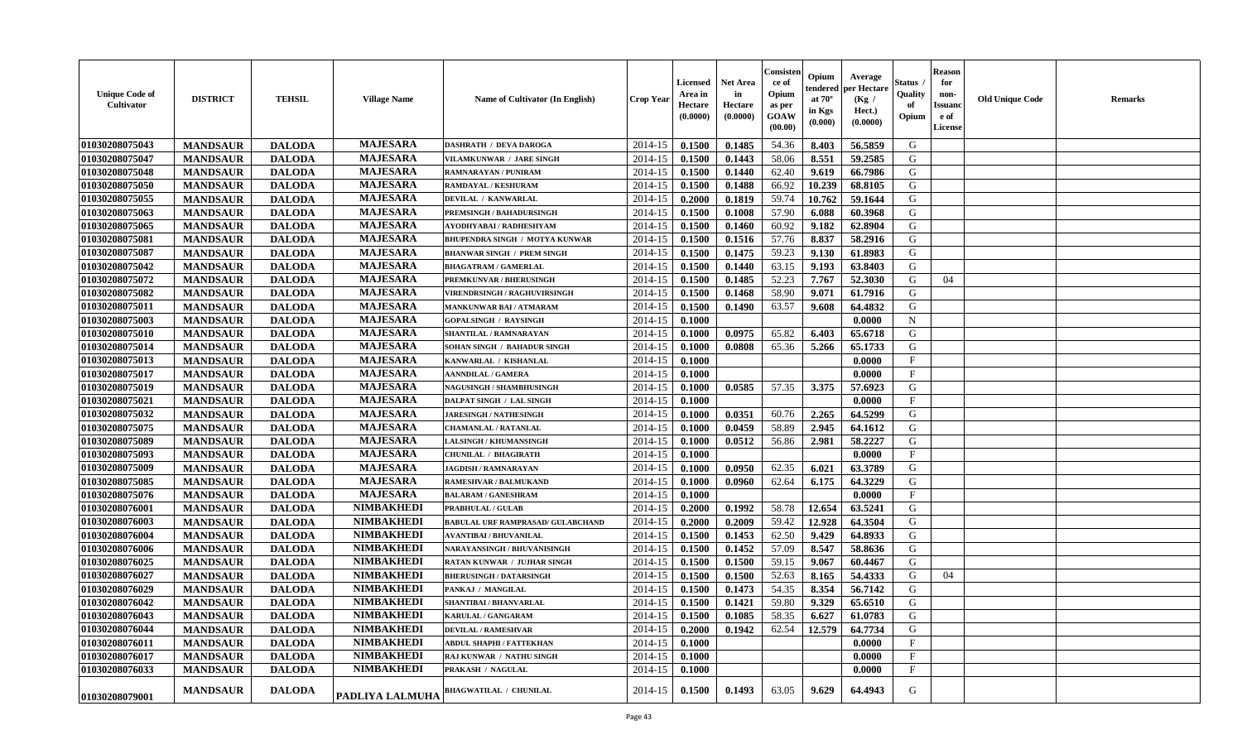| <b>Unique Code of</b><br><b>Cultivator</b> | <b>DISTRICT</b> | <b>TEHSIL</b> | <b>Village Name</b> | Name of Cultivator (In English)          | <b>Crop Year</b> | <b>Licensed</b><br>Area in<br>Hectare<br>(0.0000) | <b>Net Area</b><br>in<br>Hectare<br>(0.0000) | Consister<br>ce of<br>Opium<br>as per<br><b>GOAW</b><br>(00.00) | Opium<br>endered<br>at $70^\circ$<br>in Kgs<br>(0.000) | Average<br>per Hectare<br>(Kg)<br>Hect.)<br>(0.0000) | Status<br>Quality<br>of<br>Opium | <b>Reason</b><br>for<br>non-<br><b>Issuano</b><br>e of<br>License | <b>Old Unique Code</b> | <b>Remarks</b> |
|--------------------------------------------|-----------------|---------------|---------------------|------------------------------------------|------------------|---------------------------------------------------|----------------------------------------------|-----------------------------------------------------------------|--------------------------------------------------------|------------------------------------------------------|----------------------------------|-------------------------------------------------------------------|------------------------|----------------|
| 01030208075043                             | <b>MANDSAUR</b> | <b>DALODA</b> | <b>MAJESARA</b>     | <b>DASHRATH / DEVA DAROGA</b>            | 2014-15          | 0.1500                                            | 0.1485                                       | 54.36                                                           | 8.403                                                  | 56.5859                                              | G                                |                                                                   |                        |                |
| 01030208075047                             | <b>MANDSAUR</b> | <b>DALODA</b> | <b>MAJESARA</b>     | <b>VILAMKUNWAR / JARE SINGH</b>          | 2014-15          | 0.1500                                            | 0.1443                                       | 58.06                                                           | 8.551                                                  | 59.2585                                              | G                                |                                                                   |                        |                |
| 01030208075048                             | <b>MANDSAUR</b> | <b>DALODA</b> | <b>MAJESARA</b>     | RAMNARAYAN / PUNIRAM                     | 2014-15          | 0.1500                                            | 0.1440                                       | 62.40                                                           | 9.619                                                  | 66.7986                                              | G                                |                                                                   |                        |                |
| 01030208075050                             | <b>MANDSAUR</b> | <b>DALODA</b> | <b>MAJESARA</b>     | RAMDAYAL / KESHURAM                      | 2014-15          | 0.1500                                            | 0.1488                                       | 66.92                                                           | 10.239                                                 | 68.8105                                              | G                                |                                                                   |                        |                |
| 01030208075055                             | <b>MANDSAUR</b> | <b>DALODA</b> | <b>MAJESARA</b>     | DEVILAL / KANWARLAL                      | 2014-15          | 0.2000                                            | 0.1819                                       | 59.74                                                           | 10.762                                                 | 59.1644                                              | G                                |                                                                   |                        |                |
| 01030208075063                             | <b>MANDSAUR</b> | <b>DALODA</b> | <b>MAJESARA</b>     | PREMSINGH / BAHADURSINGH                 | 2014-15          | 0.1500                                            | 0.1008                                       | 57.90                                                           | 6.088                                                  | 60.3968                                              | G                                |                                                                   |                        |                |
| 01030208075065                             | <b>MANDSAUR</b> | <b>DALODA</b> | <b>MAJESARA</b>     | AYODHYABAI / RADHESHYAM                  | 2014-15          | 0.1500                                            | 0.1460                                       | 60.92                                                           | 9.182                                                  | 62.8904                                              | G                                |                                                                   |                        |                |
| 01030208075081                             | <b>MANDSAUR</b> | <b>DALODA</b> | <b>MAJESARA</b>     | BHUPENDRA SINGH / MOTYA KUNWAR           | 2014-15          | 0.1500                                            | 0.1516                                       | 57.76                                                           | 8.837                                                  | 58.2916                                              | G                                |                                                                   |                        |                |
| 01030208075087                             | <b>MANDSAUR</b> | <b>DALODA</b> | <b>MAJESARA</b>     | <b>BHANWAR SINGH / PREM SINGH</b>        | 2014-15          | 0.1500                                            | 0.1475                                       | 59.23                                                           | 9.130                                                  | 61.8983                                              | G                                |                                                                   |                        |                |
| 01030208075042                             | <b>MANDSAUR</b> | <b>DALODA</b> | <b>MAJESARA</b>     | <b>BHAGATRAM / GAMERLAL</b>              | 2014-15          | 0.1500                                            | 0.1440                                       | 63.15                                                           | 9.193                                                  | 63.8403                                              | G                                |                                                                   |                        |                |
| 01030208075072                             | <b>MANDSAUR</b> | <b>DALODA</b> | <b>MAJESARA</b>     | PREMKUNVAR / BHERUSINGH                  | 2014-15          | 0.1500                                            | 0.1485                                       | 52.23                                                           | 7.767                                                  | 52.3030                                              | G                                | 04                                                                |                        |                |
| 01030208075082                             | <b>MANDSAUR</b> | <b>DALODA</b> | <b>MAJESARA</b>     | <b>VIRENDRSINGH / RAGHUVIRSINGH</b>      | 2014-15          | 0.1500                                            | 0.1468                                       | 58.90                                                           | 9.071                                                  | 61.7916                                              | G                                |                                                                   |                        |                |
| 01030208075011                             | <b>MANDSAUR</b> | <b>DALODA</b> | <b>MAJESARA</b>     | <b>MANKUNWAR BAI/ATMARAM</b>             | 2014-15          | 0.1500                                            | 0.1490                                       | 63.57                                                           | 9.608                                                  | 64.4832                                              | G                                |                                                                   |                        |                |
| 01030208075003                             | <b>MANDSAUR</b> | <b>DALODA</b> | <b>MAJESARA</b>     | <b>GOPALSINGH / RAYSINGH</b>             | 2014-15          | 0.1000                                            |                                              |                                                                 |                                                        | 0.0000                                               | $\mathbf N$                      |                                                                   |                        |                |
| 01030208075010                             | <b>MANDSAUR</b> | <b>DALODA</b> | <b>MAJESARA</b>     | SHANTILAL / RAMNARAYAN                   | 2014-15          | 0.1000                                            | 0.0975                                       | 65.82                                                           | 6.403                                                  | 65.6718                                              | G                                |                                                                   |                        |                |
| 01030208075014                             | <b>MANDSAUR</b> | <b>DALODA</b> | <b>MAJESARA</b>     | SOHAN SINGH / BAHADUR SINGH              | 2014-15          | 0.1000                                            | 0.0808                                       | 65.36                                                           | 5.266                                                  | 65.1733                                              | G                                |                                                                   |                        |                |
| 01030208075013                             | <b>MANDSAUR</b> | <b>DALODA</b> | <b>MAJESARA</b>     | KANWARLAL / KISHANLAL                    | 2014-15          | 0.1000                                            |                                              |                                                                 |                                                        | 0.0000                                               | $\mathbf{F}$                     |                                                                   |                        |                |
| 01030208075017                             | <b>MANDSAUR</b> | <b>DALODA</b> | <b>MAJESARA</b>     | <b>AANNDILAL / GAMERA</b>                | 2014-15          | 0.1000                                            |                                              |                                                                 |                                                        | 0.0000                                               | $\mathbf{F}$                     |                                                                   |                        |                |
| 01030208075019                             | <b>MANDSAUR</b> | <b>DALODA</b> | <b>MAJESARA</b>     | NAGUSINGH / SHAMBHUSINGH                 | 2014-15          | 0.1000                                            | 0.0585                                       | 57.35                                                           | 3.375                                                  | 57.6923                                              | G                                |                                                                   |                        |                |
| 01030208075021                             | <b>MANDSAUR</b> | <b>DALODA</b> | <b>MAJESARA</b>     | <b>DALPAT SINGH / LAL SINGH</b>          | 2014-15          | 0.1000                                            |                                              |                                                                 |                                                        | 0.0000                                               | $\mathbf{F}$                     |                                                                   |                        |                |
| 01030208075032                             | <b>MANDSAUR</b> | <b>DALODA</b> | <b>MAJESARA</b>     | <b>JARESINGH / NATHESINGH</b>            | 2014-15          | 0.1000                                            | 0.0351                                       | 60.76                                                           | 2.265                                                  | 64.5299                                              | G                                |                                                                   |                        |                |
| 01030208075075                             | <b>MANDSAUR</b> | <b>DALODA</b> | <b>MAJESARA</b>     | <b>CHAMANLAL / RATANLAL</b>              | 2014-15          | 0.1000                                            | 0.0459                                       | 58.89                                                           | 2.945                                                  | 64.1612                                              | G                                |                                                                   |                        |                |
| 01030208075089                             | <b>MANDSAUR</b> | <b>DALODA</b> | <b>MAJESARA</b>     | <b>LALSINGH / KHUMANSINGH</b>            | 2014-15          | 0.1000                                            | 0.0512                                       | 56.86                                                           | 2.981                                                  | 58,2227                                              | G                                |                                                                   |                        |                |
| 01030208075093                             | <b>MANDSAUR</b> | <b>DALODA</b> | <b>MAJESARA</b>     | <b>CHUNILAL / BHAGIRATH</b>              | 2014-15          | 0.1000                                            |                                              |                                                                 |                                                        | 0.0000                                               | $\mathbf{F}$                     |                                                                   |                        |                |
| 01030208075009                             | <b>MANDSAUR</b> | <b>DALODA</b> | <b>MAJESARA</b>     | <b>JAGDISH / RAMNARAYAN</b>              | 2014-15          | 0.1000                                            | 0.0950                                       | 62.35                                                           | 6.021                                                  | 63.3789                                              | G                                |                                                                   |                        |                |
| 01030208075085                             | <b>MANDSAUR</b> | <b>DALODA</b> | <b>MAJESARA</b>     | RAMESHVAR / BALMUKAND                    | 2014-15          | 0.1000                                            | 0.0960                                       | 62.64                                                           | 6.175                                                  | 64.3229                                              | G                                |                                                                   |                        |                |
| 01030208075076                             | <b>MANDSAUR</b> | <b>DALODA</b> | <b>MAJESARA</b>     | <b>BALARAM / GANESHRAM</b>               | 2014-15          | 0.1000                                            |                                              |                                                                 |                                                        | 0.0000                                               | $\mathbf{F}$                     |                                                                   |                        |                |
| 01030208076001                             | <b>MANDSAUR</b> | <b>DALODA</b> | <b>NIMBAKHEDI</b>   | <b>PRABHULAL / GULAB</b>                 | 2014-15          | 0.2000                                            | 0.1992                                       | 58.78                                                           | 12.654                                                 | 63.5241                                              | G                                |                                                                   |                        |                |
| 01030208076003                             | <b>MANDSAUR</b> | <b>DALODA</b> | <b>NIMBAKHEDI</b>   | <b>BABULAL URF RAMPRASAD/ GULABCHAND</b> | 2014-15          | 0.2000                                            | 0.2009                                       | 59.42                                                           | 12.928                                                 | 64.3504                                              | G                                |                                                                   |                        |                |
| 01030208076004                             | <b>MANDSAUR</b> | <b>DALODA</b> | <b>NIMBAKHEDI</b>   | <b>AVANTIBAI / BHUVANILAL</b>            | 2014-15          | 0.1500                                            | 0.1453                                       | 62.50                                                           | 9.429                                                  | 64.8933                                              | G                                |                                                                   |                        |                |
| 01030208076006                             | <b>MANDSAUR</b> | <b>DALODA</b> | <b>NIMBAKHEDI</b>   | NARAYANSINGH / BHUVANISINGH              | 2014-15          | 0.1500                                            | 0.1452                                       | 57.09                                                           | 8.547                                                  | 58.8636                                              | G                                |                                                                   |                        |                |
| 01030208076025                             | <b>MANDSAUR</b> | <b>DALODA</b> | <b>NIMBAKHEDI</b>   | RATAN KUNWAR / JUJHAR SINGH              | 2014-15          | 0.1500                                            | 0.1500                                       | 59.15                                                           | 9.067                                                  | 60.4467                                              | G                                |                                                                   |                        |                |
| 01030208076027                             | <b>MANDSAUR</b> | <b>DALODA</b> | <b>NIMBAKHEDI</b>   | <b>BHERUSINGH / DATARSINGH</b>           | 2014-15          | 0.1500                                            | 0.1500                                       | 52.63                                                           | 8.165                                                  | 54.4333                                              | G                                | 04                                                                |                        |                |
| 01030208076029                             | <b>MANDSAUR</b> | <b>DALODA</b> | <b>NIMBAKHEDI</b>   | PANKAJ / MANGILAL                        | 2014-15          | 0.1500                                            | 0.1473                                       | 54.35                                                           | 8.354                                                  | 56.7142                                              | G                                |                                                                   |                        |                |
| 01030208076042                             | <b>MANDSAUR</b> | <b>DALODA</b> | <b>NIMBAKHEDI</b>   | SHANTIBAI / BHANVARLAL                   | 2014-15          | 0.1500                                            | 0.1421                                       | 59.80                                                           | 9.329                                                  | 65.6510                                              | G                                |                                                                   |                        |                |
| 01030208076043                             | <b>MANDSAUR</b> | <b>DALODA</b> | <b>NIMBAKHEDI</b>   | KARULAL / GANGARAM                       | $2014-15$ 0.1500 |                                                   | 0.1085                                       | 58.35                                                           | 6.627                                                  | 61.0783                                              | G                                |                                                                   |                        |                |
| 01030208076044                             | <b>MANDSAUR</b> | <b>DALODA</b> | <b>NIMBAKHEDI</b>   | <b>DEVILAL / RAMESHVAR</b>               | 2014-15          | 0.2000                                            | 0.1942                                       | 62.54                                                           | 12.579                                                 | 64.7734                                              | G                                |                                                                   |                        |                |
| 01030208076011                             | <b>MANDSAUR</b> | <b>DALODA</b> | <b>NIMBAKHEDI</b>   | ABDUL SHAPHI / FATTEKHAN                 | 2014-15          | 0.1000                                            |                                              |                                                                 |                                                        | 0.0000                                               | $_{\rm F}$                       |                                                                   |                        |                |
| 01030208076017                             | <b>MANDSAUR</b> | <b>DALODA</b> | <b>NIMBAKHEDI</b>   | RAJ KUNWAR / NATHU SINGH                 | 2014-15          | 0.1000                                            |                                              |                                                                 |                                                        | 0.0000                                               | $\mathbf{F}$                     |                                                                   |                        |                |
| 01030208076033                             | <b>MANDSAUR</b> | <b>DALODA</b> | <b>NIMBAKHEDI</b>   | <b>PRAKASH / NAGULAL</b>                 | 2014-15          | 0.1000                                            |                                              |                                                                 |                                                        | 0.0000                                               | $\mathbf{F}$                     |                                                                   |                        |                |
| <b>01030208079001</b>                      | <b>MANDSAUR</b> | <b>DALODA</b> | PADLIYA LALMUHA     | <b>BHAGWATILAL / CHUNILAL</b>            | 2014-15          | 0.1500                                            | 0.1493                                       | 63.05                                                           | 9.629                                                  | 64.4943                                              | G                                |                                                                   |                        |                |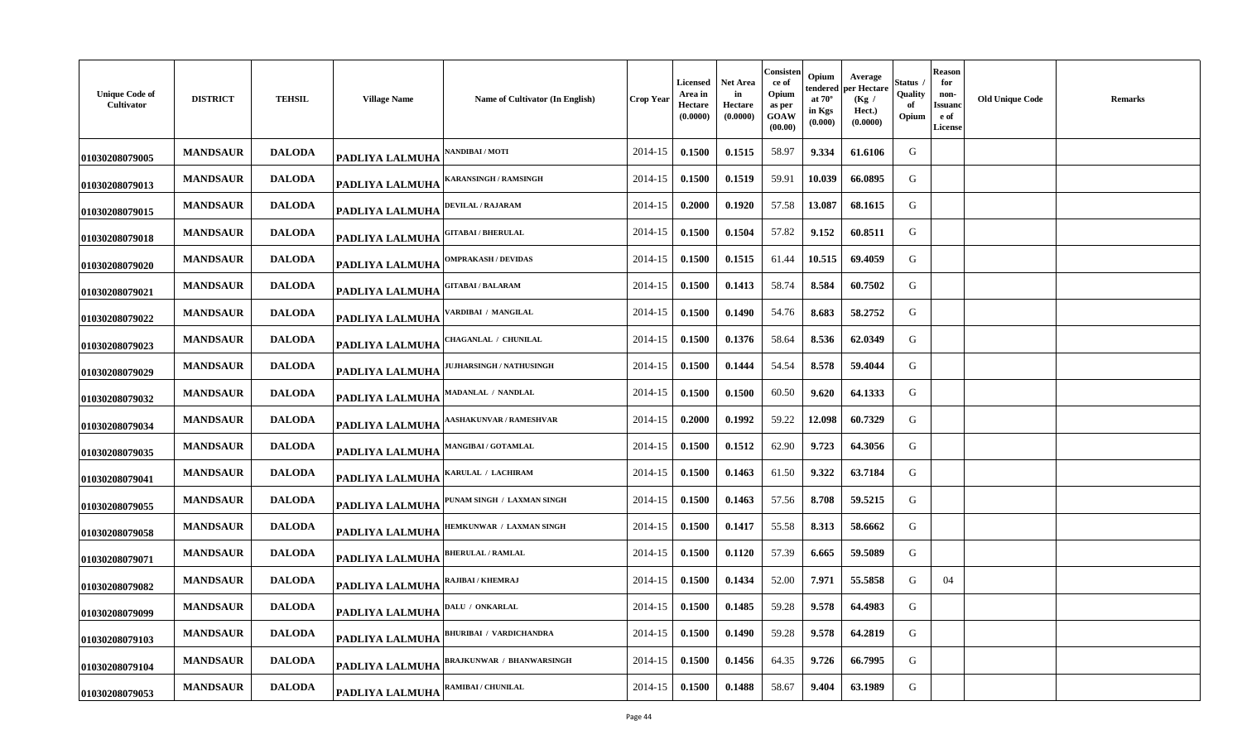| <b>Unique Code of</b><br>Cultivator | <b>DISTRICT</b> | <b>TEHSIL</b> | <b>Village Name</b>    | Name of Cultivator (In English) | Crop Year | <b>Licensed</b><br>Area in<br>Hectare<br>(0.0000) | Net Area<br>in<br>Hectare<br>(0.0000) | Consisten<br>ce of<br>Opium<br>as per<br>GOAW<br>(00.00) | Opium<br>tendered<br>at $70^\circ$<br>in Kgs<br>(0.000) | Average<br>per Hectare<br>(Kg /<br>Hect.)<br>(0.0000) | Status<br>Quality<br>оf<br>Opium | <b>Reason</b><br>for<br>non-<br>Issuano<br>e of<br><b>License</b> | <b>Old Unique Code</b> | <b>Remarks</b> |
|-------------------------------------|-----------------|---------------|------------------------|---------------------------------|-----------|---------------------------------------------------|---------------------------------------|----------------------------------------------------------|---------------------------------------------------------|-------------------------------------------------------|----------------------------------|-------------------------------------------------------------------|------------------------|----------------|
| 01030208079005                      | <b>MANDSAUR</b> | <b>DALODA</b> | <b>PADLIYA LALMUHA</b> | <b>ANDIBAI / MOTI</b>           | 2014-15   | 0.1500                                            | 0.1515                                | 58.97                                                    | 9.334                                                   | 61.6106                                               | G                                |                                                                   |                        |                |
| 01030208079013                      | <b>MANDSAUR</b> | <b>DALODA</b> | <b>PADLIYA LALMUHA</b> | <b>ARANSINGH / RAMSINGH</b>     | 2014-15   | 0.1500                                            | 0.1519                                | 59.91                                                    | 10.039                                                  | 66.0895                                               | G                                |                                                                   |                        |                |
| 01030208079015                      | <b>MANDSAUR</b> | <b>DALODA</b> | <b>PADLIYA LALMUHA</b> | DEVILAL / RAJARAM               | 2014-15   | 0.2000                                            | 0.1920                                | 57.58                                                    | 13.087                                                  | 68.1615                                               | G                                |                                                                   |                        |                |
| 01030208079018                      | <b>MANDSAUR</b> | <b>DALODA</b> | PADLIYA LALMUHA        | <b>GITABAI/BHERULAL</b>         | 2014-15   | 0.1500                                            | 0.1504                                | 57.82                                                    | 9.152                                                   | 60.8511                                               | G                                |                                                                   |                        |                |
| 01030208079020                      | <b>MANDSAUR</b> | <b>DALODA</b> | PADLIYA LALMUHA        | <b>DMPRAKASH / DEVIDAS</b>      | 2014-15   | 0.1500                                            | 0.1515                                | 61.44                                                    | 10.515                                                  | 69.4059                                               | G                                |                                                                   |                        |                |
| 01030208079021                      | <b>MANDSAUR</b> | <b>DALODA</b> | <b>PADLIYA LALMUHA</b> | <b>GITABAI / BALARAM</b>        | 2014-15   | 0.1500                                            | 0.1413                                | 58.74                                                    | 8.584                                                   | 60.7502                                               | G                                |                                                                   |                        |                |
| 01030208079022                      | <b>MANDSAUR</b> | <b>DALODA</b> | <b>PADLIYA LALMUHA</b> | <b>/ARDIBAI / MANGILAL</b>      | 2014-15   | 0.1500                                            | 0.1490                                | 54.76                                                    | 8.683                                                   | 58,2752                                               | G                                |                                                                   |                        |                |
| 01030208079023                      | <b>MANDSAUR</b> | <b>DALODA</b> | PADLIYA LALMUHA        | <b>HAGANLAL / CHUNILAL</b>      | 2014-15   | 0.1500                                            | 0.1376                                | 58.64                                                    | 8.536                                                   | 62.0349                                               | G                                |                                                                   |                        |                |
| 01030208079029                      | <b>MANDSAUR</b> | <b>DALODA</b> | <b>PADLIYA LALMUHA</b> | <b>IUJHARSINGH / NATHUSINGH</b> | 2014-15   | 0.1500                                            | 0.1444                                | 54.54                                                    | 8.578                                                   | 59.4044                                               | G                                |                                                                   |                        |                |
| 01030208079032                      | <b>MANDSAUR</b> | <b>DALODA</b> | <b>PADLIYA LALMUHA</b> | MADANLAL / NANDLAL              | 2014-15   | 0.1500                                            | 0.1500                                | 60.50                                                    | 9.620                                                   | 64.1333                                               | G                                |                                                                   |                        |                |
| 01030208079034                      | <b>MANDSAUR</b> | <b>DALODA</b> | <b>PADLIYA LALMUHA</b> | <b>ASHAKUNVAR / RAMESHVAR</b>   | 2014-15   | 0.2000                                            | 0.1992                                | 59.22                                                    | 12.098                                                  | 60.7329                                               | G                                |                                                                   |                        |                |
| 01030208079035                      | <b>MANDSAUR</b> | <b>DALODA</b> | PADLIYA LALMUHA        | <b>MANGIBAI / GOTAMLAL</b>      | 2014-15   | 0.1500                                            | 0.1512                                | 62.90                                                    | 9.723                                                   | 64.3056                                               | G                                |                                                                   |                        |                |
| 01030208079041                      | <b>MANDSAUR</b> | <b>DALODA</b> | PADLIYA LALMUHA        | KARULAL / LACHIRAM              | 2014-15   | 0.1500                                            | 0.1463                                | 61.50                                                    | 9.322                                                   | 63.7184                                               | G                                |                                                                   |                        |                |
| 01030208079055                      | <b>MANDSAUR</b> | <b>DALODA</b> | PADLIYA LALMUHA        | 'UNAM SINGH / LAXMAN SINGH      | 2014-15   | 0.1500                                            | 0.1463                                | 57.56                                                    | 8.708                                                   | 59.5215                                               | G                                |                                                                   |                        |                |
| 01030208079058                      | <b>MANDSAUR</b> | <b>DALODA</b> | PADLIYA LALMUHA        | HEMKUNWAR / LAXMAN SINGH        | 2014-15   | 0.1500                                            | 0.1417                                | 55.58                                                    | 8.313                                                   | 58.6662                                               | G                                |                                                                   |                        |                |
| 01030208079071                      | <b>MANDSAUR</b> | <b>DALODA</b> | <b>PADLIYA LALMUHA</b> | <b>BHERULAL / RAMLAL</b>        | 2014-15   | 0.1500                                            | 0.1120                                | 57.39                                                    | 6.665                                                   | 59.5089                                               | G                                |                                                                   |                        |                |
| 01030208079082                      | <b>MANDSAUR</b> | <b>DALODA</b> | PADLIYA LALMUHA        | RAJIBAI / KHEMRAJ               | 2014-15   | 0.1500                                            | 0.1434                                | 52.00                                                    | 7.971                                                   | 55.5858                                               | G                                | 04                                                                |                        |                |
| 01030208079099                      | <b>MANDSAUR</b> | <b>DALODA</b> | <b>PADLIYA LALMUHA</b> | DALU / ONKARLAL                 | 2014-15   | 0.1500                                            | 0.1485                                | 59.28                                                    | 9.578                                                   | 64.4983                                               | G                                |                                                                   |                        |                |
| 01030208079103                      | <b>MANDSAUR</b> | <b>DALODA</b> | <b>PADLIYA LALMUHA</b> | <b>BHURIBAI / VARDICHANDRA</b>  | 2014-15   | 0.1500                                            | 0.1490                                | 59.28                                                    | 9.578                                                   | 64.2819                                               | G                                |                                                                   |                        |                |
| 01030208079104                      | <b>MANDSAUR</b> | <b>DALODA</b> | <b>PADLIYA LALMUHA</b> | BRAJKUNWAR / BHANWARSINGH       | 2014-15   | 0.1500                                            | 0.1456                                | 64.35                                                    | 9.726                                                   | 66.7995                                               | G                                |                                                                   |                        |                |
| 01030208079053                      | <b>MANDSAUR</b> | <b>DALODA</b> | PADLIYA LALMUHA        | RAMIBAI / CHUNILAL              | 2014-15   | 0.1500                                            | 0.1488                                | 58.67                                                    | 9.404                                                   | 63.1989                                               | G                                |                                                                   |                        |                |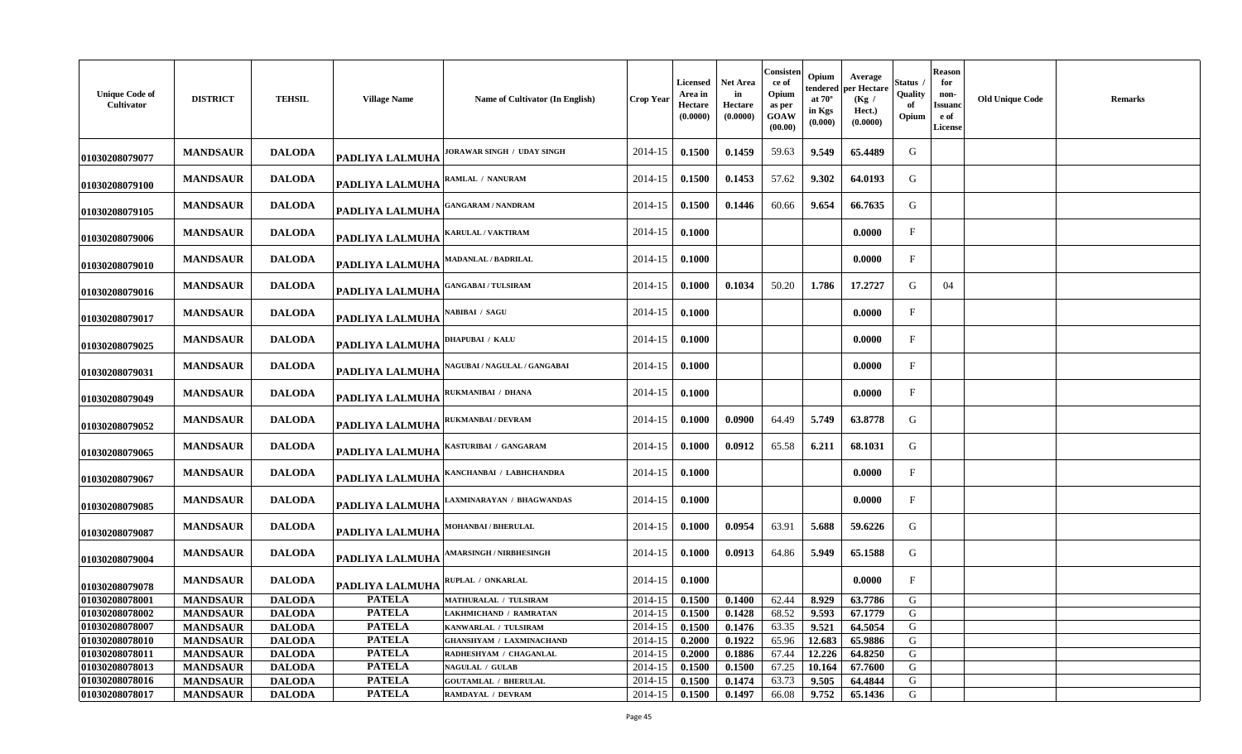| <b>Unique Code of</b><br>Cultivator | <b>DISTRICT</b> | <b>TEHSIL</b> | <b>Village Name</b>    | Name of Cultivator (In English)    | <b>Crop Year</b> | Licensed<br>Area in<br>Hectare<br>(0.0000) | <b>Net Area</b><br>in<br>Hectare<br>(0.0000) | Consisten<br>ce of<br>Opium<br>as per<br>GOAW<br>(00.00) | Opium<br>tendered<br>at $70^\circ$<br>in Kgs<br>(0.000) | Average<br>per Hectare<br>(Kg /<br>Hect.)<br>(0.0000) | Status<br>Quality<br>of<br>Opium | <b>Reason</b><br>for<br>non-<br>Issuanc<br>e of<br>License | <b>Old Unique Code</b> | <b>Remarks</b> |
|-------------------------------------|-----------------|---------------|------------------------|------------------------------------|------------------|--------------------------------------------|----------------------------------------------|----------------------------------------------------------|---------------------------------------------------------|-------------------------------------------------------|----------------------------------|------------------------------------------------------------|------------------------|----------------|
| 01030208079077                      | <b>MANDSAUR</b> | <b>DALODA</b> | <b>PADLIYA LALMUHA</b> | ORAWAR SINGH / UDAY SINGH          | 2014-15          | 0.1500                                     | 0.1459                                       | 59.63                                                    | 9.549                                                   | 65.4489                                               | G                                |                                                            |                        |                |
| 01030208079100                      | <b>MANDSAUR</b> | <b>DALODA</b> | PADLIYA LALMUHA        | RAMLAL / NANURAM                   | 2014-15          | 0.1500                                     | 0.1453                                       | 57.62                                                    | 9.302                                                   | 64.0193                                               | G                                |                                                            |                        |                |
| 01030208079105                      | <b>MANDSAUR</b> | <b>DALODA</b> | <b>PADLIYA LALMUHA</b> | <b>GANGARAM / NANDRAM</b>          | 2014-15          | 0.1500                                     | 0.1446                                       | 60.66                                                    | 9.654                                                   | 66.7635                                               | G                                |                                                            |                        |                |
| 01030208079006                      | <b>MANDSAUR</b> | <b>DALODA</b> | PADLIYA LALMUHA        | <b>KARULAL / VAKTIRAM</b>          | 2014-15          | 0.1000                                     |                                              |                                                          |                                                         | 0.0000                                                | $\mathbf{F}$                     |                                                            |                        |                |
| 01030208079010                      | <b>MANDSAUR</b> | <b>DALODA</b> | PADLIYA LALMUHA        | MADANLAL / BADRILAL                | 2014-15          | 0.1000                                     |                                              |                                                          |                                                         | 0.0000                                                | $\mathbf F$                      |                                                            |                        |                |
| 01030208079016                      | <b>MANDSAUR</b> | <b>DALODA</b> | <b>PADLIYA LALMUHA</b> | <b>ANGABAI / TULSIRAM</b>          | 2014-15          | 0.1000                                     | 0.1034                                       | 50.20                                                    | 1.786                                                   | 17.2727                                               | G                                | 04                                                         |                        |                |
| 01030208079017                      | <b>MANDSAUR</b> | <b>DALODA</b> | PADLIYA LALMUHA        | <b>ABIBAI / SAGU</b>               | 2014-15          | 0.1000                                     |                                              |                                                          |                                                         | 0.0000                                                | $_{\rm F}$                       |                                                            |                        |                |
| 01030208079025                      | <b>MANDSAUR</b> | <b>DALODA</b> | PADLIYA LALMUHA        | <b>DHAPUBAI / KALU</b>             | 2014-15          | 0.1000                                     |                                              |                                                          |                                                         | 0.0000                                                | $\mathbf{F}$                     |                                                            |                        |                |
| 01030208079031                      | <b>MANDSAUR</b> | <b>DALODA</b> | <b>PADLIYA LALMUHA</b> | <b>AGUBAI / NAGULAL / GANGABAI</b> | 2014-15          | 0.1000                                     |                                              |                                                          |                                                         | 0.0000                                                | $\mathbf{F}$                     |                                                            |                        |                |
| 01030208079049                      | <b>MANDSAUR</b> | <b>DALODA</b> | PADLIYA LALMUHA        | RUKMANIBAI / DHANA                 | 2014-15          | 0.1000                                     |                                              |                                                          |                                                         | 0.0000                                                | $\mathbf{F}$                     |                                                            |                        |                |
| 01030208079052                      | <b>MANDSAUR</b> | <b>DALODA</b> | PADLIYA LALMUHA        | <b>RUKMANBAI / DEVRAM</b>          | 2014-15          | 0.1000                                     | 0.0900                                       | 64.49                                                    | 5.749                                                   | 63.8778                                               | G                                |                                                            |                        |                |
| 01030208079065                      | <b>MANDSAUR</b> | <b>DALODA</b> | <b>PADLIYA LALMUHA</b> | KASTURIBAI / GANGARAM              | 2014-15          | 0.1000                                     | 0.0912                                       | 65.58                                                    | 6.211                                                   | 68.1031                                               | G                                |                                                            |                        |                |
| 01030208079067                      | <b>MANDSAUR</b> | <b>DALODA</b> | PADLIYA LALMUHA        | KANCHANBAI / LABHCHANDRA           | 2014-15          | 0.1000                                     |                                              |                                                          |                                                         | 0.0000                                                | $\mathbf{F}$                     |                                                            |                        |                |
| 01030208079085                      | <b>MANDSAUR</b> | <b>DALODA</b> | PADLIYA LALMUHA        | AXMINARAYAN / BHAGWANDAS           | 2014-15          | 0.1000                                     |                                              |                                                          |                                                         | 0.0000                                                | $\mathbf F$                      |                                                            |                        |                |
| 01030208079087                      | <b>MANDSAUR</b> | <b>DALODA</b> | PADLIYA LALMUHA        | <b>MOHANBAI/BHERULAL</b>           | 2014-15          | 0.1000                                     | 0.0954                                       | 63.91                                                    | 5.688                                                   | 59.6226                                               | G                                |                                                            |                        |                |
| 01030208079004                      | <b>MANDSAUR</b> | <b>DALODA</b> | PADLIYA LALMUHA        | <b>MARSINGH / NIRBHESINGH</b>      | 2014-15          | 0.1000                                     | 0.0913                                       | 64.86                                                    | 5.949                                                   | 65.1588                                               | G                                |                                                            |                        |                |
| 01030208079078                      | <b>MANDSAUR</b> | <b>DALODA</b> | PADLIYA LALMUHA        | RUPLAL / ONKARLAL                  | 2014-15          | 0.1000                                     |                                              |                                                          |                                                         | 0.0000                                                | $\mathbf{F}$                     |                                                            |                        |                |
| 01030208078001                      | <b>MANDSAUR</b> | <b>DALODA</b> | <b>PATELA</b>          | MATHURALAL / TULSIRAM              | 2014-15          | 0.1500                                     | 0.1400                                       | 62.44                                                    | 8.929                                                   | 63.7786                                               | G                                |                                                            |                        |                |
| 01030208078002                      | <b>MANDSAUR</b> | <b>DALODA</b> | <b>PATELA</b>          | LAKHMICHAND / RAMRATAN             | 2014-15          | 0.1500                                     | 0.1428                                       | 68.52                                                    | 9.593                                                   | 67.1779                                               | G                                |                                                            |                        |                |
| 01030208078007                      | <b>MANDSAUR</b> | <b>DALODA</b> | <b>PATELA</b>          | KANWARLAL / TULSIRAM               | 2014-15          | 0.1500                                     | 0.1476                                       | 63.35                                                    | 9.521                                                   | 64.5054                                               | G                                |                                                            |                        |                |
| 01030208078010                      | <b>MANDSAUR</b> | <b>DALODA</b> | <b>PATELA</b>          | <b>GHANSHYAM / LAXMINACHAND</b>    | 2014-15          | 0.2000                                     | 0.1922                                       | 65.96                                                    | 12.683                                                  | 65.9886                                               | G                                |                                                            |                        |                |
| 01030208078011                      | <b>MANDSAUR</b> | <b>DALODA</b> | <b>PATELA</b>          | RADHESHYAM / CHAGANLAL             | 2014-15          | 0.2000                                     | 0.1886                                       | 67.44                                                    | 12.226                                                  | 64.8250                                               | G                                |                                                            |                        |                |
| 01030208078013                      | <b>MANDSAUR</b> | <b>DALODA</b> | <b>PATELA</b>          | <b>NAGULAL / GULAB</b>             | 2014-15          | 0.1500                                     | 0.1500                                       | 67.25                                                    | 10.164                                                  | 67.7600                                               | ${\bf G}$                        |                                                            |                        |                |
| 01030208078016                      | <b>MANDSAUR</b> | <b>DALODA</b> | <b>PATELA</b>          | <b>GOUTAMLAL / BHERULAL</b>        | 2014-15          | 0.1500                                     | 0.1474                                       | 63.73                                                    | 9.505                                                   | 64.4844                                               | G                                |                                                            |                        |                |
| 01030208078017                      | <b>MANDSAUR</b> | <b>DALODA</b> | <b>PATELA</b>          | RAMDAYAL / DEVRAM                  | 2014-15          | 0.1500                                     | 0.1497                                       | 66.08                                                    | 9.752                                                   | 65.1436                                               | G                                |                                                            |                        |                |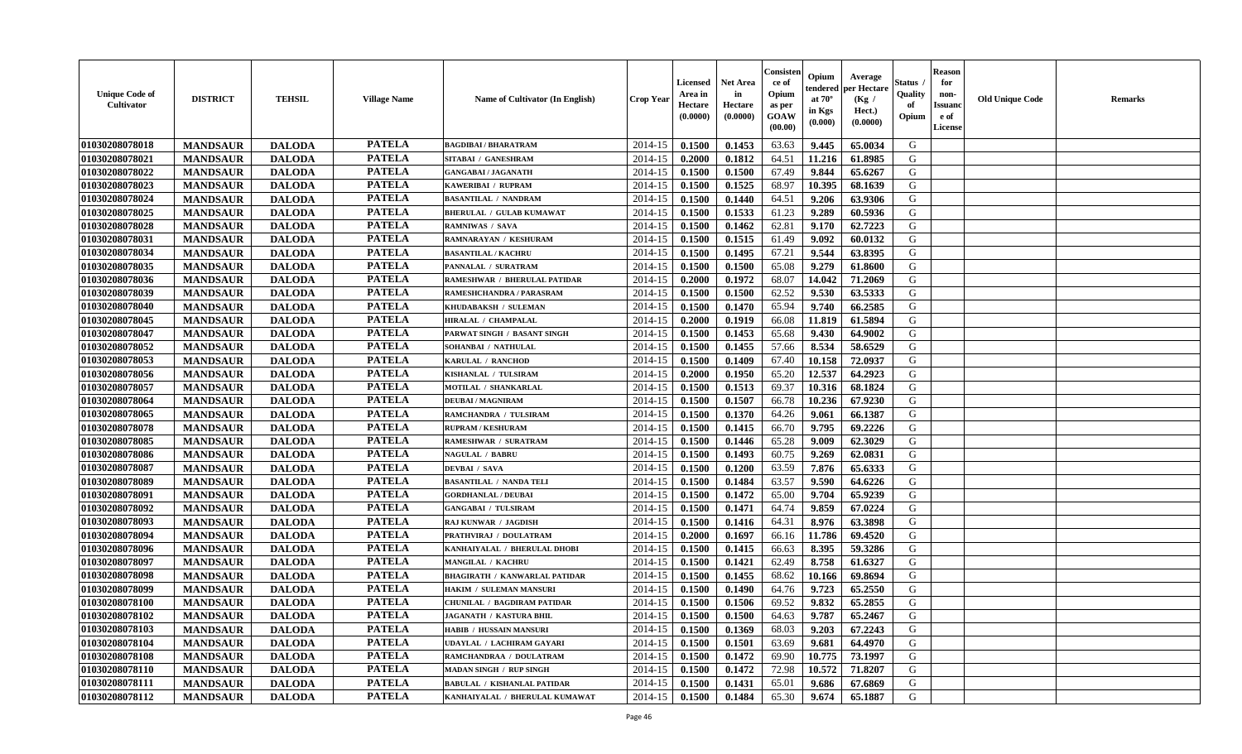| <b>Unique Code of</b><br><b>Cultivator</b> | <b>DISTRICT</b> | <b>TEHSIL</b> | <b>Village Name</b> | <b>Name of Cultivator (In English)</b> | <b>Crop Year</b> | Licensed<br>Area in<br>Hectare<br>(0.0000) | Net Area<br>in<br>Hectare<br>(0.0000) | Consisteı<br>ce of<br>Opium<br>as per<br>GOAW<br>(00.00) | Opium<br>endered<br>at $70^{\circ}$<br>in Kgs<br>(0.000) | Average<br>per Hectare<br>(Kg /<br>Hect.)<br>(0.0000) | Status<br>Quality<br>of<br>Opium | <b>Reason</b><br>for<br>non-<br><b>Issuand</b><br>e of<br>License | <b>Old Unique Code</b> | Remarks |
|--------------------------------------------|-----------------|---------------|---------------------|----------------------------------------|------------------|--------------------------------------------|---------------------------------------|----------------------------------------------------------|----------------------------------------------------------|-------------------------------------------------------|----------------------------------|-------------------------------------------------------------------|------------------------|---------|
| 01030208078018                             | <b>MANDSAUR</b> | <b>DALODA</b> | <b>PATELA</b>       | <b>BAGDIBAI / BHARATRAM</b>            | 2014-15          | 0.1500                                     | 0.1453                                | 63.63                                                    | 9.445                                                    | 65.0034                                               | G                                |                                                                   |                        |         |
| 01030208078021                             | <b>MANDSAUR</b> | <b>DALODA</b> | <b>PATELA</b>       | SITABAI / GANESHRAM                    | 2014-15          | 0.2000                                     | 0.1812                                | 64.51                                                    | 11.216                                                   | 61.8985                                               | G                                |                                                                   |                        |         |
| 01030208078022                             | <b>MANDSAUR</b> | <b>DALODA</b> | <b>PATELA</b>       | <b>GANGABAI / JAGANATH</b>             | 2014-15          | 0.1500                                     | 0.1500                                | 67.49                                                    | 9.844                                                    | 65.6267                                               | G                                |                                                                   |                        |         |
| 01030208078023                             | <b>MANDSAUR</b> | <b>DALODA</b> | <b>PATELA</b>       | KAWERIBAI / RUPRAM                     | 2014-15          | 0.1500                                     | 0.1525                                | 68.97                                                    | 10.395                                                   | 68.1639                                               | G                                |                                                                   |                        |         |
| 01030208078024                             | <b>MANDSAUR</b> | <b>DALODA</b> | <b>PATELA</b>       | <b>BASANTILAL / NANDRAM</b>            | 2014-15          | 0.1500                                     | 0.1440                                | 64.51                                                    | 9.206                                                    | 63.9306                                               | G                                |                                                                   |                        |         |
| 01030208078025                             | <b>MANDSAUR</b> | <b>DALODA</b> | <b>PATELA</b>       | <b>BHERULAL / GULAB KUMAWAT</b>        | 2014-15          | 0.1500                                     | 0.1533                                | 61.23                                                    | 9.289                                                    | 60.5936                                               | G                                |                                                                   |                        |         |
| 01030208078028                             | <b>MANDSAUR</b> | <b>DALODA</b> | <b>PATELA</b>       | <b>RAMNIWAS / SAVA</b>                 | 2014-15          | 0.1500                                     | 0.1462                                | 62.81                                                    | 9.170                                                    | 62.7223                                               | G                                |                                                                   |                        |         |
| 01030208078031                             | <b>MANDSAUR</b> | <b>DALODA</b> | <b>PATELA</b>       | RAMNARAYAN / KESHURAM                  | 2014-15          | 0.1500                                     | 0.1515                                | 61.49                                                    | 9.092                                                    | 60.0132                                               | G                                |                                                                   |                        |         |
| 01030208078034                             | <b>MANDSAUR</b> | <b>DALODA</b> | <b>PATELA</b>       | <b>BASANTILAL / KACHRU</b>             | 2014-15          | 0.1500                                     | 0.1495                                | 67.21                                                    | 9.544                                                    | 63.8395                                               | G                                |                                                                   |                        |         |
| 01030208078035                             | <b>MANDSAUR</b> | <b>DALODA</b> | <b>PATELA</b>       | PANNALAL / SURATRAM                    | 2014-15          | 0.1500                                     | 0.1500                                | 65.08                                                    | 9.279                                                    | 61.8600                                               | G                                |                                                                   |                        |         |
| 01030208078036                             | <b>MANDSAUR</b> | <b>DALODA</b> | <b>PATELA</b>       | <b>RAMESHWAR / BHERULAL PATIDAR</b>    | 2014-15          | 0.2000                                     | 0.1972                                | 68.07                                                    | 14.042                                                   | 71.2069                                               | G                                |                                                                   |                        |         |
| 01030208078039                             | <b>MANDSAUR</b> | <b>DALODA</b> | <b>PATELA</b>       | RAMESHCHANDRA / PARASRAM               | 2014-15          | 0.1500                                     | 0.1500                                | 62.52                                                    | 9.530                                                    | 63.5333                                               | G                                |                                                                   |                        |         |
| 01030208078040                             | <b>MANDSAUR</b> | <b>DALODA</b> | <b>PATELA</b>       | KHUDABAKSH / SULEMAN                   | 2014-15          | 0.1500                                     | 0.1470                                | 65.94                                                    | 9.740                                                    | 66.2585                                               | G                                |                                                                   |                        |         |
| 01030208078045                             | <b>MANDSAUR</b> | <b>DALODA</b> | <b>PATELA</b>       | HIRALAL / CHAMPALAL                    | 2014-15          | 0.2000                                     | 0.1919                                | 66.08                                                    | 11.819                                                   | 61.5894                                               | G                                |                                                                   |                        |         |
| 01030208078047                             | <b>MANDSAUR</b> | <b>DALODA</b> | <b>PATELA</b>       | PARWAT SINGH / BASANT SINGH            | 2014-15          | 0.1500                                     | 0.1453                                | 65.68                                                    | 9.430                                                    | 64.9002                                               | $\mathbf G$                      |                                                                   |                        |         |
| 01030208078052                             | <b>MANDSAUR</b> | <b>DALODA</b> | <b>PATELA</b>       | SOHANBAI / NATHULAL                    | 2014-15          | 0.1500                                     | 0.1455                                | 57.66                                                    | 8.534                                                    | 58.6529                                               | G                                |                                                                   |                        |         |
| 01030208078053                             | <b>MANDSAUR</b> | <b>DALODA</b> | <b>PATELA</b>       | KARULAL / RANCHOD                      | 2014-15          | 0.1500                                     | 0.1409                                | 67.40                                                    | 10.158                                                   | 72.0937                                               | G                                |                                                                   |                        |         |
| 01030208078056                             | <b>MANDSAUR</b> | <b>DALODA</b> | <b>PATELA</b>       | KISHANLAL / TULSIRAM                   | 2014-15          | 0.2000                                     | 0.1950                                | 65.20                                                    | 12.537                                                   | 64.2923                                               | G                                |                                                                   |                        |         |
| 01030208078057                             | <b>MANDSAUR</b> | <b>DALODA</b> | <b>PATELA</b>       | MOTILAL / SHANKARLAL                   | 2014-15          | 0.1500                                     | 0.1513                                | 69.37                                                    | 10.316                                                   | 68.1824                                               | G                                |                                                                   |                        |         |
| 01030208078064                             | <b>MANDSAUR</b> | <b>DALODA</b> | <b>PATELA</b>       | <b>DEUBAI/MAGNIRAM</b>                 | 2014-15          | 0.1500                                     | 0.1507                                | 66.78                                                    | 10.236                                                   | 67.9230                                               | G                                |                                                                   |                        |         |
| 01030208078065                             | <b>MANDSAUR</b> | <b>DALODA</b> | <b>PATELA</b>       | RAMCHANDRA / TULSIRAM                  | 2014-15          | 0.1500                                     | 0.1370                                | 64.26                                                    | 9.061                                                    | 66.1387                                               | G                                |                                                                   |                        |         |
| 01030208078078                             | <b>MANDSAUR</b> | <b>DALODA</b> | <b>PATELA</b>       | <b>RUPRAM / KESHURAM</b>               | 2014-15          | 0.1500                                     | 0.1415                                | 66.70                                                    | 9.795                                                    | 69.2226                                               | G                                |                                                                   |                        |         |
| 01030208078085                             | <b>MANDSAUR</b> | <b>DALODA</b> | <b>PATELA</b>       | <b>RAMESHWAR / SURATRAM</b>            | 2014-15          | 0.1500                                     | 0.1446                                | 65.28                                                    | 9.009                                                    | 62.3029                                               | G                                |                                                                   |                        |         |
| 01030208078086                             | <b>MANDSAUR</b> | <b>DALODA</b> | <b>PATELA</b>       | <b>NAGULAL / BABRU</b>                 | 2014-15          | 0.1500                                     | 0.1493                                | 60.75                                                    | 9.269                                                    | 62.0831                                               | G                                |                                                                   |                        |         |
| 01030208078087                             | <b>MANDSAUR</b> | <b>DALODA</b> | <b>PATELA</b>       | <b>DEVBAI</b> / SAVA                   | 2014-15          | 0.1500                                     | 0.1200                                | 63.59                                                    | 7.876                                                    | 65.6333                                               | G                                |                                                                   |                        |         |
| 01030208078089                             | <b>MANDSAUR</b> | <b>DALODA</b> | <b>PATELA</b>       | <b>BASANTILAL / NANDA TELI</b>         | 2014-15          | 0.1500                                     | 0.1484                                | 63.57                                                    | 9.590                                                    | 64.6226                                               | G                                |                                                                   |                        |         |
| 01030208078091                             | <b>MANDSAUR</b> | <b>DALODA</b> | <b>PATELA</b>       | <b>GORDHANLAL / DEUBAI</b>             | 2014-15          | 0.1500                                     | 0.1472                                | 65.00                                                    | 9.704                                                    | 65.9239                                               | G                                |                                                                   |                        |         |
| 01030208078092                             | <b>MANDSAUR</b> | <b>DALODA</b> | <b>PATELA</b>       | <b>GANGABAI / TULSIRAM</b>             | 2014-15          | 0.1500                                     | 0.1471                                | 64.74                                                    | 9.859                                                    | 67.0224                                               | G                                |                                                                   |                        |         |
| 01030208078093                             | <b>MANDSAUR</b> | <b>DALODA</b> | <b>PATELA</b>       | RAJ KUNWAR / JAGDISH                   | 2014-15          | 0.1500                                     | 0.1416                                | 64.31                                                    | 8.976                                                    | 63.3898                                               | G                                |                                                                   |                        |         |
| 01030208078094                             | <b>MANDSAUR</b> | <b>DALODA</b> | <b>PATELA</b>       | PRATHVIRAJ / DOULATRAM                 | 2014-15          | 0.2000                                     | 0.1697                                | 66.16                                                    | 11.786                                                   | 69.4520                                               | G                                |                                                                   |                        |         |
| 01030208078096                             | <b>MANDSAUR</b> | <b>DALODA</b> | <b>PATELA</b>       | KANHAIYALAL / BHERULAL DHOBI           | 2014-15          | 0.1500                                     | 0.1415                                | 66.63                                                    | 8.395                                                    | 59.3286                                               | G                                |                                                                   |                        |         |
| 01030208078097                             | <b>MANDSAUR</b> | <b>DALODA</b> | <b>PATELA</b>       | MANGILAL / KACHRU                      | 2014-15          | 0.1500                                     | 0.1421                                | 62.49                                                    | 8.758                                                    | 61.6327                                               | G                                |                                                                   |                        |         |
| 01030208078098                             | <b>MANDSAUR</b> | <b>DALODA</b> | <b>PATELA</b>       | <b>BHAGIRATH / KANWARLAL PATIDAR</b>   | 2014-15          | 0.1500                                     | 0.1455                                | 68.62                                                    | 10.166                                                   | 69.8694                                               | G                                |                                                                   |                        |         |
| 01030208078099                             | <b>MANDSAUR</b> | <b>DALODA</b> | <b>PATELA</b>       | HAKIM / SULEMAN MANSURI                | 2014-15          | 0.1500                                     | 0.1490                                | 64.76                                                    | 9.723                                                    | 65.2550                                               | G                                |                                                                   |                        |         |
| 01030208078100                             | <b>MANDSAUR</b> | <b>DALODA</b> | <b>PATELA</b>       | <b>CHUNILAL / BAGDIRAM PATIDAR</b>     | 2014-15          | 0.1500                                     | 0.1506                                | 69.52                                                    | 9.832                                                    | 65.2855                                               | G                                |                                                                   |                        |         |
| 01030208078102                             | <b>MANDSAUR</b> | <b>DALODA</b> | <b>PATELA</b>       | JAGANATH / KASTURA BHIL                | 2014-15          | 0.1500                                     | 0.1500                                | 64.63                                                    | 9.787                                                    | 65.2467                                               | G                                |                                                                   |                        |         |
| 01030208078103                             | <b>MANDSAUR</b> | <b>DALODA</b> | <b>PATELA</b>       | HABIB / HUSSAIN MANSURI                | 2014-15          | 0.1500                                     | 0.1369                                | 68.03                                                    | 9.203                                                    | 67.2243                                               | G                                |                                                                   |                        |         |
| 01030208078104                             | <b>MANDSAUR</b> | <b>DALODA</b> | <b>PATELA</b>       | UDAYLAL / LACHIRAM GAYARI              | 2014-15          | 0.1500                                     | 0.1501                                | 63.69                                                    | 9.681                                                    | 64.4970                                               | G                                |                                                                   |                        |         |
| 01030208078108                             | <b>MANDSAUR</b> | <b>DALODA</b> | <b>PATELA</b>       | RAMCHANDRAA / DOULATRAM                | 2014-15          | 0.1500                                     | 0.1472                                | 69.90                                                    | 10.775                                                   | 73.1997                                               | G                                |                                                                   |                        |         |
| 01030208078110                             | <b>MANDSAUR</b> | <b>DALODA</b> | <b>PATELA</b>       | <b>MADAN SINGH / RUP SINGH</b>         | 2014-15          | 0.1500                                     | 0.1472                                | 72.98                                                    | 10.572                                                   | 71.8207                                               | ${\bf G}$                        |                                                                   |                        |         |
| 01030208078111                             | <b>MANDSAUR</b> | <b>DALODA</b> | <b>PATELA</b>       | <b>BABULAL / KISHANLAL PATIDAR</b>     | 2014-15          | 0.1500                                     | 0.1431                                | 65.01                                                    | 9.686                                                    | 67.6869                                               | G                                |                                                                   |                        |         |
| 01030208078112                             | <b>MANDSAUR</b> | <b>DALODA</b> | <b>PATELA</b>       | KANHAIYALAL / BHERULAL KUMAWAT         | 2014-15          | 0.1500                                     | 0.1484                                | 65.30                                                    | 9.674                                                    | 65.1887                                               | G                                |                                                                   |                        |         |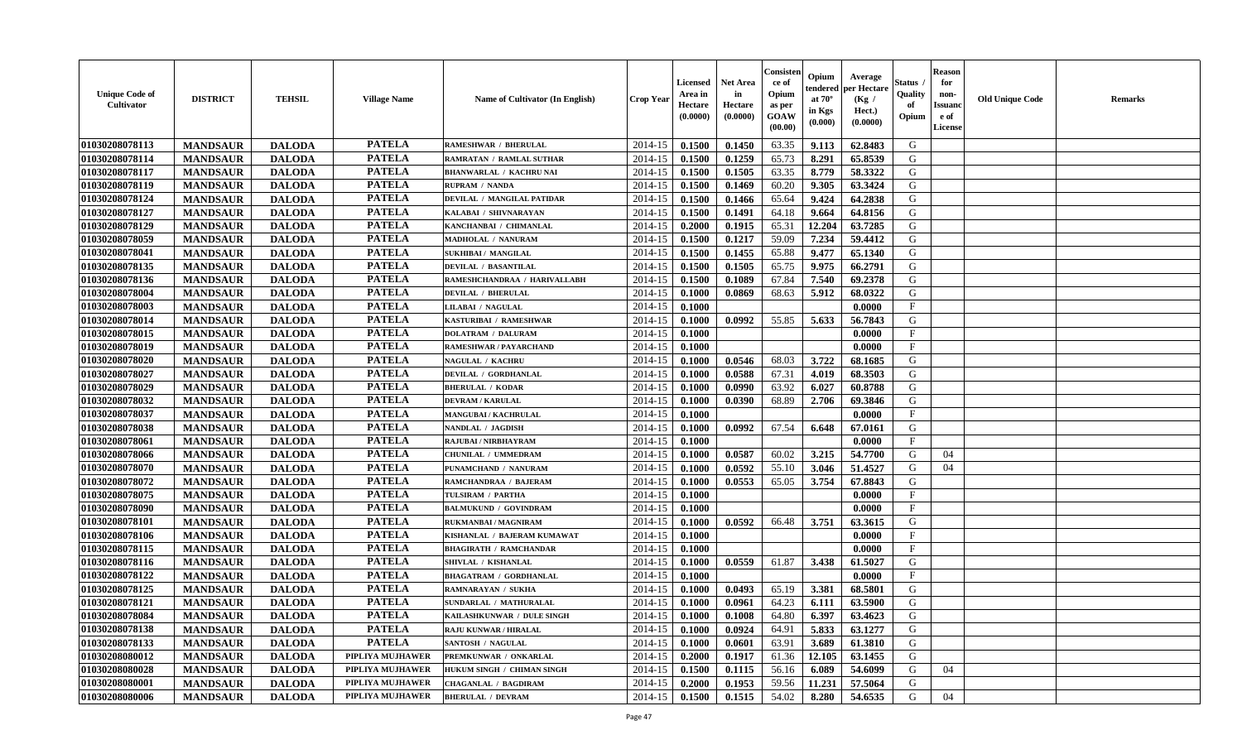| <b>Unique Code of</b><br><b>Cultivator</b> | <b>DISTRICT</b> | <b>TEHSIL</b> | <b>Village Name</b> | Name of Cultivator (In English) | <b>Crop Year</b> | <b>Licensed</b><br>Area in<br>Hectare<br>(0.0000) | <b>Net Area</b><br>in<br>Hectare<br>(0.0000) | Consisteı<br>ce of<br>Opium<br>as per<br><b>GOAW</b><br>(00.00) | Opium<br>endered<br>at $70^\circ$<br>in Kgs<br>$(\mathbf{0.000})$ | Average<br>per Hectare<br>(Kg /<br>Hect.)<br>(0.0000) | Status<br>Quality<br>of<br>Opium | <b>Reason</b><br>for<br>non-<br>Issuan<br>e of<br><b>License</b> | <b>Old Unique Code</b> | <b>Remarks</b> |
|--------------------------------------------|-----------------|---------------|---------------------|---------------------------------|------------------|---------------------------------------------------|----------------------------------------------|-----------------------------------------------------------------|-------------------------------------------------------------------|-------------------------------------------------------|----------------------------------|------------------------------------------------------------------|------------------------|----------------|
| 01030208078113                             | <b>MANDSAUR</b> | <b>DALODA</b> | <b>PATELA</b>       | <b>RAMESHWAR / BHERULAL</b>     | 2014-15          | 0.1500                                            | 0.1450                                       | 63.35                                                           | 9.113                                                             | 62.8483                                               | G                                |                                                                  |                        |                |
| 01030208078114                             | <b>MANDSAUR</b> | <b>DALODA</b> | <b>PATELA</b>       | RAMRATAN / RAMLAL SUTHAR        | 2014-15          | 0.1500                                            | 0.1259                                       | 65.73                                                           | 8.291                                                             | 65.8539                                               | G                                |                                                                  |                        |                |
| 01030208078117                             | <b>MANDSAUR</b> | <b>DALODA</b> | <b>PATELA</b>       | <b>BHANWARLAL / KACHRU NAI</b>  | 2014-15          | 0.1500                                            | 0.1505                                       | 63.35                                                           | 8.779                                                             | 58.3322                                               | G                                |                                                                  |                        |                |
| 01030208078119                             | <b>MANDSAUR</b> | <b>DALODA</b> | <b>PATELA</b>       | RUPRAM / NANDA                  | 2014-15          | 0.1500                                            | 0.1469                                       | 60.20                                                           | 9.305                                                             | 63.3424                                               | G                                |                                                                  |                        |                |
| 01030208078124                             | <b>MANDSAUR</b> | <b>DALODA</b> | <b>PATELA</b>       | DEVILAL / MANGILAL PATIDAR      | 2014-15          | 0.1500                                            | 0.1466                                       | 65.64                                                           | 9.424                                                             | 64.2838                                               | G                                |                                                                  |                        |                |
| 01030208078127                             | <b>MANDSAUR</b> | <b>DALODA</b> | <b>PATELA</b>       | KALABAI / SHIVNARAYAN           | 2014-15          | 0.1500                                            | 0.1491                                       | 64.18                                                           | 9.664                                                             | 64.8156                                               | G                                |                                                                  |                        |                |
| 01030208078129                             | <b>MANDSAUR</b> | <b>DALODA</b> | <b>PATELA</b>       | KANCHANBAI / CHIMANLAL          | 2014-15          | 0.2000                                            | 0.1915                                       | 65.31                                                           | 12.204                                                            | 63.7285                                               | G                                |                                                                  |                        |                |
| 01030208078059                             | <b>MANDSAUR</b> | <b>DALODA</b> | <b>PATELA</b>       | MADHOLAL / NANURAM              | 2014-15          | 0.1500                                            | 0.1217                                       | 59.09                                                           | 7.234                                                             | 59.4412                                               | G                                |                                                                  |                        |                |
| 01030208078041                             | <b>MANDSAUR</b> | <b>DALODA</b> | <b>PATELA</b>       | <b>SUKHIBAI / MANGILAL</b>      | 2014-15          | 0.1500                                            | 0.1455                                       | 65.88                                                           | 9.477                                                             | 65.1340                                               | G                                |                                                                  |                        |                |
| 01030208078135                             | <b>MANDSAUR</b> | <b>DALODA</b> | <b>PATELA</b>       | DEVILAL / BASANTILAL            | 2014-15          | 0.1500                                            | 0.1505                                       | 65.75                                                           | 9.975                                                             | 66.2791                                               | G                                |                                                                  |                        |                |
| 01030208078136                             | <b>MANDSAUR</b> | <b>DALODA</b> | <b>PATELA</b>       | RAMESHCHANDRAA / HARIVALLABH    | 2014-15          | 0.1500                                            | 0.1089                                       | 67.84                                                           | 7.540                                                             | 69.2378                                               | G                                |                                                                  |                        |                |
| 01030208078004                             | <b>MANDSAUR</b> | <b>DALODA</b> | <b>PATELA</b>       | <b>DEVILAL / BHERULAL</b>       | 2014-15          | 0.1000                                            | 0.0869                                       | 68.63                                                           | 5.912                                                             | 68.0322                                               | G                                |                                                                  |                        |                |
| 01030208078003                             | <b>MANDSAUR</b> | <b>DALODA</b> | <b>PATELA</b>       | <b>LILABAI / NAGULAL</b>        | 2014-15          | 0.1000                                            |                                              |                                                                 |                                                                   | 0.0000                                                | $\mathbf{F}$                     |                                                                  |                        |                |
| 01030208078014                             | <b>MANDSAUR</b> | <b>DALODA</b> | <b>PATELA</b>       | KASTURIBAI / RAMESHWAR          | 2014-15          | 0.1000                                            | 0.0992                                       | 55.85                                                           | 5.633                                                             | 56.7843                                               | G                                |                                                                  |                        |                |
| 01030208078015                             | <b>MANDSAUR</b> | <b>DALODA</b> | <b>PATELA</b>       | <b>DOLATRAM / DALURAM</b>       | 2014-15          | 0.1000                                            |                                              |                                                                 |                                                                   | 0.0000                                                | $\mathbf{F}$                     |                                                                  |                        |                |
| 01030208078019                             | <b>MANDSAUR</b> | <b>DALODA</b> | <b>PATELA</b>       | RAMESHWAR / PAYARCHAND          | 2014-15          | 0.1000                                            |                                              |                                                                 |                                                                   | 0.0000                                                | F                                |                                                                  |                        |                |
| 01030208078020                             | <b>MANDSAUR</b> | <b>DALODA</b> | <b>PATELA</b>       | <b>NAGULAL / KACHRU</b>         | 2014-15          | 0.1000                                            | 0.0546                                       | 68.03                                                           | 3.722                                                             | 68.1685                                               | G                                |                                                                  |                        |                |
| 01030208078027                             | <b>MANDSAUR</b> | <b>DALODA</b> | <b>PATELA</b>       | DEVILAL / GORDHANLAL            | 2014-15          | 0.1000                                            | 0.0588                                       | 67.31                                                           | 4.019                                                             | 68.3503                                               | G                                |                                                                  |                        |                |
| 01030208078029                             | <b>MANDSAUR</b> | <b>DALODA</b> | <b>PATELA</b>       | <b>BHERULAL / KODAR</b>         | 2014-15          | 0.1000                                            | 0.0990                                       | 63.92                                                           | 6.027                                                             | 60.8788                                               | G                                |                                                                  |                        |                |
| 01030208078032                             | <b>MANDSAUR</b> | <b>DALODA</b> | <b>PATELA</b>       | <b>DEVRAM / KARULAL</b>         | 2014-15          | 0.1000                                            | 0.0390                                       | 68.89                                                           | 2.706                                                             | 69.3846                                               | G                                |                                                                  |                        |                |
| 01030208078037                             | <b>MANDSAUR</b> | <b>DALODA</b> | <b>PATELA</b>       | MANGUBAI / KACHRULAL            | 2014-15          | 0.1000                                            |                                              |                                                                 |                                                                   | 0.0000                                                | $\mathbf{F}$                     |                                                                  |                        |                |
| 01030208078038                             | <b>MANDSAUR</b> | <b>DALODA</b> | <b>PATELA</b>       | NANDLAL / JAGDISH               | 2014-15          | 0.1000                                            | 0.0992                                       | 67.54                                                           | 6.648                                                             | 67.0161                                               | G                                |                                                                  |                        |                |
| 01030208078061                             | <b>MANDSAUR</b> | <b>DALODA</b> | <b>PATELA</b>       | RAJUBAI / NIRBHAYRAM            | 2014-15          | 0.1000                                            |                                              |                                                                 |                                                                   | 0.0000                                                | $\mathbf{F}$                     |                                                                  |                        |                |
| 01030208078066                             | <b>MANDSAUR</b> | <b>DALODA</b> | <b>PATELA</b>       | CHUNILAL / UMMEDRAM             | 2014-15          | 0.1000                                            | 0.0587                                       | 60.02                                                           | 3.215                                                             | 54.7700                                               | G                                | 04                                                               |                        |                |
| 01030208078070                             | <b>MANDSAUR</b> | <b>DALODA</b> | <b>PATELA</b>       | PUNAMCHAND / NANURAM            | 2014-15          | 0.1000                                            | 0.0592                                       | 55.10                                                           | 3.046                                                             | 51.4527                                               | G                                | 04                                                               |                        |                |
| 01030208078072                             | <b>MANDSAUR</b> | <b>DALODA</b> | <b>PATELA</b>       | RAMCHANDRAA / BAJERAM           | 2014-15          | 0.1000                                            | 0.0553                                       | 65.05                                                           | 3.754                                                             | 67.8843                                               | G                                |                                                                  |                        |                |
| 01030208078075                             | <b>MANDSAUR</b> | <b>DALODA</b> | <b>PATELA</b>       | TULSIRAM / PARTHA               | 2014-15          | 0.1000                                            |                                              |                                                                 |                                                                   | 0.0000                                                | F                                |                                                                  |                        |                |
| 01030208078090                             | <b>MANDSAUR</b> | <b>DALODA</b> | <b>PATELA</b>       | <b>BALMUKUND / GOVINDRAM</b>    | 2014-15          | 0.1000                                            |                                              |                                                                 |                                                                   | 0.0000                                                | $\mathbf{F}$                     |                                                                  |                        |                |
| 01030208078101                             | <b>MANDSAUR</b> | <b>DALODA</b> | <b>PATELA</b>       | <b>RUKMANBAI / MAGNIRAM</b>     | 2014-15          | 0.1000                                            | 0.0592                                       | 66.48                                                           | 3.751                                                             | 63.3615                                               | G                                |                                                                  |                        |                |
| 01030208078106                             | <b>MANDSAUR</b> | <b>DALODA</b> | <b>PATELA</b>       | KISHANLAL / BAJERAM KUMAWAT     | 2014-15          | 0.1000                                            |                                              |                                                                 |                                                                   | 0.0000                                                | F                                |                                                                  |                        |                |
| 01030208078115                             | <b>MANDSAUR</b> | <b>DALODA</b> | <b>PATELA</b>       | <b>BHAGIRATH / RAMCHANDAR</b>   | 2014-15          | 0.1000                                            |                                              |                                                                 |                                                                   | 0.0000                                                | $_{\rm F}$                       |                                                                  |                        |                |
| 01030208078116                             | <b>MANDSAUR</b> | <b>DALODA</b> | <b>PATELA</b>       | SHIVLAL / KISHANLAL             | 2014-15          | 0.1000                                            | 0.0559                                       | 61.87                                                           | 3.438                                                             | 61.5027                                               | G                                |                                                                  |                        |                |
| 01030208078122                             | <b>MANDSAUR</b> | <b>DALODA</b> | <b>PATELA</b>       | <b>BHAGATRAM / GORDHANLAL</b>   | 2014-15          | 0.1000                                            |                                              |                                                                 |                                                                   | 0.0000                                                | $\mathbf{F}$                     |                                                                  |                        |                |
| 01030208078125                             | <b>MANDSAUR</b> | <b>DALODA</b> | <b>PATELA</b>       | RAMNARAYAN / SUKHA              | 2014-15          | 0.1000                                            | 0.0493                                       | 65.19                                                           | 3.381                                                             | 68.5801                                               | G                                |                                                                  |                        |                |
| 01030208078121                             | <b>MANDSAUR</b> | <b>DALODA</b> | <b>PATELA</b>       | SUNDARLAL / MATHURALAL          | 2014-15          | 0.1000                                            | 0.0961                                       | 64.23                                                           | 6.111                                                             | 63.5900                                               | G                                |                                                                  |                        |                |
| 01030208078084                             | <b>MANDSAUR</b> | <b>DALODA</b> | PATELA              | KAILASHKUNWAR / DULE SINGH      | $2014-15$ 0.1000 |                                                   | 0.1008                                       | 64.80                                                           | 6.397                                                             | 63.4623                                               | G                                |                                                                  |                        |                |
| 01030208078138                             | <b>MANDSAUR</b> | <b>DALODA</b> | <b>PATELA</b>       | <b>RAJU KUNWAR / HIRALAL</b>    | 2014-15          | 0.1000                                            | 0.0924                                       | 64.91                                                           | 5.833                                                             | 63.1277                                               | G                                |                                                                  |                        |                |
| 01030208078133                             | <b>MANDSAUR</b> | <b>DALODA</b> | <b>PATELA</b>       | SANTOSH / NAGULAL               | 2014-15          | 0.1000                                            | 0.0601                                       | 63.91                                                           | 3.689                                                             | 61.3810                                               | G                                |                                                                  |                        |                |
| 01030208080012                             | <b>MANDSAUR</b> | <b>DALODA</b> | PIPLIYA MUJHAWER    | PREMKUNWAR / ONKARLAL           | 2014-15          | 0.2000                                            | 0.1917                                       | 61.36                                                           | 12.105                                                            | 63.1455                                               | G                                |                                                                  |                        |                |
| 01030208080028                             | <b>MANDSAUR</b> | <b>DALODA</b> | PIPLIYA MUJHAWER    | HUKUM SINGH / CHIMAN SINGH      | 2014-15          | 0.1500                                            | 0.1115                                       | 56.16                                                           | 6.089                                                             | 54.6099                                               | G                                | 04                                                               |                        |                |
| 01030208080001                             | <b>MANDSAUR</b> | <b>DALODA</b> | PIPLIYA MUJHAWER    | <b>CHAGANLAL / BAGDIRAM</b>     | 2014-15          | 0.2000                                            | 0.1953                                       | 59.56                                                           | 11.231                                                            | 57.5064                                               | G                                |                                                                  |                        |                |
| 01030208080006                             | <b>MANDSAUR</b> | <b>DALODA</b> | PIPLIYA MUJHAWER    | <b>BHERULAL / DEVRAM</b>        | 2014-15          | 0.1500                                            | 0.1515                                       | 54.02                                                           | 8.280                                                             | 54.6535                                               | G                                | 04                                                               |                        |                |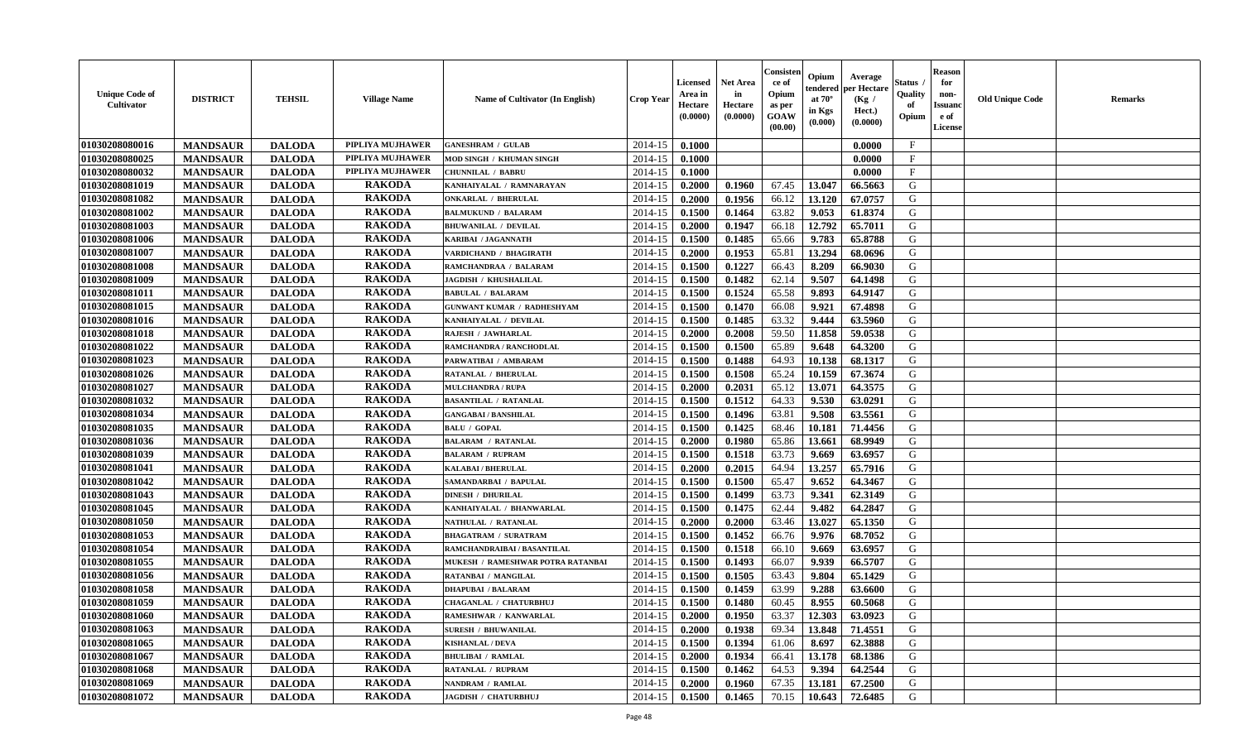| <b>Unique Code of</b><br>Cultivator | <b>DISTRICT</b> | <b>TEHSIL</b> | <b>Village Name</b> | <b>Name of Cultivator (In English)</b> | <b>Crop Year</b> | Licensed<br>Area in<br>Hectare<br>(0.0000) | <b>Net Area</b><br>in<br>Hectare<br>(0.0000) | Consister<br>ce of<br>Opium<br>as per<br>GOAW<br>(00.00) | Opium<br>endered<br>at $70^\circ$<br>in Kgs<br>(0.000) | Average<br>per Hectare<br>(Kg /<br>Hect.)<br>(0.0000) | Status<br>Quality<br>of<br>Opium | <b>Reason</b><br>for<br>non-<br><b>Issuanc</b><br>e of<br><b>License</b> | <b>Old Unique Code</b> | <b>Remarks</b> |
|-------------------------------------|-----------------|---------------|---------------------|----------------------------------------|------------------|--------------------------------------------|----------------------------------------------|----------------------------------------------------------|--------------------------------------------------------|-------------------------------------------------------|----------------------------------|--------------------------------------------------------------------------|------------------------|----------------|
| 01030208080016                      | <b>MANDSAUR</b> | <b>DALODA</b> | PIPLIYA MUJHAWER    | <b>GANESHRAM / GULAB</b>               | 2014-15          | 0.1000                                     |                                              |                                                          |                                                        | 0.0000                                                | $\mathbf{F}$                     |                                                                          |                        |                |
| 01030208080025                      | <b>MANDSAUR</b> | <b>DALODA</b> | PIPLIYA MUJHAWER    | MOD SINGH / KHUMAN SINGH               | 2014-15          | 0.1000                                     |                                              |                                                          |                                                        | 0.0000                                                | $\mathbf{F}$                     |                                                                          |                        |                |
| 01030208080032                      | <b>MANDSAUR</b> | <b>DALODA</b> | PIPLIYA MUJHAWER    | <b>CHUNNILAL / BABRU</b>               | 2014-15          | 0.1000                                     |                                              |                                                          |                                                        | 0.0000                                                | $\mathbf F$                      |                                                                          |                        |                |
| 01030208081019                      | <b>MANDSAUR</b> | <b>DALODA</b> | <b>RAKODA</b>       | KANHAIYALAL / RAMNARAYAN               | 2014-15          | 0.2000                                     | 0.1960                                       | 67.45                                                    | 13.047                                                 | 66.5663                                               | G                                |                                                                          |                        |                |
| 01030208081082                      | <b>MANDSAUR</b> | <b>DALODA</b> | <b>RAKODA</b>       | <b>ONKARLAL / BHERULAL</b>             | 2014-15          | 0.2000                                     | 0.1956                                       | 66.12                                                    | 13.120                                                 | 67.0757                                               | G                                |                                                                          |                        |                |
| 01030208081002                      | <b>MANDSAUR</b> | <b>DALODA</b> | <b>RAKODA</b>       | <b>BALMUKUND / BALARAM</b>             | 2014-15          | 0.1500                                     | 0.1464                                       | 63.82                                                    | 9.053                                                  | 61.8374                                               | G                                |                                                                          |                        |                |
| 01030208081003                      | <b>MANDSAUR</b> | <b>DALODA</b> | <b>RAKODA</b>       | <b>BHUWANILAL / DEVILAL</b>            | 2014-15          | 0.2000                                     | 0.1947                                       | 66.18                                                    | 12.792                                                 | 65.7011                                               | G                                |                                                                          |                        |                |
| 01030208081006                      | <b>MANDSAUR</b> | <b>DALODA</b> | <b>RAKODA</b>       | KARIBAI / JAGANNATH                    | 2014-15          | 0.1500                                     | 0.1485                                       | 65.66                                                    | 9.783                                                  | 65.8788                                               | G                                |                                                                          |                        |                |
| 01030208081007                      | <b>MANDSAUR</b> | <b>DALODA</b> | <b>RAKODA</b>       | VARDICHAND / BHAGIRATH                 | 2014-15          | 0.2000                                     | 0.1953                                       | 65.81                                                    | 13.294                                                 | 68.0696                                               | G                                |                                                                          |                        |                |
| 01030208081008                      | <b>MANDSAUR</b> | <b>DALODA</b> | <b>RAKODA</b>       | RAMCHANDRAA / BALARAM                  | 2014-15          | 0.1500                                     | 0.1227                                       | 66.43                                                    | 8.209                                                  | 66.9030                                               | G                                |                                                                          |                        |                |
| 01030208081009                      | <b>MANDSAUR</b> | <b>DALODA</b> | <b>RAKODA</b>       | <b>JAGDISH / KHUSHALILAL</b>           | 2014-15          | 0.1500                                     | 0.1482                                       | 62.14                                                    | 9.507                                                  | 64.1498                                               | $\mathbf G$                      |                                                                          |                        |                |
| 01030208081011                      | <b>MANDSAUR</b> | <b>DALODA</b> | <b>RAKODA</b>       | <b>BABULAL / BALARAM</b>               | 2014-15          | 0.1500                                     | 0.1524                                       | 65.58                                                    | 9.893                                                  | 64.9147                                               | G                                |                                                                          |                        |                |
| 01030208081015                      | <b>MANDSAUR</b> | <b>DALODA</b> | <b>RAKODA</b>       | <b>GUNWANT KUMAR / RADHESHYAM</b>      | 2014-15          | 0.1500                                     | 0.1470                                       | 66.08                                                    | 9.921                                                  | 67.4898                                               | G                                |                                                                          |                        |                |
| 01030208081016                      | <b>MANDSAUR</b> | <b>DALODA</b> | <b>RAKODA</b>       | KANHAIYALAL / DEVILAL                  | 2014-15          | 0.1500                                     | 0.1485                                       | 63.32                                                    | 9.444                                                  | 63.5960                                               | G                                |                                                                          |                        |                |
| 01030208081018                      | <b>MANDSAUR</b> | <b>DALODA</b> | <b>RAKODA</b>       | RAJESH / JAWHARLAL                     | 2014-15          | 0.2000                                     | 0.2008                                       | 59.50                                                    | 11.858                                                 | 59.0538                                               | G                                |                                                                          |                        |                |
| 01030208081022                      | <b>MANDSAUR</b> | <b>DALODA</b> | <b>RAKODA</b>       | RAMCHANDRA / RANCHODLAL                | 2014-15          | 0.1500                                     | 0.1500                                       | 65.89                                                    | 9.648                                                  | 64.3200                                               | G                                |                                                                          |                        |                |
| 01030208081023                      | <b>MANDSAUR</b> | <b>DALODA</b> | <b>RAKODA</b>       | PARWATIBAI / AMBARAM                   | 2014-15          | 0.1500                                     | 0.1488                                       | 64.93                                                    | 10.138                                                 | 68.1317                                               | G                                |                                                                          |                        |                |
| 01030208081026                      | <b>MANDSAUR</b> | <b>DALODA</b> | <b>RAKODA</b>       | <b>RATANLAL / BHERULAL</b>             | 2014-15          | 0.1500                                     | 0.1508                                       | 65.24                                                    | 10.159                                                 | 67.3674                                               | G                                |                                                                          |                        |                |
| 01030208081027                      | <b>MANDSAUR</b> | <b>DALODA</b> | <b>RAKODA</b>       | <b>MULCHANDRA / RUPA</b>               | 2014-15          | 0.2000                                     | 0.2031                                       | 65.12                                                    | 13.071                                                 | 64.3575                                               | G                                |                                                                          |                        |                |
| 01030208081032                      | <b>MANDSAUR</b> | <b>DALODA</b> | <b>RAKODA</b>       | <b>BASANTILAL / RATANLAL</b>           | 2014-15          | 0.1500                                     | 0.1512                                       | 64.33                                                    | 9.530                                                  | 63.0291                                               | G                                |                                                                          |                        |                |
| 01030208081034                      | <b>MANDSAUR</b> | <b>DALODA</b> | <b>RAKODA</b>       | <b>GANGABAI/BANSHILAL</b>              | 2014-15          | 0.1500                                     | 0.1496                                       | 63.81                                                    | 9.508                                                  | 63.5561                                               | G                                |                                                                          |                        |                |
| 01030208081035                      | <b>MANDSAUR</b> | <b>DALODA</b> | <b>RAKODA</b>       | <b>BALU / GOPAL</b>                    | 2014-15          | 0.1500                                     | 0.1425                                       | 68.46                                                    | 10.181                                                 | 71.4456                                               | G                                |                                                                          |                        |                |
| 01030208081036                      | <b>MANDSAUR</b> | <b>DALODA</b> | <b>RAKODA</b>       | <b>BALARAM / RATANLAL</b>              | 2014-15          | 0.2000                                     | 0.1980                                       | 65.86                                                    | 13.661                                                 | 68.9949                                               | G                                |                                                                          |                        |                |
| 01030208081039                      | <b>MANDSAUR</b> | <b>DALODA</b> | <b>RAKODA</b>       | <b>BALARAM / RUPRAM</b>                | 2014-15          | 0.1500                                     | 0.1518                                       | 63.73                                                    | 9.669                                                  | 63.6957                                               | G                                |                                                                          |                        |                |
| 01030208081041                      | <b>MANDSAUR</b> | <b>DALODA</b> | <b>RAKODA</b>       | <b>KALABAI/BHERULAL</b>                | 2014-15          | 0.2000                                     | 0.2015                                       | 64.94                                                    | 13.257                                                 | 65.7916                                               | G                                |                                                                          |                        |                |
| 01030208081042                      | <b>MANDSAUR</b> | <b>DALODA</b> | <b>RAKODA</b>       | SAMANDARBAI / BAPULAL                  | 2014-15          | 0.1500                                     | 0.1500                                       | 65.47                                                    | 9.652                                                  | 64.3467                                               | G                                |                                                                          |                        |                |
| 01030208081043                      | <b>MANDSAUR</b> | <b>DALODA</b> | <b>RAKODA</b>       | <b>DINESH / DHURILAL</b>               | 2014-15          | 0.1500                                     | 0.1499                                       | 63.73                                                    | 9.341                                                  | 62.3149                                               | G                                |                                                                          |                        |                |
| 01030208081045                      | <b>MANDSAUR</b> | <b>DALODA</b> | <b>RAKODA</b>       | KANHAIYALAL / BHANWARLAL               | 2014-15          | 0.1500                                     | 0.1475                                       | 62.44                                                    | 9.482                                                  | 64.2847                                               | G                                |                                                                          |                        |                |
| 01030208081050                      | <b>MANDSAUR</b> | <b>DALODA</b> | <b>RAKODA</b>       | <b>NATHULAL / RATANLAI</b>             | 2014-15          | 0.2000                                     | 0.2000                                       | 63.46                                                    | 13.027                                                 | 65.1350                                               | G                                |                                                                          |                        |                |
| 01030208081053                      | <b>MANDSAUR</b> | <b>DALODA</b> | <b>RAKODA</b>       | <b>BHAGATRAM / SURATRAM</b>            | 2014-15          | 0.1500                                     | 0.1452                                       | 66.76                                                    | 9.976                                                  | 68.7052                                               | G                                |                                                                          |                        |                |
| 01030208081054                      | <b>MANDSAUR</b> | <b>DALODA</b> | <b>RAKODA</b>       | RAMCHANDRAIBAI / BASANTILAL            | 2014-15          | 0.1500                                     | 0.1518                                       | 66.10                                                    | 9.669                                                  | 63.6957                                               | ${\bf G}$                        |                                                                          |                        |                |
| 01030208081055                      | <b>MANDSAUR</b> | <b>DALODA</b> | <b>RAKODA</b>       | MUKESH / RAMESHWAR POTRA RATANBAI      | 2014-15          | 0.1500                                     | 0.1493                                       | 66.07                                                    | 9.939                                                  | 66.5707                                               | G                                |                                                                          |                        |                |
| 01030208081056                      | <b>MANDSAUR</b> | <b>DALODA</b> | <b>RAKODA</b>       | RATANBAI / MANGILAL                    | 2014-15          | 0.1500                                     | 0.1505                                       | 63.43                                                    | 9.804                                                  | 65.1429                                               | G                                |                                                                          |                        |                |
| 01030208081058                      | <b>MANDSAUR</b> | <b>DALODA</b> | <b>RAKODA</b>       | <b>DHAPUBAI / BALARAM</b>              | 2014-15          | 0.1500                                     | 0.1459                                       | 63.99                                                    | 9.288                                                  | 63.6600                                               | G                                |                                                                          |                        |                |
| 01030208081059                      | <b>MANDSAUR</b> | <b>DALODA</b> | <b>RAKODA</b>       | CHAGANLAL / CHATURBHUJ                 | 2014-15          | 0.1500                                     | 0.1480                                       | 60.45                                                    | 8.955                                                  | 60.5068                                               | G                                |                                                                          |                        |                |
| 01030208081060                      | <b>MANDSAUR</b> | <b>DALODA</b> | <b>RAKODA</b>       | RAMESHWAR / KANWARLAL                  | 2014-15          | 0.2000                                     | 0.1950                                       | 63.37                                                    | 12.303                                                 | 63.0923                                               | G                                |                                                                          |                        |                |
| 01030208081063                      | <b>MANDSAUR</b> | <b>DALODA</b> | <b>RAKODA</b>       | <b>SURESH / BHUWANILAL</b>             | 2014-15          | 0.2000                                     | 0.1938                                       | 69.34                                                    | 13.848                                                 | 71.4551                                               | G                                |                                                                          |                        |                |
| 01030208081065                      | <b>MANDSAUR</b> | <b>DALODA</b> | <b>RAKODA</b>       | <b>KISHANLAL / DEVA</b>                | 2014-15          | 0.1500                                     | 0.1394                                       | 61.06                                                    | 8.697                                                  | 62.3888                                               | G                                |                                                                          |                        |                |
| 01030208081067                      | <b>MANDSAUR</b> | <b>DALODA</b> | <b>RAKODA</b>       | <b>BHULIBAI / RAMLAL</b>               | 2014-15          | 0.2000                                     | 0.1934                                       | 66.41                                                    | 13.178                                                 | 68.1386                                               | G                                |                                                                          |                        |                |
| 01030208081068                      | <b>MANDSAUR</b> | <b>DALODA</b> | <b>RAKODA</b>       | RATANLAL / RUPRAM                      | 2014-15          | 0.1500                                     | 0.1462                                       | 64.53                                                    | 9.394                                                  | 64.2544                                               | G                                |                                                                          |                        |                |
| 01030208081069                      | <b>MANDSAUR</b> | <b>DALODA</b> | <b>RAKODA</b>       | <b>NANDRAM / RAMLAL</b>                | 2014-15          | 0.2000                                     | 0.1960                                       | 67.35                                                    | 13.181                                                 | 67.2500                                               | G                                |                                                                          |                        |                |
| 01030208081072                      | <b>MANDSAUR</b> | <b>DALODA</b> | <b>RAKODA</b>       | <b>JAGDISH / CHATURBHUJ</b>            | 2014-15          | 0.1500                                     | 0.1465                                       | 70.15                                                    | 10.643                                                 | 72.6485                                               | G                                |                                                                          |                        |                |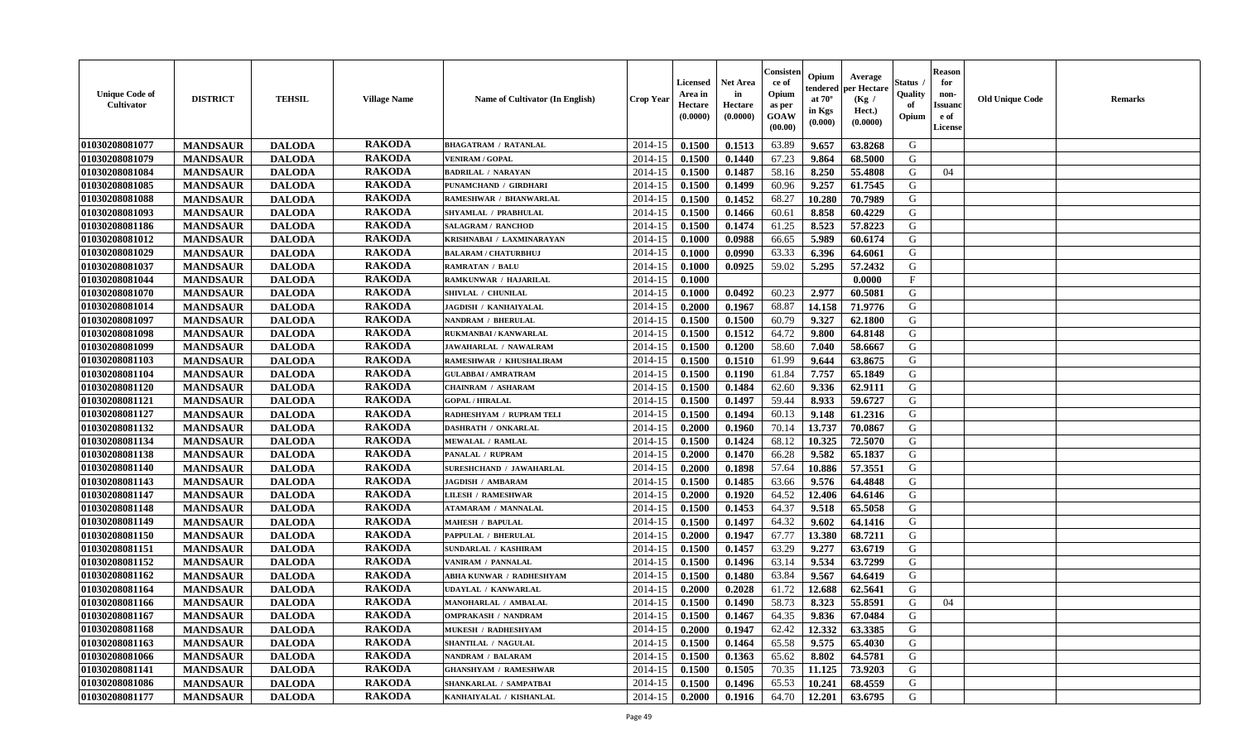| <b>Unique Code of</b><br>Cultivator | <b>DISTRICT</b> | <b>TEHSIL</b> | <b>Village Name</b> | <b>Name of Cultivator (In English)</b> | <b>Crop Year</b> | Licensed<br>Area in<br>Hectare<br>(0.0000) | <b>Net Area</b><br>in<br>Hectare<br>(0.0000) | Consister<br>ce of<br>Opium<br>as per<br>GOAW<br>(00.00) | Opium<br>endered<br>at $70^\circ$<br>in Kgs<br>(0.000) | Average<br>per Hectare<br>(Kg /<br>Hect.)<br>(0.0000) | Status<br>Quality<br>of<br>Opium | <b>Reason</b><br>for<br>non-<br><b>Issuanc</b><br>e of<br><b>License</b> | <b>Old Unique Code</b> | <b>Remarks</b> |
|-------------------------------------|-----------------|---------------|---------------------|----------------------------------------|------------------|--------------------------------------------|----------------------------------------------|----------------------------------------------------------|--------------------------------------------------------|-------------------------------------------------------|----------------------------------|--------------------------------------------------------------------------|------------------------|----------------|
| 01030208081077                      | <b>MANDSAUR</b> | <b>DALODA</b> | <b>RAKODA</b>       | <b>BHAGATRAM / RATANLAL</b>            | 2014-15          | 0.1500                                     | 0.1513                                       | 63.89                                                    | 9.657                                                  | 63.8268                                               | G                                |                                                                          |                        |                |
| 01030208081079                      | <b>MANDSAUR</b> | <b>DALODA</b> | <b>RAKODA</b>       | <b>VENIRAM / GOPAL</b>                 | 2014-15          | 0.1500                                     | 0.1440                                       | 67.23                                                    | 9.864                                                  | 68.5000                                               | G                                |                                                                          |                        |                |
| 01030208081084                      | <b>MANDSAUR</b> | <b>DALODA</b> | <b>RAKODA</b>       | <b>BADRILAL / NARAYAN</b>              | 2014-15          | 0.1500                                     | 0.1487                                       | 58.16                                                    | 8.250                                                  | 55.4808                                               | G                                | 04                                                                       |                        |                |
| 01030208081085                      | <b>MANDSAUR</b> | <b>DALODA</b> | <b>RAKODA</b>       | PUNAMCHAND / GIRDHARI                  | 2014-15          | 0.1500                                     | 0.1499                                       | 60.96                                                    | 9.257                                                  | 61.7545                                               | G                                |                                                                          |                        |                |
| 01030208081088                      | <b>MANDSAUR</b> | <b>DALODA</b> | <b>RAKODA</b>       | RAMESHWAR / BHANWARLAL                 | 2014-15          | 0.1500                                     | 0.1452                                       | 68.27                                                    | 10.280                                                 | 70.7989                                               | G                                |                                                                          |                        |                |
| 01030208081093                      | <b>MANDSAUR</b> | <b>DALODA</b> | <b>RAKODA</b>       | SHYAMLAL / PRABHULAL                   | 2014-15          | 0.1500                                     | 0.1466                                       | 60.61                                                    | 8.858                                                  | 60.4229                                               | G                                |                                                                          |                        |                |
| 01030208081186                      | <b>MANDSAUR</b> | <b>DALODA</b> | <b>RAKODA</b>       | <b>SALAGRAM / RANCHOD</b>              | 2014-15          | 0.1500                                     | 0.1474                                       | 61.25                                                    | 8.523                                                  | 57.8223                                               | G                                |                                                                          |                        |                |
| 01030208081012                      | <b>MANDSAUR</b> | <b>DALODA</b> | <b>RAKODA</b>       | KRISHNABAI / LAXMINARAYAN              | 2014-15          | 0.1000                                     | 0.0988                                       | 66.65                                                    | 5.989                                                  | 60.6174                                               | G                                |                                                                          |                        |                |
| 01030208081029                      | <b>MANDSAUR</b> | <b>DALODA</b> | <b>RAKODA</b>       | <b>BALARAM / CHATURBHUJ</b>            | 2014-15          | 0.1000                                     | 0.0990                                       | 63.33                                                    | 6.396                                                  | 64.6061                                               | G                                |                                                                          |                        |                |
| 01030208081037                      | <b>MANDSAUR</b> | <b>DALODA</b> | <b>RAKODA</b>       | <b>RAMRATAN / BALU</b>                 | 2014-15          | 0.1000                                     | 0.0925                                       | 59.02                                                    | 5.295                                                  | 57.2432                                               | G                                |                                                                          |                        |                |
| 01030208081044                      | <b>MANDSAUR</b> | <b>DALODA</b> | <b>RAKODA</b>       | RAMKUNWAR / HAJARILAL                  | 2014-15          | 0.1000                                     |                                              |                                                          |                                                        | 0.0000                                                | F                                |                                                                          |                        |                |
| 01030208081070                      | <b>MANDSAUR</b> | <b>DALODA</b> | <b>RAKODA</b>       | SHIVLAL / CHUNILAL                     | 2014-15          | 0.1000                                     | 0.0492                                       | 60.23                                                    | 2.977                                                  | 60.5081                                               | G                                |                                                                          |                        |                |
| 01030208081014                      | <b>MANDSAUR</b> | <b>DALODA</b> | <b>RAKODA</b>       | <b>JAGDISH / KANHAIYALAL</b>           | 2014-15          | 0.2000                                     | 0.1967                                       | 68.87                                                    | 14.158                                                 | 71.9776                                               | G                                |                                                                          |                        |                |
| 01030208081097                      | <b>MANDSAUR</b> | <b>DALODA</b> | <b>RAKODA</b>       | NANDRAM / BHERULAL                     | 2014-15          | 0.1500                                     | 0.1500                                       | 60.79                                                    | 9.327                                                  | 62.1800                                               | G                                |                                                                          |                        |                |
| 01030208081098                      | <b>MANDSAUR</b> | <b>DALODA</b> | <b>RAKODA</b>       | RUKMANBAI / KANWARLAL                  | 2014-15          | 0.1500                                     | 0.1512                                       | 64.72                                                    | 9.800                                                  | 64.8148                                               | G                                |                                                                          |                        |                |
| 01030208081099                      | <b>MANDSAUR</b> | <b>DALODA</b> | <b>RAKODA</b>       | <b>JAWAHARLAL / NAWALRAM</b>           | 2014-15          | 0.1500                                     | 0.1200                                       | 58.60                                                    | 7.040                                                  | 58.6667                                               | G                                |                                                                          |                        |                |
| 01030208081103                      | <b>MANDSAUR</b> | <b>DALODA</b> | <b>RAKODA</b>       | RAMESHWAR / KHUSHALIRAM                | 2014-15          | 0.1500                                     | 0.1510                                       | 61.99                                                    | 9.644                                                  | 63.8675                                               | G                                |                                                                          |                        |                |
| 01030208081104                      | <b>MANDSAUR</b> | <b>DALODA</b> | <b>RAKODA</b>       | <b>GULABBAI/AMRATRAM</b>               | 2014-15          | 0.1500                                     | 0.1190                                       | 61.84                                                    | 7.757                                                  | 65.1849                                               | G                                |                                                                          |                        |                |
| 01030208081120                      | <b>MANDSAUR</b> | <b>DALODA</b> | <b>RAKODA</b>       | <b>CHAINRAM / ASHARAM</b>              | 2014-15          | 0.1500                                     | 0.1484                                       | 62.60                                                    | 9.336                                                  | 62.9111                                               | G                                |                                                                          |                        |                |
| 01030208081121                      | <b>MANDSAUR</b> | <b>DALODA</b> | <b>RAKODA</b>       | <b>GOPAL / HIRALAL</b>                 | 2014-15          | 0.1500                                     | 0.1497                                       | 59.44                                                    | 8.933                                                  | 59.6727                                               | G                                |                                                                          |                        |                |
| 01030208081127                      | <b>MANDSAUR</b> | <b>DALODA</b> | <b>RAKODA</b>       | RADHESHYAM / RUPRAM TELI               | 2014-15          | 0.1500                                     | 0.1494                                       | 60.13                                                    | 9.148                                                  | 61.2316                                               | G                                |                                                                          |                        |                |
| 01030208081132                      | <b>MANDSAUR</b> | <b>DALODA</b> | <b>RAKODA</b>       | <b>DASHRATH / ONKARLAL</b>             | 2014-15          | 0.2000                                     | 0.1960                                       | 70.14                                                    | 13.737                                                 | 70.0867                                               | G                                |                                                                          |                        |                |
| 01030208081134                      | <b>MANDSAUR</b> | <b>DALODA</b> | <b>RAKODA</b>       | <b>MEWALAL / RAMLAL</b>                | 2014-15          | 0.1500                                     | 0.1424                                       | 68.12                                                    | 10.325                                                 | 72.5070                                               | G                                |                                                                          |                        |                |
| 01030208081138                      | <b>MANDSAUR</b> | <b>DALODA</b> | <b>RAKODA</b>       | PANALAL / RUPRAM                       | 2014-15          | 0.2000                                     | 0.1470                                       | 66.28                                                    | 9.582                                                  | 65.1837                                               | G                                |                                                                          |                        |                |
| 01030208081140                      | <b>MANDSAUR</b> | <b>DALODA</b> | <b>RAKODA</b>       | SURESHCHAND / JAWAHARLAL               | 2014-15          | 0.2000                                     | 0.1898                                       | 57.64                                                    | 10.886                                                 | 57.3551                                               | G                                |                                                                          |                        |                |
| 01030208081143                      | <b>MANDSAUR</b> | <b>DALODA</b> | <b>RAKODA</b>       | <b>JAGDISH / AMBARAM</b>               | 2014-15          | 0.1500                                     | 0.1485                                       | 63.66                                                    | 9.576                                                  | 64.4848                                               | G                                |                                                                          |                        |                |
| 01030208081147                      | <b>MANDSAUR</b> | <b>DALODA</b> | <b>RAKODA</b>       | <b>LILESH / RAMESHWAR</b>              | 2014-15          | 0.2000                                     | 0.1920                                       | 64.52                                                    | 12.406                                                 | 64.6146                                               | G                                |                                                                          |                        |                |
| 01030208081148                      | <b>MANDSAUR</b> | <b>DALODA</b> | <b>RAKODA</b>       | <b>ATAMARAM / MANNALAL</b>             | 2014-15          | 0.1500                                     | 0.1453                                       | 64.37                                                    | 9.518                                                  | 65.5058                                               | G                                |                                                                          |                        |                |
| 01030208081149                      | <b>MANDSAUR</b> | <b>DALODA</b> | <b>RAKODA</b>       | <b>MAHESH / BAPULAL</b>                | 2014-15          | 0.1500                                     | 0.1497                                       | 64.32                                                    | 9.602                                                  | 64.1416                                               | G                                |                                                                          |                        |                |
| 01030208081150                      | <b>MANDSAUR</b> | <b>DALODA</b> | <b>RAKODA</b>       | PAPPULAL / BHERULAL                    | 2014-15          | 0.2000                                     | 0.1947                                       | 67.77                                                    | 13.380                                                 | 68.7211                                               | G                                |                                                                          |                        |                |
| 01030208081151                      | <b>MANDSAUR</b> | <b>DALODA</b> | <b>RAKODA</b>       | SUNDARLAL / KASHIRAM                   | 2014-15          | 0.1500                                     | 0.1457                                       | 63.29                                                    | 9.277                                                  | 63.6719                                               | ${\bf G}$                        |                                                                          |                        |                |
| 01030208081152                      | <b>MANDSAUR</b> | <b>DALODA</b> | <b>RAKODA</b>       | VANIRAM / PANNALAL                     | 2014-15          | 0.1500                                     | 0.1496                                       | 63.14                                                    | 9.534                                                  | 63.7299                                               | G                                |                                                                          |                        |                |
| 01030208081162                      | <b>MANDSAUR</b> | <b>DALODA</b> | <b>RAKODA</b>       | ABHA KUNWAR / RADHESHYAM               | 2014-15          | 0.1500                                     | 0.1480                                       | 63.84                                                    | 9.567                                                  | 64.6419                                               | G                                |                                                                          |                        |                |
| 01030208081164                      | <b>MANDSAUR</b> | <b>DALODA</b> | <b>RAKODA</b>       | UDAYLAL / KANWARLAL                    | 2014-15          | 0.2000                                     | 0.2028                                       | 61.72                                                    | 12.688                                                 | 62.5641                                               | G                                |                                                                          |                        |                |
| 01030208081166                      | <b>MANDSAUR</b> | <b>DALODA</b> | <b>RAKODA</b>       | <b>MANOHARLAL / AMBALAL</b>            | 2014-15          | 0.1500                                     | 0.1490                                       | 58.73                                                    | 8.323                                                  | 55.8591                                               | G                                | 04                                                                       |                        |                |
| 01030208081167                      | <b>MANDSAUR</b> | <b>DALODA</b> | <b>RAKODA</b>       | <b>OMPRAKASH / NANDRAM</b>             | 2014-15          | 0.1500                                     | 0.1467                                       | 64.35                                                    | 9.836                                                  | 67.0484                                               | G                                |                                                                          |                        |                |
| 01030208081168                      | <b>MANDSAUR</b> | <b>DALODA</b> | <b>RAKODA</b>       | <b>MUKESH / RADHESHYAM</b>             | 2014-15          | 0.2000                                     | 0.1947                                       | 62.42                                                    | 12.332                                                 | 63.3385                                               | G                                |                                                                          |                        |                |
| 01030208081163                      | <b>MANDSAUR</b> | <b>DALODA</b> | <b>RAKODA</b>       | <b>SHANTILAL / NAGULAL</b>             | 2014-15          | 0.1500                                     | 0.1464                                       | 65.58                                                    | 9.575                                                  | 65.4030                                               | G                                |                                                                          |                        |                |
| 01030208081066                      | <b>MANDSAUR</b> | <b>DALODA</b> | <b>RAKODA</b>       | NANDRAM / BALARAM                      | 2014-15          | 0.1500                                     | 0.1363                                       | 65.62                                                    | 8.802                                                  | 64.5781                                               | G                                |                                                                          |                        |                |
| 01030208081141                      | <b>MANDSAUR</b> | <b>DALODA</b> | <b>RAKODA</b>       | <b>GHANSHYAM / RAMESHWAR</b>           | 2014-15          | 0.1500                                     | 0.1505                                       | 70.35                                                    | 11.125                                                 | 73.9203                                               | G                                |                                                                          |                        |                |
| 01030208081086                      | <b>MANDSAUR</b> | <b>DALODA</b> | <b>RAKODA</b>       | <b>SHANKARLAL / SAMPATBAI</b>          | 2014-15          | 0.1500                                     | 0.1496                                       | 65.53                                                    | 10.241                                                 | 68.4559                                               | G                                |                                                                          |                        |                |
| 01030208081177                      | <b>MANDSAUR</b> | <b>DALODA</b> | <b>RAKODA</b>       | KANHAIYALAL / KISHANLAL                | 2014-15          | 0.2000                                     | 0.1916                                       | 64.70                                                    | 12.201                                                 | 63.6795                                               | G                                |                                                                          |                        |                |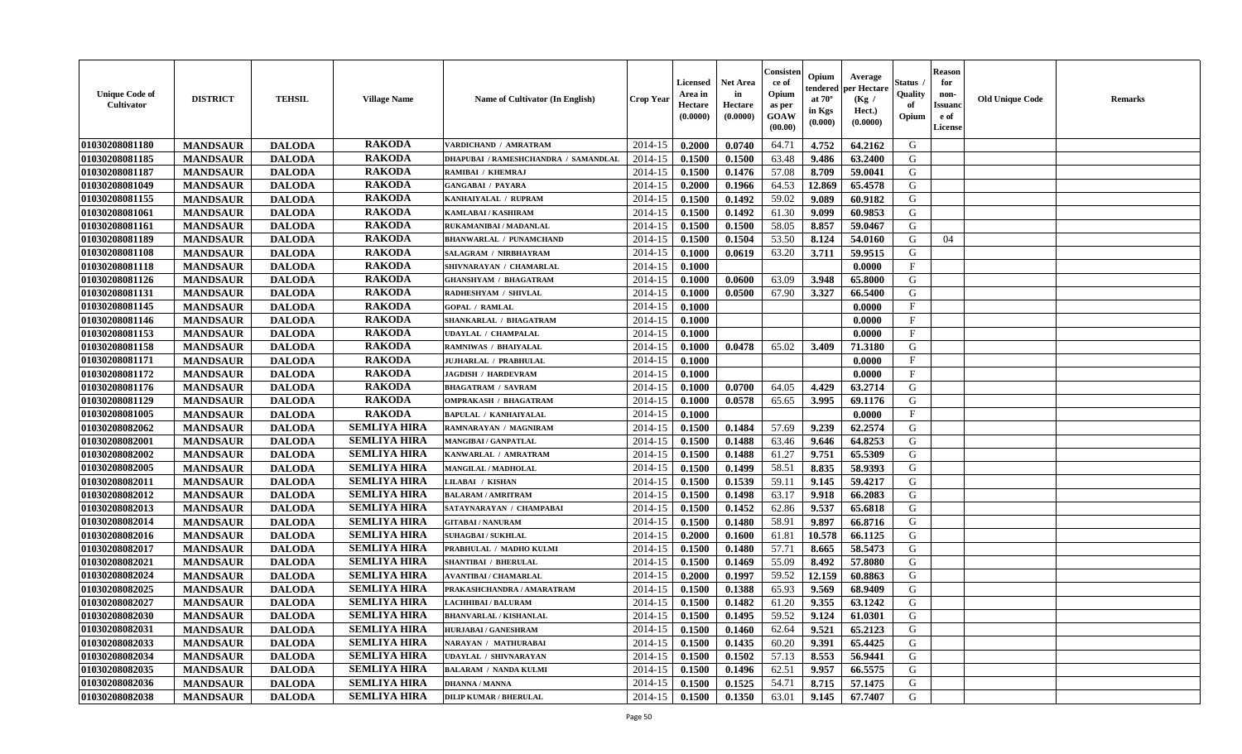| <b>Unique Code of</b><br>Cultivator | <b>DISTRICT</b> | <b>TEHSIL</b> | <b>Village Name</b> | Name of Cultivator (In English)      | Crop Year | Licensed<br>Area in<br>Hectare<br>(0.0000) | <b>Net Area</b><br>in<br>Hectare<br>(0.0000) | Consister<br>ce of<br>Opium<br>as per<br>GOAW<br>(00.00) | Opium<br>endered<br>at $70^\circ$<br>in Kgs<br>$(\mathbf{0.000})$ | Average<br>per Hectare<br>(Kg /<br>Hect.)<br>(0.0000) | Status<br>Quality<br>of<br>Opium | <b>Reason</b><br>for<br>non-<br><b>Issuanc</b><br>e of<br>License | <b>Old Unique Code</b> | Remarks |
|-------------------------------------|-----------------|---------------|---------------------|--------------------------------------|-----------|--------------------------------------------|----------------------------------------------|----------------------------------------------------------|-------------------------------------------------------------------|-------------------------------------------------------|----------------------------------|-------------------------------------------------------------------|------------------------|---------|
| 01030208081180                      | <b>MANDSAUR</b> | <b>DALODA</b> | <b>RAKODA</b>       | VARDICHAND / AMRATRAM                | 2014-15   | 0.2000                                     | 0.0740                                       | 64.71                                                    | 4.752                                                             | 64.2162                                               | G                                |                                                                   |                        |         |
| 01030208081185                      | <b>MANDSAUR</b> | <b>DALODA</b> | <b>RAKODA</b>       | DHAPUBAI / RAMESHCHANDRA / SAMANDLAL | 2014-15   | 0.1500                                     | 0.1500                                       | 63.48                                                    | 9.486                                                             | 63.2400                                               | G                                |                                                                   |                        |         |
| 01030208081187                      | <b>MANDSAUR</b> | <b>DALODA</b> | <b>RAKODA</b>       | RAMIBAI / KHEMRAJ                    | 2014-15   | 0.1500                                     | 0.1476                                       | 57.08                                                    | 8.709                                                             | 59.0041                                               | G                                |                                                                   |                        |         |
| 01030208081049                      | <b>MANDSAUR</b> | <b>DALODA</b> | <b>RAKODA</b>       | <b>GANGABAI / PAYARA</b>             | 2014-15   | 0.2000                                     | 0.1966                                       | 64.53                                                    | 12.869                                                            | 65.4578                                               | G                                |                                                                   |                        |         |
| 01030208081155                      | <b>MANDSAUR</b> | <b>DALODA</b> | <b>RAKODA</b>       | KANHAIYALAL / RUPRAM                 | 2014-15   | 0.1500                                     | 0.1492                                       | 59.02                                                    | 9.089                                                             | 60.9182                                               | G                                |                                                                   |                        |         |
| 01030208081061                      | <b>MANDSAUR</b> | <b>DALODA</b> | <b>RAKODA</b>       | <b>KAMLABAI/KASHIRAM</b>             | 2014-15   | 0.1500                                     | 0.1492                                       | 61.30                                                    | 9.099                                                             | 60.9853                                               | G                                |                                                                   |                        |         |
| 01030208081161                      | <b>MANDSAUR</b> | <b>DALODA</b> | <b>RAKODA</b>       | RUKAMANIBAI / MADANLAL               | 2014-15   | 0.1500                                     | 0.1500                                       | 58.05                                                    | 8.857                                                             | 59.0467                                               | G                                |                                                                   |                        |         |
| 01030208081189                      | <b>MANDSAUR</b> | <b>DALODA</b> | <b>RAKODA</b>       | <b>BHANWARLAL / PUNAMCHAND</b>       | 2014-15   | 0.1500                                     | 0.1504                                       | 53.50                                                    | 8.124                                                             | 54.0160                                               | G                                | 04                                                                |                        |         |
| 01030208081108                      | <b>MANDSAUR</b> | <b>DALODA</b> | <b>RAKODA</b>       | SALAGRAM / NIRBHAYRAM                | 2014-15   | 0.1000                                     | 0.0619                                       | 63.20                                                    | 3.711                                                             | 59.9515                                               | G                                |                                                                   |                        |         |
| 01030208081118                      | <b>MANDSAUR</b> | <b>DALODA</b> | <b>RAKODA</b>       | SHIVNARAYAN / CHAMARLAL              | 2014-15   | 0.1000                                     |                                              |                                                          |                                                                   | 0.0000                                                | $\mathbf{F}$                     |                                                                   |                        |         |
| 01030208081126                      | <b>MANDSAUR</b> | <b>DALODA</b> | <b>RAKODA</b>       | <b>GHANSHYAM / BHAGATRAM</b>         | 2014-15   | 0.1000                                     | 0.0600                                       | 63.09                                                    | 3.948                                                             | 65.8000                                               | G                                |                                                                   |                        |         |
| 01030208081131                      | <b>MANDSAUR</b> | <b>DALODA</b> | <b>RAKODA</b>       | RADHESHYAM / SHIVLAL                 | 2014-15   | 0.1000                                     | 0.0500                                       | 67.90                                                    | 3.327                                                             | 66.5400                                               | G                                |                                                                   |                        |         |
| 01030208081145                      | <b>MANDSAUR</b> | <b>DALODA</b> | <b>RAKODA</b>       | <b>GOPAL / RAMLAL</b>                | 2014-15   | 0.1000                                     |                                              |                                                          |                                                                   | 0.0000                                                | $\mathbf{F}$                     |                                                                   |                        |         |
| 01030208081146                      | <b>MANDSAUR</b> | <b>DALODA</b> | <b>RAKODA</b>       | SHANKARLAL / BHAGATRAM               | 2014-15   | 0.1000                                     |                                              |                                                          |                                                                   | 0.0000                                                | $\mathbf{F}$                     |                                                                   |                        |         |
| 01030208081153                      | <b>MANDSAUR</b> | <b>DALODA</b> | <b>RAKODA</b>       | UDAYLAL / CHAMPALAL                  | 2014-15   | 0.1000                                     |                                              |                                                          |                                                                   | 0.0000                                                | F                                |                                                                   |                        |         |
| 01030208081158                      | <b>MANDSAUR</b> | <b>DALODA</b> | <b>RAKODA</b>       | <b>RAMNIWAS / BHAIYALAL</b>          | 2014-15   | 0.1000                                     | 0.0478                                       | 65.02                                                    | 3.409                                                             | 71.3180                                               | G                                |                                                                   |                        |         |
| 01030208081171                      | <b>MANDSAUR</b> | <b>DALODA</b> | <b>RAKODA</b>       | JUJHARLAL / PRABHULAL                | 2014-15   | 0.1000                                     |                                              |                                                          |                                                                   | 0.0000                                                | $\mathbf{F}$                     |                                                                   |                        |         |
| 01030208081172                      | <b>MANDSAUR</b> | <b>DALODA</b> | <b>RAKODA</b>       | <b>JAGDISH / HARDEVRAM</b>           | 2014-15   | 0.1000                                     |                                              |                                                          |                                                                   | 0.0000                                                | $_{\rm F}$                       |                                                                   |                        |         |
| 01030208081176                      | <b>MANDSAUR</b> | <b>DALODA</b> | <b>RAKODA</b>       | <b>BHAGATRAM / SAVRAM</b>            | 2014-15   | 0.1000                                     | 0.0700                                       | 64.05                                                    | 4.429                                                             | 63.2714                                               | G                                |                                                                   |                        |         |
| 01030208081129                      | <b>MANDSAUR</b> | <b>DALODA</b> | <b>RAKODA</b>       | <b>OMPRAKASH / BHAGATRAM</b>         | 2014-15   | 0.1000                                     | 0.0578                                       | 65.65                                                    | 3.995                                                             | 69.1176                                               | G                                |                                                                   |                        |         |
| 01030208081005                      | <b>MANDSAUR</b> | <b>DALODA</b> | <b>RAKODA</b>       | <b>BAPULAL / KANHAIYALAL</b>         | 2014-15   | 0.1000                                     |                                              |                                                          |                                                                   | 0.0000                                                | $\mathbf{F}$                     |                                                                   |                        |         |
| 01030208082062                      | <b>MANDSAUR</b> | <b>DALODA</b> | <b>SEMLIYA HIRA</b> | RAMNARAYAN / MAGNIRAM                | 2014-15   | 0.1500                                     | 0.1484                                       | 57.69                                                    | 9.239                                                             | 62.2574                                               | G                                |                                                                   |                        |         |
| 01030208082001                      | <b>MANDSAUR</b> | <b>DALODA</b> | <b>SEMLIYA HIRA</b> | <b>MANGIBAI/GANPATLAL</b>            | 2014-15   | 0.1500                                     | 0.1488                                       | 63.46                                                    | 9.646                                                             | 64.8253                                               | G                                |                                                                   |                        |         |
| 01030208082002                      | <b>MANDSAUR</b> | <b>DALODA</b> | <b>SEMLIYA HIRA</b> | KANWARLAL / AMRATRAM                 | 2014-15   | 0.1500                                     | 0.1488                                       | 61.27                                                    | 9.751                                                             | 65.5309                                               | G                                |                                                                   |                        |         |
| 01030208082005                      | <b>MANDSAUR</b> | <b>DALODA</b> | <b>SEMLIYA HIRA</b> | <b>MANGILAL / MADHOLAL</b>           | 2014-15   | 0.1500                                     | 0.1499                                       | 58.51                                                    | 8.835                                                             | 58.9393                                               | G                                |                                                                   |                        |         |
| 01030208082011                      | <b>MANDSAUR</b> | <b>DALODA</b> | <b>SEMLIYA HIRA</b> | LILABAI / KISHAN                     | 2014-15   | 0.1500                                     | 0.1539                                       | 59.11                                                    | 9.145                                                             | 59.4217                                               | G                                |                                                                   |                        |         |
| 01030208082012                      | <b>MANDSAUR</b> | <b>DALODA</b> | <b>SEMLIYA HIRA</b> | <b>BALARAM / AMRITRAM</b>            | 2014-15   | 0.1500                                     | 0.1498                                       | 63.17                                                    | 9.918                                                             | 66.2083                                               | G                                |                                                                   |                        |         |
| 01030208082013                      | <b>MANDSAUR</b> | <b>DALODA</b> | <b>SEMLIYA HIRA</b> | SATAYNARAYAN / CHAMPABAI             | 2014-15   | 0.1500                                     | 0.1452                                       | 62.86                                                    | 9.537                                                             | 65.6818                                               | G                                |                                                                   |                        |         |
| 01030208082014                      | <b>MANDSAUR</b> | <b>DALODA</b> | <b>SEMLIYA HIRA</b> | <b>GITABAI/NANURAM</b>               | 2014-15   | 0.1500                                     | 0.1480                                       | 58.91                                                    | 9.897                                                             | 66.8716                                               | G                                |                                                                   |                        |         |
| 01030208082016                      | <b>MANDSAUR</b> | <b>DALODA</b> | <b>SEMLIYA HIRA</b> | <b>SUHAGBAI/SUKHLAL</b>              | 2014-15   | 0.2000                                     | 0.1600                                       | 61.81                                                    | 10.578                                                            | 66.1125                                               | G                                |                                                                   |                        |         |
| 01030208082017                      | <b>MANDSAUR</b> | <b>DALODA</b> | <b>SEMLIYA HIRA</b> | PRABHULAL / MADHO KULMI              | 2014-15   | 0.1500                                     | 0.1480                                       | 57.71                                                    | 8.665                                                             | 58.5473                                               | G                                |                                                                   |                        |         |
| 01030208082021                      | <b>MANDSAUR</b> | <b>DALODA</b> | <b>SEMLIYA HIRA</b> | SHANTIBAI / BHERULAL                 | 2014-15   | 0.1500                                     | 0.1469                                       | 55.09                                                    | 8.492                                                             | 57.8080                                               | G                                |                                                                   |                        |         |
| 01030208082024                      | <b>MANDSAUR</b> | <b>DALODA</b> | <b>SEMLIYA HIRA</b> | <b>AVANTIBAI / CHAMARLAL</b>         | 2014-15   | 0.2000                                     | 0.1997                                       | 59.52                                                    | 12.159                                                            | 60.8863                                               | G                                |                                                                   |                        |         |
| 01030208082025                      | <b>MANDSAUR</b> | <b>DALODA</b> | <b>SEMLIYA HIRA</b> | PRAKASHCHANDRA / AMARATRAM           | 2014-15   | 0.1500                                     | 0.1388                                       | 65.93                                                    | 9.569                                                             | 68.9409                                               | G                                |                                                                   |                        |         |
| 01030208082027                      | <b>MANDSAUR</b> | <b>DALODA</b> | <b>SEMLIYA HIRA</b> | <b>LACHHIBAI/BALURAM</b>             | 2014-15   | 0.1500                                     | 0.1482                                       | 61.20                                                    | 9.355                                                             | 63.1242                                               | G                                |                                                                   |                        |         |
| 01030208082030                      | <b>MANDSAUR</b> | <b>DALODA</b> | <b>SEMLIYA HIRA</b> | <b>BHANVARLAL / KISHANLAL</b>        | 2014-15   | 0.1500                                     | 0.1495                                       | 59.52                                                    | 9.124                                                             | 61.0301                                               | G                                |                                                                   |                        |         |
| 01030208082031                      | <b>MANDSAUR</b> | <b>DALODA</b> | <b>SEMLIYA HIRA</b> | <b>HURJABAI/GANESHRAM</b>            | 2014-15   | 0.1500                                     | 0.1460                                       | 62.64                                                    | 9.521                                                             | 65.2123                                               | G                                |                                                                   |                        |         |
| 01030208082033                      | <b>MANDSAUR</b> | <b>DALODA</b> | <b>SEMLIYA HIRA</b> | NARAYAN / MATHURABAI                 | 2014-15   | 0.1500                                     | 0.1435                                       | 60.20                                                    | 9.391                                                             | 65.4425                                               | G                                |                                                                   |                        |         |
| 01030208082034                      | <b>MANDSAUR</b> | <b>DALODA</b> | <b>SEMLIYA HIRA</b> | UDAYLAL / SHIVNARAYAN                | 2014-15   | 0.1500                                     | 0.1502                                       | 57.13                                                    | 8.553                                                             | 56.9441                                               | G                                |                                                                   |                        |         |
| 01030208082035                      | <b>MANDSAUR</b> | <b>DALODA</b> | <b>SEMLIYA HIRA</b> | <b>BALARAM / NANDA KULMI</b>         | 2014-15   | 0.1500                                     | 0.1496                                       | 62.51                                                    | 9.957                                                             | 66.5575                                               | ${\bf G}$                        |                                                                   |                        |         |
| 01030208082036                      | <b>MANDSAUR</b> | <b>DALODA</b> | <b>SEMLIYA HIRA</b> | <b>DHANNA / MANNA</b>                | 2014-15   | 0.1500                                     | 0.1525                                       | 54.71                                                    | 8.715                                                             | 57.1475                                               | G                                |                                                                   |                        |         |
| 01030208082038                      | <b>MANDSAUR</b> | <b>DALODA</b> | <b>SEMLIYA HIRA</b> | <b>DILIP KUMAR / BHERULAL</b>        | 2014-15   | 0.1500                                     | 0.1350                                       | 63.01                                                    | 9.145                                                             | 67.7407                                               | G                                |                                                                   |                        |         |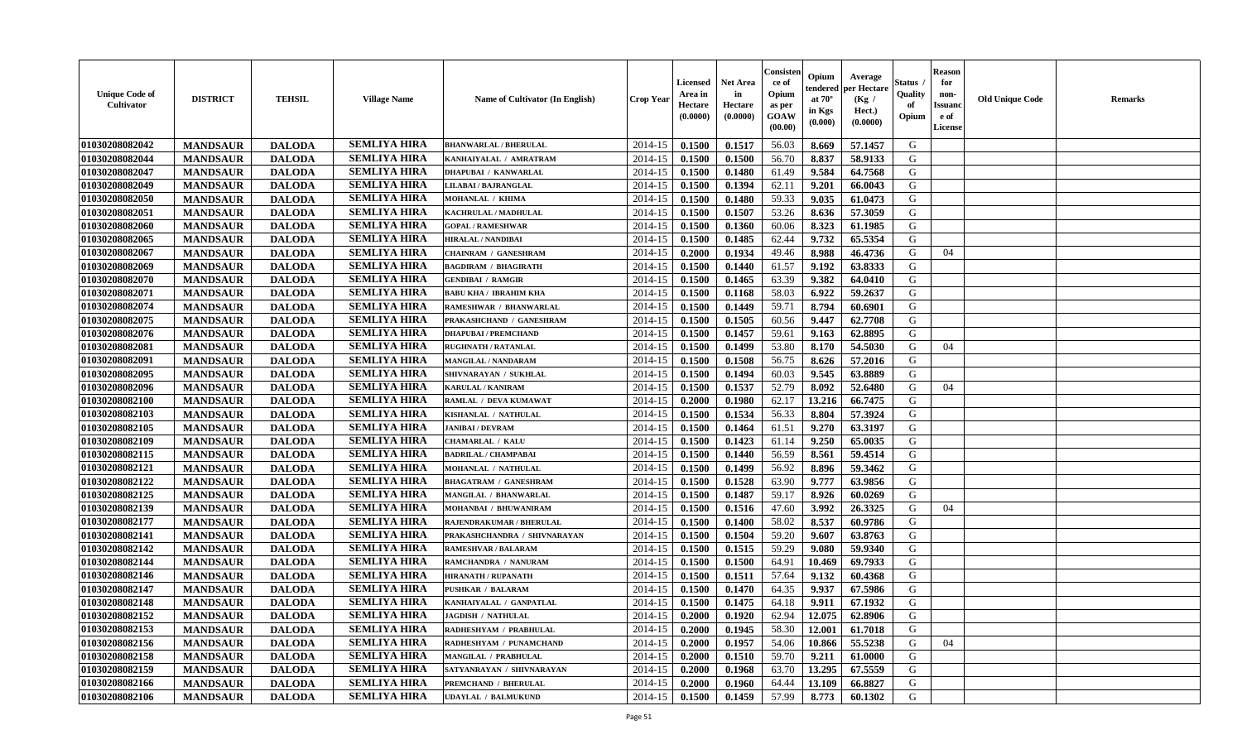| <b>Unique Code of</b><br><b>Cultivator</b> | <b>DISTRICT</b> | <b>TEHSIL</b> | <b>Village Name</b> | <b>Name of Cultivator (In English)</b> | <b>Crop Year</b> | <b>Licensed</b><br>Area in<br>Hectare<br>(0.0000) | Net Area<br>in<br>Hectare<br>(0.0000) | Consisteı<br>ce of<br>Opium<br>as per<br>GOAW<br>(00.00) | Opium<br>endered<br>at $70^\circ$<br>in Kgs<br>(0.000) | Average<br>per Hectare<br>(Kg /<br>Hect.)<br>(0.0000) | Status<br>Quality<br>of<br>Opium | <b>Reason</b><br>for<br>non-<br><b>Issuanc</b><br>e of<br>License | <b>Old Unique Code</b> | Remarks |
|--------------------------------------------|-----------------|---------------|---------------------|----------------------------------------|------------------|---------------------------------------------------|---------------------------------------|----------------------------------------------------------|--------------------------------------------------------|-------------------------------------------------------|----------------------------------|-------------------------------------------------------------------|------------------------|---------|
| 01030208082042                             | <b>MANDSAUR</b> | <b>DALODA</b> | <b>SEMLIYA HIRA</b> | <b>BHANWARLAL / BHERULAL</b>           | 2014-15          | 0.1500                                            | 0.1517                                | 56.03                                                    | 8.669                                                  | 57.1457                                               | G                                |                                                                   |                        |         |
| 01030208082044                             | <b>MANDSAUR</b> | <b>DALODA</b> | <b>SEMLIYA HIRA</b> | KANHAIYALAL / AMRATRAM                 | 2014-15          | 0.1500                                            | 0.1500                                | 56.70                                                    | 8.837                                                  | 58.9133                                               | G                                |                                                                   |                        |         |
| 01030208082047                             | <b>MANDSAUR</b> | <b>DALODA</b> | <b>SEMLIYA HIRA</b> | <b>DHAPUBAI / KANWARLAL</b>            | 2014-15          | 0.1500                                            | 0.1480                                | 61.49                                                    | 9.584                                                  | 64.7568                                               | G                                |                                                                   |                        |         |
| 01030208082049                             | <b>MANDSAUR</b> | <b>DALODA</b> | <b>SEMLIYA HIRA</b> | <b>LILABAI / BAJRANGLAL</b>            | 2014-15          | 0.1500                                            | 0.1394                                | 62.11                                                    | 9.201                                                  | 66.0043                                               | G                                |                                                                   |                        |         |
| 01030208082050                             | <b>MANDSAUR</b> | <b>DALODA</b> | <b>SEMLIYA HIRA</b> | MOHANLAL / KHIMA                       | 2014-15          | 0.1500                                            | 0.1480                                | 59.33                                                    | 9.035                                                  | 61.0473                                               | G                                |                                                                   |                        |         |
| 01030208082051                             | <b>MANDSAUR</b> | <b>DALODA</b> | <b>SEMLIYA HIRA</b> | KACHRULAL / MADHULAL                   | 2014-15          | 0.1500                                            | 0.1507                                | 53.26                                                    | 8.636                                                  | 57.3059                                               | G                                |                                                                   |                        |         |
| 01030208082060                             | <b>MANDSAUR</b> | <b>DALODA</b> | <b>SEMLIYA HIRA</b> | <b>GOPAL / RAMESHWAR</b>               | 2014-15          | 0.1500                                            | 0.1360                                | 60.06                                                    | 8.323                                                  | 61.1985                                               | G                                |                                                                   |                        |         |
| 01030208082065                             | <b>MANDSAUR</b> | <b>DALODA</b> | <b>SEMLIYA HIRA</b> | <b>HIRALAL / NANDIBAI</b>              | 2014-15          | 0.1500                                            | 0.1485                                | 62.44                                                    | 9.732                                                  | 65.5354                                               | G                                |                                                                   |                        |         |
| 01030208082067                             | <b>MANDSAUR</b> | <b>DALODA</b> | <b>SEMLIYA HIRA</b> | <b>CHAINRAM / GANESHRAM</b>            | 2014-15          | 0.2000                                            | 0.1934                                | 49.46                                                    | 8.988                                                  | 46.4736                                               | G                                | 04                                                                |                        |         |
| 01030208082069                             | <b>MANDSAUR</b> | <b>DALODA</b> | <b>SEMLIYA HIRA</b> | <b>BAGDIRAM / BHAGIRATH</b>            | 2014-15          | 0.1500                                            | 0.1440                                | 61.57                                                    | 9.192                                                  | 63.8333                                               | G                                |                                                                   |                        |         |
| 01030208082070                             | <b>MANDSAUR</b> | <b>DALODA</b> | <b>SEMLIYA HIRA</b> | <b>GENDIBAI / RAMGIR</b>               | 2014-15          | 0.1500                                            | 0.1465                                | 63.39                                                    | 9.382                                                  | 64.0410                                               | G                                |                                                                   |                        |         |
| 01030208082071                             | <b>MANDSAUR</b> | <b>DALODA</b> | <b>SEMLIYA HIRA</b> | <b>BABU KHA / IBRAHIM KHA</b>          | 2014-15          | 0.1500                                            | 0.1168                                | 58.03                                                    | 6.922                                                  | 59.2637                                               | G                                |                                                                   |                        |         |
| 01030208082074                             | <b>MANDSAUR</b> | <b>DALODA</b> | <b>SEMLIYA HIRA</b> | RAMESHWAR / BHANWARLAL                 | 2014-15          | 0.1500                                            | 0.1449                                | 59.71                                                    | 8.794                                                  | 60.6901                                               | G                                |                                                                   |                        |         |
| 01030208082075                             | <b>MANDSAUR</b> | <b>DALODA</b> | <b>SEMLIYA HIRA</b> | PRAKASHCHAND / GANESHRAM               | 2014-15          | 0.1500                                            | 0.1505                                | 60.56                                                    | 9.447                                                  | 62.7708                                               | G                                |                                                                   |                        |         |
| 01030208082076                             | <b>MANDSAUR</b> | <b>DALODA</b> | <b>SEMLIYA HIRA</b> | <b>DHAPUBAI/PREMCHAND</b>              | 2014-15          | 0.1500                                            | 0.1457                                | 59.61                                                    | 9.163                                                  | 62.8895                                               | $\mathbf G$                      |                                                                   |                        |         |
| 01030208082081                             | <b>MANDSAUR</b> | <b>DALODA</b> | <b>SEMLIYA HIRA</b> | <b>RUGHNATH / RATANLAL</b>             | 2014-15          | 0.1500                                            | 0.1499                                | 53.80                                                    | 8.170                                                  | 54.5030                                               | G                                | 04                                                                |                        |         |
| 01030208082091                             | <b>MANDSAUR</b> | <b>DALODA</b> | <b>SEMLIYA HIRA</b> | MANGILAL / NANDARAM                    | 2014-15          | 0.1500                                            | 0.1508                                | 56.75                                                    | 8.626                                                  | 57.2016                                               | G                                |                                                                   |                        |         |
| 01030208082095                             | <b>MANDSAUR</b> | <b>DALODA</b> | <b>SEMLIYA HIRA</b> | SHIVNARAYAN / SUKHLAL                  | 2014-15          | 0.1500                                            | 0.1494                                | 60.03                                                    | 9.545                                                  | 63.8889                                               | G                                |                                                                   |                        |         |
| 01030208082096                             | <b>MANDSAUR</b> | <b>DALODA</b> | <b>SEMLIYA HIRA</b> | KARULAL / KANIRAM                      | 2014-15          | 0.1500                                            | 0.1537                                | 52.79                                                    | 8.092                                                  | 52.6480                                               | G                                | 04                                                                |                        |         |
| 01030208082100                             | <b>MANDSAUR</b> | <b>DALODA</b> | <b>SEMLIYA HIRA</b> | RAMLAL / DEVA KUMAWAT                  | 2014-15          | 0.2000                                            | 0.1980                                | 62.17                                                    | 13.216                                                 | 66.7475                                               | G                                |                                                                   |                        |         |
| 01030208082103                             | <b>MANDSAUR</b> | <b>DALODA</b> | <b>SEMLIYA HIRA</b> | KISHANLAL / NATHULAL                   | 2014-15          | 0.1500                                            | 0.1534                                | 56.33                                                    | 8.804                                                  | 57.3924                                               | G                                |                                                                   |                        |         |
| 01030208082105                             | <b>MANDSAUR</b> | <b>DALODA</b> | <b>SEMLIYA HIRA</b> | <b>JANIBAI / DEVRAM</b>                | 2014-15          | 0.1500                                            | 0.1464                                | 61.51                                                    | 9.270                                                  | 63.3197                                               | G                                |                                                                   |                        |         |
| 01030208082109                             | <b>MANDSAUR</b> | <b>DALODA</b> | <b>SEMLIYA HIRA</b> | CHAMARLAL / KALU                       | 2014-15          | 0.1500                                            | 0.1423                                | 61.14                                                    | 9.250                                                  | 65.0035                                               | G                                |                                                                   |                        |         |
| 01030208082115                             | <b>MANDSAUR</b> | <b>DALODA</b> | <b>SEMLIYA HIRA</b> | <b>BADRILAL / CHAMPABAI</b>            | 2014-15          | 0.1500                                            | 0.1440                                | 56.59                                                    | 8.561                                                  | 59.4514                                               | G                                |                                                                   |                        |         |
| 01030208082121                             | <b>MANDSAUR</b> | <b>DALODA</b> | <b>SEMLIYA HIRA</b> | MOHANLAL / NATHULAL                    | 2014-15          | 0.1500                                            | 0.1499                                | 56.92                                                    | 8.896                                                  | 59.3462                                               | G                                |                                                                   |                        |         |
| 01030208082122                             | <b>MANDSAUR</b> | <b>DALODA</b> | <b>SEMLIYA HIRA</b> | <b>BHAGATRAM / GANESHRAM</b>           | 2014-15          | 0.1500                                            | 0.1528                                | 63.90                                                    | 9.777                                                  | 63.9856                                               | G                                |                                                                   |                        |         |
| 01030208082125                             | <b>MANDSAUR</b> | <b>DALODA</b> | <b>SEMLIYA HIRA</b> | MANGILAL / BHANWARLAL                  | 2014-15          | 0.1500                                            | 0.1487                                | 59.17                                                    | 8.926                                                  | 60.0269                                               | G                                |                                                                   |                        |         |
| 01030208082139                             | <b>MANDSAUR</b> | <b>DALODA</b> | <b>SEMLIYA HIRA</b> | MOHANBAI / BHUWANIRAM                  | 2014-15          | 0.1500                                            | 0.1516                                | 47.60                                                    | 3.992                                                  | 26.3325                                               | G                                | 04                                                                |                        |         |
| 01030208082177                             | <b>MANDSAUR</b> | <b>DALODA</b> | <b>SEMLIYA HIRA</b> | RAJENDRAKUMAR / BHERULAL               | 2014-15          | 0.1500                                            | 0.1400                                | 58.02                                                    | 8.537                                                  | 60.9786                                               | G                                |                                                                   |                        |         |
| 01030208082141                             | <b>MANDSAUR</b> | <b>DALODA</b> | <b>SEMLIYA HIRA</b> | PRAKASHCHANDRA / SHIVNARAYAN           | 2014-15          | 0.1500                                            | 0.1504                                | 59.20                                                    | 9.607                                                  | 63.8763                                               | G                                |                                                                   |                        |         |
| 01030208082142                             | <b>MANDSAUR</b> | <b>DALODA</b> | <b>SEMLIYA HIRA</b> | <b>RAMESHVAR / BALARAM</b>             | 2014-15          | 0.1500                                            | 0.1515                                | 59.29                                                    | 9.080                                                  | 59.9340                                               | G                                |                                                                   |                        |         |
| 01030208082144                             | <b>MANDSAUR</b> | <b>DALODA</b> | <b>SEMLIYA HIRA</b> | RAMCHANDRA / NANURAM                   | 2014-15          | 0.1500                                            | 0.1500                                | 64.91                                                    | 10.469                                                 | 69.7933                                               | G                                |                                                                   |                        |         |
| 01030208082146                             | <b>MANDSAUR</b> | <b>DALODA</b> | <b>SEMLIYA HIRA</b> | <b>HIRANATH / RUPANATH</b>             | 2014-15          | 0.1500                                            | 0.1511                                | 57.64                                                    | 9.132                                                  | 60.4368                                               | G                                |                                                                   |                        |         |
| 01030208082147                             | <b>MANDSAUR</b> | <b>DALODA</b> | <b>SEMLIYA HIRA</b> | <b>PUSHKAR / BALARAM</b>               | 2014-15          | 0.1500                                            | 0.1470                                | 64.35                                                    | 9.937                                                  | 67.5986                                               | G                                |                                                                   |                        |         |
| 01030208082148                             | <b>MANDSAUR</b> | <b>DALODA</b> | <b>SEMLIYA HIRA</b> | KANHAIYALAL / GANPATLAL                | $2014 - 15$      | 0.1500                                            | 0.1475                                | 64.18                                                    | 9.911                                                  | 67.1932                                               | G                                |                                                                   |                        |         |
| 01030208082152                             | <b>MANDSAUR</b> | <b>DALODA</b> | <b>SEMLIYA HIRA</b> | <b>JAGDISH / NATHULAL</b>              | 2014-15          | 0.2000                                            | 0.1920                                | 62.94                                                    | 12.075                                                 | 62.8906                                               | G                                |                                                                   |                        |         |
| 01030208082153                             | <b>MANDSAUR</b> | <b>DALODA</b> | <b>SEMLIYA HIRA</b> | RADHESHYAM / PRABHULAL                 | 2014-15          | 0.2000                                            | 0.1945                                | 58.30                                                    | 12.001                                                 | 61.7018                                               | G                                |                                                                   |                        |         |
| 01030208082156                             | <b>MANDSAUR</b> | <b>DALODA</b> | <b>SEMLIYA HIRA</b> | RADHESHYAM / PUNAMCHAND                | 2014-15          | 0.2000                                            | 0.1957                                | 54.06                                                    | 10.866                                                 | 55.5238                                               | G                                | 04                                                                |                        |         |
| 01030208082158                             | <b>MANDSAUR</b> | <b>DALODA</b> | <b>SEMLIYA HIRA</b> | MANGILAL / PRABHULAL                   | 2014-15          | 0.2000                                            | 0.1510                                | 59.70                                                    | 9.211                                                  | 61.0000                                               | G                                |                                                                   |                        |         |
| 01030208082159                             | <b>MANDSAUR</b> | <b>DALODA</b> | <b>SEMLIYA HIRA</b> | SATYANRAYAN / SHIVNARAYAN              | 2014-15          | 0.2000                                            | 0.1968                                | 63.70                                                    | 13.295                                                 | 67.5559                                               | G                                |                                                                   |                        |         |
| 01030208082166                             | <b>MANDSAUR</b> | <b>DALODA</b> | <b>SEMLIYA HIRA</b> | PREMCHAND / BHERULAL                   | 2014-15          | 0.2000                                            | 0.1960                                | 64.44                                                    | 13.109                                                 | 66.8827                                               | G                                |                                                                   |                        |         |
| 01030208082106                             | <b>MANDSAUR</b> | <b>DALODA</b> | <b>SEMLIYA HIRA</b> | <b>UDAYLAL / BALMUKUND</b>             | 2014-15          | 0.1500                                            | 0.1459                                | 57.99                                                    | 8.773                                                  | 60.1302                                               | G                                |                                                                   |                        |         |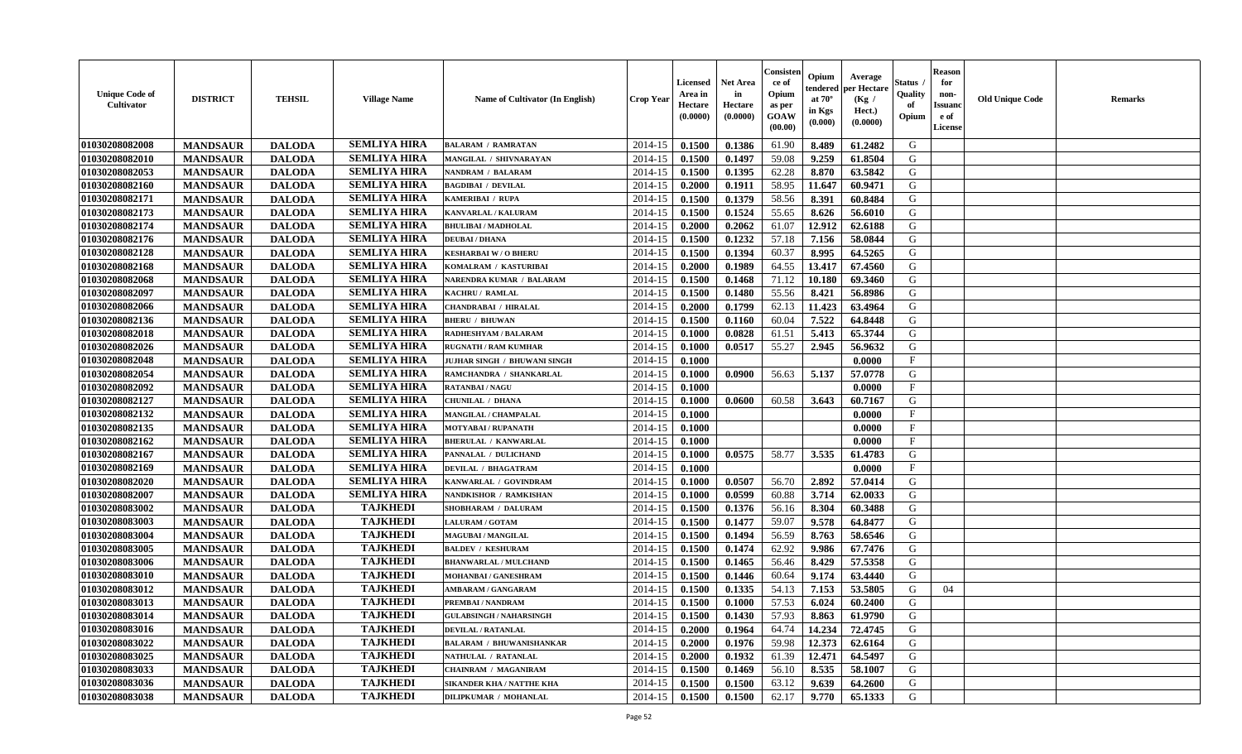| <b>Unique Code of</b><br><b>Cultivator</b> | <b>DISTRICT</b> | <b>TEHSIL</b> | <b>Village Name</b> | Name of Cultivator (In English)  | <b>Crop Year</b> | Licensed<br>Area in<br>Hectare<br>(0.0000) | <b>Net Area</b><br>in<br>Hectare<br>(0.0000) | Consisteı<br>ce of<br>Opium<br>as per<br>GOAW<br>(00.00) | Opium<br>endered<br>at $70^\circ$<br>in Kgs<br>(0.000) | Average<br>per Hectare<br>(Kg /<br>Hect.)<br>(0.0000) | Status<br>Quality<br>of<br>Opium | <b>Reason</b><br>for<br>non-<br><b>Issuand</b><br>e of<br>License | <b>Old Unique Code</b> | <b>Remarks</b> |
|--------------------------------------------|-----------------|---------------|---------------------|----------------------------------|------------------|--------------------------------------------|----------------------------------------------|----------------------------------------------------------|--------------------------------------------------------|-------------------------------------------------------|----------------------------------|-------------------------------------------------------------------|------------------------|----------------|
| 01030208082008                             | <b>MANDSAUR</b> | <b>DALODA</b> | <b>SEMLIYA HIRA</b> | <b>BALARAM / RAMRATAN</b>        | 2014-15          | 0.1500                                     | 0.1386                                       | 61.90                                                    | 8.489                                                  | 61.2482                                               | G                                |                                                                   |                        |                |
| 01030208082010                             | <b>MANDSAUR</b> | <b>DALODA</b> | <b>SEMLIYA HIRA</b> | MANGILAL / SHIVNARAYAN           | 2014-15          | 0.1500                                     | 0.1497                                       | 59.08                                                    | 9.259                                                  | 61.8504                                               | G                                |                                                                   |                        |                |
| 01030208082053                             | <b>MANDSAUR</b> | <b>DALODA</b> | <b>SEMLIYA HIRA</b> | <b>NANDRAM / BALARAM</b>         | 2014-15          | 0.1500                                     | 0.1395                                       | 62.28                                                    | 8.870                                                  | 63.5842                                               | G                                |                                                                   |                        |                |
| 01030208082160                             | <b>MANDSAUR</b> | <b>DALODA</b> | <b>SEMLIYA HIRA</b> | <b>BAGDIBAI / DEVILAL</b>        | 2014-15          | 0.2000                                     | 0.1911                                       | 58.95                                                    | 11.647                                                 | 60.9471                                               | G                                |                                                                   |                        |                |
| 01030208082171                             | <b>MANDSAUR</b> | <b>DALODA</b> | <b>SEMLIYA HIRA</b> | KAMERIBAI / RUPA                 | 2014-15          | 0.1500                                     | 0.1379                                       | 58.56                                                    | 8.391                                                  | 60.8484                                               | G                                |                                                                   |                        |                |
| 01030208082173                             | <b>MANDSAUR</b> | <b>DALODA</b> | <b>SEMLIYA HIRA</b> | KANVARLAL / KALURAM              | 2014-15          | 0.1500                                     | 0.1524                                       | 55.65                                                    | 8.626                                                  | 56.6010                                               | G                                |                                                                   |                        |                |
| 01030208082174                             | <b>MANDSAUR</b> | <b>DALODA</b> | <b>SEMLIYA HIRA</b> | <b>BHULIBAI / MADHOLAL</b>       | 2014-15          | 0.2000                                     | 0.2062                                       | 61.07                                                    | 12.912                                                 | 62.6188                                               | G                                |                                                                   |                        |                |
| 01030208082176                             | <b>MANDSAUR</b> | <b>DALODA</b> | <b>SEMLIYA HIRA</b> | <b>DEUBAI/DHANA</b>              | 2014-15          | 0.1500                                     | 0.1232                                       | 57.18                                                    | 7.156                                                  | 58.0844                                               | G                                |                                                                   |                        |                |
| 01030208082128                             | <b>MANDSAUR</b> | <b>DALODA</b> | <b>SEMLIYA HIRA</b> | <b>KESHARBAI W / O BHERU</b>     | 2014-15          | 0.1500                                     | 0.1394                                       | 60.37                                                    | 8.995                                                  | 64.5265                                               | G                                |                                                                   |                        |                |
| 01030208082168                             | <b>MANDSAUR</b> | <b>DALODA</b> | <b>SEMLIYA HIRA</b> | KOMALRAM / KASTURIBAI            | 2014-15          | 0.2000                                     | 0.1989                                       | 64.55                                                    | 13.417                                                 | 67.4560                                               | G                                |                                                                   |                        |                |
| 01030208082068                             | <b>MANDSAUR</b> | <b>DALODA</b> | <b>SEMLIYA HIRA</b> | NARENDRA KUMAR / BALARAM         | 2014-15          | 0.1500                                     | 0.1468                                       | 71.12                                                    | 10.180                                                 | 69.3460                                               | $\mathbf G$                      |                                                                   |                        |                |
| 01030208082097                             | <b>MANDSAUR</b> | <b>DALODA</b> | <b>SEMLIYA HIRA</b> | <b>KACHRU / RAMLAL</b>           | 2014-15          | 0.1500                                     | 0.1480                                       | 55.56                                                    | 8.421                                                  | 56.8986                                               | G                                |                                                                   |                        |                |
| 01030208082066                             | <b>MANDSAUR</b> | <b>DALODA</b> | <b>SEMLIYA HIRA</b> | CHANDRABAI / HIRALAL             | 2014-15          | 0.2000                                     | 0.1799                                       | 62.13                                                    | 11.423                                                 | 63.4964                                               | G                                |                                                                   |                        |                |
| 01030208082136                             | <b>MANDSAUR</b> | <b>DALODA</b> | <b>SEMLIYA HIRA</b> | <b>BHERU / BHUWAN</b>            | 2014-15          | 0.1500                                     | 0.1160                                       | 60.04                                                    | 7.522                                                  | 64.8448                                               | G                                |                                                                   |                        |                |
| 01030208082018                             | <b>MANDSAUR</b> | <b>DALODA</b> | <b>SEMLIYA HIRA</b> | RADHESHYAM / BALARAM             | 2014-15          | 0.1000                                     | 0.0828                                       | 61.51                                                    | 5.413                                                  | 65.3744                                               | G                                |                                                                   |                        |                |
| 01030208082026                             | <b>MANDSAUR</b> | <b>DALODA</b> | <b>SEMLIYA HIRA</b> | <b>RUGNATH / RAM KUMHAR</b>      | 2014-15          | 0.1000                                     | 0.0517                                       | 55.27                                                    | 2.945                                                  | 56.9632                                               | G                                |                                                                   |                        |                |
| 01030208082048                             | <b>MANDSAUR</b> | <b>DALODA</b> | <b>SEMLIYA HIRA</b> | JUJHAR SINGH / BHUWANI SINGH     | 2014-15          | 0.1000                                     |                                              |                                                          |                                                        | 0.0000                                                | $\mathbf{F}$                     |                                                                   |                        |                |
| 01030208082054                             | <b>MANDSAUR</b> | <b>DALODA</b> | <b>SEMLIYA HIRA</b> | RAMCHANDRA / SHANKARLAL          | 2014-15          | 0.1000                                     | 0.0900                                       | 56.63                                                    | 5.137                                                  | 57.0778                                               | G                                |                                                                   |                        |                |
| 01030208082092                             | <b>MANDSAUR</b> | <b>DALODA</b> | <b>SEMLIYA HIRA</b> | <b>RATANBAI/NAGU</b>             | 2014-15          | 0.1000                                     |                                              |                                                          |                                                        | 0.0000                                                | $\mathbf{F}$                     |                                                                   |                        |                |
| 01030208082127                             | <b>MANDSAUR</b> | <b>DALODA</b> | <b>SEMLIYA HIRA</b> | <b>CHUNILAL / DHANA</b>          | 2014-15          | 0.1000                                     | 0.0600                                       | 60.58                                                    | 3.643                                                  | 60.7167                                               | G                                |                                                                   |                        |                |
| 01030208082132                             | <b>MANDSAUR</b> | <b>DALODA</b> | <b>SEMLIYA HIRA</b> | MANGILAL / CHAMPALAL             | 2014-15          | 0.1000                                     |                                              |                                                          |                                                        | 0.0000                                                | $_{\rm F}$                       |                                                                   |                        |                |
| 01030208082135                             | <b>MANDSAUR</b> | <b>DALODA</b> | <b>SEMLIYA HIRA</b> | <b>MOTYABAI/RUPANATH</b>         | 2014-15          | 0.1000                                     |                                              |                                                          |                                                        | 0.0000                                                | $\mathbf{F}$                     |                                                                   |                        |                |
| 01030208082162                             | <b>MANDSAUR</b> | <b>DALODA</b> | <b>SEMLIYA HIRA</b> | <b>BHERULAL / KANWARLAL</b>      | 2014-15          | 0.1000                                     |                                              |                                                          |                                                        | 0.0000                                                | $\mathbf{F}$                     |                                                                   |                        |                |
| 01030208082167                             | <b>MANDSAUR</b> | <b>DALODA</b> | <b>SEMLIYA HIRA</b> | PANNALAL / DULICHAND             | 2014-15          | 0.1000                                     | 0.0575                                       | 58.77                                                    | 3.535                                                  | 61.4783                                               | G                                |                                                                   |                        |                |
| 01030208082169                             | <b>MANDSAUR</b> | <b>DALODA</b> | <b>SEMLIYA HIRA</b> | <b>DEVILAL / BHAGATRAM</b>       | 2014-15          | 0.1000                                     |                                              |                                                          |                                                        | 0.0000                                                | $\mathbf{F}$                     |                                                                   |                        |                |
| 01030208082020                             | <b>MANDSAUR</b> | <b>DALODA</b> | <b>SEMLIYA HIRA</b> | KANWARLAL / GOVINDRAM            | 2014-15          | 0.1000                                     | 0.0507                                       | 56.70                                                    | 2.892                                                  | 57.0414                                               | G                                |                                                                   |                        |                |
| 01030208082007                             | <b>MANDSAUR</b> | <b>DALODA</b> | <b>SEMLIYA HIRA</b> | NANDKISHOR / RAMKISHAN           | 2014-15          | 0.1000                                     | 0.0599                                       | 60.88                                                    | 3.714                                                  | 62.0033                                               | G                                |                                                                   |                        |                |
| 01030208083002                             | <b>MANDSAUR</b> | <b>DALODA</b> | <b>TAJKHEDI</b>     | SHOBHARAM / DALURAM              | 2014-15          | 0.1500                                     | 0.1376                                       | 56.16                                                    | 8.304                                                  | 60.3488                                               | G                                |                                                                   |                        |                |
| 01030208083003                             | <b>MANDSAUR</b> | <b>DALODA</b> | <b>TAJKHEDI</b>     | LALURAM / GOTAM                  | 2014-15          | 0.1500                                     | 0.1477                                       | 59.07                                                    | 9.578                                                  | 64.8477                                               | G                                |                                                                   |                        |                |
| 01030208083004                             | <b>MANDSAUR</b> | <b>DALODA</b> | <b>TAJKHEDI</b>     | <b>MAGUBAI/MANGILAL</b>          | 2014-15          | 0.1500                                     | 0.1494                                       | 56.59                                                    | 8.763                                                  | 58.6546                                               | G                                |                                                                   |                        |                |
| 01030208083005                             | <b>MANDSAUR</b> | <b>DALODA</b> | <b>TAJKHEDI</b>     | <b>BALDEV / KESHURAM</b>         | 2014-15          | 0.1500                                     | 0.1474                                       | 62.92                                                    | 9.986                                                  | 67.7476                                               | ${\bf G}$                        |                                                                   |                        |                |
| 01030208083006                             | <b>MANDSAUR</b> | <b>DALODA</b> | <b>TAJKHEDI</b>     | <b>BHANWARLAL / MULCHAND</b>     | 2014-15          | 0.1500                                     | 0.1465                                       | 56.46                                                    | 8.429                                                  | 57.5358                                               | G                                |                                                                   |                        |                |
| 01030208083010                             | <b>MANDSAUR</b> | <b>DALODA</b> | <b>TAJKHEDI</b>     | MOHANBAI / GANESHRAM             | 2014-15          | 0.1500                                     | 0.1446                                       | 60.64                                                    | 9.174                                                  | 63.4440                                               | G                                |                                                                   |                        |                |
| 01030208083012                             | <b>MANDSAUR</b> | <b>DALODA</b> | <b>TAJKHEDI</b>     | AMBARAM / GANGARAM               | 2014-15          | 0.1500                                     | 0.1335                                       | 54.13                                                    | 7.153                                                  | 53.5805                                               | G                                | 04                                                                |                        |                |
| 01030208083013                             | <b>MANDSAUR</b> | <b>DALODA</b> | <b>TAJKHEDI</b>     | PREMBAI / NANDRAM                | 2014-15          | 0.1500                                     | 0.1000                                       | 57.53                                                    | 6.024                                                  | 60.2400                                               | G                                |                                                                   |                        |                |
| 01030208083014                             | <b>MANDSAUR</b> | <b>DALODA</b> | <b>TAJKHEDI</b>     | <b>GULABSINGH / NAHARSINGH</b>   | 2014-15          | 0.1500                                     | 0.1430                                       | 57.93                                                    | 8.863                                                  | 61.9790                                               | G                                |                                                                   |                        |                |
| 01030208083016                             | <b>MANDSAUR</b> | <b>DALODA</b> | <b>TAJKHEDI</b>     | <b>DEVILAL / RATANLAL</b>        | 2014-15          | 0.2000                                     | 0.1964                                       | 64.74                                                    | 14.234                                                 | 72.4745                                               | G                                |                                                                   |                        |                |
| 01030208083022                             | <b>MANDSAUR</b> | <b>DALODA</b> | <b>TAJKHEDI</b>     | <b>BALARAM / BHUWANISHANKAR</b>  | 2014-15          | 0.2000                                     | 0.1976                                       | 59.98                                                    | 12.373                                                 | 62.6164                                               | G                                |                                                                   |                        |                |
| 01030208083025                             | <b>MANDSAUR</b> | <b>DALODA</b> | <b>TAJKHEDI</b>     | NATHULAL / RATANLAL              | 2014-15          | 0.2000                                     | 0.1932                                       | 61.39                                                    | 12.471                                                 | 64.5497                                               | G                                |                                                                   |                        |                |
| 01030208083033                             | <b>MANDSAUR</b> | <b>DALODA</b> | <b>TAJKHEDI</b>     | <b>CHAINRAM / MAGANIRAM</b>      | 2014-15          | 0.1500                                     | 0.1469                                       | 56.10                                                    | 8.535                                                  | 58.1007                                               | G                                |                                                                   |                        |                |
| 01030208083036                             | <b>MANDSAUR</b> | <b>DALODA</b> | <b>TAJKHEDI</b>     | <b>SIKANDER KHA / NATTHE KHA</b> | 2014-15          | 0.1500                                     | 0.1500                                       | 63.12                                                    | 9.639                                                  | 64.2600                                               | G                                |                                                                   |                        |                |
| 01030208083038                             | <b>MANDSAUR</b> | <b>DALODA</b> | <b>TAJKHEDI</b>     | <b>DILIPKUMAR / MOHANLAL</b>     | 2014-15          | 0.1500                                     | 0.1500                                       | 62.17                                                    | 9.770                                                  | 65.1333                                               | G                                |                                                                   |                        |                |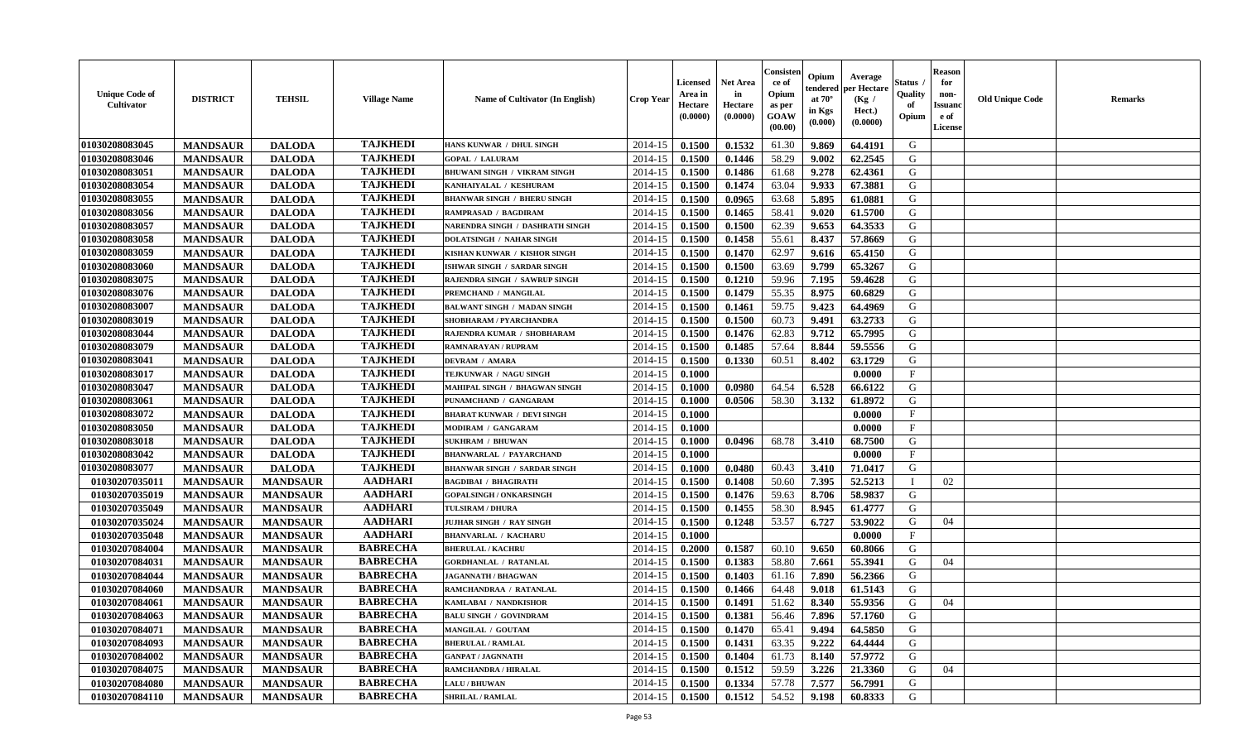| <b>Unique Code of</b><br><b>Cultivator</b> | <b>DISTRICT</b> | <b>TEHSIL</b>   | <b>Village Name</b> | <b>Name of Cultivator (In English)</b> | <b>Crop Year</b> | <b>Licensed</b><br>Area in<br>Hectare<br>(0.0000) | <b>Net Area</b><br>in<br>Hectare<br>(0.0000) | Consister<br>ce of<br>Opium<br>as per<br>GOAW<br>(00.00) | Opium<br>endered<br>at $70^{\circ}$<br>in Kgs<br>$(\mathbf{0.000})$ | Average<br>per Hectare<br>(Kg)<br>Hect.)<br>(0.0000) | Status<br>Quality<br>of<br>Opium | <b>Reason</b><br>for<br>non-<br><b>Issuano</b><br>e of<br>License | <b>Old Unique Code</b> | <b>Remarks</b> |
|--------------------------------------------|-----------------|-----------------|---------------------|----------------------------------------|------------------|---------------------------------------------------|----------------------------------------------|----------------------------------------------------------|---------------------------------------------------------------------|------------------------------------------------------|----------------------------------|-------------------------------------------------------------------|------------------------|----------------|
| 01030208083045                             | <b>MANDSAUR</b> | <b>DALODA</b>   | <b>TAJKHEDI</b>     | HANS KUNWAR / DHUL SINGH               | 2014-15          | 0.1500                                            | 0.1532                                       | 61.30                                                    | 9.869                                                               | 64.4191                                              | G                                |                                                                   |                        |                |
| 01030208083046                             | <b>MANDSAUR</b> | <b>DALODA</b>   | <b>TAJKHEDI</b>     | <b>GOPAL / LALURAM</b>                 | 2014-15          | 0.1500                                            | 0.1446                                       | 58.29                                                    | 9.002                                                               | 62.2545                                              | G                                |                                                                   |                        |                |
| 01030208083051                             | <b>MANDSAUR</b> | <b>DALODA</b>   | <b>TAJKHEDI</b>     | BHUWANI SINGH / VIKRAM SINGH           | 2014-15          | 0.1500                                            | 0.1486                                       | 61.68                                                    | 9.278                                                               | 62.4361                                              | G                                |                                                                   |                        |                |
| 01030208083054                             | <b>MANDSAUR</b> | <b>DALODA</b>   | <b>TAJKHEDI</b>     | KANHAIYALAL / KESHURAM                 | 2014-15          | 0.1500                                            | 0.1474                                       | 63.04                                                    | 9.933                                                               | 67.3881                                              | G                                |                                                                   |                        |                |
| 01030208083055                             | <b>MANDSAUR</b> | <b>DALODA</b>   | <b>TAJKHEDI</b>     | <b>BHANWAR SINGH / BHERU SINGH</b>     | 2014-15          | 0.1500                                            | 0.0965                                       | 63.68                                                    | 5.895                                                               | 61.0881                                              | G                                |                                                                   |                        |                |
| 01030208083056                             | <b>MANDSAUR</b> | <b>DALODA</b>   | <b>TAJKHEDI</b>     | RAMPRASAD / BAGDIRAM                   | 2014-15          | 0.1500                                            | 0.1465                                       | 58.41                                                    | 9.020                                                               | 61.5700                                              | G                                |                                                                   |                        |                |
| 01030208083057                             | <b>MANDSAUR</b> | <b>DALODA</b>   | <b>TAJKHEDI</b>     | NARENDRA SINGH / DASHRATH SINGH        | 2014-15          | 0.1500                                            | 0.1500                                       | 62.39                                                    | 9.653                                                               | 64.3533                                              | G                                |                                                                   |                        |                |
| 01030208083058                             | <b>MANDSAUR</b> | <b>DALODA</b>   | <b>TAJKHEDI</b>     | <b>DOLATSINGH / NAHAR SINGH</b>        | 2014-15          | 0.1500                                            | 0.1458                                       | 55.61                                                    | 8.437                                                               | 57.8669                                              | G                                |                                                                   |                        |                |
| 01030208083059                             | <b>MANDSAUR</b> | <b>DALODA</b>   | <b>TAJKHEDI</b>     | KISHAN KUNWAR / KISHOR SINGH           | 2014-15          | 0.1500                                            | 0.1470                                       | 62.97                                                    | 9.616                                                               | 65.4150                                              | G                                |                                                                   |                        |                |
| 01030208083060                             | <b>MANDSAUR</b> | <b>DALODA</b>   | <b>TAJKHEDI</b>     | ISHWAR SINGH / SARDAR SINGH            | 2014-15          | 0.1500                                            | 0.1500                                       | 63.69                                                    | 9.799                                                               | 65.3267                                              | G                                |                                                                   |                        |                |
| 01030208083075                             | <b>MANDSAUR</b> | <b>DALODA</b>   | <b>TAJKHEDI</b>     | RAJENDRA SINGH / SAWRUP SINGH          | 2014-15          | 0.1500                                            | 0.1210                                       | 59.96                                                    | 7.195                                                               | 59.4628                                              | G                                |                                                                   |                        |                |
| 01030208083076                             | <b>MANDSAUR</b> | <b>DALODA</b>   | <b>TAJKHEDI</b>     | PREMCHAND / MANGILAL                   | 2014-15          | 0.1500                                            | 0.1479                                       | 55.35                                                    | 8.975                                                               | 60.6829                                              | G                                |                                                                   |                        |                |
| 01030208083007                             | <b>MANDSAUR</b> | <b>DALODA</b>   | <b>TAJKHEDI</b>     | <b>BALWANT SINGH / MADAN SINGH</b>     | 2014-15          | 0.1500                                            | 0.1461                                       | 59.75                                                    | 9.423                                                               | 64.4969                                              | G                                |                                                                   |                        |                |
| 01030208083019                             | <b>MANDSAUR</b> | <b>DALODA</b>   | <b>TAJKHEDI</b>     | SHOBHARAM / PYARCHANDRA                | 2014-15          | 0.1500                                            | 0.1500                                       | 60.73                                                    | 9.491                                                               | 63.2733                                              | G                                |                                                                   |                        |                |
| 01030208083044                             | <b>MANDSAUR</b> | <b>DALODA</b>   | <b>TAJKHEDI</b>     | RAJENDRA KUMAR / SHOBHARAM             | 2014-15          | 0.1500                                            | 0.1476                                       | 62.83                                                    | 9.712                                                               | 65.7995                                              | G                                |                                                                   |                        |                |
| 01030208083079                             | <b>MANDSAUR</b> | <b>DALODA</b>   | <b>TAJKHEDI</b>     | RAMNARAYAN / RUPRAM                    | 2014-15          | 0.1500                                            | 0.1485                                       | 57.64                                                    | 8.844                                                               | 59.5556                                              | G                                |                                                                   |                        |                |
| 01030208083041                             | <b>MANDSAUR</b> | <b>DALODA</b>   | <b>TAJKHEDI</b>     | <b>DEVRAM / AMARA</b>                  | 2014-15          | 0.1500                                            | 0.1330                                       | 60.51                                                    | 8.402                                                               | 63.1729                                              | G                                |                                                                   |                        |                |
| 01030208083017                             | <b>MANDSAUR</b> | <b>DALODA</b>   | <b>TAJKHEDI</b>     | TEJKUNWAR / NAGU SINGH                 | 2014-15          | 0.1000                                            |                                              |                                                          |                                                                     | 0.0000                                               | $\mathbf{F}$                     |                                                                   |                        |                |
| 01030208083047                             | <b>MANDSAUR</b> | <b>DALODA</b>   | <b>TAJKHEDI</b>     | MAHIPAL SINGH / BHAGWAN SINGH          | 2014-15          | 0.1000                                            | 0.0980                                       | 64.54                                                    | 6.528                                                               | 66.6122                                              | G                                |                                                                   |                        |                |
| 01030208083061                             | <b>MANDSAUR</b> | <b>DALODA</b>   | <b>TAJKHEDI</b>     | PUNAMCHAND / GANGARAM                  | 2014-15          | 0.1000                                            | 0.0506                                       | 58.30                                                    | 3.132                                                               | 61.8972                                              | G                                |                                                                   |                        |                |
| 01030208083072                             | <b>MANDSAUR</b> | <b>DALODA</b>   | <b>TAJKHEDI</b>     | <b>BHARAT KUNWAR / DEVI SINGH</b>      | 2014-15          | 0.1000                                            |                                              |                                                          |                                                                     | 0.0000                                               | $\mathbf{F}$                     |                                                                   |                        |                |
| 01030208083050                             | <b>MANDSAUR</b> | <b>DALODA</b>   | <b>TAJKHEDI</b>     | MODIRAM / GANGARAM                     | 2014-15          | 0.1000                                            |                                              |                                                          |                                                                     | 0.0000                                               | $_{\rm F}$                       |                                                                   |                        |                |
| 01030208083018                             | <b>MANDSAUR</b> | <b>DALODA</b>   | <b>TAJKHEDI</b>     | <b>SUKHRAM / BHUWAN</b>                | 2014-15          | 0.1000                                            | 0.0496                                       | 68.78                                                    | 3.410                                                               | 68.7500                                              | G                                |                                                                   |                        |                |
| 01030208083042                             | <b>MANDSAUR</b> | <b>DALODA</b>   | <b>TAJKHEDI</b>     | <b>BHANWARLAL / PAYARCHAND</b>         | 2014-15          | 0.1000                                            |                                              |                                                          |                                                                     | 0.0000                                               | $\mathbf{F}$                     |                                                                   |                        |                |
| 01030208083077                             | <b>MANDSAUR</b> | <b>DALODA</b>   | <b>TAJKHEDI</b>     | <b>BHANWAR SINGH / SARDAR SINGH</b>    | 2014-15          | 0.1000                                            | 0.0480                                       | 60.43                                                    | 3.410                                                               | 71.0417                                              | G                                |                                                                   |                        |                |
| 01030207035011                             | <b>MANDSAUR</b> | <b>MANDSAUR</b> | <b>AADHARI</b>      | <b>BAGDIBAI / BHAGIRATH</b>            | 2014-15          | 0.1500                                            | 0.1408                                       | 50.60                                                    | 7.395                                                               | 52.5213                                              | - 1                              | 02                                                                |                        |                |
| 01030207035019                             | <b>MANDSAUR</b> | <b>MANDSAUR</b> | <b>AADHARI</b>      | <b>GOPALSINGH / ONKARSINGH</b>         | 2014-15          | 0.1500                                            | 0.1476                                       | 59.63                                                    | 8.706                                                               | 58.9837                                              | G                                |                                                                   |                        |                |
| 01030207035049                             | <b>MANDSAUR</b> | <b>MANDSAUR</b> | <b>AADHARI</b>      | TULSIRAM / DHURA                       | 2014-15          | 0.1500                                            | 0.1455                                       | 58.30                                                    | 8.945                                                               | 61.4777                                              | G                                |                                                                   |                        |                |
| 01030207035024                             | <b>MANDSAUR</b> | <b>MANDSAUR</b> | <b>AADHARI</b>      | JUJHAR SINGH / RAY SINGH               | 2014-15          | 0.1500                                            | 0.1248                                       | 53.57                                                    | 6.727                                                               | 53.9022                                              | G                                | 04                                                                |                        |                |
| 01030207035048                             | <b>MANDSAUR</b> | <b>MANDSAUR</b> | <b>AADHARI</b>      | <b>BHANVARLAL / KACHARU</b>            | 2014-15          | 0.1000                                            |                                              |                                                          |                                                                     | 0.0000                                               | $\mathbf{F}$                     |                                                                   |                        |                |
| 01030207084004                             | <b>MANDSAUR</b> | <b>MANDSAUR</b> | <b>BABRECHA</b>     | <b>BHERULAL / KACHRU</b>               | 2014-15          | 0.2000                                            | 0.1587                                       | 60.10                                                    | 9.650                                                               | 60.8066                                              | G                                |                                                                   |                        |                |
| 01030207084031                             | <b>MANDSAUR</b> | <b>MANDSAUR</b> | <b>BABRECHA</b>     | <b>GORDHANLAL / RATANLAL</b>           | 2014-15          | 0.1500                                            | 0.1383                                       | 58.80                                                    | 7.661                                                               | 55.3941                                              | G                                | 04                                                                |                        |                |
| 01030207084044                             | <b>MANDSAUR</b> | <b>MANDSAUR</b> | <b>BABRECHA</b>     | <b>JAGANNATH / BHAGWAN</b>             | 2014-15          | 0.1500                                            | 0.1403                                       | 61.16                                                    | 7.890                                                               | 56.2366                                              | G                                |                                                                   |                        |                |
| 01030207084060                             | <b>MANDSAUR</b> | <b>MANDSAUR</b> | <b>BABRECHA</b>     | RAMCHANDRAA / RATANLAL                 | 2014-15          | 0.1500                                            | 0.1466                                       | 64.48                                                    | 9.018                                                               | 61.5143                                              | G                                |                                                                   |                        |                |
| 01030207084061                             | <b>MANDSAUR</b> | <b>MANDSAUR</b> | <b>BABRECHA</b>     | KAMLABAI / NANDKISHOR                  | 2014-15          | 0.1500                                            | 0.1491                                       | 51.62                                                    | 8.340                                                               | 55.9356                                              | G                                | 04                                                                |                        |                |
| 01030207084063                             | <b>MANDSAUR</b> | <b>MANDSAUR</b> | <b>BABRECHA</b>     | <b>BALU SINGH / GOVINDRAM</b>          | $2014-15$ 0.1500 |                                                   | 0.1381                                       | 56.46                                                    | 7.896                                                               | 57.1760                                              | G                                |                                                                   |                        |                |
| 01030207084071                             | <b>MANDSAUR</b> | <b>MANDSAUR</b> | <b>BABRECHA</b>     | MANGILAL / GOUTAM                      | 2014-15          | 0.1500                                            | 0.1470                                       | 65.41                                                    | 9.494                                                               | 64.5850                                              | G                                |                                                                   |                        |                |
| 01030207084093                             | <b>MANDSAUR</b> | <b>MANDSAUR</b> | <b>BABRECHA</b>     | <b>BHERULAL / RAMLAL</b>               | 2014-15          | 0.1500                                            | 0.1431                                       | 63.35                                                    | 9.222                                                               | 64.4444                                              | G                                |                                                                   |                        |                |
| 01030207084002                             | <b>MANDSAUR</b> | <b>MANDSAUR</b> | <b>BABRECHA</b>     | <b>GANPAT / JAGNNATH</b>               | 2014-15          | 0.1500                                            | 0.1404                                       | 61.73                                                    | 8.140                                                               | 57.9772                                              | G                                |                                                                   |                        |                |
| 01030207084075                             | <b>MANDSAUR</b> | <b>MANDSAUR</b> | <b>BABRECHA</b>     | <b>RAMCHANDRA / HIRALAL</b>            | 2014-15          | 0.1500                                            | 0.1512                                       | 59.59                                                    | 3.226                                                               | 21.3360                                              | G                                | 04                                                                |                        |                |
| 01030207084080                             | <b>MANDSAUR</b> | <b>MANDSAUR</b> | <b>BABRECHA</b>     | <b>LALU/BHUWAN</b>                     | 2014-15          | 0.1500                                            | 0.1334                                       | 57.78                                                    | 7.577                                                               | 56.7991                                              | G                                |                                                                   |                        |                |
| 01030207084110                             | <b>MANDSAUR</b> | <b>MANDSAUR</b> | <b>BABRECHA</b>     | <b>SHRILAL / RAMLAL</b>                | $2014 - 15$      | 0.1500                                            | 0.1512                                       | 54.52                                                    | 9.198                                                               | 60.8333                                              | G                                |                                                                   |                        |                |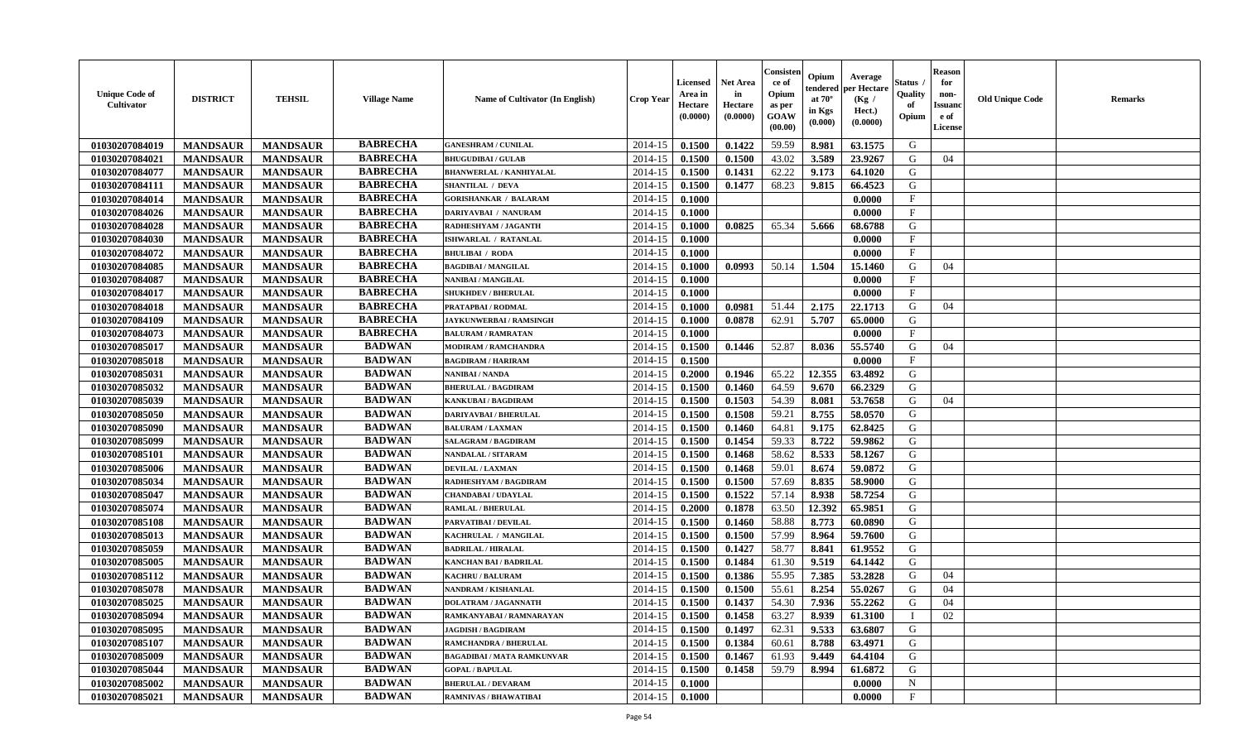| <b>Unique Code of</b><br>Cultivator | <b>DISTRICT</b> | <b>TEHSIL</b>   | <b>Village Name</b> | <b>Name of Cultivator (In English)</b> | <b>Crop Year</b> | Licensed<br>Area in<br>Hectare<br>(0.0000) | Net Area<br>in<br>Hectare<br>(0.0000) | Consister<br>ce of<br>Opium<br>as per<br>GOAW<br>(00.00) | Opium<br>tendered<br>at $70^\circ$<br>in Kgs<br>(0.000) | Average<br>per Hectare<br>(Kg /<br>Hect.)<br>(0.0000) | Status<br>Quality<br>of<br>Opium | Reason<br>for<br>non-<br>Issuan<br>e of<br><b>License</b> | <b>Old Unique Code</b> | <b>Remarks</b> |
|-------------------------------------|-----------------|-----------------|---------------------|----------------------------------------|------------------|--------------------------------------------|---------------------------------------|----------------------------------------------------------|---------------------------------------------------------|-------------------------------------------------------|----------------------------------|-----------------------------------------------------------|------------------------|----------------|
| 01030207084019                      | <b>MANDSAUR</b> | <b>MANDSAUR</b> | <b>BABRECHA</b>     | <b>GANESHRAM / CUNILAL</b>             | 2014-15          | 0.1500                                     | 0.1422                                | 59.59                                                    | 8.981                                                   | 63.1575                                               | G                                |                                                           |                        |                |
| 01030207084021                      | <b>MANDSAUR</b> | <b>MANDSAUR</b> | <b>BABRECHA</b>     | <b>BHUGUDIBAI / GULAB</b>              | 2014-15          | 0.1500                                     | 0.1500                                | 43.02                                                    | 3.589                                                   | 23,9267                                               | G                                | 04                                                        |                        |                |
| 01030207084077                      | <b>MANDSAUR</b> | <b>MANDSAUR</b> | <b>BABRECHA</b>     | <b>BHANWERLAL / KANHIYALAL</b>         | 2014-15          | 0.1500                                     | 0.1431                                | 62.22                                                    | 9.173                                                   | 64.1020                                               | G                                |                                                           |                        |                |
| 01030207084111                      | <b>MANDSAUR</b> | <b>MANDSAUR</b> | <b>BABRECHA</b>     | <b>SHANTILAL / DEVA</b>                | 2014-15          | 0.1500                                     | 0.1477                                | 68.23                                                    | 9.815                                                   | 66.4523                                               | G                                |                                                           |                        |                |
| 01030207084014                      | <b>MANDSAUR</b> | <b>MANDSAUR</b> | <b>BABRECHA</b>     | <b>GORISHANKAR / BALARAM</b>           | 2014-15          | 0.1000                                     |                                       |                                                          |                                                         | 0.0000                                                | F                                |                                                           |                        |                |
| 01030207084026                      | <b>MANDSAUR</b> | <b>MANDSAUR</b> | <b>BABRECHA</b>     | DARIYAVBAI / NANURAM                   | 2014-15          | 0.1000                                     |                                       |                                                          |                                                         | 0.0000                                                | $\mathbf{F}$                     |                                                           |                        |                |
| 01030207084028                      | <b>MANDSAUR</b> | <b>MANDSAUR</b> | <b>BABRECHA</b>     | RADHESHYAM / JAGANTH                   | 2014-15          | 0.1000                                     | 0.0825                                | 65.34                                                    | 5.666                                                   | 68.6788                                               | G                                |                                                           |                        |                |
| 01030207084030                      | <b>MANDSAUR</b> | <b>MANDSAUR</b> | <b>BABRECHA</b>     | ISHWARLAL / RATANLAL                   | 2014-15          | 0.1000                                     |                                       |                                                          |                                                         | 0.0000                                                | $\mathbf{F}$                     |                                                           |                        |                |
| 01030207084072                      | <b>MANDSAUR</b> | <b>MANDSAUR</b> | <b>BABRECHA</b>     | <b>BHULIBAI / RODA</b>                 | 2014-15          | 0.1000                                     |                                       |                                                          |                                                         | 0.0000                                                | F                                |                                                           |                        |                |
| 01030207084085                      | <b>MANDSAUR</b> | <b>MANDSAUR</b> | <b>BABRECHA</b>     | <b>BAGDIBAI / MANGILAL</b>             | 2014-15          | 0.1000                                     | 0.0993                                | 50.14                                                    | 1.504                                                   | 15.1460                                               | G                                | 04                                                        |                        |                |
| 01030207084087                      | <b>MANDSAUR</b> | <b>MANDSAUR</b> | <b>BABRECHA</b>     | NANIBAI / MANGILAL                     | 2014-15          | 0.1000                                     |                                       |                                                          |                                                         | 0.0000                                                | $\mathbf{F}$                     |                                                           |                        |                |
| 01030207084017                      | <b>MANDSAUR</b> | <b>MANDSAUR</b> | <b>BABRECHA</b>     | <b>SHUKHDEV / BHERULAL</b>             | 2014-15          | 0.1000                                     |                                       |                                                          |                                                         | 0.0000                                                | F                                |                                                           |                        |                |
| 01030207084018                      | <b>MANDSAUR</b> | <b>MANDSAUR</b> | <b>BABRECHA</b>     | PRATAPBAI / RODMAL                     | 2014-15          | 0.1000                                     | 0.0981                                | 51.44                                                    | 2.175                                                   | 22.1713                                               | G                                | 04                                                        |                        |                |
| 01030207084109                      | <b>MANDSAUR</b> | <b>MANDSAUR</b> | <b>BABRECHA</b>     | <b>JAYKUNWERBAI/RAMSINGH</b>           | 2014-15          | 0.1000                                     | 0.0878                                | 62.91                                                    | 5.707                                                   | 65.0000                                               | G                                |                                                           |                        |                |
| 01030207084073                      | <b>MANDSAUR</b> | <b>MANDSAUR</b> | <b>BABRECHA</b>     | <b>BALURAM / RAMRATAN</b>              | 2014-15          | 0.1000                                     |                                       |                                                          |                                                         | 0.0000                                                | $_{\rm F}$                       |                                                           |                        |                |
| 01030207085017                      | <b>MANDSAUR</b> | <b>MANDSAUR</b> | <b>BADWAN</b>       | <b>MODIRAM / RAMCHANDRA</b>            | 2014-15          | 0.1500                                     | 0.1446                                | 52.87                                                    | 8.036                                                   | 55.5740                                               | G                                | 04                                                        |                        |                |
| 01030207085018                      | <b>MANDSAUR</b> | <b>MANDSAUR</b> | <b>BADWAN</b>       | <b>BAGDIRAM / HARIRAM</b>              | 2014-15          | 0.1500                                     |                                       |                                                          |                                                         | 0.0000                                                | $\mathbf{F}$                     |                                                           |                        |                |
| 01030207085031                      | <b>MANDSAUR</b> | <b>MANDSAUR</b> | <b>BADWAN</b>       | <b>NANIBAI/NANDA</b>                   | 2014-15          | 0.2000                                     | 0.1946                                | 65.22                                                    | 12.355                                                  | 63.4892                                               | G                                |                                                           |                        |                |
| 01030207085032                      | <b>MANDSAUR</b> | <b>MANDSAUR</b> | <b>BADWAN</b>       | <b>BHERULAL / BAGDIRAM</b>             | 2014-15          | 0.1500                                     | 0.1460                                | 64.59                                                    | 9.670                                                   | 66.2329                                               | G                                |                                                           |                        |                |
| 01030207085039                      | <b>MANDSAUR</b> | <b>MANDSAUR</b> | <b>BADWAN</b>       | KANKUBAI / BAGDIRAM                    | 2014-15          | 0.1500                                     | 0.1503                                | 54.39                                                    | 8.081                                                   | 53.7658                                               | G                                | 04                                                        |                        |                |
| 01030207085050                      | <b>MANDSAUR</b> | <b>MANDSAUR</b> | <b>BADWAN</b>       | DARIYAVBAI / BHERULAL                  | 2014-15          | 0.1500                                     | 0.1508                                | 59.21                                                    | 8.755                                                   | 58.0570                                               | G                                |                                                           |                        |                |
| 01030207085090                      | <b>MANDSAUR</b> | <b>MANDSAUR</b> | <b>BADWAN</b>       | <b>BALURAM / LAXMAN</b>                | 2014-15          | 0.1500                                     | 0.1460                                | 64.81                                                    | 9.175                                                   | 62.8425                                               | G                                |                                                           |                        |                |
| 01030207085099                      | <b>MANDSAUR</b> | <b>MANDSAUR</b> | <b>BADWAN</b>       | <b>SALAGRAM / BAGDIRAM</b>             | 2014-15          | 0.1500                                     | 0.1454                                | 59.33                                                    | 8.722                                                   | 59.9862                                               | G                                |                                                           |                        |                |
| 01030207085101                      | <b>MANDSAUR</b> | <b>MANDSAUR</b> | <b>BADWAN</b>       | NANDALAL / SITARAM                     | 2014-15          | 0.1500                                     | 0.1468                                | 58.62                                                    | 8.533                                                   | 58.1267                                               | G                                |                                                           |                        |                |
| 01030207085006                      | <b>MANDSAUR</b> | <b>MANDSAUR</b> | <b>BADWAN</b>       | <b>DEVILAL / LAXMAN</b>                | 2014-15          | 0.1500                                     | 0.1468                                | 59.01                                                    | 8.674                                                   | 59.0872                                               | G                                |                                                           |                        |                |
| 01030207085034                      | <b>MANDSAUR</b> | <b>MANDSAUR</b> | <b>BADWAN</b>       | RADHESHYAM / BAGDIRAM                  | 2014-15          | 0.1500                                     | 0.1500                                | 57.69                                                    | 8.835                                                   | 58.9000                                               | G                                |                                                           |                        |                |
| 01030207085047                      | <b>MANDSAUR</b> | <b>MANDSAUR</b> | <b>BADWAN</b>       | <b>CHANDABAI / UDAYLAL</b>             | 2014-15          | 0.1500                                     | 0.1522                                | 57.14                                                    | 8.938                                                   | 58.7254                                               | G                                |                                                           |                        |                |
| 01030207085074                      | <b>MANDSAUR</b> | <b>MANDSAUR</b> | <b>BADWAN</b>       | <b>RAMLAL / BHERULAL</b>               | 2014-15          | 0.2000                                     | 0.1878                                | 63.50                                                    | 12.392                                                  | 65.9851                                               | G                                |                                                           |                        |                |
| 01030207085108                      | <b>MANDSAUR</b> | <b>MANDSAUR</b> | <b>BADWAN</b>       | PARVATIBAI / DEVILAL                   | 2014-15          | 0.1500                                     | 0.1460                                | 58.88                                                    | 8.773                                                   | 60.0890                                               | G                                |                                                           |                        |                |
| 01030207085013                      | <b>MANDSAUR</b> | <b>MANDSAUR</b> | <b>BADWAN</b>       | KACHRULAL / MANGILAL                   | 2014-15          | 0.1500                                     | 0.1500                                | 57.99                                                    | 8.964                                                   | 59.7600                                               | G                                |                                                           |                        |                |
| 01030207085059                      | <b>MANDSAUR</b> | <b>MANDSAUR</b> | <b>BADWAN</b>       | <b>BADRILAL / HIRALAL</b>              | 2014-15          | 0.1500                                     | 0.1427                                | 58.77                                                    | 8.841                                                   | 61.9552                                               | G                                |                                                           |                        |                |
| 01030207085005                      | <b>MANDSAUR</b> | <b>MANDSAUR</b> | <b>BADWAN</b>       | <b>KANCHAN BAI / BADRILAL</b>          | 2014-15          | 0.1500                                     | 0.1484                                | 61.30                                                    | 9.519                                                   | 64.1442                                               | G                                |                                                           |                        |                |
| 01030207085112                      | <b>MANDSAUR</b> | <b>MANDSAUR</b> | <b>BADWAN</b>       | <b>KACHRU / BALURAM</b>                | 2014-15          | 0.1500                                     | 0.1386                                | 55.95                                                    | 7.385                                                   | 53.2828                                               | G                                | 04                                                        |                        |                |
| 01030207085078                      | <b>MANDSAUR</b> | <b>MANDSAUR</b> | <b>BADWAN</b>       | NANDRAM / KISHANLAL                    | 2014-15          | 0.1500                                     | 0.1500                                | 55.61                                                    | 8.254                                                   | 55.0267                                               | G                                | 04                                                        |                        |                |
| 01030207085025                      | <b>MANDSAUR</b> | <b>MANDSAUR</b> | <b>BADWAN</b>       | <b>DOLATRAM / JAGANNATH</b>            | 2014-15          | 0.1500                                     | 0.1437                                | 54.30                                                    | 7.936                                                   | 55.2262                                               | G                                | 04                                                        |                        |                |
| 01030207085094                      | <b>MANDSAUR</b> | <b>MANDSAUR</b> | <b>BADWAN</b>       | RAMKANYABAI / RAMNARAYAN               |                  | $2014-15$   0.1500                         | 0.1458                                | 63.27                                                    | 8.939                                                   | 61.3100                                               | $\mathbf{I}$                     | 02                                                        |                        |                |
| 01030207085095                      | <b>MANDSAUR</b> | MANDSAUR        | <b>BADWAN</b>       | <b>JAGDISH / BAGDIRAM</b>              | 2014-15          | 0.1500                                     | 0.1497                                | 62.31                                                    | 9.533                                                   | 63.6807                                               | G                                |                                                           |                        |                |
| 01030207085107                      | <b>MANDSAUR</b> | <b>MANDSAUR</b> | <b>BADWAN</b>       | <b>RAMCHANDRA / BHERULAL</b>           | 2014-15          | 0.1500                                     | 0.1384                                | 60.61                                                    | 8.788                                                   | 63.4971                                               | G                                |                                                           |                        |                |
| 01030207085009                      | <b>MANDSAUR</b> | <b>MANDSAUR</b> | <b>BADWAN</b>       | <b>BAGADIBAI / MATA RAMKUNVAR</b>      | 2014-15          | 0.1500                                     | 0.1467                                | 61.93                                                    | 9.449                                                   | 64.4104                                               | G                                |                                                           |                        |                |
| 01030207085044                      | <b>MANDSAUR</b> | <b>MANDSAUR</b> | <b>BADWAN</b>       | <b>GOPAL / BAPULAL</b>                 | 2014-15          | 0.1500                                     | 0.1458                                | 59.79                                                    | 8.994                                                   | 61.6872                                               | G                                |                                                           |                        |                |
| 01030207085002                      | <b>MANDSAUR</b> | <b>MANDSAUR</b> | <b>BADWAN</b>       | <b>BHERULAL / DEVARAM</b>              | 2014-15          | 0.1000                                     |                                       |                                                          |                                                         | 0.0000                                                | $\mathbf N$                      |                                                           |                        |                |
| 01030207085021                      | <b>MANDSAUR</b> | <b>MANDSAUR</b> | <b>BADWAN</b>       | <b>RAMNIVAS / BHAWATIBAI</b>           | 2014-15          | 0.1000                                     |                                       |                                                          |                                                         | 0.0000                                                | $\mathbf{F}$                     |                                                           |                        |                |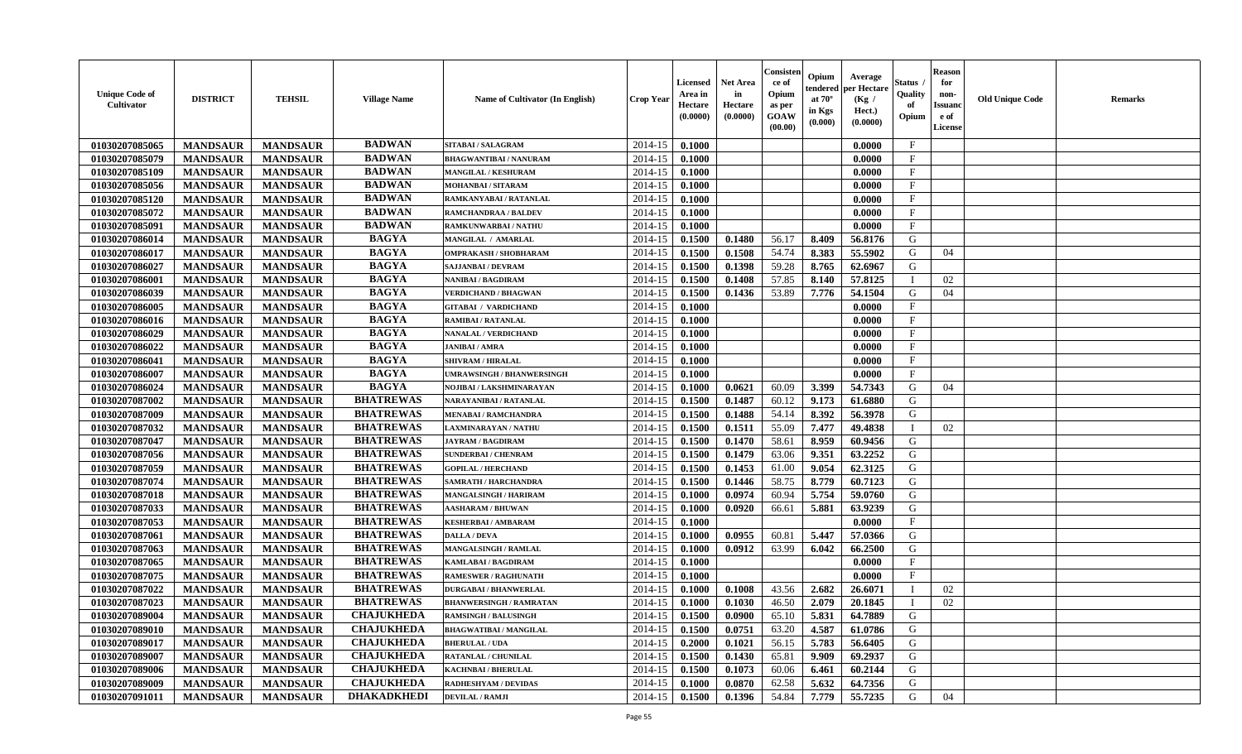| <b>Unique Code of</b><br>Cultivator | <b>DISTRICT</b> | <b>TEHSIL</b>   | <b>Village Name</b> | <b>Name of Cultivator (In English)</b> | <b>Crop Year</b> | Licensed<br>Area in<br>Hectare<br>(0.0000) | Net Area<br>in<br>Hectare<br>(0.0000) | Consister<br>ce of<br>Opium<br>as per<br>GOAW<br>(00.00) | Opium<br>tendered<br>at $70^\circ$<br>in Kgs<br>(0.000) | Average<br>per Hectare<br>(Kg /<br>Hect.)<br>(0.0000) | Status<br>Quality<br>of<br>Opium | Reason<br>for<br>non-<br>Issuan<br>e of<br>License | <b>Old Unique Code</b> | <b>Remarks</b> |
|-------------------------------------|-----------------|-----------------|---------------------|----------------------------------------|------------------|--------------------------------------------|---------------------------------------|----------------------------------------------------------|---------------------------------------------------------|-------------------------------------------------------|----------------------------------|----------------------------------------------------|------------------------|----------------|
| 01030207085065                      | <b>MANDSAUR</b> | <b>MANDSAUR</b> | <b>BADWAN</b>       | SITABAI / SALAGRAM                     | 2014-15          | 0.1000                                     |                                       |                                                          |                                                         | 0.0000                                                | $\mathbf{F}$                     |                                                    |                        |                |
| 01030207085079                      | <b>MANDSAUR</b> | <b>MANDSAUR</b> | <b>BADWAN</b>       | <b>BHAGWANTIBAI / NANURAM</b>          | 2014-15          | 0.1000                                     |                                       |                                                          |                                                         | 0.0000                                                | $_{\rm F}$                       |                                                    |                        |                |
| 01030207085109                      | <b>MANDSAUR</b> | <b>MANDSAUR</b> | <b>BADWAN</b>       | <b>MANGILAL / KESHURAM</b>             | 2014-15          | 0.1000                                     |                                       |                                                          |                                                         | 0.0000                                                | $\mathbf{F}$                     |                                                    |                        |                |
| 01030207085056                      | <b>MANDSAUR</b> | <b>MANDSAUR</b> | <b>BADWAN</b>       | MOHANBAI / SITARAM                     | 2014-15          | 0.1000                                     |                                       |                                                          |                                                         | 0.0000                                                | $\mathbf{F}$                     |                                                    |                        |                |
| 01030207085120                      | <b>MANDSAUR</b> | <b>MANDSAUR</b> | <b>BADWAN</b>       | RAMKANYABAI / RATANLAL                 | 2014-15          | 0.1000                                     |                                       |                                                          |                                                         | 0.0000                                                | F                                |                                                    |                        |                |
| 01030207085072                      | <b>MANDSAUR</b> | <b>MANDSAUR</b> | <b>BADWAN</b>       | <b>RAMCHANDRAA / BALDEV</b>            | 2014-15          | 0.1000                                     |                                       |                                                          |                                                         | 0.0000                                                | $\mathbf{F}$                     |                                                    |                        |                |
| 01030207085091                      | <b>MANDSAUR</b> | <b>MANDSAUR</b> | <b>BADWAN</b>       | RAMKUNWARBAI / NATHU                   | 2014-15          | 0.1000                                     |                                       |                                                          |                                                         | 0.0000                                                | $\mathbf F$                      |                                                    |                        |                |
| 01030207086014                      | <b>MANDSAUR</b> | <b>MANDSAUR</b> | <b>BAGYA</b>        | MANGILAL / AMARLAL                     | 2014-15          | 0.1500                                     | 0.1480                                | 56.17                                                    | 8.409                                                   | 56.8176                                               | G                                |                                                    |                        |                |
| 01030207086017                      | <b>MANDSAUR</b> | <b>MANDSAUR</b> | <b>BAGYA</b>        | <b>OMPRAKASH / SHOBHARAM</b>           | 2014-15          | 0.1500                                     | 0.1508                                | 54.74                                                    | 8.383                                                   | 55.5902                                               | G                                | 04                                                 |                        |                |
| 01030207086027                      | <b>MANDSAUR</b> | <b>MANDSAUR</b> | <b>BAGYA</b>        | <b>SAJJANBAI / DEVRAM</b>              | 2014-15          | 0.1500                                     | 0.1398                                | 59.28                                                    | 8.765                                                   | 62.6967                                               | G                                |                                                    |                        |                |
| 01030207086001                      | <b>MANDSAUR</b> | <b>MANDSAUR</b> | <b>BAGYA</b>        | NANIBAI / BAGDIRAM                     | 2014-15          | 0.1500                                     | 0.1408                                | 57.85                                                    | 8.140                                                   | 57.8125                                               | - 1                              | 02                                                 |                        |                |
| 01030207086039                      | <b>MANDSAUR</b> | <b>MANDSAUR</b> | <b>BAGYA</b>        | <b>VERDICHAND / BHAGWAN</b>            | 2014-15          | 0.1500                                     | 0.1436                                | 53.89                                                    | 7.776                                                   | 54.1504                                               | G                                | 04                                                 |                        |                |
| 01030207086005                      | <b>MANDSAUR</b> | <b>MANDSAUR</b> | <b>BAGYA</b>        | <b>GITABAI / VARDICHAND</b>            | 2014-15          | 0.1000                                     |                                       |                                                          |                                                         | 0.0000                                                | $\mathbf{F}$                     |                                                    |                        |                |
| 01030207086016                      | <b>MANDSAUR</b> | <b>MANDSAUR</b> | <b>BAGYA</b>        | <b>RAMIBAI / RATANLAL</b>              | 2014-15          | 0.1000                                     |                                       |                                                          |                                                         | 0.0000                                                | $\mathbf{F}$                     |                                                    |                        |                |
| 01030207086029                      | <b>MANDSAUR</b> | <b>MANDSAUR</b> | <b>BAGYA</b>        | NANALAL / VERDICHAND                   | 2014-15          | 0.1000                                     |                                       |                                                          |                                                         | 0.0000                                                | $_{\rm F}$                       |                                                    |                        |                |
| 01030207086022                      | <b>MANDSAUR</b> | <b>MANDSAUR</b> | <b>BAGYA</b>        | <b>JANIBAI / AMRA</b>                  | 2014-15          | 0.1000                                     |                                       |                                                          |                                                         | 0.0000                                                | $_{\rm F}$                       |                                                    |                        |                |
| 01030207086041                      | <b>MANDSAUR</b> | <b>MANDSAUR</b> | <b>BAGYA</b>        | <b>SHIVRAM / HIRALAL</b>               | 2014-15          | 0.1000                                     |                                       |                                                          |                                                         | 0.0000                                                | $\mathbf F$                      |                                                    |                        |                |
| 01030207086007                      | <b>MANDSAUR</b> | <b>MANDSAUR</b> | <b>BAGYA</b>        | <b>UMRAWSINGH / BHANWERSINGH</b>       | 2014-15          | 0.1000                                     |                                       |                                                          |                                                         | 0.0000                                                | $\mathbf{F}$                     |                                                    |                        |                |
| 01030207086024                      | <b>MANDSAUR</b> | <b>MANDSAUR</b> | <b>BAGYA</b>        | NOJIBAI / LAKSHMINARAYAN               | 2014-15          | 0.1000                                     | 0.0621                                | 60.09                                                    | 3.399                                                   | 54.7343                                               | G                                | 04                                                 |                        |                |
| 01030207087002                      | <b>MANDSAUR</b> | <b>MANDSAUR</b> | <b>BHATREWAS</b>    | NARAYANIBAI / RATANLAL                 | 2014-15          | 0.1500                                     | 0.1487                                | 60.12                                                    | 9.173                                                   | 61.6880                                               | G                                |                                                    |                        |                |
| 01030207087009                      | <b>MANDSAUR</b> | <b>MANDSAUR</b> | <b>BHATREWAS</b>    | <b>MENABAI/RAMCHANDRA</b>              | 2014-15          | 0.1500                                     | 0.1488                                | 54.14                                                    | 8.392                                                   | 56.3978                                               | G                                |                                                    |                        |                |
| 01030207087032                      | <b>MANDSAUR</b> | <b>MANDSAUR</b> | <b>BHATREWAS</b>    | <b>LAXMINARAYAN / NATHU</b>            | 2014-15          | 0.1500                                     | 0.1511                                | 55.09                                                    | 7.477                                                   | 49.4838                                               | $\blacksquare$                   | 02                                                 |                        |                |
| 01030207087047                      | <b>MANDSAUR</b> | <b>MANDSAUR</b> | <b>BHATREWAS</b>    | <b>JAYRAM / BAGDIRAM</b>               | 2014-15          | 0.1500                                     | 0.1470                                | 58.61                                                    | 8.959                                                   | 60.9456                                               | G                                |                                                    |                        |                |
| 01030207087056                      | <b>MANDSAUR</b> | <b>MANDSAUR</b> | <b>BHATREWAS</b>    | <b>SUNDERBAI/ CHENRAM</b>              | 2014-15          | 0.1500                                     | 0.1479                                | 63.06                                                    | 9.351                                                   | 63.2252                                               | G                                |                                                    |                        |                |
| 01030207087059                      | <b>MANDSAUR</b> | <b>MANDSAUR</b> | <b>BHATREWAS</b>    | <b>GOPILAL / HERCHAND</b>              | 2014-15          | 0.1500                                     | 0.1453                                | 61.00                                                    | 9.054                                                   | 62.3125                                               | G                                |                                                    |                        |                |
| 01030207087074                      | <b>MANDSAUR</b> | <b>MANDSAUR</b> | <b>BHATREWAS</b>    | SAMRATH / HARCHANDRA                   | 2014-15          | 0.1500                                     | 0.1446                                | 58.75                                                    | 8.779                                                   | 60.7123                                               | G                                |                                                    |                        |                |
| 01030207087018                      | <b>MANDSAUR</b> | <b>MANDSAUR</b> | <b>BHATREWAS</b>    | MANGALSINGH / HARIRAM                  | 2014-15          | 0.1000                                     | 0.0974                                | 60.94                                                    | 5.754                                                   | 59.0760                                               | G                                |                                                    |                        |                |
| 01030207087033                      | <b>MANDSAUR</b> | <b>MANDSAUR</b> | <b>BHATREWAS</b>    | <b>AASHARAM / BHUWAN</b>               | 2014-15          | 0.1000                                     | 0.0920                                | 66.61                                                    | 5.881                                                   | 63.9239                                               | G                                |                                                    |                        |                |
| 01030207087053                      | <b>MANDSAUR</b> | <b>MANDSAUR</b> | <b>BHATREWAS</b>    | <b>KESHERBAI/AMBARAM</b>               | 2014-15          | 0.1000                                     |                                       |                                                          |                                                         | 0.0000                                                | $\mathbf{F}$                     |                                                    |                        |                |
| 01030207087061                      | <b>MANDSAUR</b> | <b>MANDSAUR</b> | <b>BHATREWAS</b>    | <b>DALLA / DEVA</b>                    | 2014-15          | 0.1000                                     | 0.0955                                | 60.81                                                    | 5.447                                                   | 57.0366                                               | G                                |                                                    |                        |                |
| 01030207087063                      | <b>MANDSAUR</b> | <b>MANDSAUR</b> | <b>BHATREWAS</b>    | MANGALSINGH / RAMLAL                   | 2014-15          | 0.1000                                     | 0.0912                                | 63.99                                                    | 6.042                                                   | 66.2500                                               | G                                |                                                    |                        |                |
| 01030207087065                      | <b>MANDSAUR</b> | <b>MANDSAUR</b> | <b>BHATREWAS</b>    | KAMLABAI / BAGDIRAM                    | 2014-15          | 0.1000                                     |                                       |                                                          |                                                         | 0.0000                                                | $\mathbf{F}$                     |                                                    |                        |                |
| 01030207087075                      | <b>MANDSAUR</b> | <b>MANDSAUR</b> | <b>BHATREWAS</b>    | <b>RAMESWER / RAGHUNATH</b>            | 2014-15          | 0.1000                                     |                                       |                                                          |                                                         | 0.0000                                                | $\mathbf{F}$                     |                                                    |                        |                |
| 01030207087022                      | <b>MANDSAUR</b> | <b>MANDSAUR</b> | <b>BHATREWAS</b>    | <b>DURGABAI/BHANWERLAL</b>             | 2014-15          | 0.1000                                     | 0.1008                                | 43.56                                                    | 2.682                                                   | 26.6071                                               |                                  | 02                                                 |                        |                |
| 01030207087023                      | <b>MANDSAUR</b> | <b>MANDSAUR</b> | <b>BHATREWAS</b>    | <b>BHANWERSINGH / RAMRATAN</b>         | 2014-15          | 0.1000                                     | 0.1030                                | 46.50                                                    | 2.079                                                   | 20.1845                                               |                                  | 02                                                 |                        |                |
| 01030207089004                      | <b>MANDSAUR</b> | <b>MANDSAUR</b> | <b>CHAJUKHEDA</b>   | <b>RAMSINGH / BALUSINGH</b>            |                  | $2014-15$   0.1500                         | 0.0900                                | 65.10                                                    | 5.831                                                   | 64.7889                                               | G                                |                                                    |                        |                |
| 01030207089010                      | <b>MANDSAUR</b> | <b>MANDSAUR</b> | <b>CHAJUKHEDA</b>   | <b>BHAGWATIBAI / MANGILAL</b>          | 2014-15          | 0.1500                                     | 0.0751                                | 63.20                                                    | 4.587                                                   | 61.0786                                               | G                                |                                                    |                        |                |
| 01030207089017                      | <b>MANDSAUR</b> | <b>MANDSAUR</b> | <b>CHAJUKHEDA</b>   | <b>BHERULAL / UDA</b>                  | 2014-15          | 0.2000                                     | 0.1021                                | 56.15                                                    | 5.783                                                   | 56.6405                                               | G                                |                                                    |                        |                |
| 01030207089007                      | <b>MANDSAUR</b> | <b>MANDSAUR</b> | <b>CHAJUKHEDA</b>   | <b>RATANLAL / CHUNILAL</b>             | 2014-15          | 0.1500                                     | 0.1430                                | 65.81                                                    | 9.909                                                   | 69.2937                                               | G                                |                                                    |                        |                |
| 01030207089006                      | <b>MANDSAUR</b> | <b>MANDSAUR</b> | <b>CHAJUKHEDA</b>   | <b>KACHNBAI / BHERULAL</b>             | 2014-15          | 0.1500                                     | 0.1073                                | 60.06                                                    | 6.461                                                   | 60.2144                                               | G                                |                                                    |                        |                |
| 01030207089009                      | <b>MANDSAUR</b> | <b>MANDSAUR</b> | <b>CHAJUKHEDA</b>   | <b>RADHESHYAM / DEVIDAS</b>            | 2014-15          | 0.1000                                     | 0.0870                                | 62.58                                                    | 5.632                                                   | 64.7356                                               | G                                |                                                    |                        |                |
| 01030207091011                      | <b>MANDSAUR</b> | <b>MANDSAUR</b> | <b>DHAKADKHEDI</b>  | <b>DEVILAL / RAMJI</b>                 | 2014-15          | 0.1500                                     | 0.1396                                | 54.84                                                    | 7.779                                                   | 55.7235                                               | G                                | 04                                                 |                        |                |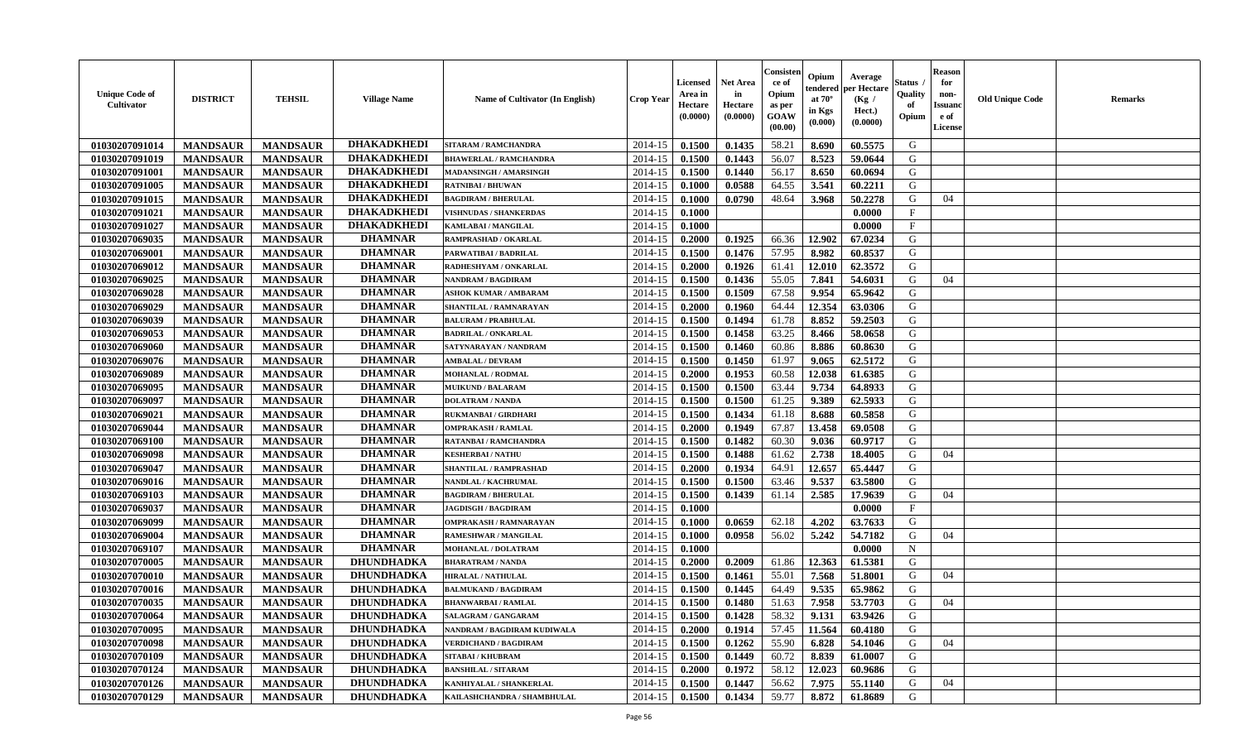| <b>DHAKADKHEDI</b><br>2014-15<br>G<br>01030207091014<br>0.1500<br>0.1435<br>58.21<br>8.690<br>60.5575<br><b>MANDSAUR</b><br><b>MANDSAUR</b><br><b>SITARAM / RAMCHANDRA</b><br><b>DHAKADKHEDI</b><br>56.07<br><b>MANDSAUR</b><br>2014-15<br>8.523<br>G<br>01030207091019<br><b>MANDSAUR</b><br>0.1500<br>0.1443<br>59.0644<br><b>BHAWERLAL / RAMCHANDRA</b> |  |
|------------------------------------------------------------------------------------------------------------------------------------------------------------------------------------------------------------------------------------------------------------------------------------------------------------------------------------------------------------|--|
|                                                                                                                                                                                                                                                                                                                                                            |  |
|                                                                                                                                                                                                                                                                                                                                                            |  |
| <b>DHAKADKHEDI</b><br>01030207091001<br><b>MANDSAUR</b><br><b>MANDSAUR</b><br>0.1500<br>0.1440<br>56.17<br>8.650<br>G<br>2014-15<br>60.0694<br>MADANSINGH / AMARSINGH                                                                                                                                                                                      |  |
| <b>DHAKADKHED</b><br>3.541<br>G<br>01030207091005<br><b>MANDSAUR</b><br><b>MANDSAUR</b><br>2014-15<br>0.1000<br>0.0588<br>64.55<br>60.2211<br><b>RATNIBAI / BHUWAN</b>                                                                                                                                                                                     |  |
| <b>DHAKADKHEDI</b><br>01030207091015<br><b>MANDSAUR</b><br><b>MANDSAUR</b><br>2014-15<br>0.1000<br>0.0790<br>48.64<br>3.968<br>50.2278<br>G<br><b>BAGDIRAM / BHERULAL</b><br>04                                                                                                                                                                            |  |
| <b>DHAKADKHEDI</b><br>01030207091021<br><b>MANDSAUR</b><br><b>MANDSAUR</b><br>0.1000<br>$\mathbf{F}$<br><b>VISHNUDAS / SHANKERDAS</b><br>2014-15<br>0.0000                                                                                                                                                                                                 |  |
| <b>DHAKADKHEDI</b><br>01030207091027<br><b>MANDSAUR</b><br><b>MANDSAUR</b><br>0.1000<br>$\mathbf F$<br>2014-15<br>0.0000<br><b>KAMLABAI/MANGILAL</b>                                                                                                                                                                                                       |  |
| <b>DHAMNAR</b><br>G<br>01030207069035<br><b>MANDSAUR</b><br><b>MANDSAUR</b><br>2014-15<br>0.1925<br>66.36<br>12.902<br>RAMPRASHAD / OKARLAL<br>0.2000<br>67.0234                                                                                                                                                                                           |  |
| <b>DHAMNAR</b><br>01030207069001<br><b>MANDSAUR</b><br><b>MANDSAUR</b><br>2014-15<br>0.1500<br>0.1476<br>57.95<br>8.982<br>60.8537<br>G<br>PARWATIBAI / BADRILAL                                                                                                                                                                                           |  |
| <b>DHAMNAR</b><br>2014-15<br>12.010<br>G<br>01030207069012<br><b>MANDSAUR</b><br><b>MANDSAUR</b><br>0.2000<br>0.1926<br>61.41<br>62.3572<br>RADHESHYAM / ONKARLAL                                                                                                                                                                                          |  |
| <b>DHAMNAR</b><br><b>MANDSAUR</b><br><b>MANDSAUR</b><br>0.1436<br>55.05<br>7.841<br>54.6031<br>G<br>01030207069025<br>2014-15<br>0.1500<br>NANDRAM / BAGDIRAM<br>04                                                                                                                                                                                        |  |
| <b>DHAMNAR</b><br>01030207069028<br><b>MANDSAUR</b><br><b>MANDSAUR</b><br>0.1509<br>67.58<br>9.954<br>65.9642<br>G<br>2014-15<br>0.1500<br><b>ASHOK KUMAR / AMBARAM</b>                                                                                                                                                                                    |  |
| <b>DHAMNAR</b><br>01030207069029<br><b>MANDSAUR</b><br><b>MANDSAUR</b><br>2014-15<br>0.2000<br>64.44<br>12.354<br>63.0306<br>0.1960<br>G<br>SHANTILAL / RAMNARAYAN                                                                                                                                                                                         |  |
| <b>DHAMNAR</b><br>01030207069039<br><b>MANDSAUR</b><br><b>MANDSAUR</b><br>0.1500<br>8.852<br>59.2503<br>G<br>2014-15<br>0.1494<br>61.78<br><b>BALURAM / PRABHULAL</b>                                                                                                                                                                                      |  |
| <b>DHAMNAR</b><br>01030207069053<br>G<br><b>MANDSAUR</b><br><b>MANDSAUR</b><br>2014-15<br>0.1500<br>0.1458<br>63.25<br>8.466<br>58.0658<br><b>BADRILAL / ONKARLAL</b>                                                                                                                                                                                      |  |
| <b>DHAMNAR</b><br>01030207069060<br><b>MANDSAUR</b><br><b>MANDSAUR</b><br>2014-15<br>0.1500<br>0.1460<br>60.86<br>8.886<br>60.8630<br>G<br>SATYNARAYAN / NANDRAM                                                                                                                                                                                           |  |
| <b>DHAMNAR</b><br>G<br>01030207069076<br><b>MANDSAUR</b><br><b>MANDSAUR</b><br>2014-15<br>0.1500<br>0.1450<br>61.97<br>9.065<br>62.5172<br><b>AMBALAL / DEVRAM</b>                                                                                                                                                                                         |  |
| <b>DHAMNAR</b><br>60.58<br>G<br>01030207069089<br><b>MANDSAUR</b><br><b>MANDSAUR</b><br>2014-15<br>0.2000<br>0.1953<br>12.038<br>61.6385<br><b>MOHANLAL / RODMAL</b>                                                                                                                                                                                       |  |
| <b>DHAMNAR</b><br>01030207069095<br><b>MANDSAUR</b><br><b>MANDSAUR</b><br>0.1500<br>9.734<br>64.8933<br>2014-15<br>0.1500<br>63.44<br>G<br><b>MUIKUND / BALARAM</b>                                                                                                                                                                                        |  |
| <b>DHAMNAR</b><br>01030207069097<br><b>MANDSAUR</b><br><b>MANDSAUR</b><br>2014-15<br>0.1500<br>0.1500<br>9.389<br>62.5933<br><b>DOLATRAM / NANDA</b><br>61.25<br>G                                                                                                                                                                                         |  |
| <b>DHAMNAR</b><br>01030207069021<br>0.1434<br>G<br><b>MANDSAUR</b><br><b>MANDSAUR</b><br>2014-15<br>0.1500<br>61.18<br>8.688<br>60.5858<br>RUKMANBAI / GIRDHARI                                                                                                                                                                                            |  |
| <b>DHAMNAR</b><br>G<br><b>MANDSAUR</b><br><b>MANDSAUR</b><br>67.87<br>13.458<br>01030207069044<br>2014-15<br>0.2000<br>0.1949<br>69.0508<br><b>OMPRAKASH / RAMLAL</b>                                                                                                                                                                                      |  |
| <b>DHAMNAR</b><br>01030207069100<br><b>MANDSAUR</b><br><b>MANDSAUR</b><br>0.1482<br>60.9717<br>2014-15<br>0.1500<br>60.30<br>9.036<br>G<br><b>RATANBAI/RAMCHANDRA</b>                                                                                                                                                                                      |  |
| <b>DHAMNAR</b><br>01030207069098<br><b>MANDSAUR</b><br><b>MANDSAUR</b><br>2014-15<br>61.62<br>2.738<br>G<br>04<br>0.1500<br>0.1488<br>18.4005<br><b>KESHERBAI/NATHU</b>                                                                                                                                                                                    |  |
| <b>DHAMNAR</b><br>01030207069047<br><b>MANDSAUR</b><br><b>MANDSAUR</b><br>2014-15<br>0.2000<br>64.91<br>12.657<br>65.4447<br>G<br>0.1934<br>SHANTILAL / RAMPRASHAD                                                                                                                                                                                         |  |
| <b>DHAMNAR</b><br>G<br>01030207069016<br><b>MANDSAUR</b><br>2014-15<br>0.1500<br>63.46<br>9.537<br><b>MANDSAUR</b><br>NANDLAL / KACHRUMAL<br>0.1500<br>63.5800                                                                                                                                                                                             |  |
| <b>DHAMNAR</b><br>2.585<br>01030207069103<br><b>MANDSAUR</b><br><b>MANDSAUR</b><br>2014-15<br>0.1500<br>0.1439<br>61.14<br>17.9639<br>G<br><b>BAGDIRAM / BHERULAL</b><br>04                                                                                                                                                                                |  |
| <b>DHAMNAR</b><br>01030207069037<br><b>MANDSAUR</b><br><b>MANDSAUR</b><br>0.1000<br>0.0000<br>$\mathbf{F}$<br>2014-15<br><b>JAGDISGH / BAGDIRAM</b>                                                                                                                                                                                                        |  |
| <b>DHAMNAR</b><br>01030207069099<br><b>MANDSAUR</b><br><b>MANDSAUR</b><br>0.0659<br>62.18<br>4.202<br>63.7633<br>G<br>2014-15<br>0.1000<br><b>OMPRAKASH / RAMNARAYAN</b>                                                                                                                                                                                   |  |
| <b>DHAMNAR</b><br><b>MANDSAUR</b><br>56.02<br>5.242<br>54.7182<br>01030207069004<br><b>MANDSAUR</b><br>2014-15<br>0.1000<br>0.0958<br>G<br>RAMESHWAR / MANGILAL<br>04                                                                                                                                                                                      |  |
| <b>DHAMNAR</b><br>01030207069107<br><b>MANDSAUR</b><br><b>MANDSAUR</b><br>0.1000<br>MOHANLAL / DOLATRAM<br>2014-15<br>0.0000<br>$\mathbf N$                                                                                                                                                                                                                |  |
| 12.363<br>G<br><b>DHUNDHADKA</b><br>2014-15<br>0.2009<br>61.86<br>01030207070005<br><b>MANDSAUR</b><br><b>MANDSAUR</b><br>0.2000<br>61.5381<br><b>BHARATRAM / NANDA</b>                                                                                                                                                                                    |  |
| <b>DHUNDHADKA</b><br>55.01<br>G<br>2014-15<br>7.568<br>01030207070010<br><b>MANDSAUR</b><br><b>MANDSAUR</b><br>0.1500<br>0.1461<br>51.8001<br>04<br><b>HIRALAL / NATHULAL</b>                                                                                                                                                                              |  |
| <b>MANDSAUR</b><br><b>DHUNDHADKA</b><br>2014-15<br>0.1500<br>64.49<br>9.535<br>65.9862<br>G<br>01030207070016<br><b>MANDSAUR</b><br>0.1445<br><b>BALMUKAND / BAGDIRAM</b>                                                                                                                                                                                  |  |
| 0.1500<br>0.1480<br>7.958<br>53.7703<br>G<br>01030207070035<br><b>MANDSAUR</b><br><b>MANDSAUR</b><br><b>DHUNDHADKA</b><br>2014-15<br>51.63<br>04<br><b>BHANWARBAI/RAMLAL</b>                                                                                                                                                                               |  |
| 58.32  <br>9.131<br>01030207070064<br><b>MANDSAUR</b><br>MANDSAUR<br><b>DHUNDHADKA</b><br><b>SALAGRAM / GANGARAM</b><br>$2014-15$   0.1500<br>0.1428<br>63.9426<br>G                                                                                                                                                                                       |  |
| DHUNDHADKA<br>01030207070095<br><b>MANDSAUR</b><br>2014-15<br>0.2000<br>0.1914<br>57.45<br>11.564<br>G<br><b>MANDSAUR</b><br>NANDRAM / BAGDIRAM KUDIWALA<br>60.4180                                                                                                                                                                                        |  |
| 55.90<br>01030207070098<br><b>MANDSAUR</b><br><b>MANDSAUR</b><br><b>DHUNDHADKA</b><br>2014-15<br>0.1500<br>0.1262<br>6.828<br>54.1046<br>G<br>04<br><b>VERDICHAND / BAGDIRAM</b>                                                                                                                                                                           |  |
| 01030207070109<br><b>MANDSAUR</b><br><b>MANDSAUR</b><br><b>DHUNDHADKA</b><br>8.839<br>G<br>2014-15<br>0.1500<br>0.1449<br>60.72<br>61.0007<br><b>SITABAI/KHUBRAM</b>                                                                                                                                                                                       |  |
| 01030207070124<br>G<br><b>MANDSAUR</b><br><b>MANDSAUR</b><br><b>DHUNDHADKA</b><br>2014-15<br>0.2000<br>0.1972<br>58.12<br>12.023<br>60.9686<br><b>BANSHILAL / SITARAM</b>                                                                                                                                                                                  |  |
| 01030207070126<br><b>DHUNDHADKA</b><br>2014-15<br>56.62<br>G<br><b>MANDSAUR</b><br><b>MANDSAUR</b><br>0.1447<br>7.975<br>55.1140<br>04<br>KANHIYALAL / SHANKERLAL<br>0.1500                                                                                                                                                                                |  |
| 01030207070129<br><b>MANDSAUR</b><br><b>MANDSAUR</b><br><b>DHUNDHADKA</b><br>2014-15<br>0.1434<br>59.77<br>8.872<br>G<br>KAILASHCHANDRA / SHAMBHULAL<br>0.1500<br>61.8689                                                                                                                                                                                  |  |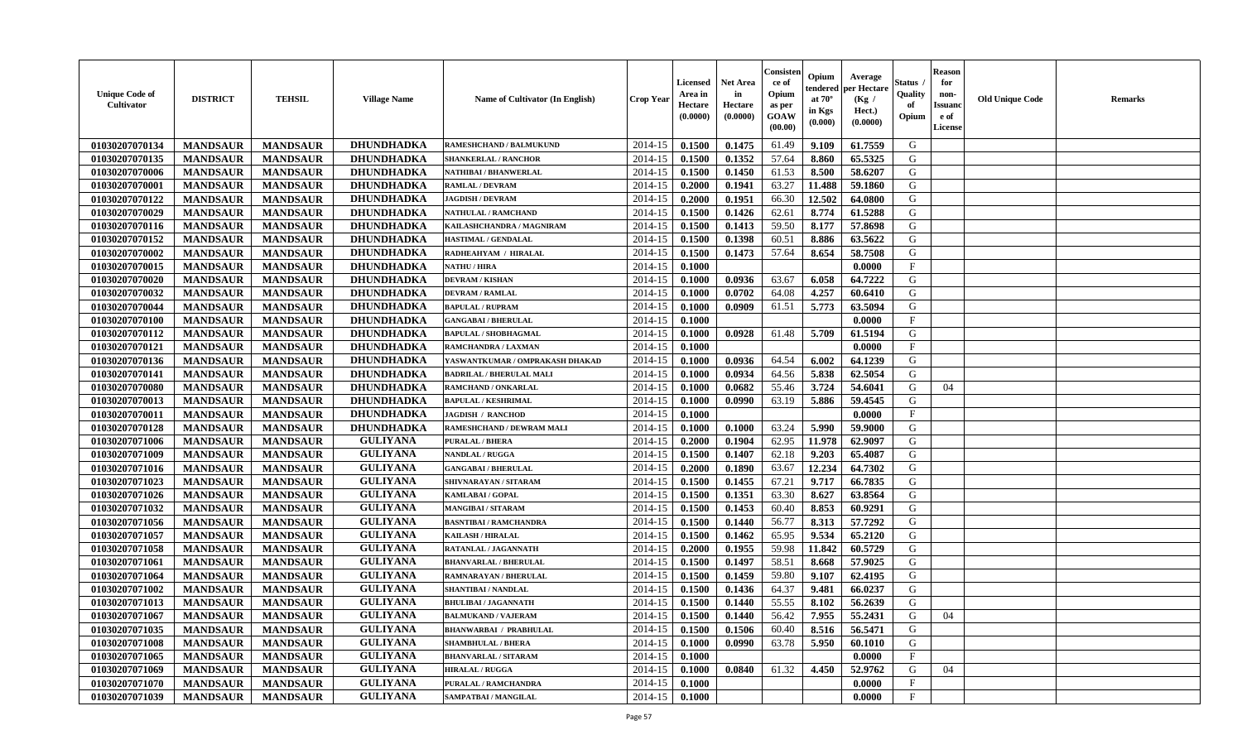| <b>Unique Code of</b><br>Cultivator | <b>DISTRICT</b> | <b>TEHSIL</b>   | <b>Village Name</b> | Name of Cultivator (In English) | <b>Crop Year</b> | <b>Licensed</b><br>Area in<br>Hectare<br>(0.0000) | Net Area<br>in<br>Hectare<br>(0.0000) | Consister<br>ce of<br>Opium<br>as per<br>GOAW<br>(00.00) | Opium<br>tendered<br>at $70^\circ$<br>in Kgs<br>(0.000) | Average<br>per Hectare<br>(Kg)<br>Hect.)<br>(0.0000) | Status .<br>Quality<br>of<br>Opium | <b>Reason</b><br>for<br>non-<br><b>Issuand</b><br>e of<br>License | <b>Old Unique Code</b> | <b>Remarks</b> |
|-------------------------------------|-----------------|-----------------|---------------------|---------------------------------|------------------|---------------------------------------------------|---------------------------------------|----------------------------------------------------------|---------------------------------------------------------|------------------------------------------------------|------------------------------------|-------------------------------------------------------------------|------------------------|----------------|
| 01030207070134                      | <b>MANDSAUR</b> | <b>MANDSAUR</b> | <b>DHUNDHADKA</b>   | <b>RAMESHCHAND / BALMUKUND</b>  | 2014-15          | 0.1500                                            | 0.1475                                | 61.49                                                    | 9.109                                                   | 61.7559                                              | G                                  |                                                                   |                        |                |
| 01030207070135                      | <b>MANDSAUR</b> | <b>MANDSAUR</b> | <b>DHUNDHADKA</b>   | <b>SHANKERLAL / RANCHOR</b>     | 2014-15          | 0.1500                                            | 0.1352                                | 57.64                                                    | 8.860                                                   | 65.5325                                              | G                                  |                                                                   |                        |                |
| 01030207070006                      | <b>MANDSAUR</b> | <b>MANDSAUR</b> | <b>DHUNDHADKA</b>   | NATHIBAI / BHANWERLAL           | 2014-15          | 0.1500                                            | 0.1450                                | 61.53                                                    | 8.500                                                   | 58.6207                                              | G                                  |                                                                   |                        |                |
| 01030207070001                      | <b>MANDSAUR</b> | <b>MANDSAUR</b> | <b>DHUNDHADKA</b>   | <b>RAMLAL / DEVRAM</b>          | 2014-15          | 0.2000                                            | 0.1941                                | 63.27                                                    | 11.488                                                  | 59.1860                                              | G                                  |                                                                   |                        |                |
| 01030207070122                      | <b>MANDSAUR</b> | <b>MANDSAUR</b> | <b>DHUNDHADKA</b>   | <b>JAGDISH / DEVRAM</b>         | 2014-15          | 0.2000                                            | 0.1951                                | 66.30                                                    | 12.502                                                  | 64.0800                                              | G                                  |                                                                   |                        |                |
| 01030207070029                      | <b>MANDSAUR</b> | <b>MANDSAUR</b> | <b>DHUNDHADKA</b>   | <b>NATHULAL / RAMCHAND</b>      | 2014-15          | 0.1500                                            | 0.1426                                | 62.61                                                    | 8.774                                                   | 61.5288                                              | G                                  |                                                                   |                        |                |
| 01030207070116                      | <b>MANDSAUR</b> | <b>MANDSAUR</b> | <b>DHUNDHADKA</b>   | KAILASHCHANDRA / MAGNIRAM       | 2014-15          | 0.1500                                            | 0.1413                                | 59.50                                                    | 8.177                                                   | 57.8698                                              | G                                  |                                                                   |                        |                |
| 01030207070152                      | <b>MANDSAUR</b> | <b>MANDSAUR</b> | <b>DHUNDHADKA</b>   | HASTIMAL / GENDALAL             | 2014-15          | 0.1500                                            | 0.1398                                | 60.51                                                    | 8.886                                                   | 63.5622                                              | G                                  |                                                                   |                        |                |
| 01030207070002                      | <b>MANDSAUR</b> | <b>MANDSAUR</b> | <b>DHUNDHADKA</b>   | RADHEAHYAM / HIRALAL            | 2014-15          | 0.1500                                            | 0.1473                                | 57.64                                                    | 8.654                                                   | 58.7508                                              | G                                  |                                                                   |                        |                |
| 01030207070015                      | <b>MANDSAUR</b> | <b>MANDSAUR</b> | DHUNDHADKA          | <b>NATHU / HIRA</b>             | 2014-15          | 0.1000                                            |                                       |                                                          |                                                         | 0.0000                                               | $\mathbf{F}$                       |                                                                   |                        |                |
| 01030207070020                      | <b>MANDSAUR</b> | <b>MANDSAUR</b> | <b>DHUNDHADKA</b>   | <b>DEVRAM / KISHAN</b>          | 2014-15          | 0.1000                                            | 0.0936                                | 63.67                                                    | 6.058                                                   | 64.7222                                              | G                                  |                                                                   |                        |                |
| 01030207070032                      | <b>MANDSAUR</b> | <b>MANDSAUR</b> | <b>DHUNDHADKA</b>   | <b>DEVRAM / RAMLAL</b>          | 2014-15          | 0.1000                                            | 0.0702                                | 64.08                                                    | 4.257                                                   | 60.6410                                              | G                                  |                                                                   |                        |                |
| 01030207070044                      | <b>MANDSAUR</b> | <b>MANDSAUR</b> | <b>DHUNDHADKA</b>   | <b>BAPULAL / RUPRAM</b>         | 2014-15          | 0.1000                                            | 0.0909                                | 61.51                                                    | 5.773                                                   | 63.5094                                              | G                                  |                                                                   |                        |                |
| 01030207070100                      | <b>MANDSAUR</b> | <b>MANDSAUR</b> | <b>DHUNDHADKA</b>   | <b>GANGABAI / BHERULAL</b>      | 2014-15          | 0.1000                                            |                                       |                                                          |                                                         | 0.0000                                               | $\mathbf{F}$                       |                                                                   |                        |                |
| 01030207070112                      | <b>MANDSAUR</b> | <b>MANDSAUR</b> | DHUNDHADKA          | <b>BAPULAL / SHOBHAGMAL</b>     | 2014-15          | 0.1000                                            | 0.0928                                | 61.48                                                    | 5.709                                                   | 61.5194                                              | G                                  |                                                                   |                        |                |
| 01030207070121                      | <b>MANDSAUR</b> | <b>MANDSAUR</b> | DHUNDHADKA          | RAMCHANDRA / LAXMAN             | 2014-15          | 0.1000                                            |                                       |                                                          |                                                         | 0.0000                                               | $\mathbf{F}$                       |                                                                   |                        |                |
| 01030207070136                      | <b>MANDSAUR</b> | <b>MANDSAUR</b> | <b>DHUNDHADKA</b>   | YASWANTKUMAR / OMPRAKASH DHAKAD | 2014-15          | 0.1000                                            | 0.0936                                | 64.54                                                    | 6.002                                                   | 64.1239                                              | G                                  |                                                                   |                        |                |
| 01030207070141                      | <b>MANDSAUR</b> | <b>MANDSAUR</b> | <b>DHUNDHADKA</b>   | <b>BADRILAL / BHERULAL MALI</b> | 2014-15          | 0.1000                                            | 0.0934                                | 64.56                                                    | 5.838                                                   | 62.5054                                              | G                                  |                                                                   |                        |                |
| 01030207070080                      | <b>MANDSAUR</b> | <b>MANDSAUR</b> | <b>DHUNDHADKA</b>   | RAMCHAND / ONKARLAL             | 2014-15          | 0.1000                                            | 0.0682                                | 55.46                                                    | 3.724                                                   | 54.6041                                              | G                                  | 04                                                                |                        |                |
| 01030207070013                      | <b>MANDSAUR</b> | <b>MANDSAUR</b> | <b>DHUNDHADKA</b>   | <b>BAPULAL / KESHRIMAL</b>      | 2014-15          | 0.1000                                            | 0.0990                                | 63.19                                                    | 5.886                                                   | 59.4545                                              | G                                  |                                                                   |                        |                |
| 01030207070011                      | <b>MANDSAUR</b> | <b>MANDSAUR</b> | <b>DHUNDHADKA</b>   | <b>JAGDISH / RANCHOD</b>        | 2014-15          | 0.1000                                            |                                       |                                                          |                                                         | 0.0000                                               | $\mathbf{F}$                       |                                                                   |                        |                |
| 01030207070128                      | <b>MANDSAUR</b> | <b>MANDSAUR</b> | <b>DHUNDHADKA</b>   | RAMESHCHAND / DEWRAM MALI       | 2014-15          | 0.1000                                            | 0.1000                                | 63.24                                                    | 5.990                                                   | 59.9000                                              | G                                  |                                                                   |                        |                |
| 01030207071006                      | <b>MANDSAUR</b> | <b>MANDSAUR</b> | <b>GULIYANA</b>     | PURALAL / BHERA                 | 2014-15          | 0.2000                                            | 0.1904                                | 62.95                                                    | 11.978                                                  | 62.9097                                              | G                                  |                                                                   |                        |                |
| 01030207071009                      | <b>MANDSAUR</b> | <b>MANDSAUR</b> | <b>GULIYANA</b>     | <b>NANDLAL / RUGGA</b>          | 2014-15          | 0.1500                                            | 0.1407                                | 62.18                                                    | 9.203                                                   | 65.4087                                              | G                                  |                                                                   |                        |                |
| 01030207071016                      | <b>MANDSAUR</b> | <b>MANDSAUR</b> | <b>GULIYANA</b>     | <b>GANGABAI / BHERULAL</b>      | 2014-15          | 0.2000                                            | 0.1890                                | 63.67                                                    | 12.234                                                  | 64.7302                                              | G                                  |                                                                   |                        |                |
| 01030207071023                      | <b>MANDSAUR</b> | <b>MANDSAUR</b> | <b>GULIYANA</b>     | SHIVNARAYAN / SITARAM           | 2014-15          | 0.1500                                            | 0.1455                                | 67.21                                                    | 9.717                                                   | 66.7835                                              | G                                  |                                                                   |                        |                |
| 01030207071026                      | <b>MANDSAUR</b> | <b>MANDSAUR</b> | <b>GULIYANA</b>     | KAMLABAI / GOPAL                | 2014-15          | 0.1500                                            | 0.1351                                | 63.30                                                    | 8.627                                                   | 63.8564                                              | G                                  |                                                                   |                        |                |
| 01030207071032                      | <b>MANDSAUR</b> | <b>MANDSAUR</b> | <b>GULIYANA</b>     | <b>MANGIBAI/SITARAM</b>         | 2014-15          | 0.1500                                            | 0.1453                                | 60.40                                                    | 8.853                                                   | 60.9291                                              | G                                  |                                                                   |                        |                |
| 01030207071056                      | <b>MANDSAUR</b> | <b>MANDSAUR</b> | <b>GULIYANA</b>     | <b>BASNTIBAI / RAMCHANDRA</b>   | 2014-15          | 0.1500                                            | 0.1440                                | 56.77                                                    | 8.313                                                   | 57.7292                                              | G                                  |                                                                   |                        |                |
| 01030207071057                      | <b>MANDSAUR</b> | <b>MANDSAUR</b> | <b>GULIYANA</b>     | <b>KAILASH / HIRALAL</b>        | 2014-15          | 0.1500                                            | 0.1462                                | 65.95                                                    | 9.534                                                   | 65.2120                                              | G                                  |                                                                   |                        |                |
| 01030207071058                      | <b>MANDSAUR</b> | <b>MANDSAUR</b> | <b>GULIYANA</b>     | RATANLAL / JAGANNATH            | 2014-15          | 0.2000                                            | 0.1955                                | 59.98                                                    | 11.842                                                  | 60.5729                                              | G                                  |                                                                   |                        |                |
| 01030207071061                      | <b>MANDSAUR</b> | <b>MANDSAUR</b> | <b>GULIYANA</b>     | <b>BHANVARLAL / BHERULAL</b>    | 2014-15          | 0.1500                                            | 0.1497                                | 58.51                                                    | 8.668                                                   | 57.9025                                              | G                                  |                                                                   |                        |                |
| 01030207071064                      | <b>MANDSAUR</b> | <b>MANDSAUR</b> | <b>GULIYANA</b>     | RAMNARAYAN / BHERULAL           | 2014-15          | 0.1500                                            | 0.1459                                | 59.80                                                    | 9.107                                                   | 62.4195                                              | G                                  |                                                                   |                        |                |
| 01030207071002                      | <b>MANDSAUR</b> | <b>MANDSAUR</b> | <b>GULIYANA</b>     | SHANTIBAI / NANDLAL             | 2014-15          | 0.1500                                            | 0.1436                                | 64.37                                                    | 9.481                                                   | 66.0237                                              | G                                  |                                                                   |                        |                |
| 01030207071013                      | <b>MANDSAUR</b> | <b>MANDSAUR</b> | <b>GULIYANA</b>     | <b>BHULIBAI / JAGANNATH</b>     | 2014-15          | 0.1500                                            | 0.1440                                | 55.55                                                    | 8.102                                                   | 56.2639                                              | G                                  |                                                                   |                        |                |
| 01030207071067                      | <b>MANDSAUR</b> | <b>MANDSAUR</b> | <b>GULIYANA</b>     | <b>BALMUKAND / VAJERAM</b>      | $2014-15$ 0.1500 |                                                   | 0.1440                                | 56.42                                                    | 7.955                                                   | 55.2431                                              | G                                  | 04                                                                |                        |                |
| 01030207071035                      | <b>MANDSAUR</b> | <b>MANDSAUR</b> | <b>GULIYANA</b>     | <b>BHANWARBAI / PRABHULAL</b>   | 2014-15          | 0.1500                                            | 0.1506                                | 60.40                                                    | 8.516                                                   | 56.5471                                              | G                                  |                                                                   |                        |                |
| 01030207071008                      | <b>MANDSAUR</b> | <b>MANDSAUR</b> | <b>GULIYANA</b>     | <b>SHAMBHULAL / BHERA</b>       | 2014-15          | 0.1000                                            | 0.0990                                | 63.78                                                    | 5.950                                                   | 60.1010                                              | G                                  |                                                                   |                        |                |
| 01030207071065                      | <b>MANDSAUR</b> | <b>MANDSAUR</b> | <b>GULIYANA</b>     | <b>BHANVARLAL / SITARAM</b>     | 2014-15          | 0.1000                                            |                                       |                                                          |                                                         | 0.0000                                               | $\mathbf{F}$                       |                                                                   |                        |                |
| 01030207071069                      | <b>MANDSAUR</b> | <b>MANDSAUR</b> | <b>GULIYANA</b>     | <b>HIRALAL / RUGGA</b>          | 2014-15          | 0.1000                                            | 0.0840                                | 61.32                                                    | 4.450                                                   | 52.9762                                              | G                                  | 04                                                                |                        |                |
| 01030207071070                      | <b>MANDSAUR</b> | <b>MANDSAUR</b> | <b>GULIYANA</b>     | PURALAL / RAMCHANDRA            | 2014-15          | 0.1000                                            |                                       |                                                          |                                                         | 0.0000                                               | $\mathbf F$                        |                                                                   |                        |                |
| 01030207071039                      | <b>MANDSAUR</b> | <b>MANDSAUR</b> | <b>GULIYANA</b>     | SAMPATBAI / MANGILAL            | $2014-15$ 0.1000 |                                                   |                                       |                                                          |                                                         | 0.0000                                               | $\mathbf{F}$                       |                                                                   |                        |                |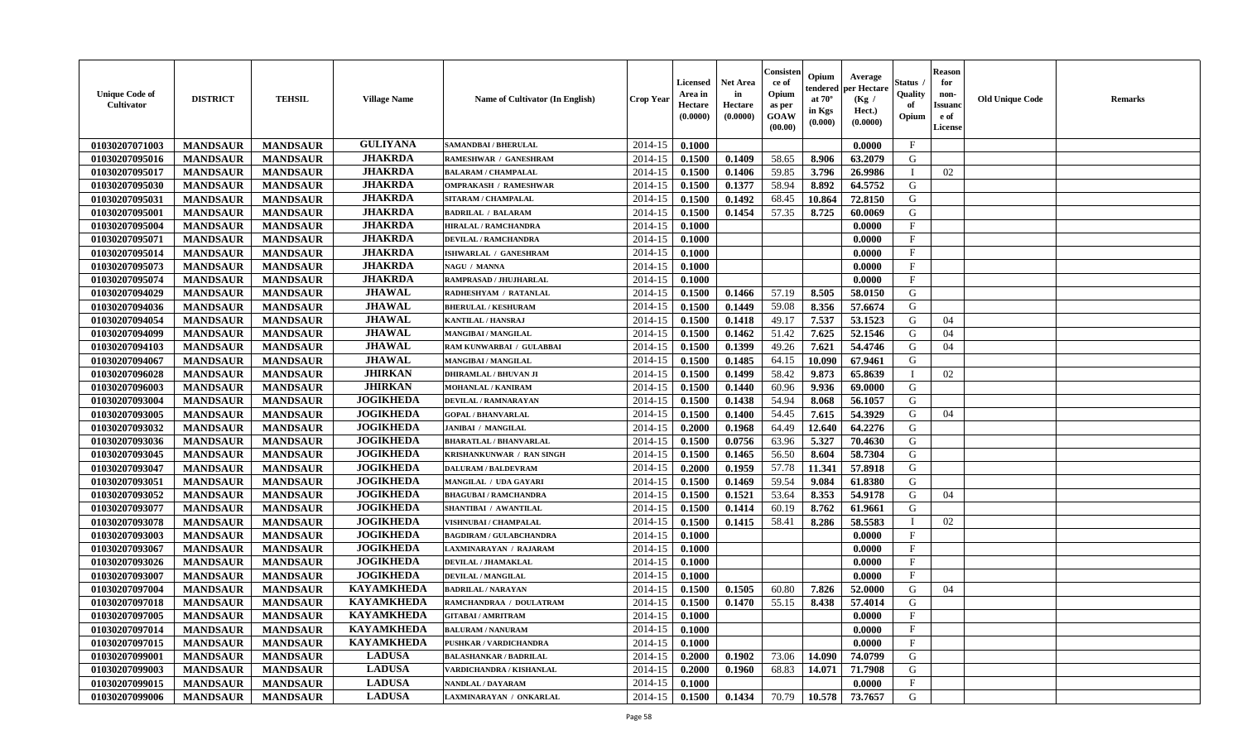| <b>Unique Code of</b><br><b>Cultivator</b> | <b>DISTRICT</b> | <b>TEHSIL</b>   | <b>Village Name</b> | Name of Cultivator (In English) | <b>Crop Year</b> | <b>Licensed</b><br>Area in<br>Hectare<br>(0.0000) | Net Area<br>in<br>Hectare<br>(0.0000) | Consister<br>ce of<br>Opium<br>as per<br>GOAW<br>(00.00) | Opium<br>tendered<br>at $70^\circ$<br>in Kgs<br>(0.000) | Average<br>per Hectare<br>(Kg /<br>Hect.)<br>(0.0000) | Status<br>Quality<br>of<br>Opium | <b>Reason</b><br>for<br>non-<br><b>Issuand</b><br>e of<br>License | <b>Old Unique Code</b> | <b>Remarks</b> |
|--------------------------------------------|-----------------|-----------------|---------------------|---------------------------------|------------------|---------------------------------------------------|---------------------------------------|----------------------------------------------------------|---------------------------------------------------------|-------------------------------------------------------|----------------------------------|-------------------------------------------------------------------|------------------------|----------------|
| 01030207071003                             | <b>MANDSAUR</b> | <b>MANDSAUR</b> | <b>GULIYANA</b>     | <b>SAMANDBAI / BHERULAL</b>     | 2014-15          | 0.1000                                            |                                       |                                                          |                                                         | 0.0000                                                | $\mathbf{F}$                     |                                                                   |                        |                |
| 01030207095016                             | <b>MANDSAUR</b> | <b>MANDSAUR</b> | <b>JHAKRDA</b>      | RAMESHWAR / GANESHRAM           | 2014-15          | 0.1500                                            | 0.1409                                | 58.65                                                    | 8.906                                                   | 63.2079                                               | G                                |                                                                   |                        |                |
| 01030207095017                             | <b>MANDSAUR</b> | <b>MANDSAUR</b> | <b>JHAKRDA</b>      | <b>BALARAM / CHAMPALAL</b>      | 2014-15          | 0.1500                                            | 0.1406                                | 59.85                                                    | 3.796                                                   | 26.9986                                               | - 1                              | 02                                                                |                        |                |
| 01030207095030                             | <b>MANDSAUR</b> | <b>MANDSAUR</b> | <b>JHAKRDA</b>      | <b>OMPRAKASH / RAMESHWAR</b>    | 2014-15          | 0.1500                                            | 0.1377                                | 58.94                                                    | 8.892                                                   | 64.5752                                               | G                                |                                                                   |                        |                |
| 01030207095031                             | <b>MANDSAUR</b> | <b>MANDSAUR</b> | <b>JHAKRDA</b>      | SITARAM / CHAMPALAL             | 2014-15          | 0.1500                                            | 0.1492                                | 68.45                                                    | 10.864                                                  | 72.8150                                               | G                                |                                                                   |                        |                |
| 01030207095001                             | <b>MANDSAUR</b> | <b>MANDSAUR</b> | <b>JHAKRDA</b>      | <b>BADRILAL / BALARAM</b>       | 2014-15          | 0.1500                                            | 0.1454                                | 57.35                                                    | 8.725                                                   | 60.0069                                               | G                                |                                                                   |                        |                |
| 01030207095004                             | <b>MANDSAUR</b> | <b>MANDSAUR</b> | <b>JHAKRDA</b>      | HIRALAL / RAMCHANDRA            | 2014-15          | 0.1000                                            |                                       |                                                          |                                                         | 0.0000                                                | $\mathbf F$                      |                                                                   |                        |                |
| 01030207095071                             | <b>MANDSAUR</b> | <b>MANDSAUR</b> | <b>JHAKRDA</b>      | <b>DEVILAL / RAMCHANDRA</b>     | 2014-15          | 0.1000                                            |                                       |                                                          |                                                         | 0.0000                                                | $\mathbf{F}$                     |                                                                   |                        |                |
| 01030207095014                             | <b>MANDSAUR</b> | <b>MANDSAUR</b> | <b>JHAKRDA</b>      | ISHWARLAL / GANESHRAM           | 2014-15          | 0.1000                                            |                                       |                                                          |                                                         | 0.0000                                                | $_{\rm F}$                       |                                                                   |                        |                |
| 01030207095073                             | <b>MANDSAUR</b> | <b>MANDSAUR</b> | <b>JHAKRDA</b>      | NAGU / MANNA                    | 2014-15          | 0.1000                                            |                                       |                                                          |                                                         | 0.0000                                                | $\mathbf{F}$                     |                                                                   |                        |                |
| 01030207095074                             | <b>MANDSAUR</b> | <b>MANDSAUR</b> | <b>JHAKRDA</b>      | RAMPRASAD / JHUJHARLAL          | 2014-15          | 0.1000                                            |                                       |                                                          |                                                         | 0.0000                                                | $\mathbf{F}$                     |                                                                   |                        |                |
| 01030207094029                             | <b>MANDSAUR</b> | <b>MANDSAUR</b> | <b>JHAWAL</b>       | RADHESHYAM / RATANLAL           | 2014-15          | 0.1500                                            | 0.1466                                | 57.19                                                    | 8.505                                                   | 58.0150                                               | G                                |                                                                   |                        |                |
| 01030207094036                             | <b>MANDSAUR</b> | <b>MANDSAUR</b> | <b>JHAWAL</b>       | <b>BHERULAL / KESHURAM</b>      | 2014-15          | 0.1500                                            | 0.1449                                | 59.08                                                    | 8.356                                                   | 57.6674                                               | G                                |                                                                   |                        |                |
| 01030207094054                             | <b>MANDSAUR</b> | <b>MANDSAUR</b> | <b>JHAWAL</b>       | <b>KANTILAL / HANSRAJ</b>       | 2014-15          | 0.1500                                            | 0.1418                                | 49.17                                                    | 7.537                                                   | 53.1523                                               | G                                | 04                                                                |                        |                |
| 01030207094099                             | <b>MANDSAUR</b> | <b>MANDSAUR</b> | <b>JHAWAL</b>       | MANGIBAI / MANGILAL             | 2014-15          | 0.1500                                            | 0.1462                                | 51.42                                                    | 7.625                                                   | 52.1546                                               | G                                | 04                                                                |                        |                |
| 01030207094103                             | <b>MANDSAUR</b> | <b>MANDSAUR</b> | <b>JHAWAL</b>       | RAM KUNWARBAI / GULABBAI        | 2014-15          | 0.1500                                            | 0.1399                                | 49.26                                                    | 7.621                                                   | 54.4746                                               | G                                | 04                                                                |                        |                |
| 01030207094067                             | <b>MANDSAUR</b> | <b>MANDSAUR</b> | <b>JHAWAL</b>       | MANGIBAI / MANGILAL             | 2014-15          | 0.1500                                            | 0.1485                                | 64.15                                                    | 10.090                                                  | 67.9461                                               | G                                |                                                                   |                        |                |
| 01030207096028                             | <b>MANDSAUR</b> | <b>MANDSAUR</b> | <b>JHIRKAN</b>      | <b>DHIRAMLAL / BHUVAN JI</b>    | 2014-15          | 0.1500                                            | 0.1499                                | 58.42                                                    | 9.873                                                   | 65.8639                                               | T                                | 02                                                                |                        |                |
| 01030207096003                             | <b>MANDSAUR</b> | <b>MANDSAUR</b> | <b>JHIRKAN</b>      | <b>MOHANLAL / KANIRAM</b>       | 2014-15          | 0.1500                                            | 0.1440                                | 60.96                                                    | 9.936                                                   | 69.0000                                               | G                                |                                                                   |                        |                |
| 01030207093004                             | <b>MANDSAUR</b> | <b>MANDSAUR</b> | <b>JOGIKHEDA</b>    | DEVILAL / RAMNARAYAN            | 2014-15          | 0.1500                                            | 0.1438                                | 54.94                                                    | 8.068                                                   | 56.1057                                               | G                                |                                                                   |                        |                |
| 01030207093005                             | <b>MANDSAUR</b> | <b>MANDSAUR</b> | <b>JOGIKHEDA</b>    | <b>GOPAL / BHANVARLAL</b>       | 2014-15          | 0.1500                                            | 0.1400                                | 54.45                                                    | 7.615                                                   | 54.3929                                               | G                                | 04                                                                |                        |                |
| 01030207093032                             | <b>MANDSAUR</b> | <b>MANDSAUR</b> | <b>JOGIKHEDA</b>    | <b>JANIBAI / MANGILAL</b>       | 2014-15          | 0.2000                                            | 0.1968                                | 64.49                                                    | 12.640                                                  | 64.2276                                               | G                                |                                                                   |                        |                |
| 01030207093036                             | <b>MANDSAUR</b> | <b>MANDSAUR</b> | <b>JOGIKHEDA</b>    | <b>BHARATLAL / BHANVARLAL</b>   | 2014-15          | 0.1500                                            | 0.0756                                | 63.96                                                    | 5.327                                                   | 70.4630                                               | G                                |                                                                   |                        |                |
| 01030207093045                             | <b>MANDSAUR</b> | <b>MANDSAUR</b> | <b>JOGIKHEDA</b>    | KRISHANKUNWAR / RAN SINGH       | 2014-15          | 0.1500                                            | 0.1465                                | 56.50                                                    | 8.604                                                   | 58.7304                                               | G                                |                                                                   |                        |                |
| 01030207093047                             | <b>MANDSAUR</b> | <b>MANDSAUR</b> | <b>JOGIKHEDA</b>    | <b>DALURAM / BALDEVRAM</b>      | 2014-15          | 0.2000                                            | 0.1959                                | 57.78                                                    | 11.341                                                  | 57.8918                                               | G                                |                                                                   |                        |                |
| 01030207093051                             | <b>MANDSAUR</b> | <b>MANDSAUR</b> | <b>JOGIKHEDA</b>    | MANGILAL / UDA GAYARI           | 2014-15          | 0.1500                                            | 0.1469                                | 59.54                                                    | 9.084                                                   | 61.8380                                               | G                                |                                                                   |                        |                |
| 01030207093052                             | <b>MANDSAUR</b> | <b>MANDSAUR</b> | <b>JOGIKHEDA</b>    | <b>BHAGUBAI / RAMCHANDRA</b>    | 2014-15          | 0.1500                                            | 0.1521                                | 53.64                                                    | 8.353                                                   | 54.9178                                               | G                                | 04                                                                |                        |                |
| 01030207093077                             | <b>MANDSAUR</b> | <b>MANDSAUR</b> | <b>JOGIKHEDA</b>    | SHANTIBAI / AWANTILAL           | 2014-15          | 0.1500                                            | 0.1414                                | 60.19                                                    | 8.762                                                   | 61.9661                                               | G                                |                                                                   |                        |                |
| 01030207093078                             | <b>MANDSAUR</b> | <b>MANDSAUR</b> | <b>JOGIKHEDA</b>    | VISHNUBAI / CHAMPALAL           | 2014-15          | 0.1500                                            | 0.1415                                | 58.41                                                    | 8.286                                                   | 58.5583                                               | - 1                              | 02                                                                |                        |                |
| 01030207093003                             | <b>MANDSAUR</b> | <b>MANDSAUR</b> | <b>JOGIKHEDA</b>    | <b>BAGDIRAM / GULABCHANDRA</b>  | 2014-15          | 0.1000                                            |                                       |                                                          |                                                         | 0.0000                                                | $\mathbf{F}$                     |                                                                   |                        |                |
| 01030207093067                             | <b>MANDSAUR</b> | <b>MANDSAUR</b> | <b>JOGIKHEDA</b>    | <b>LAXMINARAYAN / RAJARAM</b>   | 2014-15          | 0.1000                                            |                                       |                                                          |                                                         | 0.0000                                                | $\mathbf{F}$                     |                                                                   |                        |                |
| 01030207093026                             | <b>MANDSAUR</b> | <b>MANDSAUR</b> | <b>JOGIKHEDA</b>    | DEVILAL / JHAMAKLAL             | 2014-15          | 0.1000                                            |                                       |                                                          |                                                         | 0.0000                                                | $\mathbf{F}$                     |                                                                   |                        |                |
| 01030207093007                             | <b>MANDSAUR</b> | <b>MANDSAUR</b> | <b>JOGIKHEDA</b>    | DEVILAL / MANGILAL              | 2014-15          | 0.1000                                            |                                       |                                                          |                                                         | 0.0000                                                | $\mathbf{F}$                     |                                                                   |                        |                |
| 01030207097004                             | <b>MANDSAUR</b> | <b>MANDSAUR</b> | <b>KAYAMKHEDA</b>   | <b>BADRILAL / NARAYAN</b>       | 2014-15          | 0.1500                                            | 0.1505                                | 60.80                                                    | 7.826                                                   | 52.0000                                               | G                                | 04                                                                |                        |                |
| 01030207097018                             | <b>MANDSAUR</b> | <b>MANDSAUR</b> | <b>KAYAMKHEDA</b>   | RAMCHANDRAA / DOULATRAM         | 2014-15          | 0.1500                                            | 0.1470                                | 55.15                                                    | 8.438                                                   | 57.4014                                               | G                                |                                                                   |                        |                |
| 01030207097005                             | <b>MANDSAUR</b> | <b>MANDSAUR</b> | KAYAMKHEDA          | <b>GITABAI/AMRITRAM</b>         | $2014-15$ 0.1000 |                                                   |                                       |                                                          |                                                         | 0.0000                                                | F                                |                                                                   |                        |                |
| 01030207097014                             | <b>MANDSAUR</b> | <b>MANDSAUR</b> | <b>KAYAMKHEDA</b>   | <b>BALURAM / NANURAM</b>        | 2014-15          | 0.1000                                            |                                       |                                                          |                                                         | 0.0000                                                | $\mathbf{F}$                     |                                                                   |                        |                |
| 01030207097015                             | <b>MANDSAUR</b> | <b>MANDSAUR</b> | <b>KAYAMKHEDA</b>   | PUSHKAR / VARDICHANDRA          | 2014-15          | 0.1000                                            |                                       |                                                          |                                                         | 0.0000                                                | $\mathbf{F}$                     |                                                                   |                        |                |
| 01030207099001                             | <b>MANDSAUR</b> | <b>MANDSAUR</b> | <b>LADUSA</b>       | <b>BALASHANKAR / BADRILAL</b>   | 2014-15          | 0.2000                                            | 0.1902                                | 73.06                                                    | 14.090                                                  | 74.0799                                               | G                                |                                                                   |                        |                |
| 01030207099003                             | <b>MANDSAUR</b> | <b>MANDSAUR</b> | <b>LADUSA</b>       | VARDICHANDRA / KISHANLAL        | 2014-15          | 0.2000                                            | 0.1960                                | 68.83                                                    | 14.071                                                  | 71.7908                                               | G                                |                                                                   |                        |                |
| 01030207099015                             | <b>MANDSAUR</b> | <b>MANDSAUR</b> | <b>LADUSA</b>       | NANDLAL / DAYARAM               | 2014-15          | 0.1000                                            |                                       |                                                          |                                                         | 0.0000                                                | $\mathbf{F}$                     |                                                                   |                        |                |
| 01030207099006                             | <b>MANDSAUR</b> | <b>MANDSAUR</b> | <b>LADUSA</b>       | LAXMINARAYAN / ONKARLAL         | $2014 - 15$      | 0.1500                                            | 0.1434                                | 70.79                                                    | 10.578                                                  | 73.7657                                               | G                                |                                                                   |                        |                |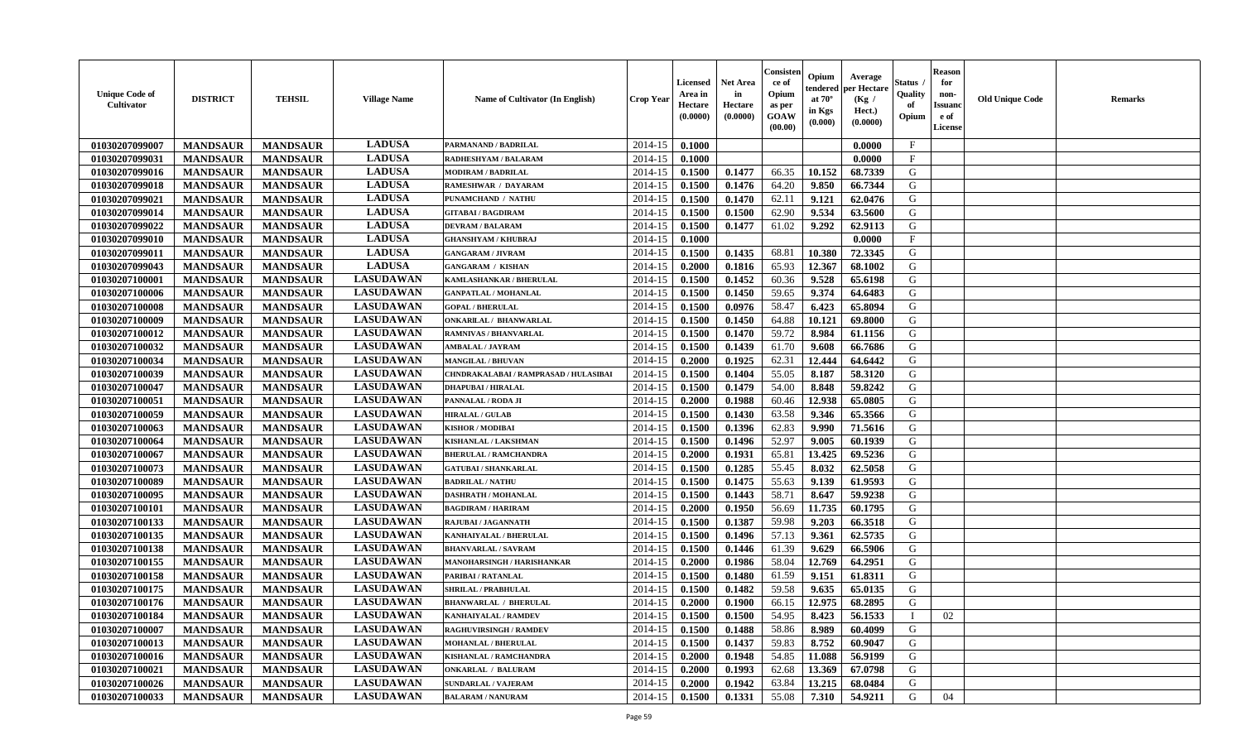| <b>Unique Code of</b><br>Cultivator | <b>DISTRICT</b> | <b>TEHSIL</b>   | <b>Village Name</b> | Name of Cultivator (In English)       | Crop Year | <b>Licensed</b><br>Area in<br>Hectare<br>(0.0000) | <b>Net Area</b><br>in<br>Hectare<br>(0.0000) | Consister<br>ce of<br>Opium<br>as per<br><b>GOAW</b><br>(00.00) | Opium<br>tendered<br>at $70^\circ$<br>in Kgs<br>(0.000) | Average<br>oer Hectare<br>(Kg /<br>Hect.)<br>(0.0000) | Status<br>Quality<br>of<br>Opium | <b>Reason</b><br>for<br>non-<br><b>Issuano</b><br>e of<br>License | <b>Old Unique Code</b> | <b>Remarks</b> |
|-------------------------------------|-----------------|-----------------|---------------------|---------------------------------------|-----------|---------------------------------------------------|----------------------------------------------|-----------------------------------------------------------------|---------------------------------------------------------|-------------------------------------------------------|----------------------------------|-------------------------------------------------------------------|------------------------|----------------|
| 01030207099007                      | <b>MANDSAUR</b> | <b>MANDSAUR</b> | <b>LADUSA</b>       | PARMANAND / BADRILAL                  | 2014-15   | 0.1000                                            |                                              |                                                                 |                                                         | 0.0000                                                | $\mathbf{F}$                     |                                                                   |                        |                |
| 01030207099031                      | <b>MANDSAUR</b> | <b>MANDSAUR</b> | <b>LADUSA</b>       | RADHESHYAM / BALARAM                  | 2014-15   | 0.1000                                            |                                              |                                                                 |                                                         | 0.0000                                                | $\mathbf{F}$                     |                                                                   |                        |                |
| 01030207099016                      | <b>MANDSAUR</b> | <b>MANDSAUR</b> | <b>LADUSA</b>       | <b>MODIRAM / BADRILAL</b>             | 2014-15   | 0.1500                                            | 0.1477                                       | 66.35                                                           | 10.152                                                  | 68.7339                                               | G                                |                                                                   |                        |                |
| 01030207099018                      | <b>MANDSAUR</b> | <b>MANDSAUR</b> | <b>LADUSA</b>       | <b>RAMESHWAR / DAYARAM</b>            | 2014-15   | 0.1500                                            | 0.1476                                       | 64.20                                                           | 9.850                                                   | 66.7344                                               | G                                |                                                                   |                        |                |
| 01030207099021                      | <b>MANDSAUR</b> | <b>MANDSAUR</b> | <b>LADUSA</b>       | PUNAMCHAND / NATHU                    | 2014-15   | 0.1500                                            | 0.1470                                       | 62.11                                                           | 9.121                                                   | 62.0476                                               | G                                |                                                                   |                        |                |
| 01030207099014                      | <b>MANDSAUR</b> | <b>MANDSAUR</b> | <b>LADUSA</b>       | <b>GITABAI/BAGDIRAM</b>               | 2014-15   | 0.1500                                            | 0.1500                                       | 62.90                                                           | 9.534                                                   | 63.5600                                               | G                                |                                                                   |                        |                |
| 01030207099022                      | <b>MANDSAUR</b> | <b>MANDSAUR</b> | <b>LADUSA</b>       | <b>DEVRAM / BALARAM</b>               | 2014-15   | 0.1500                                            | 0.1477                                       | 61.02                                                           | 9.292                                                   | 62.9113                                               | G                                |                                                                   |                        |                |
| 01030207099010                      | <b>MANDSAUR</b> | <b>MANDSAUR</b> | <b>LADUSA</b>       | <b>GHANSHYAM / KHUBRAJ</b>            | 2014-15   | 0.1000                                            |                                              |                                                                 |                                                         | 0.0000                                                | $\rm F$                          |                                                                   |                        |                |
| 01030207099011                      | <b>MANDSAUR</b> | <b>MANDSAUR</b> | <b>LADUSA</b>       | <b>GANGARAM / JIVRAM</b>              | 2014-15   | 0.1500                                            | 0.1435                                       | 68.81                                                           | 10.380                                                  | 72.3345                                               | G                                |                                                                   |                        |                |
| 01030207099043                      | <b>MANDSAUR</b> | <b>MANDSAUR</b> | <b>LADUSA</b>       | <b>GANGARAM / KISHAN</b>              | 2014-15   | 0.2000                                            | 0.1816                                       | 65.93                                                           | 12.367                                                  | 68.1002                                               | G                                |                                                                   |                        |                |
| 01030207100001                      | <b>MANDSAUR</b> | <b>MANDSAUR</b> | <b>LASUDAWAN</b>    | KAMLASHANKAR / BHERULAL               | 2014-15   | 0.1500                                            | 0.1452                                       | 60.36                                                           | 9.528                                                   | 65.6198                                               | G                                |                                                                   |                        |                |
| 01030207100006                      | <b>MANDSAUR</b> | <b>MANDSAUR</b> | <b>LASUDAWAN</b>    | <b>GANPATLAL / MOHANLAL</b>           | 2014-15   | 0.1500                                            | 0.1450                                       | 59.65                                                           | 9.374                                                   | 64.6483                                               | G                                |                                                                   |                        |                |
| 01030207100008                      | <b>MANDSAUR</b> | <b>MANDSAUR</b> | <b>LASUDAWAN</b>    | <b>GOPAL / BHERULAL</b>               | 2014-15   | 0.1500                                            | 0.0976                                       | 58.47                                                           | 6.423                                                   | 65.8094                                               | G                                |                                                                   |                        |                |
| 01030207100009                      | <b>MANDSAUR</b> | <b>MANDSAUR</b> | <b>LASUDAWAN</b>    | <b>ONKARILAL / BHANWARLAL</b>         | 2014-15   | 0.1500                                            | 0.1450                                       | 64.88                                                           | 10.121                                                  | 69.8000                                               | G                                |                                                                   |                        |                |
| 01030207100012                      | <b>MANDSAUR</b> | <b>MANDSAUR</b> | <b>LASUDAWAN</b>    | <b>RAMNIVAS / BHANVARLAL</b>          | 2014-15   | 0.1500                                            | 0.1470                                       | 59.72                                                           | 8.984                                                   | 61.1156                                               | G                                |                                                                   |                        |                |
| 01030207100032                      | <b>MANDSAUR</b> | <b>MANDSAUR</b> | <b>LASUDAWAN</b>    | <b>AMBALAL / JAYRAM</b>               | 2014-15   | 0.1500                                            | 0.1439                                       | 61.70                                                           | 9.608                                                   | 66.7686                                               | G                                |                                                                   |                        |                |
| 01030207100034                      | <b>MANDSAUR</b> | <b>MANDSAUR</b> | <b>LASUDAWAN</b>    | <b>MANGILAL / BHUVAN</b>              | 2014-15   | 0.2000                                            | 0.1925                                       | 62.31                                                           | 12.444                                                  | 64.6442                                               | G                                |                                                                   |                        |                |
| 01030207100039                      | <b>MANDSAUR</b> | <b>MANDSAUR</b> | <b>LASUDAWAN</b>    | CHNDRAKALABAI / RAMPRASAD / HULASIBAI | 2014-15   | 0.1500                                            | 0.1404                                       | 55.05                                                           | 8.187                                                   | 58.3120                                               | G                                |                                                                   |                        |                |
| 01030207100047                      | <b>MANDSAUR</b> | <b>MANDSAUR</b> | <b>LASUDAWAN</b>    | <b>DHAPUBAI/HIRALAL</b>               | 2014-15   | 0.1500                                            | 0.1479                                       | 54.00                                                           | 8.848                                                   | 59.8242                                               | G                                |                                                                   |                        |                |
| 01030207100051                      | <b>MANDSAUR</b> | <b>MANDSAUR</b> | <b>LASUDAWAN</b>    | PANNALAL / RODA JI                    | 2014-15   | 0.2000                                            | 0.1988                                       | 60.46                                                           | 12.938                                                  | 65.0805                                               | G                                |                                                                   |                        |                |
| 01030207100059                      | <b>MANDSAUR</b> | <b>MANDSAUR</b> | <b>LASUDAWAN</b>    | <b>HIRALAL / GULAB</b>                | 2014-15   | 0.1500                                            | 0.1430                                       | 63.58                                                           | 9.346                                                   | 65.3566                                               | G                                |                                                                   |                        |                |
| 01030207100063                      | <b>MANDSAUR</b> | <b>MANDSAUR</b> | <b>LASUDAWAN</b>    | <b>KISHOR / MODIBAI</b>               | 2014-15   | 0.1500                                            | 0.1396                                       | 62.83                                                           | 9.990                                                   | 71.5616                                               | G                                |                                                                   |                        |                |
| 01030207100064                      | <b>MANDSAUR</b> | <b>MANDSAUR</b> | <b>LASUDAWAN</b>    | KISHANLAL / LAKSHMAN                  | 2014-15   | 0.1500                                            | 0.1496                                       | 52.97                                                           | 9.005                                                   | 60.1939                                               | G                                |                                                                   |                        |                |
| 01030207100067                      | <b>MANDSAUR</b> | <b>MANDSAUR</b> | <b>LASUDAWAN</b>    | <b>BHERULAL / RAMCHANDRA</b>          | 2014-15   | 0.2000                                            | 0.1931                                       | 65.81                                                           | 13.425                                                  | 69.5236                                               | G                                |                                                                   |                        |                |
| 01030207100073                      | <b>MANDSAUR</b> | <b>MANDSAUR</b> | <b>LASUDAWAN</b>    | <b>GATUBAI / SHANKARLAL</b>           | 2014-15   | 0.1500                                            | 0.1285                                       | 55.45                                                           | 8.032                                                   | 62.5058                                               | G                                |                                                                   |                        |                |
| 01030207100089                      | <b>MANDSAUR</b> | <b>MANDSAUR</b> | <b>LASUDAWAN</b>    | <b>BADRILAL / NATHU</b>               | 2014-15   | 0.1500                                            | 0.1475                                       | 55.63                                                           | 9.139                                                   | 61.9593                                               | G                                |                                                                   |                        |                |
| 01030207100095                      | <b>MANDSAUR</b> | <b>MANDSAUR</b> | <b>LASUDAWAN</b>    | <b>DASHRATH / MOHANLAL</b>            | 2014-15   | 0.1500                                            | 0.1443                                       | 58.71                                                           | 8.647                                                   | 59.9238                                               | G                                |                                                                   |                        |                |
| 01030207100101                      | <b>MANDSAUR</b> | <b>MANDSAUR</b> | <b>LASUDAWAN</b>    | <b>BAGDIRAM / HARIRAM</b>             | 2014-15   | 0.2000                                            | 0.1950                                       | 56.69                                                           | 11.735                                                  | 60.1795                                               | G                                |                                                                   |                        |                |
| 01030207100133                      | <b>MANDSAUR</b> | <b>MANDSAUR</b> | <b>LASUDAWAN</b>    | RAJUBAI / JAGANNATH                   | 2014-15   | 0.1500                                            | 0.1387                                       | 59.98                                                           | 9.203                                                   | 66.3518                                               | G                                |                                                                   |                        |                |
| 01030207100135                      | <b>MANDSAUR</b> | <b>MANDSAUR</b> | <b>LASUDAWAN</b>    | KANHAIYALAL / BHERULAL                | 2014-15   | 0.1500                                            | 0.1496                                       | 57.13                                                           | 9.361                                                   | 62.5735                                               | G                                |                                                                   |                        |                |
| 01030207100138                      | <b>MANDSAUR</b> | <b>MANDSAUR</b> | <b>LASUDAWAN</b>    | <b>BHANVARLAL / SAVRAM</b>            | 2014-15   | 0.1500                                            | 0.1446                                       | 61.39                                                           | 9.629                                                   | 66.5906                                               | G                                |                                                                   |                        |                |
| 01030207100155                      | <b>MANDSAUR</b> | <b>MANDSAUR</b> | <b>LASUDAWAN</b>    | MANOHARSINGH / HARISHANKAR            | 2014-15   | 0.2000                                            | 0.1986                                       | 58.04                                                           | 12.769                                                  | 64.2951                                               | G                                |                                                                   |                        |                |
| 01030207100158                      | <b>MANDSAUR</b> | <b>MANDSAUR</b> | <b>LASUDAWAN</b>    | PARIBAI / RATANLAL                    | 2014-15   | 0.1500                                            | 0.1480                                       | 61.59                                                           | 9.151                                                   | 61.8311                                               | G                                |                                                                   |                        |                |
| 01030207100175                      | <b>MANDSAUR</b> | <b>MANDSAUR</b> | <b>LASUDAWAN</b>    | <b>SHRILAL / PRABHULAL</b>            | 2014-15   | 0.1500                                            | 0.1482                                       | 59.58                                                           | 9.635                                                   | 65.0135                                               | G                                |                                                                   |                        |                |
| 01030207100176                      | <b>MANDSAUR</b> | <b>MANDSAUR</b> | <b>LASUDAWAN</b>    | <b>BHANWARLAL / BHERULAL</b>          | 2014-15   | 0.2000                                            | 0.1900                                       | 66.15                                                           | 12.975                                                  | 68.2895                                               | G                                |                                                                   |                        |                |
| 01030207100184                      | <b>MANDSAUR</b> | <b>MANDSAUR</b> | <b>LASUDAWAN</b>    | <b>KANHAIYALAL / RAMDEV</b>           | 2014-15   | 0.1500                                            | 0.1500                                       | 54.95                                                           | 8.423                                                   | 56.1533                                               | $\mathbf I$                      | 02                                                                |                        |                |
| 01030207100007                      | <b>MANDSAUR</b> | <b>MANDSAUR</b> | <b>LASUDAWAN</b>    | <b>RAGHUVIRSINGH / RAMDEV</b>         | 2014-15   | 0.1500                                            | 0.1488                                       | 58.86                                                           | 8.989                                                   | 60.4099                                               | G                                |                                                                   |                        |                |
| 01030207100013                      | <b>MANDSAUR</b> | <b>MANDSAUR</b> | <b>LASUDAWAN</b>    | <b>MOHANLAL / BHERULAL</b>            | 2014-15   | 0.1500                                            | 0.1437                                       | 59.83                                                           | 8.752                                                   | 60.9047                                               | G                                |                                                                   |                        |                |
| 01030207100016                      | <b>MANDSAUR</b> | <b>MANDSAUR</b> | <b>LASUDAWAN</b>    | <b>KISHANLAL / RAMCHANDRA</b>         | 2014-15   | 0.2000                                            | 0.1948                                       | 54.85                                                           | 11.088                                                  | 56.9199                                               | G                                |                                                                   |                        |                |
| 01030207100021                      | <b>MANDSAUR</b> | <b>MANDSAUR</b> | <b>LASUDAWAN</b>    | <b>ONKARLAL / BALURAM</b>             | 2014-15   | 0.2000                                            | 0.1993                                       | 62.68                                                           | 13.369                                                  | 67.0798                                               | G                                |                                                                   |                        |                |
| 01030207100026                      | <b>MANDSAUR</b> | <b>MANDSAUR</b> | <b>LASUDAWAN</b>    | <b>SUNDARLAL / VAJERAM</b>            | 2014-15   | 0.2000                                            | 0.1942                                       | 63.84                                                           | 13.215                                                  | 68.0484                                               | G                                |                                                                   |                        |                |
| 01030207100033                      | <b>MANDSAUR</b> | <b>MANDSAUR</b> | <b>LASUDAWAN</b>    | <b>BALARAM / NANURAM</b>              | 2014-15   | 0.1500                                            | 0.1331                                       | 55.08                                                           | 7.310                                                   | 54.9211                                               | G                                | 04                                                                |                        |                |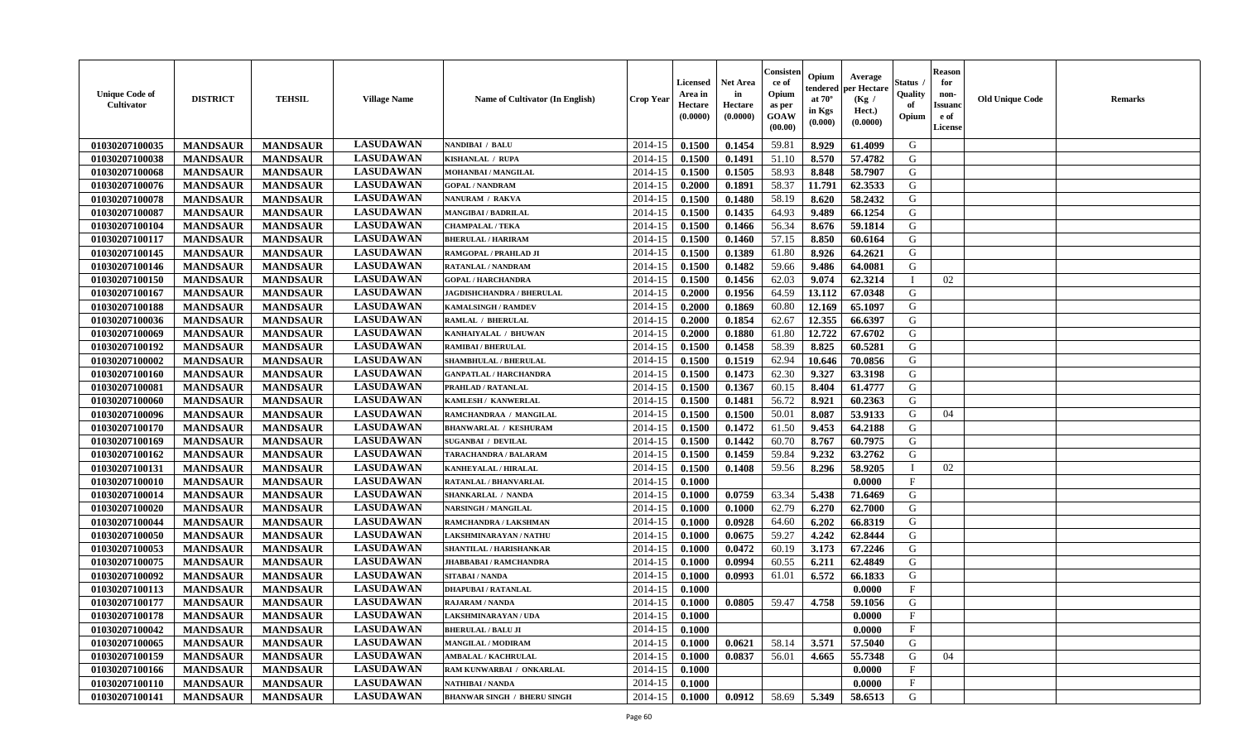| <b>Unique Code of</b><br>Cultivator | <b>DISTRICT</b> | <b>TEHSIL</b>   | <b>Village Name</b> | Name of Cultivator (In English)    | <b>Crop Year</b> | <b>Licensed</b><br>Area in<br>Hectare<br>(0.0000) | Net Area<br>in<br>Hectare<br>(0.0000) | Consister<br>ce of<br>Opium<br>as per<br>GOAW<br>(00.00) | Opium<br>tendered<br>at $70^\circ$<br>in Kgs<br>(0.000) | Average<br>per Hectare<br>(Kg)<br>Hect.)<br>(0.0000) | Status .<br>Quality<br>of<br>Opium | <b>Reason</b><br>for<br>non-<br><b>Issuand</b><br>e of<br>License | <b>Old Unique Code</b> | <b>Remarks</b> |
|-------------------------------------|-----------------|-----------------|---------------------|------------------------------------|------------------|---------------------------------------------------|---------------------------------------|----------------------------------------------------------|---------------------------------------------------------|------------------------------------------------------|------------------------------------|-------------------------------------------------------------------|------------------------|----------------|
| 01030207100035                      | <b>MANDSAUR</b> | <b>MANDSAUR</b> | <b>LASUDAWAN</b>    | <b>NANDIBAI / BALU</b>             | 2014-15          | 0.1500                                            | 0.1454                                | 59.81                                                    | 8.929                                                   | 61.4099                                              | G                                  |                                                                   |                        |                |
| 01030207100038                      | <b>MANDSAUR</b> | <b>MANDSAUR</b> | <b>LASUDAWAN</b>    | KISHANLAL / RUPA                   | 2014-15          | 0.1500                                            | 0.1491                                | 51.10                                                    | 8.570                                                   | 57.4782                                              | G                                  |                                                                   |                        |                |
| 01030207100068                      | <b>MANDSAUR</b> | <b>MANDSAUR</b> | <b>LASUDAWAN</b>    | MOHANBAI / MANGILAL                | 2014-15          | 0.1500                                            | 0.1505                                | 58.93                                                    | 8.848                                                   | 58.7907                                              | G                                  |                                                                   |                        |                |
| 01030207100076                      | <b>MANDSAUR</b> | <b>MANDSAUR</b> | <b>LASUDAWAN</b>    | <b>GOPAL / NANDRAM</b>             | 2014-15          | 0.2000                                            | 0.1891                                | 58.37                                                    | 11.791                                                  | 62.3533                                              | G                                  |                                                                   |                        |                |
| 01030207100078                      | <b>MANDSAUR</b> | <b>MANDSAUR</b> | <b>LASUDAWAN</b>    | NANURAM / RAKVA                    | 2014-15          | 0.1500                                            | 0.1480                                | 58.19                                                    | 8.620                                                   | 58.2432                                              | G                                  |                                                                   |                        |                |
| 01030207100087                      | <b>MANDSAUR</b> | <b>MANDSAUR</b> | <b>LASUDAWAN</b>    | <b>MANGIBAI/BADRILAL</b>           | 2014-15          | 0.1500                                            | 0.1435                                | 64.93                                                    | 9.489                                                   | 66.1254                                              | G                                  |                                                                   |                        |                |
| 01030207100104                      | <b>MANDSAUR</b> | <b>MANDSAUR</b> | <b>LASUDAWAN</b>    | <b>CHAMPALAL / TEKA</b>            | 2014-15          | 0.1500                                            | 0.1466                                | 56.34                                                    | 8.676                                                   | 59.1814                                              | G                                  |                                                                   |                        |                |
| 01030207100117                      | <b>MANDSAUR</b> | <b>MANDSAUR</b> | <b>LASUDAWAN</b>    | <b>BHERULAL / HARIRAM</b>          | 2014-15          | 0.1500                                            | 0.1460                                | 57.15                                                    | 8.850                                                   | 60.6164                                              | G                                  |                                                                   |                        |                |
| 01030207100145                      | <b>MANDSAUR</b> | <b>MANDSAUR</b> | <b>LASUDAWAN</b>    | RAMGOPAL / PRAHLAD JI              | 2014-15          | 0.1500                                            | 0.1389                                | 61.80                                                    | 8.926                                                   | 64.2621                                              | G                                  |                                                                   |                        |                |
| 01030207100146                      | <b>MANDSAUR</b> | <b>MANDSAUR</b> | <b>LASUDAWAN</b>    | RATANLAL / NANDRAM                 | 2014-15          | 0.1500                                            | 0.1482                                | 59.66                                                    | 9.486                                                   | 64.0081                                              | G                                  |                                                                   |                        |                |
| 01030207100150                      | <b>MANDSAUR</b> | <b>MANDSAUR</b> | <b>LASUDAWAN</b>    | <b>GOPAL / HARCHANDRA</b>          | 2014-15          | 0.1500                                            | 0.1456                                | 62.03                                                    | 9.074                                                   | 62.3214                                              | - 1                                | 02                                                                |                        |                |
| 01030207100167                      | <b>MANDSAUR</b> | <b>MANDSAUR</b> | <b>LASUDAWAN</b>    | <b>JAGDISHCHANDRA / BHERULAL</b>   | 2014-15          | 0.2000                                            | 0.1956                                | 64.59                                                    | 13.112                                                  | 67.0348                                              | G                                  |                                                                   |                        |                |
| 01030207100188                      | <b>MANDSAUR</b> | <b>MANDSAUR</b> | <b>LASUDAWAN</b>    | <b>KAMALSINGH / RAMDEV</b>         | 2014-15          | 0.2000                                            | 0.1869                                | 60.80                                                    | 12.169                                                  | 65.1097                                              | G                                  |                                                                   |                        |                |
| 01030207100036                      | <b>MANDSAUR</b> | <b>MANDSAUR</b> | <b>LASUDAWAN</b>    | <b>RAMLAL / BHERULAL</b>           | 2014-15          | 0.2000                                            | 0.1854                                | 62.67                                                    | 12.355                                                  | 66.6397                                              | G                                  |                                                                   |                        |                |
| 01030207100069                      | <b>MANDSAUR</b> | <b>MANDSAUR</b> | <b>LASUDAWAN</b>    | KANHAIYALAL / BHUWAN               | 2014-15          | 0.2000                                            | 0.1880                                | 61.80                                                    | 12.722                                                  | 67.6702                                              | G                                  |                                                                   |                        |                |
| 01030207100192                      | <b>MANDSAUR</b> | <b>MANDSAUR</b> | <b>LASUDAWAN</b>    | <b>RAMIBAI / BHERULAL</b>          | 2014-15          | 0.1500                                            | 0.1458                                | 58.39                                                    | 8.825                                                   | 60.5281                                              | G                                  |                                                                   |                        |                |
| 01030207100002                      | <b>MANDSAUR</b> | <b>MANDSAUR</b> | <b>LASUDAWAN</b>    | <b>SHAMBHULAL / BHERULAL</b>       | 2014-15          | 0.1500                                            | 0.1519                                | 62.94                                                    | 10.646                                                  | 70.0856                                              | G                                  |                                                                   |                        |                |
| 01030207100160                      | <b>MANDSAUR</b> | <b>MANDSAUR</b> | <b>LASUDAWAN</b>    | <b>GANPATLAL / HARCHANDRA</b>      | 2014-15          | 0.1500                                            | 0.1473                                | 62.30                                                    | 9.327                                                   | 63.3198                                              | G                                  |                                                                   |                        |                |
| 01030207100081                      | <b>MANDSAUR</b> | <b>MANDSAUR</b> | <b>LASUDAWAN</b>    | PRAHLAD / RATANLAL                 | 2014-15          | 0.1500                                            | 0.1367                                | 60.15                                                    | 8.404                                                   | 61.4777                                              | G                                  |                                                                   |                        |                |
| 01030207100060                      | <b>MANDSAUR</b> | <b>MANDSAUR</b> | <b>LASUDAWAN</b>    | KAMLESH / KANWERLAL                | 2014-15          | 0.1500                                            | 0.1481                                | 56.72                                                    | 8.921                                                   | 60.2363                                              | G                                  |                                                                   |                        |                |
| 01030207100096                      | <b>MANDSAUR</b> | <b>MANDSAUR</b> | <b>LASUDAWAN</b>    | RAMCHANDRAA / MANGILAL             | 2014-15          | 0.1500                                            | 0.1500                                | 50.01                                                    | 8.087                                                   | 53.9133                                              | G                                  | 04                                                                |                        |                |
| 01030207100170                      | <b>MANDSAUR</b> | <b>MANDSAUR</b> | <b>LASUDAWAN</b>    | <b>BHANWARLAL / KESHURAM</b>       | 2014-15          | 0.1500                                            | 0.1472                                | 61.50                                                    | 9.453                                                   | 64.2188                                              | G                                  |                                                                   |                        |                |
| 01030207100169                      | <b>MANDSAUR</b> | <b>MANDSAUR</b> | <b>LASUDAWAN</b>    | <b>SUGANBAI / DEVILAL</b>          | 2014-15          | 0.1500                                            | 0.1442                                | 60.70                                                    | 8.767                                                   | 60.7975                                              | G                                  |                                                                   |                        |                |
| 01030207100162                      | <b>MANDSAUR</b> | <b>MANDSAUR</b> | <b>LASUDAWAN</b>    | TARACHANDRA / BALARAM              | 2014-15          | 0.1500                                            | 0.1459                                | 59.84                                                    | 9.232                                                   | 63.2762                                              | G                                  |                                                                   |                        |                |
| 01030207100131                      | <b>MANDSAUR</b> | <b>MANDSAUR</b> | <b>LASUDAWAN</b>    | <b>KANHEYALAL / HIRALAL</b>        | 2014-15          | 0.1500                                            | 0.1408                                | 59.56                                                    | 8.296                                                   | 58.9205                                              | - 1                                | 02                                                                |                        |                |
| 01030207100010                      | <b>MANDSAUR</b> | <b>MANDSAUR</b> | <b>LASUDAWAN</b>    | RATANLAL / BHANVARLAL              | 2014-15          | 0.1000                                            |                                       |                                                          |                                                         | 0.0000                                               | $\mathbf{F}$                       |                                                                   |                        |                |
| 01030207100014                      | <b>MANDSAUR</b> | <b>MANDSAUR</b> | <b>LASUDAWAN</b>    | SHANKARLAL / NANDA                 | 2014-15          | 0.1000                                            | 0.0759                                | 63.34                                                    | 5.438                                                   | 71.6469                                              | G                                  |                                                                   |                        |                |
| 01030207100020                      | <b>MANDSAUR</b> | <b>MANDSAUR</b> | <b>LASUDAWAN</b>    | <b>NARSINGH / MANGILAL</b>         | 2014-15          | 0.1000                                            | 0.1000                                | 62.79                                                    | 6.270                                                   | 62.7000                                              | G                                  |                                                                   |                        |                |
| 01030207100044                      | <b>MANDSAUR</b> | <b>MANDSAUR</b> | <b>LASUDAWAN</b>    | RAMCHANDRA / LAKSHMAN              | 2014-15          | 0.1000                                            | 0.0928                                | 64.60                                                    | 6.202                                                   | 66.8319                                              | G                                  |                                                                   |                        |                |
| 01030207100050                      | <b>MANDSAUR</b> | <b>MANDSAUR</b> | <b>LASUDAWAN</b>    | LAKSHMINARAYAN / NATHU             | 2014-15          | 0.1000                                            | 0.0675                                | 59.27                                                    | 4.242                                                   | 62.8444                                              | G                                  |                                                                   |                        |                |
| 01030207100053                      | <b>MANDSAUR</b> | <b>MANDSAUR</b> | <b>LASUDAWAN</b>    | SHANTILAL / HARISHANKAR            | 2014-15          | 0.1000                                            | 0.0472                                | 60.19                                                    | 3.173                                                   | 67.2246                                              | G                                  |                                                                   |                        |                |
| 01030207100075                      | <b>MANDSAUR</b> | <b>MANDSAUR</b> | <b>LASUDAWAN</b>    | <b>JHABBABAI/RAMCHANDRA</b>        | 2014-15          | 0.1000                                            | 0.0994                                | 60.55                                                    | 6.211                                                   | 62.4849                                              | G                                  |                                                                   |                        |                |
| 01030207100092                      | <b>MANDSAUR</b> | <b>MANDSAUR</b> | <b>LASUDAWAN</b>    | <b>SITABAI/NANDA</b>               | 2014-15          | 0.1000                                            | 0.0993                                | 61.01                                                    | 6.572                                                   | 66.1833                                              | G                                  |                                                                   |                        |                |
| 01030207100113                      | <b>MANDSAUR</b> | <b>MANDSAUR</b> | <b>LASUDAWAN</b>    | <b>DHAPUBAI/RATANLAL</b>           | 2014-15          | 0.1000                                            |                                       |                                                          |                                                         | 0.0000                                               | $\mathbf F$                        |                                                                   |                        |                |
| 01030207100177                      | <b>MANDSAUR</b> | <b>MANDSAUR</b> | <b>LASUDAWAN</b>    | <b>RAJARAM / NANDA</b>             | 2014-15          | 0.1000                                            | 0.0805                                | 59.47                                                    | 4.758                                                   | 59.1056                                              | G                                  |                                                                   |                        |                |
| 01030207100178                      | <b>MANDSAUR</b> | <b>MANDSAUR</b> | <b>LASUDAWAN</b>    | LAKSHMINARAYAN / UDA               | $2014-15$ 0.1000 |                                                   |                                       |                                                          |                                                         | 0.0000                                               | F                                  |                                                                   |                        |                |
| 01030207100042                      | <b>MANDSAUR</b> | <b>MANDSAUR</b> | <b>LASUDAWAN</b>    | <b>BHERULAL / BALU JI</b>          | 2014-15          | 0.1000                                            |                                       |                                                          |                                                         | 0.0000                                               | $\mathbf F$                        |                                                                   |                        |                |
| 01030207100065                      | <b>MANDSAUR</b> | <b>MANDSAUR</b> | <b>LASUDAWAN</b>    | <b>MANGILAL / MODIRAM</b>          | 2014-15          | 0.1000                                            | 0.0621                                | 58.14                                                    | 3.571                                                   | 57.5040                                              | G                                  |                                                                   |                        |                |
| 01030207100159                      | <b>MANDSAUR</b> | <b>MANDSAUR</b> | <b>LASUDAWAN</b>    | <b>AMBALAL / KACHRULAL</b>         | 2014-15          | 0.1000                                            | 0.0837                                | 56.01                                                    | 4.665                                                   | 55.7348                                              | G                                  | 04                                                                |                        |                |
| 01030207100166                      | <b>MANDSAUR</b> | <b>MANDSAUR</b> | <b>LASUDAWAN</b>    | RAM KUNWARBAI / ONKARLAL           | 2014-15          | 0.1000                                            |                                       |                                                          |                                                         | 0.0000                                               | $\mathbf{F}$                       |                                                                   |                        |                |
| 01030207100110                      | <b>MANDSAUR</b> | <b>MANDSAUR</b> | <b>LASUDAWAN</b>    | <b>NATHIBAI / NANDA</b>            | 2014-15          | 0.1000                                            |                                       |                                                          |                                                         | 0.0000                                               | $\mathbf{F}$                       |                                                                   |                        |                |
| 01030207100141                      | <b>MANDSAUR</b> | <b>MANDSAUR</b> | <b>LASUDAWAN</b>    | <b>BHANWAR SINGH / BHERU SINGH</b> | $2014-15$ 0.1000 |                                                   | 0.0912                                | 58.69                                                    | 5.349                                                   | 58.6513                                              | G                                  |                                                                   |                        |                |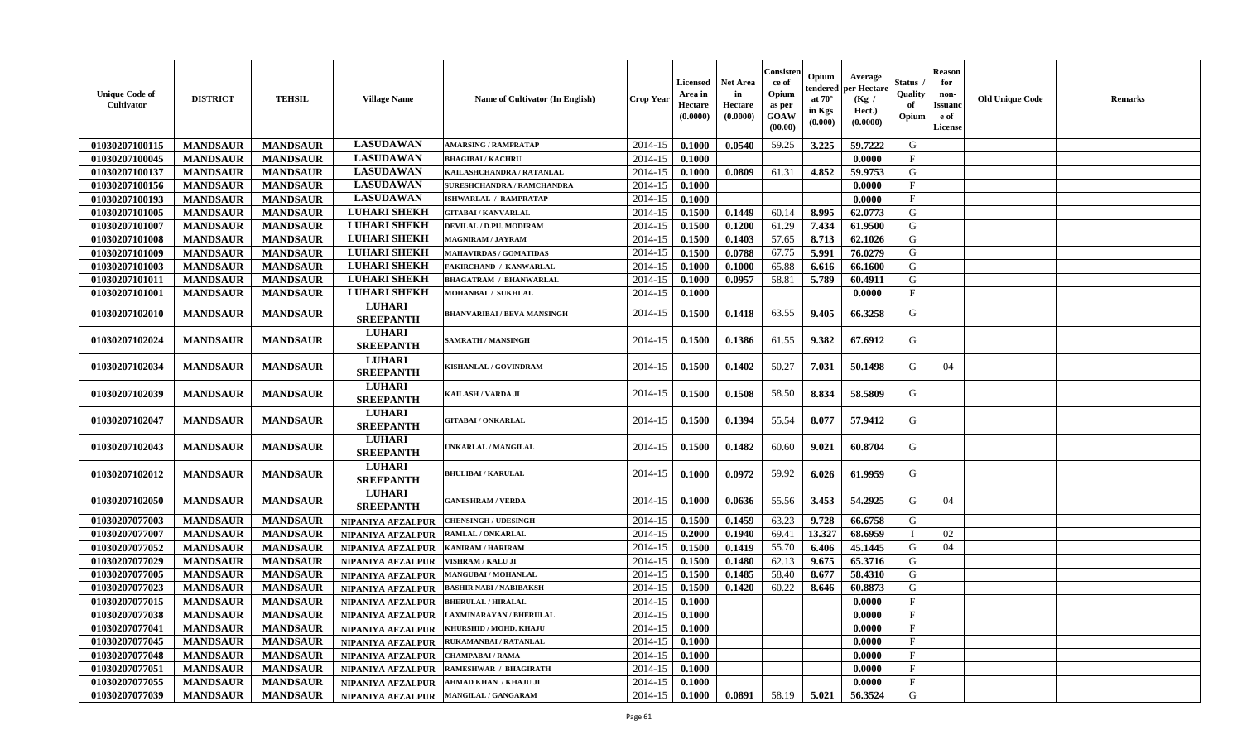| <b>Unique Code of</b><br>Cultivator | <b>DISTRICT</b> | <b>TEHSIL</b>   | <b>Village Name</b>                     | Name of Cultivator (In English)    | Crop Year | <b>Licensed</b><br>Area in<br>Hectare<br>(0.0000) | Net Area<br>in<br>Hectare<br>(0.0000) | Consister<br>ce of<br>Opium<br>as per<br><b>GOAW</b><br>(00.00) | Opium<br>endered<br>at $70^\circ$<br>in Kgs<br>(0.000) | Average<br>oer Hectare<br>(Kg /<br>Hect.)<br>(0.0000) | <b>Status</b><br>Quality<br>- of<br>Opium | <b>Reason</b><br>for<br>non-<br><b>Issuand</b><br>e of<br>License | <b>Old Unique Code</b> | <b>Remarks</b> |
|-------------------------------------|-----------------|-----------------|-----------------------------------------|------------------------------------|-----------|---------------------------------------------------|---------------------------------------|-----------------------------------------------------------------|--------------------------------------------------------|-------------------------------------------------------|-------------------------------------------|-------------------------------------------------------------------|------------------------|----------------|
| 01030207100115                      | <b>MANDSAUR</b> | <b>MANDSAUR</b> | <b>LASUDAWAN</b>                        | <b>AMARSING / RAMPRATAP</b>        | 2014-15   | 0.1000                                            | 0.0540                                | 59.25                                                           | 3.225                                                  | 59.7222                                               | G                                         |                                                                   |                        |                |
| 01030207100045                      | <b>MANDSAUR</b> | <b>MANDSAUR</b> | <b>LASUDAWAN</b>                        | <b>BHAGIBAI / KACHRU</b>           | 2014-15   | 0.1000                                            |                                       |                                                                 |                                                        | 0.0000                                                | F                                         |                                                                   |                        |                |
| 01030207100137                      | <b>MANDSAUR</b> | <b>MANDSAUR</b> | <b>LASUDAWAN</b>                        | KAILASHCHANDRA / RATANLAL          | 2014-15   | 0.1000                                            | 0.0809                                | 61.31                                                           | 4.852                                                  | 59.9753                                               | G                                         |                                                                   |                        |                |
| 01030207100156                      | <b>MANDSAUR</b> | <b>MANDSAUR</b> | <b>LASUDAWAN</b>                        | <b>SURESHCHANDRA / RAMCHANDRA</b>  | 2014-15   | 0.1000                                            |                                       |                                                                 |                                                        | 0.0000                                                | F                                         |                                                                   |                        |                |
| 01030207100193                      | <b>MANDSAUR</b> | <b>MANDSAUR</b> | <b>LASUDAWAN</b>                        | ISHWARLAL / RAMPRATAP              | 2014-15   | 0.1000                                            |                                       |                                                                 |                                                        | 0.0000                                                | $\mathbf{F}$                              |                                                                   |                        |                |
| 01030207101005                      | <b>MANDSAUR</b> | <b>MANDSAUR</b> | <b>LUHARI SHEKH</b>                     | <b>GITABAI/KANVARLAL</b>           | 2014-15   | 0.1500                                            | 0.1449                                | 60.14                                                           | 8.995                                                  | 62.0773                                               | G                                         |                                                                   |                        |                |
| 01030207101007                      | <b>MANDSAUR</b> | <b>MANDSAUR</b> | <b>LUHARI SHEKH</b>                     | DEVILAL / D.PU. MODIRAM            | 2014-15   | 0.1500                                            | 0.1200                                | 61.29                                                           | 7.434                                                  | 61.9500                                               | G                                         |                                                                   |                        |                |
| 01030207101008                      | <b>MANDSAUR</b> | <b>MANDSAUR</b> | <b>LUHARI SHEKH</b>                     | <b>MAGNIRAM / JAYRAM</b>           | 2014-15   | 0.1500                                            | 0.1403                                | 57.65                                                           | 8.713                                                  | 62.1026                                               | G                                         |                                                                   |                        |                |
| 01030207101009                      | <b>MANDSAUR</b> | <b>MANDSAUR</b> | <b>LUHARI SHEKH</b>                     | <b>MAHAVIRDAS / GOMATIDAS</b>      | 2014-15   | 0.1500                                            | 0.0788                                | 67.75                                                           | 5.991                                                  | 76.0279                                               | G                                         |                                                                   |                        |                |
| 01030207101003                      | <b>MANDSAUR</b> | <b>MANDSAUR</b> | <b>LUHARI SHEKH</b>                     | FAKIRCHAND / KANWARLAL             | 2014-15   | 0.1000                                            | 0.1000                                | 65.88                                                           | 6.616                                                  | 66.1600                                               | G                                         |                                                                   |                        |                |
| 01030207101011                      | <b>MANDSAUR</b> | <b>MANDSAUR</b> | <b>LUHARI SHEKH</b>                     | <b>BHAGATRAM / BHANWARLAL</b>      | 2014-15   | 0.1000                                            | 0.0957                                | 58.81                                                           | 5.789                                                  | 60.4911                                               | G                                         |                                                                   |                        |                |
| 01030207101001                      | <b>MANDSAUR</b> | <b>MANDSAUR</b> | <b>LUHARI SHEKH</b>                     | MOHANBAI / SUKHLAL                 | 2014-15   | 0.1000                                            |                                       |                                                                 |                                                        | 0.0000                                                | $_{\rm F}$                                |                                                                   |                        |                |
| 01030207102010                      | <b>MANDSAUR</b> | <b>MANDSAUR</b> | <b>LUHARI</b><br><b>SREEPANTH</b>       | <b>BHANVARIBAI / BEVA MANSINGH</b> | 2014-15   | 0.1500                                            | 0.1418                                | 63.55                                                           | 9.405                                                  | 66.3258                                               | G                                         |                                                                   |                        |                |
| 01030207102024                      | <b>MANDSAUR</b> | <b>MANDSAUR</b> | <b>LUHARI</b><br><b>SREEPANTH</b>       | <b>SAMRATH / MANSINGH</b>          | 2014-15   | 0.1500                                            | 0.1386                                | 61.55                                                           | 9.382                                                  | 67.6912                                               | G                                         |                                                                   |                        |                |
| 01030207102034                      | <b>MANDSAUR</b> | <b>MANDSAUR</b> | <b>LUHARI</b><br><b>SREEPANTH</b>       | KISHANLAL / GOVINDRAM              | 2014-15   | 0.1500                                            | 0.1402                                | 50.27                                                           | 7.031                                                  | 50.1498                                               | G                                         | 04                                                                |                        |                |
| 01030207102039                      | <b>MANDSAUR</b> | <b>MANDSAUR</b> | <b>LUHARI</b><br><b>SREEPANTH</b>       | KAILASH / VARDA JI                 | 2014-15   | 0.1500                                            | 0.1508                                | 58.50                                                           | 8.834                                                  | 58.5809                                               | G                                         |                                                                   |                        |                |
| 01030207102047                      | <b>MANDSAUR</b> | <b>MANDSAUR</b> | <b>LUHARI</b><br><b>SREEPANTH</b>       | <b>GITABAI/ONKARLAL</b>            | 2014-15   | 0.1500                                            | 0.1394                                | 55.54                                                           | 8.077                                                  | 57.9412                                               | G                                         |                                                                   |                        |                |
| 01030207102043                      | <b>MANDSAUR</b> | <b>MANDSAUR</b> | <b>LUHARI</b><br><b>SREEPANTH</b>       | UNKARLAL / MANGILAL                | 2014-15   | 0.1500                                            | 0.1482                                | 60.60                                                           | 9.021                                                  | 60.8704                                               | G                                         |                                                                   |                        |                |
| 01030207102012                      | <b>MANDSAUR</b> | <b>MANDSAUR</b> | <b>LUHARI</b><br><b>SREEPANTH</b>       | <b>BHULIBAI / KARULAL</b>          | 2014-15   | 0.1000                                            | 0.0972                                | 59.92                                                           | 6.026                                                  | 61.9959                                               | G                                         |                                                                   |                        |                |
| 01030207102050                      | <b>MANDSAUR</b> | <b>MANDSAUR</b> | <b>LUHARI</b><br><b>SREEPANTH</b>       | <b>GANESHRAM / VERDA</b>           | 2014-15   | 0.1000                                            | 0.0636                                | 55.56                                                           | 3.453                                                  | 54.2925                                               | G                                         | 04                                                                |                        |                |
| 01030207077003                      | <b>MANDSAUR</b> | <b>MANDSAUR</b> | NIPANIYA AFZALPUR                       | <b>CHENSINGH / UDESINGH</b>        | 2014-15   | 0.1500                                            | 0.1459                                | 63.23                                                           | 9.728                                                  | 66.6758                                               | G                                         |                                                                   |                        |                |
| 01030207077007                      | <b>MANDSAUR</b> | <b>MANDSAUR</b> | NIPANIYA AFZALPUR                       | <b>RAMLAL / ONKARLAL</b>           | 2014-15   | 0.2000                                            | 0.1940                                | 69.41                                                           | 13.327                                                 | 68.6959                                               | T                                         | 02                                                                |                        |                |
| 01030207077052                      | <b>MANDSAUR</b> | <b>MANDSAUR</b> | NIPANIYA AFZALPUR                       | <b>KANIRAM / HARIRAM</b>           | 2014-15   | 0.1500                                            | 0.1419                                | 55.70                                                           | 6.406                                                  | 45.1445                                               | G                                         | 04                                                                |                        |                |
| 01030207077029                      | <b>MANDSAUR</b> | <b>MANDSAUR</b> | NIPANIYA AFZALPUR                       | VISHRAM / KALU JI                  | 2014-15   | 0.1500                                            | 0.1480                                | 62.13                                                           | 9.675                                                  | 65.3716                                               | G                                         |                                                                   |                        |                |
| 01030207077005                      | <b>MANDSAUR</b> | <b>MANDSAUR</b> | NIPANIYA AFZALPUR                       | <b>MANGUBAI / MOHANLAL</b>         | 2014-15   | 0.1500                                            | 0.1485                                | 58.40                                                           | 8.677                                                  | 58.4310                                               | G                                         |                                                                   |                        |                |
| 01030207077023                      | <b>MANDSAUR</b> | <b>MANDSAUR</b> | NIPANIYA AFZALPUR                       | <b>BASHIR NABI / NABIBAKSH</b>     | 2014-15   | 0.1500                                            | 0.1420                                | 60.22                                                           | 8.646                                                  | 60.8873                                               | G                                         |                                                                   |                        |                |
| 01030207077015                      | <b>MANDSAUR</b> | <b>MANDSAUR</b> | NIPANIYA AFZALPUR                       | <b>BHERULAL / HIRALAL</b>          | 2014-15   | 0.1000                                            |                                       |                                                                 |                                                        | 0.0000                                                | $\mathbf{F}$                              |                                                                   |                        |                |
| 01030207077038                      | <b>MANDSAUR</b> | <b>MANDSAUR</b> | NIPANIYA AFZALPUR                       | <b>LAXMINARAYAN / BHERULAL</b>     | 2014-15   | 0.1000                                            |                                       |                                                                 |                                                        | 0.0000                                                | $\mathbf{F}$                              |                                                                   |                        |                |
| 01030207077041                      | <b>MANDSAUR</b> | <b>MANDSAUR</b> | NIPANIYA AFZALPUR                       | KHURSHID / MOHD. KHAJU             | 2014-15   | 0.1000                                            |                                       |                                                                 |                                                        | 0.0000                                                | F                                         |                                                                   |                        |                |
| 01030207077045                      | <b>MANDSAUR</b> | <b>MANDSAUR</b> | NIPANIYA AFZALPUR                       | RUKAMANBAI / RATANLAL              | 2014-15   | 0.1000                                            |                                       |                                                                 |                                                        | 0.0000                                                | F                                         |                                                                   |                        |                |
| 01030207077048                      | <b>MANDSAUR</b> | <b>MANDSAUR</b> | <b>NIPANIYA AFZALPUR</b>                | <b>CHAMPABAI/RAMA</b>              | 2014-15   | 0.1000                                            |                                       |                                                                 |                                                        | 0.0000                                                | $\mathbf F$                               |                                                                   |                        |                |
| 01030207077051                      | <b>MANDSAUR</b> | <b>MANDSAUR</b> | NIPANIYA AFZALPUR                       | <b>RAMESHWAR / BHAGIRATH</b>       | 2014-15   | 0.1000                                            |                                       |                                                                 |                                                        | 0.0000                                                | $\mathbf{F}$                              |                                                                   |                        |                |
| 01030207077055                      | <b>MANDSAUR</b> | <b>MANDSAUR</b> | <b>NIPANIYA AFZALPUR</b>                | <b>AHMAD KHAN / KHAJU JI</b>       | 2014-15   | 0.1000                                            |                                       |                                                                 |                                                        | 0.0000                                                | F                                         |                                                                   |                        |                |
| 01030207077039                      | <b>MANDSAUR</b> | <b>MANDSAUR</b> | NIPANIYA AFZALPUR   MANGILAL / GANGARAM |                                    | 2014-15   | 0.1000                                            | 0.0891                                | 58.19                                                           | 5.021                                                  | 56.3524                                               | G                                         |                                                                   |                        |                |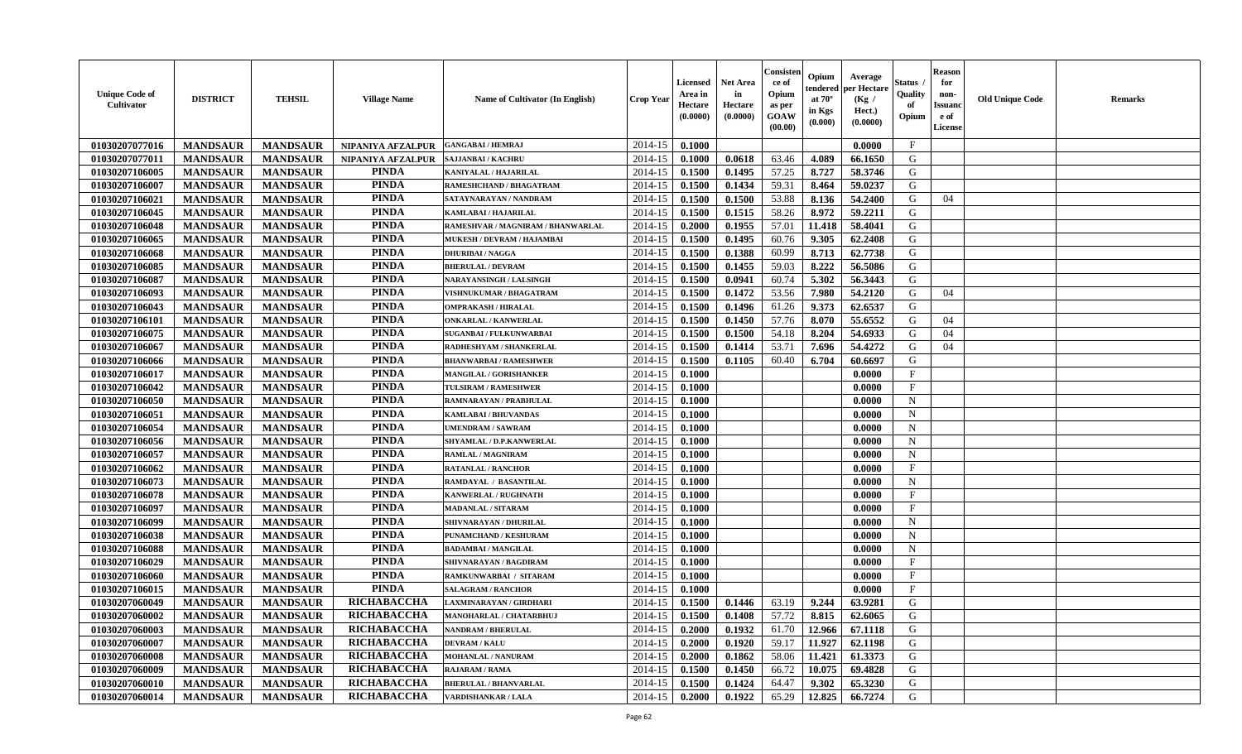| <b>Unique Code of</b><br>Cultivator | <b>DISTRICT</b> | <b>TEHSIL</b>   | <b>Village Name</b> | <b>Name of Cultivator (In English)</b> | <b>Crop Year</b> | Licensed<br>Area in<br>Hectare<br>(0.0000) | Net Area<br>in<br>Hectare<br>(0.0000) | Consister<br>ce of<br>Opium<br>as per<br>GOAW<br>(00.00) | Opium<br>tendered<br>at $70^\circ$<br>in Kgs<br>(0.000) | Average<br>per Hectare<br>(Kg /<br>Hect.)<br>(0.0000) | Status<br>Quality<br>of<br>Opium | Reason<br>for<br>non-<br>Issuan<br>e of<br>License | <b>Old Unique Code</b> | <b>Remarks</b> |
|-------------------------------------|-----------------|-----------------|---------------------|----------------------------------------|------------------|--------------------------------------------|---------------------------------------|----------------------------------------------------------|---------------------------------------------------------|-------------------------------------------------------|----------------------------------|----------------------------------------------------|------------------------|----------------|
| 01030207077016                      | <b>MANDSAUR</b> | <b>MANDSAUR</b> | NIPANIYA AFZALPUR   | <b>GANGABAI / HEMRAJ</b>               | 2014-15          | 0.1000                                     |                                       |                                                          |                                                         | 0.0000                                                | $\mathbf{F}$                     |                                                    |                        |                |
| 01030207077011                      | <b>MANDSAUR</b> | <b>MANDSAUR</b> | NIPANIYA AFZALPUR   | <b>SAJJANBAI / KACHRU</b>              | 2014-15          | 0.1000                                     | 0.0618                                | 63.46                                                    | 4.089                                                   | 66.1650                                               | G                                |                                                    |                        |                |
| 01030207106005                      | <b>MANDSAUR</b> | <b>MANDSAUR</b> | <b>PINDA</b>        | KANIYALAL / HAJARILAL                  | 2014-15          | 0.1500                                     | 0.1495                                | 57.25                                                    | 8.727                                                   | 58.3746                                               | G                                |                                                    |                        |                |
| 01030207106007                      | <b>MANDSAUR</b> | <b>MANDSAUR</b> | <b>PINDA</b>        | RAMESHCHAND / BHAGATRAM                | 2014-15          | 0.1500                                     | 0.1434                                | 59.31                                                    | 8.464                                                   | 59.0237                                               | G                                |                                                    |                        |                |
| 01030207106021                      | <b>MANDSAUR</b> | <b>MANDSAUR</b> | <b>PINDA</b>        | SATAYNARAYAN / NANDRAM                 | 2014-15          | 0.1500                                     | 0.1500                                | 53.88                                                    | 8.136                                                   | 54.2400                                               | G                                | 04                                                 |                        |                |
| 01030207106045                      | <b>MANDSAUR</b> | <b>MANDSAUR</b> | <b>PINDA</b>        | KAMLABAI / HAJARILAL                   | 2014-15          | 0.1500                                     | 0.1515                                | 58.26                                                    | 8.972                                                   | 59.2211                                               | G                                |                                                    |                        |                |
| 01030207106048                      | <b>MANDSAUR</b> | <b>MANDSAUR</b> | <b>PINDA</b>        | RAMESHVAR / MAGNIRAM / BHANWARLAL      | 2014-15          | 0.2000                                     | 0.1955                                | 57.01                                                    | 11.418                                                  | 58.4041                                               | G                                |                                                    |                        |                |
| 01030207106065                      | <b>MANDSAUR</b> | <b>MANDSAUR</b> | <b>PINDA</b>        | MUKESH / DEVRAM / HAJAMBAI             | 2014-15          | 0.1500                                     | 0.1495                                | 60.76                                                    | 9.305                                                   | 62.2408                                               | G                                |                                                    |                        |                |
| 01030207106068                      | <b>MANDSAUR</b> | <b>MANDSAUR</b> | <b>PINDA</b>        | <b>DHURIBAI / NAGGA</b>                | 2014-15          | 0.1500                                     | 0.1388                                | 60.99                                                    | 8.713                                                   | 62.7738                                               | G                                |                                                    |                        |                |
| 01030207106085                      | <b>MANDSAUR</b> | <b>MANDSAUR</b> | <b>PINDA</b>        | <b>BHERULAL / DEVRAM</b>               | 2014-15          | 0.1500                                     | 0.1455                                | 59.03                                                    | 8.222                                                   | 56.5086                                               | G                                |                                                    |                        |                |
| 01030207106087                      | <b>MANDSAUR</b> | <b>MANDSAUR</b> | <b>PINDA</b>        | <b>NARAYANSINGH / LALSINGH</b>         | 2014-15          | 0.1500                                     | 0.0941                                | 60.74                                                    | 5.302                                                   | 56.3443                                               | G                                |                                                    |                        |                |
| 01030207106093                      | <b>MANDSAUR</b> | <b>MANDSAUR</b> | <b>PINDA</b>        | VISHNUKUMAR / BHAGATRAM                | 2014-15          | 0.1500                                     | 0.1472                                | 53.56                                                    | 7.980                                                   | 54.2120                                               | G                                | 04                                                 |                        |                |
| 01030207106043                      | <b>MANDSAUR</b> | <b>MANDSAUR</b> | <b>PINDA</b>        | <b>OMPRAKASH / HIRALAL</b>             | 2014-15          | 0.1500                                     | 0.1496                                | 61.26                                                    | 9.373                                                   | 62.6537                                               | G                                |                                                    |                        |                |
| 01030207106101                      | <b>MANDSAUR</b> | <b>MANDSAUR</b> | <b>PINDA</b>        | <b>ONKARLAL / KANWERLAL</b>            | 2014-15          | 0.1500                                     | 0.1450                                | 57.76                                                    | 8.070                                                   | 55.6552                                               | G                                | 04                                                 |                        |                |
| 01030207106075                      | <b>MANDSAUR</b> | <b>MANDSAUR</b> | <b>PINDA</b>        | SUGANBAI / FULKUNWARBAI                | 2014-15          | 0.1500                                     | 0.1500                                | 54.18                                                    | 8.204                                                   | 54.6933                                               | G                                | 04                                                 |                        |                |
| 01030207106067                      | <b>MANDSAUR</b> | <b>MANDSAUR</b> | <b>PINDA</b>        | RADHESHYAM / SHANKERLAL                | 2014-15          | 0.1500                                     | 0.1414                                | 53.71                                                    | 7.696                                                   | 54.4272                                               | G                                | 04                                                 |                        |                |
| 01030207106066                      | <b>MANDSAUR</b> | <b>MANDSAUR</b> | <b>PINDA</b>        | <b>BHANWARBAI / RAMESHWER</b>          | 2014-15          | 0.1500                                     | 0.1105                                | 60.40                                                    | 6.704                                                   | 60.6697                                               | G                                |                                                    |                        |                |
| 01030207106017                      | <b>MANDSAUR</b> | <b>MANDSAUR</b> | <b>PINDA</b>        | <b>MANGILAL / GORISHANKER</b>          | 2014-15          | 0.1000                                     |                                       |                                                          |                                                         | 0.0000                                                | $\mathbf{F}$                     |                                                    |                        |                |
| 01030207106042                      | <b>MANDSAUR</b> | <b>MANDSAUR</b> | <b>PINDA</b>        | TULSIRAM / RAMESHWER                   | 2014-15          | 0.1000                                     |                                       |                                                          |                                                         | 0.0000                                                | F                                |                                                    |                        |                |
| 01030207106050                      | <b>MANDSAUR</b> | <b>MANDSAUR</b> | <b>PINDA</b>        | RAMNARAYAN / PRABHULAL                 | 2014-15          | 0.1000                                     |                                       |                                                          |                                                         | 0.0000                                                | $\mathbf N$                      |                                                    |                        |                |
| 01030207106051                      | <b>MANDSAUR</b> | <b>MANDSAUR</b> | <b>PINDA</b>        | KAMLABAI / BHUVANDAS                   | 2014-15          | 0.1000                                     |                                       |                                                          |                                                         | 0.0000                                                | $\mathbf N$                      |                                                    |                        |                |
| 01030207106054                      | <b>MANDSAUR</b> | <b>MANDSAUR</b> | <b>PINDA</b>        | <b>UMENDRAM / SAWRAM</b>               | 2014-15          | 0.1000                                     |                                       |                                                          |                                                         | 0.0000                                                | $\mathbf N$                      |                                                    |                        |                |
| 01030207106056                      | <b>MANDSAUR</b> | <b>MANDSAUR</b> | <b>PINDA</b>        | SHYAMLAL / D.P.KANWERLAL               | 2014-15          | 0.1000                                     |                                       |                                                          |                                                         | 0.0000                                                | $\mathbf N$                      |                                                    |                        |                |
| 01030207106057                      | <b>MANDSAUR</b> | <b>MANDSAUR</b> | <b>PINDA</b>        | <b>RAMLAL / MAGNIRAM</b>               | 2014-15          | 0.1000                                     |                                       |                                                          |                                                         | 0.0000                                                | $\mathbf N$                      |                                                    |                        |                |
| 01030207106062                      | <b>MANDSAUR</b> | <b>MANDSAUR</b> | <b>PINDA</b>        | <b>RATANLAL / RANCHOR</b>              | 2014-15          | 0.1000                                     |                                       |                                                          |                                                         | 0.0000                                                | $\mathbf{F}$                     |                                                    |                        |                |
| 01030207106073                      | <b>MANDSAUR</b> | <b>MANDSAUR</b> | <b>PINDA</b>        | RAMDAYAL / BASANTILAL                  | 2014-15          | 0.1000                                     |                                       |                                                          |                                                         | 0.0000                                                | $\mathbf N$                      |                                                    |                        |                |
| 01030207106078                      | <b>MANDSAUR</b> | <b>MANDSAUR</b> | <b>PINDA</b>        | KANWERLAL / RUGHNATH                   | 2014-15          | 0.1000                                     |                                       |                                                          |                                                         | 0.0000                                                | F                                |                                                    |                        |                |
| 01030207106097                      | <b>MANDSAUR</b> | <b>MANDSAUR</b> | <b>PINDA</b>        | <b>MADANLAL / SITARAM</b>              | 2014-15          | 0.1000                                     |                                       |                                                          |                                                         | 0.0000                                                | $\mathbf{F}$                     |                                                    |                        |                |
| 01030207106099                      | <b>MANDSAUR</b> | <b>MANDSAUR</b> | <b>PINDA</b>        | SHIVNARAYAN / DHURILAL                 | 2014-15          | 0.1000                                     |                                       |                                                          |                                                         | 0.0000                                                | $\mathbf N$                      |                                                    |                        |                |
| 01030207106038                      | <b>MANDSAUR</b> | <b>MANDSAUR</b> | <b>PINDA</b>        | PUNAMCHAND / KESHURAM                  | 2014-15          | 0.1000                                     |                                       |                                                          |                                                         | 0.0000                                                | $\mathbf N$                      |                                                    |                        |                |
| 01030207106088                      | <b>MANDSAUR</b> | <b>MANDSAUR</b> | <b>PINDA</b>        | <b>BADAMBAI/MANGILAL</b>               | 2014-15          | 0.1000                                     |                                       |                                                          |                                                         | 0.0000                                                | N                                |                                                    |                        |                |
| 01030207106029                      | <b>MANDSAUR</b> | <b>MANDSAUR</b> | <b>PINDA</b>        | SHIVNARAYAN / BAGDIRAM                 | 2014-15          | 0.1000                                     |                                       |                                                          |                                                         | 0.0000                                                | $\mathbf{F}$                     |                                                    |                        |                |
| 01030207106060                      | <b>MANDSAUR</b> | <b>MANDSAUR</b> | <b>PINDA</b>        | RAMKUNWARBAI / SITARAM                 | 2014-15          | 0.1000                                     |                                       |                                                          |                                                         | 0.0000                                                | $\mathbf{F}$                     |                                                    |                        |                |
| 01030207106015                      | <b>MANDSAUR</b> | <b>MANDSAUR</b> | <b>PINDA</b>        | <b>SALAGRAM / RANCHOR</b>              | 2014-15          | 0.1000                                     |                                       |                                                          |                                                         | 0.0000                                                | $_{\rm F}$                       |                                                    |                        |                |
| 01030207060049                      | <b>MANDSAUR</b> | <b>MANDSAUR</b> | <b>RICHABACCHA</b>  | <b>LAXMINARAYAN / GIRDHARI</b>         | 2014-15          | 0.1500                                     | 0.1446                                | 63.19                                                    | 9.244                                                   | 63.9281                                               | G                                |                                                    |                        |                |
| 01030207060002                      | <b>MANDSAUR</b> | <b>MANDSAUR</b> | RICHABACCHA         | MANOHARLAL / CHATARBHUJ                |                  | $2014-15$   0.1500                         | 0.1408                                | 57.72                                                    | 8.815                                                   | 62.6065                                               | G                                |                                                    |                        |                |
| 01030207060003                      | <b>MANDSAUR</b> | <b>MANDSAUR</b> | RICHABACCHA         | <b>NANDRAM / BHERULAL</b>              | 2014-15          | 0.2000                                     | 0.1932                                | 61.70                                                    | 12.966                                                  | 67.1118                                               | G                                |                                                    |                        |                |
| 01030207060007                      | <b>MANDSAUR</b> | <b>MANDSAUR</b> | RICHABACCHA         | <b>DEVRAM / KALU</b>                   | 2014-15          | 0.2000                                     | 0.1920                                | 59.17                                                    | 11.927                                                  | 62.1198                                               | G                                |                                                    |                        |                |
| 01030207060008                      | <b>MANDSAUR</b> | <b>MANDSAUR</b> | <b>RICHABACCHA</b>  | <b>MOHANLAL / NANURAM</b>              | 2014-15          | 0.2000                                     | 0.1862                                | 58.06                                                    | 11.421                                                  | 61.3373                                               | G                                |                                                    |                        |                |
| 01030207060009                      | <b>MANDSAUR</b> | <b>MANDSAUR</b> | <b>RICHABACCHA</b>  | <b>RAJARAM / RAMA</b>                  | 2014-15          | 0.1500                                     | 0.1450                                | 66.72                                                    | 10.075                                                  | 69.4828                                               | G                                |                                                    |                        |                |
| 01030207060010                      | <b>MANDSAUR</b> | <b>MANDSAUR</b> | <b>RICHABACCHA</b>  | <b>BHERULAL / BHANVARLAL</b>           | 2014-15          | 0.1500                                     | 0.1424                                | 64.47                                                    | 9.302                                                   | 65.3230                                               | G                                |                                                    |                        |                |
| 01030207060014                      | <b>MANDSAUR</b> | <b>MANDSAUR</b> | <b>RICHABACCHA</b>  | <b>VARDISHANKAR / LALA</b>             | 2014-15          | 0.2000                                     | 0.1922                                | 65.29                                                    | 12.825                                                  | 66.7274                                               | G                                |                                                    |                        |                |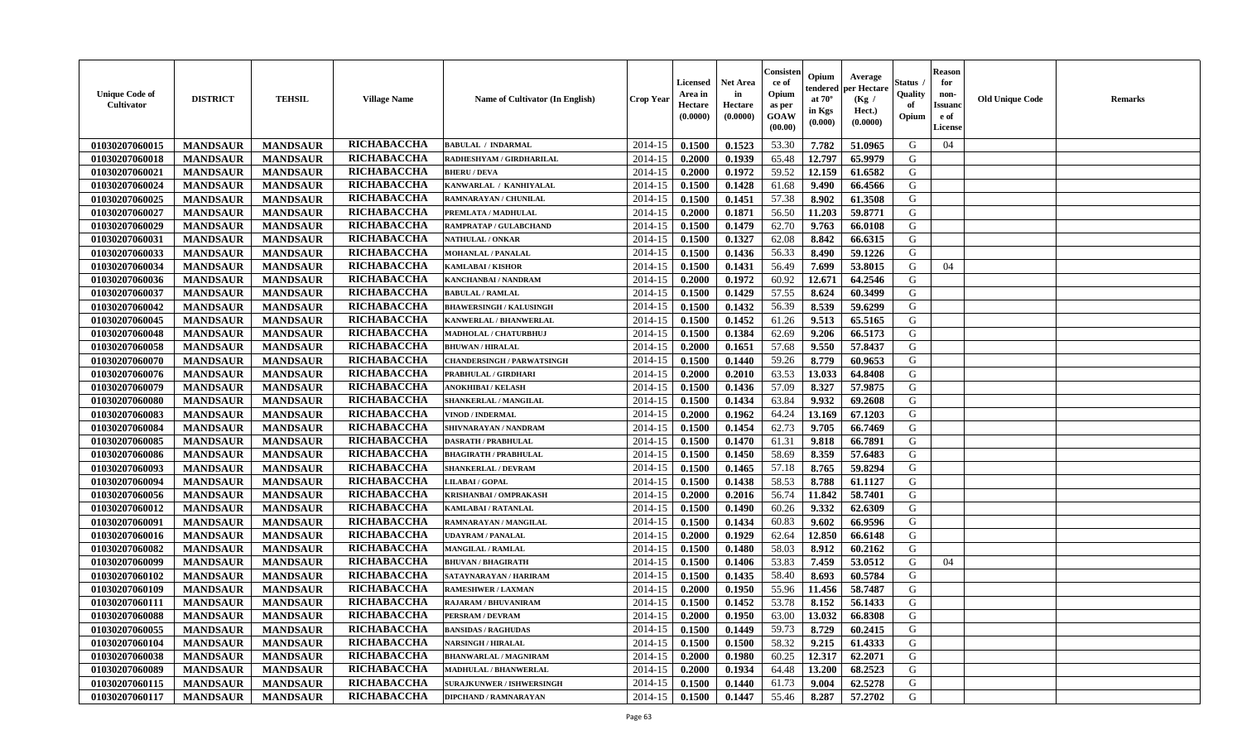| <b>Unique Code of</b><br><b>Cultivator</b> | <b>DISTRICT</b> | <b>TEHSIL</b>   | <b>Village Name</b> | Name of Cultivator (In English)   | <b>Crop Year</b> | <b>Licensed</b><br>Area in<br>Hectare<br>(0.0000) | Net Area<br>in<br>Hectare<br>(0.0000) | Consister<br>ce of<br>Opium<br>as per<br>GOAW<br>(00.00) | Opium<br>tendered<br>at $70^\circ$<br>in Kgs<br>(0.000) | Average<br>per Hectare<br>(Kg /<br>Hect.)<br>(0.0000) | Status<br>Quality<br>of<br>Opium | <b>Reason</b><br>for<br>non-<br><b>Issuand</b><br>e of<br>License | <b>Old Unique Code</b> | <b>Remarks</b> |
|--------------------------------------------|-----------------|-----------------|---------------------|-----------------------------------|------------------|---------------------------------------------------|---------------------------------------|----------------------------------------------------------|---------------------------------------------------------|-------------------------------------------------------|----------------------------------|-------------------------------------------------------------------|------------------------|----------------|
| 01030207060015                             | <b>MANDSAUR</b> | <b>MANDSAUR</b> | RICHABACCHA         | <b>BABULAL / INDARMAL</b>         | 2014-15          | 0.1500                                            | 0.1523                                | 53.30                                                    | 7.782                                                   | 51.0965                                               | G                                | 04                                                                |                        |                |
| 01030207060018                             | <b>MANDSAUR</b> | <b>MANDSAUR</b> | RICHABACCHA         | RADHESHYAM / GIRDHARILAL          | 2014-15          | 0.2000                                            | 0.1939                                | 65.48                                                    | 12.797                                                  | 65.9979                                               | G                                |                                                                   |                        |                |
| 01030207060021                             | <b>MANDSAUR</b> | <b>MANDSAUR</b> | RICHABACCHA         | <b>BHERU / DEVA</b>               | 2014-15          | 0.2000                                            | 0.1972                                | 59.52                                                    | 12.159                                                  | 61.6582                                               | G                                |                                                                   |                        |                |
| 01030207060024                             | <b>MANDSAUR</b> | <b>MANDSAUR</b> | RICHABACCHA         | KANWARLAL / KANHIYALAL            | 2014-15          | 0.1500                                            | 0.1428                                | 61.68                                                    | 9.490                                                   | 66.4566                                               | G                                |                                                                   |                        |                |
| 01030207060025                             | <b>MANDSAUR</b> | <b>MANDSAUR</b> | RICHABACCHA         | RAMNARAYAN / CHUNILAL             | 2014-15          | 0.1500                                            | 0.1451                                | 57.38                                                    | 8.902                                                   | 61.3508                                               | G                                |                                                                   |                        |                |
| 01030207060027                             | <b>MANDSAUR</b> | <b>MANDSAUR</b> | RICHABACCHA         | PREMLATA / MADHULAL               | 2014-15          | 0.2000                                            | 0.1871                                | 56.50                                                    | 11.203                                                  | 59.8771                                               | G                                |                                                                   |                        |                |
| 01030207060029                             | <b>MANDSAUR</b> | <b>MANDSAUR</b> | RICHABACCHA         | RAMPRATAP / GULABCHAND            | 2014-15          | 0.1500                                            | 0.1479                                | 62.70                                                    | 9.763                                                   | 66.0108                                               | G                                |                                                                   |                        |                |
| 01030207060031                             | <b>MANDSAUR</b> | <b>MANDSAUR</b> | RICHABACCHA         | NATHULAL / ONKAR                  | 2014-15          | 0.1500                                            | 0.1327                                | 62.08                                                    | 8.842                                                   | 66.6315                                               | G                                |                                                                   |                        |                |
| 01030207060033                             | <b>MANDSAUR</b> | <b>MANDSAUR</b> | RICHABACCHA         | <b>MOHANLAL / PANALAL</b>         | 2014-15          | 0.1500                                            | 0.1436                                | 56.33                                                    | 8.490                                                   | 59.1226                                               | G                                |                                                                   |                        |                |
| 01030207060034                             | <b>MANDSAUR</b> | <b>MANDSAUR</b> | RICHABACCHA         | <b>KAMLABAI/KISHOR</b>            | 2014-15          | 0.1500                                            | 0.1431                                | 56.49                                                    | 7.699                                                   | 53.8015                                               | G                                | 04                                                                |                        |                |
| 01030207060036                             | <b>MANDSAUR</b> | <b>MANDSAUR</b> | RICHABACCHA         | KANCHANBAI / NANDRAM              | 2014-15          | 0.2000                                            | 0.1972                                | 60.92                                                    | 12.671                                                  | 64.2546                                               | G                                |                                                                   |                        |                |
| 01030207060037                             | <b>MANDSAUR</b> | <b>MANDSAUR</b> | RICHABACCHA         | <b>BABULAL / RAMLAL</b>           | 2014-15          | 0.1500                                            | 0.1429                                | 57.55                                                    | 8.624                                                   | 60.3499                                               | G                                |                                                                   |                        |                |
| 01030207060042                             | <b>MANDSAUR</b> | <b>MANDSAUR</b> | RICHABACCHA         | <b>BHAWERSINGH / KALUSINGH</b>    | 2014-15          | 0.1500                                            | 0.1432                                | 56.39                                                    | 8.539                                                   | 59.6299                                               | G                                |                                                                   |                        |                |
| 01030207060045                             | <b>MANDSAUR</b> | <b>MANDSAUR</b> | RICHABACCHA         | KANWERLAL / BHANWERLAL            | 2014-15          | 0.1500                                            | 0.1452                                | 61.26                                                    | 9.513                                                   | 65.5165                                               | G                                |                                                                   |                        |                |
| 01030207060048                             | <b>MANDSAUR</b> | <b>MANDSAUR</b> | RICHABACCHA         | MADHOLAL / CHATURBHUJ             | 2014-15          | 0.1500                                            | 0.1384                                | 62.69                                                    | 9.206                                                   | 66.5173                                               | G                                |                                                                   |                        |                |
| 01030207060058                             | <b>MANDSAUR</b> | <b>MANDSAUR</b> | RICHABACCHA         | <b>BHUWAN / HIRALAL</b>           | 2014-15          | 0.2000                                            | 0.1651                                | 57.68                                                    | 9.550                                                   | 57.8437                                               | G                                |                                                                   |                        |                |
| 01030207060070                             | <b>MANDSAUR</b> | <b>MANDSAUR</b> | RICHABACCHA         | <b>CHANDERSINGH / PARWATSINGH</b> | 2014-15          | 0.1500                                            | 0.1440                                | 59.26                                                    | 8.779                                                   | 60.9653                                               | G                                |                                                                   |                        |                |
| 01030207060076                             | <b>MANDSAUR</b> | <b>MANDSAUR</b> | RICHABACCHA         | PRABHULAL / GIRDHARI              | 2014-15          | 0.2000                                            | 0.2010                                | 63.53                                                    | 13.033                                                  | 64.8408                                               | G                                |                                                                   |                        |                |
| 01030207060079                             | <b>MANDSAUR</b> | <b>MANDSAUR</b> | RICHABACCHA         | <b>ANOKHIBAI / KELASH</b>         | 2014-15          | 0.1500                                            | 0.1436                                | 57.09                                                    | 8.327                                                   | 57.9875                                               | G                                |                                                                   |                        |                |
| 01030207060080                             | <b>MANDSAUR</b> | <b>MANDSAUR</b> | RICHABACCHA         | SHANKERLAL / MANGILAL             | 2014-15          | 0.1500                                            | 0.1434                                | 63.84                                                    | 9.932                                                   | 69.2608                                               | G                                |                                                                   |                        |                |
| 01030207060083                             | <b>MANDSAUR</b> | <b>MANDSAUR</b> | RICHABACCHA         | <b>VINOD / INDERMAL</b>           | 2014-15          | 0.2000                                            | 0.1962                                | 64.24                                                    | 13.169                                                  | 67.1203                                               | G                                |                                                                   |                        |                |
| 01030207060084                             | <b>MANDSAUR</b> | <b>MANDSAUR</b> | RICHABACCHA         | SHIVNARAYAN / NANDRAM             | 2014-15          | 0.1500                                            | 0.1454                                | 62.73                                                    | 9.705                                                   | 66.7469                                               | G                                |                                                                   |                        |                |
| 01030207060085                             | <b>MANDSAUR</b> | <b>MANDSAUR</b> | RICHABACCHA         | <b>DASRATH / PRABHULAL</b>        | 2014-15          | 0.1500                                            | 0.1470                                | 61.31                                                    | 9.818                                                   | 66.7891                                               | G                                |                                                                   |                        |                |
| 01030207060086                             | <b>MANDSAUR</b> | <b>MANDSAUR</b> | RICHABACCHA         | <b>BHAGIRATH / PRABHULAL</b>      | 2014-15          | 0.1500                                            | 0.1450                                | 58.69                                                    | 8.359                                                   | 57.6483                                               | G                                |                                                                   |                        |                |
| 01030207060093                             | <b>MANDSAUR</b> | <b>MANDSAUR</b> | RICHABACCHA         | SHANKERLAL / DEVRAM               | 2014-15          | 0.1500                                            | 0.1465                                | 57.18                                                    | 8.765                                                   | 59.8294                                               | G                                |                                                                   |                        |                |
| 01030207060094                             | <b>MANDSAUR</b> | <b>MANDSAUR</b> | RICHABACCHA         | <b>LILABAI/GOPAL</b>              | 2014-15          | 0.1500                                            | 0.1438                                | 58.53                                                    | 8.788                                                   | 61.1127                                               | G                                |                                                                   |                        |                |
| 01030207060056                             | <b>MANDSAUR</b> | <b>MANDSAUR</b> | RICHABACCHA         | KRISHANBAI / OMPRAKASH            | 2014-15          | 0.2000                                            | 0.2016                                | 56.74                                                    | 11.842                                                  | 58.7401                                               | G                                |                                                                   |                        |                |
| 01030207060012                             | <b>MANDSAUR</b> | <b>MANDSAUR</b> | RICHABACCHA         | <b>KAMLABAI/RATANLAL</b>          | 2014-15          | 0.1500                                            | 0.1490                                | 60.26                                                    | 9.332                                                   | 62.6309                                               | G                                |                                                                   |                        |                |
| 01030207060091                             | <b>MANDSAUR</b> | <b>MANDSAUR</b> | <b>RICHABACCHA</b>  | RAMNARAYAN / MANGILAL             | 2014-15          | 0.1500                                            | 0.1434                                | 60.83                                                    | 9.602                                                   | 66.9596                                               | G                                |                                                                   |                        |                |
| 01030207060016                             | <b>MANDSAUR</b> | <b>MANDSAUR</b> | RICHABACCHA         | <b>UDAYRAM / PANALAL</b>          | 2014-15          | 0.2000                                            | 0.1929                                | 62.64                                                    | 12.850                                                  | 66.6148                                               | G                                |                                                                   |                        |                |
| 01030207060082                             | <b>MANDSAUR</b> | <b>MANDSAUR</b> | RICHABACCHA         | <b>MANGILAL / RAMLAL</b>          | 2014-15          | 0.1500                                            | 0.1480                                | 58.03                                                    | 8.912                                                   | 60.2162                                               | G                                |                                                                   |                        |                |
| 01030207060099                             | <b>MANDSAUR</b> | <b>MANDSAUR</b> | RICHABACCHA         | <b>BHUVAN / BHAGIRATH</b>         | 2014-15          | 0.1500                                            | 0.1406                                | 53.83                                                    | 7.459                                                   | 53.0512                                               | G                                | 04                                                                |                        |                |
| 01030207060102                             | <b>MANDSAUR</b> | <b>MANDSAUR</b> | RICHABACCHA         | SATAYNARAYAN / HARIRAM            | 2014-15          | 0.1500                                            | 0.1435                                | 58.40                                                    | 8.693                                                   | 60.5784                                               | G                                |                                                                   |                        |                |
| 01030207060109                             | <b>MANDSAUR</b> | <b>MANDSAUR</b> | RICHABACCHA         | <b>RAMESHWER / LAXMAN</b>         | 2014-15          | 0.2000                                            | 0.1950                                | 55.96                                                    | 11.456                                                  | 58.7487                                               | G                                |                                                                   |                        |                |
| 01030207060111                             | <b>MANDSAUR</b> | <b>MANDSAUR</b> | <b>RICHABACCHA</b>  | <b>RAJARAM / BHUVANIRAM</b>       | $2014 - 15$      | 0.1500                                            | 0.1452                                | 53.78                                                    | 8.152                                                   | 56.1433                                               | G                                |                                                                   |                        |                |
| 01030207060088                             | <b>MANDSAUR</b> | MANDSAUR        | RICHABACCHA         | PERSRAM / DEVRAM                  | $2014-15$ 0.2000 |                                                   | 0.1950                                |                                                          | 63.00 13.032                                            | 66.8308                                               | G                                |                                                                   |                        |                |
| 01030207060055                             | <b>MANDSAUR</b> | <b>MANDSAUR</b> | RICHABACCHA         | <b>BANSIDAS / RAGHUDAS</b>        | 2014-15          | 0.1500                                            | 0.1449                                | 59.73                                                    | 8.729                                                   | 60.2415                                               | G                                |                                                                   |                        |                |
| 01030207060104                             | <b>MANDSAUR</b> | <b>MANDSAUR</b> | <b>RICHABACCHA</b>  | <b>NARSINGH / HIRALAL</b>         | 2014-15          | 0.1500                                            | 0.1500                                | 58.32                                                    | 9.215                                                   | 61.4333                                               | G                                |                                                                   |                        |                |
| 01030207060038                             | <b>MANDSAUR</b> | <b>MANDSAUR</b> | RICHABACCHA         | <b>BHANWARLAL / MAGNIRAM</b>      | 2014-15          | 0.2000                                            | 0.1980                                | 60.25                                                    | 12.317                                                  | 62.2071                                               | G                                |                                                                   |                        |                |
| 01030207060089                             | <b>MANDSAUR</b> | <b>MANDSAUR</b> | RICHABACCHA         | MADHULAL / BHANWERLAL             | 2014-15          | 0.2000                                            | 0.1934                                | 64.48                                                    | 13.200                                                  | 68.2523                                               | G                                |                                                                   |                        |                |
| 01030207060115                             | <b>MANDSAUR</b> | <b>MANDSAUR</b> | RICHABACCHA         | <b>SURAJKUNWER / ISHWERSINGH</b>  | 2014-15          | 0.1500                                            | 0.1440                                | 61.73                                                    | 9.004                                                   | 62.5278                                               | G                                |                                                                   |                        |                |
| 01030207060117                             | <b>MANDSAUR</b> | <b>MANDSAUR</b> | RICHABACCHA         | <b>DIPCHAND / RAMNARAYAN</b>      | 2014-15          | 0.1500                                            | 0.1447                                | 55.46                                                    | 8.287                                                   | 57.2702                                               | G                                |                                                                   |                        |                |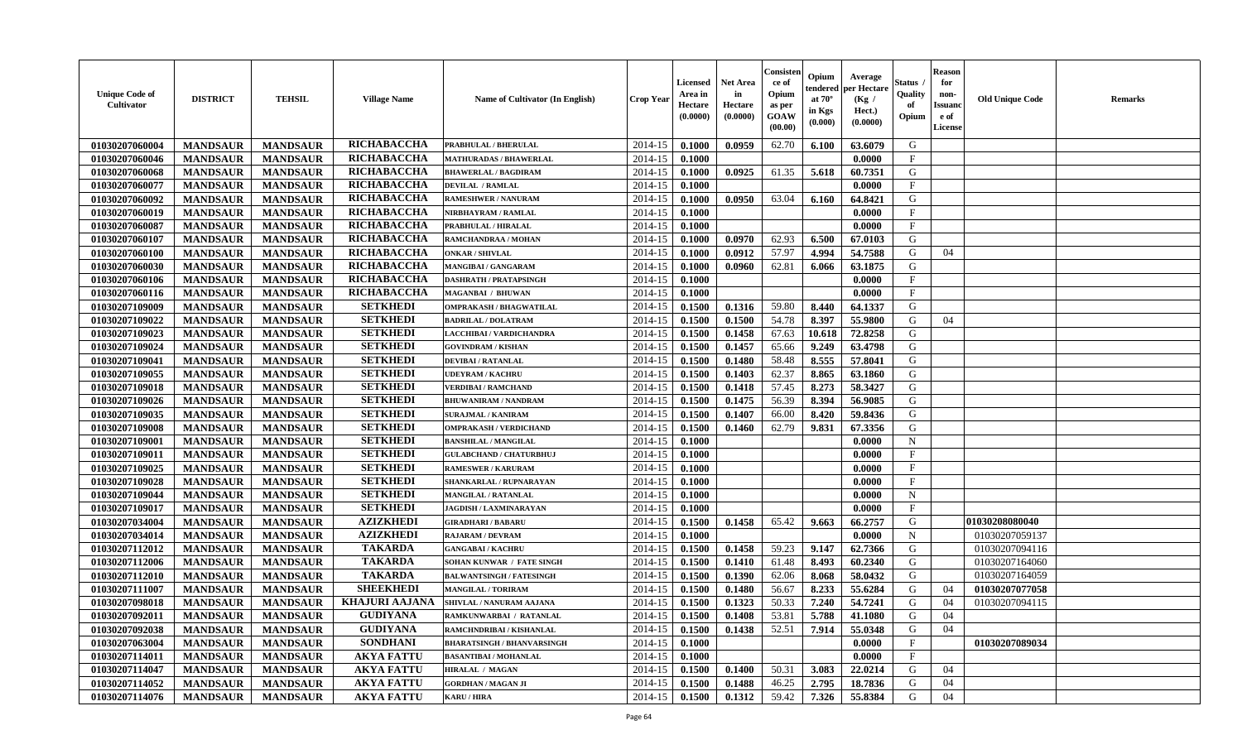| <b>Unique Code of</b><br>Cultivator | <b>DISTRICT</b> | <b>TEHSIL</b>   | <b>Village Name</b>   | Name of Cultivator (In English)   | <b>Crop Year</b> | <b>Licensed</b><br>Area in<br>Hectare<br>(0.0000) | Net Area<br>in<br>Hectare<br>(0.0000) | Consister<br>ce of<br>Opium<br>as per<br><b>GOAW</b><br>(00.00) | Opium<br>endereo<br>at $70^\circ$<br>in Kgs<br>(0.000) | Average<br>per Hectare<br>(Kg /<br>Hect.)<br>(0.0000) | Status<br>Quality<br>of<br>Opium | <b>Reason</b><br>for<br>non-<br><b>Issuano</b><br>e of<br>License | <b>Old Unique Code</b> | <b>Remarks</b> |
|-------------------------------------|-----------------|-----------------|-----------------------|-----------------------------------|------------------|---------------------------------------------------|---------------------------------------|-----------------------------------------------------------------|--------------------------------------------------------|-------------------------------------------------------|----------------------------------|-------------------------------------------------------------------|------------------------|----------------|
| 01030207060004                      | <b>MANDSAUR</b> | <b>MANDSAUR</b> | RICHABACCHA           | <b>PRABHULAL / BHERULAL</b>       | 2014-15          | 0.1000                                            | 0.0959                                | 62.70                                                           | 6.100                                                  | 63.6079                                               | G                                |                                                                   |                        |                |
| 01030207060046                      | <b>MANDSAUR</b> | <b>MANDSAUR</b> | RICHABACCHA           | <b>MATHURADAS / BHAWERLAL</b>     | 2014-15          | 0.1000                                            |                                       |                                                                 |                                                        | 0.0000                                                | $\mathbf{F}$                     |                                                                   |                        |                |
| 01030207060068                      | <b>MANDSAUR</b> | <b>MANDSAUR</b> | RICHABACCHA           | <b>BHAWERLAL / BAGDIRAM</b>       | 2014-15          | 0.1000                                            | 0.0925                                | 61.35                                                           | 5.618                                                  | 60.7351                                               | G                                |                                                                   |                        |                |
| 01030207060077                      | <b>MANDSAUR</b> | <b>MANDSAUR</b> | RICHABACCHA           | <b>DEVILAL / RAMLAL</b>           | 2014-15          | 0.1000                                            |                                       |                                                                 |                                                        | 0.0000                                                | F                                |                                                                   |                        |                |
| 01030207060092                      | <b>MANDSAUR</b> | <b>MANDSAUR</b> | RICHABACCHA           | <b>RAMESHWER / NANURAM</b>        | 2014-15          | 0.1000                                            | 0.0950                                | 63.04                                                           | 6.160                                                  | 64.8421                                               | G                                |                                                                   |                        |                |
| 01030207060019                      | <b>MANDSAUR</b> | <b>MANDSAUR</b> | RICHABACCHA           | NIRBHAYRAM / RAMLAL               | 2014-15          | 0.1000                                            |                                       |                                                                 |                                                        | 0.0000                                                | $\mathbf{F}$                     |                                                                   |                        |                |
| 01030207060087                      | <b>MANDSAUR</b> | <b>MANDSAUR</b> | RICHABACCHA           | <b>PRABHULAL / HIRALAL</b>        | 2014-15          | 0.1000                                            |                                       |                                                                 |                                                        | 0.0000                                                | $\mathbf{F}$                     |                                                                   |                        |                |
| 01030207060107                      | <b>MANDSAUR</b> | <b>MANDSAUR</b> | RICHABACCHA           | RAMCHANDRAA / MOHAN               | 2014-15          | 0.1000                                            | 0.0970                                | 62.93                                                           | 6.500                                                  | 67.0103                                               | G                                |                                                                   |                        |                |
| 01030207060100                      | <b>MANDSAUR</b> | <b>MANDSAUR</b> | RICHABACCHA           | <b>ONKAR / SHIVLAL</b>            | 2014-15          | 0.1000                                            | 0.0912                                | 57.97                                                           | 4.994                                                  | 54.7588                                               | G                                | 04                                                                |                        |                |
| 01030207060030                      | <b>MANDSAUR</b> | <b>MANDSAUR</b> | RICHABACCHA           | MANGIBAI / GANGARAM               | 2014-15          | 0.1000                                            | 0.0960                                | 62.81                                                           | 6.066                                                  | 63.1875                                               | G                                |                                                                   |                        |                |
| 01030207060106                      | <b>MANDSAUR</b> | <b>MANDSAUR</b> | RICHABACCHA           | <b>DASHRATH / PRATAPSINGH</b>     | 2014-15          | 0.1000                                            |                                       |                                                                 |                                                        | 0.0000                                                | F                                |                                                                   |                        |                |
| 01030207060116                      | <b>MANDSAUR</b> | <b>MANDSAUR</b> | RICHABACCHA           | <b>MAGANBAI / BHUWAN</b>          | 2014-15          | 0.1000                                            |                                       |                                                                 |                                                        | 0.0000                                                | $\mathbf{F}$                     |                                                                   |                        |                |
| 01030207109009                      | <b>MANDSAUR</b> | <b>MANDSAUR</b> | <b>SETKHEDI</b>       | <b>OMPRAKASH / BHAGWATILAL</b>    | 2014-15          | 0.1500                                            | 0.1316                                | 59.80                                                           | 8.440                                                  | 64.1337                                               | G                                |                                                                   |                        |                |
| 01030207109022                      | <b>MANDSAUR</b> | <b>MANDSAUR</b> | <b>SETKHEDI</b>       | <b>BADRILAL / DOLATRAM</b>        | 2014-15          | 0.1500                                            | 0.1500                                | 54.78                                                           | 8.397                                                  | 55.9800                                               | G                                | 04                                                                |                        |                |
| 01030207109023                      | <b>MANDSAUR</b> | <b>MANDSAUR</b> | <b>SETKHEDI</b>       | LACCHIBAI / VARDICHANDRA          | 2014-15          | 0.1500                                            | 0.1458                                | 67.63                                                           | 10.618                                                 | 72.8258                                               | G                                |                                                                   |                        |                |
| 01030207109024                      | <b>MANDSAUR</b> | <b>MANDSAUR</b> | <b>SETKHEDI</b>       | <b>GOVINDRAM / KISHAN</b>         | 2014-15          | 0.1500                                            | 0.1457                                | 65.66                                                           | 9.249                                                  | 63.4798                                               | G                                |                                                                   |                        |                |
| 01030207109041                      | <b>MANDSAUR</b> | <b>MANDSAUR</b> | <b>SETKHEDI</b>       | <b>DEVIBAI/RATANLAL</b>           | 2014-15          | 0.1500                                            | 0.1480                                | 58.48                                                           | 8.555                                                  | 57.8041                                               | G                                |                                                                   |                        |                |
| 01030207109055                      | <b>MANDSAUR</b> | <b>MANDSAUR</b> | <b>SETKHEDI</b>       | <b>UDEYRAM / KACHRU</b>           | 2014-15          | 0.1500                                            | 0.1403                                | 62.37                                                           | 8.865                                                  | 63.1860                                               | G                                |                                                                   |                        |                |
| 01030207109018                      | <b>MANDSAUR</b> | <b>MANDSAUR</b> | <b>SETKHEDI</b>       | <b>VERDIBAI / RAMCHAND</b>        | 2014-15          | 0.1500                                            | 0.1418                                | 57.45                                                           | 8.273                                                  | 58.3427                                               | G                                |                                                                   |                        |                |
| 01030207109026                      | <b>MANDSAUR</b> | <b>MANDSAUR</b> | <b>SETKHEDI</b>       | <b>BHUWANIRAM / NANDRAM</b>       | 2014-15          | 0.1500                                            | 0.1475                                | 56.39                                                           | 8.394                                                  | 56.9085                                               | G                                |                                                                   |                        |                |
| 01030207109035                      | <b>MANDSAUR</b> | <b>MANDSAUR</b> | <b>SETKHEDI</b>       | <b>SURAJMAL / KANIRAM</b>         | 2014-15          | 0.1500                                            | 0.1407                                | 66.00                                                           | 8.420                                                  | 59.8436                                               | G                                |                                                                   |                        |                |
| 01030207109008                      | <b>MANDSAUR</b> | <b>MANDSAUR</b> | <b>SETKHEDI</b>       | <b>OMPRAKASH / VERDICHAND</b>     | 2014-15          | 0.1500                                            | 0.1460                                | 62.79                                                           | 9.831                                                  | 67.3356                                               | G                                |                                                                   |                        |                |
| 01030207109001                      | <b>MANDSAUR</b> | <b>MANDSAUR</b> | <b>SETKHEDI</b>       | <b>BANSHILAL / MANGILAL</b>       | 2014-15          | 0.1000                                            |                                       |                                                                 |                                                        | 0.0000                                                | $\mathbf N$                      |                                                                   |                        |                |
| 01030207109011                      | <b>MANDSAUR</b> | <b>MANDSAUR</b> | <b>SETKHEDI</b>       | <b>GULABCHAND / CHATURBHUJ</b>    | 2014-15          | 0.1000                                            |                                       |                                                                 |                                                        | 0.0000                                                | $\mathbf{F}$                     |                                                                   |                        |                |
| 01030207109025                      | <b>MANDSAUR</b> | <b>MANDSAUR</b> | <b>SETKHEDI</b>       | <b>RAMESWER / KARURAM</b>         | 2014-15          | 0.1000                                            |                                       |                                                                 |                                                        | 0.0000                                                | $\mathbf{F}$                     |                                                                   |                        |                |
| 01030207109028                      | <b>MANDSAUR</b> | <b>MANDSAUR</b> | <b>SETKHEDI</b>       | SHANKARLAL / RUPNARAYAN           | 2014-15          | 0.1000                                            |                                       |                                                                 |                                                        | 0.0000                                                | $\mathbf{F}$                     |                                                                   |                        |                |
| 01030207109044                      | <b>MANDSAUR</b> | <b>MANDSAUR</b> | <b>SETKHEDI</b>       | MANGILAL / RATANLAL               | 2014-15          | 0.1000                                            |                                       |                                                                 |                                                        | 0.0000                                                | $\mathbf N$                      |                                                                   |                        |                |
| 01030207109017                      | <b>MANDSAUR</b> | <b>MANDSAUR</b> | <b>SETKHEDI</b>       | JAGDISH / LAXMINARAYAN            | 2014-15          | 0.1000                                            |                                       |                                                                 |                                                        | 0.0000                                                | $\mathbf{F}$                     |                                                                   |                        |                |
| 01030207034004                      | <b>MANDSAUR</b> | <b>MANDSAUR</b> | <b>AZIZKHEDI</b>      | <b>GIRADHARI / BABARU</b>         | 2014-15          | 0.1500                                            | 0.1458                                | 65.42                                                           | 9.663                                                  | 66.2757                                               | G                                |                                                                   | 01030208080040         |                |
| 01030207034014                      | <b>MANDSAUR</b> | <b>MANDSAUR</b> | <b>AZIZKHEDI</b>      | <b>RAJARAM / DEVRAM</b>           | 2014-15          | 0.1000                                            |                                       |                                                                 |                                                        | 0.0000                                                | $\mathbf N$                      |                                                                   | 01030207059137         |                |
| 01030207112012                      | <b>MANDSAUR</b> | <b>MANDSAUR</b> | <b>TAKARDA</b>        | <b>GANGABAI/KACHRU</b>            | 2014-15          | 0.1500                                            | 0.1458                                | 59.23                                                           | 9.147                                                  | 62.7366                                               | G                                |                                                                   | 01030207094116         |                |
| 01030207112006                      | <b>MANDSAUR</b> | <b>MANDSAUR</b> | <b>TAKARDA</b>        | <b>SOHAN KUNWAR / FATE SINGH</b>  | 2014-15          | 0.1500                                            | 0.1410                                | 61.48                                                           | 8.493                                                  | 60.2340                                               | G                                |                                                                   | 01030207164060         |                |
| 01030207112010                      | <b>MANDSAUR</b> | <b>MANDSAUR</b> | <b>TAKARDA</b>        | <b>BALWANTSINGH / FATESINGH</b>   | 2014-15          | 0.1500                                            | 0.1390                                | 62.06                                                           | 8.068                                                  | 58.0432                                               | G                                |                                                                   | 01030207164059         |                |
| 01030207111007                      | <b>MANDSAUR</b> | <b>MANDSAUR</b> | <b>SHEEKHEDI</b>      | <b>MANGILAL / TORIRAM</b>         | 2014-15          | 0.1500                                            | 0.1480                                | 56.67                                                           | 8.233                                                  | 55.6284                                               | G                                | 04                                                                | 01030207077058         |                |
| 01030207098018                      | <b>MANDSAUR</b> | <b>MANDSAUR</b> | <b>KHAJURI AAJANA</b> | SHIVLAL / NANURAM AAJANA          | 2014-15          | 0.1500                                            | 0.1323                                | 50.33                                                           | 7.240                                                  | 54.7241                                               | G                                | 04                                                                | 01030207094115         |                |
| 01030207092011                      | <b>MANDSAUR</b> | <b>MANDSAUR</b> | <b>GUDIYANA</b>       | RAMKUNWARBAI / RATANLAL           |                  | $2014-15$ 0.1500                                  | 0.1408                                | 53.81                                                           | 5.788                                                  | 41.1080                                               | G                                | 04                                                                |                        |                |
| 01030207092038                      | <b>MANDSAUR</b> | <b>MANDSAUR</b> | <b>GUDIYANA</b>       | RAMCHNDRIBAI / KISHANLAL          | 2014-15          | 0.1500                                            | 0.1438                                | 52.51                                                           | 7.914                                                  | 55.0348                                               | G                                | 04                                                                |                        |                |
| 01030207063004                      | <b>MANDSAUR</b> | <b>MANDSAUR</b> | <b>SONDHANI</b>       | <b>BHARATSINGH / BHANVARSINGH</b> | 2014-15          | 0.1000                                            |                                       |                                                                 |                                                        | 0.0000                                                | $\mathbf F$                      |                                                                   | 01030207089034         |                |
| 01030207114011                      | <b>MANDSAUR</b> | <b>MANDSAUR</b> | <b>AKYA FATTU</b>     | <b>BASANTIBAI / MOHANLAL</b>      | 2014-15          | 0.1000                                            |                                       |                                                                 |                                                        | 0.0000                                                | $\mathbf{F}$                     |                                                                   |                        |                |
| 01030207114047                      | <b>MANDSAUR</b> | <b>MANDSAUR</b> | <b>AKYA FATTU</b>     | <b>HIRALAL / MAGAN</b>            | 2014-15          | 0.1500                                            | 0.1400                                | 50.31                                                           | 3.083                                                  | 22.0214                                               | G                                | 04                                                                |                        |                |
| 01030207114052                      | <b>MANDSAUR</b> | <b>MANDSAUR</b> | <b>AKYA FATTU</b>     | <b>GORDHAN / MAGAN JI</b>         | 2014-15          | 0.1500                                            | 0.1488                                | 46.25                                                           | 2.795                                                  | 18.7836                                               | G                                | 04                                                                |                        |                |
| 01030207114076                      | <b>MANDSAUR</b> | <b>MANDSAUR</b> | <b>AKYA FATTU</b>     | <b>KARU / HIRA</b>                | 2014-15          | 0.1500                                            | 0.1312                                | 59.42                                                           | 7.326                                                  | 55.8384                                               | G                                | 04                                                                |                        |                |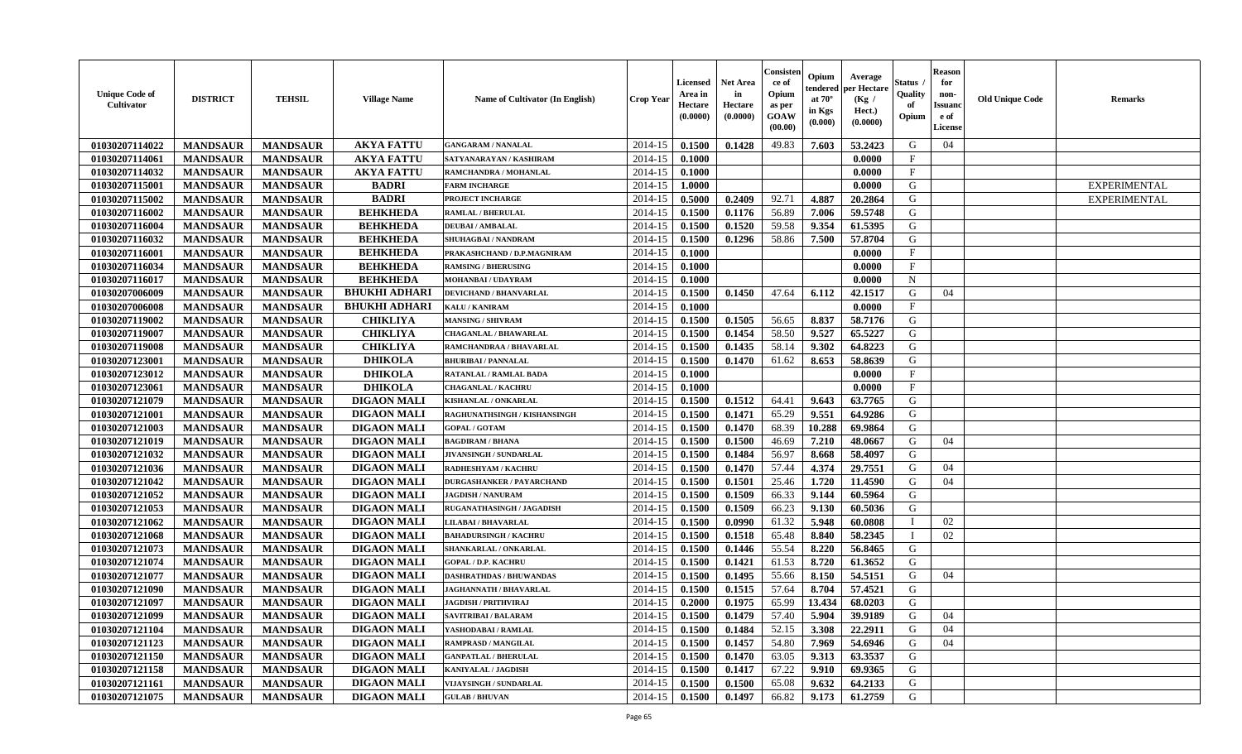| <b>Unique Code of</b><br>Cultivator | <b>DISTRICT</b> | <b>TEHSIL</b>   | <b>Village Name</b>  | Name of Cultivator (In English)  | <b>Crop Year</b> | <b>Licensed</b><br>Area in<br>Hectare<br>(0.0000) | Net Area<br>in<br>Hectare<br>(0.0000) | Consister<br>ce of<br>Opium<br>as per<br><b>GOAW</b><br>(00.00) | Opium<br>:endereo<br>at $70^\circ$<br>in Kgs<br>$({\bf 0.000})$ | Average<br>per Hectare<br>(Kg /<br>Hect.)<br>(0.0000) | Status<br>Quality<br>of<br>Opium | <b>Reason</b><br>for<br>non-<br><b>Issuano</b><br>e of<br>License | <b>Old Unique Code</b> | <b>Remarks</b>      |
|-------------------------------------|-----------------|-----------------|----------------------|----------------------------------|------------------|---------------------------------------------------|---------------------------------------|-----------------------------------------------------------------|-----------------------------------------------------------------|-------------------------------------------------------|----------------------------------|-------------------------------------------------------------------|------------------------|---------------------|
| 01030207114022                      | <b>MANDSAUR</b> | <b>MANDSAUR</b> | <b>AKYA FATTU</b>    | <b>GANGARAM / NANALAL</b>        | 2014-15          | 0.1500                                            | 0.1428                                | 49.83                                                           | 7.603                                                           | 53.2423                                               | G                                | 04                                                                |                        |                     |
| 01030207114061                      | <b>MANDSAUR</b> | <b>MANDSAUR</b> | <b>AKYA FATTU</b>    | SATYANARAYAN / KASHIRAM          | 2014-15          | 0.1000                                            |                                       |                                                                 |                                                                 | 0.0000                                                | $\mathbf{F}$                     |                                                                   |                        |                     |
| 01030207114032                      | <b>MANDSAUR</b> | <b>MANDSAUR</b> | <b>AKYA FATTU</b>    | RAMCHANDRA / MOHANLAL            | 2014-15          | 0.1000                                            |                                       |                                                                 |                                                                 | 0.0000                                                | $\mathbf{F}$                     |                                                                   |                        |                     |
| 01030207115001                      | <b>MANDSAUR</b> | <b>MANDSAUR</b> | <b>BADRI</b>         | <b>FARM INCHARGE</b>             | 2014-15          | 1.0000                                            |                                       |                                                                 |                                                                 | 0.0000                                                | G                                |                                                                   |                        | <b>EXPERIMENTAL</b> |
| 01030207115002                      | <b>MANDSAUR</b> | <b>MANDSAUR</b> | <b>BADRI</b>         | <b>PROJECT INCHARGE</b>          | 2014-15          | 0.5000                                            | 0.2409                                | 92.71                                                           | 4.887                                                           | 20.2864                                               | G                                |                                                                   |                        | <b>EXPERIMENTAL</b> |
| 01030207116002                      | <b>MANDSAUR</b> | <b>MANDSAUR</b> | <b>BEHKHEDA</b>      | <b>RAMLAL / BHERULAL</b>         | 2014-15          | 0.1500                                            | 0.1176                                | 56.89                                                           | 7.006                                                           | 59.5748                                               | G                                |                                                                   |                        |                     |
| 01030207116004                      | <b>MANDSAUR</b> | <b>MANDSAUR</b> | <b>BEHKHEDA</b>      | <b>DEUBAI/AMBALAL</b>            | 2014-15          | 0.1500                                            | 0.1520                                | 59.58                                                           | 9.354                                                           | 61.5395                                               | G                                |                                                                   |                        |                     |
| 01030207116032                      | <b>MANDSAUR</b> | <b>MANDSAUR</b> | <b>BEHKHEDA</b>      | <b>SHUHAGBAI/NANDRAM</b>         | 2014-15          | 0.1500                                            | 0.1296                                | 58.86                                                           | 7.500                                                           | 57.8704                                               | G                                |                                                                   |                        |                     |
| 01030207116001                      | <b>MANDSAUR</b> | <b>MANDSAUR</b> | <b>BEHKHEDA</b>      | PRAKASHCHAND / D.P.MAGNIRAM      | 2014-15          | 0.1000                                            |                                       |                                                                 |                                                                 | 0.0000                                                | F                                |                                                                   |                        |                     |
| 01030207116034                      | <b>MANDSAUR</b> | <b>MANDSAUR</b> | <b>BEHKHEDA</b>      | <b>RAMSING / BHERUSING</b>       | 2014-15          | 0.1000                                            |                                       |                                                                 |                                                                 | 0.0000                                                | $_{\rm F}$                       |                                                                   |                        |                     |
| 01030207116017                      | <b>MANDSAUR</b> | <b>MANDSAUR</b> | <b>BEHKHEDA</b>      | <b>MOHANBAI/UDAYRAM</b>          | 2014-15          | 0.1000                                            |                                       |                                                                 |                                                                 | 0.0000                                                | $\mathbf N$                      |                                                                   |                        |                     |
| 01030207006009                      | <b>MANDSAUR</b> | <b>MANDSAUR</b> | <b>BHUKHI ADHARI</b> | <b>DEVICHAND / BHANVARLAL</b>    | 2014-15          | 0.1500                                            | 0.1450                                | 47.64                                                           | 6.112                                                           | 42.1517                                               | G                                | 04                                                                |                        |                     |
| 01030207006008                      | <b>MANDSAUR</b> | <b>MANDSAUR</b> | <b>BHUKHI ADHARI</b> | <b>KALU / KANIRAM</b>            | 2014-15          | 0.1000                                            |                                       |                                                                 |                                                                 | 0.0000                                                | $\mathbf{F}$                     |                                                                   |                        |                     |
| 01030207119002                      | <b>MANDSAUR</b> | <b>MANDSAUR</b> | <b>CHIKLIYA</b>      | <b>MANSING / SHIVRAM</b>         | 2014-15          | 0.1500                                            | 0.1505                                | 56.65                                                           | 8.837                                                           | 58.7176                                               | G                                |                                                                   |                        |                     |
| 01030207119007                      | <b>MANDSAUR</b> | <b>MANDSAUR</b> | <b>CHIKLIYA</b>      | CHAGANLAL / BHAWARLAL            | 2014-15          | 0.1500                                            | 0.1454                                | 58.50                                                           | 9.527                                                           | 65.5227                                               | G                                |                                                                   |                        |                     |
| 01030207119008                      | <b>MANDSAUR</b> | <b>MANDSAUR</b> | <b>CHIKLIYA</b>      | RAMCHANDRAA / BHAVARLAL          | 2014-15          | 0.1500                                            | 0.1435                                | 58.14                                                           | 9.302                                                           | 64.8223                                               | G                                |                                                                   |                        |                     |
| 01030207123001                      | <b>MANDSAUR</b> | <b>MANDSAUR</b> | <b>DHIKOLA</b>       | <b>BHURIBAI / PANNALAL</b>       | 2014-15          | 0.1500                                            | 0.1470                                | 61.62                                                           | 8.653                                                           | 58.8639                                               | G                                |                                                                   |                        |                     |
| 01030207123012                      | <b>MANDSAUR</b> | <b>MANDSAUR</b> | <b>DHIKOLA</b>       | <b>RATANLAL / RAMLAL BADA</b>    | 2014-15          | 0.1000                                            |                                       |                                                                 |                                                                 | 0.0000                                                | $\mathbf{F}$                     |                                                                   |                        |                     |
| 01030207123061                      | <b>MANDSAUR</b> | <b>MANDSAUR</b> | <b>DHIKOLA</b>       | <b>CHAGANLAL / KACHRU</b>        | 2014-15          | 0.1000                                            |                                       |                                                                 |                                                                 | 0.0000                                                | $\mathbf{F}$                     |                                                                   |                        |                     |
| 01030207121079                      | <b>MANDSAUR</b> | <b>MANDSAUR</b> | <b>DIGAON MALI</b>   | KISHANLAL / ONKARLAL             | 2014-15          | 0.1500                                            | 0.1512                                | 64.41                                                           | 9.643                                                           | 63.7765                                               | G                                |                                                                   |                        |                     |
| 01030207121001                      | <b>MANDSAUR</b> | <b>MANDSAUR</b> | <b>DIGAON MALI</b>   | RAGHUNATHSINGH / KISHANSINGH     | 2014-15          | 0.1500                                            | 0.1471                                | 65.29                                                           | 9.551                                                           | 64.9286                                               | G                                |                                                                   |                        |                     |
| 01030207121003                      | <b>MANDSAUR</b> | <b>MANDSAUR</b> | <b>DIGAON MALI</b>   | <b>GOPAL / GOTAM</b>             | 2014-15          | 0.1500                                            | 0.1470                                | 68.39                                                           | 10.288                                                          | 69.9864                                               | G                                |                                                                   |                        |                     |
| 01030207121019                      | <b>MANDSAUR</b> | <b>MANDSAUR</b> | <b>DIGAON MALI</b>   | <b>BAGDIRAM / BHANA</b>          | 2014-15          | 0.1500                                            | 0.1500                                | 46.69                                                           | 7.210                                                           | 48.0667                                               | G                                | 04                                                                |                        |                     |
| 01030207121032                      | <b>MANDSAUR</b> | <b>MANDSAUR</b> | <b>DIGAON MALI</b>   | JIVANSINGH / SUNDARLAL           | 2014-15          | 0.1500                                            | 0.1484                                | 56.97                                                           | 8.668                                                           | 58.4097                                               | G                                |                                                                   |                        |                     |
| 01030207121036                      | <b>MANDSAUR</b> | <b>MANDSAUR</b> | <b>DIGAON MALI</b>   | RADHESHYAM / KACHRU              | 2014-15          | 0.1500                                            | 0.1470                                | 57.44                                                           | 4.374                                                           | 29.7551                                               | G                                | 04                                                                |                        |                     |
| 01030207121042                      | <b>MANDSAUR</b> | <b>MANDSAUR</b> | <b>DIGAON MALI</b>   | <b>DURGASHANKER / PAYARCHAND</b> | 2014-15          | 0.1500                                            | 0.1501                                | 25.46                                                           | 1.720                                                           | 11.4590                                               | G                                | 04                                                                |                        |                     |
| 01030207121052                      | <b>MANDSAUR</b> | <b>MANDSAUR</b> | <b>DIGAON MALI</b>   | <b>JAGDISH / NANURAM</b>         | 2014-15          | 0.1500                                            | 0.1509                                | 66.33                                                           | 9.144                                                           | 60.5964                                               | G                                |                                                                   |                        |                     |
| 01030207121053                      | <b>MANDSAUR</b> | <b>MANDSAUR</b> | <b>DIGAON MALI</b>   | RUGANATHASINGH / JAGADISH        | 2014-15          | 0.1500                                            | 0.1509                                | 66.23                                                           | 9.130                                                           | 60.5036                                               | G                                |                                                                   |                        |                     |
| 01030207121062                      | <b>MANDSAUR</b> | <b>MANDSAUR</b> | <b>DIGAON MALI</b>   | LILABAI / BHAVARLAL              | 2014-15          | 0.1500                                            | 0.0990                                | 61.32                                                           | 5.948                                                           | 60.0808                                               |                                  | 02                                                                |                        |                     |
| 01030207121068                      | <b>MANDSAUR</b> | <b>MANDSAUR</b> | <b>DIGAON MALI</b>   | <b>BAHADURSINGH / KACHRU</b>     | 2014-15          | 0.1500                                            | 0.1518                                | 65.48                                                           | 8.840                                                           | 58.2345                                               | $\mathbf I$                      | 02                                                                |                        |                     |
| 01030207121073                      | <b>MANDSAUR</b> | <b>MANDSAUR</b> | <b>DIGAON MALI</b>   | SHANKARLAL / ONKARLAL            | 2014-15          | 0.1500                                            | 0.1446                                | 55.54                                                           | 8.220                                                           | 56.8465                                               | G                                |                                                                   |                        |                     |
| 01030207121074                      | <b>MANDSAUR</b> | <b>MANDSAUR</b> | <b>DIGAON MALI</b>   | <b>GOPAL / D.P. KACHRU</b>       | 2014-15          | 0.1500                                            | 0.1421                                | 61.53                                                           | 8.720                                                           | 61.3652                                               | G                                |                                                                   |                        |                     |
| 01030207121077                      | <b>MANDSAUR</b> | <b>MANDSAUR</b> | <b>DIGAON MALI</b>   | <b>DASHRATHDAS / BHUWANDAS</b>   | 2014-15          | 0.1500                                            | 0.1495                                | 55.66                                                           | 8.150                                                           | 54.5151                                               | G                                | 04                                                                |                        |                     |
| 01030207121090                      | <b>MANDSAUR</b> | <b>MANDSAUR</b> | <b>DIGAON MALI</b>   | <b>JAGHANNATH / BHAVARLAL</b>    | 2014-15          | 0.1500                                            | 0.1515                                | 57.64                                                           | 8.704                                                           | 57.4521                                               | G                                |                                                                   |                        |                     |
| 01030207121097                      | <b>MANDSAUR</b> | <b>MANDSAUR</b> | <b>DIGAON MALI</b>   | <b>JAGDISH / PRITHVIRAJ</b>      | 2014-15          | 0.2000                                            | 0.1975                                | 65.99                                                           | 13.434                                                          | 68.0203                                               | G                                |                                                                   |                        |                     |
| 01030207121099                      | <b>MANDSAUR</b> | <b>MANDSAUR</b> | <b>DIGAON MALI</b>   | <b>SAVITRIBAI / BALARAM</b>      | $2014-15$ 0.1500 |                                                   | 0.1479                                | 57.40                                                           | 5.904                                                           | 39.9189                                               | G                                | 04                                                                |                        |                     |
| 01030207121104                      | <b>MANDSAUR</b> | <b>MANDSAUR</b> | <b>DIGAON MALI</b>   | YASHODABAI / RAMLAL              | 2014-15          | 0.1500                                            | 0.1484                                | 52.15                                                           | 3.308                                                           | 22.2911                                               | G                                | 04                                                                |                        |                     |
| 01030207121123                      | <b>MANDSAUR</b> | <b>MANDSAUR</b> | <b>DIGAON MALI</b>   | RAMPRASD / MANGILAL              | 2014-15          | 0.1500                                            | 0.1457                                | 54.80                                                           | 7.969                                                           | 54.6946                                               | G                                | 04                                                                |                        |                     |
| 01030207121150                      | <b>MANDSAUR</b> | <b>MANDSAUR</b> | <b>DIGAON MALI</b>   | <b>GANPATLAL / BHERULAL</b>      | 2014-15          | 0.1500                                            | 0.1470                                | 63.05                                                           | 9.313                                                           | 63.3537                                               | G                                |                                                                   |                        |                     |
| 01030207121158                      | <b>MANDSAUR</b> | <b>MANDSAUR</b> | <b>DIGAON MALI</b>   | KANIYALAL / JAGDISH              | 2014-15          | 0.1500                                            | 0.1417                                | 67.22                                                           | 9.910                                                           | 69.9365                                               | G                                |                                                                   |                        |                     |
| 01030207121161                      | <b>MANDSAUR</b> | <b>MANDSAUR</b> | <b>DIGAON MALI</b>   | VIJAYSINGH / SUNDARLAL           | 2014-15          | 0.1500                                            | 0.1500                                | 65.08                                                           | 9.632                                                           | 64.2133                                               | G                                |                                                                   |                        |                     |
| 01030207121075                      | <b>MANDSAUR</b> | <b>MANDSAUR</b> | <b>DIGAON MALI</b>   | <b>GULAB / BHUVAN</b>            | $2014-15$        | 0.1500                                            | 0.1497                                | 66.82                                                           | 9.173                                                           | 61.2759                                               | G                                |                                                                   |                        |                     |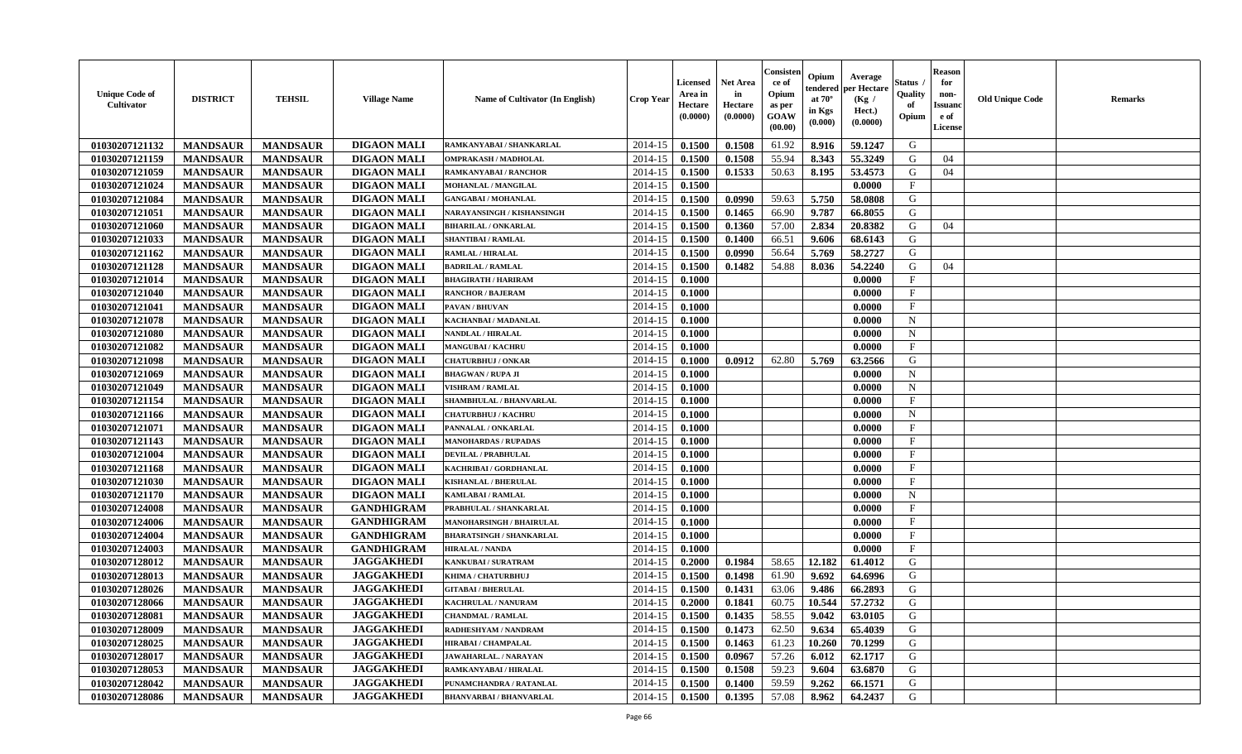| <b>DIGAON MALI</b><br>2014-15<br>01030207121132<br><b>MANDSAUR</b><br><b>MANDSAUR</b><br>0.1500<br>0.1508<br>61.92<br>8.916<br>59.1247<br>G<br>RAMKANYABAI / SHANKARLAL<br><b>DIGAON MALI</b><br>55.94<br>01030207121159<br><b>MANDSAUR</b><br><b>MANDSAUR</b><br>2014-15<br>0.1500<br>0.1508<br>8.343<br>55.3249<br>G<br>04<br>OMPRAKASH / MADHOLAL<br>01030207121059<br>2014-15<br>0.1500<br>0.1533<br>50.63<br>8.195<br>53.4573<br>G<br>04<br><b>MANDSAUR</b><br><b>MANDSAUR</b><br><b>DIGAON MALI</b><br>RAMKANYABAI / RANCHOR<br>01030207121024<br>0.1500<br>0.0000<br>$\mathbf{F}$<br><b>MANDSAUR</b><br><b>MANDSAUR</b><br><b>DIGAON MALI</b><br><b>MOHANLAL / MANGILAL</b><br>2014-15<br>01030207121084<br><b>MANDSAUR</b><br><b>MANDSAUR</b><br><b>DIGAON MALI</b><br>2014-15<br>0.1500<br>0.0990<br>59.63<br>5.750<br>58.0808<br>G<br><b>GANGABAI / MOHANLAL</b><br>01030207121051<br><b>MANDSAUR</b><br><b>MANDSAUR</b><br><b>DIGAON MALI</b><br>2014-15<br>0.1500<br>0.1465<br>66.90<br>9.787<br>66.8055<br>G<br>NARAYANSINGH / KISHANSINGH<br>01030207121060<br><b>MANDSAUR</b><br><b>MANDSAUR</b><br><b>DIGAON MALI</b><br>57.00<br>2.834<br>G<br>2014-15<br>0.1500<br>0.1360<br>20.8382<br><b>BIHARILAL / ONKARLAL</b><br>04<br>G<br><b>DIGAON MALI</b><br>2014-15<br>66.51<br>01030207121033<br><b>MANDSAUR</b><br><b>MANDSAUR</b><br>0.1500<br>0.1400<br>9.606<br>68.6143<br><b>SHANTIBAI / RAMLAL</b><br>56.64<br>01030207121162<br><b>MANDSAUR</b><br><b>MANDSAUR</b><br><b>DIGAON MALI</b><br>2014-15<br>5.769<br>58.2727<br>G<br><b>RAMLAL / HIRALAL</b><br>0.1500<br>0.0990<br>54.88<br>01030207121128<br><b>MANDSAUR</b><br><b>MANDSAUR</b><br><b>DIGAON MALI</b><br>2014-15<br>0.1500<br>0.1482<br>8.036<br>54.2240<br>G<br>04<br><b>BADRILAL / RAMLAL</b><br>F<br>01030207121014<br><b>MANDSAUR</b><br><b>MANDSAUR</b><br><b>DIGAON MALI</b><br>2014-15<br>0.1000<br>0.0000<br><b>BHAGIRATH / HARIRAM</b><br>01030207121040<br><b>MANDSAUR</b><br><b>DIGAON MALI</b><br>2014-15<br>0.1000<br>$\mathbf{F}$<br><b>MANDSAUR</b><br><b>RANCHOR / BAJERAM</b><br>0.0000<br>01030207121041<br><b>MANDSAUR</b><br><b>MANDSAUR</b><br><b>DIGAON MALI</b><br>2014-15<br>0.1000<br>$\mathbf{F}$<br>PAVAN / BHUVAN<br>0.0000<br>01030207121078<br><b>MANDSAUR</b><br><b>MANDSAUR</b><br><b>DIGAON MALI</b><br>2014-15<br>0.1000<br>0.0000<br>$\mathbf N$<br>KACHANBAI / MADANLAL<br>01030207121080<br><b>MANDSAUR</b><br><b>MANDSAUR</b><br><b>DIGAON MALI</b><br>2014-15<br>0.1000<br>N<br>0.0000<br><b>NANDLAL / HIRALAL</b><br>01030207121082<br><b>MANDSAUR</b><br><b>MANDSAUR</b><br><b>DIGAON MALI</b><br>$\mathbf{F}$<br>2014-15<br>0.1000<br>0.0000<br><b>MANGUBAI / KACHRU</b><br>01030207121098<br><b>MANDSAUR</b><br><b>MANDSAUR</b><br><b>DIGAON MALI</b><br>2014-15<br>62.80<br>5.769<br>63.2566<br>G<br>0.1000<br>0.0912<br><b>CHATURBHUJ / ONKAR</b><br><b>DIGAON MALI</b><br>2014-15<br>$\mathbf N$<br>01030207121069<br><b>MANDSAUR</b><br><b>MANDSAUR</b><br>0.1000<br>0.0000<br><b>BHAGWAN / RUPA JI</b><br>01030207121049<br><b>MANDSAUR</b><br><b>MANDSAUR</b><br><b>DIGAON MALI</b><br>2014-15<br>0.1000<br>$\mathbf N$<br>0.0000<br><b>VISHRAM / RAMLAL</b><br>$\mathbf{F}$<br>01030207121154<br><b>MANDSAUR</b><br><b>MANDSAUR</b><br><b>DIGAON MALI</b><br>2014-15<br>SHAMBHULAL / BHANVARLAL<br>0.1000<br>0.0000<br>01030207121166<br><b>MANDSAUR</b><br><b>MANDSAUR</b><br><b>DIGAON MALI</b><br>2014-15<br>0.1000<br>0.0000<br>$\mathbf N$<br><b>CHATURBHUJ / KACHRU</b><br><b>MANDSAUR</b><br>01030207121071<br><b>MANDSAUR</b><br><b>DIGAON MALI</b><br>2014-15<br>0.1000<br>0.0000<br>$\mathbf{F}$<br>PANNALAL / ONKARLAL<br>01030207121143<br><b>MANDSAUR</b><br><b>MANDSAUR</b><br><b>DIGAON MALI</b><br>2014-15<br>$\mathbf{F}$<br>0.1000<br>0.0000<br><b>MANOHARDAS / RUPADAS</b><br><b>DIGAON MALI</b><br>$\mathbf{F}$<br>01030207121004<br><b>MANDSAUR</b><br><b>MANDSAUR</b><br>2014-15<br>0.1000<br>0.0000<br><b>DEVILAL / PRABHULAL</b><br>$\mathbf{F}$<br>01030207121168<br><b>MANDSAUR</b><br><b>MANDSAUR</b><br><b>DIGAON MALI</b><br>2014-15<br>KACHRIBAI / GORDHANLAL<br>0.1000<br>0.0000<br><b>DIGAON MALI</b><br>$\mathbf{F}$<br>01030207121030<br><b>MANDSAUR</b><br><b>MANDSAUR</b><br>2014-15<br>0.1000<br><b>KISHANLAL / BHERULAL</b><br>0.0000<br>01030207121170<br><b>MANDSAUR</b><br><b>MANDSAUR</b><br><b>DIGAON MALI</b><br>2014-15<br>0.1000<br>$\mathbf N$<br>0.0000<br><b>KAMLABAI/RAMLAL</b><br>01030207124008<br><b>MANDSAUR</b><br><b>MANDSAUR</b><br><b>GANDHIGRAM</b><br>2014-15<br>0.1000<br>F<br>PRABHULAL / SHANKARLAL<br>0.0000<br>$\rm F$<br>01030207124006<br><b>MANDSAUR</b><br><b>MANDSAUR</b><br><b>GANDHIGRAM</b><br><b>MANOHARSINGH / BHAIRULAL</b><br>2014-15<br>0.1000<br>0.0000<br>01030207124004<br><b>MANDSAUR</b><br><b>GANDHIGRAM</b><br><b>MANDSAUR</b><br><b>BHARATSINGH / SHANKARLAL</b><br>2014-15<br>0.1000<br>0.0000<br>$\mathbf F$<br>01030207124003<br><b>MANDSAUR</b><br><b>MANDSAUR</b><br><b>GANDHIGRAM</b><br>2014-15<br>0.1000<br>$\mathbf{F}$<br>0.0000<br><b>HIRALAL / NANDA</b><br><b>JAGGAKHEDI</b><br>2014-15<br>12.182<br>G<br>01030207128012<br><b>MANDSAUR</b><br><b>MANDSAUR</b><br>0.2000<br>0.1984<br>58.65<br>61.4012<br>KANKUBAI / SURATRAM<br><b>JAGGAKHEDI</b><br>G<br>01030207128013<br><b>MANDSAUR</b><br><b>MANDSAUR</b><br>2014-15<br>0.1500<br>0.1498<br>61.90<br>9.692<br>KHIMA / CHATURBHUJ<br>64.6996<br><b>JAGGAKHEDI</b><br>01030207128026<br><b>MANDSAUR</b><br>2014-15<br>G<br><b>MANDSAUR</b><br>0.1500<br>0.1431<br>63.06<br>9.486<br>66.2893<br><b>GITABAI/BHERULAL</b><br>01030207128066<br><b>JAGGAKHEDI</b><br>G<br><b>MANDSAUR</b><br><b>MANDSAUR</b><br>2014-15<br>0.2000<br>0.1841<br>60.75<br>10.544<br>57.2732<br>KACHRULAL / NANURAM | <b>Unique Code of</b><br>Cultivator | <b>DISTRICT</b> | <b>TEHSIL</b>   | <b>Village Name</b> | Name of Cultivator (In English) | <b>Crop Year</b> | Licensed<br>Area in<br>Hectare<br>(0.0000) | <b>Net Area</b><br>in<br>Hectare<br>(0.0000) | Consister<br>ce of<br>Opium<br>as per<br>GOAW<br>(00.00) | Opium<br>tendered<br>at $70^\circ$<br>in Kgs<br>(0.000) | Average<br>per Hectare<br>(Kg /<br>Hect.)<br>(0.0000) | Status<br>Quality<br>of<br>Opium | <b>Reason</b><br>for<br>non-<br><b>Issuano</b><br>e of<br>License | <b>Old Unique Code</b> | <b>Remarks</b> |
|------------------------------------------------------------------------------------------------------------------------------------------------------------------------------------------------------------------------------------------------------------------------------------------------------------------------------------------------------------------------------------------------------------------------------------------------------------------------------------------------------------------------------------------------------------------------------------------------------------------------------------------------------------------------------------------------------------------------------------------------------------------------------------------------------------------------------------------------------------------------------------------------------------------------------------------------------------------------------------------------------------------------------------------------------------------------------------------------------------------------------------------------------------------------------------------------------------------------------------------------------------------------------------------------------------------------------------------------------------------------------------------------------------------------------------------------------------------------------------------------------------------------------------------------------------------------------------------------------------------------------------------------------------------------------------------------------------------------------------------------------------------------------------------------------------------------------------------------------------------------------------------------------------------------------------------------------------------------------------------------------------------------------------------------------------------------------------------------------------------------------------------------------------------------------------------------------------------------------------------------------------------------------------------------------------------------------------------------------------------------------------------------------------------------------------------------------------------------------------------------------------------------------------------------------------------------------------------------------------------------------------------------------------------------------------------------------------------------------------------------------------------------------------------------------------------------------------------------------------------------------------------------------------------------------------------------------------------------------------------------------------------------------------------------------------------------------------------------------------------------------------------------------------------------------------------------------------------------------------------------------------------------------------------------------------------------------------------------------------------------------------------------------------------------------------------------------------------------------------------------------------------------------------------------------------------------------------------------------------------------------------------------------------------------------------------------------------------------------------------------------------------------------------------------------------------------------------------------------------------------------------------------------------------------------------------------------------------------------------------------------------------------------------------------------------------------------------------------------------------------------------------------------------------------------------------------------------------------------------------------------------------------------------------------------------------------------------------------------------------------------------------------------------------------------------------------------------------------------------------------------------------------------------------------------------------------------------------------------------------------------------------------------------------------------------------------------------------------------------------------------------------------------------------------------------------------------------------------------------------------------------------------------------------------------------------------------------------------------------------------------------------------------------------------------------------------------------------------------------------------------------------------------------------------------------------------------------------------------------------------------------------------------------------------------------------------------------------------------------------------------------------------------------------------------------------------------------------------------------------------------------------------------------------------------------------------------------------------------------------------------------------------------------------------------------------------------------------------------------------------------------------------------------------|-------------------------------------|-----------------|-----------------|---------------------|---------------------------------|------------------|--------------------------------------------|----------------------------------------------|----------------------------------------------------------|---------------------------------------------------------|-------------------------------------------------------|----------------------------------|-------------------------------------------------------------------|------------------------|----------------|
|                                                                                                                                                                                                                                                                                                                                                                                                                                                                                                                                                                                                                                                                                                                                                                                                                                                                                                                                                                                                                                                                                                                                                                                                                                                                                                                                                                                                                                                                                                                                                                                                                                                                                                                                                                                                                                                                                                                                                                                                                                                                                                                                                                                                                                                                                                                                                                                                                                                                                                                                                                                                                                                                                                                                                                                                                                                                                                                                                                                                                                                                                                                                                                                                                                                                                                                                                                                                                                                                                                                                                                                                                                                                                                                                                                                                                                                                                                                                                                                                                                                                                                                                                                                                                                                                                                                                                                                                                                                                                                                                                                                                                                                                                                                                                                                                                                                                                                                                                                                                                                                                                                                                                                                                                                                                                                                                                                                                                                                                                                                                                                                                                                                                                                                                                                                          |                                     |                 |                 |                     |                                 |                  |                                            |                                              |                                                          |                                                         |                                                       |                                  |                                                                   |                        |                |
|                                                                                                                                                                                                                                                                                                                                                                                                                                                                                                                                                                                                                                                                                                                                                                                                                                                                                                                                                                                                                                                                                                                                                                                                                                                                                                                                                                                                                                                                                                                                                                                                                                                                                                                                                                                                                                                                                                                                                                                                                                                                                                                                                                                                                                                                                                                                                                                                                                                                                                                                                                                                                                                                                                                                                                                                                                                                                                                                                                                                                                                                                                                                                                                                                                                                                                                                                                                                                                                                                                                                                                                                                                                                                                                                                                                                                                                                                                                                                                                                                                                                                                                                                                                                                                                                                                                                                                                                                                                                                                                                                                                                                                                                                                                                                                                                                                                                                                                                                                                                                                                                                                                                                                                                                                                                                                                                                                                                                                                                                                                                                                                                                                                                                                                                                                                          |                                     |                 |                 |                     |                                 |                  |                                            |                                              |                                                          |                                                         |                                                       |                                  |                                                                   |                        |                |
|                                                                                                                                                                                                                                                                                                                                                                                                                                                                                                                                                                                                                                                                                                                                                                                                                                                                                                                                                                                                                                                                                                                                                                                                                                                                                                                                                                                                                                                                                                                                                                                                                                                                                                                                                                                                                                                                                                                                                                                                                                                                                                                                                                                                                                                                                                                                                                                                                                                                                                                                                                                                                                                                                                                                                                                                                                                                                                                                                                                                                                                                                                                                                                                                                                                                                                                                                                                                                                                                                                                                                                                                                                                                                                                                                                                                                                                                                                                                                                                                                                                                                                                                                                                                                                                                                                                                                                                                                                                                                                                                                                                                                                                                                                                                                                                                                                                                                                                                                                                                                                                                                                                                                                                                                                                                                                                                                                                                                                                                                                                                                                                                                                                                                                                                                                                          |                                     |                 |                 |                     |                                 |                  |                                            |                                              |                                                          |                                                         |                                                       |                                  |                                                                   |                        |                |
|                                                                                                                                                                                                                                                                                                                                                                                                                                                                                                                                                                                                                                                                                                                                                                                                                                                                                                                                                                                                                                                                                                                                                                                                                                                                                                                                                                                                                                                                                                                                                                                                                                                                                                                                                                                                                                                                                                                                                                                                                                                                                                                                                                                                                                                                                                                                                                                                                                                                                                                                                                                                                                                                                                                                                                                                                                                                                                                                                                                                                                                                                                                                                                                                                                                                                                                                                                                                                                                                                                                                                                                                                                                                                                                                                                                                                                                                                                                                                                                                                                                                                                                                                                                                                                                                                                                                                                                                                                                                                                                                                                                                                                                                                                                                                                                                                                                                                                                                                                                                                                                                                                                                                                                                                                                                                                                                                                                                                                                                                                                                                                                                                                                                                                                                                                                          |                                     |                 |                 |                     |                                 |                  |                                            |                                              |                                                          |                                                         |                                                       |                                  |                                                                   |                        |                |
|                                                                                                                                                                                                                                                                                                                                                                                                                                                                                                                                                                                                                                                                                                                                                                                                                                                                                                                                                                                                                                                                                                                                                                                                                                                                                                                                                                                                                                                                                                                                                                                                                                                                                                                                                                                                                                                                                                                                                                                                                                                                                                                                                                                                                                                                                                                                                                                                                                                                                                                                                                                                                                                                                                                                                                                                                                                                                                                                                                                                                                                                                                                                                                                                                                                                                                                                                                                                                                                                                                                                                                                                                                                                                                                                                                                                                                                                                                                                                                                                                                                                                                                                                                                                                                                                                                                                                                                                                                                                                                                                                                                                                                                                                                                                                                                                                                                                                                                                                                                                                                                                                                                                                                                                                                                                                                                                                                                                                                                                                                                                                                                                                                                                                                                                                                                          |                                     |                 |                 |                     |                                 |                  |                                            |                                              |                                                          |                                                         |                                                       |                                  |                                                                   |                        |                |
|                                                                                                                                                                                                                                                                                                                                                                                                                                                                                                                                                                                                                                                                                                                                                                                                                                                                                                                                                                                                                                                                                                                                                                                                                                                                                                                                                                                                                                                                                                                                                                                                                                                                                                                                                                                                                                                                                                                                                                                                                                                                                                                                                                                                                                                                                                                                                                                                                                                                                                                                                                                                                                                                                                                                                                                                                                                                                                                                                                                                                                                                                                                                                                                                                                                                                                                                                                                                                                                                                                                                                                                                                                                                                                                                                                                                                                                                                                                                                                                                                                                                                                                                                                                                                                                                                                                                                                                                                                                                                                                                                                                                                                                                                                                                                                                                                                                                                                                                                                                                                                                                                                                                                                                                                                                                                                                                                                                                                                                                                                                                                                                                                                                                                                                                                                                          |                                     |                 |                 |                     |                                 |                  |                                            |                                              |                                                          |                                                         |                                                       |                                  |                                                                   |                        |                |
|                                                                                                                                                                                                                                                                                                                                                                                                                                                                                                                                                                                                                                                                                                                                                                                                                                                                                                                                                                                                                                                                                                                                                                                                                                                                                                                                                                                                                                                                                                                                                                                                                                                                                                                                                                                                                                                                                                                                                                                                                                                                                                                                                                                                                                                                                                                                                                                                                                                                                                                                                                                                                                                                                                                                                                                                                                                                                                                                                                                                                                                                                                                                                                                                                                                                                                                                                                                                                                                                                                                                                                                                                                                                                                                                                                                                                                                                                                                                                                                                                                                                                                                                                                                                                                                                                                                                                                                                                                                                                                                                                                                                                                                                                                                                                                                                                                                                                                                                                                                                                                                                                                                                                                                                                                                                                                                                                                                                                                                                                                                                                                                                                                                                                                                                                                                          |                                     |                 |                 |                     |                                 |                  |                                            |                                              |                                                          |                                                         |                                                       |                                  |                                                                   |                        |                |
|                                                                                                                                                                                                                                                                                                                                                                                                                                                                                                                                                                                                                                                                                                                                                                                                                                                                                                                                                                                                                                                                                                                                                                                                                                                                                                                                                                                                                                                                                                                                                                                                                                                                                                                                                                                                                                                                                                                                                                                                                                                                                                                                                                                                                                                                                                                                                                                                                                                                                                                                                                                                                                                                                                                                                                                                                                                                                                                                                                                                                                                                                                                                                                                                                                                                                                                                                                                                                                                                                                                                                                                                                                                                                                                                                                                                                                                                                                                                                                                                                                                                                                                                                                                                                                                                                                                                                                                                                                                                                                                                                                                                                                                                                                                                                                                                                                                                                                                                                                                                                                                                                                                                                                                                                                                                                                                                                                                                                                                                                                                                                                                                                                                                                                                                                                                          |                                     |                 |                 |                     |                                 |                  |                                            |                                              |                                                          |                                                         |                                                       |                                  |                                                                   |                        |                |
|                                                                                                                                                                                                                                                                                                                                                                                                                                                                                                                                                                                                                                                                                                                                                                                                                                                                                                                                                                                                                                                                                                                                                                                                                                                                                                                                                                                                                                                                                                                                                                                                                                                                                                                                                                                                                                                                                                                                                                                                                                                                                                                                                                                                                                                                                                                                                                                                                                                                                                                                                                                                                                                                                                                                                                                                                                                                                                                                                                                                                                                                                                                                                                                                                                                                                                                                                                                                                                                                                                                                                                                                                                                                                                                                                                                                                                                                                                                                                                                                                                                                                                                                                                                                                                                                                                                                                                                                                                                                                                                                                                                                                                                                                                                                                                                                                                                                                                                                                                                                                                                                                                                                                                                                                                                                                                                                                                                                                                                                                                                                                                                                                                                                                                                                                                                          |                                     |                 |                 |                     |                                 |                  |                                            |                                              |                                                          |                                                         |                                                       |                                  |                                                                   |                        |                |
|                                                                                                                                                                                                                                                                                                                                                                                                                                                                                                                                                                                                                                                                                                                                                                                                                                                                                                                                                                                                                                                                                                                                                                                                                                                                                                                                                                                                                                                                                                                                                                                                                                                                                                                                                                                                                                                                                                                                                                                                                                                                                                                                                                                                                                                                                                                                                                                                                                                                                                                                                                                                                                                                                                                                                                                                                                                                                                                                                                                                                                                                                                                                                                                                                                                                                                                                                                                                                                                                                                                                                                                                                                                                                                                                                                                                                                                                                                                                                                                                                                                                                                                                                                                                                                                                                                                                                                                                                                                                                                                                                                                                                                                                                                                                                                                                                                                                                                                                                                                                                                                                                                                                                                                                                                                                                                                                                                                                                                                                                                                                                                                                                                                                                                                                                                                          |                                     |                 |                 |                     |                                 |                  |                                            |                                              |                                                          |                                                         |                                                       |                                  |                                                                   |                        |                |
|                                                                                                                                                                                                                                                                                                                                                                                                                                                                                                                                                                                                                                                                                                                                                                                                                                                                                                                                                                                                                                                                                                                                                                                                                                                                                                                                                                                                                                                                                                                                                                                                                                                                                                                                                                                                                                                                                                                                                                                                                                                                                                                                                                                                                                                                                                                                                                                                                                                                                                                                                                                                                                                                                                                                                                                                                                                                                                                                                                                                                                                                                                                                                                                                                                                                                                                                                                                                                                                                                                                                                                                                                                                                                                                                                                                                                                                                                                                                                                                                                                                                                                                                                                                                                                                                                                                                                                                                                                                                                                                                                                                                                                                                                                                                                                                                                                                                                                                                                                                                                                                                                                                                                                                                                                                                                                                                                                                                                                                                                                                                                                                                                                                                                                                                                                                          |                                     |                 |                 |                     |                                 |                  |                                            |                                              |                                                          |                                                         |                                                       |                                  |                                                                   |                        |                |
|                                                                                                                                                                                                                                                                                                                                                                                                                                                                                                                                                                                                                                                                                                                                                                                                                                                                                                                                                                                                                                                                                                                                                                                                                                                                                                                                                                                                                                                                                                                                                                                                                                                                                                                                                                                                                                                                                                                                                                                                                                                                                                                                                                                                                                                                                                                                                                                                                                                                                                                                                                                                                                                                                                                                                                                                                                                                                                                                                                                                                                                                                                                                                                                                                                                                                                                                                                                                                                                                                                                                                                                                                                                                                                                                                                                                                                                                                                                                                                                                                                                                                                                                                                                                                                                                                                                                                                                                                                                                                                                                                                                                                                                                                                                                                                                                                                                                                                                                                                                                                                                                                                                                                                                                                                                                                                                                                                                                                                                                                                                                                                                                                                                                                                                                                                                          |                                     |                 |                 |                     |                                 |                  |                                            |                                              |                                                          |                                                         |                                                       |                                  |                                                                   |                        |                |
|                                                                                                                                                                                                                                                                                                                                                                                                                                                                                                                                                                                                                                                                                                                                                                                                                                                                                                                                                                                                                                                                                                                                                                                                                                                                                                                                                                                                                                                                                                                                                                                                                                                                                                                                                                                                                                                                                                                                                                                                                                                                                                                                                                                                                                                                                                                                                                                                                                                                                                                                                                                                                                                                                                                                                                                                                                                                                                                                                                                                                                                                                                                                                                                                                                                                                                                                                                                                                                                                                                                                                                                                                                                                                                                                                                                                                                                                                                                                                                                                                                                                                                                                                                                                                                                                                                                                                                                                                                                                                                                                                                                                                                                                                                                                                                                                                                                                                                                                                                                                                                                                                                                                                                                                                                                                                                                                                                                                                                                                                                                                                                                                                                                                                                                                                                                          |                                     |                 |                 |                     |                                 |                  |                                            |                                              |                                                          |                                                         |                                                       |                                  |                                                                   |                        |                |
|                                                                                                                                                                                                                                                                                                                                                                                                                                                                                                                                                                                                                                                                                                                                                                                                                                                                                                                                                                                                                                                                                                                                                                                                                                                                                                                                                                                                                                                                                                                                                                                                                                                                                                                                                                                                                                                                                                                                                                                                                                                                                                                                                                                                                                                                                                                                                                                                                                                                                                                                                                                                                                                                                                                                                                                                                                                                                                                                                                                                                                                                                                                                                                                                                                                                                                                                                                                                                                                                                                                                                                                                                                                                                                                                                                                                                                                                                                                                                                                                                                                                                                                                                                                                                                                                                                                                                                                                                                                                                                                                                                                                                                                                                                                                                                                                                                                                                                                                                                                                                                                                                                                                                                                                                                                                                                                                                                                                                                                                                                                                                                                                                                                                                                                                                                                          |                                     |                 |                 |                     |                                 |                  |                                            |                                              |                                                          |                                                         |                                                       |                                  |                                                                   |                        |                |
|                                                                                                                                                                                                                                                                                                                                                                                                                                                                                                                                                                                                                                                                                                                                                                                                                                                                                                                                                                                                                                                                                                                                                                                                                                                                                                                                                                                                                                                                                                                                                                                                                                                                                                                                                                                                                                                                                                                                                                                                                                                                                                                                                                                                                                                                                                                                                                                                                                                                                                                                                                                                                                                                                                                                                                                                                                                                                                                                                                                                                                                                                                                                                                                                                                                                                                                                                                                                                                                                                                                                                                                                                                                                                                                                                                                                                                                                                                                                                                                                                                                                                                                                                                                                                                                                                                                                                                                                                                                                                                                                                                                                                                                                                                                                                                                                                                                                                                                                                                                                                                                                                                                                                                                                                                                                                                                                                                                                                                                                                                                                                                                                                                                                                                                                                                                          |                                     |                 |                 |                     |                                 |                  |                                            |                                              |                                                          |                                                         |                                                       |                                  |                                                                   |                        |                |
|                                                                                                                                                                                                                                                                                                                                                                                                                                                                                                                                                                                                                                                                                                                                                                                                                                                                                                                                                                                                                                                                                                                                                                                                                                                                                                                                                                                                                                                                                                                                                                                                                                                                                                                                                                                                                                                                                                                                                                                                                                                                                                                                                                                                                                                                                                                                                                                                                                                                                                                                                                                                                                                                                                                                                                                                                                                                                                                                                                                                                                                                                                                                                                                                                                                                                                                                                                                                                                                                                                                                                                                                                                                                                                                                                                                                                                                                                                                                                                                                                                                                                                                                                                                                                                                                                                                                                                                                                                                                                                                                                                                                                                                                                                                                                                                                                                                                                                                                                                                                                                                                                                                                                                                                                                                                                                                                                                                                                                                                                                                                                                                                                                                                                                                                                                                          |                                     |                 |                 |                     |                                 |                  |                                            |                                              |                                                          |                                                         |                                                       |                                  |                                                                   |                        |                |
|                                                                                                                                                                                                                                                                                                                                                                                                                                                                                                                                                                                                                                                                                                                                                                                                                                                                                                                                                                                                                                                                                                                                                                                                                                                                                                                                                                                                                                                                                                                                                                                                                                                                                                                                                                                                                                                                                                                                                                                                                                                                                                                                                                                                                                                                                                                                                                                                                                                                                                                                                                                                                                                                                                                                                                                                                                                                                                                                                                                                                                                                                                                                                                                                                                                                                                                                                                                                                                                                                                                                                                                                                                                                                                                                                                                                                                                                                                                                                                                                                                                                                                                                                                                                                                                                                                                                                                                                                                                                                                                                                                                                                                                                                                                                                                                                                                                                                                                                                                                                                                                                                                                                                                                                                                                                                                                                                                                                                                                                                                                                                                                                                                                                                                                                                                                          |                                     |                 |                 |                     |                                 |                  |                                            |                                              |                                                          |                                                         |                                                       |                                  |                                                                   |                        |                |
|                                                                                                                                                                                                                                                                                                                                                                                                                                                                                                                                                                                                                                                                                                                                                                                                                                                                                                                                                                                                                                                                                                                                                                                                                                                                                                                                                                                                                                                                                                                                                                                                                                                                                                                                                                                                                                                                                                                                                                                                                                                                                                                                                                                                                                                                                                                                                                                                                                                                                                                                                                                                                                                                                                                                                                                                                                                                                                                                                                                                                                                                                                                                                                                                                                                                                                                                                                                                                                                                                                                                                                                                                                                                                                                                                                                                                                                                                                                                                                                                                                                                                                                                                                                                                                                                                                                                                                                                                                                                                                                                                                                                                                                                                                                                                                                                                                                                                                                                                                                                                                                                                                                                                                                                                                                                                                                                                                                                                                                                                                                                                                                                                                                                                                                                                                                          |                                     |                 |                 |                     |                                 |                  |                                            |                                              |                                                          |                                                         |                                                       |                                  |                                                                   |                        |                |
|                                                                                                                                                                                                                                                                                                                                                                                                                                                                                                                                                                                                                                                                                                                                                                                                                                                                                                                                                                                                                                                                                                                                                                                                                                                                                                                                                                                                                                                                                                                                                                                                                                                                                                                                                                                                                                                                                                                                                                                                                                                                                                                                                                                                                                                                                                                                                                                                                                                                                                                                                                                                                                                                                                                                                                                                                                                                                                                                                                                                                                                                                                                                                                                                                                                                                                                                                                                                                                                                                                                                                                                                                                                                                                                                                                                                                                                                                                                                                                                                                                                                                                                                                                                                                                                                                                                                                                                                                                                                                                                                                                                                                                                                                                                                                                                                                                                                                                                                                                                                                                                                                                                                                                                                                                                                                                                                                                                                                                                                                                                                                                                                                                                                                                                                                                                          |                                     |                 |                 |                     |                                 |                  |                                            |                                              |                                                          |                                                         |                                                       |                                  |                                                                   |                        |                |
|                                                                                                                                                                                                                                                                                                                                                                                                                                                                                                                                                                                                                                                                                                                                                                                                                                                                                                                                                                                                                                                                                                                                                                                                                                                                                                                                                                                                                                                                                                                                                                                                                                                                                                                                                                                                                                                                                                                                                                                                                                                                                                                                                                                                                                                                                                                                                                                                                                                                                                                                                                                                                                                                                                                                                                                                                                                                                                                                                                                                                                                                                                                                                                                                                                                                                                                                                                                                                                                                                                                                                                                                                                                                                                                                                                                                                                                                                                                                                                                                                                                                                                                                                                                                                                                                                                                                                                                                                                                                                                                                                                                                                                                                                                                                                                                                                                                                                                                                                                                                                                                                                                                                                                                                                                                                                                                                                                                                                                                                                                                                                                                                                                                                                                                                                                                          |                                     |                 |                 |                     |                                 |                  |                                            |                                              |                                                          |                                                         |                                                       |                                  |                                                                   |                        |                |
|                                                                                                                                                                                                                                                                                                                                                                                                                                                                                                                                                                                                                                                                                                                                                                                                                                                                                                                                                                                                                                                                                                                                                                                                                                                                                                                                                                                                                                                                                                                                                                                                                                                                                                                                                                                                                                                                                                                                                                                                                                                                                                                                                                                                                                                                                                                                                                                                                                                                                                                                                                                                                                                                                                                                                                                                                                                                                                                                                                                                                                                                                                                                                                                                                                                                                                                                                                                                                                                                                                                                                                                                                                                                                                                                                                                                                                                                                                                                                                                                                                                                                                                                                                                                                                                                                                                                                                                                                                                                                                                                                                                                                                                                                                                                                                                                                                                                                                                                                                                                                                                                                                                                                                                                                                                                                                                                                                                                                                                                                                                                                                                                                                                                                                                                                                                          |                                     |                 |                 |                     |                                 |                  |                                            |                                              |                                                          |                                                         |                                                       |                                  |                                                                   |                        |                |
|                                                                                                                                                                                                                                                                                                                                                                                                                                                                                                                                                                                                                                                                                                                                                                                                                                                                                                                                                                                                                                                                                                                                                                                                                                                                                                                                                                                                                                                                                                                                                                                                                                                                                                                                                                                                                                                                                                                                                                                                                                                                                                                                                                                                                                                                                                                                                                                                                                                                                                                                                                                                                                                                                                                                                                                                                                                                                                                                                                                                                                                                                                                                                                                                                                                                                                                                                                                                                                                                                                                                                                                                                                                                                                                                                                                                                                                                                                                                                                                                                                                                                                                                                                                                                                                                                                                                                                                                                                                                                                                                                                                                                                                                                                                                                                                                                                                                                                                                                                                                                                                                                                                                                                                                                                                                                                                                                                                                                                                                                                                                                                                                                                                                                                                                                                                          |                                     |                 |                 |                     |                                 |                  |                                            |                                              |                                                          |                                                         |                                                       |                                  |                                                                   |                        |                |
|                                                                                                                                                                                                                                                                                                                                                                                                                                                                                                                                                                                                                                                                                                                                                                                                                                                                                                                                                                                                                                                                                                                                                                                                                                                                                                                                                                                                                                                                                                                                                                                                                                                                                                                                                                                                                                                                                                                                                                                                                                                                                                                                                                                                                                                                                                                                                                                                                                                                                                                                                                                                                                                                                                                                                                                                                                                                                                                                                                                                                                                                                                                                                                                                                                                                                                                                                                                                                                                                                                                                                                                                                                                                                                                                                                                                                                                                                                                                                                                                                                                                                                                                                                                                                                                                                                                                                                                                                                                                                                                                                                                                                                                                                                                                                                                                                                                                                                                                                                                                                                                                                                                                                                                                                                                                                                                                                                                                                                                                                                                                                                                                                                                                                                                                                                                          |                                     |                 |                 |                     |                                 |                  |                                            |                                              |                                                          |                                                         |                                                       |                                  |                                                                   |                        |                |
|                                                                                                                                                                                                                                                                                                                                                                                                                                                                                                                                                                                                                                                                                                                                                                                                                                                                                                                                                                                                                                                                                                                                                                                                                                                                                                                                                                                                                                                                                                                                                                                                                                                                                                                                                                                                                                                                                                                                                                                                                                                                                                                                                                                                                                                                                                                                                                                                                                                                                                                                                                                                                                                                                                                                                                                                                                                                                                                                                                                                                                                                                                                                                                                                                                                                                                                                                                                                                                                                                                                                                                                                                                                                                                                                                                                                                                                                                                                                                                                                                                                                                                                                                                                                                                                                                                                                                                                                                                                                                                                                                                                                                                                                                                                                                                                                                                                                                                                                                                                                                                                                                                                                                                                                                                                                                                                                                                                                                                                                                                                                                                                                                                                                                                                                                                                          |                                     |                 |                 |                     |                                 |                  |                                            |                                              |                                                          |                                                         |                                                       |                                  |                                                                   |                        |                |
|                                                                                                                                                                                                                                                                                                                                                                                                                                                                                                                                                                                                                                                                                                                                                                                                                                                                                                                                                                                                                                                                                                                                                                                                                                                                                                                                                                                                                                                                                                                                                                                                                                                                                                                                                                                                                                                                                                                                                                                                                                                                                                                                                                                                                                                                                                                                                                                                                                                                                                                                                                                                                                                                                                                                                                                                                                                                                                                                                                                                                                                                                                                                                                                                                                                                                                                                                                                                                                                                                                                                                                                                                                                                                                                                                                                                                                                                                                                                                                                                                                                                                                                                                                                                                                                                                                                                                                                                                                                                                                                                                                                                                                                                                                                                                                                                                                                                                                                                                                                                                                                                                                                                                                                                                                                                                                                                                                                                                                                                                                                                                                                                                                                                                                                                                                                          |                                     |                 |                 |                     |                                 |                  |                                            |                                              |                                                          |                                                         |                                                       |                                  |                                                                   |                        |                |
|                                                                                                                                                                                                                                                                                                                                                                                                                                                                                                                                                                                                                                                                                                                                                                                                                                                                                                                                                                                                                                                                                                                                                                                                                                                                                                                                                                                                                                                                                                                                                                                                                                                                                                                                                                                                                                                                                                                                                                                                                                                                                                                                                                                                                                                                                                                                                                                                                                                                                                                                                                                                                                                                                                                                                                                                                                                                                                                                                                                                                                                                                                                                                                                                                                                                                                                                                                                                                                                                                                                                                                                                                                                                                                                                                                                                                                                                                                                                                                                                                                                                                                                                                                                                                                                                                                                                                                                                                                                                                                                                                                                                                                                                                                                                                                                                                                                                                                                                                                                                                                                                                                                                                                                                                                                                                                                                                                                                                                                                                                                                                                                                                                                                                                                                                                                          |                                     |                 |                 |                     |                                 |                  |                                            |                                              |                                                          |                                                         |                                                       |                                  |                                                                   |                        |                |
|                                                                                                                                                                                                                                                                                                                                                                                                                                                                                                                                                                                                                                                                                                                                                                                                                                                                                                                                                                                                                                                                                                                                                                                                                                                                                                                                                                                                                                                                                                                                                                                                                                                                                                                                                                                                                                                                                                                                                                                                                                                                                                                                                                                                                                                                                                                                                                                                                                                                                                                                                                                                                                                                                                                                                                                                                                                                                                                                                                                                                                                                                                                                                                                                                                                                                                                                                                                                                                                                                                                                                                                                                                                                                                                                                                                                                                                                                                                                                                                                                                                                                                                                                                                                                                                                                                                                                                                                                                                                                                                                                                                                                                                                                                                                                                                                                                                                                                                                                                                                                                                                                                                                                                                                                                                                                                                                                                                                                                                                                                                                                                                                                                                                                                                                                                                          |                                     |                 |                 |                     |                                 |                  |                                            |                                              |                                                          |                                                         |                                                       |                                  |                                                                   |                        |                |
|                                                                                                                                                                                                                                                                                                                                                                                                                                                                                                                                                                                                                                                                                                                                                                                                                                                                                                                                                                                                                                                                                                                                                                                                                                                                                                                                                                                                                                                                                                                                                                                                                                                                                                                                                                                                                                                                                                                                                                                                                                                                                                                                                                                                                                                                                                                                                                                                                                                                                                                                                                                                                                                                                                                                                                                                                                                                                                                                                                                                                                                                                                                                                                                                                                                                                                                                                                                                                                                                                                                                                                                                                                                                                                                                                                                                                                                                                                                                                                                                                                                                                                                                                                                                                                                                                                                                                                                                                                                                                                                                                                                                                                                                                                                                                                                                                                                                                                                                                                                                                                                                                                                                                                                                                                                                                                                                                                                                                                                                                                                                                                                                                                                                                                                                                                                          |                                     |                 |                 |                     |                                 |                  |                                            |                                              |                                                          |                                                         |                                                       |                                  |                                                                   |                        |                |
|                                                                                                                                                                                                                                                                                                                                                                                                                                                                                                                                                                                                                                                                                                                                                                                                                                                                                                                                                                                                                                                                                                                                                                                                                                                                                                                                                                                                                                                                                                                                                                                                                                                                                                                                                                                                                                                                                                                                                                                                                                                                                                                                                                                                                                                                                                                                                                                                                                                                                                                                                                                                                                                                                                                                                                                                                                                                                                                                                                                                                                                                                                                                                                                                                                                                                                                                                                                                                                                                                                                                                                                                                                                                                                                                                                                                                                                                                                                                                                                                                                                                                                                                                                                                                                                                                                                                                                                                                                                                                                                                                                                                                                                                                                                                                                                                                                                                                                                                                                                                                                                                                                                                                                                                                                                                                                                                                                                                                                                                                                                                                                                                                                                                                                                                                                                          |                                     |                 |                 |                     |                                 |                  |                                            |                                              |                                                          |                                                         |                                                       |                                  |                                                                   |                        |                |
|                                                                                                                                                                                                                                                                                                                                                                                                                                                                                                                                                                                                                                                                                                                                                                                                                                                                                                                                                                                                                                                                                                                                                                                                                                                                                                                                                                                                                                                                                                                                                                                                                                                                                                                                                                                                                                                                                                                                                                                                                                                                                                                                                                                                                                                                                                                                                                                                                                                                                                                                                                                                                                                                                                                                                                                                                                                                                                                                                                                                                                                                                                                                                                                                                                                                                                                                                                                                                                                                                                                                                                                                                                                                                                                                                                                                                                                                                                                                                                                                                                                                                                                                                                                                                                                                                                                                                                                                                                                                                                                                                                                                                                                                                                                                                                                                                                                                                                                                                                                                                                                                                                                                                                                                                                                                                                                                                                                                                                                                                                                                                                                                                                                                                                                                                                                          |                                     |                 |                 |                     |                                 |                  |                                            |                                              |                                                          |                                                         |                                                       |                                  |                                                                   |                        |                |
|                                                                                                                                                                                                                                                                                                                                                                                                                                                                                                                                                                                                                                                                                                                                                                                                                                                                                                                                                                                                                                                                                                                                                                                                                                                                                                                                                                                                                                                                                                                                                                                                                                                                                                                                                                                                                                                                                                                                                                                                                                                                                                                                                                                                                                                                                                                                                                                                                                                                                                                                                                                                                                                                                                                                                                                                                                                                                                                                                                                                                                                                                                                                                                                                                                                                                                                                                                                                                                                                                                                                                                                                                                                                                                                                                                                                                                                                                                                                                                                                                                                                                                                                                                                                                                                                                                                                                                                                                                                                                                                                                                                                                                                                                                                                                                                                                                                                                                                                                                                                                                                                                                                                                                                                                                                                                                                                                                                                                                                                                                                                                                                                                                                                                                                                                                                          |                                     |                 |                 |                     |                                 |                  |                                            |                                              |                                                          |                                                         |                                                       |                                  |                                                                   |                        |                |
|                                                                                                                                                                                                                                                                                                                                                                                                                                                                                                                                                                                                                                                                                                                                                                                                                                                                                                                                                                                                                                                                                                                                                                                                                                                                                                                                                                                                                                                                                                                                                                                                                                                                                                                                                                                                                                                                                                                                                                                                                                                                                                                                                                                                                                                                                                                                                                                                                                                                                                                                                                                                                                                                                                                                                                                                                                                                                                                                                                                                                                                                                                                                                                                                                                                                                                                                                                                                                                                                                                                                                                                                                                                                                                                                                                                                                                                                                                                                                                                                                                                                                                                                                                                                                                                                                                                                                                                                                                                                                                                                                                                                                                                                                                                                                                                                                                                                                                                                                                                                                                                                                                                                                                                                                                                                                                                                                                                                                                                                                                                                                                                                                                                                                                                                                                                          |                                     |                 |                 |                     |                                 |                  |                                            |                                              |                                                          |                                                         |                                                       |                                  |                                                                   |                        |                |
|                                                                                                                                                                                                                                                                                                                                                                                                                                                                                                                                                                                                                                                                                                                                                                                                                                                                                                                                                                                                                                                                                                                                                                                                                                                                                                                                                                                                                                                                                                                                                                                                                                                                                                                                                                                                                                                                                                                                                                                                                                                                                                                                                                                                                                                                                                                                                                                                                                                                                                                                                                                                                                                                                                                                                                                                                                                                                                                                                                                                                                                                                                                                                                                                                                                                                                                                                                                                                                                                                                                                                                                                                                                                                                                                                                                                                                                                                                                                                                                                                                                                                                                                                                                                                                                                                                                                                                                                                                                                                                                                                                                                                                                                                                                                                                                                                                                                                                                                                                                                                                                                                                                                                                                                                                                                                                                                                                                                                                                                                                                                                                                                                                                                                                                                                                                          |                                     |                 |                 |                     |                                 |                  |                                            |                                              |                                                          |                                                         |                                                       |                                  |                                                                   |                        |                |
|                                                                                                                                                                                                                                                                                                                                                                                                                                                                                                                                                                                                                                                                                                                                                                                                                                                                                                                                                                                                                                                                                                                                                                                                                                                                                                                                                                                                                                                                                                                                                                                                                                                                                                                                                                                                                                                                                                                                                                                                                                                                                                                                                                                                                                                                                                                                                                                                                                                                                                                                                                                                                                                                                                                                                                                                                                                                                                                                                                                                                                                                                                                                                                                                                                                                                                                                                                                                                                                                                                                                                                                                                                                                                                                                                                                                                                                                                                                                                                                                                                                                                                                                                                                                                                                                                                                                                                                                                                                                                                                                                                                                                                                                                                                                                                                                                                                                                                                                                                                                                                                                                                                                                                                                                                                                                                                                                                                                                                                                                                                                                                                                                                                                                                                                                                                          |                                     |                 |                 |                     |                                 |                  |                                            |                                              |                                                          |                                                         |                                                       |                                  |                                                                   |                        |                |
|                                                                                                                                                                                                                                                                                                                                                                                                                                                                                                                                                                                                                                                                                                                                                                                                                                                                                                                                                                                                                                                                                                                                                                                                                                                                                                                                                                                                                                                                                                                                                                                                                                                                                                                                                                                                                                                                                                                                                                                                                                                                                                                                                                                                                                                                                                                                                                                                                                                                                                                                                                                                                                                                                                                                                                                                                                                                                                                                                                                                                                                                                                                                                                                                                                                                                                                                                                                                                                                                                                                                                                                                                                                                                                                                                                                                                                                                                                                                                                                                                                                                                                                                                                                                                                                                                                                                                                                                                                                                                                                                                                                                                                                                                                                                                                                                                                                                                                                                                                                                                                                                                                                                                                                                                                                                                                                                                                                                                                                                                                                                                                                                                                                                                                                                                                                          |                                     |                 |                 |                     |                                 |                  |                                            |                                              |                                                          |                                                         |                                                       |                                  |                                                                   |                        |                |
|                                                                                                                                                                                                                                                                                                                                                                                                                                                                                                                                                                                                                                                                                                                                                                                                                                                                                                                                                                                                                                                                                                                                                                                                                                                                                                                                                                                                                                                                                                                                                                                                                                                                                                                                                                                                                                                                                                                                                                                                                                                                                                                                                                                                                                                                                                                                                                                                                                                                                                                                                                                                                                                                                                                                                                                                                                                                                                                                                                                                                                                                                                                                                                                                                                                                                                                                                                                                                                                                                                                                                                                                                                                                                                                                                                                                                                                                                                                                                                                                                                                                                                                                                                                                                                                                                                                                                                                                                                                                                                                                                                                                                                                                                                                                                                                                                                                                                                                                                                                                                                                                                                                                                                                                                                                                                                                                                                                                                                                                                                                                                                                                                                                                                                                                                                                          | 01030207128081                      | <b>MANDSAUR</b> | <b>MANDSAUR</b> | <b>JAGGAKHEDI</b>   | <b>CHANDMAL / RAMLAL</b>        | 2014-15          | 0.1500                                     | 0.1435                                       | 58.55                                                    | 9.042                                                   | 63.0105                                               | G                                |                                                                   |                        |                |
| <b>JAGGAKHEDI</b><br>01030207128009<br><b>MANDSAUR</b><br><b>MANDSAUR</b><br>RADHESHYAM / NANDRAM<br>2014-15<br>0.1500<br>0.1473<br>62.50<br>9.634<br>65.4039<br>G                                                                                                                                                                                                                                                                                                                                                                                                                                                                                                                                                                                                                                                                                                                                                                                                                                                                                                                                                                                                                                                                                                                                                                                                                                                                                                                                                                                                                                                                                                                                                                                                                                                                                                                                                                                                                                                                                                                                                                                                                                                                                                                                                                                                                                                                                                                                                                                                                                                                                                                                                                                                                                                                                                                                                                                                                                                                                                                                                                                                                                                                                                                                                                                                                                                                                                                                                                                                                                                                                                                                                                                                                                                                                                                                                                                                                                                                                                                                                                                                                                                                                                                                                                                                                                                                                                                                                                                                                                                                                                                                                                                                                                                                                                                                                                                                                                                                                                                                                                                                                                                                                                                                                                                                                                                                                                                                                                                                                                                                                                                                                                                                                       |                                     |                 |                 |                     |                                 |                  |                                            |                                              |                                                          |                                                         |                                                       |                                  |                                                                   |                        |                |
| <b>JAGGAKHEDI</b><br>01030207128025<br><b>MANDSAUR</b><br><b>MANDSAUR</b><br>2014-15<br>10.260<br>G<br><b>HIRABAI/ CHAMPALAL</b><br>0.1500<br>0.1463<br>61.23<br>70.1299                                                                                                                                                                                                                                                                                                                                                                                                                                                                                                                                                                                                                                                                                                                                                                                                                                                                                                                                                                                                                                                                                                                                                                                                                                                                                                                                                                                                                                                                                                                                                                                                                                                                                                                                                                                                                                                                                                                                                                                                                                                                                                                                                                                                                                                                                                                                                                                                                                                                                                                                                                                                                                                                                                                                                                                                                                                                                                                                                                                                                                                                                                                                                                                                                                                                                                                                                                                                                                                                                                                                                                                                                                                                                                                                                                                                                                                                                                                                                                                                                                                                                                                                                                                                                                                                                                                                                                                                                                                                                                                                                                                                                                                                                                                                                                                                                                                                                                                                                                                                                                                                                                                                                                                                                                                                                                                                                                                                                                                                                                                                                                                                                 |                                     |                 |                 |                     |                                 |                  |                                            |                                              |                                                          |                                                         |                                                       |                                  |                                                                   |                        |                |
| <b>JAGGAKHEDI</b><br>01030207128017<br><b>MANDSAUR</b><br><b>MANDSAUR</b><br>2014-15<br>0.1500<br>0.0967<br>57.26<br>6.012<br>62.1717<br>G<br>JAWAHARLAL. / NARAYAN                                                                                                                                                                                                                                                                                                                                                                                                                                                                                                                                                                                                                                                                                                                                                                                                                                                                                                                                                                                                                                                                                                                                                                                                                                                                                                                                                                                                                                                                                                                                                                                                                                                                                                                                                                                                                                                                                                                                                                                                                                                                                                                                                                                                                                                                                                                                                                                                                                                                                                                                                                                                                                                                                                                                                                                                                                                                                                                                                                                                                                                                                                                                                                                                                                                                                                                                                                                                                                                                                                                                                                                                                                                                                                                                                                                                                                                                                                                                                                                                                                                                                                                                                                                                                                                                                                                                                                                                                                                                                                                                                                                                                                                                                                                                                                                                                                                                                                                                                                                                                                                                                                                                                                                                                                                                                                                                                                                                                                                                                                                                                                                                                      |                                     |                 |                 |                     |                                 |                  |                                            |                                              |                                                          |                                                         |                                                       |                                  |                                                                   |                        |                |
| <b>JAGGAKHEDI</b><br>59.23<br>G<br>01030207128053<br><b>MANDSAUR</b><br><b>MANDSAUR</b><br>2014-15<br>0.1500<br>0.1508<br>9.604<br>63.6870<br>RAMKANYABAI / HIRALAL                                                                                                                                                                                                                                                                                                                                                                                                                                                                                                                                                                                                                                                                                                                                                                                                                                                                                                                                                                                                                                                                                                                                                                                                                                                                                                                                                                                                                                                                                                                                                                                                                                                                                                                                                                                                                                                                                                                                                                                                                                                                                                                                                                                                                                                                                                                                                                                                                                                                                                                                                                                                                                                                                                                                                                                                                                                                                                                                                                                                                                                                                                                                                                                                                                                                                                                                                                                                                                                                                                                                                                                                                                                                                                                                                                                                                                                                                                                                                                                                                                                                                                                                                                                                                                                                                                                                                                                                                                                                                                                                                                                                                                                                                                                                                                                                                                                                                                                                                                                                                                                                                                                                                                                                                                                                                                                                                                                                                                                                                                                                                                                                                      |                                     |                 |                 |                     |                                 |                  |                                            |                                              |                                                          |                                                         |                                                       |                                  |                                                                   |                        |                |
| G<br><b>JAGGAKHEDI</b><br>59.59<br>9.262<br>01030207128042<br><b>MANDSAUR</b><br><b>MANDSAUR</b><br>2014-15<br>0.1500<br>66.1571<br>0.1400<br>PUNAMCHANDRA / RATANLAL                                                                                                                                                                                                                                                                                                                                                                                                                                                                                                                                                                                                                                                                                                                                                                                                                                                                                                                                                                                                                                                                                                                                                                                                                                                                                                                                                                                                                                                                                                                                                                                                                                                                                                                                                                                                                                                                                                                                                                                                                                                                                                                                                                                                                                                                                                                                                                                                                                                                                                                                                                                                                                                                                                                                                                                                                                                                                                                                                                                                                                                                                                                                                                                                                                                                                                                                                                                                                                                                                                                                                                                                                                                                                                                                                                                                                                                                                                                                                                                                                                                                                                                                                                                                                                                                                                                                                                                                                                                                                                                                                                                                                                                                                                                                                                                                                                                                                                                                                                                                                                                                                                                                                                                                                                                                                                                                                                                                                                                                                                                                                                                                                    |                                     |                 |                 |                     |                                 |                  |                                            |                                              |                                                          |                                                         |                                                       |                                  |                                                                   |                        |                |
| <b>JAGGAKHEDI</b><br>57.08<br>G<br>2014-15<br>0.1500<br>0.1395<br>8.962<br>64.2437<br>01030207128086<br><b>MANDSAUR</b><br><b>MANDSAUR</b><br><b>BHANVARBAI/BHANVARLAL</b>                                                                                                                                                                                                                                                                                                                                                                                                                                                                                                                                                                                                                                                                                                                                                                                                                                                                                                                                                                                                                                                                                                                                                                                                                                                                                                                                                                                                                                                                                                                                                                                                                                                                                                                                                                                                                                                                                                                                                                                                                                                                                                                                                                                                                                                                                                                                                                                                                                                                                                                                                                                                                                                                                                                                                                                                                                                                                                                                                                                                                                                                                                                                                                                                                                                                                                                                                                                                                                                                                                                                                                                                                                                                                                                                                                                                                                                                                                                                                                                                                                                                                                                                                                                                                                                                                                                                                                                                                                                                                                                                                                                                                                                                                                                                                                                                                                                                                                                                                                                                                                                                                                                                                                                                                                                                                                                                                                                                                                                                                                                                                                                                               |                                     |                 |                 |                     |                                 |                  |                                            |                                              |                                                          |                                                         |                                                       |                                  |                                                                   |                        |                |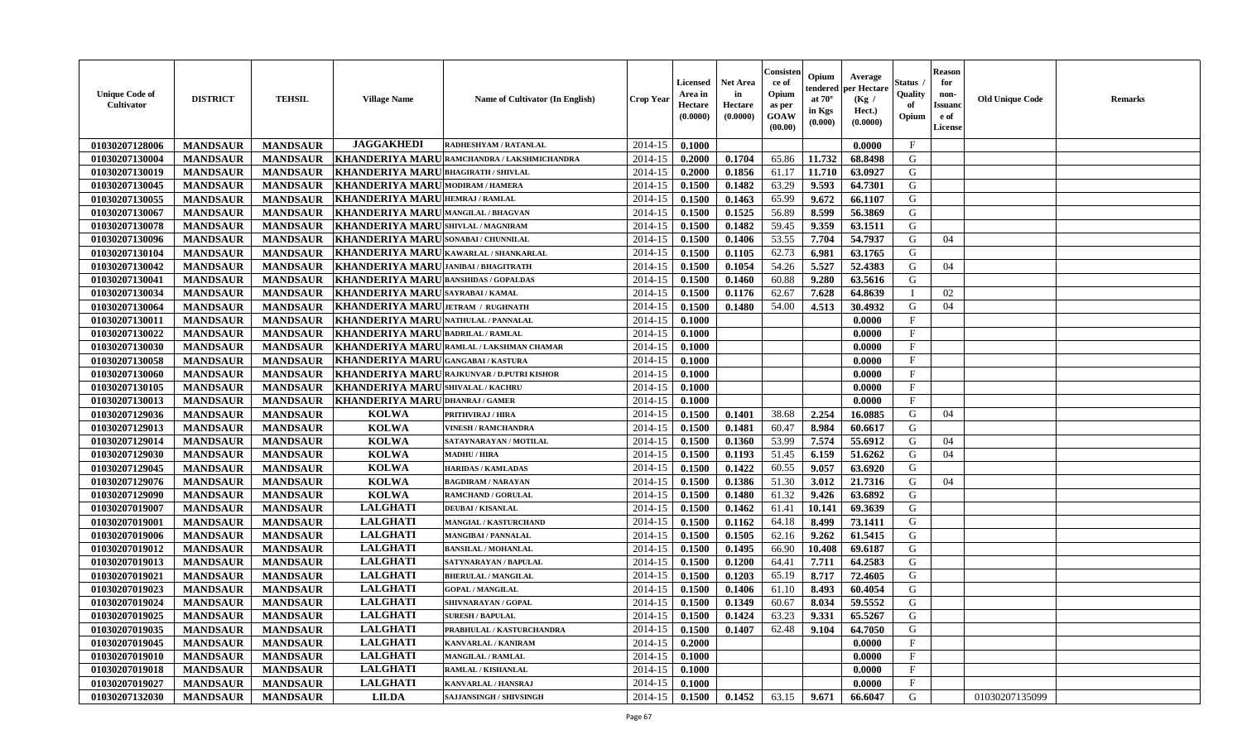| <b>Unique Code of</b><br>Cultivator | <b>DISTRICT</b> | <b>TEHSIL</b>   | <b>Village Name</b>                         | Name of Cultivator (In English)             | Crop Year   | <b>Licensed</b><br>Area in<br>Hectare<br>(0.0000) | <b>Net Area</b><br>in<br>Hectare<br>(0.0000) | Consister<br>ce of<br>Opium<br>as per<br><b>GOAW</b><br>(00.00) | Opium<br>tendered<br>at $70^\circ$<br>in Kgs<br>(0.000) | Average<br>oer Hectare<br>(Kg /<br>Hect.)<br>(0.0000) | Status<br>Quality<br>of<br>Opium | <b>Reason</b><br>for<br>non-<br><b>Issuano</b><br>e of<br>License | <b>Old Unique Code</b> | <b>Remarks</b> |
|-------------------------------------|-----------------|-----------------|---------------------------------------------|---------------------------------------------|-------------|---------------------------------------------------|----------------------------------------------|-----------------------------------------------------------------|---------------------------------------------------------|-------------------------------------------------------|----------------------------------|-------------------------------------------------------------------|------------------------|----------------|
| 01030207128006                      | <b>MANDSAUR</b> | <b>MANDSAUR</b> | <b>JAGGAKHEDI</b>                           | RADHESHYAM / RATANLAL                       | 2014-15     | 0.1000                                            |                                              |                                                                 |                                                         | 0.0000                                                | $\mathbf{F}$                     |                                                                   |                        |                |
| 01030207130004                      | <b>MANDSAUR</b> | <b>MANDSAUR</b> |                                             | KHANDERIYA MARU RAMCHANDRA / LAKSHMICHANDRA | 2014-15     | 0.2000                                            | 0.1704                                       | 65.86                                                           | 11.732                                                  | 68.8498                                               | G                                |                                                                   |                        |                |
| 01030207130019                      | <b>MANDSAUR</b> | <b>MANDSAUR</b> | <b>KHANDERIYA MARU BHAGIRATH / SHIVLAL</b>  |                                             | 2014-15     | 0.2000                                            | 0.1856                                       | 61.17                                                           | 11.710                                                  | 63.0927                                               | G                                |                                                                   |                        |                |
| 01030207130045                      | <b>MANDSAUR</b> | <b>MANDSAUR</b> | <b>KHANDERIYA MARU MODIRAM / HAMERA</b>     |                                             | 2014-15     | 0.1500                                            | 0.1482                                       | 63.29                                                           | 9.593                                                   | 64.7301                                               | G                                |                                                                   |                        |                |
| 01030207130055                      | <b>MANDSAUR</b> | <b>MANDSAUR</b> | <b>KHANDERIYA MARU HEMRAJ/RAMLAL</b>        |                                             | 2014-15     | 0.1500                                            | 0.1463                                       | 65.99                                                           | 9.672                                                   | 66.1107                                               | G                                |                                                                   |                        |                |
| 01030207130067                      | <b>MANDSAUR</b> | <b>MANDSAUR</b> | KHANDERIYA MARUMANGILAL / BHAGVAN           |                                             | 2014-15     | 0.1500                                            | 0.1525                                       | 56.89                                                           | 8.599                                                   | 56.3869                                               | G                                |                                                                   |                        |                |
| 01030207130078                      | <b>MANDSAUR</b> | <b>MANDSAUR</b> | <b>KHANDERIYA MARUSHIVLAL / MAGNIRAM</b>    |                                             | 2014-15     | 0.1500                                            | 0.1482                                       | 59.45                                                           | 9.359                                                   | 63.1511                                               | G                                |                                                                   |                        |                |
| 01030207130096                      | <b>MANDSAUR</b> | <b>MANDSAUR</b> | <b>KHANDERIYA MARU</b> SONABAI / CHUNNILAL  |                                             | 2014-15     | 0.1500                                            | 0.1406                                       | 53.55                                                           | 7.704                                                   | 54.7937                                               | G                                | 04                                                                |                        |                |
| 01030207130104                      | <b>MANDSAUR</b> | <b>MANDSAUR</b> | KHANDERIYA MARU KAWARLAL / SHANKARLAL       |                                             | 2014-15     | 0.1500                                            | 0.1105                                       | 62.73                                                           | 6.981                                                   | 63.1765                                               | G                                |                                                                   |                        |                |
| 01030207130042                      | <b>MANDSAUR</b> | <b>MANDSAUR</b> | KHANDERIYA MARU JANIBAI / BHAGITRATH        |                                             | 2014-15     | 0.1500                                            | 0.1054                                       | 54.26                                                           | 5.527                                                   | 52.4383                                               | G                                | 04                                                                |                        |                |
| 01030207130041                      | <b>MANDSAUR</b> | <b>MANDSAUR</b> | <b>KHANDERIYA MARU BANSHIDAS / GOPALDAS</b> |                                             | 2014-15     | 0.1500                                            | 0.1460                                       | 60.88                                                           | 9.280                                                   | 63.5616                                               | G                                |                                                                   |                        |                |
| 01030207130034                      | <b>MANDSAUR</b> | <b>MANDSAUR</b> | KHANDERIYA MARU SAYRABAI/KAMAL              |                                             | 2014-15     | 0.1500                                            | 0.1176                                       | 62.67                                                           | 7.628                                                   | 64.8639                                               | $\mathbf I$                      | 02                                                                |                        |                |
| 01030207130064                      | <b>MANDSAUR</b> | <b>MANDSAUR</b> | KHANDERIYA MARU JETRAM / RUGHNATH           |                                             | 2014-15     | 0.1500                                            | 0.1480                                       | 54.00                                                           | 4.513                                                   | 30.4932                                               | G                                | 04                                                                |                        |                |
| 01030207130011                      | <b>MANDSAUR</b> | <b>MANDSAUR</b> | <b>KHANDERIYA MARU NATHULAL / PANNALAL</b>  |                                             | 2014-15     | 0.1000                                            |                                              |                                                                 |                                                         | 0.0000                                                | $\mathbf{F}$                     |                                                                   |                        |                |
| 01030207130022                      | <b>MANDSAUR</b> | <b>MANDSAUR</b> | KHANDERIYA MARU BADRILAL / RAMLAL           |                                             | 2014-15     | 0.1000                                            |                                              |                                                                 |                                                         | 0.0000                                                | F                                |                                                                   |                        |                |
| 01030207130030                      | <b>MANDSAUR</b> | <b>MANDSAUR</b> |                                             | KHANDERIYA MARU RAMLAL / LAKSHMAN CHAMAR    | 2014-15     | 0.1000                                            |                                              |                                                                 |                                                         | 0.0000                                                | $\boldsymbol{\mathrm{F}}$        |                                                                   |                        |                |
| 01030207130058                      | <b>MANDSAUR</b> | <b>MANDSAUR</b> | KHANDERIYA MARUGANGABAI/KASTURA             |                                             | 2014-15     | 0.1000                                            |                                              |                                                                 |                                                         | 0.0000                                                | $\mathbf F$                      |                                                                   |                        |                |
| 01030207130060                      | <b>MANDSAUR</b> | <b>MANDSAUR</b> |                                             | KHANDERIYA MARU RAJKUNVAR / D.PUTRI KISHOR  | 2014-15     | 0.1000                                            |                                              |                                                                 |                                                         | 0.0000                                                | $\mathbf{F}$                     |                                                                   |                        |                |
| 01030207130105                      | <b>MANDSAUR</b> | <b>MANDSAUR</b> | <b>KHANDERIYA MARUSHIVALAL/KACHRU</b>       |                                             | 2014-15     | 0.1000                                            |                                              |                                                                 |                                                         | 0.0000                                                | F                                |                                                                   |                        |                |
| 01030207130013                      | <b>MANDSAUR</b> | <b>MANDSAUR</b> | KHANDERIYA MARU DHANRAJ / GAMER             |                                             | 2014-15     | 0.1000                                            |                                              |                                                                 |                                                         | 0.0000                                                | $\mathbf{F}$                     |                                                                   |                        |                |
| 01030207129036                      | <b>MANDSAUR</b> | <b>MANDSAUR</b> | <b>KOLWA</b>                                | <b>PRITHVIRAJ / HIRA</b>                    | 2014-15     | 0.1500                                            | 0.1401                                       | 38.68                                                           | 2.254                                                   | 16.0885                                               | G                                | 04                                                                |                        |                |
| 01030207129013                      | <b>MANDSAUR</b> | <b>MANDSAUR</b> | <b>KOLWA</b>                                | <b>VINESH / RAMCHANDRA</b>                  | 2014-15     | 0.1500                                            | 0.1481                                       | 60.47                                                           | 8.984                                                   | 60.6617                                               | G                                |                                                                   |                        |                |
| 01030207129014                      | <b>MANDSAUR</b> | <b>MANDSAUR</b> | <b>KOLWA</b>                                | SATAYNARAYAN / MOTILAL                      | 2014-15     | 0.1500                                            | 0.1360                                       | 53.99                                                           | 7.574                                                   | 55.6912                                               | G                                | 04                                                                |                        |                |
| 01030207129030                      | <b>MANDSAUR</b> | <b>MANDSAUR</b> | <b>KOLWA</b>                                | <b>MADHU / HIRA</b>                         | 2014-15     | 0.1500                                            | 0.1193                                       | 51.45                                                           | 6.159                                                   | 51.6262                                               | G                                | 04                                                                |                        |                |
| 01030207129045                      | <b>MANDSAUR</b> | <b>MANDSAUR</b> | <b>KOLWA</b>                                | <b>HARIDAS / KAMLADAS</b>                   | 2014-15     | 0.1500                                            | 0.1422                                       | 60.55                                                           | 9.057                                                   | 63.6920                                               | G                                |                                                                   |                        |                |
| 01030207129076                      | <b>MANDSAUR</b> | <b>MANDSAUR</b> | <b>KOLWA</b>                                | <b>BAGDIRAM / NARAYAN</b>                   | $2014 - 15$ | 0.1500                                            | 0.1386                                       | 51.30                                                           | 3.012                                                   | 21.7316                                               | G                                | 04                                                                |                        |                |
| 01030207129090                      | <b>MANDSAUR</b> | <b>MANDSAUR</b> | <b>KOLWA</b>                                | <b>RAMCHAND / GORULAL</b>                   | 2014-15     | 0.1500                                            | 0.1480                                       | 61.32                                                           | 9.426                                                   | 63.6892                                               | G                                |                                                                   |                        |                |
| 01030207019007                      | <b>MANDSAUR</b> | <b>MANDSAUR</b> | <b>LALGHATI</b>                             | <b>DEUBAI/KISANLAL</b>                      | 2014-15     | 0.1500                                            | 0.1462                                       | 61.41                                                           | 10.141                                                  | 69.3639                                               | G                                |                                                                   |                        |                |
| 01030207019001                      | <b>MANDSAUR</b> | <b>MANDSAUR</b> | <b>LALGHATI</b>                             | <b>MANGIAL / KASTURCHAND</b>                | 2014-15     | 0.1500                                            | 0.1162                                       | 64.18                                                           | 8.499                                                   | 73.1411                                               | G                                |                                                                   |                        |                |
| 01030207019006                      | <b>MANDSAUR</b> | <b>MANDSAUR</b> | <b>LALGHATI</b>                             | <b>MANGIBAI/PANNALAL</b>                    | 2014-15     | 0.1500                                            | 0.1505                                       | 62.16                                                           | 9.262                                                   | 61.5415                                               | G                                |                                                                   |                        |                |
| 01030207019012                      | <b>MANDSAUR</b> | <b>MANDSAUR</b> | <b>LALGHATI</b>                             | <b>BANSILAL / MOHANLAL</b>                  | 2014-15     | 0.1500                                            | 0.1495                                       | 66.90                                                           | 10.408                                                  | 69.6187                                               | G                                |                                                                   |                        |                |
| 01030207019013                      | <b>MANDSAUR</b> | <b>MANDSAUR</b> | <b>LALGHATI</b>                             | SATYNARAYAN / BAPULAL                       | 2014-15     | 0.1500                                            | 0.1200                                       | 64.41                                                           | 7.711                                                   | 64.2583                                               | G                                |                                                                   |                        |                |
| 01030207019021                      | <b>MANDSAUR</b> | <b>MANDSAUR</b> | <b>LALGHATI</b>                             | <b>BHERULAL / MANGILAL</b>                  | 2014-15     | 0.1500                                            | 0.1203                                       | 65.19                                                           | 8.717                                                   | 72.4605                                               | G                                |                                                                   |                        |                |
| 01030207019023                      | <b>MANDSAUR</b> | <b>MANDSAUR</b> | <b>LALGHATI</b>                             | <b>GOPAL / MANGILAL</b>                     | 2014-15     | 0.1500                                            | 0.1406                                       | 61.10                                                           | 8.493                                                   | 60.4054                                               | G                                |                                                                   |                        |                |
| 01030207019024                      | <b>MANDSAUR</b> | <b>MANDSAUR</b> | <b>LALGHATI</b>                             | SHIVNARAYAN / GOPAL                         | 2014-15     | 0.1500                                            | 0.1349                                       | 60.67                                                           | 8.034                                                   | 59.5552                                               | G                                |                                                                   |                        |                |
| 01030207019025                      | <b>MANDSAUR</b> | <b>MANDSAUR</b> | <b>LALGHATI</b>                             | <b>SURESH / BAPULAL</b>                     | 2014-15     | 0.1500                                            | 0.1424                                       | 63.23                                                           | 9.331                                                   | 65.5267                                               | G                                |                                                                   |                        |                |
| 01030207019035                      | <b>MANDSAUR</b> | <b>MANDSAUR</b> | <b>LALGHATI</b>                             | PRABHULAL / KASTURCHANDRA                   | 2014-15     | 0.1500                                            | 0.1407                                       | 62.48                                                           | 9.104                                                   | 64.7050                                               | G                                |                                                                   |                        |                |
| 01030207019045                      | <b>MANDSAUR</b> | <b>MANDSAUR</b> | <b>LALGHATI</b>                             | <b>KANVARLAL / KANIRAM</b>                  | 2014-15     | 0.2000                                            |                                              |                                                                 |                                                         | 0.0000                                                | $\mathbf{F}$                     |                                                                   |                        |                |
| 01030207019010                      | <b>MANDSAUR</b> | <b>MANDSAUR</b> | <b>LALGHATI</b>                             | <b>MANGILAL / RAMLAL</b>                    | 2014-15     | 0.1000                                            |                                              |                                                                 |                                                         | 0.0000                                                | $\mathbf{F}$                     |                                                                   |                        |                |
| 01030207019018                      | <b>MANDSAUR</b> | <b>MANDSAUR</b> | <b>LALGHATI</b>                             | RAMLAL / KISHANLAL                          | 2014-15     | 0.1000                                            |                                              |                                                                 |                                                         | 0.0000                                                | F                                |                                                                   |                        |                |
| 01030207019027                      | <b>MANDSAUR</b> | <b>MANDSAUR</b> | <b>LALGHATI</b>                             | KANVARLAL / HANSRAJ                         | 2014-15     | 0.1000                                            |                                              |                                                                 |                                                         | 0.0000                                                | $_{\rm F}$                       |                                                                   |                        |                |
| 01030207132030                      | <b>MANDSAUR</b> | <b>MANDSAUR</b> | <b>LILDA</b>                                | <b>SAJJANSINGH / SHIVSINGH</b>              | 2014-15     | 0.1500                                            | 0.1452                                       | 63.15                                                           | 9.671                                                   | 66.6047                                               | G                                |                                                                   | 01030207135099         |                |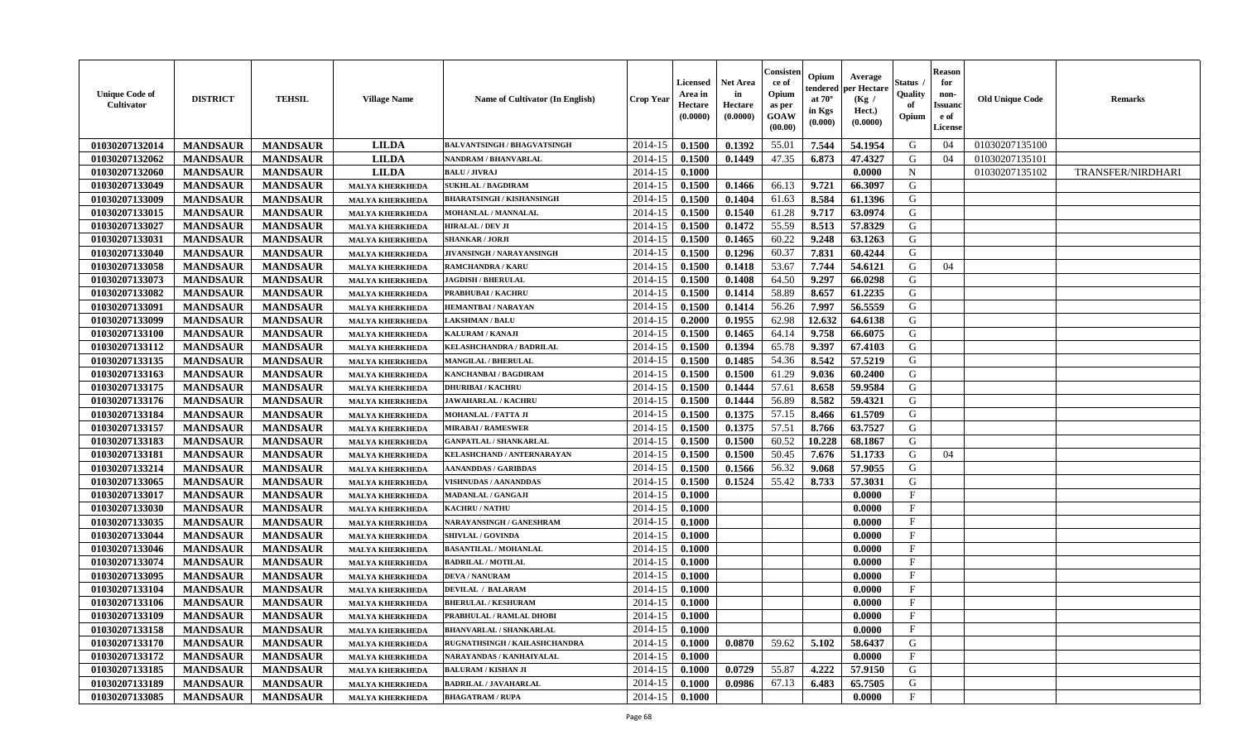| <b>Unique Code of</b><br>Cultivator | <b>DISTRICT</b> | <b>TEHSIL</b>   | <b>Village Name</b>    | Name of Cultivator (In English)    | <b>Crop Year</b> | Licensed<br>Area in<br>Hectare<br>(0.0000) | Net Area<br>in<br>Hectare<br>(0.0000) | Consisten<br>ce of<br>Opium<br>as per<br>GOAW<br>(00.00) | Opium<br>tendered<br>at $70^\circ$<br>in Kgs<br>(0.000) | Average<br>per Hectare<br>(Kg /<br>Hect.)<br>(0.0000) | Status<br>Quality<br>of<br>Opium | <b>Reason</b><br>for<br>non-<br><b>Issuan</b><br>e of<br><b>License</b> | <b>Old Unique Code</b> | <b>Remarks</b>    |
|-------------------------------------|-----------------|-----------------|------------------------|------------------------------------|------------------|--------------------------------------------|---------------------------------------|----------------------------------------------------------|---------------------------------------------------------|-------------------------------------------------------|----------------------------------|-------------------------------------------------------------------------|------------------------|-------------------|
| 01030207132014                      | <b>MANDSAUR</b> | <b>MANDSAUR</b> | <b>LILDA</b>           | <b>BALVANTSINGH / BHAGVATSINGH</b> | 2014-15          | 0.1500                                     | 0.1392                                | 55.01                                                    | 7.544                                                   | 54.1954                                               | G                                | 04                                                                      | 01030207135100         |                   |
| 01030207132062                      | <b>MANDSAUR</b> | <b>MANDSAUR</b> | <b>LILDA</b>           | NANDRAM / BHANVARLAL               | 2014-15          | 0.1500                                     | 0.1449                                | 47.35                                                    | 6.873                                                   | 47.4327                                               | G                                | 04                                                                      | 01030207135101         |                   |
| 01030207132060                      | <b>MANDSAUR</b> | <b>MANDSAUR</b> | <b>LILDA</b>           | <b>BALU / JIVRAJ</b>               | 2014-15          | 0.1000                                     |                                       |                                                          |                                                         | 0.0000                                                | N                                |                                                                         | 01030207135102         | TRANSFER/NIRDHARI |
| 01030207133049                      | <b>MANDSAUR</b> | <b>MANDSAUR</b> | <b>MALYA KHERKHEDA</b> | <b>SUKHLAL / BAGDIRAM</b>          | 2014-15          | 0.1500                                     | 0.1466                                | 66.13                                                    | 9.721                                                   | 66.3097                                               | G                                |                                                                         |                        |                   |
| 01030207133009                      | <b>MANDSAUR</b> | <b>MANDSAUR</b> | <b>MALYA KHERKHEDA</b> | <b>BHARATSINGH / KISHANSINGH</b>   | 2014-15          | 0.1500                                     | 0.1404                                | 61.63                                                    | 8.584                                                   | 61.1396                                               | G                                |                                                                         |                        |                   |
| 01030207133015                      | <b>MANDSAUR</b> | <b>MANDSAUR</b> | <b>MALYA KHERKHEDA</b> | <b>MOHANLAL / MANNALAL</b>         | 2014-15          | 0.1500                                     | 0.1540                                | 61.28                                                    | 9.717                                                   | 63.0974                                               | G                                |                                                                         |                        |                   |
| 01030207133027                      | <b>MANDSAUR</b> | <b>MANDSAUR</b> | <b>MALYA KHERKHEDA</b> | HIRALAL / DEV JI                   | 2014-15          | 0.1500                                     | 0.1472                                | 55.59                                                    | 8.513                                                   | 57.8329                                               | G                                |                                                                         |                        |                   |
| 01030207133031                      | <b>MANDSAUR</b> | <b>MANDSAUR</b> | <b>MALYA KHERKHEDA</b> | <b>SHANKAR / JORJI</b>             | 2014-15          | 0.1500                                     | 0.1465                                | 60.22                                                    | 9.248                                                   | 63.1263                                               | G                                |                                                                         |                        |                   |
| 01030207133040                      | <b>MANDSAUR</b> | <b>MANDSAUR</b> | <b>MALYA KHERKHEDA</b> | <b>JIVANSINGH / NARAYANSINGH</b>   | 2014-15          | 0.1500                                     | 0.1296                                | 60.37                                                    | 7.831                                                   | 60.4244                                               | G                                |                                                                         |                        |                   |
| 01030207133058                      | <b>MANDSAUR</b> | <b>MANDSAUR</b> | <b>MALYA KHERKHEDA</b> | <b>RAMCHANDRA / KARU</b>           | 2014-15          | 0.1500                                     | 0.1418                                | 53.67                                                    | 7.744                                                   | 54.6121                                               | G                                | 04                                                                      |                        |                   |
| 01030207133073                      | <b>MANDSAUR</b> | <b>MANDSAUR</b> | <b>MALYA KHERKHEDA</b> | <b>JAGDISH / BHERULAL</b>          | 2014-15          | 0.1500                                     | 0.1408                                | 64.50                                                    | 9.297                                                   | 66.0298                                               | G                                |                                                                         |                        |                   |
| 01030207133082                      | <b>MANDSAUR</b> | <b>MANDSAUR</b> | <b>MALYA KHERKHEDA</b> | PRABHUBAI / KACHRU                 | 2014-15          | 0.1500                                     | 0.1414                                | 58.89                                                    | 8.657                                                   | 61.2235                                               | G                                |                                                                         |                        |                   |
| 01030207133091                      | <b>MANDSAUR</b> | <b>MANDSAUR</b> | <b>MALYA KHERKHEDA</b> | HEMANTBAI / NARAYAN                | 2014-15          | 0.1500                                     | 0.1414                                | 56.26                                                    | 7.99                                                    | 56.5559                                               | G                                |                                                                         |                        |                   |
| 01030207133099                      | <b>MANDSAUR</b> | <b>MANDSAUR</b> | <b>MALYA KHERKHEDA</b> | <b>LAKSHMAN / BALU</b>             | 2014-15          | 0.2000                                     | 0.1955                                | 62.98                                                    | 12.632                                                  | 64.6138                                               | G                                |                                                                         |                        |                   |
| 01030207133100                      | <b>MANDSAUR</b> | <b>MANDSAUR</b> | <b>MALYA KHERKHEDA</b> | KALURAM / KANAJI                   | 2014-15          | 0.1500                                     | 0.1465                                | 64.14                                                    | 9.758                                                   | 66.6075                                               | G                                |                                                                         |                        |                   |
| 01030207133112                      | <b>MANDSAUR</b> | <b>MANDSAUR</b> | <b>MALYA KHERKHEDA</b> | <b>KELASHCHANDRA / BADRILAL</b>    | 2014-15          | 0.1500                                     | 0.1394                                | 65.78                                                    | 9.397                                                   | 67.4103                                               | G                                |                                                                         |                        |                   |
| 01030207133135                      | <b>MANDSAUR</b> | <b>MANDSAUR</b> | <b>MALYA KHERKHEDA</b> | <b>MANGILAL / BHERULAL</b>         | 2014-15          | 0.1500                                     | 0.1485                                | 54.36                                                    | 8.542                                                   | 57.5219                                               | G                                |                                                                         |                        |                   |
| 01030207133163                      | <b>MANDSAUR</b> | <b>MANDSAUR</b> | <b>MALYA KHERKHEDA</b> | <b>KANCHANBAI / BAGDIRAM</b>       | 2014-15          | 0.1500                                     | 0.1500                                | 61.29                                                    | 9.036                                                   | 60.2400                                               | G                                |                                                                         |                        |                   |
| 01030207133175                      | <b>MANDSAUR</b> | <b>MANDSAUR</b> | <b>MALYA KHERKHEDA</b> | <b>DHURIBAI / KACHRU</b>           | 2014-15          | 0.1500                                     | 0.1444                                | 57.61                                                    | 8.658                                                   | 59.9584                                               | G                                |                                                                         |                        |                   |
| 01030207133176                      | <b>MANDSAUR</b> | <b>MANDSAUR</b> | <b>MALYA KHERKHEDA</b> | <b>JAWAHARLAL / KACHRU</b>         | 2014-15          | 0.1500                                     | 0.1444                                | 56.89                                                    | 8.582                                                   | 59.4321                                               | G                                |                                                                         |                        |                   |
| 01030207133184                      | <b>MANDSAUR</b> | <b>MANDSAUR</b> | <b>MALYA KHERKHEDA</b> | <b>MOHANLAL / FATTA JI</b>         | 2014-15          | 0.1500                                     | 0.1375                                | 57.15                                                    | 8.466                                                   | 61.5709                                               | G                                |                                                                         |                        |                   |
| 01030207133157                      | <b>MANDSAUR</b> | <b>MANDSAUR</b> | <b>MALYA KHERKHEDA</b> | <b>MIRABAI / RAMESWER</b>          | 2014-15          | 0.1500                                     | 0.1375                                | 57.51                                                    | 8.766                                                   | 63.7527                                               | G                                |                                                                         |                        |                   |
| 01030207133183                      | <b>MANDSAUR</b> | <b>MANDSAUR</b> | <b>MALYA KHERKHEDA</b> | <b>GANPATLAL / SHANKARLAL</b>      | 2014-15          | 0.1500                                     | 0.1500                                | 60.52                                                    | 10.228                                                  | 68.1867                                               | G                                |                                                                         |                        |                   |
| 01030207133181                      | <b>MANDSAUR</b> | <b>MANDSAUR</b> | <b>MALYA KHERKHEDA</b> | KELASHCHAND / ANTERNARAYAN         | 2014-15          | 0.1500                                     | 0.1500                                | 50.45                                                    | 7.676                                                   | 51.1733                                               | G                                | 04                                                                      |                        |                   |
| 01030207133214                      | <b>MANDSAUR</b> | <b>MANDSAUR</b> | <b>MALYA KHERKHEDA</b> | AANANDDAS / GARIBDAS               | 2014-15          | 0.1500                                     | 0.1566                                | 56.32                                                    | 9.068                                                   | 57.9055                                               | G                                |                                                                         |                        |                   |
| 01030207133065                      | <b>MANDSAUR</b> | <b>MANDSAUR</b> | <b>MALYA KHERKHEDA</b> | VISHNUDAS / AANANDDAS              | 2014-15          | 0.1500                                     | 0.1524                                | 55.42                                                    | 8.733                                                   | 57.3031                                               | G                                |                                                                         |                        |                   |
| 01030207133017                      | <b>MANDSAUR</b> | <b>MANDSAUR</b> | <b>MALYA KHERKHEDA</b> | <b>MADANLAL / GANGAJI</b>          | 2014-15          | 0.1000                                     |                                       |                                                          |                                                         | 0.0000                                                | $_{\rm F}$                       |                                                                         |                        |                   |
| 01030207133030                      | <b>MANDSAUR</b> | <b>MANDSAUR</b> | <b>MALYA KHERKHEDA</b> | <b>KACHRU / NATHU</b>              | 2014-15          | 0.1000                                     |                                       |                                                          |                                                         | 0.0000                                                | $_{\rm F}$                       |                                                                         |                        |                   |
| 01030207133035                      | <b>MANDSAUR</b> | <b>MANDSAUR</b> | <b>MALYA KHERKHEDA</b> | NARAYANSINGH / GANESHRAM           | 2014-15          | 0.1000                                     |                                       |                                                          |                                                         | 0.0000                                                | $_{\rm F}$                       |                                                                         |                        |                   |
| 01030207133044                      | <b>MANDSAUR</b> | <b>MANDSAUR</b> | <b>MALYA KHERKHEDA</b> | <b>SHIVLAL / GOVINDA</b>           | 2014-15          | 0.1000                                     |                                       |                                                          |                                                         | 0.0000                                                | $_{\rm F}$                       |                                                                         |                        |                   |
| 01030207133046                      | <b>MANDSAUR</b> | <b>MANDSAUR</b> | <b>MALYA KHERKHEDA</b> | <b>BASANTILAL / MOHANLAL</b>       | 2014-15          | 0.1000                                     |                                       |                                                          |                                                         | 0.0000                                                | $_{\rm F}$                       |                                                                         |                        |                   |
| 01030207133074                      | <b>MANDSAUR</b> | <b>MANDSAUR</b> | <b>MALYA KHERKHEDA</b> | <b>BADRILAL / MOTILAL</b>          | 2014-15          | 0.1000                                     |                                       |                                                          |                                                         | 0.0000                                                | $_{\rm F}$                       |                                                                         |                        |                   |
| 01030207133095                      | <b>MANDSAUR</b> | <b>MANDSAUR</b> | <b>MALYA KHERKHEDA</b> | <b>DEVA / NANURAM</b>              | 2014-15          | 0.1000                                     |                                       |                                                          |                                                         | 0.0000                                                | $_{\rm F}$                       |                                                                         |                        |                   |
| 01030207133104                      | <b>MANDSAUR</b> | <b>MANDSAUR</b> | <b>MALYA KHERKHEDA</b> | <b>DEVILAL / BALARAM</b>           | 2014-15          | 0.1000                                     |                                       |                                                          |                                                         | 0.0000                                                | $\mathbf{F}$                     |                                                                         |                        |                   |
| 01030207133106                      | <b>MANDSAUR</b> | <b>MANDSAUR</b> | <b>MALYA KHERKHEDA</b> | <b>BHERULAL / KESHURAM</b>         | 2014-15          | 0.1000                                     |                                       |                                                          |                                                         | 0.0000                                                | F                                |                                                                         |                        |                   |
| 01030207133109                      | <b>MANDSAUR</b> | MANDSAUR        | <b>MALYA KHERKHEDA</b> | PRABHULAL / RAMLAL DHOBI           | $2014-15$ 0.1000 |                                            |                                       |                                                          |                                                         | 0.0000                                                | F                                |                                                                         |                        |                   |
| 01030207133158                      | <b>MANDSAUR</b> | <b>MANDSAUR</b> | <b>MALYA KHERKHEDA</b> | <b>BHANVARLAL / SHANKARLAL</b>     | $2014 - 15$      | 0.1000                                     |                                       |                                                          |                                                         | 0.0000                                                | $_{\rm F}$                       |                                                                         |                        |                   |
| 01030207133170                      | <b>MANDSAUR</b> | <b>MANDSAUR</b> | <b>MALYA KHERKHEDA</b> | RUGNATHSINGH / KAILASHCHANDRA      | 2014-15          | 0.1000                                     | 0.0870                                | 59.62                                                    | 5.102                                                   | 58.6437                                               | G                                |                                                                         |                        |                   |
| 01030207133172                      | <b>MANDSAUR</b> | <b>MANDSAUR</b> | <b>MALYA KHERKHEDA</b> | NARAYANDAS / KANHAIYALAL           | 2014-15          | 0.1000                                     |                                       |                                                          |                                                         | 0.0000                                                | $\mathbf{F}$                     |                                                                         |                        |                   |
| 01030207133185                      | <b>MANDSAUR</b> | <b>MANDSAUR</b> | <b>MALYA KHERKHEDA</b> | <b>BALURAM / KISHAN JI</b>         | 2014-15          | 0.1000                                     | 0.0729                                | 55.87                                                    | 4.222                                                   | 57.9150                                               | G                                |                                                                         |                        |                   |
| 01030207133189                      | <b>MANDSAUR</b> | <b>MANDSAUR</b> | <b>MALYA KHERKHEDA</b> | <b>BADRILAL / JAVAHARLAL</b>       | 2014-15          | 0.1000                                     | 0.0986                                | 67.13                                                    | 6.483                                                   | 65.7505                                               | G                                |                                                                         |                        |                   |
| 01030207133085                      | <b>MANDSAUR</b> | <b>MANDSAUR</b> | <b>MALYA KHERKHEDA</b> | <b>BHAGATRAM / RUPA</b>            | 2014-15          | 0.1000                                     |                                       |                                                          |                                                         | 0.0000                                                | F                                |                                                                         |                        |                   |
|                                     |                 |                 |                        |                                    |                  |                                            |                                       |                                                          |                                                         |                                                       |                                  |                                                                         |                        |                   |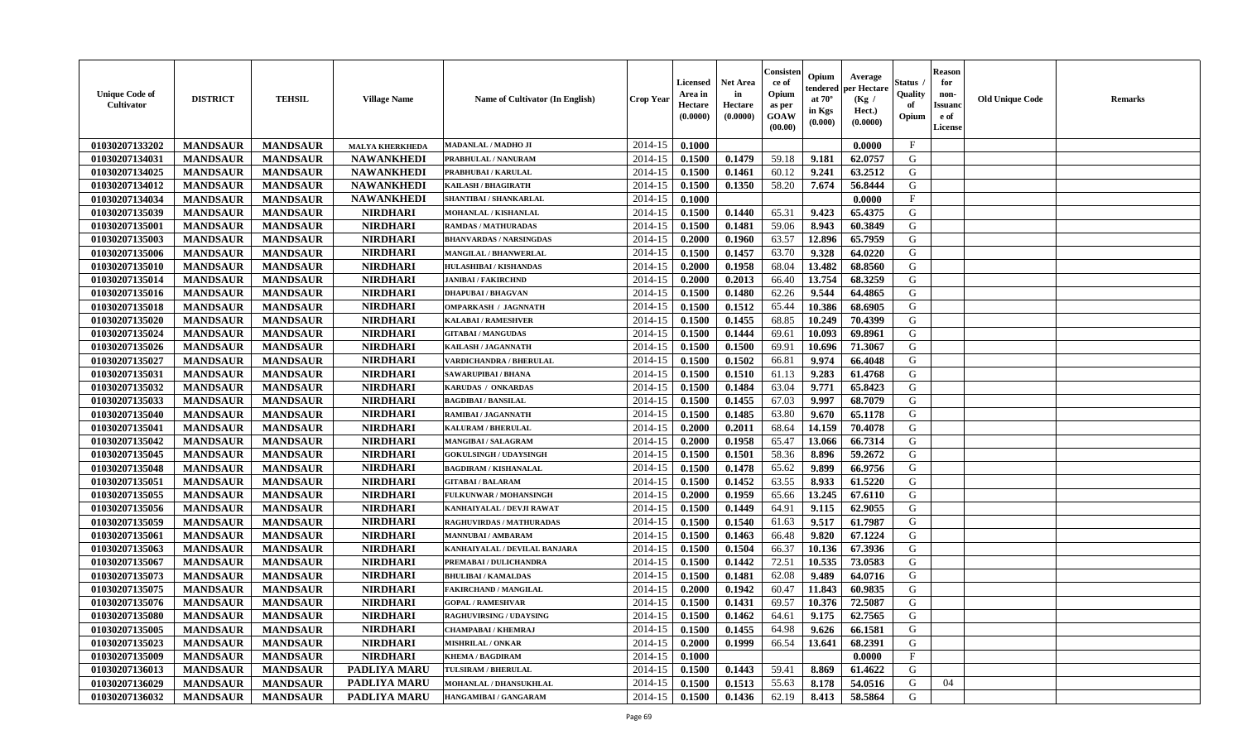| <b>Unique Code of</b><br>Cultivator | <b>DISTRICT</b> | <b>TEHSIL</b>   | <b>Village Name</b>    | Name of Cultivator (In English) | <b>Crop Year</b> | <b>Licensed</b><br>Area in<br>Hectare<br>(0.0000) | <b>Net Area</b><br>in<br>Hectare<br>(0.0000) | Consister<br>ce of<br>Opium<br>as per<br><b>GOAW</b><br>(00.00) | Opium<br>tendered<br>at $70^{\circ}$<br>in Kgs<br>(0.000) | Average<br>oer Hectare<br>(Kg /<br>Hect.)<br>(0.0000) | Status<br>Quality<br>of<br>Opium | <b>Reason</b><br>for<br>non-<br><b>Issuand</b><br>e of<br>License | <b>Old Unique Code</b> | Remarks |
|-------------------------------------|-----------------|-----------------|------------------------|---------------------------------|------------------|---------------------------------------------------|----------------------------------------------|-----------------------------------------------------------------|-----------------------------------------------------------|-------------------------------------------------------|----------------------------------|-------------------------------------------------------------------|------------------------|---------|
| 01030207133202                      | <b>MANDSAUR</b> | <b>MANDSAUR</b> | <b>MALYA KHERKHEDA</b> | MADANLAL / MADHO JI             | 2014-15          | 0.1000                                            |                                              |                                                                 |                                                           | 0.0000                                                | $\mathbf{F}$                     |                                                                   |                        |         |
| 01030207134031                      | <b>MANDSAUR</b> | <b>MANDSAUR</b> | <b>NAWANKHEDI</b>      | PRABHULAL / NANURAM             | 2014-15          | 0.1500                                            | 0.1479                                       | 59.18                                                           | 9.181                                                     | 62.0757                                               | G                                |                                                                   |                        |         |
| 01030207134025                      | <b>MANDSAUR</b> | <b>MANDSAUR</b> | <b>NAWANKHEDI</b>      | PRABHUBAI / KARULAL             | 2014-15          | 0.1500                                            | 0.1461                                       | 60.12                                                           | 9.241                                                     | 63.2512                                               | G                                |                                                                   |                        |         |
| 01030207134012                      | <b>MANDSAUR</b> | <b>MANDSAUR</b> | <b>NAWANKHEDI</b>      | KAILASH / BHAGIRATH             | 2014-15          | 0.1500                                            | 0.1350                                       | 58.20                                                           | 7.674                                                     | 56.8444                                               | G                                |                                                                   |                        |         |
| 01030207134034                      | <b>MANDSAUR</b> | <b>MANDSAUR</b> | <b>NAWANKHEDI</b>      | <b>SHANTIBAI / SHANKARLAL</b>   | 2014-15          | 0.1000                                            |                                              |                                                                 |                                                           | 0.0000                                                | F                                |                                                                   |                        |         |
| 01030207135039                      | <b>MANDSAUR</b> | <b>MANDSAUR</b> | <b>NIRDHARI</b>        | <b>MOHANLAL / KISHANLAL</b>     | 2014-15          | 0.1500                                            | 0.1440                                       | 65.31                                                           | 9.423                                                     | 65.4375                                               | G                                |                                                                   |                        |         |
| 01030207135001                      | <b>MANDSAUR</b> | <b>MANDSAUR</b> | <b>NIRDHARI</b>        | <b>RAMDAS / MATHURADAS</b>      | 2014-15          | 0.1500                                            | 0.1481                                       | 59.06                                                           | 8.943                                                     | 60.3849                                               | G                                |                                                                   |                        |         |
| 01030207135003                      | <b>MANDSAUR</b> | <b>MANDSAUR</b> | <b>NIRDHARI</b>        | <b>BHANVARDAS / NARSINGDAS</b>  | 2014-15          | 0.2000                                            | 0.1960                                       | 63.57                                                           | 12.896                                                    | 65.7959                                               | G                                |                                                                   |                        |         |
| 01030207135006                      | <b>MANDSAUR</b> | <b>MANDSAUR</b> | <b>NIRDHARI</b>        | MANGILAL / BHANWERLAL           | 2014-15          | 0.1500                                            | 0.1457                                       | 63.70                                                           | 9.328                                                     | 64.0220                                               | G                                |                                                                   |                        |         |
| 01030207135010                      | <b>MANDSAUR</b> | <b>MANDSAUR</b> | <b>NIRDHARI</b>        | HULASHIBAI / KISHANDAS          | 2014-15          | 0.2000                                            | 0.1958                                       | 68.04                                                           | 13.482                                                    | 68.8560                                               | G                                |                                                                   |                        |         |
| 01030207135014                      | <b>MANDSAUR</b> | <b>MANDSAUR</b> | <b>NIRDHARI</b>        | <b>JANIBAI / FAKIRCHND</b>      | 2014-15          | 0.2000                                            | 0.2013                                       | 66.40                                                           | 13.754                                                    | 68.3259                                               | G                                |                                                                   |                        |         |
| 01030207135016                      | <b>MANDSAUR</b> | <b>MANDSAUR</b> | <b>NIRDHARI</b>        | <b>DHAPUBAI/BHAGVAN</b>         | 2014-15          | 0.1500                                            | 0.1480                                       | 62.26                                                           | 9.544                                                     | 64.4865                                               | G                                |                                                                   |                        |         |
| 01030207135018                      | <b>MANDSAUR</b> | <b>MANDSAUR</b> | <b>NIRDHARI</b>        | <b>OMPARKASH / JAGNNATH</b>     | 2014-15          | 0.1500                                            | 0.1512                                       | 65.44                                                           | 10.386                                                    | 68.6905                                               | G                                |                                                                   |                        |         |
| 01030207135020                      | <b>MANDSAUR</b> | <b>MANDSAUR</b> | <b>NIRDHARI</b>        | <b>KALABAI/RAMESHVER</b>        | 2014-15          | 0.1500                                            | 0.1455                                       | 68.85                                                           | 10.249                                                    | 70.4399                                               | G                                |                                                                   |                        |         |
| 01030207135024                      | <b>MANDSAUR</b> | <b>MANDSAUR</b> | <b>NIRDHARI</b>        | <b>GITABAI/MANGUDAS</b>         | 2014-15          | 0.1500                                            | 0.1444                                       | 69.61                                                           | 10.093                                                    | 69.8961                                               | ${\bf G}$                        |                                                                   |                        |         |
| 01030207135026                      | <b>MANDSAUR</b> | <b>MANDSAUR</b> | <b>NIRDHARI</b>        | KAILASH / JAGANNATH             | 2014-15          | 0.1500                                            | 0.1500                                       | 69.91                                                           | 10.696                                                    | 71.3067                                               | G                                |                                                                   |                        |         |
| 01030207135027                      | <b>MANDSAUR</b> | <b>MANDSAUR</b> | <b>NIRDHARI</b>        | VARDICHANDRA / BHERULAL         | 2014-15          | 0.1500                                            | 0.1502                                       | 66.81                                                           | 9.974                                                     | 66.4048                                               | G                                |                                                                   |                        |         |
| 01030207135031                      | <b>MANDSAUR</b> | <b>MANDSAUR</b> | <b>NIRDHARI</b>        | <b>SAWARUPIBAI / BHANA</b>      | 2014-15          | 0.1500                                            | 0.1510                                       | 61.13                                                           | 9.283                                                     | 61.4768                                               | G                                |                                                                   |                        |         |
| 01030207135032                      | <b>MANDSAUR</b> | <b>MANDSAUR</b> | <b>NIRDHARI</b>        | KARUDAS / ONKARDAS              | 2014-15          | 0.1500                                            | 0.1484                                       | 63.04                                                           | 9.771                                                     | 65.8423                                               | G                                |                                                                   |                        |         |
| 01030207135033                      | <b>MANDSAUR</b> | <b>MANDSAUR</b> | <b>NIRDHARI</b>        | <b>BAGDIBAI / BANSILAL</b>      | 2014-15          | 0.1500                                            | 0.1455                                       | 67.03                                                           | 9.997                                                     | 68.7079                                               | G                                |                                                                   |                        |         |
| 01030207135040                      | <b>MANDSAUR</b> | <b>MANDSAUR</b> | <b>NIRDHARI</b>        | <b>RAMIBAI / JAGANNATH</b>      | 2014-15          | 0.1500                                            | 0.1485                                       | 63.80                                                           | 9.670                                                     | 65.1178                                               | G                                |                                                                   |                        |         |
| 01030207135041                      | <b>MANDSAUR</b> | <b>MANDSAUR</b> | <b>NIRDHARI</b>        | <b>KALURAM / BHERULAL</b>       | 2014-15          | 0.2000                                            | 0.2011                                       | 68.64                                                           | 14.159                                                    | 70.4078                                               | G                                |                                                                   |                        |         |
| 01030207135042                      | <b>MANDSAUR</b> | <b>MANDSAUR</b> | <b>NIRDHARI</b>        | <b>MANGIBAI/SALAGRAM</b>        | 2014-15          | 0.2000                                            | 0.1958                                       | 65.47                                                           | 13.066                                                    | 66.7314                                               | G                                |                                                                   |                        |         |
| 01030207135045                      | <b>MANDSAUR</b> | <b>MANDSAUR</b> | <b>NIRDHARI</b>        | <b>GOKULSINGH / UDAYSINGH</b>   | 2014-15          | 0.1500                                            | 0.1501                                       | 58.36                                                           | 8.896                                                     | 59.2672                                               | G                                |                                                                   |                        |         |
| 01030207135048                      | <b>MANDSAUR</b> | <b>MANDSAUR</b> | <b>NIRDHARI</b>        | <b>BAGDIRAM / KISHANALAL</b>    | 2014-15          | 0.1500                                            | 0.1478                                       | 65.62                                                           | 9.899                                                     | 66.9756                                               | G                                |                                                                   |                        |         |
| 01030207135051                      | <b>MANDSAUR</b> | <b>MANDSAUR</b> | <b>NIRDHARI</b>        | <b>GITABAI/BALARAM</b>          | 2014-15          | 0.1500                                            | 0.1452                                       | 63.55                                                           | 8.933                                                     | 61.5220                                               | G                                |                                                                   |                        |         |
| 01030207135055                      | <b>MANDSAUR</b> | <b>MANDSAUR</b> | <b>NIRDHARI</b>        | FULKUNWAR / MOHANSINGH          | 2014-15          | 0.2000                                            | 0.1959                                       | 65.66                                                           | 13.245                                                    | 67.6110                                               | G                                |                                                                   |                        |         |
| 01030207135056                      | <b>MANDSAUR</b> | <b>MANDSAUR</b> | <b>NIRDHARI</b>        | KANHAIYALAL / DEVJI RAWAT       | 2014-15          | 0.1500                                            | 0.1449                                       | 64.91                                                           | 9.115                                                     | 62.9055                                               | G                                |                                                                   |                        |         |
| 01030207135059                      | <b>MANDSAUR</b> | <b>MANDSAUR</b> | <b>NIRDHARI</b>        | <b>RAGHUVIRDAS / MATHURADAS</b> | 2014-15          | 0.1500                                            | 0.1540                                       | 61.63                                                           | 9.517                                                     | 61.7987                                               | G                                |                                                                   |                        |         |
| 01030207135061                      | <b>MANDSAUR</b> | <b>MANDSAUR</b> | <b>NIRDHARI</b>        | <b>MANNUBAI/AMBARAM</b>         | 2014-15          | 0.1500                                            | 0.1463                                       | 66.48                                                           | 9.820                                                     | 67.1224                                               | G                                |                                                                   |                        |         |
| 01030207135063                      | <b>MANDSAUR</b> | <b>MANDSAUR</b> | <b>NIRDHARI</b>        | KANHAIYALAL / DEVILAL BANJARA   | 2014-15          | 0.1500                                            | 0.1504                                       | 66.37                                                           | 10.136                                                    | 67.3936                                               | G                                |                                                                   |                        |         |
| 01030207135067                      | <b>MANDSAUR</b> | <b>MANDSAUR</b> | <b>NIRDHARI</b>        | PREMABAI / DULICHANDRA          | 2014-15          | 0.1500                                            | 0.1442                                       | 72.51                                                           | 10.535                                                    | 73.0583                                               | G                                |                                                                   |                        |         |
| 01030207135073                      | <b>MANDSAUR</b> | <b>MANDSAUR</b> | <b>NIRDHARI</b>        | <b>BHULIBAI/KAMALDAS</b>        | 2014-15          | 0.1500                                            | 0.1481                                       | 62.08                                                           | 9.489                                                     | 64.0716                                               | G                                |                                                                   |                        |         |
| 01030207135075                      | <b>MANDSAUR</b> | <b>MANDSAUR</b> | <b>NIRDHARI</b>        | <b>FAKIRCHAND / MANGILAL</b>    | 2014-15          | 0.2000                                            | 0.1942                                       | 60.47                                                           | 11.843                                                    | 60.9835                                               | G                                |                                                                   |                        |         |
| 01030207135076                      | <b>MANDSAUR</b> | <b>MANDSAUR</b> | <b>NIRDHARI</b>        | <b>GOPAL / RAMESHVAR</b>        | 2014-15          | 0.1500                                            | 0.1431                                       | 69.57                                                           | 10.376                                                    | 72.5087                                               | G                                |                                                                   |                        |         |
| 01030207135080                      | <b>MANDSAUR</b> | <b>MANDSAUR</b> | <b>NIRDHARI</b>        | RAGHUVIRSING / UDAYSING         | 2014-15          | 0.1500                                            | 0.1462                                       | 64.61                                                           | 9.175                                                     | 62.7565                                               | G                                |                                                                   |                        |         |
| 01030207135005                      | <b>MANDSAUR</b> | <b>MANDSAUR</b> | <b>NIRDHARI</b>        | <b>CHAMPABAI/KHEMRAJ</b>        | 2014-15          | 0.1500                                            | 0.1455                                       | 64.98                                                           | 9.626                                                     | 66.1581                                               | G                                |                                                                   |                        |         |
| 01030207135023                      | <b>MANDSAUR</b> | <b>MANDSAUR</b> | <b>NIRDHARI</b>        | <b>MISHRILAL / ONKAR</b>        | 2014-15          | 0.2000                                            | 0.1999                                       | 66.54                                                           | 13.641                                                    | 68.2391                                               | G                                |                                                                   |                        |         |
| 01030207135009                      | <b>MANDSAUR</b> | <b>MANDSAUR</b> | <b>NIRDHARI</b>        | <b>KHEMA / BAGDIRAM</b>         | 2014-15          | 0.1000                                            |                                              |                                                                 |                                                           | 0.0000                                                | $\mathbf{F}$                     |                                                                   |                        |         |
| 01030207136013                      | <b>MANDSAUR</b> | <b>MANDSAUR</b> | <b>PADLIYA MARU</b>    | <b>TULSIRAM / BHERULAL</b>      | 2014-15          | 0.1500                                            | 0.1443                                       | 59.41                                                           | 8.869                                                     | 61.4622                                               | G                                |                                                                   |                        |         |
| 01030207136029                      | <b>MANDSAUR</b> | <b>MANDSAUR</b> | <b>PADLIYA MARU</b>    | MOHANLAL / DHANSUKHLAL          | 2014-15          | 0.1500                                            | 0.1513                                       | 55.63                                                           | 8.178                                                     | 54.0516                                               | G                                | 04                                                                |                        |         |
| 01030207136032                      | <b>MANDSAUR</b> | <b>MANDSAUR</b> | <b>PADLIYA MARU</b>    | HANGAMIBAI / GANGARAM           | 2014-15          | 0.1500                                            | 0.1436                                       | 62.19                                                           | 8.413                                                     | 58.5864                                               | G                                |                                                                   |                        |         |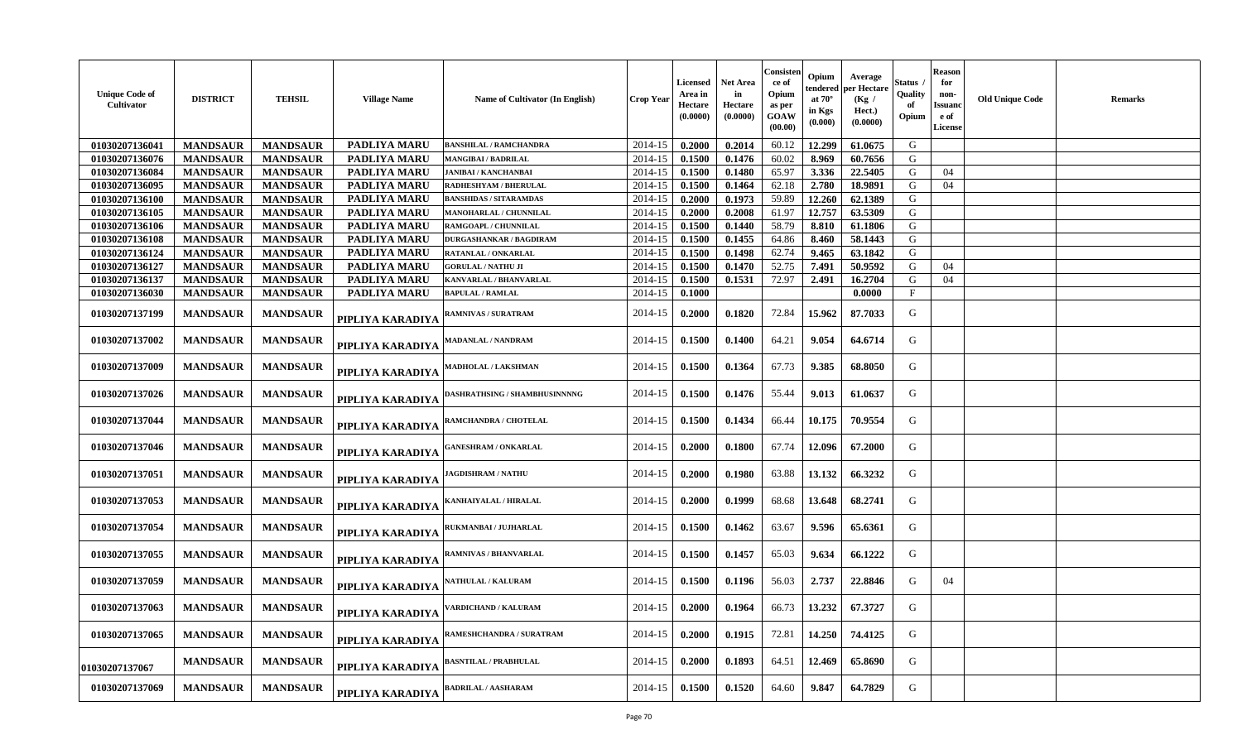| <b>Unique Code of</b><br>Cultivator | <b>DISTRICT</b> | <b>TEHSIL</b>   | <b>Village Name</b> | Name of Cultivator (In English)      | <b>Crop Year</b> | Licensed<br>Area in<br>Hectare<br>(0.0000) | Net Area<br>in<br><b>Hectare</b><br>(0.0000) | Consisten<br>ce of<br>Opium<br>as per<br>GOAW<br>(00.00) | Opium<br>tendered<br>at $70^\circ$<br>in Kgs<br>(0.000) | Average<br>per Hectare<br>(Kg /<br>Hect.)<br>(0.0000) | Status .<br>Quality<br>Opium | <b>Reason</b><br>for<br>non-<br><b>Issuanc</b><br>e of<br>License | <b>Old Unique Code</b> | Remarks |
|-------------------------------------|-----------------|-----------------|---------------------|--------------------------------------|------------------|--------------------------------------------|----------------------------------------------|----------------------------------------------------------|---------------------------------------------------------|-------------------------------------------------------|------------------------------|-------------------------------------------------------------------|------------------------|---------|
| 01030207136041                      | <b>MANDSAUR</b> | <b>MANDSAUR</b> | <b>PADLIYA MARU</b> | <b>BANSHILAL / RAMCHANDRA</b>        | 2014-15          | 0.2000                                     | 0.2014                                       | 60.12                                                    | 12.299                                                  | 61.0675                                               | G                            |                                                                   |                        |         |
| 01030207136076                      | <b>MANDSAUR</b> | <b>MANDSAUR</b> | <b>PADLIYA MARU</b> | <b>MANGIBAI / BADRILAL</b>           | 2014-15          | 0.1500                                     | 0.1476                                       | 60.02                                                    | 8.969                                                   | 60.7656                                               | G                            |                                                                   |                        |         |
| 01030207136084                      | <b>MANDSAUR</b> | <b>MANDSAUR</b> | PADLIYA MARU        | <b>JANIBAI / KANCHANBAI</b>          | 2014-15          | 0.1500                                     | 0.1480                                       | 65.97                                                    | 3.336                                                   | 22.5405                                               | G                            | 04                                                                |                        |         |
| 01030207136095                      | <b>MANDSAUR</b> | <b>MANDSAUR</b> | <b>PADLIYA MARU</b> | RADHESHYAM / BHERULAL                | 2014-15          | 0.1500                                     | 0.1464                                       | 62.18                                                    | 2.780                                                   | 18.9891                                               | G                            | 04                                                                |                        |         |
| 01030207136100                      | <b>MANDSAUR</b> | <b>MANDSAUR</b> | <b>PADLIYA MARU</b> | <b>BANSHIDAS / SITARAMDAS</b>        | 2014-15          | 0.2000                                     | 0.1973                                       | 59.89                                                    | 12.260                                                  | 62.1389                                               | G                            |                                                                   |                        |         |
| 01030207136105                      | <b>MANDSAUR</b> | <b>MANDSAUR</b> | <b>PADLIYA MARU</b> | <b>MANOHARLAL / CHUNNILAL</b>        | 2014-15          | 0.2000                                     | 0.2008                                       | 61.97                                                    | 12.757                                                  | 63.5309                                               | G                            |                                                                   |                        |         |
| 01030207136106                      | <b>MANDSAUR</b> | <b>MANDSAUR</b> | PADLIYA MARU        | RAMGOAPL / CHUNNILAL                 | 2014-15          | 0.1500                                     | 0.1440                                       | 58.79                                                    | 8.810                                                   | 61.1806                                               | G                            |                                                                   |                        |         |
| 01030207136108                      | <b>MANDSAUR</b> | <b>MANDSAUR</b> | <b>PADLIYA MARU</b> | DURGASHANKAR / BAGDIRAM              | 2014-15          | 0.1500                                     | 0.1455                                       | 64.86                                                    | 8.460                                                   | 58.1443                                               | G                            |                                                                   |                        |         |
| 01030207136124                      | <b>MANDSAUR</b> | <b>MANDSAUR</b> | <b>PADLIYA MARU</b> | RATANLAL / ONKARLAL                  | 2014-15          | 0.1500                                     | 0.1498                                       | 62.74                                                    | 9.465                                                   | 63.1842                                               | G                            |                                                                   |                        |         |
| 01030207136127                      | <b>MANDSAUR</b> | <b>MANDSAUR</b> | <b>PADLIYA MARU</b> | <b>GORULAL / NATHU JI</b>            | 2014-15          | 0.1500                                     | 0.1470                                       | 52.75                                                    | 7.491                                                   | 50.9592                                               | G                            | 04                                                                |                        |         |
| 01030207136137                      | <b>MANDSAUR</b> | <b>MANDSAUR</b> | PADLIYA MARU        | KANVARLAL / BHANVARLAL               | 2014-15          | 0.1500                                     | 0.1531                                       | 72.97                                                    | 2.491                                                   | 16.2704                                               | G                            | 04                                                                |                        |         |
| 01030207136030                      | <b>MANDSAUR</b> | <b>MANDSAUR</b> | <b>PADLIYA MARU</b> | <b>BAPULAL / RAMLAL</b>              | 2014-15          | 0.1000                                     |                                              |                                                          |                                                         | 0.0000                                                | $\mathbf F$                  |                                                                   |                        |         |
| 01030207137199                      | <b>MANDSAUR</b> | <b>MANDSAUR</b> | PIPLIYA KARADIYA    | RAMNIVAS / SURATRAM                  | 2014-15          | 0.2000                                     | 0.1820                                       | 72.84                                                    | 15.962                                                  | 87.7033                                               | G                            |                                                                   |                        |         |
| 01030207137002                      | <b>MANDSAUR</b> | <b>MANDSAUR</b> | PIPLIYA KARADIYA    | <b>AADANLAL / NANDRAM</b>            | 2014-15          | 0.1500                                     | 0.1400                                       | 64.21                                                    | 9.054                                                   | 64.6714                                               | G                            |                                                                   |                        |         |
| 01030207137009                      | <b>MANDSAUR</b> | <b>MANDSAUR</b> | PIPLIYA KARADIYA    | MADHOLAL / LAKSHMAN                  | 2014-15          | 0.1500                                     | 0.1364                                       | 67.73                                                    | 9.385                                                   | 68.8050                                               | G                            |                                                                   |                        |         |
| 01030207137026                      | <b>MANDSAUR</b> | <b>MANDSAUR</b> | PIPLIYA KARADIYA    | <b>DASHRATHSING / SHAMBHUSINNNNG</b> | 2014-15          | 0.1500                                     | 0.1476                                       | 55.44                                                    | 9.013                                                   | 61.0637                                               | G                            |                                                                   |                        |         |
| 01030207137044                      | <b>MANDSAUR</b> | <b>MANDSAUR</b> | PIPLIYA KARADIYA    | <b>AMCHANDRA / CHOTELAL</b>          | 2014-15          | 0.1500                                     | 0.1434                                       | 66.44                                                    | 10.175                                                  | 70.9554                                               | G                            |                                                                   |                        |         |
| 01030207137046                      | <b>MANDSAUR</b> | <b>MANDSAUR</b> | PIPLIYA KARADIYA    | <b>GANESHRAM / ONKARLAL</b>          | 2014-15          | 0.2000                                     | 0.1800                                       | 67.74                                                    | 12.096                                                  | 67.2000                                               | G                            |                                                                   |                        |         |
| 01030207137051                      | <b>MANDSAUR</b> | <b>MANDSAUR</b> | PIPLIYA KARADIYA    | <b>AGDISHRAM / NATHU</b>             | 2014-15          | 0.2000                                     | 0.1980                                       | 63.88                                                    | 13.132                                                  | 66.3232                                               | G                            |                                                                   |                        |         |
| 01030207137053                      | <b>MANDSAUR</b> | <b>MANDSAUR</b> | PIPLIYA KARADIYA    | KANHAIYALAL / HIRALAL                | 2014-15          | 0.2000                                     | 0.1999                                       | 68.68                                                    | 13.648                                                  | 68.2741                                               | G                            |                                                                   |                        |         |
| 01030207137054                      | <b>MANDSAUR</b> | <b>MANDSAUR</b> | PIPLIYA KARADIYA    | RUKMANBAI / JUJHARLAL                | 2014-15          | 0.1500                                     | 0.1462                                       | 63.67                                                    | 9.596                                                   | 65.6361                                               | G                            |                                                                   |                        |         |
| 01030207137055                      | <b>MANDSAUR</b> | <b>MANDSAUR</b> | PIPLIYA KARADIYA    | RAMNIVAS / BHANVARLAL                | 2014-15          | 0.1500                                     | 0.1457                                       | 65.03                                                    | 9.634                                                   | 66.1222                                               | G                            |                                                                   |                        |         |
| 01030207137059                      | <b>MANDSAUR</b> | <b>MANDSAUR</b> | PIPLIYA KARADIYA    | <b>ATHULAL / KALURAM</b>             | 2014-15          | 0.1500                                     | 0.1196                                       | 56.03                                                    | 2.737                                                   | 22.8846                                               | G                            | 04                                                                |                        |         |
| 01030207137063                      | <b>MANDSAUR</b> | <b>MANDSAUR</b> | PIPLIYA KARADIYA    | 'ARDICHAND / KALURAM                 | 2014-15          | 0.2000                                     | 0.1964                                       | 66.73                                                    | 13.232                                                  | 67.3727                                               | G                            |                                                                   |                        |         |
| 01030207137065                      | <b>MANDSAUR</b> | <b>MANDSAUR</b> | PIPLIYA KARADIYA    | RAMESHCHANDRA / SURATRAM             | 2014-15          | 0.2000                                     | 0.1915                                       | 72.81                                                    | 14.250                                                  | 74.4125                                               | G                            |                                                                   |                        |         |
| <b>01030207137067</b>               | <b>MANDSAUR</b> | <b>MANDSAUR</b> | PIPLIYA KARADIYA    | <b>BASNTILAL / PRABHULAL</b>         | 2014-15          | 0.2000                                     | 0.1893                                       | 64.51                                                    | 12.469                                                  | 65.8690                                               | G                            |                                                                   |                        |         |
| 01030207137069                      | <b>MANDSAUR</b> | <b>MANDSAUR</b> | PIPLIYA KARADIYA    | <b>ADRILAL / AASHARAM</b>            | 2014-15          | 0.1500                                     | 0.1520                                       | 64.60                                                    | 9.847                                                   | 64.7829                                               | G                            |                                                                   |                        |         |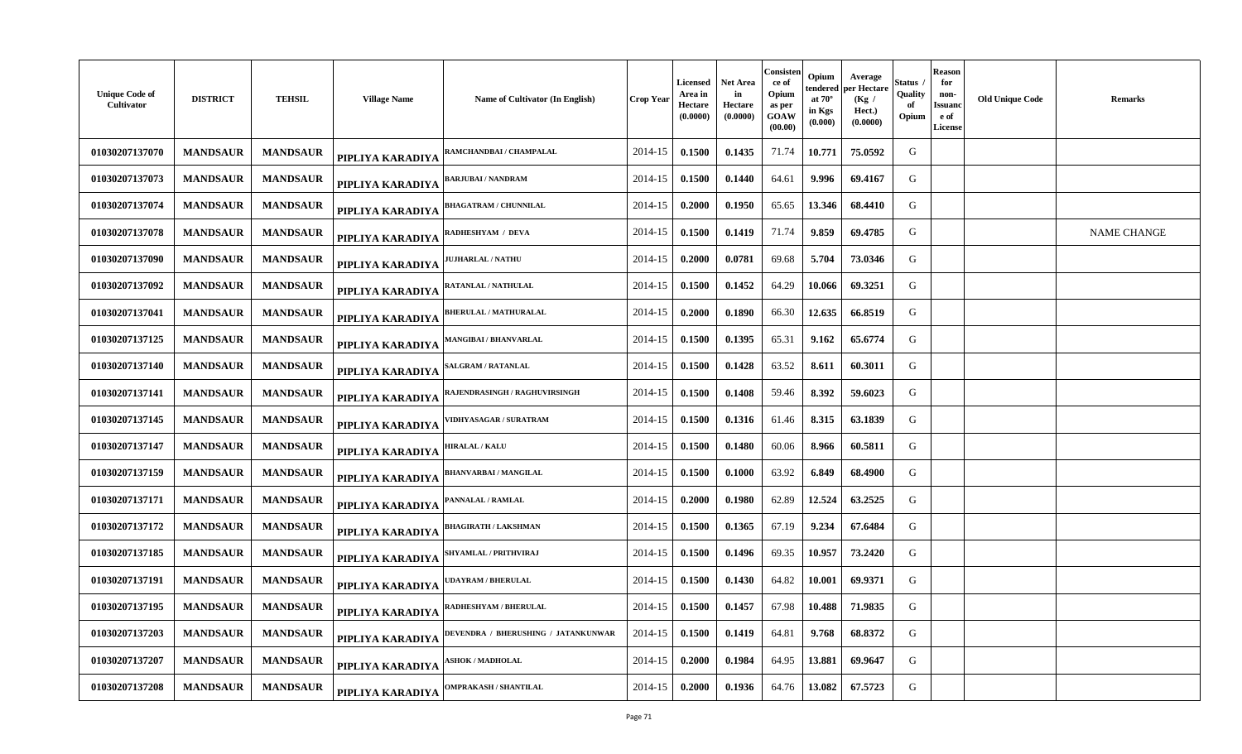| <b>Unique Code of</b><br>Cultivator | <b>DISTRICT</b> | <b>TEHSIL</b>   | <b>Village Name</b> | Name of Cultivator (In English)            | Crop Year | <b>Licensed</b><br>Area in<br>Hectare<br>(0.0000) | Net Area<br>in<br>Hectare<br>(0.0000) | Consisten<br>ce of<br>Opium<br>as per<br>GOAW<br>(00.00) | Opium<br>tendered<br>at $70^\circ$<br>in Kgs<br>(0.000) | Average<br>per Hectare<br>(Kg)<br>Hect.)<br>(0.0000) | status<br>Quality<br>of<br>Opium | Reason<br>for<br>non-<br>Issuanc<br>e of<br>License | <b>Old Unique Code</b> | <b>Remarks</b>     |
|-------------------------------------|-----------------|-----------------|---------------------|--------------------------------------------|-----------|---------------------------------------------------|---------------------------------------|----------------------------------------------------------|---------------------------------------------------------|------------------------------------------------------|----------------------------------|-----------------------------------------------------|------------------------|--------------------|
| 01030207137070                      | <b>MANDSAUR</b> | <b>MANDSAUR</b> | PIPLIYA KARADIYA    | RAMCHANDBAI / CHAMPALAL                    | 2014-15   | 0.1500                                            | 0.1435                                | 71.74                                                    | 10.771                                                  | 75.0592                                              | G                                |                                                     |                        |                    |
| 01030207137073                      | <b>MANDSAUR</b> | <b>MANDSAUR</b> | PIPLIYA KARADIYA    | <b>ARJUBAI / NANDRAM</b>                   | 2014-15   | 0.1500                                            | 0.1440                                | 64.61                                                    | 9.996                                                   | 69.4167                                              | G                                |                                                     |                        |                    |
| 01030207137074                      | <b>MANDSAUR</b> | <b>MANDSAUR</b> | PIPLIYA KARADIYA    | <b>BHAGATRAM / CHUNNILAL</b>               | 2014-15   | 0.2000                                            | 0.1950                                | 65.65                                                    | 13.346                                                  | 68.4410                                              | G                                |                                                     |                        |                    |
| 01030207137078                      | <b>MANDSAUR</b> | <b>MANDSAUR</b> | PIPLIYA KARADIYA    | <b>RADHESHYAM / DEVA</b>                   | 2014-15   | 0.1500                                            | 0.1419                                | 71.74                                                    | 9.859                                                   | 69.4785                                              | G                                |                                                     |                        | <b>NAME CHANGE</b> |
| 01030207137090                      | <b>MANDSAUR</b> | <b>MANDSAUR</b> | PIPLIYA KARADIYA    | <b>UJHARLAL / NATHU</b>                    | 2014-15   | 0.2000                                            | 0.0781                                | 69.68                                                    | 5.704                                                   | 73.0346                                              | G                                |                                                     |                        |                    |
| 01030207137092                      | <b>MANDSAUR</b> | <b>MANDSAUR</b> | PIPLIYA KARADIYA    | <b>RATANLAL / NATHULAL</b>                 | 2014-15   | 0.1500                                            | 0.1452                                | 64.29                                                    | 10.066                                                  | 69.3251                                              | G                                |                                                     |                        |                    |
| 01030207137041                      | <b>MANDSAUR</b> | <b>MANDSAUR</b> | PIPLIYA KARADIYA    | <b>HERULAL / MATHURALAL</b>                | 2014-15   | 0.2000                                            | 0.1890                                | 66.30                                                    | 12.635                                                  | 66.8519                                              | G                                |                                                     |                        |                    |
| 01030207137125                      | <b>MANDSAUR</b> | <b>MANDSAUR</b> | PIPLIYA KARADIYA    | <b>MANGIBAI / BHANVARLAL</b>               | 2014-15   | 0.1500                                            | 0.1395                                | 65.31                                                    | 9.162                                                   | 65.6774                                              | G                                |                                                     |                        |                    |
| 01030207137140                      | <b>MANDSAUR</b> | <b>MANDSAUR</b> | PIPLIYA KARADIYA    | <b>ALGRAM / RATANLAL</b>                   | 2014-15   | 0.1500                                            | 0.1428                                | 63.52                                                    | 8.611                                                   | 60.3011                                              | G                                |                                                     |                        |                    |
| 01030207137141                      | <b>MANDSAUR</b> | <b>MANDSAUR</b> | PIPLIYA KARADIYA    | <b>RAJENDRASINGH / RAGHUVIRSINGH</b>       | 2014-15   | 0.1500                                            | 0.1408                                | 59.46                                                    | 8.392                                                   | 59.6023                                              | G                                |                                                     |                        |                    |
| 01030207137145                      | <b>MANDSAUR</b> | <b>MANDSAUR</b> | PIPLIYA KARADIYA    | <b>IDHYASAGAR / SURATRAM</b>               | 2014-15   | 0.1500                                            | 0.1316                                | 61.46                                                    | 8.315                                                   | 63.1839                                              | G                                |                                                     |                        |                    |
| 01030207137147                      | <b>MANDSAUR</b> | <b>MANDSAUR</b> | PIPLIYA KARADIYA    | HRALAL / KALU                              | 2014-15   | 0.1500                                            | 0.1480                                | 60.06                                                    | 8.966                                                   | 60.5811                                              | G                                |                                                     |                        |                    |
| 01030207137159                      | <b>MANDSAUR</b> | <b>MANDSAUR</b> | PIPLIYA KARADIYA    | BHANVARBAI / MANGILAL                      | 2014-15   | 0.1500                                            | 0.1000                                | 63.92                                                    | 6.849                                                   | 68.4900                                              | G                                |                                                     |                        |                    |
| 01030207137171                      | <b>MANDSAUR</b> | <b>MANDSAUR</b> | PIPLIYA KARADIYA    | PANNALAL / RAMLAL                          | 2014-15   | 0.2000                                            | 0.1980                                | 62.89                                                    | 12.524                                                  | 63.2525                                              | G                                |                                                     |                        |                    |
| 01030207137172                      | <b>MANDSAUR</b> | <b>MANDSAUR</b> | PIPLIYA KARADIYA    | <b>BHAGIRATH / LAKSHMAN</b>                | 2014-15   | 0.1500                                            | 0.1365                                | 67.19                                                    | 9.234                                                   | 67.6484                                              | G                                |                                                     |                        |                    |
| 01030207137185                      | <b>MANDSAUR</b> | <b>MANDSAUR</b> | PIPLIYA KARADIYA    | <b>SHYAMLAL / PRITHVIRAJ</b>               | 2014-15   | 0.1500                                            | 0.1496                                | 69.35                                                    | 10.957                                                  | 73.2420                                              | G                                |                                                     |                        |                    |
| 01030207137191                      | <b>MANDSAUR</b> | <b>MANDSAUR</b> | PIPLIYA KARADIYA    | <b>DAYRAM / BHERULAL</b>                   | 2014-15   | 0.1500                                            | 0.1430                                | 64.82                                                    | 10.001                                                  | 69.9371                                              | G                                |                                                     |                        |                    |
| 01030207137195                      | <b>MANDSAUR</b> | <b>MANDSAUR</b> | PIPLIYA KARADIYA    | <b>ADHESHYAM / BHERULAL</b>                | 2014-15   | 0.1500                                            | 0.1457                                | 67.98                                                    | 10.488                                                  | 71.9835                                              | G                                |                                                     |                        |                    |
| 01030207137203                      | <b>MANDSAUR</b> | <b>MANDSAUR</b> | PIPLIYA KARADIYA    | <b>DEVENDRA / BHERUSHING / JATANKUNWAR</b> | 2014-15   | 0.1500                                            | 0.1419                                | 64.81                                                    | 9.768                                                   | 68.8372                                              | G                                |                                                     |                        |                    |
| 01030207137207                      | <b>MANDSAUR</b> | <b>MANDSAUR</b> | PIPLIYA KARADIYA    | <b>SHOK / MADHOLAL</b>                     | 2014-15   | 0.2000                                            | 0.1984                                | 64.95                                                    | 13.881                                                  | 69.9647                                              | G                                |                                                     |                        |                    |
| 01030207137208                      | <b>MANDSAUR</b> | <b>MANDSAUR</b> | PIPLIYA KARADIYA    | <b>DMPRAKASH / SHANTILAL</b>               | 2014-15   | 0.2000                                            | 0.1936                                | 64.76                                                    | 13.082                                                  | 67.5723                                              | G                                |                                                     |                        |                    |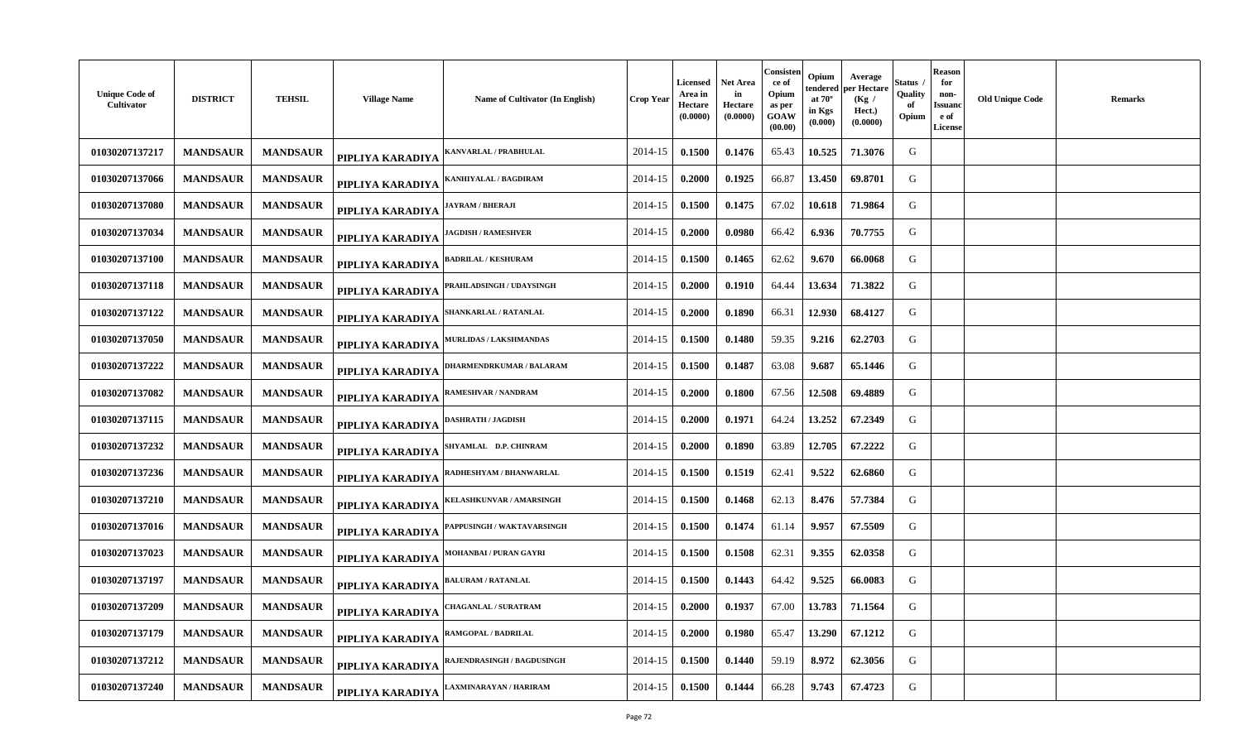| <b>Unique Code of</b><br>Cultivator | <b>DISTRICT</b> | <b>TEHSIL</b>   | <b>Village Name</b> | Name of Cultivator (In English)   | <b>Crop Year</b> | <b>Licensed</b><br>Area in<br>Hectare<br>(0.0000) | <b>Net Area</b><br>in<br>Hectare<br>(0.0000) | Consisten<br>ce of<br>Opium<br>as per<br>GOAW<br>(00.00) | Opium<br>endered<br>at $70^\circ$<br>in Kgs<br>(0.000) | Average<br>per Hectare<br>(Kg /<br>Hect.)<br>(0.0000) | <b>Status</b><br>Quality<br>of<br>Opium | <b>Reason</b><br>for<br>non-<br>Issuano<br>e of<br>License | <b>Old Unique Code</b> | <b>Remarks</b> |
|-------------------------------------|-----------------|-----------------|---------------------|-----------------------------------|------------------|---------------------------------------------------|----------------------------------------------|----------------------------------------------------------|--------------------------------------------------------|-------------------------------------------------------|-----------------------------------------|------------------------------------------------------------|------------------------|----------------|
| 01030207137217                      | <b>MANDSAUR</b> | <b>MANDSAUR</b> | PIPLIYA KARADIYA    | KANVARLAL / PRABHULAL             | 2014-15          | 0.1500                                            | 0.1476                                       | 65.43                                                    | 10.525                                                 | 71.3076                                               | G                                       |                                                            |                        |                |
| 01030207137066                      | <b>MANDSAUR</b> | <b>MANDSAUR</b> | PIPLIYA KARADIYA    | KANHIYALAL / BAGDIRAM             | 2014-15          | 0.2000                                            | 0.1925                                       | 66.87                                                    | 13.450                                                 | 69.8701                                               | G                                       |                                                            |                        |                |
| 01030207137080                      | <b>MANDSAUR</b> | <b>MANDSAUR</b> | PIPLIYA KARADIYA    | <b>IAYRAM / BHERAJI</b>           | 2014-15          | 0.1500                                            | 0.1475                                       | 67.02                                                    | 10.618                                                 | 71.9864                                               | G                                       |                                                            |                        |                |
| 01030207137034                      | <b>MANDSAUR</b> | <b>MANDSAUR</b> | PIPLIYA KARADIYA    | <b>IAGDISH / RAMESHVER</b>        | 2014-15          | 0.2000                                            | 0.0980                                       | 66.42                                                    | 6.936                                                  | 70.7755                                               | G                                       |                                                            |                        |                |
| 01030207137100                      | <b>MANDSAUR</b> | <b>MANDSAUR</b> | PIPLIYA KARADIYA    | <b>BADRILAL / KESHURAM</b>        | 2014-15          | 0.1500                                            | 0.1465                                       | 62.62                                                    | 9.670                                                  | 66.0068                                               | G                                       |                                                            |                        |                |
| 01030207137118                      | <b>MANDSAUR</b> | <b>MANDSAUR</b> | PIPLIYA KARADIYA    | PRAHLADSINGH / UDAYSINGH          | 2014-15          | 0.2000                                            | 0.1910                                       | 64.44                                                    | 13.634                                                 | 71.3822                                               | G                                       |                                                            |                        |                |
| 01030207137122                      | <b>MANDSAUR</b> | <b>MANDSAUR</b> | PIPLIYA KARADIYA    | <b>SHANKARLAL / RATANLAL</b>      | 2014-15          | 0.2000                                            | 0.1890                                       | 66.31                                                    | 12.930                                                 | 68.4127                                               | G                                       |                                                            |                        |                |
| 01030207137050                      | <b>MANDSAUR</b> | <b>MANDSAUR</b> | PIPLIYA KARADIYA    | <b>MURLIDAS / LAKSHMANDAS</b>     | 2014-15          | 0.1500                                            | 0.1480                                       | 59.35                                                    | 9.216                                                  | 62.2703                                               | G                                       |                                                            |                        |                |
| 01030207137222                      | <b>MANDSAUR</b> | <b>MANDSAUR</b> | PIPLIYA KARADIYA    | DHARMENDRKUMAR / BALARAM          | 2014-15          | 0.1500                                            | 0.1487                                       | 63.08                                                    | 9.687                                                  | 65.1446                                               | G                                       |                                                            |                        |                |
| 01030207137082                      | <b>MANDSAUR</b> | <b>MANDSAUR</b> | PIPLIYA KARADIYA    | <b>RAMESHVAR / NANDRAM</b>        | 2014-15          | 0.2000                                            | 0.1800                                       | 67.56                                                    | 12.508                                                 | 69.4889                                               | G                                       |                                                            |                        |                |
| 01030207137115                      | <b>MANDSAUR</b> | <b>MANDSAUR</b> | PIPLIYA KARADIYA    | DASHRATH / JAGDISH                | 2014-15          | 0.2000                                            | 0.1971                                       | 64.24                                                    | 13.252                                                 | 67.2349                                               | G                                       |                                                            |                        |                |
| 01030207137232                      | <b>MANDSAUR</b> | <b>MANDSAUR</b> | PIPLIYA KARADIYA    | SHYAMLAL D.P. CHINRAM             | 2014-15          | 0.2000                                            | 0.1890                                       | 63.89                                                    | 12.705                                                 | 67.2222                                               | G                                       |                                                            |                        |                |
| 01030207137236                      | <b>MANDSAUR</b> | <b>MANDSAUR</b> | PIPLIYA KARADIYA    | RADHESHYAM / BHANWARLAL           | 2014-15          | 0.1500                                            | 0.1519                                       | 62.41                                                    | 9.522                                                  | 62.6860                                               | G                                       |                                                            |                        |                |
| 01030207137210                      | <b>MANDSAUR</b> | <b>MANDSAUR</b> | PIPLIYA KARADIYA    | <b>KELASHKUNVAR / AMARSINGH</b>   | 2014-15          | 0.1500                                            | 0.1468                                       | 62.13                                                    | 8.476                                                  | 57.7384                                               | G                                       |                                                            |                        |                |
| 01030207137016                      | <b>MANDSAUR</b> | <b>MANDSAUR</b> | PIPLIYA KARADIYA    | <b>PAPPUSINGH / WAKTAVARSINGH</b> | 2014-15          | 0.1500                                            | 0.1474                                       | 61.14                                                    | 9.957                                                  | 67.5509                                               | G                                       |                                                            |                        |                |
| 01030207137023                      | <b>MANDSAUR</b> | <b>MANDSAUR</b> | PIPLIYA KARADIYA    | MOHANBAI / PURAN GAYRI            | 2014-15          | 0.1500                                            | 0.1508                                       | 62.31                                                    | 9.355                                                  | 62.0358                                               | G                                       |                                                            |                        |                |
| 01030207137197                      | <b>MANDSAUR</b> | <b>MANDSAUR</b> | PIPLIYA KARADIYA    | <b>BALURAM / RATANLAL</b>         | 2014-15          | 0.1500                                            | 0.1443                                       | 64.42                                                    | 9.525                                                  | 66.0083                                               | G                                       |                                                            |                        |                |
| 01030207137209                      | <b>MANDSAUR</b> | <b>MANDSAUR</b> | PIPLIYA KARADIYA    | <b>HAGANLAL / SURATRAM</b>        | 2014-15          | 0.2000                                            | 0.1937                                       | 67.00                                                    | 13.783                                                 | 71.1564                                               | G                                       |                                                            |                        |                |
| 01030207137179                      | <b>MANDSAUR</b> | <b>MANDSAUR</b> | PIPLIYA KARADIYA    | RAMGOPAL / BADRILAL               | 2014-15          | 0.2000                                            | 0.1980                                       | 65.47                                                    | 13.290                                                 | 67.1212                                               | G                                       |                                                            |                        |                |
| 01030207137212                      | <b>MANDSAUR</b> | <b>MANDSAUR</b> | PIPLIYA KARADIYA    | <b>RAJENDRASINGH / BAGDUSINGH</b> | 2014-15          | 0.1500                                            | 0.1440                                       | 59.19                                                    | 8.972                                                  | 62.3056                                               | G                                       |                                                            |                        |                |
| 01030207137240                      | <b>MANDSAUR</b> | <b>MANDSAUR</b> | PIPLIYA KARADIYA    | AXMINARAYAN / HARIRAM             | 2014-15          | 0.1500                                            | 0.1444                                       | 66.28                                                    | 9.743                                                  | 67.4723                                               | G                                       |                                                            |                        |                |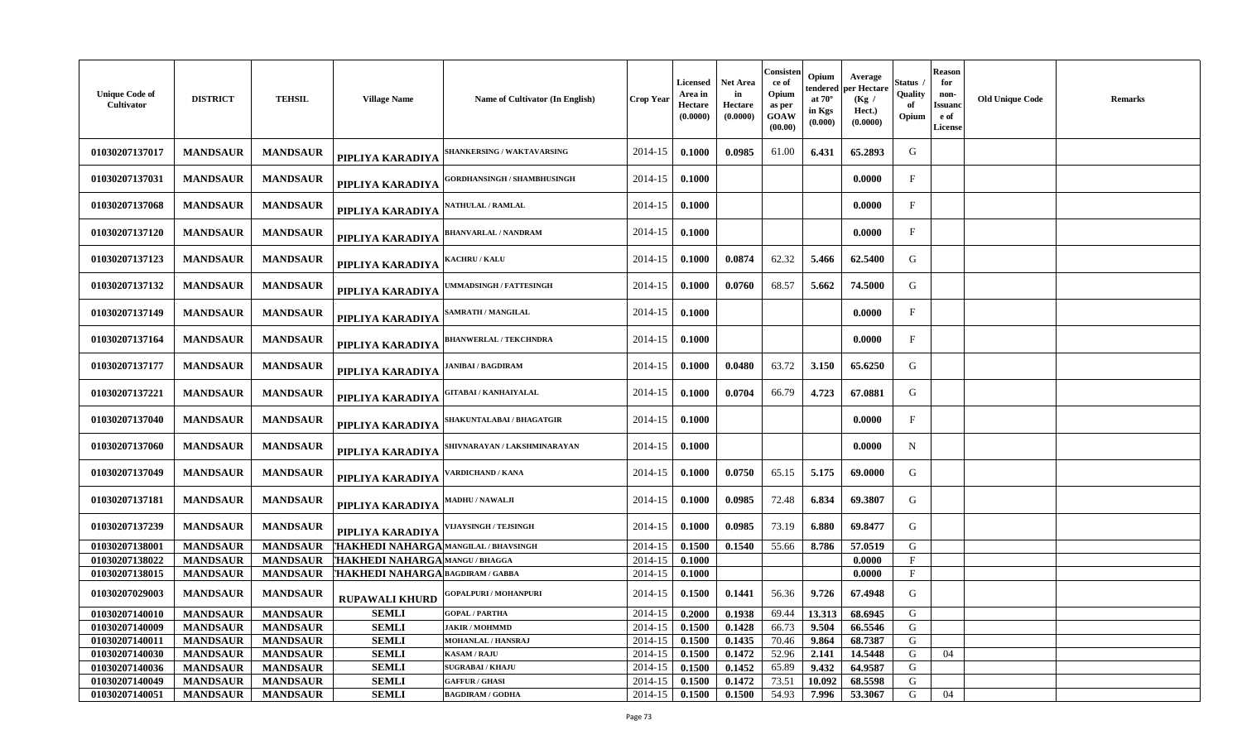| <b>Unique Code of</b><br>Cultivator | <b>DISTRICT</b> | <b>TEHSIL</b>   | <b>Village Name</b>                   | Name of Cultivator (In English)    | <b>Crop Year</b> | <b>Licensed</b><br>Area in<br>Hectare<br>(0.0000) | <b>Net Area</b><br>in<br>Hectare<br>(0.0000) | Consister<br>ce of<br>Opium<br>as per<br>GOAW<br>(00.00) | Opium<br>at $70^\circ$<br>in Kgs<br>(0.000) | Average<br>endered per Hectare<br>(Kg /<br>Hect.)<br>(0.0000) | Status<br>Quality<br>of<br>Opium | Reason<br>for<br>non-<br><b>Issuano</b><br>e of<br>License | <b>Old Unique Code</b> | <b>Remarks</b> |
|-------------------------------------|-----------------|-----------------|---------------------------------------|------------------------------------|------------------|---------------------------------------------------|----------------------------------------------|----------------------------------------------------------|---------------------------------------------|---------------------------------------------------------------|----------------------------------|------------------------------------------------------------|------------------------|----------------|
| 01030207137017                      | <b>MANDSAUR</b> | <b>MANDSAUR</b> | PIPLIYA KARADIYA                      | <b>HANKERSING / WAKTAVARSING</b>   | 2014-15          | 0.1000                                            | 0.0985                                       | 61.00                                                    | 6.431                                       | 65.2893                                                       | G                                |                                                            |                        |                |
| 01030207137031                      | <b>MANDSAUR</b> | <b>MANDSAUR</b> | PIPLIYA KARADIYA                      | <b>GORDHANSINGH / SHAMBHUSINGH</b> | 2014-15          | 0.1000                                            |                                              |                                                          |                                             | 0.0000                                                        | $\mathbf{F}$                     |                                                            |                        |                |
| 01030207137068                      | <b>MANDSAUR</b> | <b>MANDSAUR</b> | PIPLIYA KARADIYA                      | <b>{ATHULAL / RAMLAL</b>           | 2014-15          | 0.1000                                            |                                              |                                                          |                                             | 0.0000                                                        | F                                |                                                            |                        |                |
| 01030207137120                      | <b>MANDSAUR</b> | <b>MANDSAUR</b> | PIPLIYA KARADIYA                      | <b>BHANVARLAL / NANDRAM</b>        | 2014-15          | 0.1000                                            |                                              |                                                          |                                             | 0.0000                                                        | $\mathbf{F}$                     |                                                            |                        |                |
| 01030207137123                      | <b>MANDSAUR</b> | <b>MANDSAUR</b> | PIPLIYA KARADIYA                      | <b>(ACHRU / KALU</b>               | 2014-15          | 0.1000                                            | 0.0874                                       | 62.32                                                    | 5.466                                       | 62.5400                                                       | G                                |                                                            |                        |                |
| 01030207137132                      | <b>MANDSAUR</b> | <b>MANDSAUR</b> | PIPLIYA KARADIYA                      | <b>MMADSINGH / FATTESINGH</b>      | 2014-15          | 0.1000                                            | 0.0760                                       | 68.57                                                    | 5.662                                       | 74.5000                                                       | G                                |                                                            |                        |                |
| 01030207137149                      | <b>MANDSAUR</b> | <b>MANDSAUR</b> | PIPLIYA KARADIYA                      | <b>SAMRATH / MANGILAL</b>          | 2014-15          | 0.1000                                            |                                              |                                                          |                                             | 0.0000                                                        | $\mathbf F$                      |                                                            |                        |                |
| 01030207137164                      | <b>MANDSAUR</b> | <b>MANDSAUR</b> | PIPLIYA KARADIYA                      | <b>BHANWERLAL / TEKCHNDRA</b>      | 2014-15          | 0.1000                                            |                                              |                                                          |                                             | 0.0000                                                        | $\mathbf{F}$                     |                                                            |                        |                |
| 01030207137177                      | <b>MANDSAUR</b> | <b>MANDSAUR</b> | PIPLIYA KARADIYA                      | <b>ANIBAI / BAGDIRAM</b>           | 2014-15          | 0.1000                                            | 0.0480                                       | 63.72                                                    | 3.150                                       | 65.6250                                                       | G                                |                                                            |                        |                |
| 01030207137221                      | <b>MANDSAUR</b> | <b>MANDSAUR</b> | PIPLIYA KARADIYA                      | GITABAI / KANHAIYALAL              | 2014-15          | 0.1000                                            | 0.0704                                       | 66.79                                                    | 4.723                                       | 67.0881                                                       | G                                |                                                            |                        |                |
| 01030207137040                      | <b>MANDSAUR</b> | <b>MANDSAUR</b> | PIPLIYA KARADIYA                      | <b>SHAKUNTALABAI / BHAGATGIR</b>   | 2014-15          | 0.1000                                            |                                              |                                                          |                                             | 0.0000                                                        | $\mathbf{F}$                     |                                                            |                        |                |
| 01030207137060                      | <b>MANDSAUR</b> | <b>MANDSAUR</b> | PIPLIYA KARADIYA                      | SHIVNARAYAN / LAKSHMINARAYAN       | 2014-15          | 0.1000                                            |                                              |                                                          |                                             | 0.0000                                                        | N                                |                                                            |                        |                |
| 01030207137049                      | <b>MANDSAUR</b> | <b>MANDSAUR</b> | PIPLIYA KARADIYA                      | ARDICHAND / KANA                   | 2014-15          | 0.1000                                            | 0.0750                                       | 65.15                                                    | 5.175                                       | 69.0000                                                       | G                                |                                                            |                        |                |
| 01030207137181                      | <b>MANDSAUR</b> | <b>MANDSAUR</b> | PIPLIYA KARADIYA                      | <b>MADHU / NAWALJI</b>             | 2014-15          | 0.1000                                            | 0.0985                                       | 72.48                                                    | 6.834                                       | 69.3807                                                       | G                                |                                                            |                        |                |
| 01030207137239                      | <b>MANDSAUR</b> | <b>MANDSAUR</b> | PIPLIYA KARADIYA                      | <b>'IJAYSINGH / TEJSINGH</b>       | 2014-15          | 0.1000                                            | 0.0985                                       | 73.19                                                    | 6.880                                       | 69.8477                                                       | G                                |                                                            |                        |                |
| 01030207138001                      | <b>MANDSAUR</b> | <b>MANDSAUR</b> | THAKHEDI NAHARGA MANGILAL / BHAVSINGH |                                    | 2014-15          | 0.1500                                            | 0.1540                                       | 55.66                                                    | 8.786                                       | 57.0519                                                       | G                                |                                                            |                        |                |
| 01030207138022                      | <b>MANDSAUR</b> | <b>MANDSAUR</b> | THAKHEDI NAHARGA MANGU / BHAGGA       |                                    | 2014-15          | 0.1000                                            |                                              |                                                          |                                             | 0.0000                                                        | $\mathbf{F}$                     |                                                            |                        |                |
| 01030207138015                      | <b>MANDSAUR</b> | <b>MANDSAUR</b> | THAKHEDI NAHARGA BAGDIRAM / GABBA     |                                    | 2014-15          | 0.1000                                            |                                              |                                                          |                                             | 0.0000                                                        | $\mathbf{F}$                     |                                                            |                        |                |
| 01030207029003                      | <b>MANDSAUR</b> | <b>MANDSAUR</b> | <b>RUPAWALI KHURD</b>                 | <b>GOPALPURI / MOHANPURI</b>       | 2014-15          | 0.1500                                            | 0.1441                                       | 56.36                                                    | 9.726                                       | 67.4948                                                       | G                                |                                                            |                        |                |
| 01030207140010                      | <b>MANDSAUR</b> | <b>MANDSAUR</b> | <b>SEMLI</b>                          | <b>GOPAL / PARTHA</b>              | 2014-15          | 0.2000                                            | 0.1938                                       | 69.44                                                    | 13.313                                      | 68.6945                                                       | G                                |                                                            |                        |                |
| 01030207140009                      | <b>MANDSAUR</b> | <b>MANDSAUR</b> | <b>SEMLI</b>                          | <b>JAKIR / MOHMMD</b>              | 2014-15          | 0.1500                                            | 0.1428                                       | 66.73                                                    | 9.504                                       | 66.5546                                                       | G                                |                                                            |                        |                |
| 01030207140011                      | <b>MANDSAUR</b> | <b>MANDSAUR</b> | <b>SEMLI</b>                          | <b>MOHANLAL / HANSRAJ</b>          | 2014-15          | 0.1500                                            | 0.1435                                       | 70.46                                                    | 9.864                                       | 68.7387                                                       | G                                |                                                            |                        |                |
| 01030207140030                      | <b>MANDSAUR</b> | <b>MANDSAUR</b> | <b>SEMLI</b>                          | <b>KASAM / RAJU</b>                | 2014-15          | 0.1500                                            | 0.1472                                       | 52.96                                                    | 2.141                                       | 14.5448                                                       | G                                | 04                                                         |                        |                |
| 01030207140036                      | <b>MANDSAUR</b> | <b>MANDSAUR</b> | <b>SEMLI</b>                          | <b>SUGRABAI/KHAJU</b>              | 2014-15          | 0.1500                                            | 0.1452                                       | 65.89                                                    | 9.432                                       | 64.9587                                                       | G                                |                                                            |                        |                |
| 01030207140049                      | <b>MANDSAUR</b> | <b>MANDSAUR</b> | <b>SEMLI</b>                          | <b>GAFFUR / GHASI</b>              | 2014-15          | 0.1500                                            | 0.1472                                       | 73.51                                                    | 10.092                                      | 68.5598                                                       | G                                |                                                            |                        |                |
| 01030207140051                      | <b>MANDSAUR</b> | <b>MANDSAUR</b> | <b>SEMLI</b>                          | <b>BAGDIRAM / GODHA</b>            | 2014-15          | 0.1500                                            | 0.1500                                       | 54.93                                                    | 7.996                                       | 53.3067                                                       | G                                | 04                                                         |                        |                |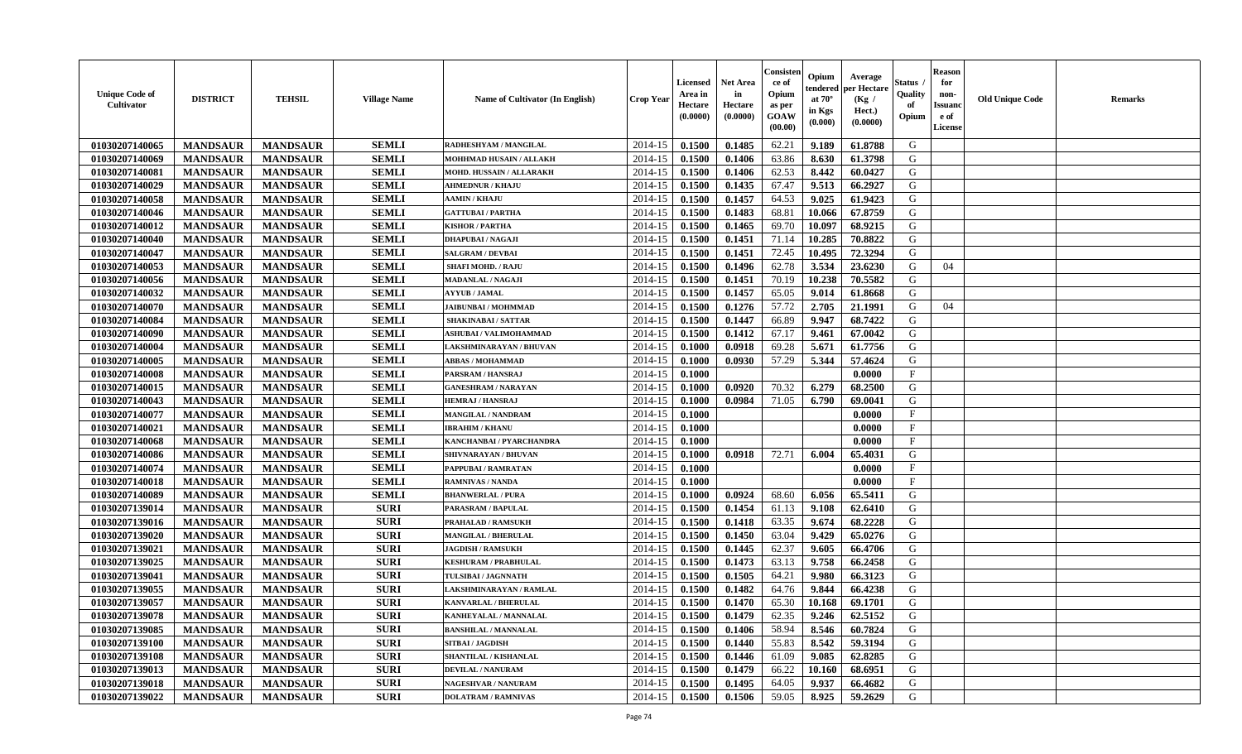| <b>Unique Code of</b><br>Cultivator | <b>DISTRICT</b> | <b>TEHSIL</b>   | <b>Village Name</b> | Name of Cultivator (In English) | Crop Year | <b>Licensed</b><br>Area in<br>Hectare<br>(0.0000) | <b>Net Area</b><br>in<br>Hectare<br>(0.0000) | Consister<br>ce of<br>Opium<br>as per<br><b>GOAW</b><br>(00.00) | Opium<br>tendered<br>at $70^\circ$<br>in Kgs<br>(0.000) | Average<br>oer Hectare<br>(Kg /<br>Hect.)<br>(0.0000) | Status<br>Quality<br>of<br>Opium | <b>Reason</b><br>for<br>non-<br><b>Issuano</b><br>e of<br>License | <b>Old Unique Code</b> | <b>Remarks</b> |
|-------------------------------------|-----------------|-----------------|---------------------|---------------------------------|-----------|---------------------------------------------------|----------------------------------------------|-----------------------------------------------------------------|---------------------------------------------------------|-------------------------------------------------------|----------------------------------|-------------------------------------------------------------------|------------------------|----------------|
| 01030207140065                      | <b>MANDSAUR</b> | <b>MANDSAUR</b> | <b>SEMLI</b>        | RADHESHYAM / MANGILAL           | 2014-15   | 0.1500                                            | 0.1485                                       | 62.21                                                           | 9.189                                                   | 61.8788                                               | G                                |                                                                   |                        |                |
| 01030207140069                      | <b>MANDSAUR</b> | <b>MANDSAUR</b> | <b>SEMLI</b>        | MOHHMAD HUSAIN / ALLAKH         | 2014-15   | 0.1500                                            | 0.1406                                       | 63.86                                                           | 8.630                                                   | 61.3798                                               | G                                |                                                                   |                        |                |
| 01030207140081                      | <b>MANDSAUR</b> | <b>MANDSAUR</b> | <b>SEMLI</b>        | MOHD. HUSSAIN / ALLARAKH        | 2014-15   | 0.1500                                            | 0.1406                                       | 62.53                                                           | 8.442                                                   | 60.0427                                               | G                                |                                                                   |                        |                |
| 01030207140029                      | <b>MANDSAUR</b> | <b>MANDSAUR</b> | <b>SEMLI</b>        | <b>AHMEDNUR / KHAJU</b>         | 2014-15   | 0.1500                                            | 0.1435                                       | 67.47                                                           | 9.513                                                   | 66.2927                                               | G                                |                                                                   |                        |                |
| 01030207140058                      | <b>MANDSAUR</b> | <b>MANDSAUR</b> | <b>SEMLI</b>        | <b>AAMIN / KHAJU</b>            | 2014-15   | 0.1500                                            | 0.1457                                       | 64.53                                                           | 9.025                                                   | 61.9423                                               | G                                |                                                                   |                        |                |
| 01030207140046                      | <b>MANDSAUR</b> | <b>MANDSAUR</b> | <b>SEMLI</b>        | <b>GATTUBAI/PARTHA</b>          | 2014-15   | 0.1500                                            | 0.1483                                       | 68.81                                                           | 10.066                                                  | 67.8759                                               | G                                |                                                                   |                        |                |
| 01030207140012                      | <b>MANDSAUR</b> | <b>MANDSAUR</b> | <b>SEMLI</b>        | <b>KISHOR / PARTHA</b>          | 2014-15   | 0.1500                                            | 0.1465                                       | 69.70                                                           | 10.097                                                  | 68.9215                                               | G                                |                                                                   |                        |                |
| 01030207140040                      | <b>MANDSAUR</b> | <b>MANDSAUR</b> | <b>SEMLI</b>        | <b>DHAPUBAI/NAGAJI</b>          | 2014-15   | 0.1500                                            | 0.1451                                       | 71.14                                                           | 10.285                                                  | 70.8822                                               | G                                |                                                                   |                        |                |
| 01030207140047                      | <b>MANDSAUR</b> | <b>MANDSAUR</b> | <b>SEMLI</b>        | <b>SALGRAM / DEVBAI</b>         | 2014-15   | 0.1500                                            | 0.1451                                       | 72.45                                                           | 10.495                                                  | 72.3294                                               | G                                |                                                                   |                        |                |
| 01030207140053                      | <b>MANDSAUR</b> | <b>MANDSAUR</b> | <b>SEMLI</b>        | <b>SHAFI MOHD. / RAJU</b>       | 2014-15   | 0.1500                                            | 0.1496                                       | 62.78                                                           | 3.534                                                   | 23.6230                                               | G                                | 04                                                                |                        |                |
| 01030207140056                      | <b>MANDSAUR</b> | <b>MANDSAUR</b> | <b>SEMLI</b>        | <b>MADANLAL / NAGAJI</b>        | 2014-15   | 0.1500                                            | 0.1451                                       | 70.19                                                           | 10.238                                                  | 70.5582                                               | G                                |                                                                   |                        |                |
| 01030207140032                      | <b>MANDSAUR</b> | <b>MANDSAUR</b> | <b>SEMLI</b>        | <b>AYYUB / JAMAL</b>            | 2014-15   | 0.1500                                            | 0.1457                                       | 65.05                                                           | 9.014                                                   | 61.8668                                               | G                                |                                                                   |                        |                |
| 01030207140070                      | <b>MANDSAUR</b> | <b>MANDSAUR</b> | <b>SEMLI</b>        | <b>JAIBUNBAI/MOHMMAD</b>        | 2014-15   | 0.1500                                            | 0.1276                                       | 57.72                                                           | 2.705                                                   | 21.1991                                               | G                                | 04                                                                |                        |                |
| 01030207140084                      | <b>MANDSAUR</b> | <b>MANDSAUR</b> | <b>SEMLI</b>        | <b>SHAKINABAI/SATTAR</b>        | 2014-15   | 0.1500                                            | 0.1447                                       | 66.89                                                           | 9.947                                                   | 68.7422                                               | G                                |                                                                   |                        |                |
| 01030207140090                      | <b>MANDSAUR</b> | <b>MANDSAUR</b> | <b>SEMLI</b>        | <b>ASHUBAI / VALIMOHAMMAD</b>   | 2014-15   | 0.1500                                            | 0.1412                                       | 67.17                                                           | 9.461                                                   | 67.0042                                               | G                                |                                                                   |                        |                |
| 01030207140004                      | <b>MANDSAUR</b> | <b>MANDSAUR</b> | <b>SEMLI</b>        | LAKSHMINARAYAN / BHUVAN         | 2014-15   | 0.1000                                            | 0.0918                                       | 69.28                                                           | 5.671                                                   | 61.7756                                               | G                                |                                                                   |                        |                |
| 01030207140005                      | <b>MANDSAUR</b> | <b>MANDSAUR</b> | <b>SEMLI</b>        | <b>ABBAS / MOHAMMAD</b>         | 2014-15   | 0.1000                                            | 0.0930                                       | 57.29                                                           | 5.344                                                   | 57.4624                                               | G                                |                                                                   |                        |                |
| 01030207140008                      | <b>MANDSAUR</b> | <b>MANDSAUR</b> | <b>SEMLI</b>        | PARSRAM / HANSRAJ               | 2014-15   | 0.1000                                            |                                              |                                                                 |                                                         | 0.0000                                                | $_{\rm F}$                       |                                                                   |                        |                |
| 01030207140015                      | <b>MANDSAUR</b> | <b>MANDSAUR</b> | <b>SEMLI</b>        | <b>GANESHRAM / NARAYAN</b>      | 2014-15   | 0.1000                                            | 0.0920                                       | 70.32                                                           | 6.279                                                   | 68.2500                                               | G                                |                                                                   |                        |                |
| 01030207140043                      | <b>MANDSAUR</b> | <b>MANDSAUR</b> | <b>SEMLI</b>        | <b>HEMRAJ / HANSRAJ</b>         | 2014-15   | 0.1000                                            | 0.0984                                       | 71.05                                                           | 6.790                                                   | 69.0041                                               | G                                |                                                                   |                        |                |
| 01030207140077                      | <b>MANDSAUR</b> | <b>MANDSAUR</b> | <b>SEMLI</b>        | <b>MANGILAL / NANDRAM</b>       | 2014-15   | 0.1000                                            |                                              |                                                                 |                                                         | 0.0000                                                | $\mathbf{F}$                     |                                                                   |                        |                |
| 01030207140021                      | <b>MANDSAUR</b> | <b>MANDSAUR</b> | <b>SEMLI</b>        | <b>IBRAHIM / KHANU</b>          | 2014-15   | 0.1000                                            |                                              |                                                                 |                                                         | 0.0000                                                | F                                |                                                                   |                        |                |
| 01030207140068                      | <b>MANDSAUR</b> | <b>MANDSAUR</b> | <b>SEMLI</b>        | KANCHANBAI / PYARCHANDRA        | 2014-15   | 0.1000                                            |                                              |                                                                 |                                                         | 0.0000                                                | $\mathbf{F}$                     |                                                                   |                        |                |
| 01030207140086                      | <b>MANDSAUR</b> | <b>MANDSAUR</b> | <b>SEMLI</b>        | SHIVNARAYAN / BHUVAN            | 2014-15   | 0.1000                                            | 0.0918                                       | 72.71                                                           | 6.004                                                   | 65.4031                                               | G                                |                                                                   |                        |                |
| 01030207140074                      | <b>MANDSAUR</b> | <b>MANDSAUR</b> | <b>SEMLI</b>        | PAPPUBAI / RAMRATAN             | 2014-15   | 0.1000                                            |                                              |                                                                 |                                                         | 0.0000                                                | $\rm F$                          |                                                                   |                        |                |
| 01030207140018                      | <b>MANDSAUR</b> | <b>MANDSAUR</b> | <b>SEMLI</b>        | <b>RAMNIVAS / NANDA</b>         | 2014-15   | 0.1000                                            |                                              |                                                                 |                                                         | 0.0000                                                | $\mathbf{F}$                     |                                                                   |                        |                |
| 01030207140089                      | <b>MANDSAUR</b> | <b>MANDSAUR</b> | <b>SEMLI</b>        | <b>BHANWERLAL / PURA</b>        | 2014-15   | 0.1000                                            | 0.0924                                       | 68.60                                                           | 6.056                                                   | 65.5411                                               | G                                |                                                                   |                        |                |
| 01030207139014                      | <b>MANDSAUR</b> | <b>MANDSAUR</b> | <b>SURI</b>         | PARASRAM / BAPULAL              | 2014-15   | 0.1500                                            | 0.1454                                       | 61.13                                                           | 9.108                                                   | 62.6410                                               | G                                |                                                                   |                        |                |
| 01030207139016                      | <b>MANDSAUR</b> | <b>MANDSAUR</b> | <b>SURI</b>         | <b>PRAHALAD / RAMSUKH</b>       | 2014-15   | 0.1500                                            | 0.1418                                       | 63.35                                                           | 9.674                                                   | 68.2228                                               | G                                |                                                                   |                        |                |
| 01030207139020                      | <b>MANDSAUR</b> | <b>MANDSAUR</b> | <b>SURI</b>         | <b>MANGILAL / BHERULAL</b>      | 2014-15   | 0.1500                                            | 0.1450                                       | 63.04                                                           | 9.429                                                   | 65.0276                                               | G                                |                                                                   |                        |                |
| 01030207139021                      | <b>MANDSAUR</b> | <b>MANDSAUR</b> | <b>SURI</b>         | <b>JAGDISH / RAMSUKH</b>        | 2014-15   | 0.1500                                            | 0.1445                                       | 62.37                                                           | 9.605                                                   | 66.4706                                               | G                                |                                                                   |                        |                |
| 01030207139025                      | <b>MANDSAUR</b> | <b>MANDSAUR</b> | <b>SURI</b>         | <b>KESHURAM / PRABHULAL</b>     | 2014-15   | 0.1500                                            | 0.1473                                       | 63.13                                                           | 9.758                                                   | 66.2458                                               | G                                |                                                                   |                        |                |
| 01030207139041                      | <b>MANDSAUR</b> | <b>MANDSAUR</b> | <b>SURI</b>         | TULSIBAI / JAGNNATH             | 2014-15   | 0.1500                                            | 0.1505                                       | 64.21                                                           | 9.980                                                   | 66.3123                                               | G                                |                                                                   |                        |                |
| 01030207139055                      | <b>MANDSAUR</b> | <b>MANDSAUR</b> | <b>SURI</b>         | LAKSHMINARAYAN / RAMLAL         | 2014-15   | 0.1500                                            | 0.1482                                       | 64.76                                                           | 9.844                                                   | 66.4238                                               | G                                |                                                                   |                        |                |
| 01030207139057                      | <b>MANDSAUR</b> | <b>MANDSAUR</b> | <b>SURI</b>         | <b>KANVARLAL / BHERULAL</b>     | 2014-15   | 0.1500                                            | 0.1470                                       | 65.30                                                           | 10.168                                                  | 69.1701                                               | G                                |                                                                   |                        |                |
| 01030207139078                      | <b>MANDSAUR</b> | <b>MANDSAUR</b> | <b>SURI</b>         | KANHEYALAL / MANNALAL           | 2014-15   | 0.1500                                            | 0.1479                                       | 62.35                                                           | 9.246                                                   | 62.5152                                               | G                                |                                                                   |                        |                |
| 01030207139085                      | <b>MANDSAUR</b> | <b>MANDSAUR</b> | <b>SURI</b>         | <b>BANSHILAL / MANNALAL</b>     | 2014-15   | 0.1500                                            | 0.1406                                       | 58.94                                                           | 8.546                                                   | 60.7824                                               | G                                |                                                                   |                        |                |
| 01030207139100                      | <b>MANDSAUR</b> | <b>MANDSAUR</b> | <b>SURI</b>         | SITBAI / JAGDISH                | 2014-15   | 0.1500                                            | 0.1440                                       | 55.83                                                           | 8.542                                                   | 59.3194                                               | G                                |                                                                   |                        |                |
| 01030207139108                      | <b>MANDSAUR</b> | <b>MANDSAUR</b> | <b>SURI</b>         | SHANTILAL / KISHANLAL           | 2014-15   | 0.1500                                            | 0.1446                                       | 61.09                                                           | 9.085                                                   | 62.8285                                               | G                                |                                                                   |                        |                |
| 01030207139013                      | <b>MANDSAUR</b> | <b>MANDSAUR</b> | <b>SURI</b>         | <b>DEVILAL / NANURAM</b>        | 2014-15   | 0.1500                                            | 0.1479                                       | 66.22                                                           | 10.160                                                  | 68.6951                                               | G                                |                                                                   |                        |                |
| 01030207139018                      | <b>MANDSAUR</b> | <b>MANDSAUR</b> | <b>SURI</b>         | NAGESHVAR / NANURAM             | 2014-15   | 0.1500                                            | 0.1495                                       | 64.05                                                           | 9.937                                                   | 66.4682                                               | G                                |                                                                   |                        |                |
| 01030207139022                      | <b>MANDSAUR</b> | <b>MANDSAUR</b> | <b>SURI</b>         | <b>DOLATRAM / RAMNIVAS</b>      | 2014-15   | 0.1500                                            | 0.1506                                       | 59.05                                                           | 8.925                                                   | 59.2629                                               | G                                |                                                                   |                        |                |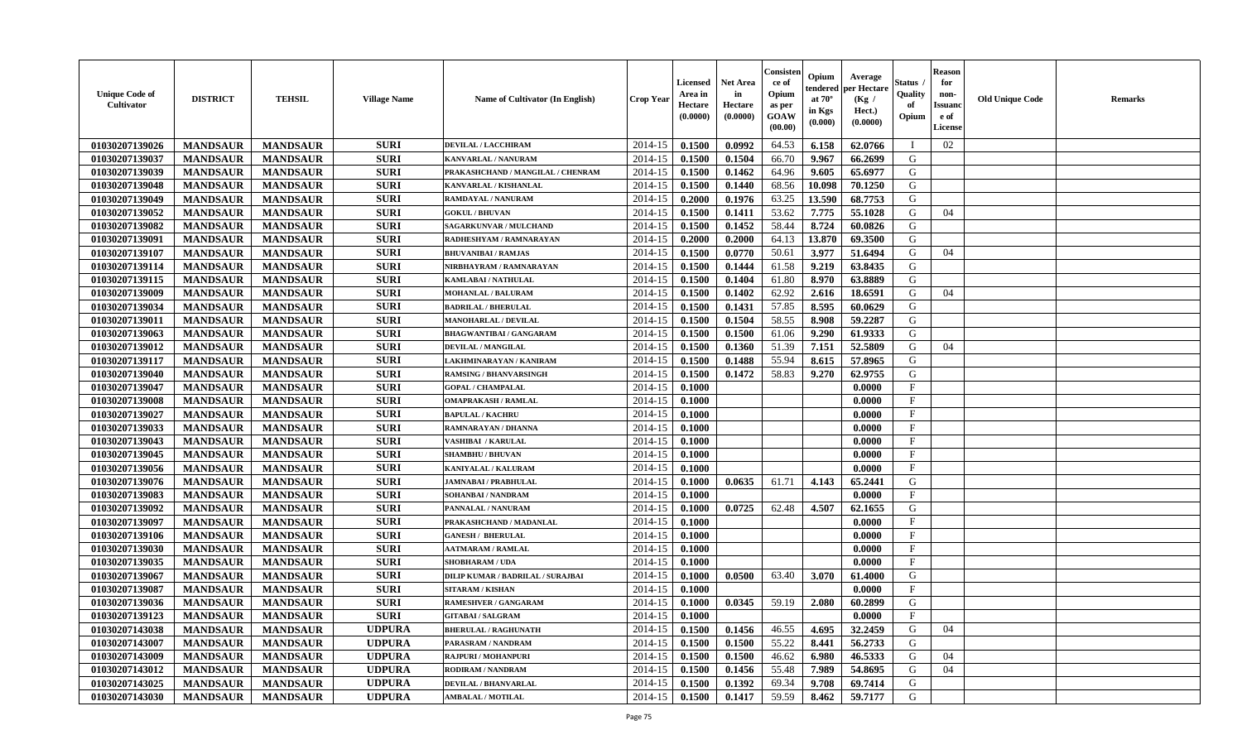| <b>Unique Code of</b><br>Cultivator | <b>DISTRICT</b> | <b>TEHSIL</b>   | <b>Village Name</b> | Name of Cultivator (In English)   | Crop Year | <b>Licensed</b><br>Area in<br>Hectare<br>(0.0000) | <b>Net Area</b><br>in<br>Hectare<br>(0.0000) | Consister<br>ce of<br>Opium<br>as per<br><b>GOAW</b><br>(00.00) | Opium<br>tendered<br>at $70^\circ$<br>in Kgs<br>(0.000) | Average<br>oer Hectare<br>(Kg /<br>Hect.)<br>(0.0000) | Status<br>Quality<br>of<br>Opium | <b>Reason</b><br>for<br>non-<br><b>Issuano</b><br>e of<br>License | <b>Old Unique Code</b> | <b>Remarks</b> |
|-------------------------------------|-----------------|-----------------|---------------------|-----------------------------------|-----------|---------------------------------------------------|----------------------------------------------|-----------------------------------------------------------------|---------------------------------------------------------|-------------------------------------------------------|----------------------------------|-------------------------------------------------------------------|------------------------|----------------|
| 01030207139026                      | <b>MANDSAUR</b> | <b>MANDSAUR</b> | <b>SURI</b>         | <b>DEVILAL / LACCHIRAM</b>        | 2014-15   | 0.1500                                            | 0.0992                                       | 64.53                                                           | 6.158                                                   | 62.0766                                               | - 1                              | 02                                                                |                        |                |
| 01030207139037                      | <b>MANDSAUR</b> | <b>MANDSAUR</b> | <b>SURI</b>         | KANVARLAL / NANURAM               | 2014-15   | 0.1500                                            | 0.1504                                       | 66.70                                                           | 9.967                                                   | 66.2699                                               | G                                |                                                                   |                        |                |
| 01030207139039                      | <b>MANDSAUR</b> | <b>MANDSAUR</b> | <b>SURI</b>         | PRAKASHCHAND / MANGILAL / CHENRAM | 2014-15   | 0.1500                                            | 0.1462                                       | 64.96                                                           | 9.605                                                   | 65.6977                                               | G                                |                                                                   |                        |                |
| 01030207139048                      | <b>MANDSAUR</b> | <b>MANDSAUR</b> | <b>SURI</b>         | KANVARLAL / KISHANLAL             | 2014-15   | 0.1500                                            | 0.1440                                       | 68.56                                                           | 10.098                                                  | 70.1250                                               | G                                |                                                                   |                        |                |
| 01030207139049                      | <b>MANDSAUR</b> | <b>MANDSAUR</b> | <b>SURI</b>         | <b>RAMDAYAL / NANURAM</b>         | 2014-15   | 0.2000                                            | 0.1976                                       | 63.25                                                           | 13.590                                                  | 68.7753                                               | G                                |                                                                   |                        |                |
| 01030207139052                      | <b>MANDSAUR</b> | <b>MANDSAUR</b> | <b>SURI</b>         | <b>GOKUL / BHUVAN</b>             | 2014-15   | 0.1500                                            | 0.1411                                       | 53.62                                                           | 7.775                                                   | 55.1028                                               | G                                | 04                                                                |                        |                |
| 01030207139082                      | <b>MANDSAUR</b> | <b>MANDSAUR</b> | <b>SURI</b>         | <b>SAGARKUNVAR / MULCHAND</b>     | 2014-15   | 0.1500                                            | 0.1452                                       | 58.44                                                           | 8.724                                                   | 60.0826                                               | G                                |                                                                   |                        |                |
| 01030207139091                      | <b>MANDSAUR</b> | <b>MANDSAUR</b> | <b>SURI</b>         | RADHESHYAM / RAMNARAYAN           | 2014-15   | 0.2000                                            | 0.2000                                       | 64.13                                                           | 13.870                                                  | 69.3500                                               | G                                |                                                                   |                        |                |
| 01030207139107                      | <b>MANDSAUR</b> | <b>MANDSAUR</b> | <b>SURI</b>         | <b>BHUVANIBAI / RAMJAS</b>        | 2014-15   | 0.1500                                            | 0.0770                                       | 50.61                                                           | 3.977                                                   | 51.6494                                               | G                                | 04                                                                |                        |                |
| 01030207139114                      | <b>MANDSAUR</b> | <b>MANDSAUR</b> | <b>SURI</b>         | NIRBHAYRAM / RAMNARAYAN           | 2014-15   | 0.1500                                            | 0.1444                                       | 61.58                                                           | 9.219                                                   | 63.8435                                               | G                                |                                                                   |                        |                |
| 01030207139115                      | <b>MANDSAUR</b> | <b>MANDSAUR</b> | <b>SURI</b>         | KAMLABAI / NATHULAL               | 2014-15   | 0.1500                                            | 0.1404                                       | 61.80                                                           | 8.970                                                   | 63.8889                                               | G                                |                                                                   |                        |                |
| 01030207139009                      | <b>MANDSAUR</b> | <b>MANDSAUR</b> | <b>SURI</b>         | <b>MOHANLAL / BALURAM</b>         | 2014-15   | 0.1500                                            | 0.1402                                       | 62.92                                                           | 2.616                                                   | 18.6591                                               | G                                | 04                                                                |                        |                |
| 01030207139034                      | <b>MANDSAUR</b> | <b>MANDSAUR</b> | <b>SURI</b>         | <b>BADRILAL / BHERULAL</b>        | 2014-15   | 0.1500                                            | 0.1431                                       | 57.85                                                           | 8.595                                                   | 60.0629                                               | G                                |                                                                   |                        |                |
| 01030207139011                      | <b>MANDSAUR</b> | <b>MANDSAUR</b> | <b>SURI</b>         | <b>MANOHARLAL / DEVILAL</b>       | 2014-15   | 0.1500                                            | 0.1504                                       | 58.55                                                           | 8.908                                                   | 59.2287                                               | G                                |                                                                   |                        |                |
| 01030207139063                      | <b>MANDSAUR</b> | <b>MANDSAUR</b> | <b>SURI</b>         | <b>BHAGWANTIBAI/GANGARAM</b>      | 2014-15   | 0.1500                                            | 0.1500                                       | 61.06                                                           | 9.290                                                   | 61.9333                                               | G                                |                                                                   |                        |                |
| 01030207139012                      | <b>MANDSAUR</b> | <b>MANDSAUR</b> | <b>SURI</b>         | DEVILAL / MANGILAL                | 2014-15   | 0.1500                                            | 0.1360                                       | 51.39                                                           | 7.151                                                   | 52.5809                                               | G                                | 04                                                                |                        |                |
| 01030207139117                      | <b>MANDSAUR</b> | <b>MANDSAUR</b> | <b>SURI</b>         | LAKHMINARAYAN / KANIRAM           | 2014-15   | 0.1500                                            | 0.1488                                       | 55.94                                                           | 8.615                                                   | 57.8965                                               | G                                |                                                                   |                        |                |
| 01030207139040                      | <b>MANDSAUR</b> | <b>MANDSAUR</b> | <b>SURI</b>         | <b>RAMSING / BHANVARSINGH</b>     | 2014-15   | 0.1500                                            | 0.1472                                       | 58.83                                                           | 9.270                                                   | 62.9755                                               | G                                |                                                                   |                        |                |
| 01030207139047                      | <b>MANDSAUR</b> | <b>MANDSAUR</b> | <b>SURI</b>         | <b>GOPAL / CHAMPALAL</b>          | 2014-15   | 0.1000                                            |                                              |                                                                 |                                                         | 0.0000                                                | F                                |                                                                   |                        |                |
| 01030207139008                      | <b>MANDSAUR</b> | <b>MANDSAUR</b> | <b>SURI</b>         | <b>OMAPRAKASH / RAMLAL</b>        | 2014-15   | 0.1000                                            |                                              |                                                                 |                                                         | 0.0000                                                | $\mathbf{F}$                     |                                                                   |                        |                |
| 01030207139027                      | <b>MANDSAUR</b> | <b>MANDSAUR</b> | <b>SURI</b>         | <b>BAPULAL / KACHRU</b>           | 2014-15   | 0.1000                                            |                                              |                                                                 |                                                         | 0.0000                                                | $\mathbf{F}$                     |                                                                   |                        |                |
| 01030207139033                      | <b>MANDSAUR</b> | <b>MANDSAUR</b> | <b>SURI</b>         | <b>RAMNARAYAN / DHANNA</b>        | 2014-15   | 0.1000                                            |                                              |                                                                 |                                                         | 0.0000                                                | F                                |                                                                   |                        |                |
| 01030207139043                      | <b>MANDSAUR</b> | <b>MANDSAUR</b> | <b>SURI</b>         | <b>VASHIBAI / KARULAL</b>         | 2014-15   | 0.1000                                            |                                              |                                                                 |                                                         | 0.0000                                                | $\mathbf{F}$                     |                                                                   |                        |                |
| 01030207139045                      | <b>MANDSAUR</b> | <b>MANDSAUR</b> | <b>SURI</b>         | <b>SHAMBHU / BHUVAN</b>           | 2014-15   | 0.1000                                            |                                              |                                                                 |                                                         | 0.0000                                                | $\mathbf{F}$                     |                                                                   |                        |                |
| 01030207139056                      | <b>MANDSAUR</b> | <b>MANDSAUR</b> | <b>SURI</b>         | <b>KANIYALAL / KALURAM</b>        | 2014-15   | 0.1000                                            |                                              |                                                                 |                                                         | 0.0000                                                | $\mathbf F$                      |                                                                   |                        |                |
| 01030207139076                      | <b>MANDSAUR</b> | <b>MANDSAUR</b> | <b>SURI</b>         | <b>JAMNABAI / PRABHULAL</b>       | 2014-15   | 0.1000                                            | 0.0635                                       | 61.71                                                           | 4.143                                                   | 65.2441                                               | G                                |                                                                   |                        |                |
| 01030207139083                      | <b>MANDSAUR</b> | <b>MANDSAUR</b> | <b>SURI</b>         | SOHANBAI / NANDRAM                | 2014-15   | 0.1000                                            |                                              |                                                                 |                                                         | 0.0000                                                | F                                |                                                                   |                        |                |
| 01030207139092                      | <b>MANDSAUR</b> | <b>MANDSAUR</b> | <b>SURI</b>         | PANNALAL / NANURAM                | 2014-15   | 0.1000                                            | 0.0725                                       | 62.48                                                           | 4.507                                                   | 62.1655                                               | G                                |                                                                   |                        |                |
| 01030207139097                      | <b>MANDSAUR</b> | <b>MANDSAUR</b> | <b>SURI</b>         | PRAKASHCHAND / MADANLAL           | 2014-15   | 0.1000                                            |                                              |                                                                 |                                                         | 0.0000                                                | $\boldsymbol{\mathrm{F}}$        |                                                                   |                        |                |
| 01030207139106                      | <b>MANDSAUR</b> | <b>MANDSAUR</b> | <b>SURI</b>         | <b>GANESH / BHERULAL</b>          | 2014-15   | 0.1000                                            |                                              |                                                                 |                                                         | 0.0000                                                | $\mathbf{F}$                     |                                                                   |                        |                |
| 01030207139030                      | <b>MANDSAUR</b> | <b>MANDSAUR</b> | <b>SURI</b>         | <b>AATMARAM / RAMLAL</b>          | 2014-15   | 0.1000                                            |                                              |                                                                 |                                                         | 0.0000                                                | $\mathbf{F}$                     |                                                                   |                        |                |
| 01030207139035                      | <b>MANDSAUR</b> | <b>MANDSAUR</b> | <b>SURI</b>         | <b>SHOBHARAM / UDA</b>            | 2014-15   | 0.1000                                            |                                              |                                                                 |                                                         | 0.0000                                                | $\mathbf{F}$                     |                                                                   |                        |                |
| 01030207139067                      | <b>MANDSAUR</b> | <b>MANDSAUR</b> | <b>SURI</b>         | DILIP KUMAR / BADRILAL / SURAJBAI | 2014-15   | 0.1000                                            | 0.0500                                       | 63.40                                                           | 3.070                                                   | 61.4000                                               | G                                |                                                                   |                        |                |
| 01030207139087                      | <b>MANDSAUR</b> | <b>MANDSAUR</b> | <b>SURI</b>         | <b>SITARAM / KISHAN</b>           | 2014-15   | 0.1000                                            |                                              |                                                                 |                                                         | 0.0000                                                | $\mathbf{F}$                     |                                                                   |                        |                |
| 01030207139036                      | <b>MANDSAUR</b> | <b>MANDSAUR</b> | <b>SURI</b>         | <b>RAMESHVER / GANGARAM</b>       | 2014-15   | 0.1000                                            | 0.0345                                       | 59.19                                                           | 2.080                                                   | 60.2899                                               | G                                |                                                                   |                        |                |
| 01030207139123                      | <b>MANDSAUR</b> | <b>MANDSAUR</b> | <b>SURI</b>         | <b>GITABAI/SALGRAM</b>            | 2014-15   | 0.1000                                            |                                              |                                                                 |                                                         | 0.0000                                                | F                                |                                                                   |                        |                |
| 01030207143038                      | <b>MANDSAUR</b> | <b>MANDSAUR</b> | <b>UDPURA</b>       | <b>BHERULAL / RAGHUNATH</b>       | 2014-15   | 0.1500                                            | 0.1456                                       | 46.55                                                           | 4.695                                                   | 32,2459                                               | G                                | 04                                                                |                        |                |
| 01030207143007                      | <b>MANDSAUR</b> | <b>MANDSAUR</b> | <b>UDPURA</b>       | PARASRAM / NANDRAM                | 2014-15   | 0.1500                                            | 0.1500                                       | 55.22                                                           | 8.441                                                   | 56.2733                                               | G                                |                                                                   |                        |                |
| 01030207143009                      | <b>MANDSAUR</b> | <b>MANDSAUR</b> | <b>UDPURA</b>       | <b>RAJPURI / MOHANPURI</b>        | 2014-15   | 0.1500                                            | 0.1500                                       | 46.62                                                           | 6.980                                                   | 46.5333                                               | G                                | 04                                                                |                        |                |
| 01030207143012                      | <b>MANDSAUR</b> | <b>MANDSAUR</b> | <b>UDPURA</b>       | RODIRAM / NANDRAM                 | 2014-15   | 0.1500                                            | 0.1456                                       | 55.48                                                           | 7.989                                                   | 54.8695                                               | G                                | 04                                                                |                        |                |
| 01030207143025                      | <b>MANDSAUR</b> | <b>MANDSAUR</b> | <b>UDPURA</b>       | <b>DEVILAL / BHANVARLAL</b>       | 2014-15   | 0.1500                                            | 0.1392                                       | 69.34                                                           | 9.708                                                   | 69.7414                                               | G                                |                                                                   |                        |                |
| 01030207143030                      | <b>MANDSAUR</b> | <b>MANDSAUR</b> | <b>UDPURA</b>       | <b>AMBALAL / MOTILAL</b>          | 2014-15   | 0.1500                                            | 0.1417                                       | 59.59                                                           | 8.462                                                   | 59.7177                                               | G                                |                                                                   |                        |                |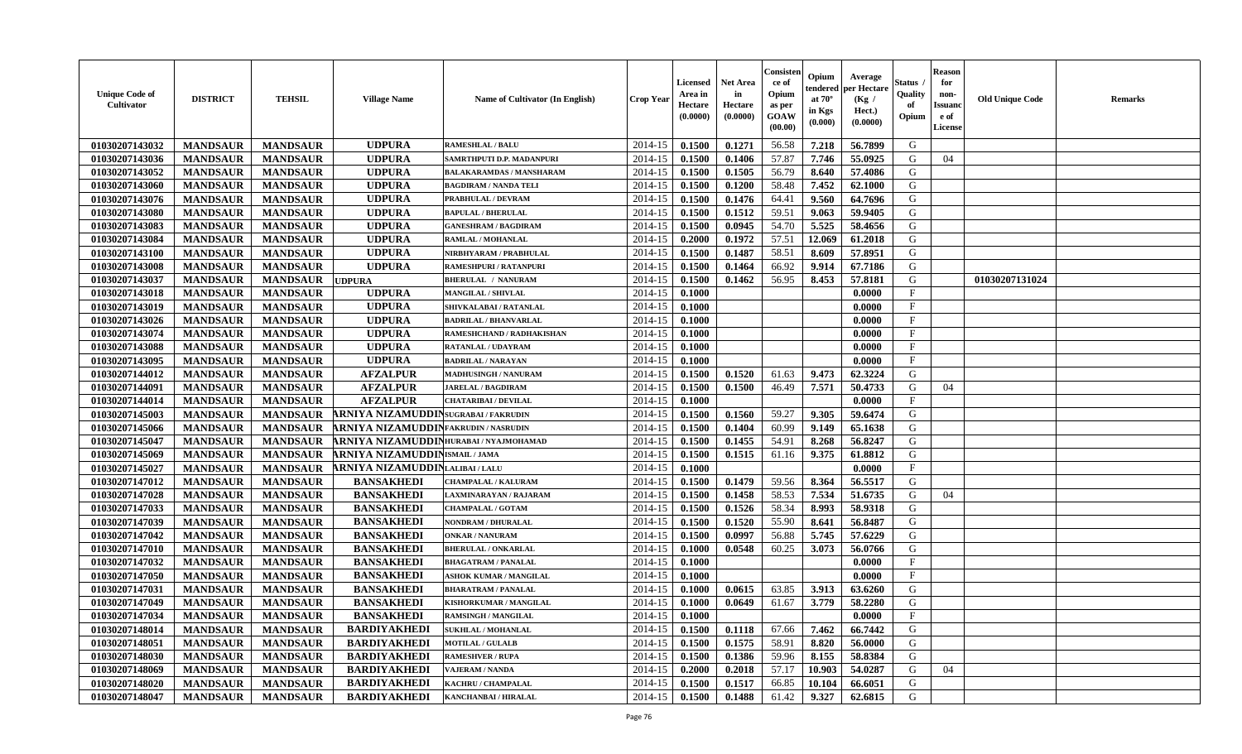| <b>Unique Code of</b><br>Cultivator | <b>DISTRICT</b> | <b>TEHSIL</b>   | <b>Village Name</b>                         | <b>Name of Cultivator (In English)</b> | <b>Crop Year</b> | Licensed<br>Area in<br>Hectare<br>(0.0000) | Net Area<br>in<br>Hectare<br>(0.0000) | Consister<br>ce of<br>Opium<br>as per<br>GOAW<br>(00.00) | Opium<br>tendered<br>at $70^\circ$<br>in Kgs<br>(0.000) | Average<br>per Hectare<br>(Kg /<br>Hect.)<br>(0.0000) | Status<br>Quality<br>of<br>Opium | Reason<br>for<br>non-<br>Issuan<br>e of<br><b>License</b> | <b>Old Unique Code</b> | <b>Remarks</b> |
|-------------------------------------|-----------------|-----------------|---------------------------------------------|----------------------------------------|------------------|--------------------------------------------|---------------------------------------|----------------------------------------------------------|---------------------------------------------------------|-------------------------------------------------------|----------------------------------|-----------------------------------------------------------|------------------------|----------------|
| 01030207143032                      | <b>MANDSAUR</b> | <b>MANDSAUR</b> | <b>UDPURA</b>                               | <b>RAMESHLAL / BALU</b>                | 2014-15          | 0.1500                                     | 0.1271                                | 56.58                                                    | 7.218                                                   | 56.7899                                               | G                                |                                                           |                        |                |
| 01030207143036                      | <b>MANDSAUR</b> | <b>MANDSAUR</b> | <b>UDPURA</b>                               | SAMRTHPUTI D.P. MADANPURI              | 2014-15          | 0.1500                                     | 0.1406                                | 57.87                                                    | 7.746                                                   | 55.0925                                               | G                                | 04                                                        |                        |                |
| 01030207143052                      | <b>MANDSAUR</b> | <b>MANDSAUR</b> | <b>UDPURA</b>                               | <b>BALAKARAMDAS / MANSHARAM</b>        | 2014-15          | 0.1500                                     | 0.1505                                | 56.79                                                    | 8.640                                                   | 57.4086                                               | G                                |                                                           |                        |                |
| 01030207143060                      | <b>MANDSAUR</b> | <b>MANDSAUR</b> | <b>UDPURA</b>                               | <b>BAGDIRAM / NANDA TELI</b>           | 2014-15          | 0.1500                                     | 0.1200                                | 58.48                                                    | 7.452                                                   | 62.1000                                               | G                                |                                                           |                        |                |
| 01030207143076                      | <b>MANDSAUR</b> | <b>MANDSAUR</b> | <b>UDPURA</b>                               | PRABHULAL / DEVRAM                     | 2014-15          | 0.1500                                     | 0.1476                                | 64.41                                                    | 9.560                                                   | 64.7696                                               | G                                |                                                           |                        |                |
| 01030207143080                      | <b>MANDSAUR</b> | <b>MANDSAUR</b> | <b>UDPURA</b>                               | <b>BAPULAL / BHERULAL</b>              | 2014-15          | 0.1500                                     | 0.1512                                | 59.51                                                    | 9.063                                                   | 59.9405                                               | G                                |                                                           |                        |                |
| 01030207143083                      | <b>MANDSAUR</b> | <b>MANDSAUR</b> | <b>UDPURA</b>                               | <b>GANESHRAM / BAGDIRAM</b>            | 2014-15          | 0.1500                                     | 0.0945                                | 54.70                                                    | 5.525                                                   | 58.4656                                               | G                                |                                                           |                        |                |
| 01030207143084                      | <b>MANDSAUR</b> | <b>MANDSAUR</b> | <b>UDPURA</b>                               | RAMLAL / MOHANLAL                      | 2014-15          | 0.2000                                     | 0.1972                                | 57.51                                                    | 12.069                                                  | 61.2018                                               | G                                |                                                           |                        |                |
| 01030207143100                      | <b>MANDSAUR</b> | <b>MANDSAUR</b> | <b>UDPURA</b>                               | NIRBHYARAM / PRABHULAL                 | 2014-15          | 0.1500                                     | 0.1487                                | 58.51                                                    | 8.609                                                   | 57.8951                                               | G                                |                                                           |                        |                |
| 01030207143008                      | <b>MANDSAUR</b> | <b>MANDSAUR</b> | <b>UDPURA</b>                               | RAMESHPURI / RATANPURI                 | 2014-15          | 0.1500                                     | 0.1464                                | 66.92                                                    | 9.914                                                   | 67.7186                                               | G                                |                                                           |                        |                |
| 01030207143037                      | <b>MANDSAUR</b> | <b>MANDSAUR</b> | <b>JDPURA</b>                               | <b>BHERULAL / NANURAM</b>              | 2014-15          | 0.1500                                     | 0.1462                                | 56.95                                                    | 8.453                                                   | 57.8181                                               | G                                |                                                           | 01030207131024         |                |
| 01030207143018                      | <b>MANDSAUR</b> | <b>MANDSAUR</b> | <b>UDPURA</b>                               | <b>MANGILAL / SHIVLAL</b>              | 2014-15          | 0.1000                                     |                                       |                                                          |                                                         | 0.0000                                                | F                                |                                                           |                        |                |
| 01030207143019                      | <b>MANDSAUR</b> | <b>MANDSAUR</b> | <b>UDPURA</b>                               | SHIVKALABAI / RATANLAL                 | 2014-15          | 0.1000                                     |                                       |                                                          |                                                         | 0.0000                                                | $\mathbf{F}$                     |                                                           |                        |                |
| 01030207143026                      | <b>MANDSAUR</b> | <b>MANDSAUR</b> | <b>UDPURA</b>                               | <b>BADRILAL / BHANVARLAL</b>           | 2014-15          | 0.1000                                     |                                       |                                                          |                                                         | 0.0000                                                | $\mathbf{F}$                     |                                                           |                        |                |
| 01030207143074                      | <b>MANDSAUR</b> | <b>MANDSAUR</b> | <b>UDPURA</b>                               | RAMESHCHAND / RADHAKISHAN              | 2014-15          | 0.1000                                     |                                       |                                                          |                                                         | 0.0000                                                | $_{\rm F}$                       |                                                           |                        |                |
| 01030207143088                      | <b>MANDSAUR</b> | <b>MANDSAUR</b> | <b>UDPURA</b>                               | RATANLAL / UDAYRAM                     | 2014-15          | 0.1000                                     |                                       |                                                          |                                                         | 0.0000                                                | F                                |                                                           |                        |                |
| 01030207143095                      | <b>MANDSAUR</b> | <b>MANDSAUR</b> | <b>UDPURA</b>                               | <b>BADRILAL / NARAYAN</b>              | 2014-15          | 0.1000                                     |                                       |                                                          |                                                         | 0.0000                                                | $\mathbf{F}$                     |                                                           |                        |                |
| 01030207144012                      | <b>MANDSAUR</b> | <b>MANDSAUR</b> | <b>AFZALPUR</b>                             | MADHUSINGH / NANURAM                   | 2014-15          | 0.1500                                     | 0.1520                                | 61.63                                                    | 9.473                                                   | 62.3224                                               | G                                |                                                           |                        |                |
| 01030207144091                      | <b>MANDSAUR</b> | <b>MANDSAUR</b> | <b>AFZALPUR</b>                             | <b>JARELAL / BAGDIRAM</b>              | 2014-15          | 0.1500                                     | 0.1500                                | 46.49                                                    | 7.571                                                   | 50.4733                                               | G                                | 04                                                        |                        |                |
| 01030207144014                      | <b>MANDSAUR</b> | <b>MANDSAUR</b> | <b>AFZALPUR</b>                             | <b>CHATARIBAI / DEVILAL</b>            | 2014-15          | 0.1000                                     |                                       |                                                          |                                                         | 0.0000                                                | $\mathbf{F}$                     |                                                           |                        |                |
| 01030207145003                      | <b>MANDSAUR</b> | <b>MANDSAUR</b> | ARNIYA NIZAMUDDINSUGRABAI/FAKRUDIN          |                                        | 2014-15          | 0.1500                                     | 0.1560                                | 59.27                                                    | 9.305                                                   | 59.6474                                               | G                                |                                                           |                        |                |
| 01030207145066                      | <b>MANDSAUR</b> | <b>MANDSAUR</b> | <b>ARNIYA NIZAMUDDINFAKRUDIN / NASRUDIN</b> |                                        | 2014-15          | 0.1500                                     | 0.1404                                | 60.99                                                    | 9.149                                                   | 65.1638                                               | G                                |                                                           |                        |                |
| 01030207145047                      | <b>MANDSAUR</b> | <b>MANDSAUR</b> | ARNIYA NIZAMUDDINHURABAI/NYAJMOHAMAD        |                                        | 2014-15          | 0.1500                                     | 0.1455                                | 54.91                                                    | 8.268                                                   | 56.8247                                               | G                                |                                                           |                        |                |
| 01030207145069                      | <b>MANDSAUR</b> | <b>MANDSAUR</b> | <b>ARNIYA NIZAMUDDINISMAIL/JAMA</b>         |                                        | 2014-15          | 0.1500                                     | 0.1515                                | 61.16                                                    | 9.375                                                   | 61.8812                                               | G                                |                                                           |                        |                |
| 01030207145027                      | <b>MANDSAUR</b> | <b>MANDSAUR</b> | ARNIYA NIZAMUDDINLALIBAI/LALU               |                                        | 2014-15          | 0.1000                                     |                                       |                                                          |                                                         | 0.0000                                                | $\mathbf{F}$                     |                                                           |                        |                |
| 01030207147012                      | <b>MANDSAUR</b> | <b>MANDSAUR</b> | <b>BANSAKHEDI</b>                           | <b>CHAMPALAL / KALURAM</b>             | 2014-15          | 0.1500                                     | 0.1479                                | 59.56                                                    | 8.364                                                   | 56.5517                                               | G                                |                                                           |                        |                |
| 01030207147028                      | <b>MANDSAUR</b> | <b>MANDSAUR</b> | <b>BANSAKHEDI</b>                           | LAXMINARAYAN / RAJARAM                 | 2014-15          | 0.1500                                     | 0.1458                                | 58.53                                                    | 7.534                                                   | 51.6735                                               | G                                | 04                                                        |                        |                |
| 01030207147033                      | <b>MANDSAUR</b> | <b>MANDSAUR</b> | <b>BANSAKHEDI</b>                           | <b>CHAMPALAL / GOTAM</b>               | 2014-15          | 0.1500                                     | 0.1526                                | 58.34                                                    | 8.993                                                   | 58.9318                                               | G                                |                                                           |                        |                |
| 01030207147039                      | <b>MANDSAUR</b> | <b>MANDSAUR</b> | <b>BANSAKHEDI</b>                           | NONDRAM / DHURALAL                     | 2014-15          | 0.1500                                     | 0.1520                                | 55.90                                                    | 8.641                                                   | 56.8487                                               | G                                |                                                           |                        |                |
| 01030207147042                      | <b>MANDSAUR</b> | <b>MANDSAUR</b> | <b>BANSAKHEDI</b>                           | <b>ONKAR / NANURAM</b>                 | 2014-15          | 0.1500                                     | 0.0997                                | 56.88                                                    | 5.745                                                   | 57.6229                                               | G                                |                                                           |                        |                |
| 01030207147010                      | <b>MANDSAUR</b> | <b>MANDSAUR</b> | <b>BANSAKHEDI</b>                           | <b>BHERULAL / ONKARLAL</b>             | 2014-15          | 0.1000                                     | 0.0548                                | 60.25                                                    | 3.073                                                   | 56.0766                                               | G                                |                                                           |                        |                |
| 01030207147032                      | <b>MANDSAUR</b> | <b>MANDSAUR</b> | <b>BANSAKHEDI</b>                           | <b>BHAGATRAM / PANALAL</b>             | 2014-15          | 0.1000                                     |                                       |                                                          |                                                         | 0.0000                                                | $\mathbf{F}$                     |                                                           |                        |                |
| 01030207147050                      | <b>MANDSAUR</b> | <b>MANDSAUR</b> | <b>BANSAKHEDI</b>                           | <b>ASHOK KUMAR / MANGILAL</b>          | 2014-15          | 0.1000                                     |                                       |                                                          |                                                         | 0.0000                                                | $\mathbf{F}$                     |                                                           |                        |                |
| 01030207147031                      | <b>MANDSAUR</b> | <b>MANDSAUR</b> | <b>BANSAKHEDI</b>                           | <b>BHARATRAM / PANALAL</b>             | 2014-15          | 0.1000                                     | 0.0615                                | 63.85                                                    | 3.913                                                   | 63.6260                                               | G                                |                                                           |                        |                |
| 01030207147049                      | <b>MANDSAUR</b> | <b>MANDSAUR</b> | <b>BANSAKHEDI</b>                           | KISHORKUMAR / MANGILAL                 | 2014-15          | 0.1000                                     | 0.0649                                | 61.67                                                    | 3.779                                                   | 58.2280                                               | G                                |                                                           |                        |                |
| 01030207147034                      | <b>MANDSAUR</b> | MANDSAUR        | <b>BANSAKHEDI</b>                           | <b>RAMSINGH / MANGILAL</b>             | $2014-15$ 0.1000 |                                            |                                       |                                                          |                                                         | 0.0000                                                | F                                |                                                           |                        |                |
| 01030207148014                      | <b>MANDSAUR</b> | <b>MANDSAUR</b> | <b>BARDIYAKHEDI</b>                         | <b>SUKHLAL / MOHANLAL</b>              | 2014-15          | 0.1500                                     | 0.1118                                | 67.66                                                    | 7.462                                                   | 66.7442                                               | G                                |                                                           |                        |                |
| 01030207148051                      | <b>MANDSAUR</b> | <b>MANDSAUR</b> | <b>BARDIYAKHEDI</b>                         | <b>MOTILAL / GULALB</b>                | 2014-15          | 0.1500                                     | 0.1575                                | 58.91                                                    | 8.820                                                   | 56.0000                                               | G                                |                                                           |                        |                |
| 01030207148030                      | <b>MANDSAUR</b> | <b>MANDSAUR</b> | <b>BARDIYAKHEDI</b>                         | <b>RAMESHVER / RUPA</b>                | 2014-15          | 0.1500                                     | 0.1386                                | 59.96                                                    | 8.155                                                   | 58.8384                                               | G                                |                                                           |                        |                |
| 01030207148069                      | <b>MANDSAUR</b> | <b>MANDSAUR</b> | <b>BARDIYAKHEDI</b>                         | <b>VAJERAM / NANDA</b>                 | 2014-15          | 0.2000                                     | 0.2018                                | 57.17                                                    | 10.903                                                  | 54.0287                                               | G                                | 04                                                        |                        |                |
| 01030207148020                      | <b>MANDSAUR</b> | <b>MANDSAUR</b> | <b>BARDIYAKHEDI</b>                         | KACHRU / CHAMPALAL                     | 2014-15          | 0.1500                                     | 0.1517                                | 66.85                                                    | 10.104                                                  | 66.6051                                               | G                                |                                                           |                        |                |
| 01030207148047                      | <b>MANDSAUR</b> | <b>MANDSAUR</b> | <b>BARDIYAKHEDI</b>                         | KANCHANBAI / HIRALAL                   | 2014-15          | 0.1500                                     | 0.1488                                | 61.42                                                    | 9.327                                                   | 62.6815                                               | G                                |                                                           |                        |                |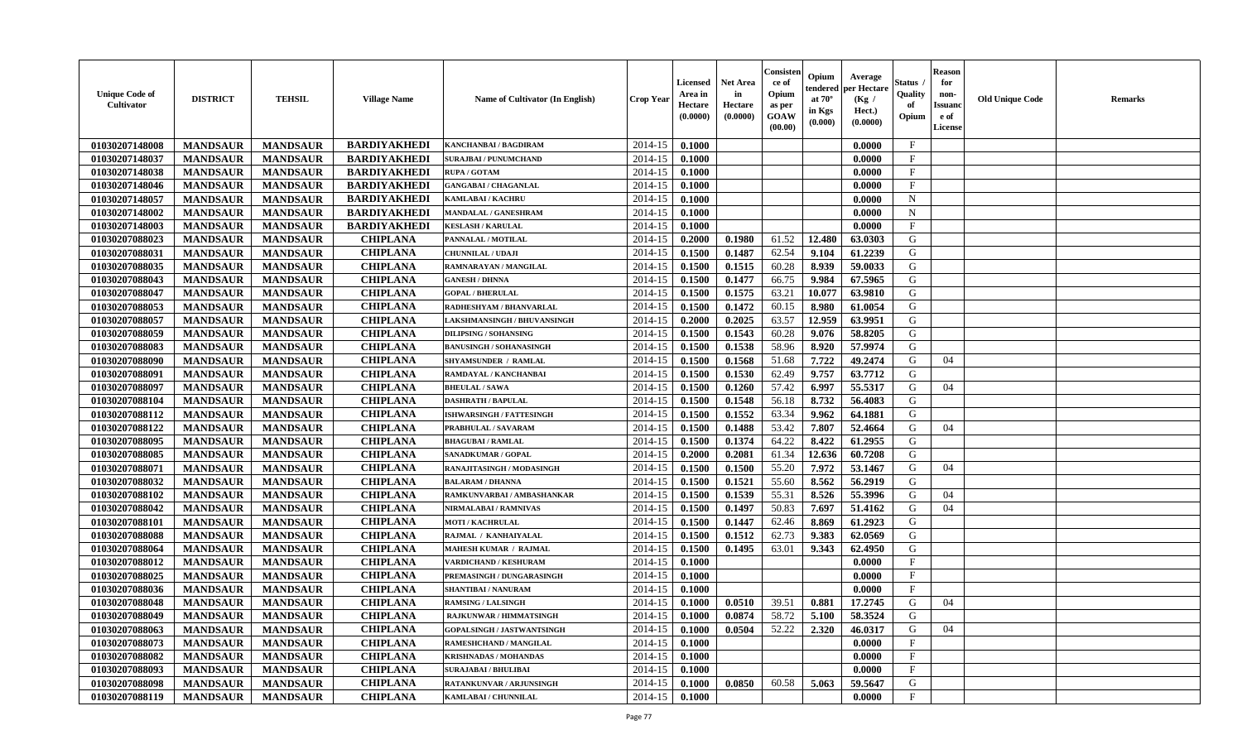| <b>Unique Code of</b><br><b>Cultivator</b> | <b>DISTRICT</b> | <b>TEHSIL</b>   | <b>Village Name</b> | Name of Cultivator (In English) | <b>Crop Year</b> | <b>Licensed</b><br>Area in<br>Hectare<br>(0.0000) | Net Area<br>in<br>Hectare<br>(0.0000) | Consisteı<br>ce of<br>Opium<br>as per<br>GOAW<br>(00.00) | Opium<br>tendered<br>at $70^\circ$<br>in Kgs<br>(0.000) | Average<br>per Hectare<br>(Kg /<br>Hect.)<br>(0.0000) | Status<br>Quality<br>of<br>Opium | <b>Reason</b><br>for<br>non-<br><b>Issuand</b><br>e of<br>License | <b>Old Unique Code</b> | <b>Remarks</b> |
|--------------------------------------------|-----------------|-----------------|---------------------|---------------------------------|------------------|---------------------------------------------------|---------------------------------------|----------------------------------------------------------|---------------------------------------------------------|-------------------------------------------------------|----------------------------------|-------------------------------------------------------------------|------------------------|----------------|
| 01030207148008                             | <b>MANDSAUR</b> | <b>MANDSAUR</b> | <b>BARDIYAKHEDI</b> | <b>KANCHANBAI / BAGDIRAM</b>    | 2014-15          | 0.1000                                            |                                       |                                                          |                                                         | 0.0000                                                | $\mathbf{F}$                     |                                                                   |                        |                |
| 01030207148037                             | <b>MANDSAUR</b> | <b>MANDSAUR</b> | <b>BARDIYAKHEDI</b> | <b>SURAJBAI / PUNUMCHAND</b>    | 2014-15          | 0.1000                                            |                                       |                                                          |                                                         | 0.0000                                                | $\mathbf{F}$                     |                                                                   |                        |                |
| 01030207148038                             | <b>MANDSAUR</b> | <b>MANDSAUR</b> | <b>BARDIYAKHEDI</b> | <b>RUPA/GOTAM</b>               | 2014-15          | 0.1000                                            |                                       |                                                          |                                                         | 0.0000                                                | $\mathbf{F}$                     |                                                                   |                        |                |
| 01030207148046                             | <b>MANDSAUR</b> | <b>MANDSAUR</b> | <b>BARDIYAKHEDI</b> | <b>GANGABAI / CHAGANLAL</b>     | 2014-15          | 0.1000                                            |                                       |                                                          |                                                         | 0.0000                                                | $\mathbf{F}$                     |                                                                   |                        |                |
| 01030207148057                             | <b>MANDSAUR</b> | <b>MANDSAUR</b> | <b>BARDIYAKHEDI</b> | KAMLABAI / KACHRU               | 2014-15          | 0.1000                                            |                                       |                                                          |                                                         | 0.0000                                                | $\mathbf N$                      |                                                                   |                        |                |
| 01030207148002                             | <b>MANDSAUR</b> | <b>MANDSAUR</b> | <b>BARDIYAKHEDI</b> | <b>MANDALAL / GANESHRAM</b>     | 2014-15          | 0.1000                                            |                                       |                                                          |                                                         | 0.0000                                                | $\mathbf N$                      |                                                                   |                        |                |
| 01030207148003                             | <b>MANDSAUR</b> | <b>MANDSAUR</b> | <b>BARDIYAKHEDI</b> | <b>KESLASH / KARULAL</b>        | 2014-15          | 0.1000                                            |                                       |                                                          |                                                         | 0.0000                                                | $\mathbf{F}$                     |                                                                   |                        |                |
| 01030207088023                             | <b>MANDSAUR</b> | <b>MANDSAUR</b> | <b>CHIPLANA</b>     | PANNALAL / MOTILAL              | 2014-15          | 0.2000                                            | 0.1980                                | 61.52                                                    | 12.480                                                  | 63.0303                                               | G                                |                                                                   |                        |                |
| 01030207088031                             | <b>MANDSAUR</b> | <b>MANDSAUR</b> | <b>CHIPLANA</b>     | <b>CHUNNILAL / UDAJI</b>        | 2014-15          | 0.1500                                            | 0.1487                                | 62.54                                                    | 9.104                                                   | 61.2239                                               | G                                |                                                                   |                        |                |
| 01030207088035                             | <b>MANDSAUR</b> | <b>MANDSAUR</b> | <b>CHIPLANA</b>     | RAMNARAYAN / MANGILAL           | 2014-15          | 0.1500                                            | 0.1515                                | 60.28                                                    | 8.939                                                   | 59.0033                                               | G                                |                                                                   |                        |                |
| 01030207088043                             | <b>MANDSAUR</b> | <b>MANDSAUR</b> | <b>CHIPLANA</b>     | <b>GANESH / DHNNA</b>           | 2014-15          | 0.1500                                            | 0.1477                                | 66.75                                                    | 9.984                                                   | 67.5965                                               | G                                |                                                                   |                        |                |
| 01030207088047                             | <b>MANDSAUR</b> | <b>MANDSAUR</b> | <b>CHIPLANA</b>     | <b>GOPAL / BHERULAL</b>         | 2014-15          | 0.1500                                            | 0.1575                                | 63.21                                                    | 10.077                                                  | 63.9810                                               | G                                |                                                                   |                        |                |
| 01030207088053                             | <b>MANDSAUR</b> | <b>MANDSAUR</b> | <b>CHIPLANA</b>     | RADHESHYAM / BHANVARLAL         | 2014-15          | 0.1500                                            | 0.1472                                | 60.15                                                    | 8.980                                                   | 61.0054                                               | G                                |                                                                   |                        |                |
| 01030207088057                             | <b>MANDSAUR</b> | <b>MANDSAUR</b> | <b>CHIPLANA</b>     | LAKSHMANSINGH / BHUVANSINGH     | 2014-15          | 0.2000                                            | 0.2025                                | 63.57                                                    | 12.959                                                  | 63.9951                                               | G                                |                                                                   |                        |                |
| 01030207088059                             | <b>MANDSAUR</b> | <b>MANDSAUR</b> | <b>CHIPLANA</b>     | <b>DILIPSING / SOHANSING</b>    | 2014-15          | 0.1500                                            | 0.1543                                | 60.28                                                    | 9.076                                                   | 58.8205                                               | G                                |                                                                   |                        |                |
| 01030207088083                             | <b>MANDSAUR</b> | <b>MANDSAUR</b> | <b>CHIPLANA</b>     | <b>BANUSINGH / SOHANASINGH</b>  | 2014-15          | 0.1500                                            | 0.1538                                | 58.96                                                    | 8.920                                                   | 57.9974                                               | G                                |                                                                   |                        |                |
| 01030207088090                             | <b>MANDSAUR</b> | <b>MANDSAUR</b> | <b>CHIPLANA</b>     | <b>SHYAMSUNDER / RAMLAL</b>     | 2014-15          | 0.1500                                            | 0.1568                                | 51.68                                                    | 7.722                                                   | 49.2474                                               | G                                | 04                                                                |                        |                |
| 01030207088091                             | <b>MANDSAUR</b> | <b>MANDSAUR</b> | <b>CHIPLANA</b>     | RAMDAYAL / KANCHANBAI           | 2014-15          | 0.1500                                            | 0.1530                                | 62.49                                                    | 9.757                                                   | 63.7712                                               | G                                |                                                                   |                        |                |
| 01030207088097                             | <b>MANDSAUR</b> | <b>MANDSAUR</b> | <b>CHIPLANA</b>     | <b>BHEULAL / SAWA</b>           | 2014-15          | 0.1500                                            | 0.1260                                | 57.42                                                    | 6.997                                                   | 55.5317                                               | G                                | 04                                                                |                        |                |
| 01030207088104                             | <b>MANDSAUR</b> | <b>MANDSAUR</b> | <b>CHIPLANA</b>     | <b>DASHRATH / BAPULAL</b>       | 2014-15          | 0.1500                                            | 0.1548                                | 56.18                                                    | 8.732                                                   | 56.4083                                               | G                                |                                                                   |                        |                |
| 01030207088112                             | <b>MANDSAUR</b> | <b>MANDSAUR</b> | <b>CHIPLANA</b>     | ISHWARSINGH / FATTESINGH        | 2014-15          | 0.1500                                            | 0.1552                                | 63.34                                                    | 9.962                                                   | 64.1881                                               | G                                |                                                                   |                        |                |
| 01030207088122                             | <b>MANDSAUR</b> | <b>MANDSAUR</b> | <b>CHIPLANA</b>     | PRABHULAL / SAVARAM             | 2014-15          | 0.1500                                            | 0.1488                                | 53.42                                                    | 7.807                                                   | 52.4664                                               | G                                | 04                                                                |                        |                |
| 01030207088095                             | <b>MANDSAUR</b> | <b>MANDSAUR</b> | <b>CHIPLANA</b>     | <b>BHAGUBAI / RAMLAL</b>        | 2014-15          | 0.1500                                            | 0.1374                                | 64.22                                                    | 8.422                                                   | 61.2955                                               | G                                |                                                                   |                        |                |
| 01030207088085                             | <b>MANDSAUR</b> | <b>MANDSAUR</b> | <b>CHIPLANA</b>     | <b>SANADKUMAR / GOPAL</b>       | 2014-15          | 0.2000                                            | 0.2081                                | 61.34                                                    | 12.636                                                  | 60.7208                                               | G                                |                                                                   |                        |                |
| 01030207088071                             | <b>MANDSAUR</b> | <b>MANDSAUR</b> | <b>CHIPLANA</b>     | RANAJITASINGH / MODASINGH       | 2014-15          | 0.1500                                            | 0.1500                                | 55.20                                                    | 7.972                                                   | 53.1467                                               | G                                | 04                                                                |                        |                |
| 01030207088032                             | <b>MANDSAUR</b> | <b>MANDSAUR</b> | <b>CHIPLANA</b>     | <b>BALARAM / DHANNA</b>         | 2014-15          | 0.1500                                            | 0.1521                                | 55.60                                                    | 8.562                                                   | 56.2919                                               | G                                |                                                                   |                        |                |
| 01030207088102                             | <b>MANDSAUR</b> | <b>MANDSAUR</b> | <b>CHIPLANA</b>     | RAMKUNVARBAI / AMBASHANKAR      | 2014-15          | 0.1500                                            | 0.1539                                | 55.31                                                    | 8.526                                                   | 55.3996                                               | G                                | 04                                                                |                        |                |
| 01030207088042                             | <b>MANDSAUR</b> | <b>MANDSAUR</b> | <b>CHIPLANA</b>     | NIRMALABAI / RAMNIVAS           | 2014-15          | 0.1500                                            | 0.1497                                | 50.83                                                    | 7.697                                                   | 51.4162                                               | G                                | 04                                                                |                        |                |
| 01030207088101                             | <b>MANDSAUR</b> | <b>MANDSAUR</b> | <b>CHIPLANA</b>     | <b>MOTI / KACHRULAL</b>         | 2014-15          | 0.1500                                            | 0.1447                                | 62.46                                                    | 8.869                                                   | 61.2923                                               | G                                |                                                                   |                        |                |
| 01030207088088                             | <b>MANDSAUR</b> | <b>MANDSAUR</b> | <b>CHIPLANA</b>     | RAJMAL / KANHAIYALAL            | 2014-15          | 0.1500                                            | 0.1512                                | 62.73                                                    | 9.383                                                   | 62.0569                                               | G                                |                                                                   |                        |                |
| 01030207088064                             | <b>MANDSAUR</b> | <b>MANDSAUR</b> | <b>CHIPLANA</b>     | <b>MAHESH KUMAR / RAJMAL</b>    | 2014-15          | 0.1500                                            | 0.1495                                | 63.01                                                    | 9.343                                                   | 62.4950                                               | G                                |                                                                   |                        |                |
| 01030207088012                             | <b>MANDSAUR</b> | <b>MANDSAUR</b> | <b>CHIPLANA</b>     | VARDICHAND / KESHURAM           | 2014-15          | 0.1000                                            |                                       |                                                          |                                                         | 0.0000                                                | $\mathbf{F}$                     |                                                                   |                        |                |
| 01030207088025                             | <b>MANDSAUR</b> | <b>MANDSAUR</b> | <b>CHIPLANA</b>     | PREMASINGH / DUNGARASINGH       | 2014-15          | 0.1000                                            |                                       |                                                          |                                                         | 0.0000                                                | $\mathbf{F}$                     |                                                                   |                        |                |
| 01030207088036                             | <b>MANDSAUR</b> | <b>MANDSAUR</b> | <b>CHIPLANA</b>     | <b>SHANTIBAI / NANURAM</b>      | 2014-15          | 0.1000                                            |                                       |                                                          |                                                         | 0.0000                                                | $_{\rm F}$                       |                                                                   |                        |                |
| 01030207088048                             | <b>MANDSAUR</b> | <b>MANDSAUR</b> | <b>CHIPLANA</b>     | <b>RAMSING / LALSINGH</b>       | 2014-15          | 0.1000                                            | 0.0510                                | 39.51                                                    | 0.881                                                   | 17.2745                                               | G                                | 04                                                                |                        |                |
| 01030207088049                             | <b>MANDSAUR</b> | MANDSAUR        | <b>CHIPLANA</b>     | <b>RAJKUNWAR / HIMMATSINGH</b>  | $2014-15$ 0.1000 |                                                   | 0.0874                                |                                                          | 58.72 5.100                                             | 58.3524                                               | G                                |                                                                   |                        |                |
| 01030207088063                             | <b>MANDSAUR</b> | <b>MANDSAUR</b> | <b>CHIPLANA</b>     | GOPALSINGH / JASTWANTSINGH      | 2014-15          | 0.1000                                            | 0.0504                                | 52.22                                                    | 2.320                                                   | 46.0317                                               | G                                | 04                                                                |                        |                |
| 01030207088073                             | <b>MANDSAUR</b> | <b>MANDSAUR</b> | <b>CHIPLANA</b>     | <b>RAMESHCHAND / MANGILAL</b>   | 2014-15          | 0.1000                                            |                                       |                                                          |                                                         | 0.0000                                                | $\mathbf{F}$                     |                                                                   |                        |                |
| 01030207088082                             | <b>MANDSAUR</b> | <b>MANDSAUR</b> | <b>CHIPLANA</b>     | <b>KRISHNADAS / MOHANDAS</b>    | 2014-15          | 0.1000                                            |                                       |                                                          |                                                         | 0.0000                                                | $\mathbf{F}$                     |                                                                   |                        |                |
| 01030207088093                             | <b>MANDSAUR</b> | <b>MANDSAUR</b> | <b>CHIPLANA</b>     | <b>SURAJABAI / BHULIBAI</b>     | 2014-15          | 0.1000                                            |                                       |                                                          |                                                         | 0.0000                                                | $\mathbf{F}$                     |                                                                   |                        |                |
| 01030207088098                             | <b>MANDSAUR</b> | <b>MANDSAUR</b> | <b>CHIPLANA</b>     | RATANKUNVAR / ARJUNSINGH        | 2014-15          | 0.1000                                            | 0.0850                                | 60.58                                                    | 5.063                                                   | 59.5647                                               | G                                |                                                                   |                        |                |
| 01030207088119                             | <b>MANDSAUR</b> | <b>MANDSAUR</b> | <b>CHIPLANA</b>     | KAMLABAI / CHUNNILAL            | 2014-15          | 0.1000                                            |                                       |                                                          |                                                         | 0.0000                                                | $\mathbf F$                      |                                                                   |                        |                |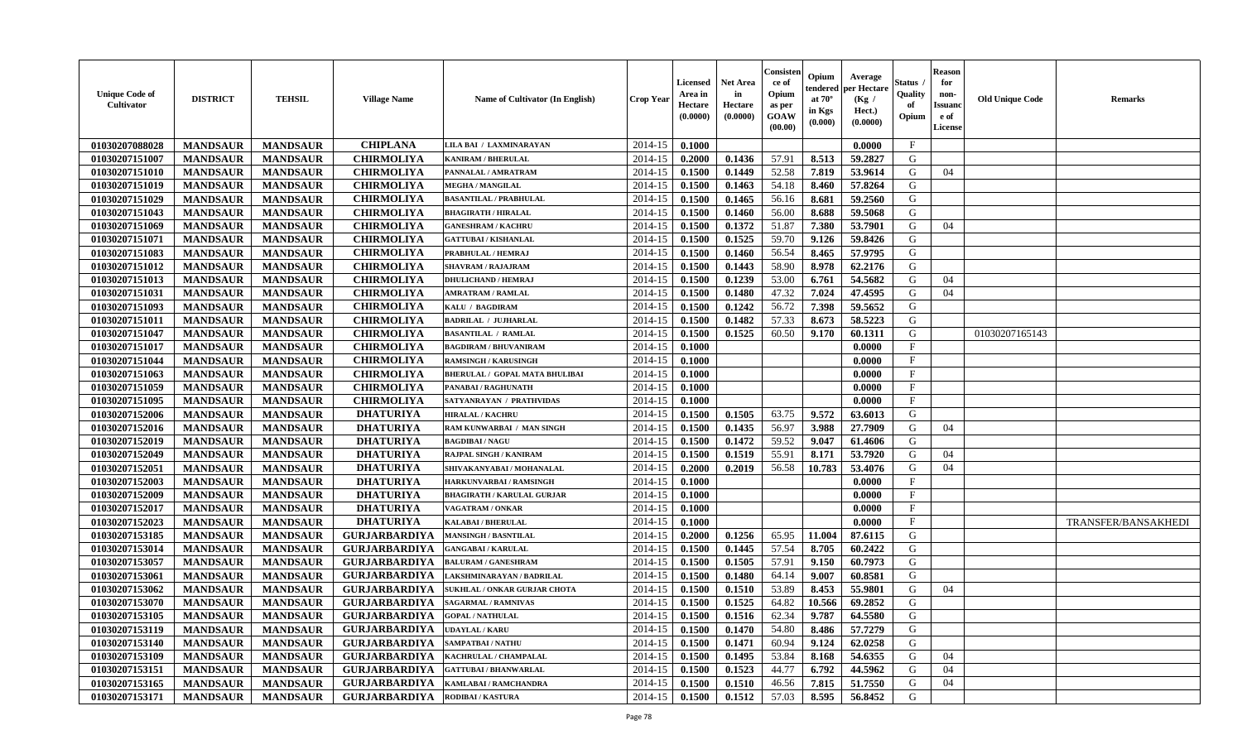| <b>Unique Code of</b><br>Cultivator | <b>DISTRICT</b> | <b>TEHSIL</b>   | <b>Village Name</b>                  | Name of Cultivator (In English)       | <b>Crop Year</b> | <b>Licensed</b><br>Area in<br>Hectare<br>(0.0000) | <b>Net Area</b><br>in<br>Hectare<br>(0.0000) | Consister<br>ce of<br>Opium<br>as per<br>GOAW<br>(00.00) | Opium<br>endereo<br>at $70^\circ$<br>in Kgs<br>(0.000) | Average<br>per Hectare<br>(Kg /<br>Hect.)<br>(0.0000) | Status<br>Quality<br>of<br>Opium | <b>Reason</b><br>for<br>non-<br><b>Issuano</b><br>e of<br>License | <b>Old Unique Code</b> | <b>Remarks</b>      |
|-------------------------------------|-----------------|-----------------|--------------------------------------|---------------------------------------|------------------|---------------------------------------------------|----------------------------------------------|----------------------------------------------------------|--------------------------------------------------------|-------------------------------------------------------|----------------------------------|-------------------------------------------------------------------|------------------------|---------------------|
| 01030207088028                      | <b>MANDSAUR</b> | <b>MANDSAUR</b> | <b>CHIPLANA</b>                      | LILA BAI / LAXMINARAYAN               | 2014-15          | 0.1000                                            |                                              |                                                          |                                                        | 0.0000                                                | $\mathbf{F}$                     |                                                                   |                        |                     |
| 01030207151007                      | <b>MANDSAUR</b> | <b>MANDSAUR</b> | <b>CHIRMOLIYA</b>                    | <b>KANIRAM / BHERULAL</b>             | 2014-15          | 0.2000                                            | 0.1436                                       | 57.91                                                    | 8.513                                                  | 59.2827                                               | G                                |                                                                   |                        |                     |
| 01030207151010                      | <b>MANDSAUR</b> | <b>MANDSAUR</b> | <b>CHIRMOLIYA</b>                    | PANNALAL / AMRATRAM                   | 2014-15          | 0.1500                                            | 0.1449                                       | 52.58                                                    | 7.819                                                  | 53.9614                                               | G                                | 04                                                                |                        |                     |
| 01030207151019                      | <b>MANDSAUR</b> | <b>MANDSAUR</b> | <b>CHIRMOLIYA</b>                    | <b>MEGHA / MANGILAL</b>               | 2014-15          | 0.1500                                            | 0.1463                                       | 54.18                                                    | 8.460                                                  | 57.8264                                               | G                                |                                                                   |                        |                     |
| 01030207151029                      | <b>MANDSAUR</b> | <b>MANDSAUR</b> | <b>CHIRMOLIYA</b>                    | <b>BASANTILAL / PRABHULAL</b>         | 2014-15          | 0.1500                                            | 0.1465                                       | 56.16                                                    | 8.681                                                  | 59.2560                                               | G                                |                                                                   |                        |                     |
| 01030207151043                      | <b>MANDSAUR</b> | <b>MANDSAUR</b> | <b>CHIRMOLIYA</b>                    | <b>BHAGIRATH / HIRALAL</b>            | 2014-15          | 0.1500                                            | 0.1460                                       | 56.00                                                    | 8.688                                                  | 59.5068                                               | G                                |                                                                   |                        |                     |
| 01030207151069                      | <b>MANDSAUR</b> | <b>MANDSAUR</b> | <b>CHIRMOLIYA</b>                    | <b>GANESHRAM / KACHRU</b>             | 2014-15          | 0.1500                                            | 0.1372                                       | 51.87                                                    | 7.380                                                  | 53.7901                                               | G                                | 04                                                                |                        |                     |
| 01030207151071                      | <b>MANDSAUR</b> | <b>MANDSAUR</b> | <b>CHIRMOLIYA</b>                    | <b>GATTUBAI/KISHANLAL</b>             | 2014-15          | 0.1500                                            | 0.1525                                       | 59.70                                                    | 9.126                                                  | 59.8426                                               | G                                |                                                                   |                        |                     |
| 01030207151083                      | <b>MANDSAUR</b> | <b>MANDSAUR</b> | <b>CHIRMOLIYA</b>                    | PRABHULAL / HEMRAJ                    | 2014-15          | 0.1500                                            | 0.1460                                       | 56.54                                                    | 8.465                                                  | 57.9795                                               | G                                |                                                                   |                        |                     |
| 01030207151012                      | <b>MANDSAUR</b> | <b>MANDSAUR</b> | <b>CHIRMOLIYA</b>                    | <b>SHAVRAM / RAJAJRAM</b>             | 2014-15          | 0.1500                                            | 0.1443                                       | 58.90                                                    | 8.978                                                  | 62.2176                                               | G                                |                                                                   |                        |                     |
| 01030207151013                      | <b>MANDSAUR</b> | <b>MANDSAUR</b> | <b>CHIRMOLIYA</b>                    | <b>DHULICHAND / HEMRAJ</b>            | 2014-15          | 0.1500                                            | 0.1239                                       | 53.00                                                    | 6.761                                                  | 54.5682                                               | G                                | 04                                                                |                        |                     |
| 01030207151031                      | <b>MANDSAUR</b> | <b>MANDSAUR</b> | <b>CHIRMOLIYA</b>                    | <b>AMRATRAM / RAMLAL</b>              | 2014-15          | 0.1500                                            | 0.1480                                       | 47.32                                                    | 7.024                                                  | 47.4595                                               | G                                | 04                                                                |                        |                     |
| 01030207151093                      | <b>MANDSAUR</b> | <b>MANDSAUR</b> | <b>CHIRMOLIYA</b>                    | KALU / BAGDIRAM                       | 2014-15          | 0.1500                                            | 0.1242                                       | 56.72                                                    | 7.398                                                  | 59.5652                                               | G                                |                                                                   |                        |                     |
| 01030207151011                      | <b>MANDSAUR</b> | <b>MANDSAUR</b> | <b>CHIRMOLIYA</b>                    | <b>BADRILAL / JUJHARLAL</b>           | 2014-15          | 0.1500                                            | 0.1482                                       | 57.33                                                    | 8.673                                                  | 58.5223                                               | G                                |                                                                   |                        |                     |
| 01030207151047                      | <b>MANDSAUR</b> | <b>MANDSAUR</b> | <b>CHIRMOLIYA</b>                    | <b>BASANTILAL / RAMLAL</b>            | 2014-15          | 0.1500                                            | 0.1525                                       | 60.50                                                    | 9.170                                                  | 60.1311                                               | G                                |                                                                   | 01030207165143         |                     |
| 01030207151017                      | <b>MANDSAUR</b> | <b>MANDSAUR</b> | <b>CHIRMOLIYA</b>                    | <b>BAGDIRAM / BHUVANIRAM</b>          | 2014-15          | 0.1000                                            |                                              |                                                          |                                                        | 0.0000                                                | $\mathbf{F}$                     |                                                                   |                        |                     |
| 01030207151044                      | <b>MANDSAUR</b> | <b>MANDSAUR</b> | <b>CHIRMOLIYA</b>                    | <b>RAMSINGH / KARUSINGH</b>           | 2014-15          | 0.1000                                            |                                              |                                                          |                                                        | 0.0000                                                | $\mathbf F$                      |                                                                   |                        |                     |
| 01030207151063                      | <b>MANDSAUR</b> | <b>MANDSAUR</b> | <b>CHIRMOLIYA</b>                    | <b>BHERULAL / GOPAL MATA BHULIBAI</b> | 2014-15          | 0.1000                                            |                                              |                                                          |                                                        | 0.0000                                                | $\mathbf{F}$                     |                                                                   |                        |                     |
| 01030207151059                      | <b>MANDSAUR</b> | <b>MANDSAUR</b> | <b>CHIRMOLIYA</b>                    | PANABAI / RAGHUNATH                   | 2014-15          | 0.1000                                            |                                              |                                                          |                                                        | 0.0000                                                | $_{\rm F}$                       |                                                                   |                        |                     |
| 01030207151095                      | <b>MANDSAUR</b> | <b>MANDSAUR</b> | <b>CHIRMOLIYA</b>                    | SATYANRAYAN / PRATHVIDAS              | 2014-15          | 0.1000                                            |                                              |                                                          |                                                        | 0.0000                                                | $\mathbf{F}$                     |                                                                   |                        |                     |
| 01030207152006                      | <b>MANDSAUR</b> | <b>MANDSAUR</b> | <b>DHATURIYA</b>                     | <b>HIRALAL / KACHRU</b>               | 2014-15          | 0.1500                                            | 0.1505                                       | 63.75                                                    | 9.572                                                  | 63.6013                                               | G                                |                                                                   |                        |                     |
| 01030207152016                      | <b>MANDSAUR</b> | <b>MANDSAUR</b> | <b>DHATURIYA</b>                     | RAM KUNWARBAI / MAN SINGH             | 2014-15          | 0.1500                                            | 0.1435                                       | 56.97                                                    | 3.988                                                  | 27.7909                                               | G                                | 04                                                                |                        |                     |
| 01030207152019                      | <b>MANDSAUR</b> | <b>MANDSAUR</b> | <b>DHATURIYA</b>                     | <b>BAGDIBAI/NAGU</b>                  | 2014-15          | 0.1500                                            | 0.1472                                       | 59.52                                                    | 9.047                                                  | 61.4606                                               | G                                |                                                                   |                        |                     |
| 01030207152049                      | <b>MANDSAUR</b> | <b>MANDSAUR</b> | <b>DHATURIYA</b>                     | RAJPAL SINGH / KANIRAM                | 2014-15          | 0.1500                                            | 0.1519                                       | 55.91                                                    | 8.171                                                  | 53.7920                                               | G                                | 04                                                                |                        |                     |
| 01030207152051                      | <b>MANDSAUR</b> | <b>MANDSAUR</b> | <b>DHATURIYA</b>                     | SHIVAKANYABAI / MOHANALAL             | 2014-15          | 0.2000                                            | 0.2019                                       | 56.58                                                    | 10.783                                                 | 53.4076                                               | G                                | 04                                                                |                        |                     |
| 01030207152003                      | <b>MANDSAUR</b> | <b>MANDSAUR</b> | <b>DHATURIYA</b>                     | HARKUNVARBAI / RAMSINGH               | 2014-15          | 0.1000                                            |                                              |                                                          |                                                        | 0.0000                                                | $_{\rm F}$                       |                                                                   |                        |                     |
| 01030207152009                      | <b>MANDSAUR</b> | <b>MANDSAUR</b> | <b>DHATURIYA</b>                     | <b>BHAGIRATH / KARULAL GURJAR</b>     | 2014-15          | 0.1000                                            |                                              |                                                          |                                                        | 0.0000                                                | $\mathbf{F}$                     |                                                                   |                        |                     |
| 01030207152017                      | <b>MANDSAUR</b> | <b>MANDSAUR</b> | <b>DHATURIYA</b>                     | VAGATRAM / ONKAR                      | 2014-15          | 0.1000                                            |                                              |                                                          |                                                        | 0.0000                                                | $\mathbf{F}$                     |                                                                   |                        |                     |
| 01030207152023                      | <b>MANDSAUR</b> | <b>MANDSAUR</b> | <b>DHATURIYA</b>                     | <b>KALABAI/BHERULAL</b>               | 2014-15          | 0.1000                                            |                                              |                                                          |                                                        | 0.0000                                                | F                                |                                                                   |                        | TRANSFER/BANSAKHEDI |
| 01030207153185                      | <b>MANDSAUR</b> | <b>MANDSAUR</b> | <b>GURJARBARDIYA</b>                 | <b>MANSINGH / BASNTILAL</b>           | 2014-15          | 0.2000                                            | 0.1256                                       | 65.95                                                    | 11.004                                                 | 87.6115                                               | G                                |                                                                   |                        |                     |
| 01030207153014                      | <b>MANDSAUR</b> | <b>MANDSAUR</b> | <b>GURJARBARDIYA</b>                 | <b>GANGABAI/KARULAL</b>               | 2014-15          | 0.1500                                            | 0.1445                                       | 57.54                                                    | 8.705                                                  | 60.2422                                               | G                                |                                                                   |                        |                     |
| 01030207153057                      | <b>MANDSAUR</b> | <b>MANDSAUR</b> | <b>GURJARBARDIYA</b>                 | <b>BALURAM / GANESHRAM</b>            | 2014-15          | 0.1500                                            | 0.1505                                       | 57.91                                                    | 9.150                                                  | 60.7973                                               | G                                |                                                                   |                        |                     |
| 01030207153061                      | <b>MANDSAUR</b> | <b>MANDSAUR</b> | <b>GURJARBARDIYA</b>                 | LAKSHMINARAYAN / BADRILAL             | 2014-15          | 0.1500                                            | 0.1480                                       | 64.14                                                    | 9.007                                                  | 60.8581                                               | G                                |                                                                   |                        |                     |
| 01030207153062                      | <b>MANDSAUR</b> | <b>MANDSAUR</b> | <b>GURJARBARDIYA</b>                 | <b>SUKHLAL / ONKAR GURJAR CHOTA</b>   | 2014-15          | 0.1500                                            | 0.1510                                       | 53.89                                                    | 8.453                                                  | 55.9801                                               | G                                | 04                                                                |                        |                     |
| 01030207153070                      | <b>MANDSAUR</b> | <b>MANDSAUR</b> | <b>GURJARBARDIYA</b>                 | <b>SAGARMAL / RAMNIVAS</b>            | 2014-15          | 0.1500                                            | 0.1525                                       | 64.82                                                    | 10.566                                                 | 69.2852                                               | G                                |                                                                   |                        |                     |
| 01030207153105                      | <b>MANDSAUR</b> | <b>MANDSAUR</b> | GURJARBARDIYA                        | <b>GOPAL / NATHULAL</b>               |                  | $2014-15$ 0.1500                                  | 0.1516                                       | 62.34                                                    | 9.787                                                  | 64.5580                                               | G                                |                                                                   |                        |                     |
| 01030207153119                      | <b>MANDSAUR</b> | <b>MANDSAUR</b> | <b>GURJARBARDIYA</b>                 | <b>UDAYLAL / KARU</b>                 | 2014-15          | 0.1500                                            | 0.1470                                       | 54.80                                                    | 8.486                                                  | 57.7279                                               | G                                |                                                                   |                        |                     |
| 01030207153140                      | <b>MANDSAUR</b> | <b>MANDSAUR</b> | <b>GURJARBARDIYA</b>                 | <b>SAMPATBAI/NATHU</b>                | 2014-15          | 0.1500                                            | 0.1471                                       | 60.94                                                    | 9.124                                                  | 62.0258                                               | G                                |                                                                   |                        |                     |
| 01030207153109                      | <b>MANDSAUR</b> | <b>MANDSAUR</b> | <b>GURJARBARDIYA</b>                 | KACHRULAL / CHAMPALAL                 | 2014-15          | 0.1500                                            | 0.1495                                       | 53.84                                                    | 8.168                                                  | 54.6355                                               | G                                | 04                                                                |                        |                     |
| 01030207153151                      | <b>MANDSAUR</b> | <b>MANDSAUR</b> | <b>GURJARBARDIYA</b>                 | <b>GATTUBAI/BHANWARLAL</b>            | 2014-15          | 0.1500                                            | 0.1523                                       | 44.77                                                    | 6.792                                                  | 44.5962                                               | G                                | 04                                                                |                        |                     |
| 01030207153165                      | <b>MANDSAUR</b> | <b>MANDSAUR</b> | <b>GURJARBARDIYA</b>                 | KAMLABAI / RAMCHANDRA                 | 2014-15          | 0.1500                                            | 0.1510                                       | 46.56                                                    | 7.815                                                  | 51.7550                                               | G                                | 04                                                                |                        |                     |
| 01030207153171                      | <b>MANDSAUR</b> | <b>MANDSAUR</b> | <b>GURJARBARDIYA RODIBAI/KASTURA</b> |                                       | $2014 - 15$      | 0.1500                                            | 0.1512                                       | 57.03                                                    | 8.595                                                  | 56.8452                                               | G                                |                                                                   |                        |                     |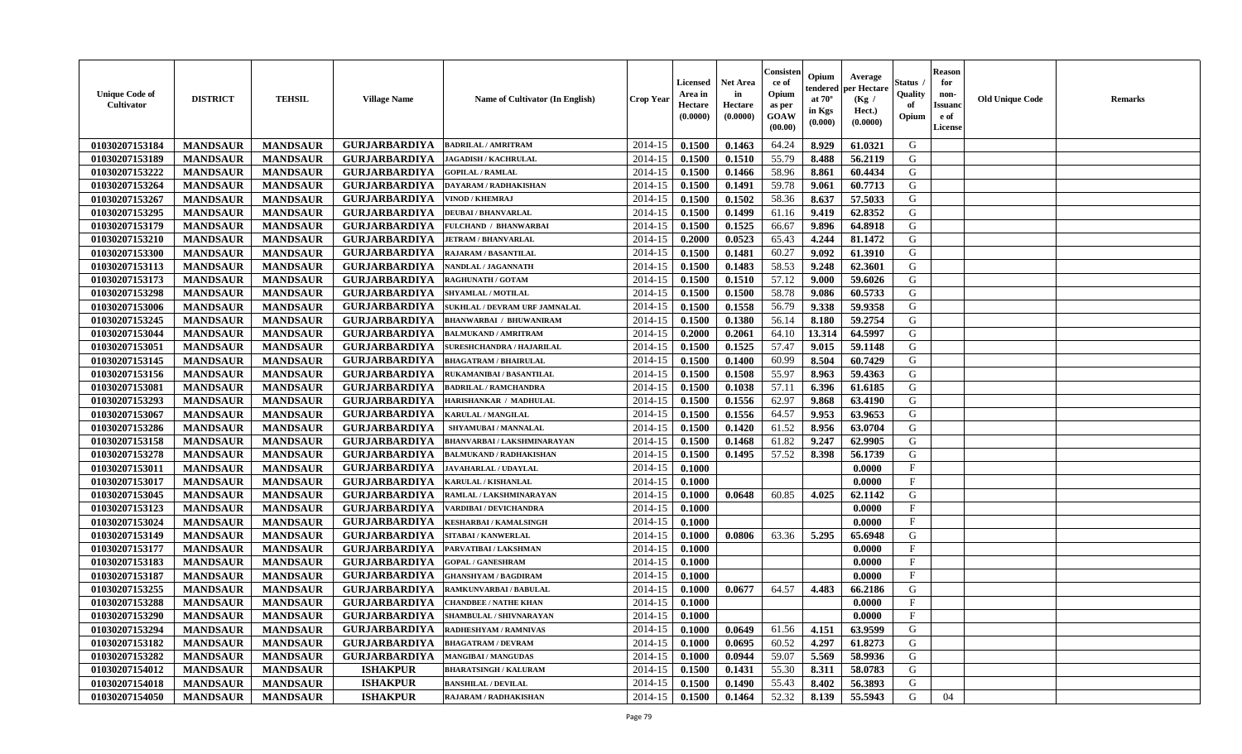| <b>Unique Code of</b><br>Cultivator | <b>DISTRICT</b> | <b>TEHSIL</b>   | <b>Village Name</b>  | <b>Name of Cultivator (In English)</b>         | <b>Crop Year</b> | Licensed<br>Area in<br>Hectare<br>(0.0000) | <b>Net Area</b><br>in<br>Hectare<br>(0.0000) | Consister<br>ce of<br>Opium<br>as per<br>GOAW<br>(00.00) | Opium<br>tendered<br>at $70^\circ$<br>in Kgs<br>(0.000) | Average<br>per Hectare<br>(Kg /<br>Hect.)<br>(0.0000) | Status<br>Quality<br>of<br>Opium | Reason<br>for<br>non-<br>Issuan<br>e of<br><b>License</b> | <b>Old Unique Code</b> | <b>Remarks</b> |
|-------------------------------------|-----------------|-----------------|----------------------|------------------------------------------------|------------------|--------------------------------------------|----------------------------------------------|----------------------------------------------------------|---------------------------------------------------------|-------------------------------------------------------|----------------------------------|-----------------------------------------------------------|------------------------|----------------|
| 01030207153184                      | <b>MANDSAUR</b> | <b>MANDSAUR</b> | <b>GURJARBARDIYA</b> | <b>BADRILAL / AMRITRAM</b>                     | 2014-15          | 0.1500                                     | 0.1463                                       | 64.24                                                    | 8.929                                                   | 61.0321                                               | G                                |                                                           |                        |                |
| 01030207153189                      | <b>MANDSAUR</b> | <b>MANDSAUR</b> | <b>GURJARBARDIYA</b> | <b>JAGADISH / KACHRULAL</b>                    | 2014-15          | 0.1500                                     | 0.1510                                       | 55.79                                                    | 8.488                                                   | 56.2119                                               | G                                |                                                           |                        |                |
| 01030207153222                      | <b>MANDSAUR</b> | <b>MANDSAUR</b> | <b>GURJARBARDIYA</b> | <b>GOPILAL / RAMLAL</b>                        | 2014-15          | 0.1500                                     | 0.1466                                       | 58.96                                                    | 8.861                                                   | 60.4434                                               | G                                |                                                           |                        |                |
| 01030207153264                      | <b>MANDSAUR</b> | <b>MANDSAUR</b> | <b>GURJARBARDIYA</b> | DAYARAM / RADHAKISHAN                          | 2014-15          | 0.1500                                     | 0.1491                                       | 59.78                                                    | 9.061                                                   | 60.7713                                               | G                                |                                                           |                        |                |
| 01030207153267                      | <b>MANDSAUR</b> | <b>MANDSAUR</b> | <b>GURJARBARDIYA</b> | VINOD / KHEMRAJ                                | 2014-15          | 0.1500                                     | 0.1502                                       | 58.36                                                    | 8.637                                                   | 57.5033                                               | G                                |                                                           |                        |                |
| 01030207153295                      | <b>MANDSAUR</b> | <b>MANDSAUR</b> | <b>GURJARBARDIYA</b> | <b>DEUBAI/BHANVARLAL</b>                       | 2014-15          | 0.1500                                     | 0.1499                                       | 61.16                                                    | 9.419                                                   | 62.8352                                               | G                                |                                                           |                        |                |
| 01030207153179                      | <b>MANDSAUR</b> | <b>MANDSAUR</b> | <b>GURJARBARDIYA</b> | FULCHAND / BHANWARBAI                          | 2014-15          | 0.1500                                     | 0.1525                                       | 66.67                                                    | 9.896                                                   | 64.8918                                               | G                                |                                                           |                        |                |
| 01030207153210                      | <b>MANDSAUR</b> | <b>MANDSAUR</b> | <b>GURJARBARDIYA</b> | <b>JETRAM / BHANVARLAL</b>                     | 2014-15          | 0.2000                                     | 0.0523                                       | 65.43                                                    | 4.244                                                   | 81.1472                                               | G                                |                                                           |                        |                |
| 01030207153300                      | <b>MANDSAUR</b> | <b>MANDSAUR</b> | <b>GURJARBARDIYA</b> | <b>RAJARAM / BASANTILAL</b>                    | 2014-15          | 0.1500                                     | 0.1481                                       | 60.27                                                    | 9.092                                                   | 61.3910                                               | G                                |                                                           |                        |                |
| 01030207153113                      | <b>MANDSAUR</b> | <b>MANDSAUR</b> | <b>GURJARBARDIYA</b> | NANDLAL / JAGANNATH                            | 2014-15          | 0.1500                                     | 0.1483                                       | 58.53                                                    | 9.248                                                   | 62.3601                                               | G                                |                                                           |                        |                |
| 01030207153173                      | <b>MANDSAUR</b> | <b>MANDSAUR</b> | <b>GURJARBARDIYA</b> | <b>RAGHUNATH / GOTAM</b>                       | 2014-15          | 0.1500                                     | 0.1510                                       | 57.12                                                    | 9.000                                                   | 59.6026                                               | G                                |                                                           |                        |                |
| 01030207153298                      | <b>MANDSAUR</b> | <b>MANDSAUR</b> | <b>GURJARBARDIYA</b> | <b>SHYAMLAL / MOTILAL</b>                      | 2014-15          | 0.1500                                     | 0.1500                                       | 58.78                                                    | 9.086                                                   | 60.5733                                               | G                                |                                                           |                        |                |
| 01030207153006                      | <b>MANDSAUR</b> | <b>MANDSAUR</b> | <b>GURJARBARDIYA</b> | SUKHLAL / DEVRAM URF JAMNALAL                  | 2014-15          | 0.1500                                     | 0.1558                                       | 56.79                                                    | 9.338                                                   | 59.9358                                               | G                                |                                                           |                        |                |
| 01030207153245                      | <b>MANDSAUR</b> | <b>MANDSAUR</b> | <b>GURJARBARDIYA</b> | <b>BHANWARBAI / BHUWANIRAM</b>                 | 2014-15          | 0.1500                                     | 0.1380                                       | 56.14                                                    | 8.180                                                   | 59,2754                                               | G                                |                                                           |                        |                |
| 01030207153044                      | <b>MANDSAUR</b> | <b>MANDSAUR</b> | <b>GURJARBARDIYA</b> | <b>BALMUKAND / AMRITRAM</b>                    | 2014-15          | 0.2000                                     | 0.2061                                       | 64.10                                                    | 13.314                                                  | 64.5997                                               | G                                |                                                           |                        |                |
| 01030207153051                      | <b>MANDSAUR</b> | <b>MANDSAUR</b> | <b>GURJARBARDIYA</b> | <b>SURESHCHANDRA / HAJARILAL</b>               | 2014-15          | 0.1500                                     | 0.1525                                       | 57.47                                                    | 9.015                                                   | 59.1148                                               | G                                |                                                           |                        |                |
| 01030207153145                      | <b>MANDSAUR</b> | <b>MANDSAUR</b> | <b>GURJARBARDIYA</b> | <b>BHAGATRAM / BHAIRULAI</b>                   | 2014-15          | 0.1500                                     | 0.1400                                       | 60.99                                                    | 8.504                                                   | 60.7429                                               | G                                |                                                           |                        |                |
| 01030207153156                      | <b>MANDSAUR</b> | <b>MANDSAUR</b> | <b>GURJARBARDIYA</b> | RUKAMANIBAI / BASANTILAL                       | 2014-15          | 0.1500                                     | 0.1508                                       | 55.97                                                    | 8.963                                                   | 59.4363                                               | G                                |                                                           |                        |                |
| 01030207153081                      | <b>MANDSAUR</b> | <b>MANDSAUR</b> | <b>GURJARBARDIYA</b> | <b>BADRILAL / RAMCHANDRA</b>                   | 2014-15          | 0.1500                                     | 0.1038                                       | 57.11                                                    | 6.396                                                   | 61.6185                                               | G                                |                                                           |                        |                |
| 01030207153293                      | <b>MANDSAUR</b> | <b>MANDSAUR</b> | <b>GURJARBARDIYA</b> | HARISHANKAR / MADHULAL                         | 2014-15          | 0.1500                                     | 0.1556                                       | 62.97                                                    | 9.868                                                   | 63.4190                                               | G                                |                                                           |                        |                |
| 01030207153067                      | <b>MANDSAUR</b> | <b>MANDSAUR</b> | <b>GURJARBARDIYA</b> | KARULAL / MANGILAL                             | 2014-15          | 0.1500                                     | 0.1556                                       | 64.57                                                    | 9.953                                                   | 63.9653                                               | G                                |                                                           |                        |                |
| 01030207153286                      | <b>MANDSAUR</b> | <b>MANDSAUR</b> | <b>GURJARBARDIYA</b> | SHYAMUBAI / MANNALAL                           | 2014-15          | 0.1500                                     | 0.1420                                       | 61.52                                                    | 8.956                                                   | 63.0704                                               | G                                |                                                           |                        |                |
| 01030207153158                      | <b>MANDSAUR</b> | <b>MANDSAUR</b> | <b>GURJARBARDIYA</b> | <b>BHANVARBAI/LAKSHMINARAYAN</b>               | 2014-15          | 0.1500                                     | 0.1468                                       | 61.82                                                    | 9.247                                                   | 62.9905                                               | G                                |                                                           |                        |                |
| 01030207153278                      | <b>MANDSAUR</b> | <b>MANDSAUR</b> | <b>GURJARBARDIYA</b> | <b>BALMUKAND / RADHAKISHAN</b>                 | 2014-15          | 0.1500                                     | 0.1495                                       | 57.52                                                    | 8.398                                                   | 56.1739                                               | G                                |                                                           |                        |                |
| 01030207153011                      | <b>MANDSAUR</b> | <b>MANDSAUR</b> | <b>GURJARBARDIYA</b> | <b>JAVAHARLAL / UDAYLAL</b>                    | 2014-15          | 0.1000                                     |                                              |                                                          |                                                         | 0.0000                                                | $\mathbf{F}$                     |                                                           |                        |                |
| 01030207153017                      | <b>MANDSAUR</b> | <b>MANDSAUR</b> | <b>GURJARBARDIYA</b> | <b>KARULAL / KISHANLAL</b>                     | 2014-15          | 0.1000                                     |                                              |                                                          |                                                         | 0.0000                                                | $_{\rm F}$                       |                                                           |                        |                |
| 01030207153045                      | <b>MANDSAUR</b> | <b>MANDSAUR</b> | <b>GURJARBARDIYA</b> | RAMLAL / LAKSHMINARAYAN                        | 2014-15          | 0.1000                                     | 0.0648                                       | 60.85                                                    | 4.025                                                   | 62.1142                                               | G                                |                                                           |                        |                |
| 01030207153123                      | <b>MANDSAUR</b> | <b>MANDSAUR</b> | <b>GURJARBARDIYA</b> | <b>VARDIBAI / DEVICHANDRA</b>                  | 2014-15          | 0.1000                                     |                                              |                                                          |                                                         | 0.0000                                                | $\mathbf{F}$                     |                                                           |                        |                |
| 01030207153024                      | <b>MANDSAUR</b> | <b>MANDSAUR</b> | <b>GURJARBARDIYA</b> | <b>KESHARBAI/KAMALSINGH</b>                    | 2014-15          | 0.1000                                     |                                              |                                                          |                                                         | 0.0000                                                | $\mathbf{F}$                     |                                                           |                        |                |
| 01030207153149                      | <b>MANDSAUR</b> | <b>MANDSAUR</b> | <b>GURJARBARDIYA</b> | SITABAI / KANWERLAL                            | 2014-15          | 0.1000                                     | 0.0806                                       | 63.36                                                    | 5.295                                                   | 65.6948                                               | G                                |                                                           |                        |                |
| 01030207153177                      | <b>MANDSAUR</b> | <b>MANDSAUR</b> | <b>GURJARBARDIYA</b> | PARVATIBAI / LAKSHMAN                          | 2014-15          | 0.1000                                     |                                              |                                                          |                                                         | 0.0000                                                | $_{\rm F}$                       |                                                           |                        |                |
| 01030207153183                      | <b>MANDSAUR</b> | <b>MANDSAUR</b> | <b>GURJARBARDIYA</b> | <b>GOPAL / GANESHRAM</b>                       | 2014-15          | 0.1000                                     |                                              |                                                          |                                                         | 0.0000                                                | $\mathbf{F}$                     |                                                           |                        |                |
| 01030207153187                      | <b>MANDSAUR</b> | <b>MANDSAUR</b> | <b>GURJARBARDIYA</b> | <b>GHANSHYAM / BAGDIRAM</b>                    | 2014-15          | 0.1000                                     |                                              |                                                          |                                                         | 0.0000                                                | $\mathbf{F}$                     |                                                           |                        |                |
| 01030207153255                      | <b>MANDSAUR</b> | <b>MANDSAUR</b> | <b>GURJARBARDIYA</b> | <b>RAMKUNVARBAI / BABULAL</b>                  | 2014-15          | 0.1000                                     | 0.0677                                       | 64.57                                                    | 4.483                                                   | 66.2186                                               | G                                |                                                           |                        |                |
| 01030207153288                      | <b>MANDSAUR</b> | <b>MANDSAUR</b> | <b>GURJARBARDIYA</b> | <b>CHANDBEE / NATHE KHAN</b>                   | 2014-15          | 0.1000                                     |                                              |                                                          |                                                         | 0.0000                                                | $_{\rm F}$                       |                                                           |                        |                |
| 01030207153290                      | <b>MANDSAUR</b> | <b>MANDSAUR</b> |                      | <b>GURJARBARDIYA</b>   SHAMBULAL / SHIVNARAYAN | $2014-15$ 0.1000 |                                            |                                              |                                                          |                                                         | 0.0000                                                | F                                |                                                           |                        |                |
| 01030207153294                      | <b>MANDSAUR</b> | <b>MANDSAUR</b> | <b>GURJARBARDIYA</b> | RADHESHYAM / RAMNIVAS                          | 2014-15          | 0.1000                                     | 0.0649                                       | 61.56                                                    | 4.151                                                   | 63.9599                                               | G                                |                                                           |                        |                |
| 01030207153182                      | <b>MANDSAUR</b> | <b>MANDSAUR</b> | <b>GURJARBARDIYA</b> | <b>BHAGATRAM / DEVRAM</b>                      | 2014-15          | 0.1000                                     | 0.0695                                       | 60.52                                                    | 4.297                                                   | 61.8273                                               | G                                |                                                           |                        |                |
| 01030207153282                      | <b>MANDSAUR</b> | <b>MANDSAUR</b> | <b>GURJARBARDIYA</b> | <b>MANGIBAI/MANGUDAS</b>                       | 2014-15          | 0.1000                                     | 0.0944                                       | 59.07                                                    | 5.569                                                   | 58.9936                                               | G                                |                                                           |                        |                |
| 01030207154012                      | <b>MANDSAUR</b> | <b>MANDSAUR</b> | <b>ISHAKPUR</b>      | <b>BHARATSINGH / KALURAM</b>                   | 2014-15          | 0.1500                                     | 0.1431                                       | 55.30                                                    | 8.311                                                   | 58.0783                                               | G                                |                                                           |                        |                |
| 01030207154018                      | <b>MANDSAUR</b> | <b>MANDSAUR</b> | <b>ISHAKPUR</b>      | <b>BANSHILAL / DEVILAL</b>                     | 2014-15          | 0.1500                                     | 0.1490                                       | 55.43                                                    | 8.402                                                   | 56.3893                                               | G                                |                                                           |                        |                |
| 01030207154050                      | <b>MANDSAUR</b> | <b>MANDSAUR</b> | <b>ISHAKPUR</b>      | RAJARAM / RADHAKISHAN                          | 2014-15          | 0.1500                                     | 0.1464                                       | 52.32                                                    | 8.139                                                   | 55.5943                                               | G                                | 04                                                        |                        |                |
|                                     |                 |                 |                      |                                                |                  |                                            |                                              |                                                          |                                                         |                                                       |                                  |                                                           |                        |                |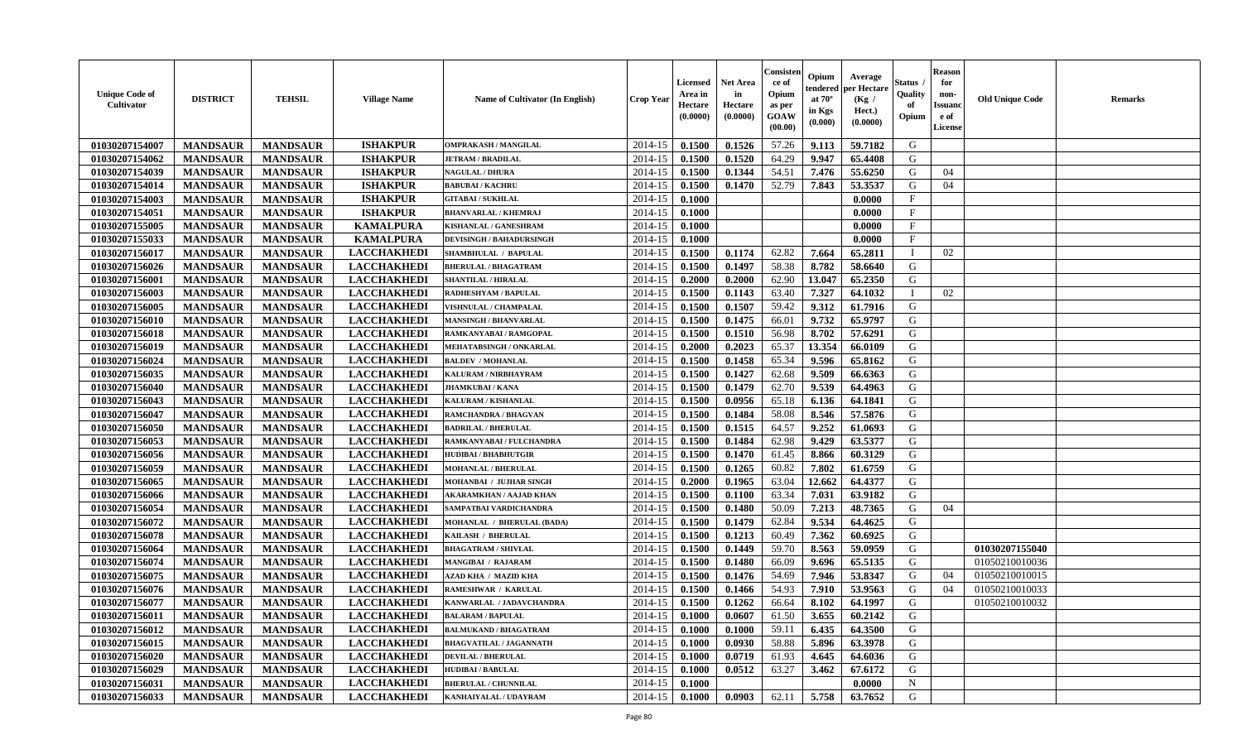| <b>Unique Code of</b><br><b>Cultivator</b> | <b>DISTRICT</b> | <b>TEHSIL</b>   | <b>Village Name</b> | Name of Cultivator (In English) | <b>Crop Year</b> | Licensed<br>Area in<br>Hectare<br>(0.0000) | <b>Net Area</b><br>in<br>Hectare<br>(0.0000) | Consister<br>ce of<br>Opium<br>as per<br>GOAW<br>(00.00) | Opium<br>tendered<br>at $70^\circ$<br>in Kgs<br>(0.000) | Average<br>per Hectare<br>(Kg /<br>Hect.)<br>(0.0000) | Status<br>Quality<br>of<br>Opium | <b>Reason</b><br>for<br>non-<br><b>Issuanc</b><br>e of<br>License | <b>Old Unique Code</b> | <b>Remarks</b> |
|--------------------------------------------|-----------------|-----------------|---------------------|---------------------------------|------------------|--------------------------------------------|----------------------------------------------|----------------------------------------------------------|---------------------------------------------------------|-------------------------------------------------------|----------------------------------|-------------------------------------------------------------------|------------------------|----------------|
| 01030207154007                             | <b>MANDSAUR</b> | <b>MANDSAUR</b> | <b>ISHAKPUR</b>     | <b>OMPRAKASH / MANGILAL</b>     | 2014-15          | 0.1500                                     | 0.1526                                       | 57.26                                                    | 9.113                                                   | 59.7182                                               | G                                |                                                                   |                        |                |
| 01030207154062                             | <b>MANDSAUR</b> | <b>MANDSAUR</b> | <b>ISHAKPUR</b>     | <b>JETRAM / BRADILAL</b>        | 2014-15          | 0.1500                                     | 0.1520                                       | 64.29                                                    | 9.947                                                   | 65.4408                                               | G                                |                                                                   |                        |                |
| 01030207154039                             | <b>MANDSAUR</b> | <b>MANDSAUR</b> | <b>ISHAKPUR</b>     | <b>NAGULAL / DHURA</b>          | 2014-15          | 0.1500                                     | 0.1344                                       | 54.51                                                    | 7.476                                                   | 55.6250                                               | G                                | 04                                                                |                        |                |
| 01030207154014                             | <b>MANDSAUR</b> | <b>MANDSAUR</b> | <b>ISHAKPUR</b>     | <b>BABUBAI/KACHRU</b>           | 2014-15          | 0.1500                                     | 0.1470                                       | 52.79                                                    | 7.843                                                   | 53.3537                                               | G                                | 04                                                                |                        |                |
| 01030207154003                             | <b>MANDSAUR</b> | <b>MANDSAUR</b> | <b>ISHAKPUR</b>     | <b>GITABAI/SUKHLAL</b>          | 2014-15          | 0.1000                                     |                                              |                                                          |                                                         | 0.0000                                                | $\mathbf{F}$                     |                                                                   |                        |                |
| 01030207154051                             | <b>MANDSAUR</b> | <b>MANDSAUR</b> | <b>ISHAKPUR</b>     | <b>BHANVARLAL / KHEMRAJ</b>     | 2014-15          | 0.1000                                     |                                              |                                                          |                                                         | 0.0000                                                | F                                |                                                                   |                        |                |
| 01030207155005                             | <b>MANDSAUR</b> | <b>MANDSAUR</b> | <b>KAMALPURA</b>    | <b>KISHANLAL / GANESHRAM</b>    | 2014-15          | 0.1000                                     |                                              |                                                          |                                                         | 0.0000                                                | $\rm F$                          |                                                                   |                        |                |
| 01030207155033                             | <b>MANDSAUR</b> | <b>MANDSAUR</b> | <b>KAMALPURA</b>    | <b>DEVISINGH / BAHADURSINGH</b> | 2014-15          | 0.1000                                     |                                              |                                                          |                                                         | 0.0000                                                | $\mathbf F$                      |                                                                   |                        |                |
| 01030207156017                             | <b>MANDSAUR</b> | <b>MANDSAUR</b> | <b>LACCHAKHEDI</b>  | SHAMBHULAL / BAPULAL            | 2014-15          | 0.1500                                     | 0.1174                                       | 62.82                                                    | 7.664                                                   | 65.2811                                               | - 1                              | 02                                                                |                        |                |
| 01030207156026                             | <b>MANDSAUR</b> | <b>MANDSAUR</b> | <b>LACCHAKHEDI</b>  | <b>BHERULAL / BHAGATRAM</b>     | 2014-15          | 0.1500                                     | 0.1497                                       | 58.38                                                    | 8.782                                                   | 58.6640                                               | G                                |                                                                   |                        |                |
| 01030207156001                             | <b>MANDSAUR</b> | <b>MANDSAUR</b> | <b>LACCHAKHEDI</b>  | <b>SHANTILAL / HIRALAL</b>      | 2014-15          | 0.2000                                     | 0.2000                                       | 62.90                                                    | 13.047                                                  | 65.2350                                               | G                                |                                                                   |                        |                |
| 01030207156003                             | <b>MANDSAUR</b> | <b>MANDSAUR</b> | <b>LACCHAKHEDI</b>  | <b>RADHESHYAM / BAPULAL</b>     | 2014-15          | 0.1500                                     | 0.1143                                       | 63.40                                                    | 7.327                                                   | 64.1032                                               | $\mathbf{I}$                     | 02                                                                |                        |                |
| 01030207156005                             | <b>MANDSAUR</b> | <b>MANDSAUR</b> | <b>LACCHAKHEDI</b>  | VISHNULAL / CHAMPALAL           | 2014-15          | 0.1500                                     | 0.1507                                       | 59.42                                                    | 9.312                                                   | 61.7916                                               | G                                |                                                                   |                        |                |
| 01030207156010                             | <b>MANDSAUR</b> | <b>MANDSAUR</b> | <b>LACCHAKHEDI</b>  | <b>MANSINGH / BHANVARLAL</b>    | 2014-15          | 0.1500                                     | 0.1475                                       | 66.01                                                    | 9.732                                                   | 65.9797                                               | G                                |                                                                   |                        |                |
| 01030207156018                             | <b>MANDSAUR</b> | <b>MANDSAUR</b> | <b>LACCHAKHEDI</b>  | RAMKANYABAI / RAMGOPAL          | 2014-15          | 0.1500                                     | 0.1510                                       | 56.98                                                    | 8.702                                                   | 57.6291                                               | G                                |                                                                   |                        |                |
| 01030207156019                             | <b>MANDSAUR</b> | <b>MANDSAUR</b> | <b>LACCHAKHEDI</b>  | MEHATABSINGH / ONKARLAL         | 2014-15          | 0.2000                                     | 0.2023                                       | 65.37                                                    | 13.354                                                  | 66.0109                                               | G                                |                                                                   |                        |                |
| 01030207156024                             | <b>MANDSAUR</b> | <b>MANDSAUR</b> | <b>LACCHAKHEDI</b>  | <b>BALDEV / MOHANLAL</b>        | 2014-15          | 0.1500                                     | 0.1458                                       | 65.34                                                    | 9.596                                                   | 65.8162                                               | G                                |                                                                   |                        |                |
| 01030207156035                             | <b>MANDSAUR</b> | <b>MANDSAUR</b> | <b>LACCHAKHEDI</b>  | KALURAM / NIRBHAYRAM            | 2014-15          | 0.1500                                     | 0.1427                                       | 62.68                                                    | 9.509                                                   | 66.6363                                               | G                                |                                                                   |                        |                |
| 01030207156040                             | <b>MANDSAUR</b> | <b>MANDSAUR</b> | <b>LACCHAKHEDI</b>  | <b>JHAMKUBAI/KANA</b>           | 2014-15          | 0.1500                                     | 0.1479                                       | 62.70                                                    | 9.539                                                   | 64.4963                                               | G                                |                                                                   |                        |                |
| 01030207156043                             | <b>MANDSAUR</b> | <b>MANDSAUR</b> | <b>LACCHAKHEDI</b>  | <b>KALURAM / KISHANLAL</b>      | 2014-15          | 0.1500                                     | 0.0956                                       | 65.18                                                    | 6.136                                                   | 64.1841                                               | G                                |                                                                   |                        |                |
| 01030207156047                             | <b>MANDSAUR</b> | <b>MANDSAUR</b> | <b>LACCHAKHEDI</b>  | <b>RAMCHANDRA / BHAGVAN</b>     | 2014-15          | 0.1500                                     | 0.1484                                       | 58.08                                                    | 8.546                                                   | 57.5876                                               | G                                |                                                                   |                        |                |
| 01030207156050                             | <b>MANDSAUR</b> | <b>MANDSAUR</b> | <b>LACCHAKHEDI</b>  | <b>BADRILAL / BHERULAL</b>      | 2014-15          | 0.1500                                     | 0.1515                                       | 64.57                                                    | 9.252                                                   | 61.0693                                               | G                                |                                                                   |                        |                |
| 01030207156053                             | <b>MANDSAUR</b> | <b>MANDSAUR</b> | <b>LACCHAKHEDI</b>  | RAMKANYABAI / FULCHANDRA        | 2014-15          | 0.1500                                     | 0.1484                                       | 62.98                                                    | 9.429                                                   | 63.5377                                               | G                                |                                                                   |                        |                |
| 01030207156056                             | <b>MANDSAUR</b> | <b>MANDSAUR</b> | <b>LACCHAKHEDI</b>  | <b>HUDIBAI/BHABHUTGIR</b>       | 2014-15          | 0.1500                                     | 0.1470                                       | 61.45                                                    | 8.866                                                   | 60.3129                                               | G                                |                                                                   |                        |                |
| 01030207156059                             | <b>MANDSAUR</b> | <b>MANDSAUR</b> | <b>LACCHAKHEDI</b>  | <b>MOHANLAL / BHERULAL</b>      | 2014-15          | 0.1500                                     | 0.1265                                       | 60.82                                                    | 7.802                                                   | 61.6759                                               | G                                |                                                                   |                        |                |
| 01030207156065                             | <b>MANDSAUR</b> | <b>MANDSAUR</b> | <b>LACCHAKHEDI</b>  | MOHANBAI / JUJHAR SINGH         | 2014-15          | 0.2000                                     | 0.1965                                       | 63.04                                                    | 12.662                                                  | 64.4377                                               | G                                |                                                                   |                        |                |
| 01030207156066                             | <b>MANDSAUR</b> | <b>MANDSAUR</b> | <b>LACCHAKHEDI</b>  | <b>AKARAMKHAN / AAJAD KHAN</b>  | 2014-15          | 0.1500                                     | 0.1100                                       | 63.34                                                    | 7.031                                                   | 63.9182                                               | G                                |                                                                   |                        |                |
| 01030207156054                             | <b>MANDSAUR</b> | <b>MANDSAUR</b> | <b>LACCHAKHEDI</b>  | SAMPATBAI VARDICHANDRA          | 2014-15          | 0.1500                                     | 0.1480                                       | 50.09                                                    | 7.213                                                   | 48.7365                                               | G                                | 04                                                                |                        |                |
| 01030207156072                             | <b>MANDSAUR</b> | <b>MANDSAUR</b> | <b>LACCHAKHEDI</b>  | MOHANLAL / BHERULAL (BADA)      | 2014-15          | 0.1500                                     | 0.1479                                       | 62.84                                                    | 9.534                                                   | 64.4625                                               | G                                |                                                                   |                        |                |
| 01030207156078                             | <b>MANDSAUR</b> | <b>MANDSAUR</b> | <b>LACCHAKHEDI</b>  | KAILASH / BHERULAL              | 2014-15          | 0.1500                                     | 0.1213                                       | 60.49                                                    | 7.362                                                   | 60.6925                                               | G                                |                                                                   |                        |                |
| 01030207156064                             | <b>MANDSAUR</b> | <b>MANDSAUR</b> | <b>LACCHAKHEDI</b>  | <b>BHAGATRAM / SHIVLAL</b>      | 2014-15          | 0.1500                                     | 0.1449                                       | 59.70                                                    | 8.563                                                   | 59.0959                                               | ${\bf G}$                        |                                                                   | 01030207155040         |                |
| 01030207156074                             | <b>MANDSAUR</b> | <b>MANDSAUR</b> | <b>LACCHAKHEDI</b>  | MANGIBAI / RAJARAM              | 2014-15          | 0.1500                                     | 0.1480                                       | 66.09                                                    | 9.696                                                   | 65.5135                                               | G                                |                                                                   | 01050210010036         |                |
| 01030207156075                             | <b>MANDSAUR</b> | <b>MANDSAUR</b> | <b>LACCHAKHEDI</b>  | AZAD KHA / MAZID KHA            | 2014-15          | 0.1500                                     | 0.1476                                       | 54.69                                                    | 7.946                                                   | 53.8347                                               | G                                | 04                                                                | 01050210010015         |                |
| 01030207156076                             | <b>MANDSAUR</b> | <b>MANDSAUR</b> | <b>LACCHAKHEDI</b>  | RAMESHWAR / KARULAL             | 2014-15          | 0.1500                                     | 0.1466                                       | 54.93                                                    | 7.910                                                   | 53.9563                                               | G                                | 04                                                                | 01050210010033         |                |
| 01030207156077                             | <b>MANDSAUR</b> | <b>MANDSAUR</b> | <b>LACCHAKHEDI</b>  | KANWARLAL / JADAVCHANDRA        | 2014-15          | 0.1500                                     | 0.1262                                       | 66.64                                                    | 8.102                                                   | 64.1997                                               | G                                |                                                                   | 01050210010032         |                |
| 01030207156011                             | <b>MANDSAUR</b> | <b>MANDSAUR</b> | <b>LACCHAKHEDI</b>  | <b>BALARAM / BAPULAL</b>        | 2014-15          | 0.1000                                     | 0.0607                                       | 61.50                                                    | 3.655                                                   | 60.2142                                               | G                                |                                                                   |                        |                |
| 01030207156012                             | <b>MANDSAUR</b> | <b>MANDSAUR</b> | <b>LACCHAKHEDI</b>  | <b>BALMUKAND / BHAGATRAM</b>    | 2014-15          | 0.1000                                     | 0.1000                                       | 59.11                                                    | 6.435                                                   | 64.3500                                               | G                                |                                                                   |                        |                |
| 01030207156015                             | <b>MANDSAUR</b> | <b>MANDSAUR</b> | <b>LACCHAKHEDI</b>  | <b>BHAGVATILAL / JAGANNATH</b>  | 2014-15          | 0.1000                                     | 0.0930                                       | 58.88                                                    | 5.896                                                   | 63.3978                                               | G                                |                                                                   |                        |                |
| 01030207156020                             | <b>MANDSAUR</b> | <b>MANDSAUR</b> | <b>LACCHAKHEDI</b>  | <b>DEVILAL / BHERULAL</b>       | 2014-15          | 0.1000                                     | 0.0719                                       | 61.93                                                    | 4.645                                                   | 64.6036                                               | G                                |                                                                   |                        |                |
| 01030207156029                             | <b>MANDSAUR</b> | <b>MANDSAUR</b> | <b>LACCHAKHEDI</b>  | <b>HUDIBAI/BABULAL</b>          | 2014-15          | 0.1000                                     | 0.0512                                       | 63.27                                                    | 3.462                                                   | 67.6172                                               | G                                |                                                                   |                        |                |
| 01030207156031                             | <b>MANDSAUR</b> | <b>MANDSAUR</b> | <b>LACCHAKHEDI</b>  | <b>BHERULAL / CHUNNILAL</b>     | 2014-15          | 0.1000                                     |                                              |                                                          |                                                         | 0.0000                                                | $\mathbf N$                      |                                                                   |                        |                |
| 01030207156033                             | <b>MANDSAUR</b> | <b>MANDSAUR</b> | <b>LACCHAKHEDI</b>  | KANHAIYALAL / UDAYRAM           | 2014-15          | 0.1000                                     | 0.0903                                       | 62.11                                                    | 5.758                                                   | 63.7652                                               | G                                |                                                                   |                        |                |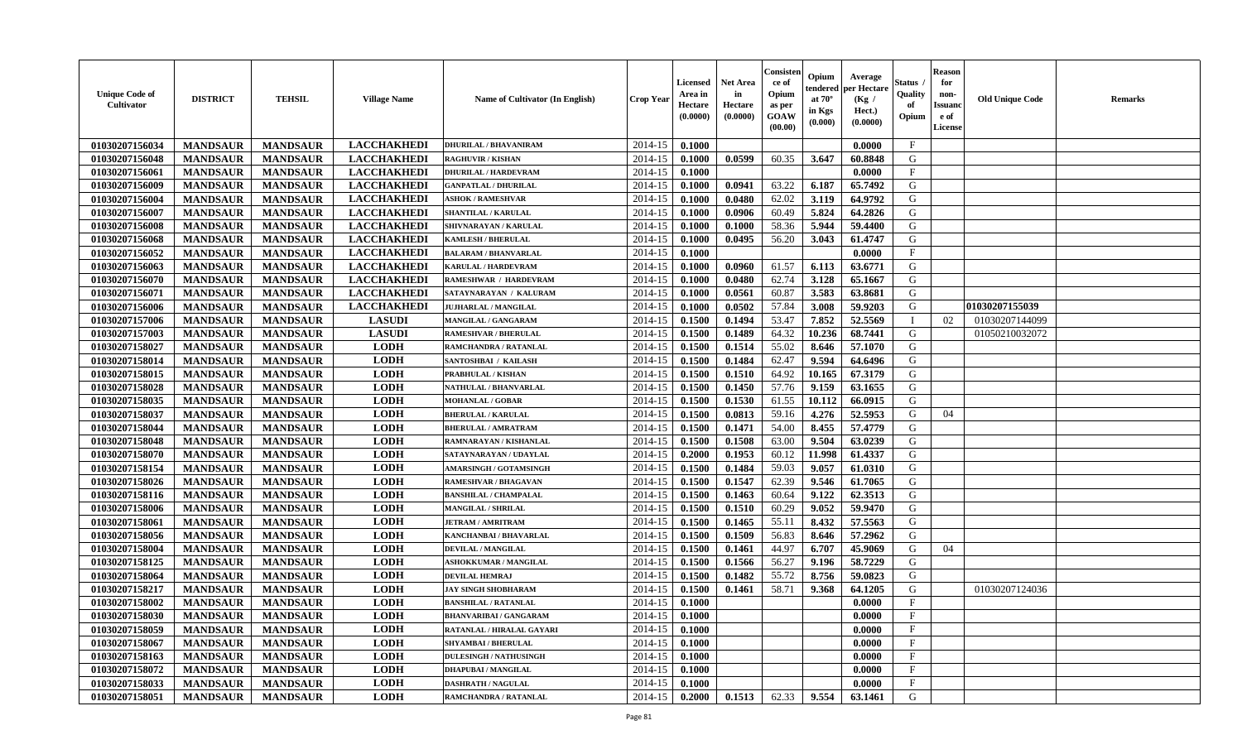| <b>Unique Code of</b><br><b>Cultivator</b> | <b>DISTRICT</b> | <b>TEHSIL</b>   | <b>Village Name</b> | Name of Cultivator (In English)  | <b>Crop Year</b> | <b>Licensed</b><br>Area in<br>Hectare<br>(0.0000) | Net Area<br>in<br>Hectare<br>(0.0000) | Consister<br>ce of<br>Opium<br>as per<br>GOAW<br>(00.00) | Opium<br>tendered<br>at $70^\circ$<br>in Kgs<br>(0.000) | Average<br>per Hectare<br>(Kg /<br>Hect.)<br>(0.0000) | Status<br>Quality<br>of<br>Opium | <b>Reason</b><br>for<br>non-<br><b>Issuand</b><br>e of<br>License | <b>Old Unique Code</b> | <b>Remarks</b> |
|--------------------------------------------|-----------------|-----------------|---------------------|----------------------------------|------------------|---------------------------------------------------|---------------------------------------|----------------------------------------------------------|---------------------------------------------------------|-------------------------------------------------------|----------------------------------|-------------------------------------------------------------------|------------------------|----------------|
| 01030207156034                             | <b>MANDSAUR</b> | <b>MANDSAUR</b> | <b>LACCHAKHEDI</b>  | <b>DHURILAL / BHAVANIRAM</b>     | 2014-15          | 0.1000                                            |                                       |                                                          |                                                         | 0.0000                                                | $\mathbf{F}$                     |                                                                   |                        |                |
| 01030207156048                             | <b>MANDSAUR</b> | <b>MANDSAUR</b> | <b>LACCHAKHEDI</b>  | <b>RAGHUVIR / KISHAN</b>         | 2014-15          | 0.1000                                            | 0.0599                                | 60.35                                                    | 3.647                                                   | 60.8848                                               | G                                |                                                                   |                        |                |
| 01030207156061                             | <b>MANDSAUR</b> | <b>MANDSAUR</b> | <b>LACCHAKHEDI</b>  | <b>DHURILAL / HARDEVRAM</b>      | 2014-15          | 0.1000                                            |                                       |                                                          |                                                         | 0.0000                                                | $\mathbf{F}$                     |                                                                   |                        |                |
| 01030207156009                             | <b>MANDSAUR</b> | <b>MANDSAUR</b> | <b>LACCHAKHEDI</b>  | <b>GANPATLAL / DHURILAL</b>      | 2014-15          | 0.1000                                            | 0.0941                                | 63.22                                                    | 6.187                                                   | 65.7492                                               | G                                |                                                                   |                        |                |
| 01030207156004                             | <b>MANDSAUR</b> | <b>MANDSAUR</b> | <b>LACCHAKHEDI</b>  | <b>ASHOK / RAMESHVAR</b>         | 2014-15          | 0.1000                                            | 0.0480                                | 62.02                                                    | 3.119                                                   | 64.9792                                               | G                                |                                                                   |                        |                |
| 01030207156007                             | <b>MANDSAUR</b> | <b>MANDSAUR</b> | <b>LACCHAKHEDI</b>  | <b>SHANTILAL / KARULAL</b>       | 2014-15          | 0.1000                                            | 0.0906                                | 60.49                                                    | 5.824                                                   | 64.2826                                               | G                                |                                                                   |                        |                |
| 01030207156008                             | <b>MANDSAUR</b> | <b>MANDSAUR</b> | <b>LACCHAKHEDI</b>  | SHIVNARAYAN / KARULAL            | 2014-15          | 0.1000                                            | 0.1000                                | 58.36                                                    | 5.944                                                   | 59.4400                                               | G                                |                                                                   |                        |                |
| 01030207156068                             | <b>MANDSAUR</b> | <b>MANDSAUR</b> | <b>LACCHAKHEDI</b>  | <b>KAMLESH / BHERULAL</b>        | 2014-15          | 0.1000                                            | 0.0495                                | 56.20                                                    | 3.043                                                   | 61.4747                                               | G                                |                                                                   |                        |                |
| 01030207156052                             | <b>MANDSAUR</b> | <b>MANDSAUR</b> | <b>LACCHAKHEDI</b>  | <b>BALARAM / BHANVARLAL</b>      | 2014-15          | 0.1000                                            |                                       |                                                          |                                                         | 0.0000                                                | $_{\rm F}$                       |                                                                   |                        |                |
| 01030207156063                             | <b>MANDSAUR</b> | <b>MANDSAUR</b> | <b>LACCHAKHEDI</b>  | KARULAL / HARDEVRAM              | 2014-15          | 0.1000                                            | 0.0960                                | 61.57                                                    | 6.113                                                   | 63.6771                                               | G                                |                                                                   |                        |                |
| 01030207156070                             | <b>MANDSAUR</b> | <b>MANDSAUR</b> | <b>LACCHAKHEDI</b>  | RAMESHWAR / HARDEVRAM            | 2014-15          | 0.1000                                            | 0.0480                                | 62.74                                                    | 3.128                                                   | 65.1667                                               | G                                |                                                                   |                        |                |
| 01030207156071                             | <b>MANDSAUR</b> | <b>MANDSAUR</b> | <b>LACCHAKHEDI</b>  | SATAYNARAYAN / KALURAM           | 2014-15          | 0.1000                                            | 0.0561                                | 60.87                                                    | 3.583                                                   | 63.8681                                               | G                                |                                                                   |                        |                |
| 01030207156006                             | <b>MANDSAUR</b> | <b>MANDSAUR</b> | <b>LACCHAKHEDI</b>  | <b>JUJHARLAL / MANGILAL</b>      | 2014-15          | 0.1000                                            | 0.0502                                | 57.84                                                    | 3.008                                                   | 59.9203                                               | G                                |                                                                   | 01030207155039         |                |
| 01030207157006                             | <b>MANDSAUR</b> | <b>MANDSAUR</b> | <b>LASUDI</b>       | MANGILAL / GANGARAM              | 2014-15          | 0.1500                                            | 0.1494                                | 53.47                                                    | 7.852                                                   | 52,5569                                               |                                  | 02                                                                | 01030207144099         |                |
| 01030207157003                             | <b>MANDSAUR</b> | <b>MANDSAUR</b> | <b>LASUDI</b>       | <b>RAMESHVAR / BHERULAL</b>      | 2014-15          | 0.1500                                            | 0.1489                                | 64.32                                                    | 10.236                                                  | 68.7441                                               | G                                |                                                                   | 01050210032072         |                |
| 01030207158027                             | <b>MANDSAUR</b> | <b>MANDSAUR</b> | <b>LODH</b>         | RAMCHANDRA / RATANLAL            | 2014-15          | 0.1500                                            | 0.1514                                | 55.02                                                    | 8.646                                                   | 57.1070                                               | G                                |                                                                   |                        |                |
| 01030207158014                             | <b>MANDSAUR</b> | <b>MANDSAUR</b> | <b>LODH</b>         | SANTOSHBAI / KAILASH             | 2014-15          | 0.1500                                            | 0.1484                                | 62.47                                                    | 9.594                                                   | 64.6496                                               | G                                |                                                                   |                        |                |
| 01030207158015                             | <b>MANDSAUR</b> | <b>MANDSAUR</b> | <b>LODH</b>         | <b>PRABHULAL / KISHAN</b>        | 2014-15          | 0.1500                                            | 0.1510                                | 64.92                                                    | 10.165                                                  | 67.3179                                               | G                                |                                                                   |                        |                |
| 01030207158028                             | <b>MANDSAUR</b> | <b>MANDSAUR</b> | <b>LODH</b>         | NATHULAL / BHANVARLAL            | 2014-15          | 0.1500                                            | 0.1450                                | 57.76                                                    | 9.159                                                   | 63.1655                                               | G                                |                                                                   |                        |                |
| 01030207158035                             | <b>MANDSAUR</b> | <b>MANDSAUR</b> | <b>LODH</b>         | <b>MOHANLAL / GOBAR</b>          | 2014-15          | 0.1500                                            | 0.1530                                | 61.55                                                    | 10.112                                                  | 66.0915                                               | G                                |                                                                   |                        |                |
| 01030207158037                             | <b>MANDSAUR</b> | <b>MANDSAUR</b> | <b>LODH</b>         | <b>BHERULAL / KARULAL</b>        | 2014-15          | 0.1500                                            | 0.0813                                | 59.16                                                    | 4.276                                                   | 52.5953                                               | G                                | 04                                                                |                        |                |
| 01030207158044                             | <b>MANDSAUR</b> | <b>MANDSAUR</b> | <b>LODH</b>         | <b>BHERULAL / AMRATRAM</b>       | 2014-15          | 0.1500                                            | 0.1471                                | 54.00                                                    | 8.455                                                   | 57,4779                                               | G                                |                                                                   |                        |                |
| 01030207158048                             | <b>MANDSAUR</b> | <b>MANDSAUR</b> | <b>LODH</b>         | RAMNARAYAN / KISHANLAL           | 2014-15          | 0.1500                                            | 0.1508                                | 63.00                                                    | 9.504                                                   | 63.0239                                               | G                                |                                                                   |                        |                |
| 01030207158070                             | <b>MANDSAUR</b> | <b>MANDSAUR</b> | <b>LODH</b>         | SATAYNARAYAN / UDAYLAL           | 2014-15          | 0.2000                                            | 0.1953                                | 60.12                                                    | 11.998                                                  | 61.4337                                               | G                                |                                                                   |                        |                |
| 01030207158154                             | <b>MANDSAUR</b> | <b>MANDSAUR</b> | <b>LODH</b>         | <b>AMARSINGH / GOTAMSINGH</b>    | 2014-15          | 0.1500                                            | 0.1484                                | 59.03                                                    | 9.057                                                   | 61.0310                                               | G                                |                                                                   |                        |                |
| 01030207158026                             | <b>MANDSAUR</b> | <b>MANDSAUR</b> | <b>LODH</b>         | <b>RAMESHVAR / BHAGAVAN</b>      | 2014-15          | 0.1500                                            | 0.1547                                | 62.39                                                    | 9.546                                                   | 61.7065                                               | G                                |                                                                   |                        |                |
| 01030207158116                             | <b>MANDSAUR</b> | <b>MANDSAUR</b> | <b>LODH</b>         | <b>BANSHILAL / CHAMPALAL</b>     | 2014-15          | 0.1500                                            | 0.1463                                | 60.64                                                    | 9.122                                                   | 62.3513                                               | G                                |                                                                   |                        |                |
| 01030207158006                             | <b>MANDSAUR</b> | <b>MANDSAUR</b> | <b>LODH</b>         | <b>MANGILAL / SHRILAL</b>        | 2014-15          | 0.1500                                            | 0.1510                                | 60.29                                                    | 9.052                                                   | 59.9470                                               | G                                |                                                                   |                        |                |
| 01030207158061                             | <b>MANDSAUR</b> | <b>MANDSAUR</b> | <b>LODH</b>         | <b>JETRAM / AMRITRAM</b>         | 2014-15          | 0.1500                                            | 0.1465                                | 55.11                                                    | 8.432                                                   | 57.5563                                               | G                                |                                                                   |                        |                |
| 01030207158056                             | <b>MANDSAUR</b> | <b>MANDSAUR</b> | <b>LODH</b>         | KANCHANBAI / BHAVARLAL           | 2014-15          | 0.1500                                            | 0.1509                                | 56.83                                                    | 8.646                                                   | 57.2962                                               | G                                |                                                                   |                        |                |
| 01030207158004                             | <b>MANDSAUR</b> | <b>MANDSAUR</b> | <b>LODH</b>         | <b>DEVILAL / MANGILAL</b>        | 2014-15          | 0.1500                                            | 0.1461                                | 44.97                                                    | 6.707                                                   | 45.9069                                               | G                                | 04                                                                |                        |                |
| 01030207158125                             | <b>MANDSAUR</b> | <b>MANDSAUR</b> | <b>LODH</b>         | <b>ASHOKKUMAR / MANGILAL</b>     | 2014-15          | 0.1500                                            | 0.1566                                | 56.27                                                    | 9.196                                                   | 58,7229                                               | G                                |                                                                   |                        |                |
| 01030207158064                             | <b>MANDSAUR</b> | <b>MANDSAUR</b> | <b>LODH</b>         | <b>DEVILAL HEMRAJ</b>            | 2014-15          | 0.1500                                            | 0.1482                                | 55.72                                                    | 8.756                                                   | 59.0823                                               | G                                |                                                                   |                        |                |
| 01030207158217                             | <b>MANDSAUR</b> | <b>MANDSAUR</b> | <b>LODH</b>         | <b>JAY SINGH SHOBHARAM</b>       | 2014-15          | 0.1500                                            | 0.1461                                | 58.71                                                    | 9.368                                                   | 64.1205                                               | G                                |                                                                   | 01030207124036         |                |
| 01030207158002                             | <b>MANDSAUR</b> | <b>MANDSAUR</b> | <b>LODH</b>         | <b>BANSHILAL / RATANLAL</b>      | 2014-15          | 0.1000                                            |                                       |                                                          |                                                         | 0.0000                                                | $_{\rm F}$                       |                                                                   |                        |                |
| 01030207158030                             | <b>MANDSAUR</b> | MANDSAUR        | <b>LODH</b>         | <b>BHANVARIBAI/GANGARAM</b>      | $2014-15$ 0.1000 |                                                   |                                       |                                                          |                                                         | 0.0000                                                | F                                |                                                                   |                        |                |
| 01030207158059                             | <b>MANDSAUR</b> | <b>MANDSAUR</b> | <b>LODH</b>         | <b>RATANLAL / HIRALAL GAYARI</b> | 2014-15          | 0.1000                                            |                                       |                                                          |                                                         | 0.0000                                                | $\mathbf{F}$                     |                                                                   |                        |                |
| 01030207158067                             | <b>MANDSAUR</b> | <b>MANDSAUR</b> | <b>LODH</b>         | <b>SHYAMBAI / BHERULAL</b>       | 2014-15          | 0.1000                                            |                                       |                                                          |                                                         | 0.0000                                                | $\mathbf{F}$                     |                                                                   |                        |                |
| 01030207158163                             | <b>MANDSAUR</b> | <b>MANDSAUR</b> | <b>LODH</b>         | <b>DULESINGH / NATHUSINGH</b>    | 2014-15          | 0.1000                                            |                                       |                                                          |                                                         | 0.0000                                                | $\mathbf{F}$                     |                                                                   |                        |                |
| 01030207158072                             | <b>MANDSAUR</b> | <b>MANDSAUR</b> | <b>LODH</b>         | <b>DHAPUBAI/MANGILAL</b>         | 2014-15          | 0.1000                                            |                                       |                                                          |                                                         | 0.0000                                                | $\mathbf{F}$                     |                                                                   |                        |                |
| 01030207158033                             | <b>MANDSAUR</b> | <b>MANDSAUR</b> | <b>LODH</b>         | <b>DASHRATH / NAGULAL</b>        | 2014-15          | 0.1000                                            |                                       |                                                          |                                                         | 0.0000                                                | $\mathbf{F}$                     |                                                                   |                        |                |
| 01030207158051                             | <b>MANDSAUR</b> | <b>MANDSAUR</b> | <b>LODH</b>         | RAMCHANDRA / RATANLAL            | 2014-15          | 0.2000                                            | 0.1513                                | 62.33                                                    | 9.554                                                   | 63.1461                                               | G                                |                                                                   |                        |                |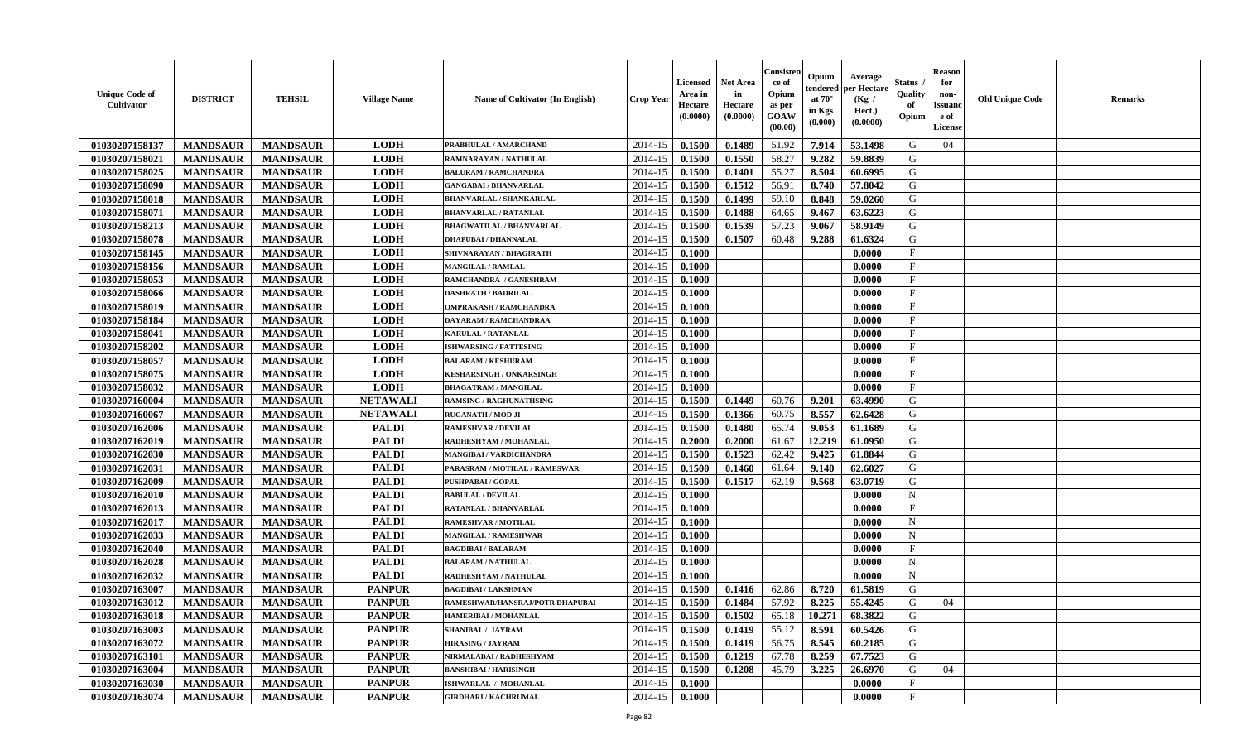| <b>Unique Code of</b><br>Cultivator | <b>DISTRICT</b> | <b>TEHSIL</b>   | <b>Village Name</b> | Name of Cultivator (In English) | Crop Year | <b>Licensed</b><br>Area in<br>Hectare<br>(0.0000) | <b>Net Area</b><br>in<br>Hectare<br>(0.0000) | Consister<br>ce of<br>Opium<br>as per<br><b>GOAW</b><br>(00.00) | Opium<br>tendered<br>at $70^\circ$<br>in Kgs<br>(0.000) | Average<br>oer Hectare<br>(Kg /<br>Hect.)<br>(0.0000) | Status<br>Quality<br>of<br>Opium | <b>Reason</b><br>for<br>non-<br><b>Issuano</b><br>e of<br>License | <b>Old Unique Code</b> | <b>Remarks</b> |
|-------------------------------------|-----------------|-----------------|---------------------|---------------------------------|-----------|---------------------------------------------------|----------------------------------------------|-----------------------------------------------------------------|---------------------------------------------------------|-------------------------------------------------------|----------------------------------|-------------------------------------------------------------------|------------------------|----------------|
| 01030207158137                      | <b>MANDSAUR</b> | <b>MANDSAUR</b> | <b>LODH</b>         | PRABHULAL / AMARCHAND           | 2014-15   | 0.1500                                            | 0.1489                                       | 51.92                                                           | 7.914                                                   | 53.1498                                               | G                                | 04                                                                |                        |                |
| 01030207158021                      | <b>MANDSAUR</b> | <b>MANDSAUR</b> | <b>LODH</b>         | RAMNARAYAN / NATHULAL           | 2014-15   | 0.1500                                            | 0.1550                                       | 58.27                                                           | 9.282                                                   | 59.8839                                               | G                                |                                                                   |                        |                |
| 01030207158025                      | <b>MANDSAUR</b> | <b>MANDSAUR</b> | <b>LODH</b>         | <b>BALURAM / RAMCHANDRA</b>     | 2014-15   | 0.1500                                            | 0.1401                                       | 55.27                                                           | 8.504                                                   | 60.6995                                               | G                                |                                                                   |                        |                |
| 01030207158090                      | <b>MANDSAUR</b> | <b>MANDSAUR</b> | <b>LODH</b>         | <b>GANGABAI / BHANVARLAL</b>    | 2014-15   | 0.1500                                            | 0.1512                                       | 56.91                                                           | 8.740                                                   | 57.8042                                               | G                                |                                                                   |                        |                |
| 01030207158018                      | <b>MANDSAUR</b> | <b>MANDSAUR</b> | <b>LODH</b>         | <b>BHANVARLAL / SHANKARLAL</b>  | 2014-15   | 0.1500                                            | 0.1499                                       | 59.10                                                           | 8.848                                                   | 59.0260                                               | G                                |                                                                   |                        |                |
| 01030207158071                      | <b>MANDSAUR</b> | <b>MANDSAUR</b> | <b>LODH</b>         | <b>BHANVARLAL / RATANLAL</b>    | 2014-15   | 0.1500                                            | 0.1488                                       | 64.65                                                           | 9.467                                                   | 63.6223                                               | G                                |                                                                   |                        |                |
| 01030207158213                      | <b>MANDSAUR</b> | <b>MANDSAUR</b> | <b>LODH</b>         | <b>BHAGWATILAL / BHANVARLAL</b> | 2014-15   | 0.1500                                            | 0.1539                                       | 57.23                                                           | 9.067                                                   | 58.9149                                               | G                                |                                                                   |                        |                |
| 01030207158078                      | <b>MANDSAUR</b> | <b>MANDSAUR</b> | <b>LODH</b>         | <b>DHAPUBAI / DHANNALAL</b>     | 2014-15   | 0.1500                                            | 0.1507                                       | 60.48                                                           | 9.288                                                   | 61.6324                                               | G                                |                                                                   |                        |                |
| 01030207158145                      | <b>MANDSAUR</b> | <b>MANDSAUR</b> | <b>LODH</b>         | SHIVNARAYAN / BHAGIRATH         | 2014-15   | 0.1000                                            |                                              |                                                                 |                                                         | 0.0000                                                | $\mathbf F$                      |                                                                   |                        |                |
| 01030207158156                      | <b>MANDSAUR</b> | <b>MANDSAUR</b> | <b>LODH</b>         | <b>MANGILAL / RAMLAL</b>        | 2014-15   | 0.1000                                            |                                              |                                                                 |                                                         | 0.0000                                                | $\mathbf{F}$                     |                                                                   |                        |                |
| 01030207158053                      | <b>MANDSAUR</b> | <b>MANDSAUR</b> | <b>LODH</b>         | RAMCHANDRA / GANESHRAM          | 2014-15   | 0.1000                                            |                                              |                                                                 |                                                         | 0.0000                                                | F                                |                                                                   |                        |                |
| 01030207158066                      | <b>MANDSAUR</b> | <b>MANDSAUR</b> | <b>LODH</b>         | <b>DASHRATH / BADRILAL</b>      | 2014-15   | 0.1000                                            |                                              |                                                                 |                                                         | 0.0000                                                | $_{\rm F}$                       |                                                                   |                        |                |
| 01030207158019                      | <b>MANDSAUR</b> | <b>MANDSAUR</b> | <b>LODH</b>         | <b>OMPRAKASH / RAMCHANDRA</b>   | 2014-15   | 0.1000                                            |                                              |                                                                 |                                                         | 0.0000                                                | $_{\rm F}$                       |                                                                   |                        |                |
| 01030207158184                      | <b>MANDSAUR</b> | <b>MANDSAUR</b> | <b>LODH</b>         | <b>DAYARAM / RAMCHANDRAA</b>    | 2014-15   | 0.1000                                            |                                              |                                                                 |                                                         | 0.0000                                                | F                                |                                                                   |                        |                |
| 01030207158041                      | <b>MANDSAUR</b> | <b>MANDSAUR</b> | <b>LODH</b>         | <b>KARULAL / RATANLAL</b>       | 2014-15   | 0.1000                                            |                                              |                                                                 |                                                         | 0.0000                                                | F                                |                                                                   |                        |                |
| 01030207158202                      | <b>MANDSAUR</b> | <b>MANDSAUR</b> | <b>LODH</b>         | <b>ISHWARSING / FATTESING</b>   | 2014-15   | 0.1000                                            |                                              |                                                                 |                                                         | 0.0000                                                | $\mathbf{F}$                     |                                                                   |                        |                |
| 01030207158057                      | <b>MANDSAUR</b> | <b>MANDSAUR</b> | <b>LODH</b>         | <b>BALARAM / KESHURAM</b>       | 2014-15   | 0.1000                                            |                                              |                                                                 |                                                         | 0.0000                                                | $\mathbf F$                      |                                                                   |                        |                |
| 01030207158075                      | <b>MANDSAUR</b> | <b>MANDSAUR</b> | <b>LODH</b>         | <b>KESHARSINGH / ONKARSINGH</b> | 2014-15   | 0.1000                                            |                                              |                                                                 |                                                         | 0.0000                                                | $\mathbf{F}$                     |                                                                   |                        |                |
| 01030207158032                      | <b>MANDSAUR</b> | <b>MANDSAUR</b> | <b>LODH</b>         | <b>BHAGATRAM / MANGILAL</b>     | 2014-15   | 0.1000                                            |                                              |                                                                 |                                                         | 0.0000                                                | F                                |                                                                   |                        |                |
| 01030207160004                      | <b>MANDSAUR</b> | <b>MANDSAUR</b> | <b>NETAWALI</b>     | <b>RAMSING / RAGHUNATHSING</b>  | 2014-15   | 0.1500                                            | 0.1449                                       | 60.76                                                           | 9.201                                                   | 63.4990                                               | G                                |                                                                   |                        |                |
| 01030207160067                      | <b>MANDSAUR</b> | <b>MANDSAUR</b> | <b>NETAWALI</b>     | <b>RUGANATH / MOD JI</b>        | 2014-15   | 0.1500                                            | 0.1366                                       | 60.75                                                           | 8.557                                                   | 62.6428                                               | G                                |                                                                   |                        |                |
| 01030207162006                      | <b>MANDSAUR</b> | <b>MANDSAUR</b> | <b>PALDI</b>        | <b>RAMESHVAR / DEVILAL</b>      | 2014-15   | 0.1500                                            | 0.1480                                       | 65.74                                                           | 9.053                                                   | 61.1689                                               | G                                |                                                                   |                        |                |
| 01030207162019                      | <b>MANDSAUR</b> | <b>MANDSAUR</b> | <b>PALDI</b>        | RADHESHYAM / MOHANLAL           | 2014-15   | 0.2000                                            | 0.2000                                       | 61.67                                                           | 12.219                                                  | 61.0950                                               | G                                |                                                                   |                        |                |
| 01030207162030                      | <b>MANDSAUR</b> | <b>MANDSAUR</b> | <b>PALDI</b>        | MANGIBAI / VARDICHANDRA         | 2014-15   | 0.1500                                            | 0.1523                                       | 62.42                                                           | 9.425                                                   | 61.8844                                               | G                                |                                                                   |                        |                |
| 01030207162031                      | <b>MANDSAUR</b> | <b>MANDSAUR</b> | <b>PALDI</b>        | PARASRAM / MOTILAL / RAMESWAR   | 2014-15   | 0.1500                                            | 0.1460                                       | 61.64                                                           | 9.140                                                   | 62.6027                                               | G                                |                                                                   |                        |                |
| 01030207162009                      | <b>MANDSAUR</b> | <b>MANDSAUR</b> | <b>PALDI</b>        | PUSHPABAI / GOPAL               | 2014-15   | 0.1500                                            | 0.1517                                       | 62.19                                                           | 9.568                                                   | 63.0719                                               | G                                |                                                                   |                        |                |
| 01030207162010                      | <b>MANDSAUR</b> | <b>MANDSAUR</b> | <b>PALDI</b>        | <b>BABULAL / DEVILAL</b>        | 2014-15   | 0.1000                                            |                                              |                                                                 |                                                         | 0.0000                                                | $\mathbf N$                      |                                                                   |                        |                |
| 01030207162013                      | <b>MANDSAUR</b> | <b>MANDSAUR</b> | <b>PALDI</b>        | <b>RATANLAL / BHANVARLAL</b>    | 2014-15   | 0.1000                                            |                                              |                                                                 |                                                         | 0.0000                                                | F                                |                                                                   |                        |                |
| 01030207162017                      | <b>MANDSAUR</b> | <b>MANDSAUR</b> | <b>PALDI</b>        | <b>RAMESHVAR / MOTILAL</b>      | 2014-15   | 0.1000                                            |                                              |                                                                 |                                                         | 0.0000                                                | $\mathbf N$                      |                                                                   |                        |                |
| 01030207162033                      | <b>MANDSAUR</b> | <b>MANDSAUR</b> | <b>PALDI</b>        | <b>MANGILAL / RAMESHWAR</b>     | 2014-15   | 0.1000                                            |                                              |                                                                 |                                                         | 0.0000                                                | $\mathbf N$                      |                                                                   |                        |                |
| 01030207162040                      | <b>MANDSAUR</b> | <b>MANDSAUR</b> | <b>PALDI</b>        | <b>BAGDIBAI/BALARAM</b>         | 2014-15   | 0.1000                                            |                                              |                                                                 |                                                         | 0.0000                                                | $\mathbf{F}$                     |                                                                   |                        |                |
| 01030207162028                      | <b>MANDSAUR</b> | <b>MANDSAUR</b> | <b>PALDI</b>        | <b>BALARAM / NATHULAL</b>       | 2014-15   | 0.1000                                            |                                              |                                                                 |                                                         | 0.0000                                                | $\mathbf N$                      |                                                                   |                        |                |
| 01030207162032                      | <b>MANDSAUR</b> | <b>MANDSAUR</b> | <b>PALDI</b>        | RADHESHYAM / NATHULAL           | 2014-15   | 0.1000                                            |                                              |                                                                 |                                                         | 0.0000                                                | $\mathbf N$                      |                                                                   |                        |                |
| 01030207163007                      | <b>MANDSAUR</b> | <b>MANDSAUR</b> | <b>PANPUR</b>       | <b>BAGDIBAI/LAKSHMAN</b>        | 2014-15   | 0.1500                                            | 0.1416                                       | 62.86                                                           | 8.720                                                   | 61.5819                                               | G                                |                                                                   |                        |                |
| 01030207163012                      | <b>MANDSAUR</b> | <b>MANDSAUR</b> | <b>PANPUR</b>       | RAMESHWAR/HANSRAJ/POTR DHAPUBAI | 2014-15   | 0.1500                                            | 0.1484                                       | 57.92                                                           | 8.225                                                   | 55.4245                                               | G                                | 04                                                                |                        |                |
| 01030207163018                      | <b>MANDSAUR</b> | <b>MANDSAUR</b> | <b>PANPUR</b>       | <b>HAMERIBAI / MOHANLAL</b>     | 2014-15   | 0.1500                                            | 0.1502                                       | 65.18                                                           | 10.271                                                  | 68.3822                                               | G                                |                                                                   |                        |                |
| 01030207163003                      | <b>MANDSAUR</b> | <b>MANDSAUR</b> | <b>PANPUR</b>       | <b>SHANIBAI / JAYRAM</b>        | 2014-15   | 0.1500                                            | 0.1419                                       | 55.12                                                           | 8.591                                                   | 60.5426                                               | G                                |                                                                   |                        |                |
| 01030207163072                      | <b>MANDSAUR</b> | <b>MANDSAUR</b> | <b>PANPUR</b>       | <b>HIRASING / JAYRAM</b>        | 2014-15   | 0.1500                                            | 0.1419                                       | 56.75                                                           | 8.545                                                   | 60.2185                                               | G                                |                                                                   |                        |                |
| 01030207163101                      | <b>MANDSAUR</b> | <b>MANDSAUR</b> | <b>PANPUR</b>       | NIRMALABAI / RADHESHYAM         | 2014-15   | 0.1500                                            | 0.1219                                       | 67.78                                                           | 8.259                                                   | 67.7523                                               | G                                |                                                                   |                        |                |
| 01030207163004                      | <b>MANDSAUR</b> | <b>MANDSAUR</b> | <b>PANPUR</b>       | <b>BANSHIBAI / HARISINGH</b>    | 2014-15   | 0.1500                                            | 0.1208                                       | 45.79                                                           | 3.225                                                   | 26.6970                                               | G                                | 04                                                                |                        |                |
| 01030207163030                      | <b>MANDSAUR</b> | <b>MANDSAUR</b> | <b>PANPUR</b>       | ISHWARLAL / MOHANLAL            | 2014-15   | 0.1000                                            |                                              |                                                                 |                                                         | 0.0000                                                | $_{\rm F}$                       |                                                                   |                        |                |
| 01030207163074                      | <b>MANDSAUR</b> | <b>MANDSAUR</b> | <b>PANPUR</b>       | <b>GIRDHARI / KACHRUMAL</b>     | 2014-15   | 0.1000                                            |                                              |                                                                 |                                                         | 0.0000                                                | $_{\rm F}$                       |                                                                   |                        |                |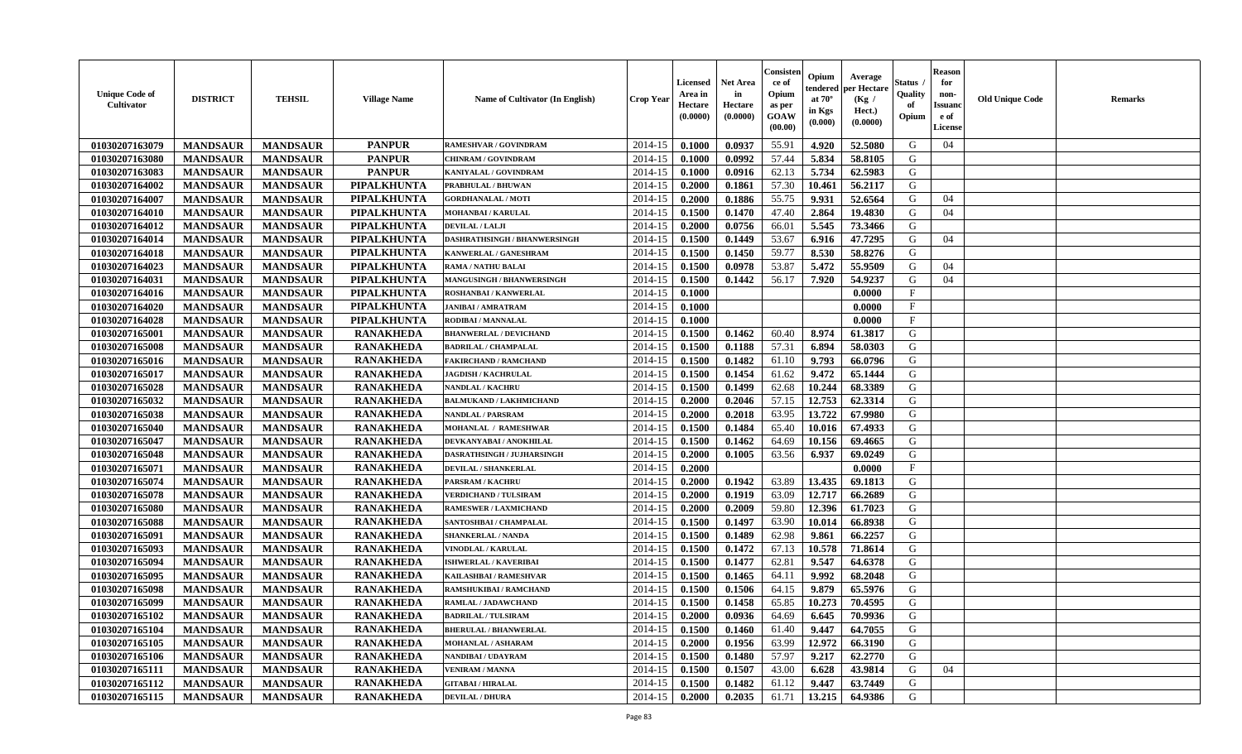| <b>Unique Code of</b><br>Cultivator | <b>DISTRICT</b> | <b>TEHSIL</b>   | <b>Village Name</b> | <b>Name of Cultivator (In English)</b> | <b>Crop Year</b> | <b>Licensed</b><br>Area in<br>Hectare<br>(0.0000) | <b>Net Area</b><br>in<br>Hectare<br>(0.0000) | Consister<br>ce of<br>Opium<br>as per<br>GOAW<br>(00.00) | Opium<br>tendered<br>at $70^{\circ}$<br>in Kgs<br>(0.000) | Average<br>oer Hectare<br>(Kg /<br>Hect.)<br>(0.0000) | Status<br>Quality<br>of<br>Opium | <b>Reason</b><br>for<br>non-<br><b>Issuand</b><br>e of<br>License | <b>Old Unique Code</b> | Remarks |
|-------------------------------------|-----------------|-----------------|---------------------|----------------------------------------|------------------|---------------------------------------------------|----------------------------------------------|----------------------------------------------------------|-----------------------------------------------------------|-------------------------------------------------------|----------------------------------|-------------------------------------------------------------------|------------------------|---------|
| 01030207163079                      | <b>MANDSAUR</b> | <b>MANDSAUR</b> | <b>PANPUR</b>       | RAMESHVAR / GOVINDRAM                  | 2014-15          | 0.1000                                            | 0.0937                                       | 55.91                                                    | 4.920                                                     | 52.5080                                               | G                                | 04                                                                |                        |         |
| 01030207163080                      | <b>MANDSAUR</b> | <b>MANDSAUR</b> | <b>PANPUR</b>       | <b>CHINRAM / GOVINDRAM</b>             | 2014-15          | 0.1000                                            | 0.0992                                       | 57.44                                                    | 5.834                                                     | 58.8105                                               | G                                |                                                                   |                        |         |
| 01030207163083                      | <b>MANDSAUR</b> | <b>MANDSAUR</b> | <b>PANPUR</b>       | <b>KANIYALAL / GOVINDRAM</b>           | 2014-15          | 0.1000                                            | 0.0916                                       | 62.13                                                    | 5.734                                                     | 62.5983                                               | G                                |                                                                   |                        |         |
| 01030207164002                      | <b>MANDSAUR</b> | <b>MANDSAUR</b> | <b>PIPALKHUNTA</b>  | <b>PRABHULAL / BHUWAN</b>              | 2014-15          | 0.2000                                            | 0.1861                                       | 57.30                                                    | 10.461                                                    | 56.2117                                               | G                                |                                                                   |                        |         |
| 01030207164007                      | <b>MANDSAUR</b> | <b>MANDSAUR</b> | <b>PIPALKHUNTA</b>  | <b>GORDHANALAL / MOTI</b>              | 2014-15          | 0.2000                                            | 0.1886                                       | 55.75                                                    | 9.931                                                     | 52.6564                                               | G                                | 04                                                                |                        |         |
| 01030207164010                      | <b>MANDSAUR</b> | <b>MANDSAUR</b> | <b>PIPALKHUNTA</b>  | <b>MOHANBAI/KARULAL</b>                | 2014-15          | 0.1500                                            | 0.1470                                       | 47.40                                                    | 2.864                                                     | 19.4830                                               | G                                | 04                                                                |                        |         |
| 01030207164012                      | <b>MANDSAUR</b> | <b>MANDSAUR</b> | PIPALKHUNTA         | <b>DEVILAL / LALJI</b>                 | 2014-15          | 0.2000                                            | 0.0756                                       | 66.01                                                    | 5.545                                                     | 73.3466                                               | G                                |                                                                   |                        |         |
| 01030207164014                      | <b>MANDSAUR</b> | <b>MANDSAUR</b> | <b>PIPALKHUNTA</b>  | DASHRATHSINGH / BHANWERSINGH           | 2014-15          | 0.1500                                            | 0.1449                                       | 53.67                                                    | 6.916                                                     | 47.7295                                               | G                                | 04                                                                |                        |         |
| 01030207164018                      | <b>MANDSAUR</b> | <b>MANDSAUR</b> | <b>PIPALKHUNTA</b>  | KANWERLAL / GANESHRAM                  | 2014-15          | 0.1500                                            | 0.1450                                       | 59.77                                                    | 8.530                                                     | 58.8276                                               | G                                |                                                                   |                        |         |
| 01030207164023                      | <b>MANDSAUR</b> | <b>MANDSAUR</b> | PIPALKHUNTA         | <b>RAMA / NATHU BALAI</b>              | 2014-15          | 0.1500                                            | 0.0978                                       | 53.87                                                    | 5.472                                                     | 55.9509                                               | G                                | 04                                                                |                        |         |
| 01030207164031                      | <b>MANDSAUR</b> | <b>MANDSAUR</b> | <b>PIPALKHUNTA</b>  | MANGUSINGH / BHANWERSINGH              | 2014-15          | 0.1500                                            | 0.1442                                       | 56.17                                                    | 7.920                                                     | 54.9237                                               | G                                | 04                                                                |                        |         |
| 01030207164016                      | <b>MANDSAUR</b> | <b>MANDSAUR</b> | PIPALKHUNTA         | <b>ROSHANBAI/KANWERLAL</b>             | 2014-15          | 0.1000                                            |                                              |                                                          |                                                           | 0.0000                                                | $\mathbf F$                      |                                                                   |                        |         |
| 01030207164020                      | <b>MANDSAUR</b> | <b>MANDSAUR</b> | PIPALKHUNTA         | <b>JANIBAI / AMRATRAM</b>              | 2014-15          | 0.1000                                            |                                              |                                                          |                                                           | 0.0000                                                | $\mathbf{F}$                     |                                                                   |                        |         |
| 01030207164028                      | <b>MANDSAUR</b> | <b>MANDSAUR</b> | <b>PIPALKHUNTA</b>  | RODIBAI / MANNALAL                     | 2014-15          | 0.1000                                            |                                              |                                                          |                                                           | 0.0000                                                | $\mathbf{F}$                     |                                                                   |                        |         |
| 01030207165001                      | <b>MANDSAUR</b> | <b>MANDSAUR</b> | <b>RANAKHEDA</b>    | <b>BHANWERLAL / DEVICHAND</b>          | 2014-15          | 0.1500                                            | 0.1462                                       | 60.40                                                    | 8.974                                                     | 61.3817                                               | G                                |                                                                   |                        |         |
| 01030207165008                      | <b>MANDSAUR</b> | <b>MANDSAUR</b> | <b>RANAKHEDA</b>    | <b>BADRILAL / CHAMPALAL</b>            | 2014-15          | 0.1500                                            | 0.1188                                       | 57.31                                                    | 6.894                                                     | 58.0303                                               | G                                |                                                                   |                        |         |
| 01030207165016                      | <b>MANDSAUR</b> | <b>MANDSAUR</b> | <b>RANAKHEDA</b>    | <b>FAKIRCHAND / RAMCHAND</b>           | 2014-15          | 0.1500                                            | 0.1482                                       | 61.10                                                    | 9.793                                                     | 66.0796                                               | G                                |                                                                   |                        |         |
| 01030207165017                      | <b>MANDSAUR</b> | <b>MANDSAUR</b> | <b>RANAKHEDA</b>    | <b>JAGDISH / KACHRULAL</b>             | 2014-15          | 0.1500                                            | 0.1454                                       | 61.62                                                    | 9.472                                                     | 65.1444                                               | G                                |                                                                   |                        |         |
| 01030207165028                      | <b>MANDSAUR</b> | <b>MANDSAUR</b> | <b>RANAKHEDA</b>    | NANDLAL / KACHRU                       | 2014-15          | 0.1500                                            | 0.1499                                       | 62.68                                                    | 10.244                                                    | 68.3389                                               | G                                |                                                                   |                        |         |
| 01030207165032                      | <b>MANDSAUR</b> | <b>MANDSAUR</b> | <b>RANAKHEDA</b>    | <b>BALMUKAND / LAKHMICHAND</b>         | 2014-15          | 0.2000                                            | 0.2046                                       | 57.15                                                    | 12.753                                                    | 62.3314                                               | G                                |                                                                   |                        |         |
| 01030207165038                      | <b>MANDSAUR</b> | <b>MANDSAUR</b> | <b>RANAKHEDA</b>    | <b>NANDLAL / PARSRAM</b>               | 2014-15          | 0.2000                                            | 0.2018                                       | 63.95                                                    | 13.722                                                    | 67.9980                                               | G                                |                                                                   |                        |         |
| 01030207165040                      | <b>MANDSAUR</b> | <b>MANDSAUR</b> | <b>RANAKHEDA</b>    | MOHANLAL / RAMESHWAR                   | 2014-15          | 0.1500                                            | 0.1484                                       | 65.40                                                    | 10.016                                                    | 67.4933                                               | G                                |                                                                   |                        |         |
| 01030207165047                      | <b>MANDSAUR</b> | <b>MANDSAUR</b> | <b>RANAKHEDA</b>    | DEVKANYABAI / ANOKHILAL                | 2014-15          | 0.1500                                            | 0.1462                                       | 64.69                                                    | 10.156                                                    | 69.4665                                               | G                                |                                                                   |                        |         |
| 01030207165048                      | <b>MANDSAUR</b> | <b>MANDSAUR</b> | <b>RANAKHEDA</b>    | DASRATHSINGH / JUJHARSINGH             | 2014-15          | 0.2000                                            | 0.1005                                       | 63.56                                                    | 6.937                                                     | 69.0249                                               | G                                |                                                                   |                        |         |
| 01030207165071                      | <b>MANDSAUR</b> | <b>MANDSAUR</b> | <b>RANAKHEDA</b>    | <b>DEVILAL / SHANKERLAL</b>            | 2014-15          | 0.2000                                            |                                              |                                                          |                                                           | 0.0000                                                | $\rm F$                          |                                                                   |                        |         |
| 01030207165074                      | <b>MANDSAUR</b> | <b>MANDSAUR</b> | <b>RANAKHEDA</b>    | <b>PARSRAM / KACHRU</b>                | 2014-15          | 0.2000                                            | 0.1942                                       | 63.89                                                    | 13.435                                                    | 69.1813                                               | G                                |                                                                   |                        |         |
| 01030207165078                      | <b>MANDSAUR</b> | <b>MANDSAUR</b> | <b>RANAKHEDA</b>    | VERDICHAND / TULSIRAM                  | 2014-15          | 0.2000                                            | 0.1919                                       | 63.09                                                    | 12.717                                                    | 66.2689                                               | G                                |                                                                   |                        |         |
| 01030207165080                      | <b>MANDSAUR</b> | <b>MANDSAUR</b> | <b>RANAKHEDA</b>    | <b>RAMESWER / LAXMICHAND</b>           | 2014-15          | 0.2000                                            | 0.2009                                       | 59.80                                                    | 12.396                                                    | 61.7023                                               | G                                |                                                                   |                        |         |
| 01030207165088                      | <b>MANDSAUR</b> | <b>MANDSAUR</b> | <b>RANAKHEDA</b>    | SANTOSHBAI / CHAMPALAL                 | 2014-15          | 0.1500                                            | 0.1497                                       | 63.90                                                    | 10.014                                                    | 66.8938                                               | G                                |                                                                   |                        |         |
| 01030207165091                      | <b>MANDSAUR</b> | <b>MANDSAUR</b> | <b>RANAKHEDA</b>    | <b>SHANKERLAL / NANDA</b>              | 2014-15          | 0.1500                                            | 0.1489                                       | 62.98                                                    | 9.861                                                     | 66.2257                                               | G                                |                                                                   |                        |         |
| 01030207165093                      | <b>MANDSAUR</b> | <b>MANDSAUR</b> | <b>RANAKHEDA</b>    | VINODLAL / KARULAL                     | 2014-15          | 0.1500                                            | 0.1472                                       | 67.13                                                    | 10.578                                                    | 71.8614                                               | G                                |                                                                   |                        |         |
| 01030207165094                      | <b>MANDSAUR</b> | <b>MANDSAUR</b> | <b>RANAKHEDA</b>    | <b>ISHWERLAL / KAVERIBAI</b>           | 2014-15          | 0.1500                                            | 0.1477                                       | 62.81                                                    | 9.547                                                     | 64.6378                                               | G                                |                                                                   |                        |         |
| 01030207165095                      | <b>MANDSAUR</b> | <b>MANDSAUR</b> | <b>RANAKHEDA</b>    | KAILASHBAI / RAMESHVAR                 | 2014-15          | 0.1500                                            | 0.1465                                       | 64.11                                                    | 9.992                                                     | 68.2048                                               | G                                |                                                                   |                        |         |
| 01030207165098                      | <b>MANDSAUR</b> | <b>MANDSAUR</b> | <b>RANAKHEDA</b>    | <b>RAMSHUKIBAI / RAMCHAND</b>          | 2014-15          | 0.1500                                            | 0.1506                                       | 64.15                                                    | 9.879                                                     | 65.5976                                               | G                                |                                                                   |                        |         |
| 01030207165099                      | <b>MANDSAUR</b> | <b>MANDSAUR</b> | <b>RANAKHEDA</b>    | RAMLAL / JADAWCHAND                    | 2014-15          | 0.1500                                            | 0.1458                                       | 65.85                                                    | 10.273                                                    | 70.4595                                               | G                                |                                                                   |                        |         |
| 01030207165102                      | <b>MANDSAUR</b> | <b>MANDSAUR</b> | <b>RANAKHEDA</b>    | <b>BADRILAL / TULSIRAM</b>             | 2014-15          | 0.2000                                            | 0.0936                                       | 64.69                                                    | 6.645                                                     | 70.9936                                               | G                                |                                                                   |                        |         |
| 01030207165104                      | <b>MANDSAUR</b> | <b>MANDSAUR</b> | <b>RANAKHEDA</b>    | <b>BHERULAL / BHANWERLAL</b>           | 2014-15          | 0.1500                                            | 0.1460                                       | 61.40                                                    | 9.447                                                     | 64.7055                                               | G                                |                                                                   |                        |         |
| 01030207165105                      | <b>MANDSAUR</b> | <b>MANDSAUR</b> | <b>RANAKHEDA</b>    | <b>MOHANLAL / ASHARAM</b>              | 2014-15          | 0.2000                                            | 0.1956                                       | 63.99                                                    | 12.972                                                    | 66.3190                                               | G                                |                                                                   |                        |         |
| 01030207165106                      | <b>MANDSAUR</b> | <b>MANDSAUR</b> | <b>RANAKHEDA</b>    | NANDIBAI / UDAYRAM                     | 2014-15          | 0.1500                                            | 0.1480                                       | 57.97                                                    | 9.217                                                     | 62.2770                                               | G                                |                                                                   |                        |         |
| 01030207165111                      | <b>MANDSAUR</b> | <b>MANDSAUR</b> | <b>RANAKHEDA</b>    | <b>VENIRAM / MANNA</b>                 | 2014-15          | 0.1500                                            | 0.1507                                       | 43.00                                                    | 6.628                                                     | 43.9814                                               | G                                | 04                                                                |                        |         |
| 01030207165112                      | <b>MANDSAUR</b> | <b>MANDSAUR</b> | <b>RANAKHEDA</b>    | <b>GITABAI/HIRALAL</b>                 | 2014-15          | 0.1500                                            | 0.1482                                       | 61.12                                                    | 9.447                                                     | 63.7449                                               | G                                |                                                                   |                        |         |
| 01030207165115                      | <b>MANDSAUR</b> | <b>MANDSAUR</b> | <b>RANAKHEDA</b>    | <b>DEVILAL / DHURA</b>                 | 2014-15          | 0.2000                                            | 0.2035                                       | 61.71                                                    | 13.215                                                    | 64.9386                                               | G                                |                                                                   |                        |         |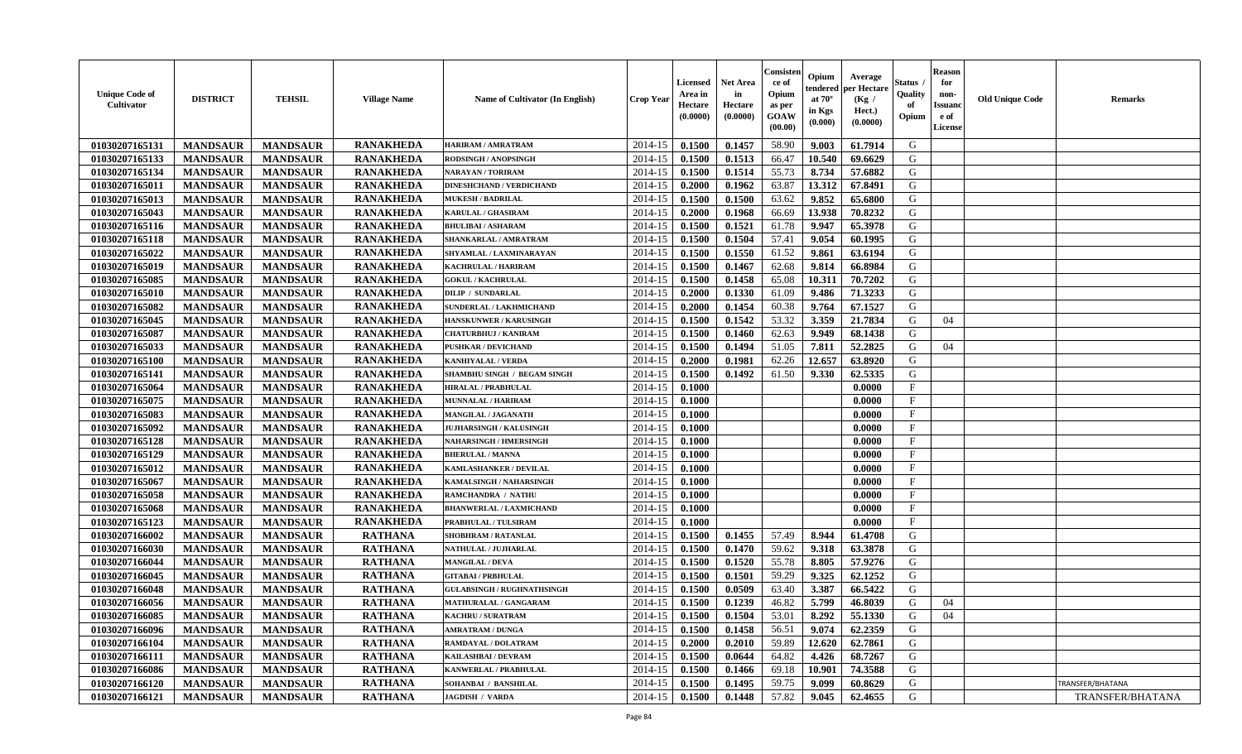| <b>Unique Code of</b><br><b>Cultivator</b> | <b>DISTRICT</b> | <b>TEHSIL</b>   | <b>Village Name</b> | Name of Cultivator (In English)                   | <b>Crop Year</b> | <b>Licensed</b><br>Area in<br>Hectare<br>(0.0000) | Net Area<br>in<br>Hectare<br>(0.0000) | Consisteı<br>ce of<br>Opium<br>as per<br>GOAW<br>(00.00) | Opium<br>tendered<br>at $70^\circ$<br>in Kgs<br>(0.000) | Average<br>per Hectare<br>(Kg /<br>Hect.)<br>(0.0000) | Status<br>Quality<br>of<br>Opium | <b>Reason</b><br>for<br>non-<br><b>Issuand</b><br>e of<br>License | <b>Old Unique Code</b> | <b>Remarks</b>   |
|--------------------------------------------|-----------------|-----------------|---------------------|---------------------------------------------------|------------------|---------------------------------------------------|---------------------------------------|----------------------------------------------------------|---------------------------------------------------------|-------------------------------------------------------|----------------------------------|-------------------------------------------------------------------|------------------------|------------------|
| 01030207165131                             | <b>MANDSAUR</b> | <b>MANDSAUR</b> | <b>RANAKHEDA</b>    | <b>HARIRAM / AMRATRAM</b>                         | 2014-15          | 0.1500                                            | 0.1457                                | 58.90                                                    | 9.003                                                   | 61.7914                                               | G                                |                                                                   |                        |                  |
| 01030207165133                             | <b>MANDSAUR</b> | <b>MANDSAUR</b> | <b>RANAKHEDA</b>    | RODSINGH / ANOPSINGH                              | 2014-15          | 0.1500                                            | 0.1513                                | 66.47                                                    | 10.540                                                  | 69.6629                                               | G                                |                                                                   |                        |                  |
| 01030207165134                             | <b>MANDSAUR</b> | <b>MANDSAUR</b> | <b>RANAKHEDA</b>    | <b>NARAYAN / TORIRAM</b>                          | 2014-15          | 0.1500                                            | 0.1514                                | 55.73                                                    | 8.734                                                   | 57.6882                                               | G                                |                                                                   |                        |                  |
| 01030207165011                             | <b>MANDSAUR</b> | <b>MANDSAUR</b> | <b>RANAKHEDA</b>    | <b>DINESHCHAND / VERDICHAND</b>                   | 2014-15          | 0.2000                                            | 0.1962                                | 63.87                                                    | 13.312                                                  | 67.8491                                               | G                                |                                                                   |                        |                  |
| 01030207165013                             | <b>MANDSAUR</b> | <b>MANDSAUR</b> | <b>RANAKHEDA</b>    | <b>MUKESH / BADRILAL</b>                          | 2014-15          | 0.1500                                            | 0.1500                                | 63.62                                                    | 9.852                                                   | 65.6800                                               | G                                |                                                                   |                        |                  |
| 01030207165043                             | <b>MANDSAUR</b> | <b>MANDSAUR</b> | <b>RANAKHEDA</b>    | <b>KARULAL / GHASIRAM</b>                         | 2014-15          | 0.2000                                            | 0.1968                                | 66.69                                                    | 13.938                                                  | 70.8232                                               | G                                |                                                                   |                        |                  |
| 01030207165116                             | <b>MANDSAUR</b> | <b>MANDSAUR</b> | <b>RANAKHEDA</b>    | <b>BHULIBAI / ASHARAM</b>                         | 2014-15          | 0.1500                                            | 0.1521                                | 61.78                                                    | 9.947                                                   | 65.3978                                               | G                                |                                                                   |                        |                  |
| 01030207165118                             | <b>MANDSAUR</b> | <b>MANDSAUR</b> | <b>RANAKHEDA</b>    | SHANKARLAL / AMRATRAM                             | 2014-15          | 0.1500                                            | 0.1504                                | 57.41                                                    | 9.054                                                   | 60.1995                                               | G                                |                                                                   |                        |                  |
| 01030207165022                             | <b>MANDSAUR</b> | <b>MANDSAUR</b> | <b>RANAKHEDA</b>    | SHYAMLAL / LAXMINARAYAN                           | 2014-15          | 0.1500                                            | 0.1550                                | 61.52                                                    | 9.861                                                   | 63.6194                                               | G                                |                                                                   |                        |                  |
| 01030207165019                             | <b>MANDSAUR</b> | <b>MANDSAUR</b> | <b>RANAKHEDA</b>    | KACHRULAL / HARIRAM                               | 2014-15          | 0.1500                                            | 0.1467                                | 62.68                                                    | 9.814                                                   | 66.8984                                               | G                                |                                                                   |                        |                  |
| 01030207165085                             | <b>MANDSAUR</b> | <b>MANDSAUR</b> | <b>RANAKHEDA</b>    | <b>GOKUL / KACHRULAL</b>                          | 2014-15          | 0.1500                                            | 0.1458                                | 65.08                                                    | 10.31                                                   | 70.7202                                               | G                                |                                                                   |                        |                  |
| 01030207165010                             | <b>MANDSAUR</b> | <b>MANDSAUR</b> | <b>RANAKHEDA</b>    | <b>DILIP / SUNDARLAL</b>                          | 2014-15          | 0.2000                                            | 0.1330                                | 61.09                                                    | 9.486                                                   | 71.3233                                               | G                                |                                                                   |                        |                  |
| 01030207165082                             | <b>MANDSAUR</b> | <b>MANDSAUR</b> | <b>RANAKHEDA</b>    | SUNDERLAL / LAKHMICHAND                           | 2014-15          | 0.2000                                            | 0.1454                                | 60.38                                                    | 9.764                                                   | 67.1527                                               | G                                |                                                                   |                        |                  |
| 01030207165045                             | <b>MANDSAUR</b> | <b>MANDSAUR</b> | <b>RANAKHEDA</b>    | <b>HANSKUNWER / KARUSINGH</b>                     | 2014-15          | 0.1500                                            | 0.1542                                | 53.32                                                    | 3.359                                                   | 21.7834                                               | G                                | 04                                                                |                        |                  |
| 01030207165087                             | <b>MANDSAUR</b> | <b>MANDSAUR</b> | <b>RANAKHEDA</b>    | CHATURBHUJ / KANIRAM                              | 2014-15          | 0.1500                                            | 0.1460                                | 62.63                                                    | 9.949                                                   | 68.1438                                               | G                                |                                                                   |                        |                  |
| 01030207165033                             | <b>MANDSAUR</b> | <b>MANDSAUR</b> | <b>RANAKHEDA</b>    | <b>PUSHKAR / DEVICHAND</b>                        | 2014-15          | 0.1500                                            | 0.1494                                | 51.05                                                    | 7.811                                                   | 52.2825                                               | G                                | 04                                                                |                        |                  |
| 01030207165100                             | <b>MANDSAUR</b> | <b>MANDSAUR</b> | <b>RANAKHEDA</b>    | <b>KANHIYALAL / VERDA</b>                         | 2014-15          | 0.2000                                            | 0.1981                                | 62.26                                                    | 12.657                                                  | 63.8920                                               | G                                |                                                                   |                        |                  |
| 01030207165141                             | <b>MANDSAUR</b> | <b>MANDSAUR</b> | <b>RANAKHEDA</b>    | SHAMBHU SINGH / BEGAM SINGH                       | 2014-15          | 0.1500                                            | 0.1492                                | 61.50                                                    | 9.330                                                   | 62.5335                                               | G                                |                                                                   |                        |                  |
| 01030207165064                             | <b>MANDSAUR</b> | <b>MANDSAUR</b> | <b>RANAKHEDA</b>    | <b>HIRALAL / PRABHULAL</b>                        | 2014-15          | 0.1000                                            |                                       |                                                          |                                                         | 0.0000                                                | F                                |                                                                   |                        |                  |
| 01030207165075                             | <b>MANDSAUR</b> | <b>MANDSAUR</b> | <b>RANAKHEDA</b>    | MUNNALAL / HARIRAM                                | 2014-15          | 0.1000                                            |                                       |                                                          |                                                         | 0.0000                                                | $\mathbf{F}$                     |                                                                   |                        |                  |
| 01030207165083                             | <b>MANDSAUR</b> | <b>MANDSAUR</b> | <b>RANAKHEDA</b>    | MANGILAL / JAGANATH                               | 2014-15          | 0.1000                                            |                                       |                                                          |                                                         | 0.0000                                                | $\mathbf{F}$                     |                                                                   |                        |                  |
| 01030207165092                             | <b>MANDSAUR</b> | <b>MANDSAUR</b> | <b>RANAKHEDA</b>    | <b>JUJHARSINGH / KALUSINGH</b>                    | 2014-15          | 0.1000                                            |                                       |                                                          |                                                         | 0.0000                                                | $\mathbf{F}$                     |                                                                   |                        |                  |
| 01030207165128                             | <b>MANDSAUR</b> | <b>MANDSAUR</b> | <b>RANAKHEDA</b>    | <b>NAHARSINGH / HMERSINGH</b>                     | 2014-15          | 0.1000                                            |                                       |                                                          |                                                         | 0.0000                                                | $\mathbf{F}$                     |                                                                   |                        |                  |
| 01030207165129                             | <b>MANDSAUR</b> | <b>MANDSAUR</b> | <b>RANAKHEDA</b>    | <b>BHERULAL / MANNA</b>                           | 2014-15          | 0.1000                                            |                                       |                                                          |                                                         | 0.0000                                                | $\mathbf{F}$                     |                                                                   |                        |                  |
| 01030207165012                             | <b>MANDSAUR</b> | <b>MANDSAUR</b> | <b>RANAKHEDA</b>    | KAMLASHANKER / DEVILAL                            | 2014-15          | 0.1000                                            |                                       |                                                          |                                                         | 0.0000                                                | $\mathbf{F}$                     |                                                                   |                        |                  |
| 01030207165067                             | <b>MANDSAUR</b> | <b>MANDSAUR</b> | <b>RANAKHEDA</b>    | KAMALSINGH / NAHARSINGH                           | 2014-15          | 0.1000                                            |                                       |                                                          |                                                         | 0.0000                                                | $\mathbf{F}$                     |                                                                   |                        |                  |
| 01030207165058                             | <b>MANDSAUR</b> | <b>MANDSAUR</b> | <b>RANAKHEDA</b>    | RAMCHANDRA / NATHU                                | 2014-15          | 0.1000                                            |                                       |                                                          |                                                         | 0.0000                                                | F                                |                                                                   |                        |                  |
| 01030207165068                             | <b>MANDSAUR</b> | <b>MANDSAUR</b> | <b>RANAKHEDA</b>    | <b>BHANWERLAL / LAXMICHAND</b>                    | 2014-15          | 0.1000                                            |                                       |                                                          |                                                         | 0.0000                                                | $\mathbf{F}$                     |                                                                   |                        |                  |
| 01030207165123                             | <b>MANDSAUR</b> | <b>MANDSAUR</b> | <b>RANAKHEDA</b>    | PRABHULAL / TULSIRAM                              | 2014-15          | 0.1000                                            |                                       |                                                          |                                                         | 0.0000                                                | $\mathbf{F}$                     |                                                                   |                        |                  |
| 01030207166002                             | <b>MANDSAUR</b> | <b>MANDSAUR</b> | <b>RATHANA</b>      | SHOBHRAM / RATANLAL                               | 2014-15          | 0.1500                                            | 0.1455                                | 57.49                                                    | 8.944                                                   | 61.4708                                               | G                                |                                                                   |                        |                  |
| 01030207166030                             | <b>MANDSAUR</b> | <b>MANDSAUR</b> | <b>RATHANA</b>      | NATHULAL / JUJHARLAL                              | 2014-15          | 0.1500                                            | 0.1470                                | 59.62                                                    | 9.318                                                   | 63.3878                                               | G                                |                                                                   |                        |                  |
| 01030207166044                             | <b>MANDSAUR</b> | <b>MANDSAUR</b> | <b>RATHANA</b>      | <b>MANGILAL / DEVA</b>                            | 2014-15          | 0.1500                                            | 0.1520                                | 55.78                                                    | 8.805                                                   | 57.9276                                               | G                                |                                                                   |                        |                  |
| 01030207166045                             | <b>MANDSAUR</b> | <b>MANDSAUR</b> | <b>RATHANA</b>      | <b>GITABAI/PRBHULAL</b>                           | 2014-15          | 0.1500                                            | 0.1501                                | 59.29                                                    | 9.325                                                   | 62.1252                                               | G                                |                                                                   |                        |                  |
| 01030207166048                             | <b>MANDSAUR</b> | <b>MANDSAUR</b> | <b>RATHANA</b>      | <b>GULABSINGH / RUGHNATHSINGH</b>                 | 2014-15          | 0.1500                                            | 0.0509                                | 63.40                                                    | 3.387                                                   | 66.5422                                               | G                                |                                                                   |                        |                  |
|                                            |                 |                 |                     |                                                   |                  | 0.1500                                            | 0.1239                                | 46.82                                                    |                                                         |                                                       |                                  |                                                                   |                        |                  |
| 01030207166056                             | <b>MANDSAUR</b> | <b>MANDSAUR</b> | <b>RATHANA</b>      | MATHURALAL / GANGARAM<br><b>KACHRU / SURATRAM</b> | 2014-15          |                                                   |                                       |                                                          | 5.799                                                   | 46.8039                                               | G                                | 04                                                                |                        |                  |
| 01030207166085                             | <b>MANDSAUR</b> | MANDSAUR        | <b>RATHANA</b>      |                                                   | $2014-15$ 0.1500 |                                                   | 0.1504                                | 53.01                                                    | $8.292$                                                 | 55.1330                                               | G                                | 04                                                                |                        |                  |
| 01030207166096                             | <b>MANDSAUR</b> | <b>MANDSAUR</b> | <b>RATHANA</b>      | <b>AMRATRAM / DUNGA</b>                           | 2014-15          | 0.1500                                            | 0.1458                                | 56.51                                                    | 9.074                                                   | 62.2359                                               | G                                |                                                                   |                        |                  |
| 01030207166104                             | <b>MANDSAUR</b> | <b>MANDSAUR</b> | <b>RATHANA</b>      | RAMDAYAL / DOLATRAM                               | 2014-15          | 0.2000                                            | 0.2010                                | 59.89                                                    | 12.620                                                  | 62.7861                                               | G                                |                                                                   |                        |                  |
| 01030207166111                             | <b>MANDSAUR</b> | <b>MANDSAUR</b> | <b>RATHANA</b>      | KAILASHBAI / DEVRAM                               | 2014-15          | 0.1500                                            | 0.0644                                | 64.82                                                    | 4.426                                                   | 68.7267                                               | G                                |                                                                   |                        |                  |
| 01030207166086                             | <b>MANDSAUR</b> | <b>MANDSAUR</b> | <b>RATHANA</b>      | <b>KANWERLAL / PRABHULAL</b>                      | 2014-15          | 0.1500                                            | 0.1466                                | 69.18                                                    | 10.901                                                  | 74.3588                                               | G                                |                                                                   |                        |                  |
| 01030207166120                             | <b>MANDSAUR</b> | <b>MANDSAUR</b> | <b>RATHANA</b>      | SOHANBAI / BANSHILAL                              | 2014-15          | 0.1500                                            | 0.1495                                | 59.75                                                    | 9.099                                                   | 60.8629                                               | G                                |                                                                   |                        | TRANSFER/BHATANA |
| 01030207166121                             | <b>MANDSAUR</b> | <b>MANDSAUR</b> | <b>RATHANA</b>      | <b>JAGDISH / VARDA</b>                            | $2014 - 15$      | 0.1500                                            | 0.1448                                | 57.82                                                    | 9.045                                                   | 62.4655                                               | G                                |                                                                   |                        | TRANSFER/BHATANA |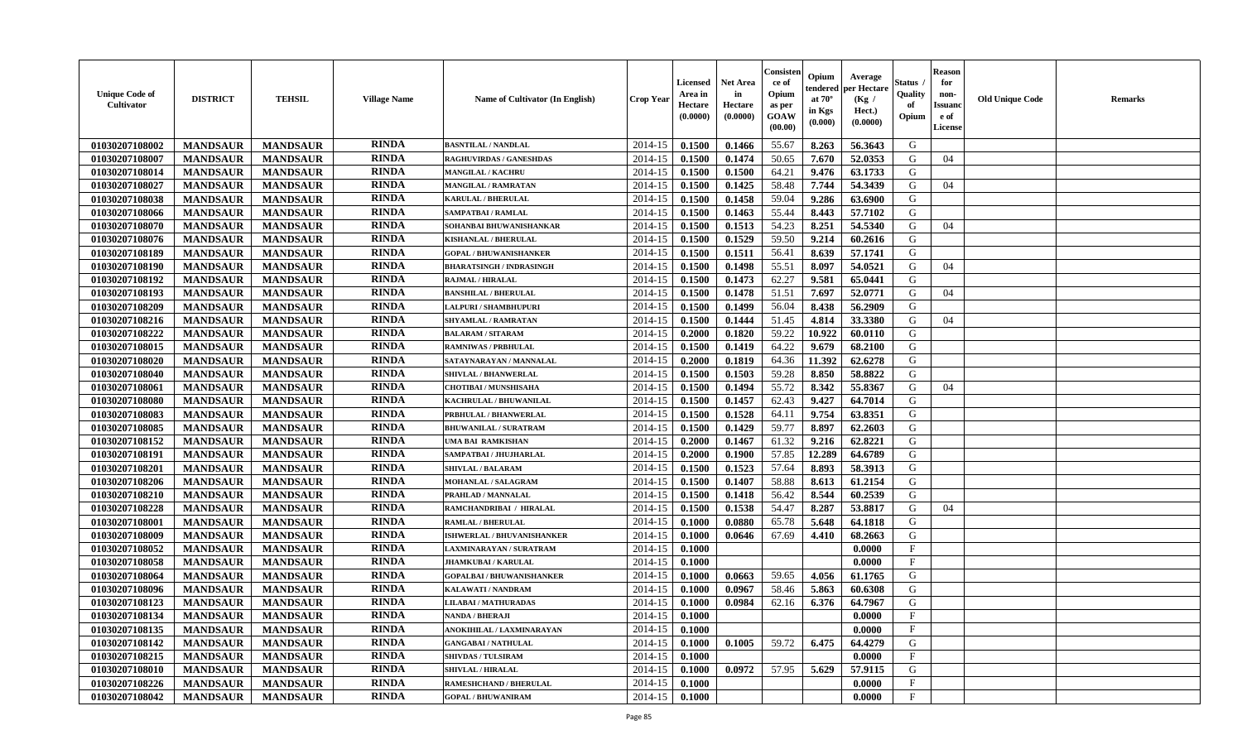| <b>Unique Code of</b><br>Cultivator | <b>DISTRICT</b> | <b>TEHSIL</b>   | <b>Village Name</b> | <b>Name of Cultivator (In English)</b> | <b>Crop Year</b> | Licensed<br>Area in<br>Hectare<br>(0.0000) | <b>Net Area</b><br>in<br>Hectare<br>(0.0000) | Consister<br>ce of<br>Opium<br>as per<br>GOAW<br>(00.00) | Opium<br>tendered<br>at $70^\circ$<br>in Kgs<br>(0.000) | Average<br>per Hectare<br>(Kg /<br>Hect.)<br>(0.0000) | Status<br>Quality<br>of<br>Opium | Reason<br>for<br>non-<br>Issuan<br>e of<br><b>License</b> | <b>Old Unique Code</b> | <b>Remarks</b> |
|-------------------------------------|-----------------|-----------------|---------------------|----------------------------------------|------------------|--------------------------------------------|----------------------------------------------|----------------------------------------------------------|---------------------------------------------------------|-------------------------------------------------------|----------------------------------|-----------------------------------------------------------|------------------------|----------------|
| 01030207108002                      | <b>MANDSAUR</b> | <b>MANDSAUR</b> | <b>RINDA</b>        | <b>BASNTILAL / NANDLAL</b>             | 2014-15          | 0.1500                                     | 0.1466                                       | 55.67                                                    | 8.263                                                   | 56.3643                                               | G                                |                                                           |                        |                |
| 01030207108007                      | <b>MANDSAUR</b> | <b>MANDSAUR</b> | <b>RINDA</b>        | <b>RAGHUVIRDAS / GANESHDAS</b>         | 2014-15          | 0.1500                                     | 0.1474                                       | 50.65                                                    | 7.670                                                   | 52.0353                                               | G                                | 04                                                        |                        |                |
| 01030207108014                      | <b>MANDSAUR</b> | <b>MANDSAUR</b> | <b>RINDA</b>        | <b>MANGILAL / KACHRU</b>               | 2014-15          | 0.1500                                     | 0.1500                                       | 64.21                                                    | 9.476                                                   | 63.1733                                               | G                                |                                                           |                        |                |
| 01030207108027                      | <b>MANDSAUR</b> | <b>MANDSAUR</b> | <b>RINDA</b>        | <b>MANGILAL / RAMRATAN</b>             | 2014-15          | 0.1500                                     | 0.1425                                       | 58.48                                                    | 7.744                                                   | 54.3439                                               | G                                | 04                                                        |                        |                |
| 01030207108038                      | <b>MANDSAUR</b> | <b>MANDSAUR</b> | <b>RINDA</b>        | <b>KARULAL / BHERULAL</b>              | 2014-15          | 0.1500                                     | 0.1458                                       | 59.04                                                    | 9.286                                                   | 63.6900                                               | G                                |                                                           |                        |                |
| 01030207108066                      | <b>MANDSAUR</b> | <b>MANDSAUR</b> | <b>RINDA</b>        | <b>SAMPATBAI/RAMLAL</b>                | 2014-15          | 0.1500                                     | 0.1463                                       | 55.44                                                    | 8.443                                                   | 57.7102                                               | G                                |                                                           |                        |                |
| 01030207108070                      | <b>MANDSAUR</b> | <b>MANDSAUR</b> | <b>RINDA</b>        | SOHANBAI BHUWANISHANKAR                | 2014-15          | 0.1500                                     | 0.1513                                       | 54.23                                                    | 8.251                                                   | 54.5340                                               | G                                | 04                                                        |                        |                |
| 01030207108076                      | <b>MANDSAUR</b> | <b>MANDSAUR</b> | <b>RINDA</b>        | KISHANLAL / BHERULAL                   | 2014-15          | 0.1500                                     | 0.1529                                       | 59.50                                                    | 9.214                                                   | 60.2616                                               | G                                |                                                           |                        |                |
| 01030207108189                      | <b>MANDSAUR</b> | <b>MANDSAUR</b> | <b>RINDA</b>        | <b>GOPAL / BHUWANISHANKER</b>          | 2014-15          | 0.1500                                     | 0.1511                                       | 56.41                                                    | 8.639                                                   | 57.1741                                               | G                                |                                                           |                        |                |
| 01030207108190                      | <b>MANDSAUR</b> | <b>MANDSAUR</b> | <b>RINDA</b>        | <b>BHARATSINGH / INDRASINGH</b>        | 2014-15          | 0.1500                                     | 0.1498                                       | 55.51                                                    | 8.097                                                   | 54.0521                                               | G                                | 04                                                        |                        |                |
| 01030207108192                      | <b>MANDSAUR</b> | <b>MANDSAUR</b> | <b>RINDA</b>        | <b>RAJMAL / HIRALAL</b>                | 2014-15          | 0.1500                                     | 0.1473                                       | 62.27                                                    | 9.581                                                   | 65.0441                                               | G                                |                                                           |                        |                |
| 01030207108193                      | <b>MANDSAUR</b> | <b>MANDSAUR</b> | <b>RINDA</b>        | <b>BANSHILAL / BHERULAL</b>            | 2014-15          | 0.1500                                     | 0.1478                                       | 51.51                                                    | 7.697                                                   | 52.0771                                               | G                                | 04                                                        |                        |                |
| 01030207108209                      | <b>MANDSAUR</b> | <b>MANDSAUR</b> | <b>RINDA</b>        | <b>LALPURI / SHAMBHUPURI</b>           | 2014-15          | 0.1500                                     | 0.1499                                       | 56.04                                                    | 8.438                                                   | 56.2909                                               | G                                |                                                           |                        |                |
| 01030207108216                      | <b>MANDSAUR</b> | <b>MANDSAUR</b> | <b>RINDA</b>        | SHYAMLAL / RAMRATAN                    | 2014-15          | 0.1500                                     | 0.1444                                       | 51.45                                                    | 4.814                                                   | 33.3380                                               | G                                | 04                                                        |                        |                |
| 01030207108222                      | <b>MANDSAUR</b> | <b>MANDSAUR</b> | <b>RINDA</b>        | <b>BALARAM / SITARAM</b>               | 2014-15          | 0.2000                                     | 0.1820                                       | 59.22                                                    | 10.922                                                  | 60.0110                                               | G                                |                                                           |                        |                |
| 01030207108015                      | <b>MANDSAUR</b> | <b>MANDSAUR</b> | <b>RINDA</b>        | <b>RAMNIWAS / PRBHULAL</b>             | 2014-15          | 0.1500                                     | 0.1419                                       | 64.22                                                    | 9.679                                                   | 68.2100                                               | G                                |                                                           |                        |                |
| 01030207108020                      | <b>MANDSAUR</b> | <b>MANDSAUR</b> | <b>RINDA</b>        | SATAYNARAYAN / MANNALAL                | 2014-15          | 0.2000                                     | 0.1819                                       | 64.36                                                    | 11.392                                                  | 62.6278                                               | G                                |                                                           |                        |                |
| 01030207108040                      | <b>MANDSAUR</b> | <b>MANDSAUR</b> | <b>RINDA</b>        | <b>SHIVLAL / BHANWERLAL</b>            | 2014-15          | 0.1500                                     | 0.1503                                       | 59.28                                                    | 8.850                                                   | 58.8822                                               | G                                |                                                           |                        |                |
| 01030207108061                      | <b>MANDSAUR</b> | <b>MANDSAUR</b> | <b>RINDA</b>        | <b>CHOTIBAI / MUNSHISAHA</b>           | 2014-15          | 0.1500                                     | 0.1494                                       | 55.72                                                    | 8.342                                                   | 55.8367                                               | G                                | 04                                                        |                        |                |
| 01030207108080                      | <b>MANDSAUR</b> | <b>MANDSAUR</b> | <b>RINDA</b>        | KACHRULAL / BHUWANILAL                 | 2014-15          | 0.1500                                     | 0.1457                                       | 62.43                                                    | 9.427                                                   | 64.7014                                               | G                                |                                                           |                        |                |
| 01030207108083                      | <b>MANDSAUR</b> | <b>MANDSAUR</b> | <b>RINDA</b>        | PRBHULAL / BHANWERLAL                  | 2014-15          | 0.1500                                     | 0.1528                                       | 64.11                                                    | 9.754                                                   | 63.8351                                               | G                                |                                                           |                        |                |
| 01030207108085                      | <b>MANDSAUR</b> | <b>MANDSAUR</b> | <b>RINDA</b>        | <b>BHUWANILAL / SURATRAM</b>           | 2014-15          | 0.1500                                     | 0.1429                                       | 59.77                                                    | 8.897                                                   | 62.2603                                               | G                                |                                                           |                        |                |
| 01030207108152                      | <b>MANDSAUR</b> | <b>MANDSAUR</b> | <b>RINDA</b>        | <b>UMA BAI RAMKISHAN</b>               | 2014-15          | 0.2000                                     | 0.1467                                       | 61.32                                                    | 9.216                                                   | 62.8221                                               | G                                |                                                           |                        |                |
| 01030207108191                      | <b>MANDSAUR</b> | <b>MANDSAUR</b> | <b>RINDA</b>        | SAMPATBAI / JHUJHARLAL                 | 2014-15          | 0.2000                                     | 0.1900                                       | 57.85                                                    | 12.289                                                  | 64.6789                                               | G                                |                                                           |                        |                |
| 01030207108201                      | <b>MANDSAUR</b> | <b>MANDSAUR</b> | <b>RINDA</b>        | <b>SHIVLAL / BALARAM</b>               | 2014-15          | 0.1500                                     | 0.1523                                       | 57.64                                                    | 8.893                                                   | 58.3913                                               | G                                |                                                           |                        |                |
| 01030207108206                      | <b>MANDSAUR</b> | <b>MANDSAUR</b> | <b>RINDA</b>        | MOHANLAL / SALAGRAM                    | 2014-15          | 0.1500                                     | 0.1407                                       | 58.88                                                    | 8.613                                                   | 61.2154                                               | G                                |                                                           |                        |                |
| 01030207108210                      | <b>MANDSAUR</b> | <b>MANDSAUR</b> | <b>RINDA</b>        | PRAHLAD / MANNALAL                     | 2014-15          | 0.1500                                     | 0.1418                                       | 56.42                                                    | 8.544                                                   | 60.2539                                               | G                                |                                                           |                        |                |
| 01030207108228                      | <b>MANDSAUR</b> | <b>MANDSAUR</b> | <b>RINDA</b>        | RAMCHANDRIBAI / HIRALAL                | 2014-15          | 0.1500                                     | 0.1538                                       | 54.47                                                    | 8.287                                                   | 53.8817                                               | G                                | 04                                                        |                        |                |
| 01030207108001                      | <b>MANDSAUR</b> | <b>MANDSAUR</b> | <b>RINDA</b>        | <b>RAMLAL / BHERULAL</b>               | 2014-15          | 0.1000                                     | 0.0880                                       | 65.78                                                    | 5.648                                                   | 64.1818                                               | G                                |                                                           |                        |                |
| 01030207108009                      | <b>MANDSAUR</b> | <b>MANDSAUR</b> | <b>RINDA</b>        | ISHWERLAL / BHUVANISHANKER             | 2014-15          | 0.1000                                     | 0.0646                                       | 67.69                                                    | 4.410                                                   | 68.2663                                               | G                                |                                                           |                        |                |
| 01030207108052                      | <b>MANDSAUR</b> | <b>MANDSAUR</b> | <b>RINDA</b>        | LAXMINARAYAN / SURATRAM                | 2014-15          | 0.1000                                     |                                              |                                                          |                                                         | 0.0000                                                | $_{\rm F}$                       |                                                           |                        |                |
| 01030207108058                      | <b>MANDSAUR</b> | <b>MANDSAUR</b> | <b>RINDA</b>        | <b>JHAMKUBAI/KARULAL</b>               | 2014-15          | 0.1000                                     |                                              |                                                          |                                                         | 0.0000                                                | $\mathbf{F}$                     |                                                           |                        |                |
| 01030207108064                      | <b>MANDSAUR</b> | <b>MANDSAUR</b> | <b>RINDA</b>        | <b>GOPALBAI/BHUWANISHANKER</b>         | 2014-15          | 0.1000                                     | 0.0663                                       | 59.65                                                    | 4.056                                                   | 61.1765                                               | G                                |                                                           |                        |                |
| 01030207108096                      | <b>MANDSAUR</b> | <b>MANDSAUR</b> | <b>RINDA</b>        | <b>KALAWATI / NANDRAM</b>              | 2014-15          | 0.1000                                     | 0.0967                                       | 58.46                                                    | 5.863                                                   | 60.6308                                               | G                                |                                                           |                        |                |
| 01030207108123                      | <b>MANDSAUR</b> | <b>MANDSAUR</b> | <b>RINDA</b>        | <b>LILABAI/MATHURADAS</b>              | 2014-15          | 0.1000                                     | 0.0984                                       | 62.16                                                    | 6.376                                                   | 64.7967                                               | G                                |                                                           |                        |                |
| 01030207108134                      | <b>MANDSAUR</b> | <b>MANDSAUR</b> | <b>RINDA</b>        | <b>NANDA / BHERAJI</b>                 |                  | $2014-15$ 0.1000                           |                                              |                                                          |                                                         | 0.0000                                                | F                                |                                                           |                        |                |
| 01030207108135                      | <b>MANDSAUR</b> | <b>MANDSAUR</b> | <b>RINDA</b>        | ANOKIHILAL / LAXMINARAYAN              | 2014-15          | 0.1000                                     |                                              |                                                          |                                                         | 0.0000                                                | $_{\rm F}$                       |                                                           |                        |                |
| 01030207108142                      | <b>MANDSAUR</b> | <b>MANDSAUR</b> | <b>RINDA</b>        | <b>GANGABAI / NATHULAL</b>             | 2014-15          | 0.1000                                     | 0.1005                                       | 59.72                                                    | 6.475                                                   | 64.4279                                               | G                                |                                                           |                        |                |
| 01030207108215                      | <b>MANDSAUR</b> | <b>MANDSAUR</b> | <b>RINDA</b>        | <b>SHIVDAS / TULSIRAM</b>              | 2014-15          | 0.1000                                     |                                              |                                                          |                                                         | 0.0000                                                | $\mathbf{F}$                     |                                                           |                        |                |
| 01030207108010                      | <b>MANDSAUR</b> | <b>MANDSAUR</b> | <b>RINDA</b>        | <b>SHIVLAL / HIRALAL</b>               | 2014-15          | 0.1000                                     | 0.0972                                       | 57.95                                                    | 5.629                                                   | 57.9115                                               | G                                |                                                           |                        |                |
| 01030207108226                      | <b>MANDSAUR</b> | <b>MANDSAUR</b> | <b>RINDA</b>        | <b>RAMESHCHAND / BHERULAL</b>          | 2014-15          | 0.1000                                     |                                              |                                                          |                                                         | 0.0000                                                | $_{\rm F}$                       |                                                           |                        |                |
| 01030207108042                      | <b>MANDSAUR</b> | <b>MANDSAUR</b> | <b>RINDA</b>        | <b>GOPAL / BHUWANIRAM</b>              | 2014-15          | 0.1000                                     |                                              |                                                          |                                                         | 0.0000                                                | $\mathbf{F}$                     |                                                           |                        |                |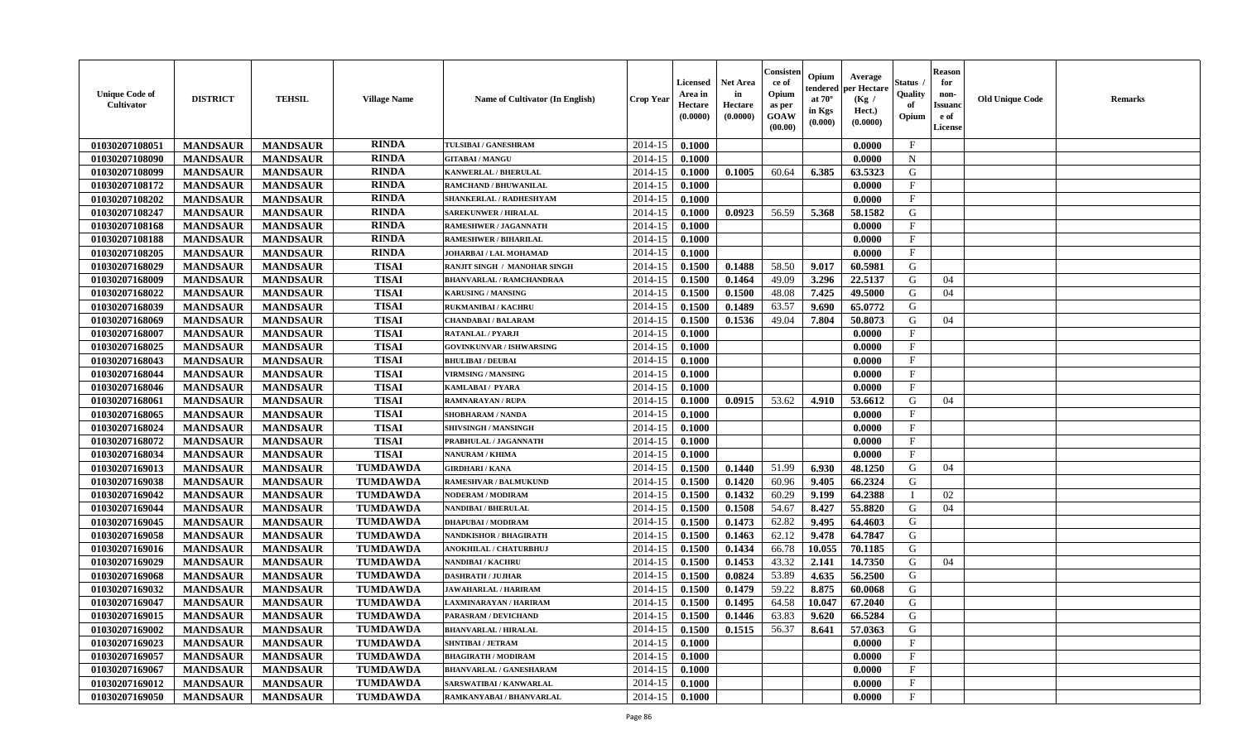| <b>Unique Code of</b><br>Cultivator | <b>DISTRICT</b> | <b>TEHSIL</b>   | <b>Village Name</b> | Name of Cultivator (In English) | <b>Crop Year</b> | Licensed<br>Area in<br>Hectare<br>(0.0000) | <b>Net Area</b><br>in<br>Hectare<br>(0.0000) | Consisteı<br>ce of<br>Opium<br>as per<br>GOAW<br>(00.00) | Opium<br>endered<br>at $70^\circ$<br>in Kgs<br>$({\bf 0.000})$ | Average<br><b>per Hectare</b><br>(Kg /<br>Hect.)<br>(0.0000) | Status<br>Quality<br>of<br>Opium | Reason<br>for<br>non-<br><b>Issuano</b><br>e of<br>License | <b>Old Unique Code</b> | <b>Remarks</b> |
|-------------------------------------|-----------------|-----------------|---------------------|---------------------------------|------------------|--------------------------------------------|----------------------------------------------|----------------------------------------------------------|----------------------------------------------------------------|--------------------------------------------------------------|----------------------------------|------------------------------------------------------------|------------------------|----------------|
| 01030207108051                      | <b>MANDSAUR</b> | <b>MANDSAUR</b> | <b>RINDA</b>        | TULSIBAI / GANESHRAM            | 2014-15          | 0.1000                                     |                                              |                                                          |                                                                | 0.0000                                                       | $\mathbf{F}$                     |                                                            |                        |                |
| 01030207108090                      | <b>MANDSAUR</b> | <b>MANDSAUR</b> | <b>RINDA</b>        | <b>GITABAI/MANGU</b>            | 2014-15          | 0.1000                                     |                                              |                                                          |                                                                | 0.0000                                                       | N                                |                                                            |                        |                |
| 01030207108099                      | <b>MANDSAUR</b> | <b>MANDSAUR</b> | <b>RINDA</b>        | <b>KANWERLAL / BHERULAL</b>     | 2014-15          | 0.1000                                     | 0.1005                                       | 60.64                                                    | 6.385                                                          | 63.5323                                                      | G                                |                                                            |                        |                |
| 01030207108172                      | <b>MANDSAUR</b> | <b>MANDSAUR</b> | <b>RINDA</b>        | <b>RAMCHAND / BHUWANILAL</b>    | 2014-15          | 0.1000                                     |                                              |                                                          |                                                                | 0.0000                                                       | $_{\rm F}$                       |                                                            |                        |                |
| 01030207108202                      | <b>MANDSAUR</b> | <b>MANDSAUR</b> | <b>RINDA</b>        | SHANKERLAL / RADHESHYAM         | 2014-15          | 0.1000                                     |                                              |                                                          |                                                                | 0.0000                                                       | $\mathbf{F}$                     |                                                            |                        |                |
| 01030207108247                      | <b>MANDSAUR</b> | <b>MANDSAUR</b> | <b>RINDA</b>        | <b>SAREKUNWER / HIRALAL</b>     | 2014-15          | 0.1000                                     | 0.0923                                       | 56.59                                                    | 5.368                                                          | 58.1582                                                      | G                                |                                                            |                        |                |
| 01030207108168                      | <b>MANDSAUR</b> | <b>MANDSAUR</b> | <b>RINDA</b>        | RAMESHWER / JAGANNATH           | 2014-15          | 0.1000                                     |                                              |                                                          |                                                                | 0.0000                                                       | $\mathbf F$                      |                                                            |                        |                |
| 01030207108188                      | <b>MANDSAUR</b> | <b>MANDSAUR</b> | <b>RINDA</b>        | <b>RAMESHWER / BIHARILAL</b>    | 2014-15          | 0.1000                                     |                                              |                                                          |                                                                | 0.0000                                                       | $\mathbf{F}$                     |                                                            |                        |                |
| 01030207108205                      | <b>MANDSAUR</b> | <b>MANDSAUR</b> | <b>RINDA</b>        | JOHARBAI / LAL MOHAMAD          | 2014-15          | 0.1000                                     |                                              |                                                          |                                                                | 0.0000                                                       | $_{\rm F}$                       |                                                            |                        |                |
| 01030207168029                      | <b>MANDSAUR</b> | <b>MANDSAUR</b> | <b>TISAI</b>        | RANJIT SINGH / MANOHAR SINGH    | 2014-15          | 0.1500                                     | 0.1488                                       | 58.50                                                    | 9.017                                                          | 60.5981                                                      | G                                |                                                            |                        |                |
| 01030207168009                      | <b>MANDSAUR</b> | <b>MANDSAUR</b> | <b>TISAI</b>        | <b>BHANVARLAL / RAMCHANDRAA</b> | 2014-15          | 0.1500                                     | 0.1464                                       | 49.09                                                    | 3.296                                                          | 22.5137                                                      | G                                | 04                                                         |                        |                |
| 01030207168022                      | <b>MANDSAUR</b> | <b>MANDSAUR</b> | <b>TISAI</b>        | <b>KARUSING / MANSING</b>       | 2014-15          | 0.1500                                     | 0.1500                                       | 48.08                                                    | 7.425                                                          | 49.5000                                                      | G                                | 04                                                         |                        |                |
| 01030207168039                      | <b>MANDSAUR</b> | <b>MANDSAUR</b> | <b>TISAI</b>        | RUKMANIBAI / KACHRU             | 2014-15          | 0.1500                                     | 0.1489                                       | 63.57                                                    | 9.690                                                          | 65.0772                                                      | G                                |                                                            |                        |                |
| 01030207168069                      | <b>MANDSAUR</b> | <b>MANDSAUR</b> | <b>TISAI</b>        | <b>CHANDABAI / BALARAM</b>      | 2014-15          | 0.1500                                     | 0.1536                                       | 49.04                                                    | 7.804                                                          | 50.8073                                                      | G                                | 04                                                         |                        |                |
| 01030207168007                      | <b>MANDSAUR</b> | <b>MANDSAUR</b> | <b>TISAI</b>        | <b>RATANLAL / PYARJI</b>        | 2014-15          | 0.1000                                     |                                              |                                                          |                                                                | 0.0000                                                       | $_{\rm F}$                       |                                                            |                        |                |
| 01030207168025                      | <b>MANDSAUR</b> | <b>MANDSAUR</b> | <b>TISAI</b>        | <b>GOVINKUNVAR / ISHWARSING</b> | 2014-15          | 0.1000                                     |                                              |                                                          |                                                                | 0.0000                                                       | $_{\rm F}$                       |                                                            |                        |                |
| 01030207168043                      | <b>MANDSAUR</b> | <b>MANDSAUR</b> | <b>TISAI</b>        | <b>BHULIBAI / DEUBAI</b>        | 2014-15          | 0.1000                                     |                                              |                                                          |                                                                | 0.0000                                                       | $\mathbf{F}$                     |                                                            |                        |                |
| 01030207168044                      | <b>MANDSAUR</b> | <b>MANDSAUR</b> | <b>TISAI</b>        | <b>VIRMSING / MANSING</b>       | 2014-15          | 0.1000                                     |                                              |                                                          |                                                                | 0.0000                                                       | $\mathbf F$                      |                                                            |                        |                |
| 01030207168046                      | <b>MANDSAUR</b> | <b>MANDSAUR</b> | <b>TISAI</b>        | KAMLABAI / PYARA                | 2014-15          | 0.1000                                     |                                              |                                                          |                                                                | 0.0000                                                       | F                                |                                                            |                        |                |
| 01030207168061                      | <b>MANDSAUR</b> | <b>MANDSAUR</b> | <b>TISAI</b>        | RAMNARAYAN / RUPA               | 2014-15          | 0.1000                                     | 0.0915                                       | 53.62                                                    | 4.910                                                          | 53.6612                                                      | G                                | 04                                                         |                        |                |
| 01030207168065                      | <b>MANDSAUR</b> | <b>MANDSAUR</b> | <b>TISAI</b>        | <b>SHOBHARAM / NANDA</b>        | 2014-15          | 0.1000                                     |                                              |                                                          |                                                                | 0.0000                                                       | $_{\rm F}$                       |                                                            |                        |                |
| 01030207168024                      | <b>MANDSAUR</b> | <b>MANDSAUR</b> | <b>TISAI</b>        | SHIVSINGH / MANSINGH            | 2014-15          | 0.1000                                     |                                              |                                                          |                                                                | 0.0000                                                       | $\mathbf{F}$                     |                                                            |                        |                |
| 01030207168072                      | <b>MANDSAUR</b> | <b>MANDSAUR</b> | <b>TISAI</b>        | PRABHULAL / JAGANNATH           | 2014-15          | 0.1000                                     |                                              |                                                          |                                                                | 0.0000                                                       | $\mathbf{F}$                     |                                                            |                        |                |
| 01030207168034                      | <b>MANDSAUR</b> | <b>MANDSAUR</b> | <b>TISAI</b>        | <b>NANURAM / KHIMA</b>          | 2014-15          | 0.1000                                     |                                              |                                                          |                                                                | 0.0000                                                       | $\mathbf F$                      |                                                            |                        |                |
| 01030207169013                      | <b>MANDSAUR</b> | <b>MANDSAUR</b> | <b>TUMDAWDA</b>     | <b>GIRDHARI / KANA</b>          | 2014-15          | 0.1500                                     | 0.1440                                       | 51.99                                                    | 6.930                                                          | 48.1250                                                      | G                                | 04                                                         |                        |                |
| 01030207169038                      | <b>MANDSAUR</b> | <b>MANDSAUR</b> | <b>TUMDAWDA</b>     | <b>RAMESHVAR / BALMUKUND</b>    | 2014-15          | 0.1500                                     | 0.1420                                       | 60.96                                                    | 9.405                                                          | 66.2324                                                      | G                                |                                                            |                        |                |
| 01030207169042                      | <b>MANDSAUR</b> | <b>MANDSAUR</b> | <b>TUMDAWDA</b>     | <b>NODERAM / MODIRAM</b>        | 2014-15          | 0.1500                                     | 0.1432                                       | 60.29                                                    | 9.199                                                          | 64.2388                                                      | л                                | 02                                                         |                        |                |
| 01030207169044                      | <b>MANDSAUR</b> | <b>MANDSAUR</b> | <b>TUMDAWDA</b>     | NANDIBAI / BHERULAL             | 2014-15          | 0.1500                                     | 0.1508                                       | 54.67                                                    | 8.427                                                          | 55.8820                                                      | G                                | 04                                                         |                        |                |
| 01030207169045                      | <b>MANDSAUR</b> | <b>MANDSAUR</b> | <b>TUMDAWDA</b>     | <b>DHAPUBAI/MODIRAM</b>         | 2014-15          | 0.1500                                     | 0.1473                                       | 62.82                                                    | 9.495                                                          | 64.4603                                                      | G                                |                                                            |                        |                |
| 01030207169058                      | <b>MANDSAUR</b> | <b>MANDSAUR</b> | <b>TUMDAWDA</b>     | NANDKISHOR / BHAGIRATH          | 2014-15          | 0.1500                                     | 0.1463                                       | 62.12                                                    | 9.478                                                          | 64.7847                                                      | G                                |                                                            |                        |                |
| 01030207169016                      | <b>MANDSAUR</b> | <b>MANDSAUR</b> | <b>TUMDAWDA</b>     | <b>ANOKHILAL / CHATURBHUJ</b>   | 2014-15          | 0.1500                                     | 0.1434                                       | 66.78                                                    | 10.055                                                         | 70.1185                                                      | G                                |                                                            |                        |                |
| 01030207169029                      | <b>MANDSAUR</b> | <b>MANDSAUR</b> | <b>TUMDAWDA</b>     | NANDIBAI / KACHRU               | 2014-15          | 0.1500                                     | 0.1453                                       | 43.32                                                    | 2.141                                                          | 14.7350                                                      | G                                | 04                                                         |                        |                |
| 01030207169068                      | <b>MANDSAUR</b> | <b>MANDSAUR</b> | <b>TUMDAWDA</b>     | <b>DASHRATH / JUJHAR</b>        | 2014-15          | 0.1500                                     | 0.0824                                       | 53.89                                                    | 4.635                                                          | 56.2500                                                      | G                                |                                                            |                        |                |
| 01030207169032                      | <b>MANDSAUR</b> | <b>MANDSAUR</b> | <b>TUMDAWDA</b>     | <b>JAWAHARLAL / HARIRAM</b>     | 2014-15          | 0.1500                                     | 0.1479                                       | 59.22                                                    | 8.875                                                          | 60.0068                                                      | G                                |                                                            |                        |                |
| 01030207169047                      | <b>MANDSAUR</b> | <b>MANDSAUR</b> | <b>TUMDAWDA</b>     | LAXMINARAYAN / HARIRAM          | 2014-15          | 0.1500                                     | 0.1495                                       | 64.58                                                    | 10.047                                                         | 67.2040                                                      | G                                |                                                            |                        |                |
| 01030207169015                      | MANDSAUR        | MANDSAUR        | <b>TUMDAWDA</b>     | PARASRAM / DEVICHAND            |                  | $2014-15$ 0.1500                           | 0.1446                                       | 63.83                                                    | 9.620                                                          | 66.5284                                                      | G                                |                                                            |                        |                |
| 01030207169002                      | <b>MANDSAUR</b> | <b>MANDSAUR</b> | <b>TUMDAWDA</b>     | <b>BHANVARLAL / HIRALAL</b>     | 2014-15          | 0.1500                                     | 0.1515                                       | 56.37                                                    | 8.641                                                          | 57.0363                                                      | G                                |                                                            |                        |                |
| 01030207169023                      | <b>MANDSAUR</b> | <b>MANDSAUR</b> | <b>TUMDAWDA</b>     | <b>SHNTIBAI / JETRAM</b>        | 2014-15          | 0.1000                                     |                                              |                                                          |                                                                | 0.0000                                                       | $\mathbf{F}$                     |                                                            |                        |                |
| 01030207169057                      | <b>MANDSAUR</b> | <b>MANDSAUR</b> | <b>TUMDAWDA</b>     | <b>BHAGIRATH / MODIRAM</b>      | 2014-15          | 0.1000                                     |                                              |                                                          |                                                                | 0.0000                                                       | $\mathbf F$                      |                                                            |                        |                |
| 01030207169067                      | <b>MANDSAUR</b> | <b>MANDSAUR</b> | <b>TUMDAWDA</b>     | <b>BHANVARLAL / GANESHARAM</b>  | 2014-15          | 0.1000                                     |                                              |                                                          |                                                                | 0.0000                                                       | $\mathbf{F}$                     |                                                            |                        |                |
| 01030207169012                      | <b>MANDSAUR</b> | <b>MANDSAUR</b> | <b>TUMDAWDA</b>     | SARSWATIBAI / KANWARLAL         | 2014-15          | 0.1000                                     |                                              |                                                          |                                                                | 0.0000                                                       | $\mathbf{F}$                     |                                                            |                        |                |
| 01030207169050                      | <b>MANDSAUR</b> | <b>MANDSAUR</b> | <b>TUMDAWDA</b>     | RAMKANYABAI / BHANVARLAL        | 2014-15          | $\boldsymbol{0.1000}$                      |                                              |                                                          |                                                                | 0.0000                                                       | $\mathbf F$                      |                                                            |                        |                |
|                                     |                 |                 |                     |                                 |                  |                                            |                                              |                                                          |                                                                |                                                              |                                  |                                                            |                        |                |